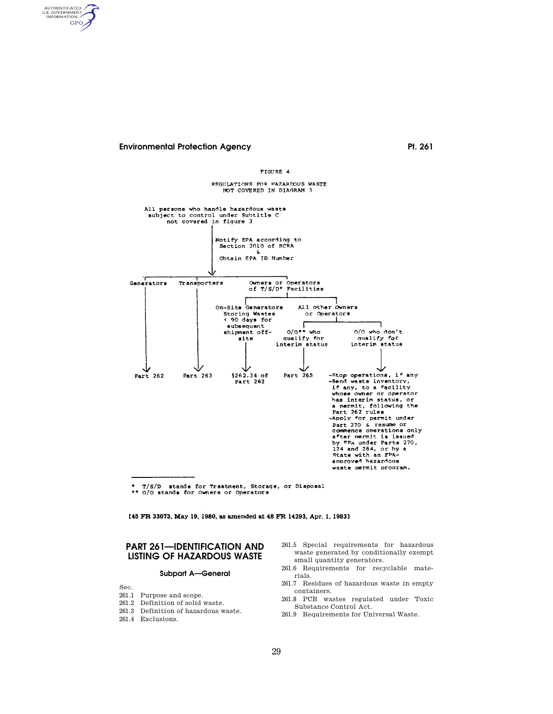AUTHENTICATED GPO



T/S/D stands for Treatment, Storage, or Disposal \*\* 0/0 stands for 0wners or 0perators

[45 FR 33073, May 19, 1980, as amended at 48 FR 14293, Apr. 1, 1983]

# **PART 261—IDENTIFICATION AND LISTING OF HAZARDOUS WASTE**

#### **Subpart A—General**

Sec.

- 261.1 Purpose and scope.
- 261.2 Definition of solid waste.
- 261.3 Definition of hazardous waste.
- 261.4 Exclusions.
- 261.5 Special requirements for hazardous waste generated by conditionally exempt small quantity generators.
- 261.6 Requirements for recyclable materials.
- 261.7 Residues of hazardous waste in empty containers.
- 261.8 PCB wastes regulated under Toxic Substance Control Act.
- 261.9 Requirements for Universal Waste.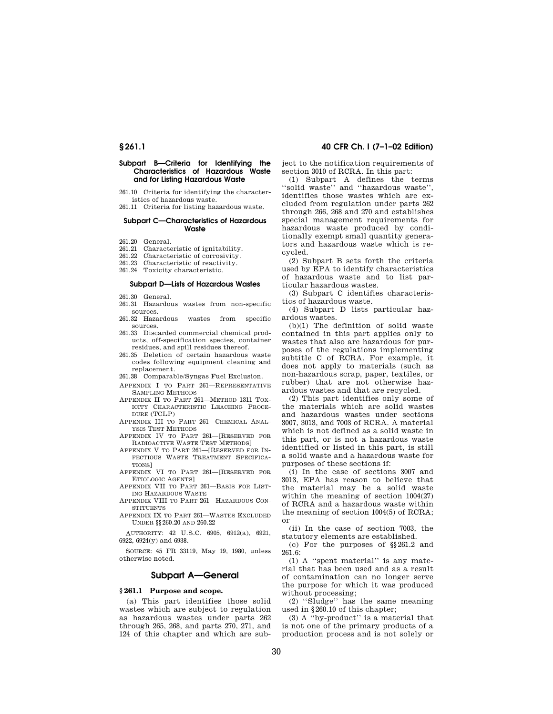### **Subpart B—Criteria for Identifying the Characteristics of Hazardous Waste and for Listing Hazardous Waste**

261.10 Criteria for identifying the characteristics of hazardous waste. 261.11 Criteria for listing hazardous waste.

#### **Subpart C—Characteristics of Hazardous Waste**

- 261.20 General.
- 261.21 Characteristic of ignitability.
- 261.22 Characteristic of corrosivity.<br>261.23 Characteristic of reactivity
- Characteristic of reactivity.
- 261.24 Toxicity characteristic.

#### **Subpart D—Lists of Hazardous Wastes**

- 261.30 General.
- 261.31 Hazardous wastes from non-specific
- sources.<br>261.32 Hazardous wastes from specific sources.
- 261.33 Discarded commercial chemical products, off-specification species, container residues, and spill residues thereof.
- 261.35 Deletion of certain hazardous waste codes following equipment cleaning and replacement.
- 261.38 Comparable/Syngas Fuel Exclusion.
- APPENDIX I TO PART 261—REPRESENTATIVE SAMPLING METHODS
- APPENDIX II TO PART 261—METHOD 1311 TOX-ICITY CHARACTERISTIC LEACHING PROCE-DURE (TCLP)
- APPENDIX III TO PART 261—CHEMICAL ANAL-YSIS TEST METHODS
- APPENDIX IV TO PART 261—[RESERVED FOR RADIOACTIVE WASTE TEST METHODS]
- APPENDIX V TO PART 261—[RESERVED FOR IN-FECTIOUS WASTE TREATMENT SPECIFICA-TIONS]
- APPENDIX VI TO PART 261—[RESERVED FOR ETIOLOGIC AGENTS]
- APPENDIX VII TO PART 261—BASIS FOR LIST-ING HAZARDOUS WASTE
- APPENDIX VIII TO PART 261—HAZARDOUS CON-**STITUENTS**
- APPENDIX IX TO PART 261—WASTES EXCLUDED UNDER §§ 260.20 AND 260.22
- AUTHORITY: 42 U.S.C. 6905, 6912(a), 6921, 6922, 6924(y) and 6938.

SOURCE: 45 FR 33119, May 19, 1980, unless otherwise noted.

## **Subpart A—General**

# **§ 261.1 Purpose and scope.**

(a) This part identifies those solid wastes which are subject to regulation as hazardous wastes under parts 262 through 265, 268, and parts 270, 271, and 124 of this chapter and which are subject to the notification requirements of section 3010 of RCRA. In this part:

(1) Subpart A defines the terms ''solid waste'' and ''hazardous waste'', identifies those wastes which are excluded from regulation under parts 262 through 266, 268 and 270 and establishes special management requirements for hazardous waste produced by conditionally exempt small quantity generators and hazardous waste which is recycled.

(2) Subpart B sets forth the criteria used by EPA to identify characteristics of hazardous waste and to list particular hazardous wastes.

(3) Subpart C identifies characteristics of hazardous waste.

(4) Subpart D lists particular hazardous wastes.

(b)(1) The definition of solid waste contained in this part applies only to wastes that also are hazardous for purposes of the regulations implementing subtitle C of RCRA. For example, it does not apply to materials (such as non-hazardous scrap, paper, textiles, or rubber) that are not otherwise hazardous wastes and that are recycled.

(2) This part identifies only some of the materials which are solid wastes and hazardous wastes under sections 3007, 3013, and 7003 of RCRA. A material which is not defined as a solid waste in this part, or is not a hazardous waste identified or listed in this part, is still a solid waste and a hazardous waste for purposes of these sections if:

(i) In the case of sections 3007 and 3013, EPA has reason to believe that the material may be a solid waste within the meaning of section 1004(27) of RCRA and a hazardous waste within the meaning of section 1004(5) of RCRA; or

(ii) In the case of section 7003, the statutory elements are established.

(c) For the purposes of §§ 261.2 and 261.6:

(1) A ''spent material'' is any material that has been used and as a result of contamination can no longer serve the purpose for which it was produced without processing;

(2) ''Sludge'' has the same meaning used in § 260.10 of this chapter;

(3) A ''by-product'' is a material that is not one of the primary products of a production process and is not solely or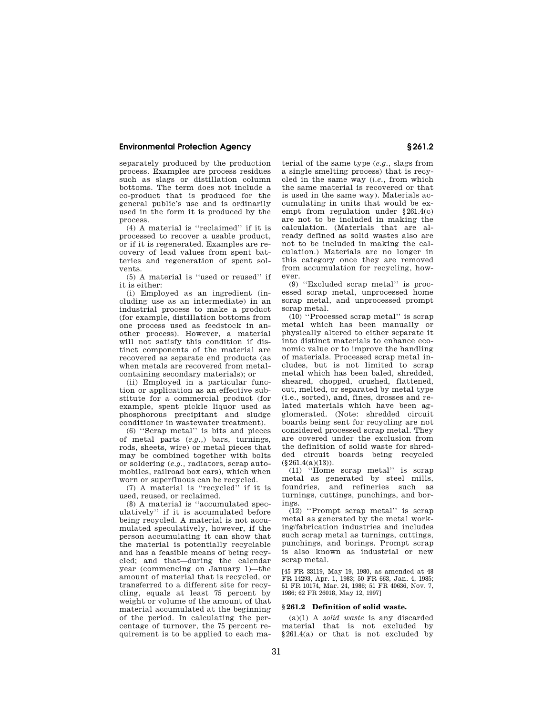separately produced by the production process. Examples are process residues such as slags or distillation column bottoms. The term does not include a co-product that is produced for the general public's use and is ordinarily used in the form it is produced by the process.

(4) A material is ''reclaimed'' if it is processed to recover a usable product, or if it is regenerated. Examples are recovery of lead values from spent batteries and regeneration of spent solvents.

(5) A material is ''used or reused'' if it is either:

(i) Employed as an ingredient (including use as an intermediate) in an industrial process to make a product (for example, distillation bottoms from one process used as feedstock in another process). However, a material will not satisfy this condition if distinct components of the material are recovered as separate end products (as when metals are recovered from metalcontaining secondary materials); or

(ii) Employed in a particular function or application as an effective substitute for a commercial product (for example, spent pickle liquor used as phosphorous precipitant and sludge conditioner in wastewater treatment).

(6) ''Scrap metal'' is bits and pieces of metal parts (*e.g.,*) bars, turnings, rods, sheets, wire) or metal pieces that may be combined together with bolts or soldering (*e.g.,* radiators, scrap automobiles, railroad box cars), which when worn or superfluous can be recycled.

(7) A material is ''recycled'' if it is used, reused, or reclaimed.

(8) A material is ''accumulated speculatively'' if it is accumulated before being recycled. A material is not accumulated speculatively, however, if the person accumulating it can show that the material is potentially recyclable and has a feasible means of being recycled; and that—during the calendar year (commencing on January 1)—the amount of material that is recycled, or transferred to a different site for recycling, equals at least 75 percent by weight or volume of the amount of that material accumulated at the beginning of the period. In calculating the percentage of turnover, the 75 percent requirement is to be applied to each ma-

terial of the same type (*e.g.,* slags from a single smelting process) that is recycled in the same way (*i.e.,* from which the same material is recovered or that is used in the same way). Materials accumulating in units that would be exempt from regulation under § 261.4(c) are not to be included in making the calculation. (Materials that are already defined as solid wastes also are not to be included in making the calculation.) Materials are no longer in this category once they are removed from accumulation for recycling, however.

(9) ''Excluded scrap metal'' is processed scrap metal, unprocessed home scrap metal, and unprocessed prompt scrap metal.

(10) ''Processed scrap metal'' is scrap metal which has been manually or physically altered to either separate it into distinct materials to enhance economic value or to improve the handling of materials. Processed scrap metal includes, but is not limited to scrap metal which has been baled, shredded, sheared, chopped, crushed, flattened, cut, melted, or separated by metal type (i.e., sorted), and, fines, drosses and related materials which have been agglomerated. (Note: shredded circuit boards being sent for recycling are not considered processed scrap metal. They are covered under the exclusion from the definition of solid waste for shredded circuit boards being recycled  $(\S 261.4(a)(13)).$ 

(11) ''Home scrap metal'' is scrap metal as generated by steel mills, foundries, and refineries such as turnings, cuttings, punchings, and borings.

(12) ''Prompt scrap metal'' is scrap metal as generated by the metal working/fabrication industries and includes such scrap metal as turnings, cuttings, punchings, and borings. Prompt scrap is also known as industrial or new scrap metal.

[45 FR 33119, May 19, 1980, as amended at 48 FR 14293, Apr. 1, 1983; 50 FR 663, Jan. 4, 1985; 51 FR 10174, Mar. 24, 1986; 51 FR 40636, Nov. 7, 1986; 62 FR 26018, May 12, 1997]

#### **§ 261.2 Definition of solid waste.**

(a)(1) A *solid waste* is any discarded material that is not excluded by § 261.4(a) or that is not excluded by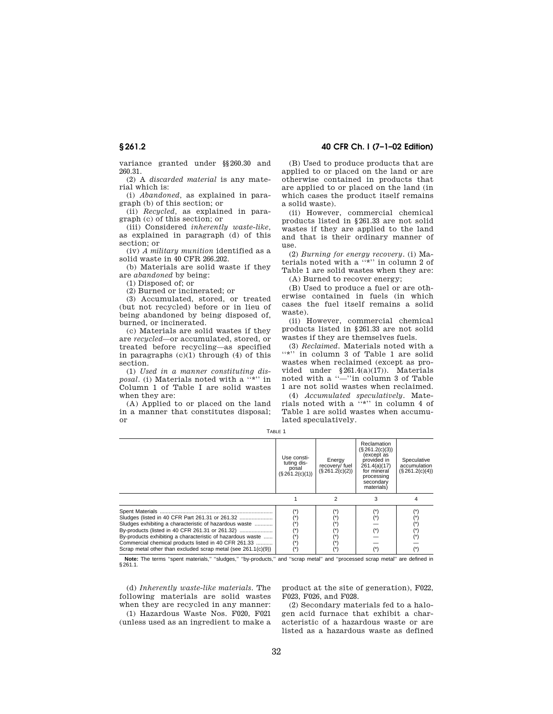variance granted under §§ 260.30 and 260.31.

(2) A *discarded material* is any material which is:

(i) *Abandoned,* as explained in paragraph (b) of this section; or

(ii) *Recycled,* as explained in paragraph (c) of this section; or

(iii) Considered *inherently waste-like,* as explained in paragraph (d) of this section; or

(iv) *A military munition* identified as a solid waste in 40 CFR 266.202.

(b) Materials are solid waste if they are *abandoned* by being:

(1) Disposed of; or

(2) Burned or incinerated; or

(3) Accumulated, stored, or treated (but not recycled) before or in lieu of being abandoned by being disposed of, burned, or incinerated.

(c) Materials are solid wastes if they are *recycled*—or accumulated, stored, or treated before recycling—as specified in paragraphs  $(c)(1)$  through  $(4)$  of this section.

(1) *Used in a manner constituting disposal.* (i) Materials noted with a ''\*'' in Column 1 of Table I are solid wastes when they are:

(A) Applied to or placed on the land in a manner that constitutes disposal; or

**§ 261.2 40 CFR Ch. I (7–1–02 Edition)**

(B) Used to produce products that are applied to or placed on the land or are otherwise contained in products that are applied to or placed on the land (in which cases the product itself remains a solid waste).

(ii) However, commercial chemical products listed in § 261.33 are not solid wastes if they are applied to the land and that is their ordinary manner of use.

(2) *Burning for energy recovery.* (i) Materials noted with a "\*" in column 2 of Table 1 are solid wastes when they are:

(A) Burned to recover energy;

(B) Used to produce a fuel or are otherwise contained in fuels (in which cases the fuel itself remains a solid waste).

(ii) However, commercial chemical products listed in § 261.33 are not solid wastes if they are themselves fuels.

(3) *Reclaimed.* Materials noted with a "\*" in column 3 of Table 1 are solid wastes when reclaimed (except as provided under § 261.4(a)(17)). Materials noted with a ''—''in column 3 of Table 1 are not solid wastes when reclaimed.

(4) *Accumulated speculatively.* Materials noted with a ''\*'' in column 4 of Table 1 are solid wastes when accumulated speculatively.

TABLE 1

|                                                                                                                                                                                                                                                                                                  | Use consti-<br>tuting dis-<br>posal<br>(S.261.2(c)(1)) | Enerav<br>recovery/fuel<br>(S.261.2(c)(2)) | Reclamation<br>(S.261.2(c)(3))<br>(except as<br>provided in<br>261.4(a)(17)<br>for mineral<br>processing<br>secondary<br>materials) | Speculative<br>accumulation<br>(S.261.2(c)(4)) |
|--------------------------------------------------------------------------------------------------------------------------------------------------------------------------------------------------------------------------------------------------------------------------------------------------|--------------------------------------------------------|--------------------------------------------|-------------------------------------------------------------------------------------------------------------------------------------|------------------------------------------------|
|                                                                                                                                                                                                                                                                                                  |                                                        |                                            |                                                                                                                                     |                                                |
| Sludges exhibiting a characteristic of hazardous waste<br>By-products (listed in 40 CFR 261.31 or 261.32)<br>By-products exhibiting a characteristic of hazardous waste<br>Commercial chemical products listed in 40 CFR 261.33<br>Scrap metal other than excluded scrap metal (see 261.1(c)(9)) | (*)                                                    |                                            | /*'                                                                                                                                 | (*)<br>(*)<br>$(\dot{ }^{\ast})$<br>(*)        |

**Note:** The terms ''spent materials,'' ''sludges,'' ''by-products,'' and ''scrap metal'' and ''processed scrap metal'' are defined in § 261.1.

(d) *Inherently waste-like materials.* The following materials are solid wastes when they are recycled in any manner:

(1) Hazardous Waste Nos. F020, F021 (unless used as an ingredient to make a product at the site of generation), F022, F023, F026, and F028.

(2) Secondary materials fed to a halogen acid furnace that exhibit a characteristic of a hazardous waste or are listed as a hazardous waste as defined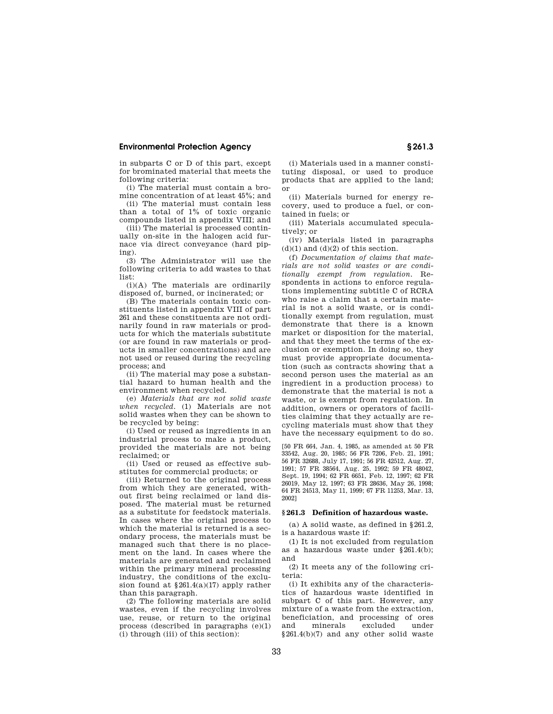in subparts C or D of this part, except for brominated material that meets the following criteria:

(i) The material must contain a bromine concentration of at least 45%; and

(ii) The material must contain less than a total of  $1\%$  of toxic organic compounds listed in appendix VIII; and

(iii) The material is processed continually on-site in the halogen acid furnace via direct conveyance (hard piping).

(3) The Administrator will use the following criteria to add wastes to that list:

(i)(A) The materials are ordinarily disposed of, burned, or incinerated; or

(B) The materials contain toxic constituents listed in appendix VIII of part 261 and these constituents are not ordinarily found in raw materials or products for which the materials substitute (or are found in raw materials or products in smaller concentrations) and are not used or reused during the recycling process; and

(ii) The material may pose a substantial hazard to human health and the environment when recycled.

(e) *Materials that are not solid waste when recycled.* (1) Materials are not solid wastes when they can be shown to be recycled by being:

(i) Used or reused as ingredients in an industrial process to make a product, provided the materials are not being reclaimed; or

(ii) Used or reused as effective substitutes for commercial products; or

(iii) Returned to the original process from which they are generated, without first being reclaimed or land disposed. The material must be returned as a substitute for feedstock materials. In cases where the original process to which the material is returned is a secondary process, the materials must be managed such that there is no placement on the land. In cases where the materials are generated and reclaimed within the primary mineral processing industry, the conditions of the exclusion found at  $\S 261.4(a)(17)$  apply rather than this paragraph.

(2) The following materials are solid wastes, even if the recycling involves use, reuse, or return to the original process (described in paragraphs (e)(1) (i) through (iii) of this section):

(i) Materials used in a manner constituting disposal, or used to produce products that are applied to the land; or

(ii) Materials burned for energy recovery, used to produce a fuel, or contained in fuels; or

(iii) Materials accumulated speculatively; or

(iv) Materials listed in paragraphs  $(d)(1)$  and  $(d)(2)$  of this section.

(f) *Documentation of claims that materials are not solid wastes or are conditionally exempt from regulation.* Respondents in actions to enforce regulations implementing subtitle C of RCRA who raise a claim that a certain material is not a solid waste, or is conditionally exempt from regulation, must demonstrate that there is a known market or disposition for the material, and that they meet the terms of the exclusion or exemption. In doing so, they must provide appropriate documentation (such as contracts showing that a second person uses the material as an ingredient in a production process) to demonstrate that the material is not a waste, or is exempt from regulation. In addition, owners or operators of facilities claiming that they actually are recycling materials must show that they have the necessary equipment to do so.

[50 FR 664, Jan. 4, 1985, as amended at 50 FR 33542, Aug. 20, 1985; 56 FR 7206, Feb. 21, 1991; 56 FR 32688, July 17, 1991; 56 FR 42512, Aug. 27, 1991; 57 FR 38564, Aug. 25, 1992; 59 FR 48042, Sept. 19, 1994; 62 FR 6651, Feb. 12, 1997; 62 FR 26019, May 12, 1997; 63 FR 28636, May 26, 1998; 64 FR 24513, May 11, 1999; 67 FR 11253, Mar. 13, 2002]

#### **§ 261.3 Definition of hazardous waste.**

(a) A solid waste, as defined in § 261.2, is a hazardous waste if:

(1) It is not excluded from regulation as a hazardous waste under § 261.4(b); and

(2) It meets any of the following criteria:

(i) It exhibits any of the characteristics of hazardous waste identified in subpart C of this part. However, any mixture of a waste from the extraction, beneficiation, and processing of ores and minerals excluded under § 261.4(b)(7) and any other solid waste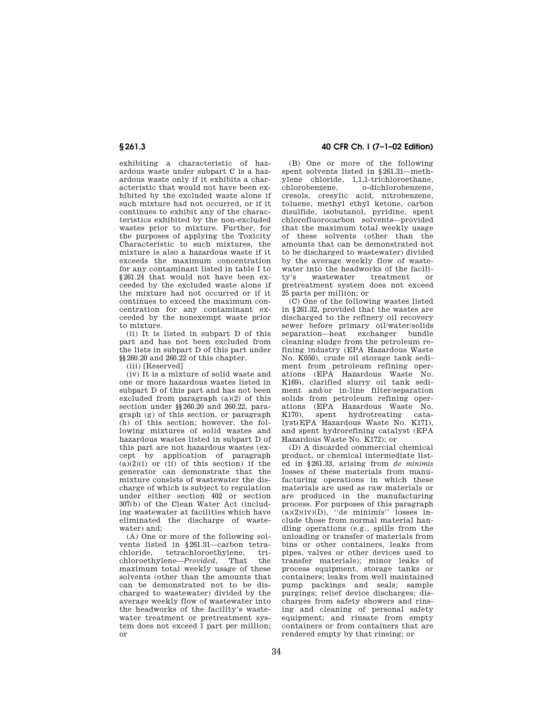exhibiting a characteristic of hazardous waste under subpart C is a hazardous waste only if it exhibits a characteristic that would not have been exhibited by the excluded waste alone if such mixture had not occurred, or if it continues to exhibit any of the characteristics exhibited by the non-excluded wastes prior to mixture. Further, for the purposes of applying the Toxicity Characteristic to such mixtures, the mixture is also a hazardous waste if it exceeds the maximum concentration for any contaminant listed in table I to § 261.24 that would not have been exceeded by the excluded waste alone if the mixture had not occurred or if it continues to exceed the maximum concentration for any contaminant exceeded by the nonexempt waste prior to mixture.

(ii) It is listed in subpart D of this part and has not been excluded from the lists in subpart D of this part under §§ 260.20 and 260.22 of this chapter.

(iii) [Reserved]

(iv) It is a mixture of solid waste and one or more hazardous wastes listed in subpart D of this part and has not been excluded from paragraph  $(a)(2)$  of this section under §§ 260.20 and 260.22, paragraph (g) of this section, or paragraph (h) of this section; however, the following mixtures of solid wastes and hazardous wastes listed in subpart D of this part are not hazardous wastes (except by application of paragraph  $(a)(2)(i)$  or (ii) of this section) if the generator can demonstrate that the mixture consists of wastewater the discharge of which is subject to regulation under either section 402 or section 307(b) of the Clean Water Act (including wastewater at facilities which have eliminated the discharge of wastewater) and:

(A) One or more of the following solvents listed in §261.31—carbon tetra-<br>chloride, tetrachloroethylene, tritetrachloroethylene. chloroethylene—*Provided*, That the maximum total weekly usage of these solvents (other than the amounts that can be demonstrated not to be discharged to wastewater) divided by the average weekly flow of wastewater into the headworks of the facility's wastewater treatment or pretreatment system does not exceed 1 part per million; or

# **§ 261.3 40 CFR Ch. I (7–1–02 Edition)**

(B) One or more of the following spent solvents listed in § 261.31—methylene chloride, 1,1,1-trichloroethane,<br>chlorobenzene, o-dichlorobenzene, o-dichlorobenzene, cresols, cresylic acid, nitrobenzene, toluene, methyl ethyl ketone, carbon disulfide, isobutanol, pyridine, spent chlorofluorocarbon solvents—provided that the maximum total weekly usage of these solvents (other than the amounts that can be demonstrated not to be discharged to wastewater) divided by the average weekly flow of wastewater into the headworks of the facili-<br>ty's wastewater treatment or wastewater treatment or pretreatment system does not exceed 25 parts per million; or

(C) One of the following wastes listed in § 261.32, provided that the wastes are discharged to the refinery oil recovery sewer before primary oil/water/solids separation—heat exchanger bundle cleaning sludge from the petroleum refining industry (EPA Hazardous Waste No. K050), crude oil storage tank sediment from petroleum refining operations (EPA Hazardous Waste No. K169), clarified slurry oil tank sediment and/or in-line filter/separation solids from petroleum refining operations (EPA Hazardous Waste No. K170), spent hydrotreating catalyst(EPA Hazardous Waste No. K171), and spent hydrorefining catalyst (EPA Hazardous Waste No. K172); or

(D) A discarded commercial chemical product, or chemical intermediate listed in § 261.33, arising from *de minimis* losses of these materials from manufacturing operations in which these materials are used as raw materials or are produced in the manufacturing process. For purposes of this paragraph  $(a)(2)(iv)(D)$ , "de minimis" losses include those from normal material handling operations (e.g., spills from the unloading or transfer of materials from bins or other containers, leaks from pipes, valves or other devices used to transfer materials); minor leaks of process equipment, storage tanks or containers; leaks from well maintained pump packings and seals; sample purgings; relief device discharges; discharges from safety showers and rinsing and cleaning of personal safety equipment; and rinsate from empty containers or from containers that are rendered empty by that rinsing; or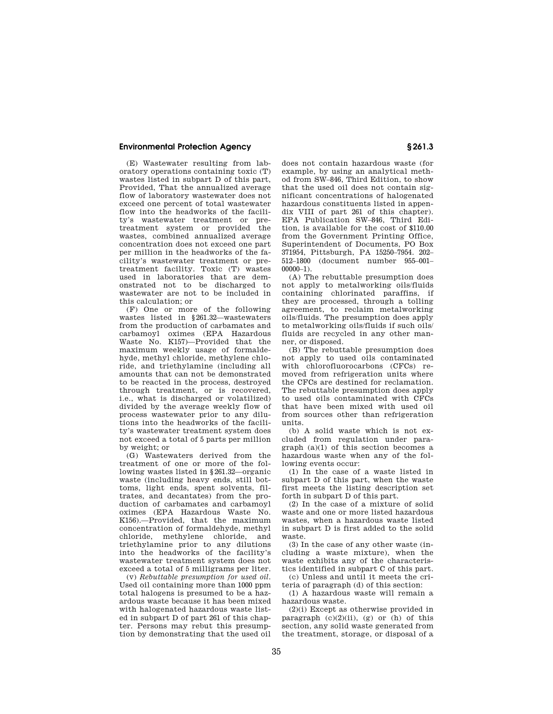(E) Wastewater resulting from laboratory operations containing toxic (T) wastes listed in subpart D of this part, Provided, That the annualized average flow of laboratory wastewater does not exceed one percent of total wastewater flow into the headworks of the facility's wastewater treatment or pretreatment system or provided the wastes, combined annualized average concentration does not exceed one part per million in the headworks of the facility's wastewater treatment or pretreatment facility. Toxic (T) wastes used in laboratories that are demonstrated not to be discharged to wastewater are not to be included in this calculation; or

(F) One or more of the following wastes listed in § 261.32—wastewaters from the production of carbamates and carbamoyl oximes (EPA Hazardous Waste No. K157)—Provided that the maximum weekly usage of formaldehyde, methyl chloride, methylene chloride, and triethylamine (including all amounts that can not be demonstrated to be reacted in the process, destroyed through treatment, or is recovered, i.e., what is discharged or volatilized) divided by the average weekly flow of process wastewater prior to any dilutions into the headworks of the facility's wastewater treatment system does not exceed a total of 5 parts per million by weight; or

(G) Wastewaters derived from the treatment of one or more of the following wastes listed in § 261.32—organic waste (including heavy ends, still bottoms, light ends, spent solvents, filtrates, and decantates) from the production of carbamates and carbamoyl oximes (EPA Hazardous Waste No. K156).—Provided, that the maximum concentration of formaldehyde, methyl chloride, methylene chloride, and triethylamine prior to any dilutions into the headworks of the facility's wastewater treatment system does not exceed a total of 5 milligrams per liter.

(v) *Rebuttable presumption for used oil.* Used oil containing more than 1000 ppm total halogens is presumed to be a hazardous waste because it has been mixed with halogenated hazardous waste listed in subpart D of part 261 of this chapter. Persons may rebut this presumption by demonstrating that the used oil

does not contain hazardous waste (for example, by using an analytical method from SW–846, Third Edition, to show that the used oil does not contain significant concentrations of halogenated hazardous constituents listed in appendix VIII of part 261 of this chapter). EPA Publication SW–846, Third Edition, is available for the cost of \$110.00 from the Government Printing Office, Superintendent of Documents, PO Box 371954, Pittsburgh, PA 15250–7954. 202– 512–1800 (document number 955–001–  $00000-1$ ).

(A) The rebuttable presumption does not apply to metalworking oils/fluids containing chlorinated paraffins, if they are processed, through a tolling agreement, to reclaim metalworking oils/fluids. The presumption does apply to metalworking oils/fluids if such oils/ fluids are recycled in any other manner, or disposed.

(B) The rebuttable presumption does not apply to used oils contaminated with chlorofluorocarbons (CFCs) removed from refrigeration units where the CFCs are destined for reclamation. The rebuttable presumption does apply to used oils contaminated with CFCs that have been mixed with used oil from sources other than refrigeration units.

(b) A solid waste which is not excluded from regulation under paragraph  $(a)(1)$  of this section becomes a hazardous waste when any of the following events occur:

(1) In the case of a waste listed in subpart D of this part, when the waste first meets the listing description set forth in subpart D of this part.

(2) In the case of a mixture of solid waste and one or more listed hazardous wastes, when a hazardous waste listed in subpart D is first added to the solid waste.

(3) In the case of any other waste (including a waste mixture), when the waste exhibits any of the characteristics identified in subpart C of this part.

(c) Unless and until it meets the criteria of paragraph (d) of this section:

(1) A hazardous waste will remain a hazardous waste.

(2)(i) Except as otherwise provided in paragraph  $(c)(2)(ii)$ ,  $(g)$  or  $(h)$  of this section, any solid waste generated from the treatment, storage, or disposal of a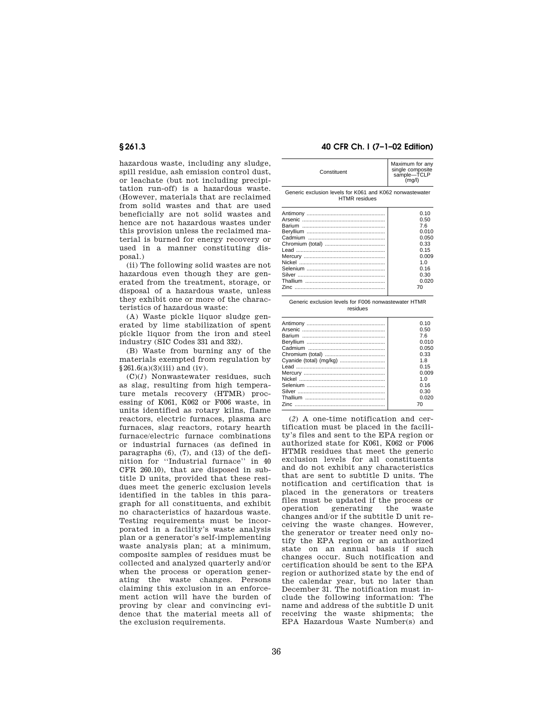hazardous waste, including any sludge, spill residue, ash emission control dust, or leachate (but not including precipitation run-off) is a hazardous waste. (However, materials that are reclaimed from solid wastes and that are used beneficially are not solid wastes and hence are not hazardous wastes under this provision unless the reclaimed material is burned for energy recovery or used in a manner constituting disposal.)

(ii) The following solid wastes are not hazardous even though they are generated from the treatment, storage, or disposal of a hazardous waste, unless they exhibit one or more of the characteristics of hazardous waste:

(A) Waste pickle liquor sludge generated by lime stabilization of spent pickle liquor from the iron and steel industry (SIC Codes 331 and 332).

(B) Waste from burning any of the materials exempted from regulation by  $§261.6(a)(3)(iii)$  and (iv).

(C)(*1*) Nonwastewater residues, such as slag, resulting from high temperature metals recovery (HTMR) processing of K061, K062 or F006 waste, in units identified as rotary kilns, flame reactors, electric furnaces, plasma arc furnaces, slag reactors, rotary hearth furnace/electric furnace combinations or industrial furnaces (as defined in paragraphs (6), (7), and (13) of the definition for ''Industrial furnace'' in 40 CFR 260.10), that are disposed in subtitle D units, provided that these residues meet the generic exclusion levels identified in the tables in this paragraph for all constituents, and exhibit no characteristics of hazardous waste. Testing requirements must be incorporated in a facility's waste analysis plan or a generator's self-implementing waste analysis plan; at a minimum, composite samples of residues must be collected and analyzed quarterly and/or when the process or operation generating the waste changes. Persons claiming this exclusion in an enforcement action will have the burden of proving by clear and convincing evidence that the material meets all of the exclusion requirements.

# **§ 261.3 40 CFR Ch. I (7–1–02 Edition)**

| Constituent                                                                      | Maximum for any<br>single composite<br>sample-TCLP<br>(mq/l) |
|----------------------------------------------------------------------------------|--------------------------------------------------------------|
| Generic exclusion levels for K061 and K062 nonwastewater<br><b>HTMR</b> residues |                                                              |
|                                                                                  | 0.10                                                         |
|                                                                                  | 0.50                                                         |
|                                                                                  | 7.6                                                          |
|                                                                                  | 0.010                                                        |
|                                                                                  | 0.050                                                        |
|                                                                                  | 0.33                                                         |
|                                                                                  | 0.15                                                         |
|                                                                                  | 0.009                                                        |
|                                                                                  | 1.0                                                          |
|                                                                                  |                                                              |
|                                                                                  | 0.16                                                         |
|                                                                                  | 0.30                                                         |
|                                                                                  | 0.020                                                        |
|                                                                                  | 70                                                           |

Generic exclusion levels for F006 nonwastewater HTMR residues

|                         | 0.10           |
|-------------------------|----------------|
|                         | 0.50           |
|                         | 7.6            |
|                         | 0.010          |
|                         | 0.050          |
|                         | 0.33           |
| Cyanide (total) (mg/kg) | 18             |
|                         | 0.15           |
|                         | 0.009          |
|                         | 1 <sub>0</sub> |
|                         | 016            |
|                         | 0.30           |
|                         | 0.020          |
|                         | 70             |
|                         |                |

(*2*) A one-time notification and certification must be placed in the facility's files and sent to the EPA region or authorized state for K061, K062 or F006 HTMR residues that meet the generic exclusion levels for all constituents and do not exhibit any characteristics that are sent to subtitle D units. The notification and certification that is placed in the generators or treaters files must be updated if the process or operation generating the waste changes and/or if the subtitle D unit receiving the waste changes. However, the generator or treater need only notify the EPA region or an authorized state on an annual basis if such changes occur. Such notification and certification should be sent to the EPA region or authorized state by the end of the calendar year, but no later than December 31. The notification must include the following information: The name and address of the subtitle D unit receiving the waste shipments; the EPA Hazardous Waste Number(s) and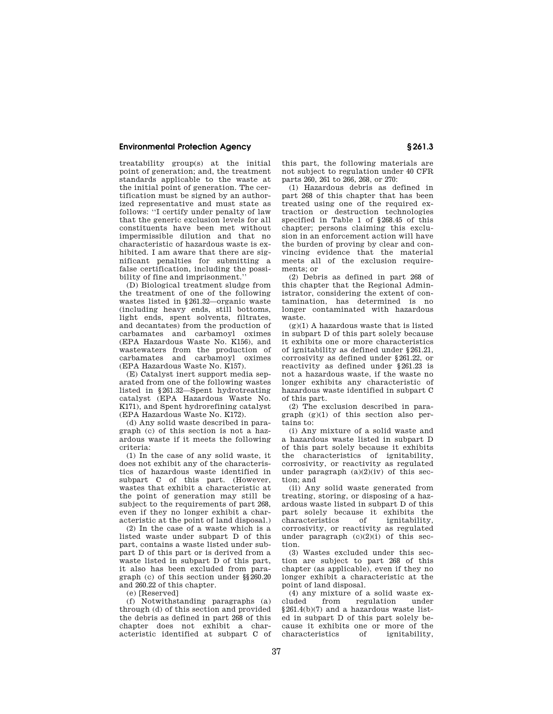treatability group(s) at the initial point of generation; and, the treatment standards applicable to the waste at the initial point of generation. The certification must be signed by an authorized representative and must state as follows: ''I certify under penalty of law that the generic exclusion levels for all constituents have been met without impermissible dilution and that no characteristic of hazardous waste is exhibited. I am aware that there are significant penalties for submitting a false certification, including the possibility of fine and imprisonment.''

(D) Biological treatment sludge from the treatment of one of the following wastes listed in § 261.32—organic waste (including heavy ends, still bottoms, light ends, spent solvents, filtrates, and decantates) from the production of carbamates and carbamoyl oximes (EPA Hazardous Waste No. K156), and wastewaters from the production of carbamates and carbamoyl oximes (EPA Hazardous Waste No. K157).

(E) Catalyst inert support media separated from one of the following wastes listed in § 261.32—Spent hydrotreating catalyst (EPA Hazardous Waste No. K171), and Spent hydrorefining catalyst (EPA Hazardous Waste No. K172).

(d) Any solid waste described in paragraph (c) of this section is not a hazardous waste if it meets the following criteria:

(1) In the case of any solid waste, it does not exhibit any of the characteristics of hazardous waste identified in subpart C of this part. (However, wastes that exhibit a characteristic at the point of generation may still be subject to the requirements of part 268, even if they no longer exhibit a characteristic at the point of land disposal.)

(2) In the case of a waste which is a listed waste under subpart D of this part, contains a waste listed under subpart D of this part or is derived from a waste listed in subpart D of this part, it also has been excluded from paragraph (c) of this section under §§ 260.20 and 260.22 of this chapter.

(e) [Reserved]

(f) Notwithstanding paragraphs (a) through (d) of this section and provided the debris as defined in part 268 of this chapter does not exhibit a characteristic identified at subpart C of this part, the following materials are not subject to regulation under 40 CFR parts 260, 261 to 266, 268, or 270:

(1) Hazardous debris as defined in part 268 of this chapter that has been treated using one of the required extraction or destruction technologies specified in Table 1 of § 268.45 of this chapter; persons claiming this exclusion in an enforcement action will have the burden of proving by clear and convincing evidence that the material meets all of the exclusion requirements; or

(2) Debris as defined in part 268 of this chapter that the Regional Administrator, considering the extent of contamination, has determined is no longer contaminated with hazardous waste.

 $(g)(1)$  A hazardous waste that is listed in subpart D of this part solely because it exhibits one or more characteristics of ignitability as defined under § 261.21, corrosivity as defined under § 261.22, or reactivity as defined under § 261.23 is not a hazardous waste, if the waste no longer exhibits any characteristic of hazardous waste identified in subpart C of this part.

(2) The exclusion described in paragraph  $(g)(1)$  of this section also pertains to:

(i) Any mixture of a solid waste and a hazardous waste listed in subpart D of this part solely because it exhibits the characteristics of ignitability, corrosivity, or reactivity as regulated under paragraph  $(a)(2)(iv)$  of this section; and

(ii) Any solid waste generated from treating, storing, or disposing of a hazardous waste listed in subpart D of this part solely because it exhibits the<br>characteristics of ignitability of ignitability, corrosivity, or reactivity as regulated under paragraph  $(c)(2)(i)$  of this section.

(3) Wastes excluded under this section are subject to part 268 of this chapter (as applicable), even if they no longer exhibit a characteristic at the point of land disposal.

(4) any mixture of a solid waste exfrom regulation under § 261.4(b)(7) and a hazardous waste listed in subpart D of this part solely because it exhibits one or more of the<br>characteristics of ignitability. characteristics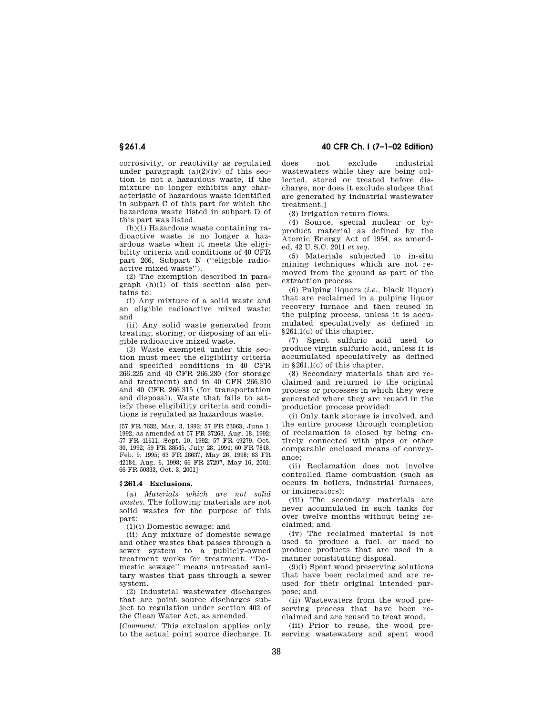corrosivity, or reactivity as regulated under paragraph  $(a)(2)(iv)$  of this section is not a hazardous waste, if the mixture no longer exhibits any characteristic of hazardous waste identified in subpart C of this part for which the hazardous waste listed in subpart D of this part was listed.

 $(h)(1)$  Hazardous waste containing radioactive waste is no longer a hazardous waste when it meets the eligibility criteria and conditions of 40 CFR part 266, Subpart N (''eligible radioactive mixed waste'').

(2) The exemption described in paragraph (h)(1) of this section also pertains to:

(i) Any mixture of a solid waste and an eligible radioactive mixed waste; and

(ii) Any solid waste generated from treating, storing, or disposing of an eligible radioactive mixed waste.

(3) Waste exempted under this section must meet the eligibility criteria and specified conditions in 40 CFR 266.225 and 40 CFR 266.230 (for storage and treatment) and in 40 CFR 266.310 and 40 CFR 266.315 (for transportation and disposal). Waste that fails to satisfy these eligibility criteria and conditions is regulated as hazardous waste.

[57 FR 7632, Mar. 3, 1992; 57 FR 23063, June 1, 1992, as amended at 57 FR 37263, Aug. 18, 1992; 57 FR 41611, Sept. 10, 1992; 57 FR 49279, Oct. 30, 1992; 59 FR 38545, July 28, 1994; 60 FR 7848, Feb. 9, 1995; 63 FR 28637, May 26, 1998; 63 FR 42184, Aug. 6, 1998; 66 FR 27297, May 16, 2001; 66 FR 50333, Oct. 3, 2001]

#### **§ 261.4 Exclusions.**

(a) *Materials which are not solid wastes.* The following materials are not solid wastes for the purpose of this part:

(1)(i) Domestic sewage; and

(ii) Any mixture of domestic sewage and other wastes that passes through a sewer system to a publicly-owned treatment works for treatment. ''Domestic sewage'' means untreated sanitary wastes that pass through a sewer system.

(2) Industrial wastewater discharges that are point source discharges subject to regulation under section 402 of the Clean Water Act, as amended.

[*Comment:* This exclusion applies only to the actual point source discharge. It

# **§ 261.4 40 CFR Ch. I (7–1–02 Edition)**

does not exclude industrial wastewaters while they are being collected, stored or treated before discharge, nor does it exclude sludges that are generated by industrial wastewater treatment.]

(3) Irrigation return flows.

(4) Source, special nuclear or byproduct material as defined by the Atomic Energy Act of 1954, as amended, 42 U.S.C. 2011 *et seq.*

(5) Materials subjected to in-situ mining techniques which are not removed from the ground as part of the extraction process.

(6) Pulping liquors (*i.e.,* black liquor) that are reclaimed in a pulping liquor recovery furnace and then reused in the pulping process, unless it is accumulated speculatively as defined in § 261.1(c) of this chapter.

(7) Spent sulfuric acid used to produce virgin sulfuric acid, unless it is accumulated speculatively as defined in § 261.1(c) of this chapter.

(8) Secondary materials that are reclaimed and returned to the original process or processes in which they were generated where they are reused in the production process provided:

(i) Only tank storage is involved, and the entire process through completion of reclamation is closed by being entirely connected with pipes or other comparable enclosed means of conveyance;

(ii) Reclamation does not involve controlled flame combustion (such as occurs in boilers, industrial furnaces, or incinerators);

(iii) The secondary materials are never accumulated in such tanks for over twelve months without being reclaimed; and

(iv) The reclaimed material is not used to produce a fuel, or used to produce products that are used in a manner constituting disposal.

(9)(i) Spent wood preserving solutions that have been reclaimed and are reused for their original intended purpose; and

(ii) Wastewaters from the wood preserving process that have been reclaimed and are reused to treat wood.

(iii) Prior to reuse, the wood preserving wastewaters and spent wood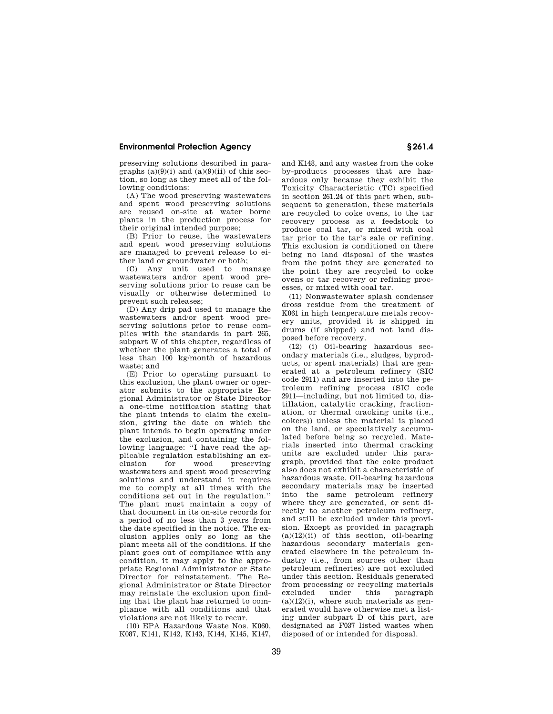preserving solutions described in paragraphs  $(a)(9)(i)$  and  $(a)(9)(ii)$  of this section, so long as they meet all of the following conditions:

(A) The wood preserving wastewaters and spent wood preserving solutions are reused on-site at water borne plants in the production process for their original intended purpose;

(B) Prior to reuse, the wastewaters and spent wood preserving solutions are managed to prevent release to either land or groundwater or both;

(C) Any unit used to manage wastewaters and/or spent wood preserving solutions prior to reuse can be visually or otherwise determined to prevent such releases;

(D) Any drip pad used to manage the wastewaters and/or spent wood preserving solutions prior to reuse complies with the standards in part 265, subpart W of this chapter, regardless of whether the plant generates a total of less than 100 kg/month of hazardous waste; and

(E) Prior to operating pursuant to this exclusion, the plant owner or operator submits to the appropriate Regional Administrator or State Director a one-time notification stating that the plant intends to claim the exclusion, giving the date on which the plant intends to begin operating under the exclusion, and containing the following language: ''I have read the applicable regulation establishing an exclusion for wood preserving wastewaters and spent wood preserving solutions and understand it requires me to comply at all times with the conditions set out in the regulation.'' The plant must maintain a copy of that document in its on-site records for a period of no less than 3 years from the date specified in the notice. The exclusion applies only so long as the plant meets all of the conditions. If the plant goes out of compliance with any condition, it may apply to the appropriate Regional Administrator or State Director for reinstatement. The Regional Administrator or State Director may reinstate the exclusion upon finding that the plant has returned to compliance with all conditions and that violations are not likely to recur.

(10) EPA Hazardous Waste Nos. K060, K087, K141, K142, K143, K144, K145, K147, and K148, and any wastes from the coke by-products processes that are hazardous only because they exhibit the Toxicity Characteristic (TC) specified in section 261.24 of this part when, subsequent to generation, these materials are recycled to coke ovens, to the tar recovery process as a feedstock to produce coal tar, or mixed with coal tar prior to the tar's sale or refining. This exclusion is conditioned on there being no land disposal of the wastes from the point they are generated to the point they are recycled to coke ovens or tar recovery or refining processes, or mixed with coal tar.

(11) Nonwastewater splash condenser dross residue from the treatment of K061 in high temperature metals recovery units, provided it is shipped in drums (if shipped) and not land disposed before recovery.

(12) (i) Oil-bearing hazardous secondary materials (i.e., sludges, byproducts, or spent materials) that are generated at a petroleum refinery (SIC code 2911) and are inserted into the petroleum refining process (SIC code 2911—including, but not limited to, distillation, catalytic cracking, fractionation, or thermal cracking units (i.e., cokers)) unless the material is placed on the land, or speculatively accumulated before being so recycled. Materials inserted into thermal cracking units are excluded under this paragraph, provided that the coke product also does not exhibit a characteristic of hazardous waste. Oil-bearing hazardous secondary materials may be inserted into the same petroleum refinery where they are generated, or sent directly to another petroleum refinery, and still be excluded under this provision. Except as provided in paragraph  $(a)(12)(ii)$  of this section, oil-bearing hazardous secondary materials generated elsewhere in the petroleum industry (i.e., from sources other than petroleum refineries) are not excluded under this section. Residuals generated from processing or recycling materials excluded under this paragraph  $(a)(12)(i)$ , where such materials as generated would have otherwise met a listing under subpart D of this part, are designated as F037 listed wastes when disposed of or intended for disposal.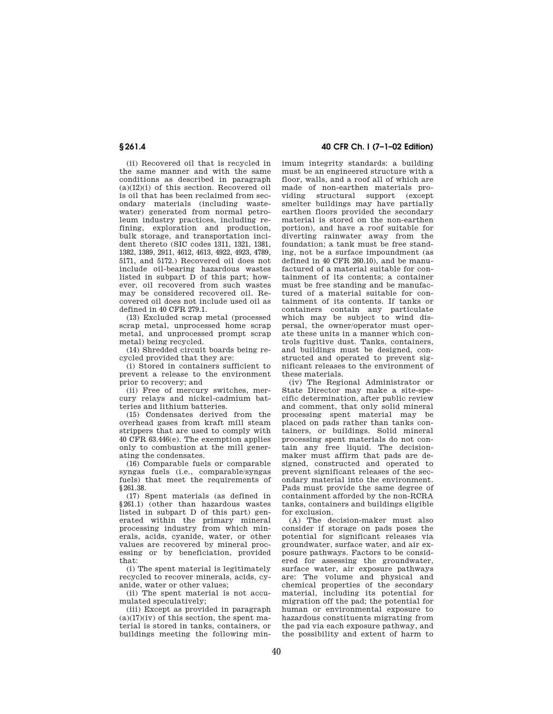(ii) Recovered oil that is recycled in the same manner and with the same conditions as described in paragraph  $(a)(12)(i)$  of this section. Recovered oil is oil that has been reclaimed from secondary materials (including wastewater) generated from normal petroleum industry practices, including refining, exploration and production, bulk storage, and transportation incident thereto (SIC codes 1311, 1321, 1381, 1382, 1389, 2911, 4612, 4613, 4922, 4923, 4789, 5171, and 5172.) Recovered oil does not include oil-bearing hazardous wastes listed in subpart  $\overline{D}$  of this part; however, oil recovered from such wastes may be considered recovered oil. Recovered oil does not include used oil as defined in 40 CFR 279.1.

(13) Excluded scrap metal (processed scrap metal, unprocessed home scrap metal, and unprocessed prompt scrap metal) being recycled.

(14) Shredded circuit boards being recycled provided that they are:

(i) Stored in containers sufficient to prevent a release to the environment prior to recovery; and

(ii) Free of mercury switches, mercury relays and nickel-cadmium batteries and lithium batteries.

(15) Condensates derived from the overhead gases from kraft mill steam strippers that are used to comply with 40 CFR 63.446(e). The exemption applies only to combustion at the mill generating the condensates.

(16) Comparable fuels or comparable syngas fuels (i.e., comparable/syngas fuels) that meet the requirements of § 261.38.

(17) Spent materials (as defined in § 261.1) (other than hazardous wastes listed in subpart D of this part) generated within the primary mineral processing industry from which minerals, acids, cyanide, water, or other values are recovered by mineral processing or by beneficiation, provided that:

(i) The spent material is legitimately recycled to recover minerals, acids, cyanide, water or other values;

(ii) The spent material is not accumulated speculatively;

(iii) Except as provided in paragraph  $(a)(17)(iv)$  of this section, the spent material is stored in tanks, containers, or buildings meeting the following min-

**§ 261.4 40 CFR Ch. I (7–1–02 Edition)**

imum integrity standards: a building must be an engineered structure with a floor, walls, and a roof all of which are made of non-earthen materials providing structural support (except smelter buildings may have partially earthen floors provided the secondary material is stored on the non-earthen portion), and have a roof suitable for diverting rainwater away from the foundation; a tank must be free standing, not be a surface impoundment (as defined in 40 CFR 260.10), and be manufactured of a material suitable for containment of its contents; a container must be free standing and be manufactured of a material suitable for containment of its contents. If tanks or containers contain any particulate which may be subject to wind dispersal, the owner/operator must operate these units in a manner which controls fugitive dust. Tanks, containers, and buildings must be designed, constructed and operated to prevent significant releases to the environment of these materials.

(iv) The Regional Administrator or State Director may make a site-specific determination, after public review and comment, that only solid mineral processing spent material may be placed on pads rather than tanks containers, or buildings. Solid mineral processing spent materials do not contain any free liquid. The decisionmaker must affirm that pads are designed, constructed and operated to prevent significant releases of the secondary material into the environment. Pads must provide the same degree of containment afforded by the non-RCRA tanks, containers and buildings eligible for exclusion.

(A) The decision-maker must also consider if storage on pads poses the potential for significant releases via groundwater, surface water, and air exposure pathways. Factors to be considered for assessing the groundwater, surface water, air exposure pathways are: The volume and physical and chemical properties of the secondary material, including its potential for migration off the pad; the potential for human or environmental exposure to hazardous constituents migrating from the pad via each exposure pathway, and the possibility and extent of harm to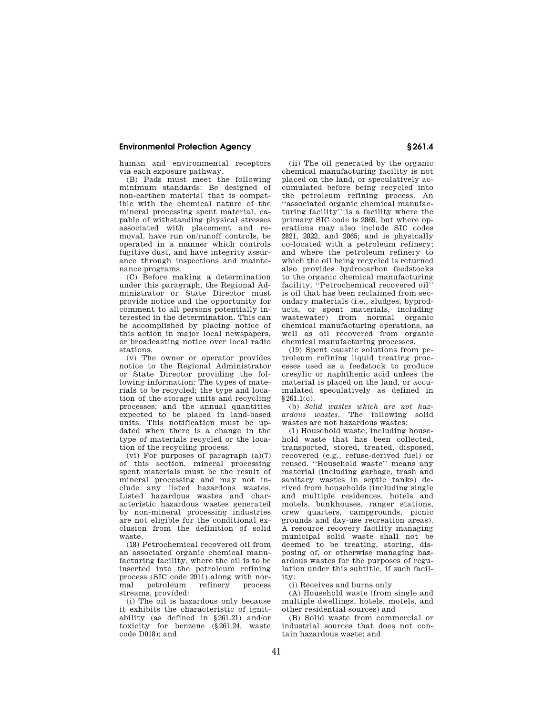human and environmental receptors via each exposure pathway.

(B) Pads must meet the following minimum standards: Be designed of non-earthen material that is compatible with the chemical nature of the mineral processing spent material, capable of withstanding physical stresses associated with placement and removal, have run on/runoff controls, be operated in a manner which controls fugitive dust, and have integrity assurance through inspections and maintenance programs.

(C) Before making a determination under this paragraph, the Regional Administrator or State Director must provide notice and the opportunity for comment to all persons potentially interested in the determination. This can be accomplished by placing notice of this action in major local newspapers, or broadcasting notice over local radio stations.

(v) The owner or operator provides notice to the Regional Administrator or State Director providing the following information: The types of materials to be recycled; the type and location of the storage units and recycling processes; and the annual quantities expected to be placed in land-based units. This notification must be updated when there is a change in the type of materials recycled or the location of the recycling process.

(vi) For purposes of paragraph (a)(7) of this section, mineral processing spent materials must be the result of mineral processing and may not include any listed hazardous wastes. Listed hazardous wastes and characteristic hazardous wastes generated by non-mineral processing industries are not eligible for the conditional exclusion from the definition of solid waste.

(18) Petrochemical recovered oil from an associated organic chemical manufacturing facility, where the oil is to be inserted into the petroleum refining process (SIC code 2911) along with nor-<br>mal petroleum refinery process mal petroleum refinery process streams, provided:

(i) The oil is hazardous only because it exhibits the characteristic of ignitability (as defined in § 261.21) and/or toxicity for benzene (§ 261.24, waste code D018); and

(ii) The oil generated by the organic chemical manufacturing facility is not placed on the land, or speculatively accumulated before being recycled into the petroleum refining process. An ''associated organic chemical manufacturing facility'' is a facility where the primary SIC code is 2869, but where operations may also include SIC codes 2821, 2822, and 2865; and is physically co-located with a petroleum refinery; and where the petroleum refinery to which the oil being recycled is returned also provides hydrocarbon feedstocks to the organic chemical manufacturing facility. ''Petrochemical recovered oil'' is oil that has been reclaimed from secondary materials (i.e., sludges, byproducts, or spent materials, including wastewater) from normal organic chemical manufacturing operations, as well as oil recovered from organic chemical manufacturing processes.

(19) Spent caustic solutions from petroleum refining liquid treating processes used as a feedstock to produce cresylic or naphthenic acid unless the material is placed on the land, or accumulated speculatively as defined in  $$261.1(c)$ .

(b) *Solid wastes which are not hazardous wastes.* The following solid wastes are not hazardous wastes:

(1) Household waste, including household waste that has been collected, transported, stored, treated, disposed, recovered (e.g., refuse-derived fuel) or reused. ''Household waste'' means any material (including garbage, trash and sanitary wastes in septic tanks) derived from households (including single and multiple residences, hotels and motels, bunkhouses, ranger stations, crew quarters, campgrounds, picnic grounds and day-use recreation areas). A resource recovery facility managing municipal solid waste shall not be deemed to be treating, storing, disposing of, or otherwise managing hazardous wastes for the purposes of regulation under this subtitle, if such facility:

(i) Receives and burns only

(A) Household waste (from single and multiple dwellings, hotels, motels, and other residential sources) and

(B) Solid waste from commercial or industrial sources that does not contain hazardous waste; and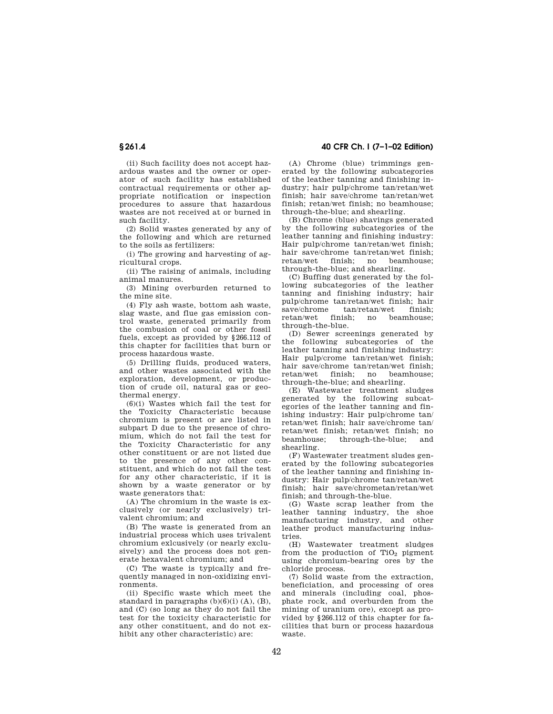(ii) Such facility does not accept hazardous wastes and the owner or operator of such facility has established contractual requirements or other appropriate notification or inspection procedures to assure that hazardous wastes are not received at or burned in such facility.

(2) Solid wastes generated by any of the following and which are returned to the soils as fertilizers:

(i) The growing and harvesting of agricultural crops.

(ii) The raising of animals, including animal manures.

(3) Mining overburden returned to the mine site.

(4) Fly ash waste, bottom ash waste, slag waste, and flue gas emission control waste, generated primarily from the combusion of coal or other fossil fuels, except as provided by § 266.112 of this chapter for facilities that burn or process hazardous waste.

(5) Drilling fluids, produced waters, and other wastes associated with the exploration, development, or production of crude oil, natural gas or geothermal energy.

(6)(i) Wastes which fail the test for the Toxicity Characteristic because chromium is present or are listed in subpart D due to the presence of chromium, which do not fail the test for the Toxicity Characteristic for any other constituent or are not listed due to the presence of any other constituent, and which do not fail the test for any other characteristic, if it is shown by a waste generator or by waste generators that:

(A) The chromium in the waste is exclusively (or nearly exclusively) trivalent chromium; and

(B) The waste is generated from an industrial process which uses trivalent chromium exlcusively (or nearly exclusively) and the process does not generate hexavalent chromium; and

(C) The waste is typically and frequently managed in non-oxidizing environments.

(ii) Specific waste which meet the standard in paragraphs  $(b)(6)(i)$   $(A)$ ,  $(B)$ , and (C) (so long as they do not fail the test for the toxicity characteristic for any other constituent, and do not exhibit any other characteristic) are:

**§ 261.4 40 CFR Ch. I (7–1–02 Edition)**

(A) Chrome (blue) trimmings generated by the following subcategories of the leather tanning and finishing industry; hair pulp/chrome tan/retan/wet finish; hair save/chrome tan/retan/wet finish; retan/wet finish; no beamhouse; through-the-blue; and shearling.

(B) Chrome (blue) shavings generated by the following subcategories of the leather tanning and finishing industry: Hair pulp/chrome tan/retan/wet finish; hair save/chrome tan/retan/wet finish; retan/wet finish; no beamhouse; through-the-blue; and shearling.

(C) Buffing dust generated by the following subcategories of the leather tanning and finishing industry; hair pulp/chrome tan/retan/wet finish; hair tan/retan/wet finish;<br>ish: no heamhouse:  $retan/wet$  finish; through-the-blue.

(D) Sewer screenings generated by the following subcategories of the leather tanning and finishing industry: Hair pulp/crome tan/retan/wet finish; hair save/chrome tan/retan/wet finish; retan/wet finish; no beamhouse; through-the-blue; and shearling.

(E) Wastewater treatment sludges generated by the following subcategories of the leather tanning and finishing industry: Hair pulp/chrome tan/ retan/wet finish; hair save/chrome tan/ retan/wet finish; retan/wet finish; no through-the-blue; and shearling.

(F) Wastewater treatment sludes generated by the following subcategories of the leather tanning and finishing industry: Hair pulp/chrome tan/retan/wet finish; hair save/chrometan/retan/wet finish; and through-the-blue.

(G) Waste scrap leather from the leather tanning industry, the shoe manufacturing industry, and other leather product manufacturing industries.

(H) Wastewater treatment sludges from the production of  $TiO<sub>2</sub>$  pigment using chromium-bearing ores by the chloride process.

(7) Solid waste from the extraction, beneficiation, and processing of ores and minerals (including coal, phosphate rock, and overburden from the mining of uranium ore), except as provided by § 266.112 of this chapter for facilities that burn or process hazardous waste.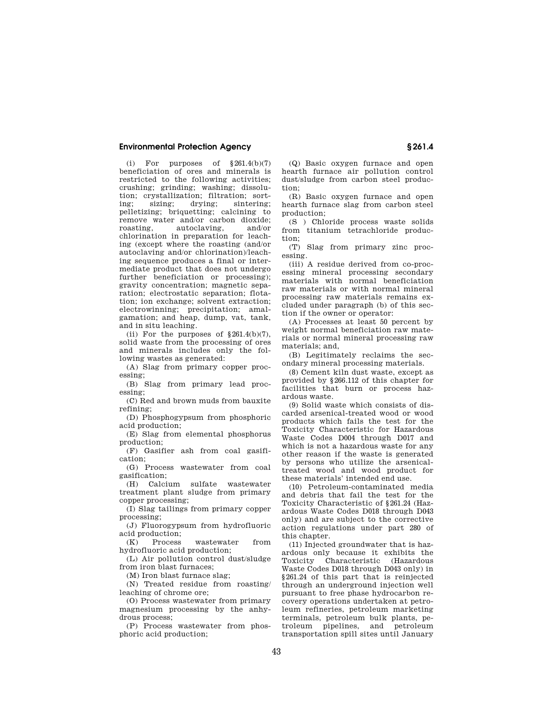(i) For purposes of  $\S 261.4(b)(7)$ beneficiation of ores and minerals is restricted to the following activities; crushing; grinding; washing; dissolution; crystallization; filtration; sorting; sizing; drying; sintering; pelletizing; briquetting; calcining to remove water and/or carbon dioxide; roasting, autoclaving, and/or chlorination in preparation for leaching (except where the roasting (and/or autoclaving and/or chlorination)/leaching sequence produces a final or intermediate product that does not undergo further beneficiation or processing); gravity concentration; magnetic separation; electrostatic separation; flotation; ion exchange; solvent extraction; electrowinning; precipitation; amalgamation; and heap, dump, vat, tank, and in situ leaching.

(ii) For the purposes of  $§261.4(b)(7)$ , solid waste from the processing of ores and minerals includes only the following wastes as generated:

(A) Slag from primary copper processing;

(B) Slag from primary lead processing;

(C) Red and brown muds from bauxite refining;

(D) Phosphogypsum from phosphoric acid production;

(E) Slag from elemental phosphorus production;

(F) Gasifier ash from coal gasification;

(G) Process wastewater from coal gasification;

(H) Calcium sulfate wastewater treatment plant sludge from primary copper processing;

(I) Slag tailings from primary copper processing;

(J) Fluorogypsum from hydrofluoric acid production;

(K) Process wastewater from hydrofluoric acid production;

(L) Air pollution control dust/sludge from iron blast furnaces;

(M) Iron blast furnace slag;

(N) Treated residue from roasting/ leaching of chrome ore;

(O) Process wastewater from primary magnesium processing by the anhydrous process;

(P) Process wastewater from phosphoric acid production;

(Q) Basic oxygen furnace and open hearth furnace air pollution control dust/sludge from carbon steel production;

(R) Basic oxygen furnace and open hearth furnace slag from carbon steel production;

(S ) Chloride process waste solids from titanium tetrachloride production;

(T) Slag from primary zinc processing.

(iii) A residue derived from co-processing mineral processing secondary materials with normal beneficiation raw materials or with normal mineral processing raw materials remains excluded under paragraph (b) of this section if the owner or operator:

(A) Processes at least 50 percent by weight normal beneficiation raw materials or normal mineral processing raw materials; and,

(B) Legitimately reclaims the secondary mineral processing materials.

(8) Cement kiln dust waste, except as provided by § 266.112 of this chapter for facilities that burn or process hazardous waste.

(9) Solid waste which consists of discarded arsenical-treated wood or wood products which fails the test for the Toxicity Characteristic for Hazardous Waste Codes D004 through D017 and which is not a hazardous waste for any other reason if the waste is generated by persons who utilize the arsenicaltreated wood and wood product for these materials' intended end use.

(10) Petroleum-contaminated media and debris that fail the test for the Toxicity Characteristic of § 261.24 (Hazardous Waste Codes D018 through D043 only) and are subject to the corrective action regulations under part 280 of this chapter.

(11) Injected groundwater that is hazardous only because it exhibits the Toxicity Characteristic (Hazardous Waste Codes D018 through D043 only) in § 261.24 of this part that is reinjected through an underground injection well pursuant to free phase hydrocarbon recovery operations undertaken at petroleum refineries, petroleum marketing terminals, petroleum bulk plants, petroleum pipelines, and petroleum transportation spill sites until January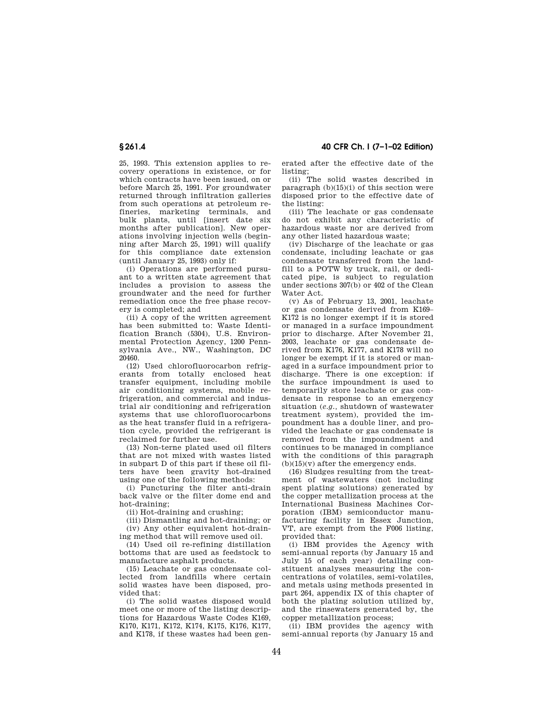# **§ 261.4 40 CFR Ch. I (7–1–02 Edition)**

25, 1993. This extension applies to recovery operations in existence, or for which contracts have been issued, on or before March 25, 1991. For groundwater returned through infiltration galleries from such operations at petroleum refineries, marketing terminals, and bulk plants, until [insert date six months after publication]. New operations involving injection wells (beginning after March 25, 1991) will qualify for this compliance date extension (until January 25, 1993) only if:

(i) Operations are performed pursuant to a written state agreement that includes a provision to assess the groundwater and the need for further remediation once the free phase recovery is completed; and

(ii) A copy of the written agreement has been submitted to: Waste Identification Branch (5304), U.S. Environmental Protection Agency, 1200 Pennsylvania Ave., NW., Washington, DC 20460.

(12) Used chlorofluorocarbon refrigerants from totally enclosed heat transfer equipment, including mobile air conditioning systems, mobile refrigeration, and commercial and industrial air conditioning and refrigeration systems that use chlorofluorocarbons as the heat transfer fluid in a refrigeration cycle, provided the refrigerant is reclaimed for further use.

(13) Non-terne plated used oil filters that are not mixed with wastes listed in subpart D of this part if these oil filters have been gravity hot-drained using one of the following methods:

(i) Puncturing the filter anti-drain back valve or the filter dome end and hot-draining;

(ii) Hot-draining and crushing;

(iii) Dismantling and hot-draining; or (iv) Any other equivalent hot-draining method that will remove used oil.

(14) Used oil re-refining distillation bottoms that are used as feedstock to manufacture asphalt products.

(15) Leachate or gas condensate collected from landfills where certain solid wastes have been disposed, provided that:

(i) The solid wastes disposed would meet one or more of the listing descriptions for Hazardous Waste Codes K169, K170, K171, K172, K174, K175, K176, K177, and K178, if these wastes had been generated after the effective date of the listing;

(ii) The solid wastes described in paragraph  $(b)(15)(i)$  of this section were disposed prior to the effective date of the listing:

(iii) The leachate or gas condensate do not exhibit any characteristic of hazardous waste nor are derived from any other listed hazardous waste;

(iv) Discharge of the leachate or gas condensate, including leachate or gas condensate transferred from the landfill to a POTW by truck, rail, or dedicated pipe, is subject to regulation under sections 307(b) or 402 of the Clean Water Act.

(v) As of February 13, 2001, leachate or gas condensate derived from K169– K172 is no longer exempt if it is stored or managed in a surface impoundment prior to discharge. After November 21, 2003, leachate or gas condensate derived from K176, K177, and K178 will no longer be exempt if it is stored or managed in a surface impoundment prior to discharge. There is one exception: if the surface impoundment is used to temporarily store leachate or gas condensate in response to an emergency situation (*e.g.,* shutdown of wastewater treatment system), provided the impoundment has a double liner, and provided the leachate or gas condensate is removed from the impoundment and continues to be managed in compliance with the conditions of this paragraph  $(b)(15)(v)$  after the emergency ends.

(16) Sludges resulting from the treatment of wastewaters (not including spent plating solutions) generated by the copper metallization process at the International Business Machines Corporation (IBM) semiconductor manufacturing facility in Essex Junction, VT, are exempt from the F006 listing, provided that:

(i) IBM provides the Agency with semi-annual reports (by January 15 and July 15 of each year) detailing constituent analyses measuring the concentrations of volatiles, semi-volatiles, and metals using methods presented in part 264, appendix IX of this chapter of both the plating solution utilized by, and the rinsewaters generated by, the copper metallization process;

(ii) IBM provides the agency with semi-annual reports (by January 15 and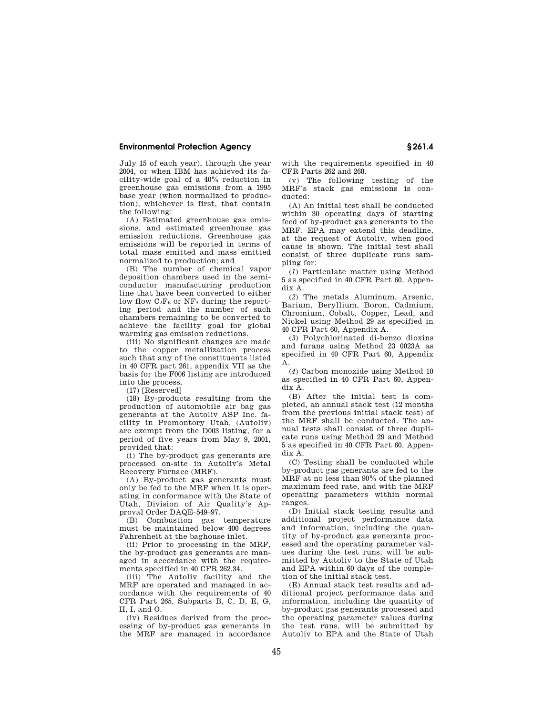July 15 of each year), through the year 2004, or when IBM has achieved its facility-wide goal of a 40% reduction in greenhouse gas emissions from a 1995 base year (when normalized to production), whichever is first, that contain the following:

(A) Estimated greenhouse gas emissions, and estimated greenhouse gas emission reductions. Greenhouse gas emissions will be reported in terms of total mass emitted and mass emitted normalized to production; and

(B) The number of chemical vapor deposition chambers used in the semiconductor manufacturing production line that have been converted to either low flow  $C_2F_6$  or  $NF_3$  during the reporting period and the number of such chambers remaining to be converted to achieve the facility goal for global warming gas emission reductions.

(iii) No significant changes are made to the copper metallization process such that any of the constituents listed in 40 CFR part 261, appendix VII as the basis for the F006 listing are introduced into the process.

(17) [Reserved]

(18) By-products resulting from the production of automobile air bag gas generants at the Autoliv ASP Inc. facility in Promontory Utah, (Autoliv) are exempt from the D003 listing, for a period of five years from May 9, 2001, provided that:

(i) The by-product gas generants are processed on-site in Autoliv's Metal Recovery Furnace (MRF).

(A) By-product gas generants must only be fed to the MRF when it is operating in conformance with the State of Utah, Division of Air Quality's Approval Order DAQE–549–97.

(B) Combustion gas temperature must be maintained below 400 degrees Fahrenheit at the baghouse inlet.

(ii) Prior to processing in the MRF, the by-product gas generants are managed in accordance with the requirements specified in 40 CFR 262.34.

(iii) The Autoliv facility and the MRF are operated and managed in accordance with the requirements of 40 CFR Part 265, Subparts B, C, D, E, G, H, I, and O.

(iv) Residues derived from the processing of by-product gas generants in the MRF are managed in accordance with the requirements specified in 40 CFR Parts 262 and 268.

(v) The following testing of the MRF's stack gas emissions is conducted:

(A) An initial test shall be conducted within 30 operating days of starting feed of by-product gas generants to the MRF. EPA may extend this deadline, at the request of Autoliv, when good cause is shown. The initial test shall consist of three duplicate runs sampling for:

(*1*) Particulate matter using Method 5 as specified in 40 CFR Part 60, Appendix A.

(*2*) The metals Aluminum, Arsenic, Barium, Beryllium, Boron, Cadmium, Chromium, Cobalt, Copper, Lead, and Nickel using Method 29 as specified in 40 CFR Part 60, Appendix A.

(*3*) Polychlorinated di-benzo dioxins and furans using Method 23 0023A as specified in 40 CFR Part 60, Appendix A.

(*4*) Carbon monoxide using Method 10 as specified in 40 CFR Part 60, Appendix A.

(B) After the initial test is completed, an annual stack test (12 months from the previous initial stack test) of the MRF shall be conducted. The annual tests shall consist of three duplicate runs using Method 29 and Method 5 as specified in 40 CFR Part 60, Appendix A.

(C) Testing shall be conducted while by-product gas generants are fed to the MRF at no less than 90% of the planned maximum feed rate, and with the MRF operating parameters within normal ranges.

(D) Initial stack testing results and additional project performance data and information, including the quantity of by-product gas generants processed and the operating parameter values during the test runs, will be submitted by Autoliv to the State of Utah and EPA within 60 days of the completion of the initial stack test.

(E) Annual stack test results and additional project performance data and information, including the quantity of by-product gas generants processed and the operating parameter values during the test runs, will be submitted by Autoliv to EPA and the State of Utah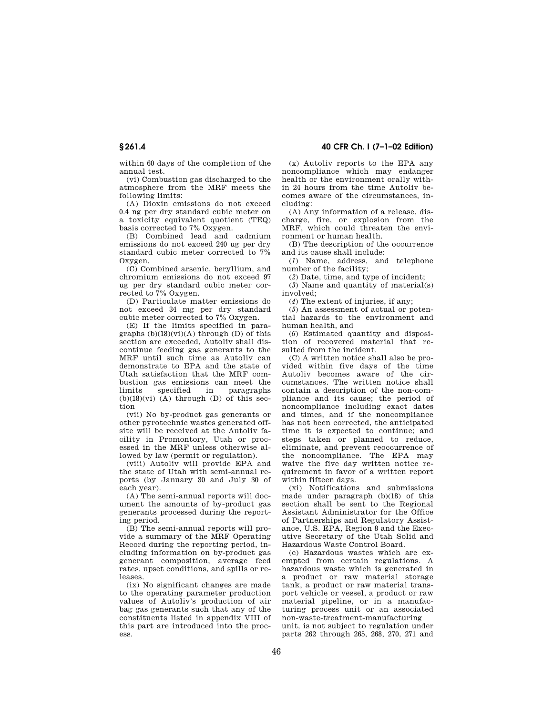within 60 days of the completion of the annual test.

(vi) Combustion gas discharged to the atmosphere from the MRF meets the following limits:

(A) Dioxin emissions do not exceed 0.4 ng per dry standard cubic meter on a toxicity equivalent quotient (TEQ) basis corrected to 7% Oxygen.

(B) Combined lead and cadmium emissions do not exceed 240 ug per dry standard cubic meter corrected to 7% Oxygen.

(C) Combined arsenic, beryllium, and chromium emissions do not exceed 97 ug per dry standard cubic meter corrected to 7% Oxygen.

(D) Particulate matter emissions do not exceed 34 mg per dry standard cubic meter corrected to 7% Oxygen.

(E) If the limits specified in paragraphs  $(b)(18)(vi)(A)$  through  $(D)$  of this section are exceeded, Autoliv shall discontinue feeding gas generants to the MRF until such time as Autoliv can demonstrate to EPA and the state of Utah satisfaction that the MRF combustion gas emissions can meet the specified in paragraphs  $(b)(18)(vi)$  (A) through (D) of this section

(vii) No by-product gas generants or other pyrotechnic wastes generated offsite will be received at the Autoliv facility in Promontory, Utah or processed in the MRF unless otherwise allowed by law (permit or regulation).

(viii) Autoliv will provide EPA and the state of Utah with semi-annual reports (by January 30 and July 30 of each year).

(A) The semi-annual reports will document the amounts of by-product gas generants processed during the reporting period.

(B) The semi-annual reports will provide a summary of the MRF Operating Record during the reporting period, including information on by-product gas generant composition, average feed rates, upset conditions, and spills or releases.

(ix) No significant changes are made to the operating parameter production values of Autoliv's production of air bag gas generants such that any of the constituents listed in appendix VIII of this part are introduced into the process.

(x) Autoliv reports to the EPA any noncompliance which may endanger health or the environment orally within 24 hours from the time Autoliv becomes aware of the circumstances, including:

(A) Any information of a release, discharge, fire, or explosion from the MRF, which could threaten the environment or human health.

(B) The description of the occurrence and its cause shall include:

(*1*) Name, address, and telephone number of the facility;

(*2*) Date, time, and type of incident;

(*3*) Name and quantity of material(s) involved;

(*4*) The extent of injuries, if any;

(*5*) An assessment of actual or potential hazards to the environment and human health, and

(*6*) Estimated quantity and disposition of recovered material that resulted from the incident.

(C) A written notice shall also be provided within five days of the time Autoliv becomes aware of the circumstances. The written notice shall contain a description of the non-compliance and its cause; the period of noncompliance including exact dates and times, and if the noncompliance has not been corrected, the anticipated time it is expected to continue; and steps taken or planned to reduce, eliminate, and prevent reoccurrence of the noncompliance. The EPA may waive the five day written notice requirement in favor of a written report within fifteen days.

(xi) Notifications and submissions made under paragraph (b)(18) of this section shall be sent to the Regional Assistant Administrator for the Office of Partnerships and Regulatory Assistance, U.S. EPA, Region 8 and the Executive Secretary of the Utah Solid and Hazardous Waste Control Board.

(c) Hazardous wastes which are exempted from certain regulations. A hazardous waste which is generated in a product or raw material storage tank, a product or raw material transport vehicle or vessel, a product or raw material pipeline, or in a manufacturing process unit or an associated non-waste-treatment-manufacturing unit, is not subject to regulation under parts 262 through 265, 268, 270, 271 and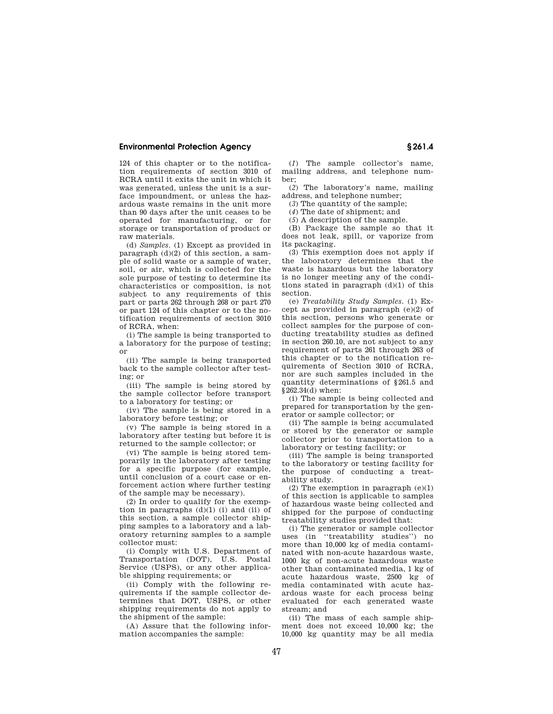124 of this chapter or to the notification requirements of section 3010 of RCRA until it exits the unit in which it was generated, unless the unit is a surface impoundment, or unless the hazardous waste remains in the unit more than 90 days after the unit ceases to be operated for manufacturing, or for storage or transportation of product or raw materials.

(d) *Samples.* (1) Except as provided in paragraph (d)(2) of this section, a sample of solid waste or a sample of water, soil, or air, which is collected for the sole purpose of testing to determine its characteristics or composition, is not subject to any requirements of this part or parts 262 through 268 or part 270 or part 124 of this chapter or to the notification requirements of section 3010 of RCRA, when:

(i) The sample is being transported to a laboratory for the purpose of testing; or

(ii) The sample is being transported back to the sample collector after testing; or

(iii) The sample is being stored by the sample collector before transport to a laboratory for testing; or

(iv) The sample is being stored in a laboratory before testing; or

(v) The sample is being stored in a laboratory after testing but before it is returned to the sample collector; or

(vi) The sample is being stored temporarily in the laboratory after testing for a specific purpose (for example, until conclusion of a court case or enforcement action where further testing of the sample may be necessary).

(2) In order to qualify for the exemption in paragraphs  $(d)(1)$  (i) and (ii) of this section, a sample collector shipping samples to a laboratory and a laboratory returning samples to a sample collector must:

(i) Comply with U.S. Department of Transportation (DOT), U.S. Postal Service (USPS), or any other applicable shipping requirements; or

(ii) Comply with the following requirements if the sample collector determines that DOT, USPS, or other shipping requirements do not apply to the shipment of the sample:

(A) Assure that the following information accompanies the sample:

(*1*) The sample collector's name, mailing address, and telephone number;

(*2*) The laboratory's name, mailing address, and telephone number;

(*3*) The quantity of the sample;

(*4*) The date of shipment; and

(*5*) A description of the sample.

(B) Package the sample so that it does not leak, spill, or vaporize from its packaging.

(3) This exemption does not apply if the laboratory determines that the waste is hazardous but the laboratory is no longer meeting any of the conditions stated in paragraph (d)(1) of this section.

(e) *Treatability Study Samples.* (1) Except as provided in paragraph (e)(2) of this section, persons who generate or collect samples for the purpose of conducting treatability studies as defined in section 260.10, are not subject to any requirement of parts 261 through 263 of this chapter or to the notification requirements of Section 3010 of RCRA, nor are such samples included in the quantity determinations of § 261.5 and § 262.34(d) when:

(i) The sample is being collected and prepared for transportation by the generator or sample collector; or

(ii) The sample is being accumulated or stored by the generator or sample collector prior to transportation to a laboratory or testing facility; or

(iii) The sample is being transported to the laboratory or testing facility for the purpose of conducting a treatability study.

(2) The exemption in paragraph  $(e)(1)$ of this section is applicable to samples of hazardous waste being collected and shipped for the purpose of conducting treatability studies provided that:

(i) The generator or sample collector uses (in ''treatability studies'') no more than 10,000 kg of media contaminated with non-acute hazardous waste, 1000 kg of non-acute hazardous waste other than contaminated media, 1 kg of acute hazardous waste, 2500 kg of media contaminated with acute hazardous waste for each process being evaluated for each generated waste stream; and

(ii) The mass of each sample shipment does not exceed 10,000 kg; the 10,000 kg quantity may be all media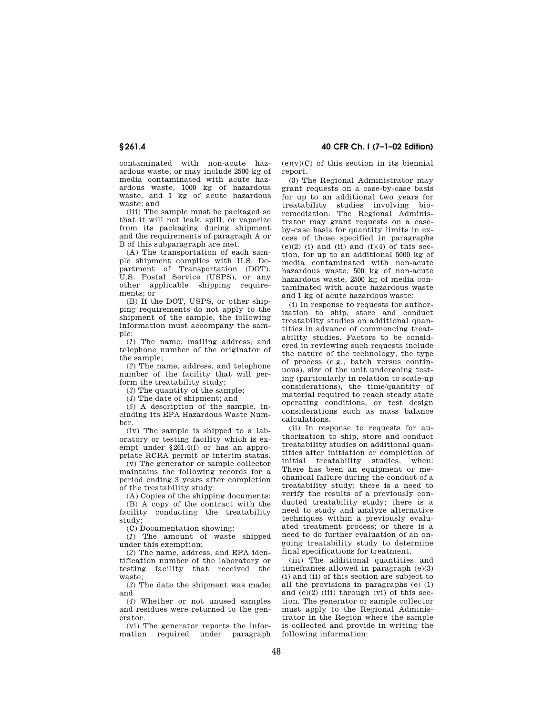contaminated with non-acute hazardous waste, or may include 2500 kg of media contaminated with acute hazardous waste, 1000 kg of hazardous waste, and 1 kg of acute hazardous waste; and

(iii) The sample must be packaged so that it will not leak, spill, or vaporize from its packaging during shipment and the requirements of paragraph A or B of this subparagraph are met.

(A) The transportation of each sample shipment complies with U.S. Department of Transportation (DOT), U.S. Postal Service (USPS), or any other applicable shipping requirements; or

(B) If the DOT, USPS, or other shipping requirements do not apply to the shipment of the sample, the following information must accompany the sample:

(*1*) The name, mailing address, and telephone number of the originator of the sample;

(*2*) The name, address, and telephone number of the facility that will perform the treatability study;

(*3*) The quantity of the sample;

(*4*) The date of shipment; and

(*5*) A description of the sample, including its EPA Hazardous Waste Number.

(iv) The sample is shipped to a laboratory or testing facility which is exempt under § 261.4(f) or has an appropriate RCRA permit or interim status.

(v) The generator or sample collector maintains the following records for a period ending 3 years after completion of the treatability study:

(A) Copies of the shipping documents;

(B) A copy of the contract with the facility conducting the treatability study;

(C) Documentation showing:

(*1*) The amount of waste shipped under this exemption;

(*2*) The name, address, and EPA identification number of the laboratory or testing facility that received the waste;

(*3*) The date the shipment was made; and

(*4*) Whether or not unused samples and residues were returned to the generator.

(vi) The generator reports the information required under paragraph

 $(e)(v)(C)$  of this section in its biennial report.

(3) The Regional Administrator may grant requests on a case-by-case basis for up to an additional two years for treatability studies involving bioremediation. The Regional Administrator may grant requests on a caseby-case basis for quantity limits in excess of those specified in paragraphs  $(e)(2)$  (i) and (ii) and (f)(4) of this section, for up to an additional 5000 kg of media contaminated with non-acute hazardous waste, 500 kg of non-acute hazardous waste, 2500 kg of media contaminated with acute hazardous waste and 1 kg of acute hazardous waste:

(i) In response to requests for authorization to ship, store and conduct treatabilty studies on additional quantities in advance of commencing treatability studies. Factors to be considered in reviewing such requests include the nature of the technology, the type of process (e.g., batch versus continuous), size of the unit undergoing testing (particularly in relation to scale-up considerations), the time/quantity of material required to reach steady state operating conditions, or test design considerations such as mass balance calculations.

(ii) In response to requests for authorization to ship, store and conduct treatability studies on additional quantities after initiation or completion of initial treatability studies, when: There has been an equipment or mechanical failure during the conduct of a treatability study; there is a need to verify the results of a previously conducted treatability study; there is a need to study and analyze alternative techniques within a previously evaluated treatment process; or there is a need to do further evaluation of an ongoing treatability study to determine final specifications for treatment.

(iii) The additional quantities and timeframes allowed in paragraph (e)(3) (i) and (ii) of this section are subject to all the provisions in paragraphs (e) (1) and  $(e)(2)$  (iii) through (vi) of this section. The generator or sample collector must apply to the Regional Administrator in the Region where the sample is collected and provide in writing the following information: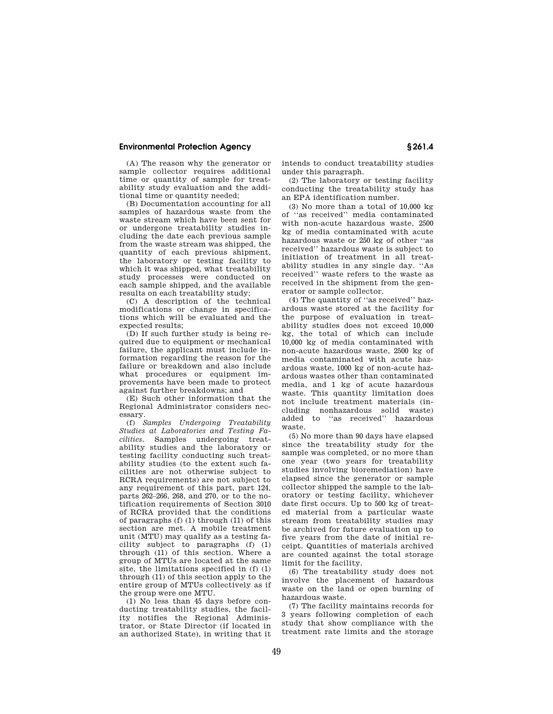(A) The reason why the generator or sample collector requires additional time or quantity of sample for treatability study evaluation and the additional time or quantity needed;

(B) Documentation accounting for all samples of hazardous waste from the waste stream which have been sent for or undergone treatability studies including the date each previous sample from the waste stream was shipped, the quantity of each previous shipment, the laboratory or testing facility to which it was shipped, what treatability study processes were conducted on each sample shipped, and the available results on each treatability study;

(C) A description of the technical modifications or change in specifications which will be evaluated and the expected results;

(D) If such further study is being required due to equipment or mechanical failure, the applicant must include information regarding the reason for the failure or breakdown and also include what procedures or equipment improvements have been made to protect against further breakdowns; and

(E) Such other information that the Regional Administrator considers necessary.

(f) *Samples Undergoing Treatability Studies at Laboratories and Testing Facilities.* Samples undergoing treatability studies and the laboratory or testing facility conducting such treatability studies (to the extent such facilities are not otherwise subject to RCRA requirements) are not subject to any requirement of this part, part 124, parts 262–266, 268, and 270, or to the notification requirements of Section 3010 of RCRA provided that the conditions of paragraphs (f) (1) through (11) of this section are met. A mobile treatment unit (MTU) may qualify as a testing facility subject to paragraphs (f) (1) through (11) of this section. Where a group of MTUs are located at the same site, the limitations specified in (f) (1) through (11) of this section apply to the entire group of MTUs collectively as if the group were one MTU.

(1) No less than 45 days before conducting treatability studies, the facility notifies the Regional Administrator, or State Director (if located in an authorized State), in writing that it intends to conduct treatability studies under this paragraph.

(2) The laboratory or testing facility conducting the treatability study has an EPA identification number.

(3) No more than a total of 10,000 kg of ''as received'' media contaminated with non-acute hazardous waste, 2500 kg of media contaminated with acute hazardous waste or 250 kg of other ''as received'' hazardous waste is subject to initiation of treatment in all treatability studies in any single day. ''As received'' waste refers to the waste as received in the shipment from the generator or sample collector.

(4) The quantity of ''as received'' hazardous waste stored at the facility for the purpose of evaluation in treatability studies does not exceed 10,000 kg, the total of which can include 10,000 kg of media contaminated with non-acute hazardous waste, 2500 kg of media contaminated with acute hazardous waste, 1000 kg of non-acute hazardous wastes other than contaminated media, and 1 kg of acute hazardous waste. This quantity limitation does not include treatment materials (including nonhazardous solid waste) added to ''as received'' hazardous waste.

(5) No more than 90 days have elapsed since the treatability study for the sample was completed, or no more than one year (two years for treatability studies involving bioremediation) have elapsed since the generator or sample collector shipped the sample to the laboratory or testing facility, whichever date first occurs. Up to 500 kg of treated material from a particular waste stream from treatability studies may be archived for future evaluation up to five years from the date of initial receipt. Quantities of materials archived are counted against the total storage limit for the facility.

(6) The treatability study does not involve the placement of hazardous waste on the land or open burning of hazardous waste.

(7) The facility maintains records for 3 years following completion of each study that show compliance with the treatment rate limits and the storage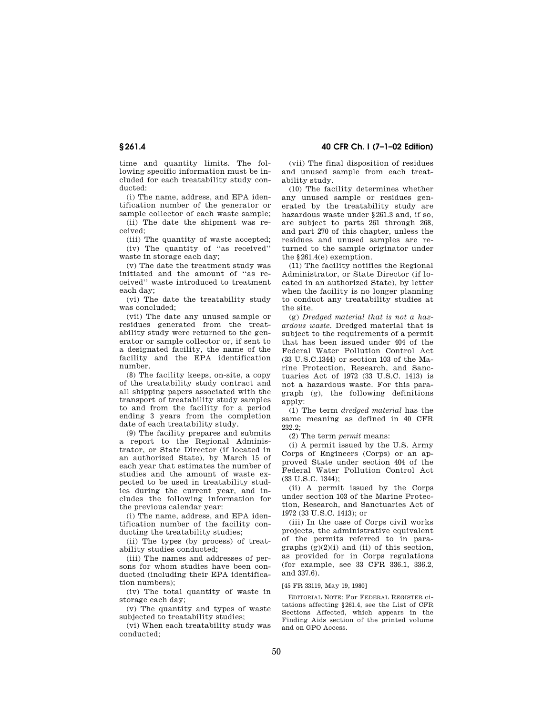time and quantity limits. The following specific information must be included for each treatability study conducted:

(i) The name, address, and EPA identification number of the generator or

sample collector of each waste sample; (ii) The date the shipment was received;

(iii) The quantity of waste accepted; (iv) The quantity of ''as received'' waste in storage each day;

(v) The date the treatment study was initiated and the amount of ''as received'' waste introduced to treatment each day;

(vi) The date the treatability study was concluded;

(vii) The date any unused sample or residues generated from the treatability study were returned to the generator or sample collector or, if sent to a designated facility, the name of the facility and the EPA identification number.

(8) The facility keeps, on-site, a copy of the treatability study contract and all shipping papers associated with the transport of treatability study samples to and from the facility for a period ending 3 years from the completion date of each treatability study.

(9) The facility prepares and submits a report to the Regional Administrator, or State Director (if located in an authorized State), by March 15 of each year that estimates the number of studies and the amount of waste expected to be used in treatability studies during the current year, and includes the following information for the previous calendar year:

(i) The name, address, and EPA identification number of the facility conducting the treatability studies;

(ii) The types (by process) of treatability studies conducted;

(iii) The names and addresses of persons for whom studies have been conducted (including their EPA identification numbers);

(iv) The total quantity of waste in storage each day;

(v) The quantity and types of waste subjected to treatability studies;

(vi) When each treatability study was conducted;

(vii) The final disposition of residues and unused sample from each treatability study.

(10) The facility determines whether any unused sample or residues generated by the treatability study are hazardous waste under § 261.3 and, if so, are subject to parts 261 through 268, and part 270 of this chapter, unless the residues and unused samples are returned to the sample originator under the § 261.4(e) exemption.

(11) The facility notifies the Regional Administrator, or State Director (if located in an authorized State), by letter when the facility is no longer planning to conduct any treatability studies at the site.

(g) *Dredged material that is not a hazardous waste.* Dredged material that is subject to the requirements of a permit that has been issued under 404 of the Federal Water Pollution Control Act (33 U.S.C.1344) or section 103 of the Marine Protection, Research, and Sanctuaries Act of 1972 (33 U.S.C. 1413) is not a hazardous waste. For this paragraph (g), the following definitions apply:

(1) The term *dredged material* has the same meaning as defined in 40 CFR 232.2;

(2) The term *permit* means:

(i) A permit issued by the U.S. Army Corps of Engineers (Corps) or an approved State under section 404 of the Federal Water Pollution Control Act (33 U.S.C. 1344);

(ii) A permit issued by the Corps under section 103 of the Marine Protection, Research, and Sanctuaries Act of 1972 (33 U.S.C. 1413); or

(iii) In the case of Corps civil works projects, the administrative equivalent of the permits referred to in paragraphs  $(g)(2)(i)$  and  $(ii)$  of this section, as provided for in Corps regulations (for example, see 33 CFR 336.1, 336.2, and 337.6).

#### [45 FR 33119, May 19, 1980]

EDITORIAL NOTE: For FEDERAL REGISTER citations affecting § 261.4, see the List of CFR Sections Affected, which appears in the Finding Aids section of the printed volume and on GPO Access.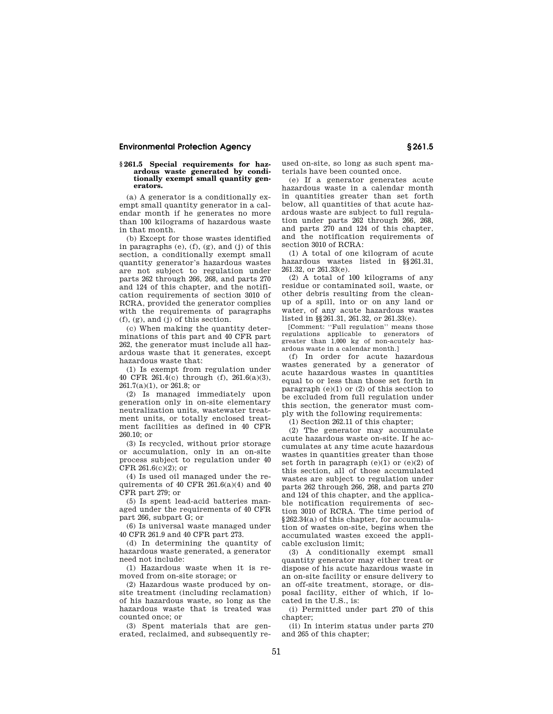#### **§ 261.5 Special requirements for hazardous waste generated by conditionally exempt small quantity generators.**

(a) A generator is a conditionally exempt small quantity generator in a calendar month if he generates no more than 100 kilograms of hazardous waste in that month.

(b) Except for those wastes identified in paragraphs (e), (f), (g), and (j) of this section, a conditionally exempt small quantity generator's hazardous wastes are not subject to regulation under parts 262 through 266, 268, and parts 270 and 124 of this chapter, and the notification requirements of section 3010 of RCRA, provided the generator complies with the requirements of paragraphs (f), (g), and (j) of this section.

(c) When making the quantity determinations of this part and 40 CFR part 262, the generator must include all hazardous waste that it generates, except hazardous waste that:

(1) Is exempt from regulation under 40 CFR 261.4(c) through (f), 261.6(a)(3), 261.7(a)(1), or 261.8; or

(2) Is managed immediately upon generation only in on-site elementary neutralization units, wastewater treatment units, or totally enclosed treatment facilities as defined in 40 CFR 260.10; or

(3) Is recycled, without prior storage or accumulation, only in an on-site process subject to regulation under 40 CFR  $261.6(c)(2)$ ; or

(4) Is used oil managed under the requirements of  $40$  CFR  $261.6(a)(4)$  and  $40$ CFR part 279; or

(5) Is spent lead-acid batteries managed under the requirements of 40 CFR part 266, subpart G; or

(6) Is universal waste managed under 40 CFR 261.9 and 40 CFR part 273.

(d) In determining the quantity of hazardous waste generated, a generator need not include:

(1) Hazardous waste when it is removed from on-site storage; or

(2) Hazardous waste produced by onsite treatment (including reclamation) of his hazardous waste, so long as the hazardous waste that is treated was counted once; or

(3) Spent materials that are generated, reclaimed, and subsequently reused on-site, so long as such spent materials have been counted once.

(e) If a generator generates acute hazardous waste in a calendar month in quantities greater than set forth below, all quantities of that acute hazardous waste are subject to full regulation under parts 262 through 266, 268, and parts 270 and 124 of this chapter, and the notification requirements of section 3010 of RCRA:

(1) A total of one kilogram of acute hazardous wastes listed in §§ 261.31, 261.32, or 261.33(e).

(2) A total of 100 kilograms of any residue or contaminated soil, waste, or other debris resulting from the cleanup of a spill, into or on any land or water, of any acute hazardous wastes listed in §§ 261.31, 261.32, or 261.33(e).

[Comment: ''Full regulation'' means those regulations applicable to generators of greater than 1,000 kg of non-acutely hazardous waste in a calendar month.]

(f) In order for acute hazardous wastes generated by a generator of acute hazardous wastes in quantities equal to or less than those set forth in paragraph  $(e)(1)$  or  $(2)$  of this section to be excluded from full regulation under this section, the generator must comply with the following requirements:

(1) Section 262.11 of this chapter;

(2) The generator may accumulate acute hazardous waste on-site. If he accumulates at any time acute hazardous wastes in quantities greater than those set forth in paragraph  $(e)(1)$  or  $(e)(2)$  of this section, all of those accumulated wastes are subject to regulation under parts 262 through 266, 268, and parts 270 and 124 of this chapter, and the applicable notification requirements of section 3010 of RCRA. The time period of § 262.34(a) of this chapter, for accumulation of wastes on-site, begins when the accumulated wastes exceed the applicable exclusion limit;

(3) A conditionally exempt small quantity generator may either treat or dispose of his acute hazardous waste in an on-site facility or ensure delivery to an off-site treatment, storage, or disposal facility, either of which, if located in the U.S., is:

(i) Permitted under part 270 of this chapter:

(ii) In interim status under parts 270 and 265 of this chapter;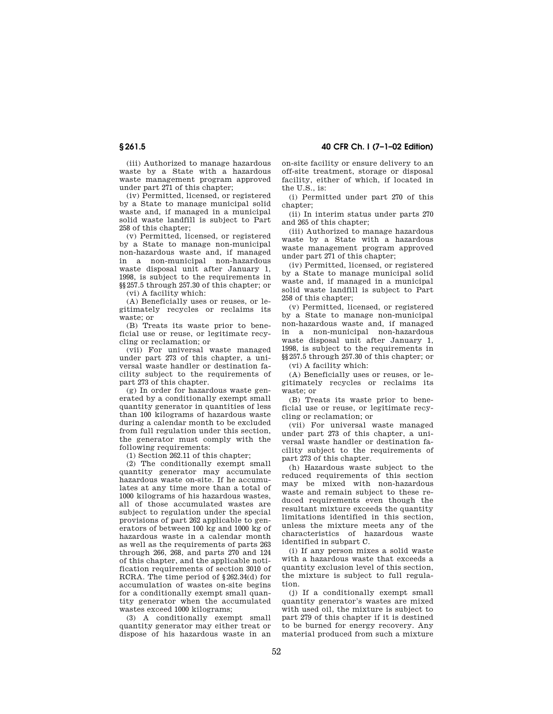(iii) Authorized to manage hazardous waste by a State with a hazardous waste management program approved under part 271 of this chapter;

(iv) Permitted, licensed, or registered by a State to manage municipal solid waste and, if managed in a municipal solid waste landfill is subject to Part 258 of this chapter;

(v) Permitted, licensed, or registered by a State to manage non-municipal non-hazardous waste and, if managed in a non-municipal non-hazardous waste disposal unit after January 1, 1998, is subject to the requirements in §§ 257.5 through 257.30 of this chapter; or

(vi) A facility which:

(A) Beneficially uses or reuses, or legitimately recycles or reclaims its waste; or

(B) Treats its waste prior to beneficial use or reuse, or legitimate recycling or reclamation; or

(vii) For universal waste managed under part 273 of this chapter, a universal waste handler or destination facility subject to the requirements of part 273 of this chapter.

(g) In order for hazardous waste generated by a conditionally exempt small quantity generator in quantities of less than 100 kilograms of hazardous waste during a calendar month to be excluded from full regulation under this section, the generator must comply with the following requirements:

 $(1)$  Section 262.11 of this chapter;

(2) The conditionally exempt small quantity generator may accumulate hazardous waste on-site. If he accumulates at any time more than a total of 1000 kilograms of his hazardous wastes, all of those accumulated wastes are subject to regulation under the special provisions of part 262 applicable to generators of between 100 kg and 1000 kg of hazardous waste in a calendar month as well as the requirements of parts 263 through 266, 268, and parts 270 and 124 of this chapter, and the applicable notification requirements of section 3010 of RCRA. The time period of § 262.34(d) for accumulation of wastes on-site begins for a conditionally exempt small quantity generator when the accumulated wastes exceed 1000 kilograms;

(3) A conditionally exempt small quantity generator may either treat or dispose of his hazardous waste in an

**§ 261.5 40 CFR Ch. I (7–1–02 Edition)**

on-site facility or ensure delivery to an off-site treatment, storage or disposal facility, either of which, if located in the U.S., is:

(i) Permitted under part 270 of this chapter;

(ii) In interim status under parts 270 and 265 of this chapter;

(iii) Authorized to manage hazardous waste by a State with a hazardous waste management program approved under part 271 of this chapter;

(iv) Permitted, licensed, or registered by a State to manage municipal solid waste and, if managed in a municipal solid waste landfill is subject to Part 258 of this chapter;

(v) Permitted, licensed, or registered by a State to manage non-municipal non-hazardous waste and, if managed in a non-municipal non-hazardous waste disposal unit after January 1, 1998, is subject to the requirements in §§ 257.5 through 257.30 of this chapter; or

(vi) A facility which:

(A) Beneficially uses or reuses, or legitimately recycles or reclaims its waste; or

(B) Treats its waste prior to beneficial use or reuse, or legitimate recycling or reclamation; or

(vii) For universal waste managed under part 273 of this chapter, a universal waste handler or destination facility subject to the requirements of part 273 of this chapter.

(h) Hazardous waste subject to the reduced requirements of this section may be mixed with non-hazardous waste and remain subject to these reduced requirements even though the resultant mixture exceeds the quantity limitations identified in this section, unless the mixture meets any of the characteristics of hazardous waste identified in subpart C.

(i) If any person mixes a solid waste with a hazardous waste that exceeds a quantity exclusion level of this section, the mixture is subject to full regulation.

(j) If a conditionally exempt small quantity generator's wastes are mixed with used oil, the mixture is subject to part 279 of this chapter if it is destined to be burned for energy recovery. Any material produced from such a mixture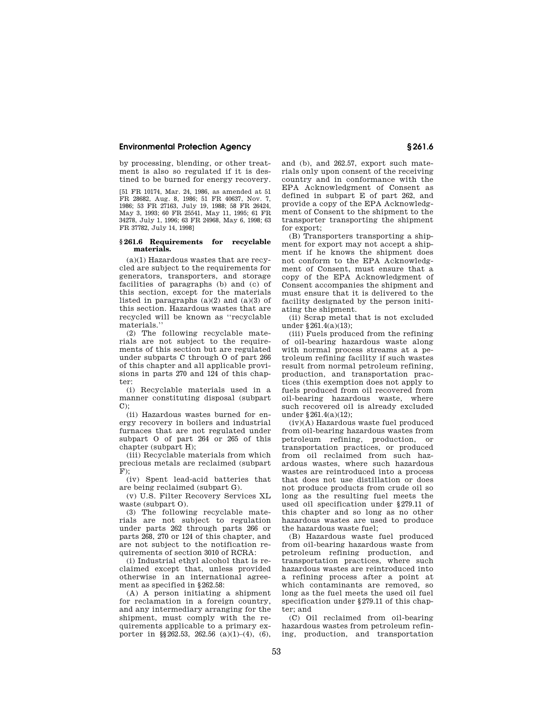by processing, blending, or other treatment is also so regulated if it is destined to be burned for energy recovery.

[51 FR 10174, Mar. 24, 1986, as amended at 51 FR 28682, Aug. 8, 1986; 51 FR 40637, Nov. 7, 1986; 53 FR 27163, July 19, 1988; 58 FR 26424, May 3, 1993; 60 FR 25541, May 11, 1995; 61 FR 34278, July 1, 1996; 63 FR 24968, May 6, 1998; 63 FR 37782, July 14, 1998]

#### **§ 261.6 Requirements for recyclable materials.**

(a)(1) Hazardous wastes that are recycled are subject to the requirements for generators, transporters, and storage facilities of paragraphs (b) and (c) of this section, except for the materials listed in paragraphs (a)(2) and (a)(3) of this section. Hazardous wastes that are recycled will be known as ''recyclable materials.''

(2) The following recyclable materials are not subject to the requirements of this section but are regulated under subparts C through O of part 266 of this chapter and all applicable provisions in parts 270 and 124 of this chapter:

(i) Recyclable materials used in a manner constituting disposal (subpart  $C$ :

(ii) Hazardous wastes burned for energy recovery in boilers and industrial furnaces that are not regulated under subpart O of part 264 or 265 of this chapter (subpart H);

(iii) Recyclable materials from which precious metals are reclaimed (subpart F);

(iv) Spent lead-acid batteries that are being reclaimed (subpart G).

(v) U.S. Filter Recovery Services XL waste (subpart O).

(3) The following recyclable materials are not subject to regulation under parts 262 through parts 266 or parts 268, 270 or 124 of this chapter, and are not subject to the notification requirements of section 3010 of RCRA:

(i) Industrial ethyl alcohol that is reclaimed except that, unless provided otherwise in an international agreement as specified in § 262.58:

(A) A person initiating a shipment for reclamation in a foreign country, and any intermediary arranging for the shipment, must comply with the requirements applicable to a primary exporter in §§ 262.53, 262.56  $(a)(1)$ – $(4)$ ,  $(6)$ ,

and (b), and 262.57, export such materials only upon consent of the receiving country and in conformance with the EPA Acknowledgment of Consent as defined in subpart E of part 262, and provide a copy of the EPA Acknowledgment of Consent to the shipment to the transporter transporting the shipment for export;

(B) Transporters transporting a shipment for export may not accept a shipment if he knows the shipment does not conform to the EPA Acknowledgment of Consent, must ensure that a copy of the EPA Acknowledgment of Consent accompanies the shipment and must ensure that it is delivered to the facility designated by the person initiating the shipment.

(ii) Scrap metal that is not excluded under § 261.4(a)(13);

(iii) Fuels produced from the refining of oil-bearing hazardous waste along with normal process streams at a petroleum refining facility if such wastes result from normal petroleum refining, production, and transportation practices (this exemption does not apply to fuels produced from oil recovered from oil-bearing hazardous waste, where such recovered oil is already excluded under § 261.4(a)(12);

(iv)(A) Hazardous waste fuel produced from oil-bearing hazardous wastes from petroleum refining, production, or transportation practices, or produced from oil reclaimed from such hazardous wastes, where such hazardous wastes are reintroduced into a process that does not use distillation or does not produce products from crude oil so long as the resulting fuel meets the used oil specification under § 279.11 of this chapter and so long as no other hazardous wastes are used to produce the hazardous waste fuel;

(B) Hazardous waste fuel produced from oil-bearing hazardous waste from petroleum refining production, and transportation practices, where such hazardous wastes are reintroduced into a refining process after a point at which contaminants are removed, so long as the fuel meets the used oil fuel specification under § 279.11 of this chapter; and

(C) Oil reclaimed from oil-bearing hazardous wastes from petroleum refining, production, and transportation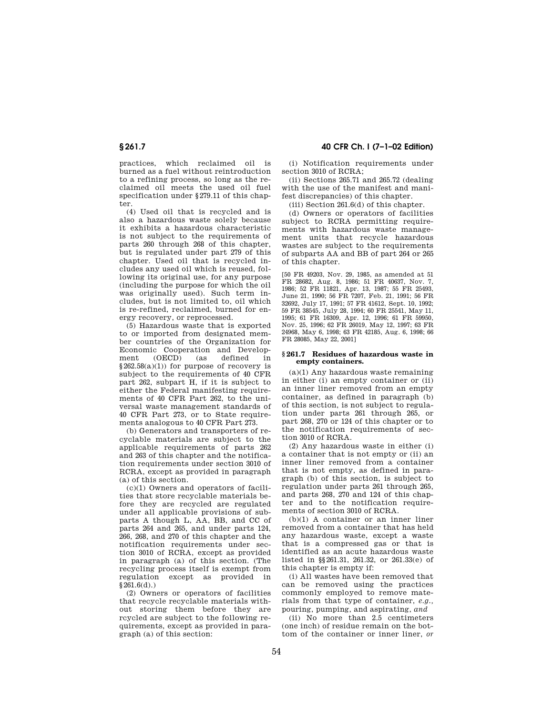practices, which reclaimed oil is burned as a fuel without reintroduction to a refining process, so long as the reclaimed oil meets the used oil fuel specification under § 279.11 of this chap $tan$ 

(4) Used oil that is recycled and is also a hazardous waste solely because it exhibits a hazardous characteristic is not subject to the requirements of parts 260 through 268 of this chapter, but is regulated under part 279 of this chapter. Used oil that is recycled includes any used oil which is reused, following its original use, for any purpose (including the purpose for which the oil was originally used). Such term includes, but is not limited to, oil which is re-refined, reclaimed, burned for energy recovery, or reprocessed.

(5) Hazardous waste that is exported to or imported from designated member countries of the Organization for Economic Cooperation and Develop-<br>ment (OECD) (as defined in ment (OECD) (as defined in  $§262.58(a)(1)$  for purpose of recovery is subject to the requirements of 40 CFR part 262, subpart H, if it is subject to either the Federal manifesting requirements of 40 CFR Part 262, to the universal waste management standards of 40 CFR Part 273, or to State requirements analogous to 40 CFR Part 273.

(b) Generators and transporters of recyclable materials are subject to the applicable requirements of parts 262 and 263 of this chapter and the notification requirements under section 3010 of RCRA, except as provided in paragraph (a) of this section.

(c)(1) Owners and operators of facilities that store recyclable materials before they are recycled are regulated under all applicable provisions of subparts A though L, AA, BB, and CC of parts 264 and 265, and under parts 124, 266, 268, and 270 of this chapter and the notification requirements under section 3010 of RCRA, except as provided in paragraph (a) of this section. (The recycling process itself is exempt from regulation except as provided in § 261.6(d).)

(2) Owners or operators of facilities that recycle recyclable materials without storing them before they are rcycled are subject to the following requirements, except as provided in paragraph (a) of this section:

**§ 261.7 40 CFR Ch. I (7–1–02 Edition)**

(i) Notification requirements under section 3010 of RCRA;

(ii) Sections 265.71 and 265.72 (dealing with the use of the manifest and manifest discrepancies) of this chapter.

(iii) Section 261.6(d) of this chapter.

(d) Owners or operators of facilities subject to RCRA permitting requirements with hazardous waste management units that recycle hazardous wastes are subject to the requirements of subparts AA and BB of part 264 or 265 of this chapter.

[50 FR 49203, Nov. 29, 1985, as amended at 51 FR 28682, Aug. 8, 1986; 51 FR 40637, Nov. 7, 1986; 52 FR 11821, Apr. 13, 1987; 55 FR 25493, June 21, 1990; 56 FR 7207, Feb. 21, 1991; 56 FR 32692, July 17, 1991; 57 FR 41612, Sept. 10, 1992; 59 FR 38545, July 28, 1994; 60 FR 25541, May 11, 1995; 61 FR 16309, Apr. 12, 1996; 61 FR 59950, Nov. 25, 1996; 62 FR 26019, May 12, 1997; 63 FR 24968, May 6, 1998; 63 FR 42185, Aug. 6, 1998; 66 FR 28085, May 22, 2001]

#### **§ 261.7 Residues of hazardous waste in empty containers.**

(a)(1) Any hazardous waste remaining in either (i) an empty container or (ii) an inner liner removed from an empty container, as defined in paragraph (b) of this section, is not subject to regulation under parts 261 through 265, or part 268, 270 or 124 of this chapter or to the notification requirements of section 3010 of RCRA.

(2) Any hazardous waste in either (i) a container that is not empty or (ii) an inner liner removed from a container that is not empty, as defined in paragraph (b) of this section, is subject to regulation under parts 261 through 265, and parts 268, 270 and 124 of this chapter and to the notification requirements of section 3010 of RCRA.

(b)(1) A container or an inner liner removed from a container that has held any hazardous waste, except a waste that is a compressed gas or that is identified as an acute hazardous waste listed in §§ 261.31, 261.32, or 261.33(e) of this chapter is empty if:

(i) All wastes have been removed that can be removed using the practices commonly employed to remove materials from that type of container, *e.g.,* pouring, pumping, and aspirating, *and*

(ii) No more than 2.5 centimeters (one inch) of residue remain on the bottom of the container or inner liner, *or*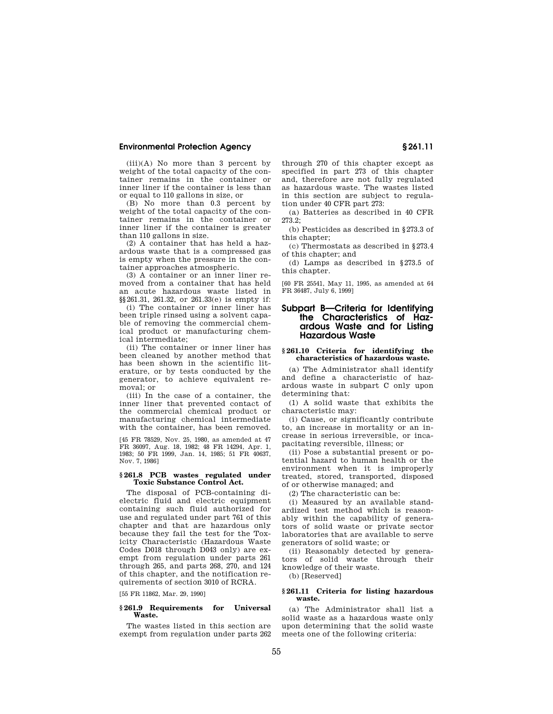$(iii)(A)$  No more than 3 percent by weight of the total capacity of the container remains in the container or inner liner if the container is less than or equal to 110 gallons in size, or

(B) No more than 0.3 percent by weight of the total capacity of the container remains in the container or inner liner if the container is greater than 110 gallons in size.

(2) A container that has held a hazardous waste that is a compressed gas is empty when the pressure in the container approaches atmospheric.

(3) A container or an inner liner removed from a container that has held an acute hazardous waste listed in §§ 261.31, 261.32, or 261.33(e) is empty if:

(i) The container or inner liner has been triple rinsed using a solvent capable of removing the commercial chemical product or manufacturing chemical intermediate;

(ii) The container or inner liner has been cleaned by another method that has been shown in the scientific literature, or by tests conducted by the generator, to achieve equivalent removal; or

(iii) In the case of a container, the inner liner that prevented contact of the commercial chemical product or manufacturing chemical intermediate with the container, has been removed.

[45 FR 78529, Nov. 25, 1980, as amended at 47 FR 36097, Aug. 18, 1982; 48 FR 14294, Apr. 1, 1983; 50 FR 1999, Jan. 14, 1985; 51 FR 40637, Nov. 7, 1986]

#### **§ 261.8 PCB wastes regulated under Toxic Substance Control Act.**

The disposal of PCB-containing dielectric fluid and electric equipment containing such fluid authorized for use and regulated under part 761 of this chapter and that are hazardous only because they fail the test for the Toxicity Characteristic (Hazardous Waste Codes D018 through D043 only) are exempt from regulation under parts 261 through 265, and parts 268, 270, and 124 of this chapter, and the notification requirements of section 3010 of RCRA.

[55 FR 11862, Mar. 29, 1990]

# **§ 261.9 Requirements for Universal Waste.**

The wastes listed in this section are exempt from regulation under parts 262

through 270 of this chapter except as specified in part 273 of this chapter and, therefore are not fully regulated as hazardous waste. The wastes listed in this section are subject to regulation under 40 CFR part 273:

(a) Batteries as described in 40 CFR 273.2;

(b) Pesticides as described in § 273.3 of this chapter;

(c) Thermostats as described in § 273.4 of this chapter; and

(d) Lamps as described in § 273.5 of this chapter.

[60 FR 25541, May 11, 1995, as amended at 64 FR 36487, July 6, 1999]

# **Subpart B—Criteria for Identifying the Characteristics of Hazardous Waste and for Listing Hazardous Waste**

#### **§ 261.10 Criteria for identifying the characteristics of hazardous waste.**

(a) The Administrator shall identify and define a characteristic of hazardous waste in subpart C only upon determining that:

(1) A solid waste that exhibits the characteristic may:

(i) Cause, or significantly contribute to, an increase in mortality or an increase in serious irreversible, or incapacitating reversible, illness; or

(ii) Pose a substantial present or potential hazard to human health or the environment when it is improperly treated, stored, transported, disposed of or otherwise managed; and

(2) The characteristic can be:

(i) Measured by an available standardized test method which is reasonably within the capability of generators of solid waste or private sector laboratories that are available to serve generators of solid waste; or

(ii) Reasonably detected by generators of solid waste through their knowledge of their waste.

(b) [Reserved]

### **§ 261.11 Criteria for listing hazardous waste.**

(a) The Administrator shall list a solid waste as a hazardous waste only upon determining that the solid waste meets one of the following criteria: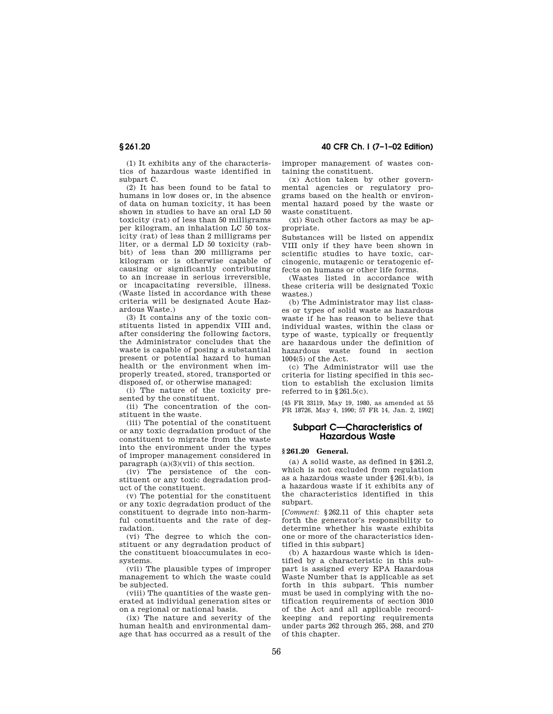(1) It exhibits any of the characteristics of hazardous waste identified in subpart C.

(2) It has been found to be fatal to humans in low doses or, in the absence of data on human toxicity, it has been shown in studies to have an oral LD 50 toxicity (rat) of less than 50 milligrams per kilogram, an inhalation LC 50 toxicity (rat) of less than 2 milligrams per liter, or a dermal LD 50 toxicity (rabbit) of less than 200 milligrams per kilogram or is otherwise capable of causing or significantly contributing to an increase in serious irreversible, or incapacitating reversible, illness. (Waste listed in accordance with these criteria will be designated Acute Hazardous Waste.)

(3) It contains any of the toxic constituents listed in appendix VIII and, after considering the following factors, the Administrator concludes that the waste is capable of posing a substantial present or potential hazard to human health or the environment when improperly treated, stored, transported or disposed of, or otherwise managed:

(i) The nature of the toxicity presented by the constituent.

(ii) The concentration of the constituent in the waste.

(iii) The potential of the constituent or any toxic degradation product of the constituent to migrate from the waste into the environment under the types of improper management considered in paragraph  $(a)(3)(vii)$  of this section.

(iv) The persistence of the constituent or any toxic degradation product of the constituent.

(v) The potential for the constituent or any toxic degradation product of the constituent to degrade into non-harmful constituents and the rate of degradation.

(vi) The degree to which the constituent or any degradation product of the constituent bioaccumulates in ecosystems.

(vii) The plausible types of improper management to which the waste could be subjected.

(viii) The quantities of the waste generated at individual generation sites or on a regional or national basis.

(ix) The nature and severity of the human health and environmental damage that has occurred as a result of the

**§ 261.20 40 CFR Ch. I (7–1–02 Edition)**

improper management of wastes containing the constituent.

(x) Action taken by other governmental agencies or regulatory programs based on the health or environmental hazard posed by the waste or waste constituent.

(xi) Such other factors as may be appropriate.

Substances will be listed on appendix VIII only if they have been shown in scientific studies to have toxic, carcinogenic, mutagenic or teratogenic effects on humans or other life forms.

(Wastes listed in accordance with these criteria will be designated Toxic wastes.)

(b) The Administrator may list classes or types of solid waste as hazardous waste if he has reason to believe that individual wastes, within the class or type of waste, typically or frequently are hazardous under the definition of hazardous waste found in section 1004(5) of the Act.

(c) The Administrator will use the criteria for listing specified in this section to establish the exclusion limits referred to in § 261.5(c).

[45 FR 33119, May 19, 1980, as amended at 55 FR 18726, May 4, 1990; 57 FR 14, Jan. 2, 1992]

# **Subpart C—Characteristics of Hazardous Waste**

## **§ 261.20 General.**

(a) A solid waste, as defined in § 261.2, which is not excluded from regulation as a hazardous waste under § 261.4(b), is a hazardous waste if it exhibits any of the characteristics identified in this subpart.

[*Comment:* § 262.11 of this chapter sets forth the generator's responsibility to determine whether his waste exhibits one or more of the characteristics identified in this subpart]

(b) A hazardous waste which is identified by a characteristic in this subpart is assigned every EPA Hazardous Waste Number that is applicable as set forth in this subpart. This number must be used in complying with the notification requirements of section 3010 of the Act and all applicable recordkeeping and reporting requirements under parts 262 through 265, 268, and 270 of this chapter.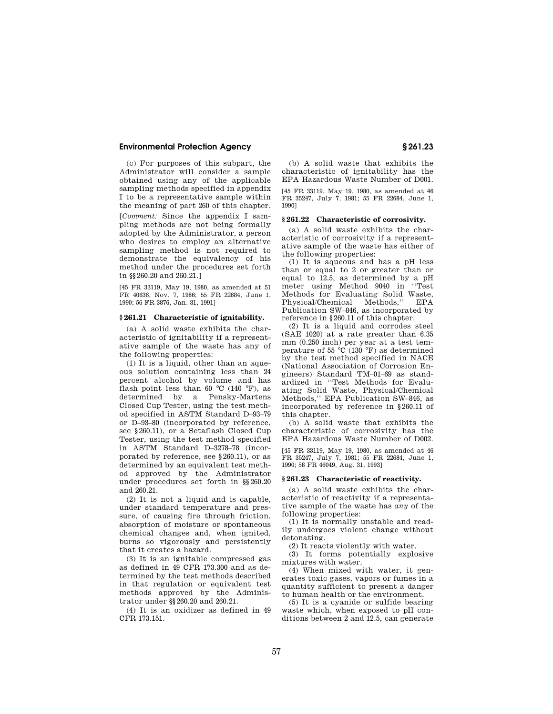(c) For purposes of this subpart, the Administrator will consider a sample obtained using any of the applicable sampling methods specified in appendix I to be a representative sample within the meaning of part 260 of this chapter.

[*Comment:* Since the appendix I sampling methods are not being formally adopted by the Administrator, a person who desires to employ an alternative sampling method is not required to demonstrate the equivalency of his method under the procedures set forth in §§ 260.20 and 260.21.]

[45 FR 33119, May 19, 1980, as amended at 51 FR 40636, Nov. 7, 1986; 55 FR 22684, June 1, 1990; 56 FR 3876, Jan. 31, 1991]

# **§ 261.21 Characteristic of ignitability.**

(a) A solid waste exhibits the characteristic of ignitability if a representative sample of the waste has any of the following properties:

(1) It is a liquid, other than an aqueous solution containing less than 24 percent alcohol by volume and has flash point less than 60 °C (140 °F), as determined by a Pensky-Martens Closed Cup Tester, using the test method specified in ASTM Standard D–93–79 or D–93–80 (incorporated by reference, see § 260.11), or a Setaflash Closed Cup Tester, using the test method specified in ASTM Standard D–3278–78 (incorporated by reference, see § 260.11), or as determined by an equivalent test method approved by the Administrator under procedures set forth in §§ 260.20 and 260.21.

(2) It is not a liquid and is capable, under standard temperature and pressure, of causing fire through friction, absorption of moisture or spontaneous chemical changes and, when ignited, burns so vigorously and persistently that it creates a hazard.

(3) It is an ignitable compressed gas as defined in 49 CFR 173.300 and as determined by the test methods described in that regulation or equivalent test methods approved by the Administrator under §§ 260.20 and 260.21.

(4) It is an oxidizer as defined in 49 CFR 173.151.

(b) A solid waste that exhibits the characteristic of ignitability has the EPA Hazardous Waste Number of D001.

[45 FR 33119, May 19, 1980, as amended at 46 FR 35247, July 7, 1981; 55 FR 22684, June 1, 1990]

#### **§ 261.22 Characteristic of corrosivity.**

(a) A solid waste exhibits the characteristic of corrosivity if a representative sample of the waste has either of the following properties:

(1) It is aqueous and has a pH less than or equal to 2 or greater than or equal to 12.5, as determined by a pH<br>meter using Method 9040 in "Test meter using Method 9040 in ''Test Methods for Evaluating Solid Waste, Physical/Chemical Methods,'' EPA Publication SW–846, as incorporated by reference in § 260.11 of this chapter.

(2) It is a liquid and corrodes steel (SAE 1020) at a rate greater than 6.35 mm (0.250 inch) per year at a test temperature of 55 °C (130 °F) as determined by the test method specified in NACE (National Association of Corrosion Engineers) Standard TM–01–69 as standardized in ''Test Methods for Evaluating Solid Waste, Physical/Chemical Methods,'' EPA Publication SW–846, as incorporated by reference in § 260.11 of this chapter.

(b) A solid waste that exhibits the characteristic of corrosivity has the EPA Hazardous Waste Number of D002.

[45 FR 33119, May 19, 1980, as amended at 46 FR 35247, July 7, 1981; 55 FR 22684, June 1, 1990; 58 FR 46049, Aug. 31, 1993]

#### **§ 261.23 Characteristic of reactivity.**

(a) A solid waste exhibits the characteristic of reactivity if a representative sample of the waste has *any* of the following properties:

(1) It is normally unstable and readily undergoes violent change without detonating.

(2) It reacts violently with water.

(3) It forms potentially explosive mixtures with water.

(4) When mixed with water, it generates toxic gases, vapors or fumes in a quantity sufficient to present a danger to human health or the environment.

(5) It is a cyanide or sulfide bearing waste which, when exposed to pH conditions between 2 and 12.5, can generate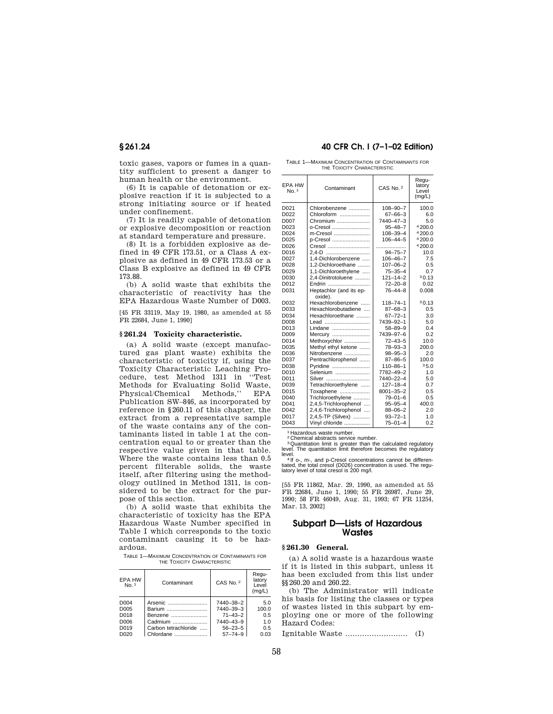toxic gases, vapors or fumes in a quantity sufficient to present a danger to human health or the environment.

(6) It is capable of detonation or explosive reaction if it is subjected to a strong initiating source or if heated under confinement.

(7) It is readily capable of detonation or explosive decomposition or reaction at standard temperature and pressure.

(8) It is a forbidden explosive as defined in 49 CFR 173.51, or a Class A explosive as defined in 49 CFR 173.53 or a Class B explosive as defined in 49 CFR 173.88.

(b) A solid waste that exhibits the characteristic of reactivity has the EPA Hazardous Waste Number of D003.

[45 FR 33119, May 19, 1980, as amended at 55 FR 22684, June 1, 1990]

#### **§ 261.24 Toxicity characteristic.**

(a) A solid waste (except manufactured gas plant waste) exhibits the characteristic of toxicity if, using the Toxicity Characteristic Leaching Procedure, test Method 1311 in ''Test Methods for Evaluating Solid Waste, Physical/Chemical Methods,'' EPA Publication SW–846, as incorporated by reference in § 260.11 of this chapter, the extract from a representative sample of the waste contains any of the contaminants listed in table 1 at the concentration equal to or greater than the respective value given in that table. Where the waste contains less than 0.5 percent filterable solids, the waste itself, after filtering using the methodology outlined in Method 1311, is considered to be the extract for the purpose of this section.

(b) A solid waste that exhibits the characteristic of toxicity has the EPA Hazardous Waste Number specified in Table I which corresponds to the toxic contaminant causing it to be hazardous.

TABLE 1—MAXIMUM CONCENTRATION OF CONTAMINANTS FOR THE TOXICITY CHARACTERISTIC

| EPA HW<br>No.1    | Contaminant          | CAS No. 2     | Regu-<br>latory<br>Level<br>(mg/L) |
|-------------------|----------------------|---------------|------------------------------------|
| D004              | Arsenic              | 7440-38-2     | 5.0                                |
| D005              | Barium               | 7440-39-3     | 100.0                              |
| D018              | Benzene              | $71 - 43 - 2$ | 0.5                                |
| D006              | Cadmium              | 7440-43-9     | 1.0                                |
| D <sub>0</sub> 19 | Carbon tetrachloride | $56 - 23 - 5$ | 0.5                                |
| D <sub>020</sub>  | Chlordane            | $57 - 74 - 9$ | 0.03                               |

## **§ 261.24 40 CFR Ch. I (7–1–02 Edition)**

TABLE 1—MAXIMUM CONCENTRATION OF CONTAMINANTS FOR THE TOXICITY CHARACTERISTIC

| <b>EPA HW</b><br>No.1 | Contaminant                        | CAS No. 2       | Regu-<br>latory<br>Level<br>(mq/L) |
|-----------------------|------------------------------------|-----------------|------------------------------------|
| D <sub>021</sub>      | Chlorobenzene                      | $108 - 90 - 7$  | 100.0                              |
| D <sub>022</sub>      | Chloroform                         | $67 - 66 - 3$   | 6.0                                |
| D007                  | Chromium                           | 7440-47-3       | 5.0                                |
| D <sub>023</sub>      | o-Cresol                           | $95 - 48 - 7$   | 4200.0                             |
| D024                  | m-Cresol                           | $108 - 39 - 4$  | 4200.0                             |
| D025                  | p-Cresol                           | $106 - 44 - 5$  | 4200.0                             |
| D026                  | Cresol                             | .               | 4200.0                             |
| D016                  | 2,4-D                              | $94 - 75 - 7$   | 10.0                               |
| D027                  | 1,4-Dichlorobenzene                | $106 - 46 - 7$  | 7.5                                |
| D028                  | 1,2-Dichloroethane                 | $107 - 06 - 2$  | 0.5                                |
| D <sub>029</sub>      | 1,1-Dichloroethylene               | $75 - 35 - 4$   | 0.7                                |
| D <sub>030</sub>      | 2,4-Dinitrotoluene                 | $121 - 14 - 2$  | 30.13                              |
| D012                  | Endrin                             | $72 - 20 - 8$   | 0.02                               |
| D031                  | Heptachlor (and its ep-<br>oxide). | $76 - 44 - 8$   | 0.008                              |
| D032                  | Hexachlorobenzene                  | $118 - 74 - 1$  | 30.13                              |
| D <sub>0</sub> 33     | Hexachlorobutadiene                | $87 - 68 - 3$   | 0.5                                |
| D034                  | Hexachloroethane                   | $67 - 72 - 1$   | 3.0                                |
| <b>D008</b>           | Lead                               | 7439-92-1       | 5.0                                |
| D013                  | Lindane                            | $58 - 89 - 9$   | 0.4                                |
| D <sub>009</sub>      | Mercury                            | 7439-97-6       | 0.2                                |
| D014                  | Methoxychlor                       | $72 - 43 - 5$   | 10.0                               |
| D035                  | Methyl ethyl ketone                | $78 - 93 - 3$   | 200.0                              |
| D036                  | Nitrobenzene                       | $98 - 95 - 3$   | 2.0                                |
| D037                  | Pentrachlorophenol                 | $87 - 86 - 5$   | 100.0                              |
| D038                  | Pyridine                           | $110 - 86 - 1$  | 35.0                               |
| D <sub>010</sub>      | Selenium                           | 7782-49-2       | 1.0                                |
| D011                  | Silver                             | 7440-22-4       | 5.0                                |
| D039                  | Tetrachloroethylene                | $127 - 18 - 4$  | 0.7                                |
| D015                  | Toxaphene                          | $8001 - 35 - 2$ | 0.5                                |
| D <sub>040</sub>      | Trichloroethylene                  | $79 - 01 - 6$   | 0.5                                |
| D <sub>041</sub>      | 2,4,5-Trichlorophenol              | $95 - 95 - 4$   | 400.0                              |
| D <sub>042</sub>      | 2,4,6-Trichlorophenol              | $88 - 06 - 2$   | 2.0                                |
| D017                  | 2.4.5-TP (Silvex)                  | $93 - 72 - 1$   | 1.0                                |
| D <sub>043</sub>      | Vinyl chloride                     | $75 - 01 - 4$   | 0.2                                |

<sup>1</sup> Hazardous waste number

Chemical abstracts service number.

<sup>3</sup>Quantitation limit is greater than the calculated regulatory level. The quantitation limit therefore becomes the regulatory

level.<br>4 If o-, m-, and p-Cresol concentrations cannot be differentiated, the total cresol (D026) concentration is used. The regulatory level of total cresol is 200 mg/l.

[55 FR 11862, Mar. 29, 1990, as amended at 55 FR 22684, June 1, 1990; 55 FR 26987, June 29, 1990; 58 FR 46049, Aug. 31, 1993; 67 FR 11254, Mar. 13, 2002]

# **Subpart D—Lists of Hazardous Wastes**

#### **§ 261.30 General.**

(a) A solid waste is a hazardous waste if it is listed in this subpart, unless it has been excluded from this list under §§ 260.20 and 260.22.

(b) The Administrator will indicate his basis for listing the classes or types of wastes listed in this subpart by employing one or more of the following Hazard Codes:

Ignitable Waste .......................... (I)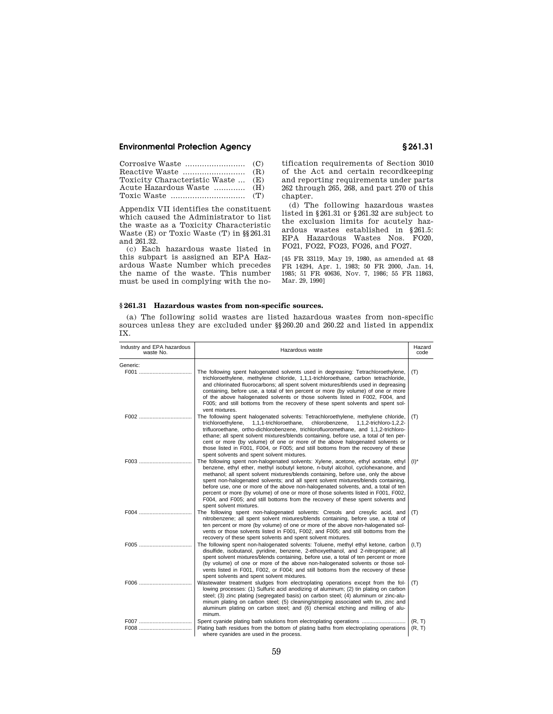| Toxicity Characteristic Waste  (E) |  |
|------------------------------------|--|
| Acute Hazardous Waste  (H)         |  |
|                                    |  |

Appendix VII identifies the constituent which caused the Administrator to list the waste as a Toxicity Characteristic Waste (E) or Toxic Waste (T) in §§ 261.31 and 261.32.

(c) Each hazardous waste listed in this subpart is assigned an EPA Hazardous Waste Number which precedes the name of the waste. This number must be used in complying with the notification requirements of Section 3010 of the Act and certain recordkeeping and reporting requirements under parts 262 through 265, 268, and part 270 of this chapter.

(d) The following hazardous wastes listed in § 261.31 or § 261.32 are subject to the exclusion limits for acutely hazardous wastes established in § 261.5: EPA Hazardous Wastes Nos. FO20, FO21, FO22, FO23, FO26, and FO27.

[45 FR 33119, May 19, 1980, as amended at 48 FR 14294, Apr. 1, 1983; 50 FR 2000, Jan. 14, 1985; 51 FR 40636, Nov. 7, 1986; 55 FR 11863, Mar. 29, 1990]

### **§ 261.31 Hazardous wastes from non-specific sources.**

(a) The following solid wastes are listed hazardous wastes from non-specific sources unless they are excluded under §§ 260.20 and 260.22 and listed in appendix IX.

| Industry and EPA hazardous<br>waste No. | Hazardous waste                                                                                                                                                                                                                                                                                                                                                                                                                                                                                                                                                                                                                               | Hazard<br>code   |
|-----------------------------------------|-----------------------------------------------------------------------------------------------------------------------------------------------------------------------------------------------------------------------------------------------------------------------------------------------------------------------------------------------------------------------------------------------------------------------------------------------------------------------------------------------------------------------------------------------------------------------------------------------------------------------------------------------|------------------|
| Generic:<br>F001                        | The following spent halogenated solvents used in degreasing: Tetrachloroethylene,                                                                                                                                                                                                                                                                                                                                                                                                                                                                                                                                                             | (T)              |
|                                         | trichloroethylene, methylene chloride, 1,1,1-trichloroethane, carbon tetrachloride,<br>and chlorinated fluorocarbons; all spent solvent mixtures/blends used in degreasing<br>containing, before use, a total of ten percent or more (by volume) of one or more<br>of the above halogenated solvents or those solvents listed in F002, F004, and<br>F005; and still bottoms from the recovery of these spent solvents and spent sol-<br>vent mixtures.                                                                                                                                                                                        |                  |
| F002                                    | The following spent halogenated solvents: Tetrachloroethylene, methylene chloride,<br>trichloroethvlene.<br>1,1,1-trichloroethane,<br>chlorobenzene, 1,1,2-trichloro-1,2,2-<br>trifluoroethane, ortho-dichlorobenzene, trichlorofluoromethane, and 1,1,2-trichloro-<br>ethane; all spent solvent mixtures/blends containing, before use, a total of ten per-<br>cent or more (by volume) of one or more of the above halogenated solvents or<br>those listed in F001, F004, or F005; and still bottoms from the recovery of these<br>spent solvents and spent solvent mixtures.                                                               | (T)              |
|                                         | The following spent non-halogenated solvents: Xylene, acetone, ethyl acetate, ethyl<br>benzene, ethyl ether, methyl isobutyl ketone, n-butyl alcohol, cyclohexanone, and<br>methanol; all spent solvent mixtures/blends containing, before use, only the above<br>spent non-halogenated solvents; and all spent solvent mixtures/blends containing,<br>before use, one or more of the above non-halogenated solvents, and, a total of ten<br>percent or more (by volume) of one or more of those solvents listed in F001, F002,<br>F004, and F005; and still bottoms from the recovery of these spent solvents and<br>spent solvent mixtures. | $(I)^*$          |
| F004                                    | The following spent non-halogenated solvents: Cresols and cresylic acid, and<br>nitrobenzene; all spent solvent mixtures/blends containing, before use, a total of<br>ten percent or more (by volume) of one or more of the above non-halogenated sol-<br>vents or those solvents listed in F001, F002, and F005; and still bottoms from the<br>recovery of these spent solvents and spent solvent mixtures.                                                                                                                                                                                                                                  | (T)              |
|                                         | The following spent non-halogenated solvents: Toluene, methyl ethyl ketone, carbon<br>disulfide, isobutanol, pyridine, benzene, 2-ethoxyethanol, and 2-nitropropane; all<br>spent solvent mixtures/blends containing, before use, a total of ten percent or more<br>(by volume) of one or more of the above non-halogenated solvents or those sol-<br>vents listed in F001, F002, or F004; and still bottoms from the recovery of these<br>spent solvents and spent solvent mixtures.                                                                                                                                                         | (I, T)           |
| F006                                    | Wastewater treatment sludges from electroplating operations except from the fol-<br>lowing processes: (1) Sulfuric acid anodizing of aluminum; (2) tin plating on carbon<br>steel; (3) zinc plating (segregated basis) on carbon steel; (4) aluminum or zinc-alu-<br>minum plating on carbon steel; (5) cleaning/stripping associated with tin, zinc and<br>aluminum plating on carbon steel; and (6) chemical etching and milling of alu-<br>minum.                                                                                                                                                                                          | (T)              |
|                                         | Spent cyanide plating bath solutions from electroplating operations<br>Plating bath residues from the bottom of plating baths from electroplating operations<br>where cvanides are used in the process.                                                                                                                                                                                                                                                                                                                                                                                                                                       | (R, T)<br>(R, T) |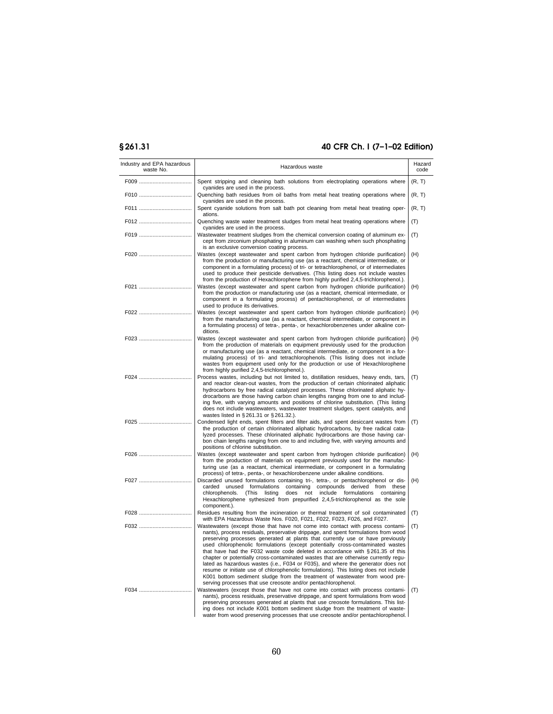# **§ 261.31 40 CFR Ch. I (7–1–02 Edition)**

| Industry and EPA hazardous<br>waste No. | Hazardous waste                                                                                                                                                                                                                                                                                                                                                                                                                                                                                                                                                                                                                                                                                                                                                                                                                                   | Hazard<br>code |
|-----------------------------------------|---------------------------------------------------------------------------------------------------------------------------------------------------------------------------------------------------------------------------------------------------------------------------------------------------------------------------------------------------------------------------------------------------------------------------------------------------------------------------------------------------------------------------------------------------------------------------------------------------------------------------------------------------------------------------------------------------------------------------------------------------------------------------------------------------------------------------------------------------|----------------|
|                                         | Spent stripping and cleaning bath solutions from electroplating operations where<br>cyanides are used in the process.                                                                                                                                                                                                                                                                                                                                                                                                                                                                                                                                                                                                                                                                                                                             | (R, T)         |
|                                         | Quenching bath residues from oil baths from metal heat treating operations where<br>cyanides are used in the process.                                                                                                                                                                                                                                                                                                                                                                                                                                                                                                                                                                                                                                                                                                                             | (R, T)         |
|                                         | Spent cyanide solutions from salt bath pot cleaning from metal heat treating oper-<br>ations.                                                                                                                                                                                                                                                                                                                                                                                                                                                                                                                                                                                                                                                                                                                                                     | (R, T)         |
|                                         | Quenching waste water treatment sludges from metal heat treating operations where<br>cyanides are used in the process.                                                                                                                                                                                                                                                                                                                                                                                                                                                                                                                                                                                                                                                                                                                            | (T)            |
|                                         | Wastewater treatment sludges from the chemical conversion coating of aluminum ex-<br>cept from zirconium phosphating in aluminum can washing when such phosphating<br>is an exclusive conversion coating process.                                                                                                                                                                                                                                                                                                                                                                                                                                                                                                                                                                                                                                 | (T)            |
|                                         | Wastes (except wastewater and spent carbon from hydrogen chloride purification)<br>from the production or manufacturing use (as a reactant, chemical intermediate, or<br>component in a formulating process) of tri- or tetrachlorophenol, or of intermediates<br>used to produce their pesticide derivatives. (This listing does not include wastes<br>from the production of Hexachlorophene from highly purified 2,4,5-trichlorophenol.).                                                                                                                                                                                                                                                                                                                                                                                                      | (H)            |
|                                         | Wastes (except wastewater and spent carbon from hydrogen chloride purification)<br>from the production or manufacturing use (as a reactant, chemical intermediate, or<br>component in a formulating process) of pentachlorophenol, or of intermediates<br>used to produce its derivatives.                                                                                                                                                                                                                                                                                                                                                                                                                                                                                                                                                        | (H)            |
|                                         | Wastes (except wastewater and spent carbon from hydrogen chloride purification)<br>from the manufacturing use (as a reactant, chemical intermediate, or component in<br>a formulating process) of tetra-, penta-, or hexachlorobenzenes under alkaline con-<br>ditions.                                                                                                                                                                                                                                                                                                                                                                                                                                                                                                                                                                           | (H)            |
|                                         | Wastes (except wastewater and spent carbon from hydrogen chloride purification)<br>from the production of materials on equipment previously used for the production<br>or manufacturing use (as a reactant, chemical intermediate, or component in a for-<br>mulating process) of tri- and tetrachlorophenols. (This listing does not include<br>wastes from equipment used only for the production or use of Hexachlorophene<br>from highly purified 2,4,5-trichlorophenol.).                                                                                                                                                                                                                                                                                                                                                                    | (H)            |
|                                         | Process wastes, including but not limited to, distillation residues, heavy ends, tars,<br>and reactor clean-out wastes, from the production of certain chlorinated aliphatic<br>hydrocarbons by free radical catalyzed processes. These chlorinated aliphatic hy-<br>drocarbons are those having carbon chain lengths ranging from one to and includ-<br>ing five, with varying amounts and positions of chlorine substitution. (This listing<br>does not include wastewaters, wastewater treatment sludges, spent catalysts, and<br>wastes listed in §261.31 or §261.32.).                                                                                                                                                                                                                                                                       | (T)            |
|                                         | Condensed light ends, spent filters and filter aids, and spent desiccant wastes from<br>the production of certain chlorinated aliphatic hydrocarbons, by free radical cata-<br>lyzed processes. These chlorinated aliphatic hydrocarbons are those having car-<br>bon chain lengths ranging from one to and including five, with varying amounts and<br>positions of chlorine substitution.                                                                                                                                                                                                                                                                                                                                                                                                                                                       | (T)            |
|                                         | Wastes (except wastewater and spent carbon from hydrogen chloride purification)<br>from the production of materials on equipment previously used for the manufac-<br>turing use (as a reactant, chemical intermediate, or component in a formulating<br>process) of tetra-, penta-, or hexachlorobenzene under alkaline conditions.                                                                                                                                                                                                                                                                                                                                                                                                                                                                                                               | (H)            |
|                                         | Discarded unused formulations containing tri-, tetra-, or pentachlorophenol or dis-<br>carded unused formulations containing compounds derived from these<br>chlorophenols.<br>(This<br>listing<br>does<br>not<br>include<br>formulations<br>containing<br>Hexachlorophene sythesized from prepurified 2,4,5-trichlorophenol as the sole<br>component.).                                                                                                                                                                                                                                                                                                                                                                                                                                                                                          | (H)            |
|                                         | Residues resulting from the incineration or thermal treatment of soil contaminated<br>with EPA Hazardous Waste Nos. F020, F021, F022, F023, F026, and F027.                                                                                                                                                                                                                                                                                                                                                                                                                                                                                                                                                                                                                                                                                       | (T)            |
| F032                                    | Wastewaters (except those that have not come into contact with process contami-<br>nants), process residuals, preservative drippage, and spent formulations from wood<br>preserving processes generated at plants that currently use or have previously<br>used chlorophenolic formulations (except potentially cross-contaminated wastes<br>that have had the F032 waste code deleted in accordance with $\S 261.35$ of this<br>chapter or potentially cross-contaminated wastes that are otherwise currently regu-<br>lated as hazardous wastes (i.e., F034 or F035), and where the generator does not<br>resume or initiate use of chlorophenolic formulations). This listing does not include<br>K001 bottom sediment sludge from the treatment of wastewater from wood pre-<br>serving processes that use creosote and/or pentachlorophenol. | (T)            |
|                                         | Wastewaters (except those that have not come into contact with process contami-<br>nants), process residuals, preservative drippage, and spent formulations from wood<br>preserving processes generated at plants that use creosote formulations. This list-<br>ing does not include K001 bottom sediment sludge from the treatment of waste-<br>water from wood preserving processes that use creosote and/or pentachlorophenol.                                                                                                                                                                                                                                                                                                                                                                                                                 | (T)            |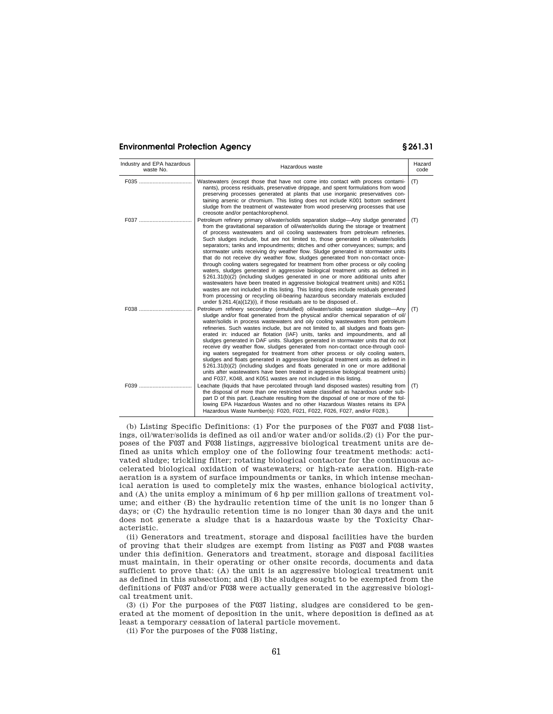| Industry and EPA hazardous<br>waste No. | Hazardous waste                                                                                                                                                                                                                                                                                                                                                                                                                                                                                                                                                                                                                                                                                                                                                                                                                                                                                                                                                                                                                                                                                                                                                                                                   | Hazard<br>code |
|-----------------------------------------|-------------------------------------------------------------------------------------------------------------------------------------------------------------------------------------------------------------------------------------------------------------------------------------------------------------------------------------------------------------------------------------------------------------------------------------------------------------------------------------------------------------------------------------------------------------------------------------------------------------------------------------------------------------------------------------------------------------------------------------------------------------------------------------------------------------------------------------------------------------------------------------------------------------------------------------------------------------------------------------------------------------------------------------------------------------------------------------------------------------------------------------------------------------------------------------------------------------------|----------------|
|                                         | Wastewaters (except those that have not come into contact with process contami-<br>nants), process residuals, preservative drippage, and spent formulations from wood<br>preserving processes generated at plants that use inorganic preservatives con-<br>taining arsenic or chromium. This listing does not include K001 bottom sediment<br>sludge from the treatment of wastewater from wood preserving processes that use<br>creosote and/or pentachlorophenol.                                                                                                                                                                                                                                                                                                                                                                                                                                                                                                                                                                                                                                                                                                                                               | (T)            |
|                                         | Petroleum refinery primary oil/water/solids separation sludge—Any sludge generated<br>from the gravitational separation of oil/water/solids during the storage or treatment<br>of process wastewaters and oil cooling wastewaters from petroleum refineries.<br>Such sludges include, but are not limited to, those generated in oil/water/solids<br>separators; tanks and impoundments; ditches and other conveyances; sumps; and<br>stormwater units receiving dry weather flow. Sludge generated in stormwater units<br>that do not receive dry weather flow, sludges generated from non-contact once-<br>through cooling waters segregated for treatment from other process or oily cooling<br>waters, sludges generated in aggressive biological treatment units as defined in<br>§261.31(b)(2) (including sludges generated in one or more additional units after<br>wastewaters have been treated in aggressive biological treatment units) and K051<br>wastes are not included in this listing. This listing does include residuals generated<br>from processing or recycling oil-bearing hazardous secondary materials excluded<br>under $\S 261.4(a)(12)(i)$ , if those residuals are to be disposed of | (T)            |
|                                         | Petroleum refinery secondary (emulsified) oil/water/solids separation sludge-Any<br>sludge and/or float generated from the physical and/or chemical separation of oil/<br>water/solids in process wastewaters and oily cooling wastewaters from petroleum<br>refineries. Such wastes include, but are not limited to, all sludges and floats gen-<br>erated in: induced air flotation (IAF) units, tanks and impoundments, and all<br>sludges generated in DAF units. Sludges generated in stormwater units that do not<br>receive dry weather flow, sludges generated from non-contact once-through cool-<br>ing waters segregated for treatment from other process or oily cooling waters,<br>sludges and floats generated in aggressive biological treatment units as defined in<br>§261.31(b)(2) (including sludges and floats generated in one or more additional<br>units after wastewaters have been treated in aggressive biological treatment units)<br>and F037, K048, and K051 wastes are not included in this listing.                                                                                                                                                                                | (T)            |
|                                         | Leachate (liquids that have percolated through land disposed wastes) resulting from<br>the disposal of more than one restricted waste classified as hazardous under sub-<br>part D of this part. (Leachate resulting from the disposal of one or more of the fol-<br>lowing EPA Hazardous Wastes and no other Hazardous Wastes retains its EPA<br>Hazardous Waste Number(s): F020, F021, F022, F026, F027, and/or F028.).                                                                                                                                                                                                                                                                                                                                                                                                                                                                                                                                                                                                                                                                                                                                                                                         | (T)            |

(b) Listing Specific Definitions: (1) For the purposes of the F037 and F038 listings, oil/water/solids is defined as oil and/or water and/or solids.(2) (i) For the purposes of the F037 and F038 listings, aggressive biological treatment units are defined as units which employ one of the following four treatment methods: activated sludge; trickling filter; rotating biological contactor for the continuous accelerated biological oxidation of wastewaters; or high-rate aeration. High-rate aeration is a system of surface impoundments or tanks, in which intense mechanical aeration is used to completely mix the wastes, enhance biological activity, and (A) the units employ a minimum of 6 hp per million gallons of treatment volume; and either (B) the hydraulic retention time of the unit is no longer than 5 days; or (C) the hydraulic retention time is no longer than 30 days and the unit does not generate a sludge that is a hazardous waste by the Toxicity Characteristic.

(ii) Generators and treatment, storage and disposal facilities have the burden of proving that their sludges are exempt from listing as F037 and F038 wastes under this definition. Generators and treatment, storage and disposal facilities must maintain, in their operating or other onsite records, documents and data sufficient to prove that: (A) the unit is an aggressive biological treatment unit as defined in this subsection; and (B) the sludges sought to be exempted from the definitions of F037 and/or F038 were actually generated in the aggressive biological treatment unit.

(3) (i) For the purposes of the F037 listing, sludges are considered to be generated at the moment of deposition in the unit, where deposition is defined as at least a temporary cessation of lateral particle movement.

(ii) For the purposes of the F038 listing,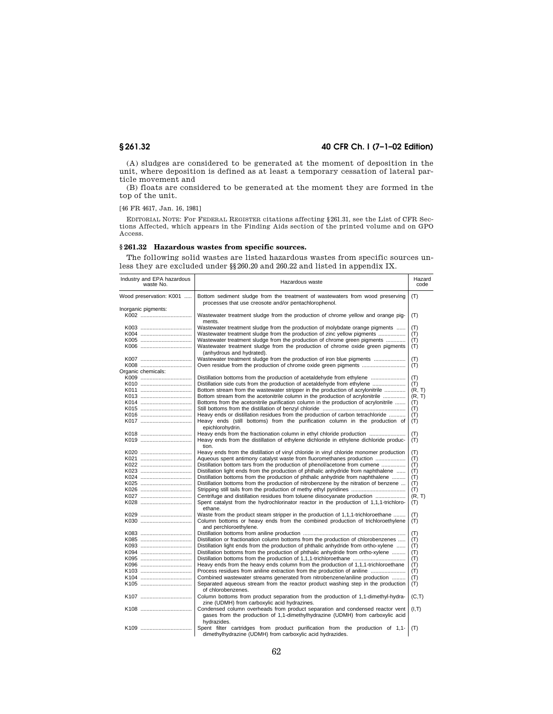# **§ 261.32 40 CFR Ch. I (7–1–02 Edition)**

(A) sludges are considered to be generated at the moment of deposition in the unit, where deposition is defined as at least a temporary cessation of lateral particle movement and

(B) floats are considered to be generated at the moment they are formed in the top of the unit.

# [46 FR 4617, Jan. 16, 1981]

EDITORIAL NOTE: For FEDERAL REGISTER citations affecting § 261.31, see the List of CFR Sections Affected, which appears in the Finding Aids section of the printed volume and on GPO Access.

# **§ 261.32 Hazardous wastes from specific sources.**

The following solid wastes are listed hazardous wastes from specific sources unless they are excluded under §§ 260.20 and 260.22 and listed in appendix IX.

| Wood preservation: K001<br>Bottom sediment sludge from the treatment of wastewaters from wood preserving<br>(T)<br>processes that use creosote and/or pentachlorophenol.<br>Inorganic pigments:<br>Wastewater treatment sludge from the production of chrome yellow and orange pig-<br>(T)<br>ments.<br>Wastewater treatment sludge from the production of molybdate orange pigments<br>(T)<br>(T)<br>Wastewater treatment sludge from the production of chrome green pigments<br>(T)<br>Wastewater treatment sludge from the production of chrome oxide green pigments<br>(T)<br>(anhydrous and hydrated).<br>(T)<br>(T)<br>Organic chemicals:<br>Distillation bottoms from the production of acetaldehyde from ethylene<br>(T)<br>Distillation side cuts from the production of acetaldehyde from ethylene<br>(T)<br>Bottom stream from the wastewater stripper in the production of acrylonitrile<br>(R, T)<br>Bottom stream from the acetonitrile column in the production of acrylonitrile<br>(R, T)<br>Bottoms from the acetonitrile purification column in the production of acrylonitrile<br>(T)<br>K015<br>(T)<br>Heavy ends or distillation residues from the production of carbon tetrachloride<br>(T)<br>Heavy ends (still bottoms) from the purification column in the production of<br>(T)<br>epichlorohydrin.<br>Heavy ends from the fractionation column in ethyl chloride production<br>(T)<br>Heavy ends from the distillation of ethylene dichloride in ethylene dichloride produc-<br>(T)<br>tion.<br>Heavy ends from the distillation of vinyl chloride in vinyl chloride monomer production<br>(T)<br>K021<br>Aqueous spent antimony catalyst waste from fluoromethanes production<br>(T)<br>Distillation bottom tars from the production of phenol/acetone from cumene<br>(T)<br>Distillation light ends from the production of phthalic anhydride from naphthalene<br>(T)<br>Distillation bottoms from the production of phthalic anhydride from naphthalene<br>(T)<br>Distillation bottoms from the production of nitrobenzene by the nitration of benzene<br>(T)<br>K026<br>(T)<br>Centrifuge and distillation residues from toluene diisocyanate production<br>(R, T)<br>Spent catalyst from the hydrochlorinator reactor in the production of 1,1,1-trichloro-<br>(T)<br>ethane.<br>Waste from the product steam stripper in the production of 1,1,1-trichloroethane<br>(T)<br>Column bottoms or heavy ends from the combined production of trichloroethylene<br>(T)<br>and perchloroethylene.<br>(T)<br>Distillation or fractionation column bottoms from the production of chlorobenzenes<br>(T)<br>Distillation light ends from the production of phthalic anhydride from ortho-xylene<br>(T)<br>Distillation bottoms from the production of phthalic anhydride from ortho-xylene<br>(T)<br>K095<br>Distillation bottoms from the production of 1,1,1-trichloroethane<br>(T)<br>Heavy ends from the heavy ends column from the production of 1,1,1-trichloroethane<br>(T)<br>Process residues from aniline extraction from the production of aniline<br>(T)<br>K104<br>Combined wastewater streams generated from nitrobenzene/aniline production<br>(T)<br>Separated aqueous stream from the reactor product washing step in the production<br>(T)<br>of chlorobenzenes.<br>Column bottoms from product separation from the production of 1,1-dimethyl-hydra-<br>(C,T)<br>zine (UDMH) from carboxylic acid hydrazines.<br>K108<br>Condensed column overheads from product separation and condensed reactor vent<br>(I, T)<br>gases from the production of 1,1-dimethylhydrazine (UDMH) from carboxylic acid<br>hydrazides. | Industry and EPA hazardous<br>waste No. | Hazardous waste                                                               | Hazard<br>code |
|------------------------------------------------------------------------------------------------------------------------------------------------------------------------------------------------------------------------------------------------------------------------------------------------------------------------------------------------------------------------------------------------------------------------------------------------------------------------------------------------------------------------------------------------------------------------------------------------------------------------------------------------------------------------------------------------------------------------------------------------------------------------------------------------------------------------------------------------------------------------------------------------------------------------------------------------------------------------------------------------------------------------------------------------------------------------------------------------------------------------------------------------------------------------------------------------------------------------------------------------------------------------------------------------------------------------------------------------------------------------------------------------------------------------------------------------------------------------------------------------------------------------------------------------------------------------------------------------------------------------------------------------------------------------------------------------------------------------------------------------------------------------------------------------------------------------------------------------------------------------------------------------------------------------------------------------------------------------------------------------------------------------------------------------------------------------------------------------------------------------------------------------------------------------------------------------------------------------------------------------------------------------------------------------------------------------------------------------------------------------------------------------------------------------------------------------------------------------------------------------------------------------------------------------------------------------------------------------------------------------------------------------------------------------------------------------------------------------------------------------------------------------------------------------------------------------------------------------------------------------------------------------------------------------------------------------------------------------------------------------------------------------------------------------------------------------------------------------------------------------------------------------------------------------------------------------------------------------------------------------------------------------------------------------------------------------------------------------------------------------------------------------------------------------------------------------------------------------------------------------------------------------------------------------------------------------------------------------------------------------------------------------------------|-----------------------------------------|-------------------------------------------------------------------------------|----------------|
|                                                                                                                                                                                                                                                                                                                                                                                                                                                                                                                                                                                                                                                                                                                                                                                                                                                                                                                                                                                                                                                                                                                                                                                                                                                                                                                                                                                                                                                                                                                                                                                                                                                                                                                                                                                                                                                                                                                                                                                                                                                                                                                                                                                                                                                                                                                                                                                                                                                                                                                                                                                                                                                                                                                                                                                                                                                                                                                                                                                                                                                                                                                                                                                                                                                                                                                                                                                                                                                                                                                                                                                                                                                            |                                         |                                                                               |                |
|                                                                                                                                                                                                                                                                                                                                                                                                                                                                                                                                                                                                                                                                                                                                                                                                                                                                                                                                                                                                                                                                                                                                                                                                                                                                                                                                                                                                                                                                                                                                                                                                                                                                                                                                                                                                                                                                                                                                                                                                                                                                                                                                                                                                                                                                                                                                                                                                                                                                                                                                                                                                                                                                                                                                                                                                                                                                                                                                                                                                                                                                                                                                                                                                                                                                                                                                                                                                                                                                                                                                                                                                                                                            |                                         |                                                                               |                |
|                                                                                                                                                                                                                                                                                                                                                                                                                                                                                                                                                                                                                                                                                                                                                                                                                                                                                                                                                                                                                                                                                                                                                                                                                                                                                                                                                                                                                                                                                                                                                                                                                                                                                                                                                                                                                                                                                                                                                                                                                                                                                                                                                                                                                                                                                                                                                                                                                                                                                                                                                                                                                                                                                                                                                                                                                                                                                                                                                                                                                                                                                                                                                                                                                                                                                                                                                                                                                                                                                                                                                                                                                                                            |                                         |                                                                               |                |
|                                                                                                                                                                                                                                                                                                                                                                                                                                                                                                                                                                                                                                                                                                                                                                                                                                                                                                                                                                                                                                                                                                                                                                                                                                                                                                                                                                                                                                                                                                                                                                                                                                                                                                                                                                                                                                                                                                                                                                                                                                                                                                                                                                                                                                                                                                                                                                                                                                                                                                                                                                                                                                                                                                                                                                                                                                                                                                                                                                                                                                                                                                                                                                                                                                                                                                                                                                                                                                                                                                                                                                                                                                                            |                                         |                                                                               |                |
|                                                                                                                                                                                                                                                                                                                                                                                                                                                                                                                                                                                                                                                                                                                                                                                                                                                                                                                                                                                                                                                                                                                                                                                                                                                                                                                                                                                                                                                                                                                                                                                                                                                                                                                                                                                                                                                                                                                                                                                                                                                                                                                                                                                                                                                                                                                                                                                                                                                                                                                                                                                                                                                                                                                                                                                                                                                                                                                                                                                                                                                                                                                                                                                                                                                                                                                                                                                                                                                                                                                                                                                                                                                            |                                         |                                                                               |                |
|                                                                                                                                                                                                                                                                                                                                                                                                                                                                                                                                                                                                                                                                                                                                                                                                                                                                                                                                                                                                                                                                                                                                                                                                                                                                                                                                                                                                                                                                                                                                                                                                                                                                                                                                                                                                                                                                                                                                                                                                                                                                                                                                                                                                                                                                                                                                                                                                                                                                                                                                                                                                                                                                                                                                                                                                                                                                                                                                                                                                                                                                                                                                                                                                                                                                                                                                                                                                                                                                                                                                                                                                                                                            |                                         |                                                                               |                |
|                                                                                                                                                                                                                                                                                                                                                                                                                                                                                                                                                                                                                                                                                                                                                                                                                                                                                                                                                                                                                                                                                                                                                                                                                                                                                                                                                                                                                                                                                                                                                                                                                                                                                                                                                                                                                                                                                                                                                                                                                                                                                                                                                                                                                                                                                                                                                                                                                                                                                                                                                                                                                                                                                                                                                                                                                                                                                                                                                                                                                                                                                                                                                                                                                                                                                                                                                                                                                                                                                                                                                                                                                                                            |                                         |                                                                               |                |
|                                                                                                                                                                                                                                                                                                                                                                                                                                                                                                                                                                                                                                                                                                                                                                                                                                                                                                                                                                                                                                                                                                                                                                                                                                                                                                                                                                                                                                                                                                                                                                                                                                                                                                                                                                                                                                                                                                                                                                                                                                                                                                                                                                                                                                                                                                                                                                                                                                                                                                                                                                                                                                                                                                                                                                                                                                                                                                                                                                                                                                                                                                                                                                                                                                                                                                                                                                                                                                                                                                                                                                                                                                                            |                                         |                                                                               |                |
|                                                                                                                                                                                                                                                                                                                                                                                                                                                                                                                                                                                                                                                                                                                                                                                                                                                                                                                                                                                                                                                                                                                                                                                                                                                                                                                                                                                                                                                                                                                                                                                                                                                                                                                                                                                                                                                                                                                                                                                                                                                                                                                                                                                                                                                                                                                                                                                                                                                                                                                                                                                                                                                                                                                                                                                                                                                                                                                                                                                                                                                                                                                                                                                                                                                                                                                                                                                                                                                                                                                                                                                                                                                            |                                         |                                                                               |                |
|                                                                                                                                                                                                                                                                                                                                                                                                                                                                                                                                                                                                                                                                                                                                                                                                                                                                                                                                                                                                                                                                                                                                                                                                                                                                                                                                                                                                                                                                                                                                                                                                                                                                                                                                                                                                                                                                                                                                                                                                                                                                                                                                                                                                                                                                                                                                                                                                                                                                                                                                                                                                                                                                                                                                                                                                                                                                                                                                                                                                                                                                                                                                                                                                                                                                                                                                                                                                                                                                                                                                                                                                                                                            |                                         |                                                                               |                |
|                                                                                                                                                                                                                                                                                                                                                                                                                                                                                                                                                                                                                                                                                                                                                                                                                                                                                                                                                                                                                                                                                                                                                                                                                                                                                                                                                                                                                                                                                                                                                                                                                                                                                                                                                                                                                                                                                                                                                                                                                                                                                                                                                                                                                                                                                                                                                                                                                                                                                                                                                                                                                                                                                                                                                                                                                                                                                                                                                                                                                                                                                                                                                                                                                                                                                                                                                                                                                                                                                                                                                                                                                                                            |                                         |                                                                               |                |
|                                                                                                                                                                                                                                                                                                                                                                                                                                                                                                                                                                                                                                                                                                                                                                                                                                                                                                                                                                                                                                                                                                                                                                                                                                                                                                                                                                                                                                                                                                                                                                                                                                                                                                                                                                                                                                                                                                                                                                                                                                                                                                                                                                                                                                                                                                                                                                                                                                                                                                                                                                                                                                                                                                                                                                                                                                                                                                                                                                                                                                                                                                                                                                                                                                                                                                                                                                                                                                                                                                                                                                                                                                                            |                                         |                                                                               |                |
|                                                                                                                                                                                                                                                                                                                                                                                                                                                                                                                                                                                                                                                                                                                                                                                                                                                                                                                                                                                                                                                                                                                                                                                                                                                                                                                                                                                                                                                                                                                                                                                                                                                                                                                                                                                                                                                                                                                                                                                                                                                                                                                                                                                                                                                                                                                                                                                                                                                                                                                                                                                                                                                                                                                                                                                                                                                                                                                                                                                                                                                                                                                                                                                                                                                                                                                                                                                                                                                                                                                                                                                                                                                            |                                         |                                                                               |                |
|                                                                                                                                                                                                                                                                                                                                                                                                                                                                                                                                                                                                                                                                                                                                                                                                                                                                                                                                                                                                                                                                                                                                                                                                                                                                                                                                                                                                                                                                                                                                                                                                                                                                                                                                                                                                                                                                                                                                                                                                                                                                                                                                                                                                                                                                                                                                                                                                                                                                                                                                                                                                                                                                                                                                                                                                                                                                                                                                                                                                                                                                                                                                                                                                                                                                                                                                                                                                                                                                                                                                                                                                                                                            |                                         |                                                                               |                |
|                                                                                                                                                                                                                                                                                                                                                                                                                                                                                                                                                                                                                                                                                                                                                                                                                                                                                                                                                                                                                                                                                                                                                                                                                                                                                                                                                                                                                                                                                                                                                                                                                                                                                                                                                                                                                                                                                                                                                                                                                                                                                                                                                                                                                                                                                                                                                                                                                                                                                                                                                                                                                                                                                                                                                                                                                                                                                                                                                                                                                                                                                                                                                                                                                                                                                                                                                                                                                                                                                                                                                                                                                                                            |                                         |                                                                               |                |
|                                                                                                                                                                                                                                                                                                                                                                                                                                                                                                                                                                                                                                                                                                                                                                                                                                                                                                                                                                                                                                                                                                                                                                                                                                                                                                                                                                                                                                                                                                                                                                                                                                                                                                                                                                                                                                                                                                                                                                                                                                                                                                                                                                                                                                                                                                                                                                                                                                                                                                                                                                                                                                                                                                                                                                                                                                                                                                                                                                                                                                                                                                                                                                                                                                                                                                                                                                                                                                                                                                                                                                                                                                                            |                                         |                                                                               |                |
|                                                                                                                                                                                                                                                                                                                                                                                                                                                                                                                                                                                                                                                                                                                                                                                                                                                                                                                                                                                                                                                                                                                                                                                                                                                                                                                                                                                                                                                                                                                                                                                                                                                                                                                                                                                                                                                                                                                                                                                                                                                                                                                                                                                                                                                                                                                                                                                                                                                                                                                                                                                                                                                                                                                                                                                                                                                                                                                                                                                                                                                                                                                                                                                                                                                                                                                                                                                                                                                                                                                                                                                                                                                            |                                         |                                                                               |                |
|                                                                                                                                                                                                                                                                                                                                                                                                                                                                                                                                                                                                                                                                                                                                                                                                                                                                                                                                                                                                                                                                                                                                                                                                                                                                                                                                                                                                                                                                                                                                                                                                                                                                                                                                                                                                                                                                                                                                                                                                                                                                                                                                                                                                                                                                                                                                                                                                                                                                                                                                                                                                                                                                                                                                                                                                                                                                                                                                                                                                                                                                                                                                                                                                                                                                                                                                                                                                                                                                                                                                                                                                                                                            |                                         |                                                                               |                |
|                                                                                                                                                                                                                                                                                                                                                                                                                                                                                                                                                                                                                                                                                                                                                                                                                                                                                                                                                                                                                                                                                                                                                                                                                                                                                                                                                                                                                                                                                                                                                                                                                                                                                                                                                                                                                                                                                                                                                                                                                                                                                                                                                                                                                                                                                                                                                                                                                                                                                                                                                                                                                                                                                                                                                                                                                                                                                                                                                                                                                                                                                                                                                                                                                                                                                                                                                                                                                                                                                                                                                                                                                                                            |                                         |                                                                               |                |
|                                                                                                                                                                                                                                                                                                                                                                                                                                                                                                                                                                                                                                                                                                                                                                                                                                                                                                                                                                                                                                                                                                                                                                                                                                                                                                                                                                                                                                                                                                                                                                                                                                                                                                                                                                                                                                                                                                                                                                                                                                                                                                                                                                                                                                                                                                                                                                                                                                                                                                                                                                                                                                                                                                                                                                                                                                                                                                                                                                                                                                                                                                                                                                                                                                                                                                                                                                                                                                                                                                                                                                                                                                                            |                                         |                                                                               |                |
|                                                                                                                                                                                                                                                                                                                                                                                                                                                                                                                                                                                                                                                                                                                                                                                                                                                                                                                                                                                                                                                                                                                                                                                                                                                                                                                                                                                                                                                                                                                                                                                                                                                                                                                                                                                                                                                                                                                                                                                                                                                                                                                                                                                                                                                                                                                                                                                                                                                                                                                                                                                                                                                                                                                                                                                                                                                                                                                                                                                                                                                                                                                                                                                                                                                                                                                                                                                                                                                                                                                                                                                                                                                            |                                         |                                                                               |                |
|                                                                                                                                                                                                                                                                                                                                                                                                                                                                                                                                                                                                                                                                                                                                                                                                                                                                                                                                                                                                                                                                                                                                                                                                                                                                                                                                                                                                                                                                                                                                                                                                                                                                                                                                                                                                                                                                                                                                                                                                                                                                                                                                                                                                                                                                                                                                                                                                                                                                                                                                                                                                                                                                                                                                                                                                                                                                                                                                                                                                                                                                                                                                                                                                                                                                                                                                                                                                                                                                                                                                                                                                                                                            |                                         |                                                                               |                |
|                                                                                                                                                                                                                                                                                                                                                                                                                                                                                                                                                                                                                                                                                                                                                                                                                                                                                                                                                                                                                                                                                                                                                                                                                                                                                                                                                                                                                                                                                                                                                                                                                                                                                                                                                                                                                                                                                                                                                                                                                                                                                                                                                                                                                                                                                                                                                                                                                                                                                                                                                                                                                                                                                                                                                                                                                                                                                                                                                                                                                                                                                                                                                                                                                                                                                                                                                                                                                                                                                                                                                                                                                                                            |                                         |                                                                               |                |
|                                                                                                                                                                                                                                                                                                                                                                                                                                                                                                                                                                                                                                                                                                                                                                                                                                                                                                                                                                                                                                                                                                                                                                                                                                                                                                                                                                                                                                                                                                                                                                                                                                                                                                                                                                                                                                                                                                                                                                                                                                                                                                                                                                                                                                                                                                                                                                                                                                                                                                                                                                                                                                                                                                                                                                                                                                                                                                                                                                                                                                                                                                                                                                                                                                                                                                                                                                                                                                                                                                                                                                                                                                                            |                                         |                                                                               |                |
|                                                                                                                                                                                                                                                                                                                                                                                                                                                                                                                                                                                                                                                                                                                                                                                                                                                                                                                                                                                                                                                                                                                                                                                                                                                                                                                                                                                                                                                                                                                                                                                                                                                                                                                                                                                                                                                                                                                                                                                                                                                                                                                                                                                                                                                                                                                                                                                                                                                                                                                                                                                                                                                                                                                                                                                                                                                                                                                                                                                                                                                                                                                                                                                                                                                                                                                                                                                                                                                                                                                                                                                                                                                            |                                         |                                                                               |                |
|                                                                                                                                                                                                                                                                                                                                                                                                                                                                                                                                                                                                                                                                                                                                                                                                                                                                                                                                                                                                                                                                                                                                                                                                                                                                                                                                                                                                                                                                                                                                                                                                                                                                                                                                                                                                                                                                                                                                                                                                                                                                                                                                                                                                                                                                                                                                                                                                                                                                                                                                                                                                                                                                                                                                                                                                                                                                                                                                                                                                                                                                                                                                                                                                                                                                                                                                                                                                                                                                                                                                                                                                                                                            |                                         |                                                                               |                |
|                                                                                                                                                                                                                                                                                                                                                                                                                                                                                                                                                                                                                                                                                                                                                                                                                                                                                                                                                                                                                                                                                                                                                                                                                                                                                                                                                                                                                                                                                                                                                                                                                                                                                                                                                                                                                                                                                                                                                                                                                                                                                                                                                                                                                                                                                                                                                                                                                                                                                                                                                                                                                                                                                                                                                                                                                                                                                                                                                                                                                                                                                                                                                                                                                                                                                                                                                                                                                                                                                                                                                                                                                                                            |                                         |                                                                               |                |
|                                                                                                                                                                                                                                                                                                                                                                                                                                                                                                                                                                                                                                                                                                                                                                                                                                                                                                                                                                                                                                                                                                                                                                                                                                                                                                                                                                                                                                                                                                                                                                                                                                                                                                                                                                                                                                                                                                                                                                                                                                                                                                                                                                                                                                                                                                                                                                                                                                                                                                                                                                                                                                                                                                                                                                                                                                                                                                                                                                                                                                                                                                                                                                                                                                                                                                                                                                                                                                                                                                                                                                                                                                                            |                                         |                                                                               |                |
|                                                                                                                                                                                                                                                                                                                                                                                                                                                                                                                                                                                                                                                                                                                                                                                                                                                                                                                                                                                                                                                                                                                                                                                                                                                                                                                                                                                                                                                                                                                                                                                                                                                                                                                                                                                                                                                                                                                                                                                                                                                                                                                                                                                                                                                                                                                                                                                                                                                                                                                                                                                                                                                                                                                                                                                                                                                                                                                                                                                                                                                                                                                                                                                                                                                                                                                                                                                                                                                                                                                                                                                                                                                            |                                         |                                                                               |                |
|                                                                                                                                                                                                                                                                                                                                                                                                                                                                                                                                                                                                                                                                                                                                                                                                                                                                                                                                                                                                                                                                                                                                                                                                                                                                                                                                                                                                                                                                                                                                                                                                                                                                                                                                                                                                                                                                                                                                                                                                                                                                                                                                                                                                                                                                                                                                                                                                                                                                                                                                                                                                                                                                                                                                                                                                                                                                                                                                                                                                                                                                                                                                                                                                                                                                                                                                                                                                                                                                                                                                                                                                                                                            |                                         |                                                                               |                |
|                                                                                                                                                                                                                                                                                                                                                                                                                                                                                                                                                                                                                                                                                                                                                                                                                                                                                                                                                                                                                                                                                                                                                                                                                                                                                                                                                                                                                                                                                                                                                                                                                                                                                                                                                                                                                                                                                                                                                                                                                                                                                                                                                                                                                                                                                                                                                                                                                                                                                                                                                                                                                                                                                                                                                                                                                                                                                                                                                                                                                                                                                                                                                                                                                                                                                                                                                                                                                                                                                                                                                                                                                                                            |                                         |                                                                               |                |
|                                                                                                                                                                                                                                                                                                                                                                                                                                                                                                                                                                                                                                                                                                                                                                                                                                                                                                                                                                                                                                                                                                                                                                                                                                                                                                                                                                                                                                                                                                                                                                                                                                                                                                                                                                                                                                                                                                                                                                                                                                                                                                                                                                                                                                                                                                                                                                                                                                                                                                                                                                                                                                                                                                                                                                                                                                                                                                                                                                                                                                                                                                                                                                                                                                                                                                                                                                                                                                                                                                                                                                                                                                                            |                                         |                                                                               |                |
|                                                                                                                                                                                                                                                                                                                                                                                                                                                                                                                                                                                                                                                                                                                                                                                                                                                                                                                                                                                                                                                                                                                                                                                                                                                                                                                                                                                                                                                                                                                                                                                                                                                                                                                                                                                                                                                                                                                                                                                                                                                                                                                                                                                                                                                                                                                                                                                                                                                                                                                                                                                                                                                                                                                                                                                                                                                                                                                                                                                                                                                                                                                                                                                                                                                                                                                                                                                                                                                                                                                                                                                                                                                            |                                         |                                                                               |                |
|                                                                                                                                                                                                                                                                                                                                                                                                                                                                                                                                                                                                                                                                                                                                                                                                                                                                                                                                                                                                                                                                                                                                                                                                                                                                                                                                                                                                                                                                                                                                                                                                                                                                                                                                                                                                                                                                                                                                                                                                                                                                                                                                                                                                                                                                                                                                                                                                                                                                                                                                                                                                                                                                                                                                                                                                                                                                                                                                                                                                                                                                                                                                                                                                                                                                                                                                                                                                                                                                                                                                                                                                                                                            |                                         |                                                                               |                |
|                                                                                                                                                                                                                                                                                                                                                                                                                                                                                                                                                                                                                                                                                                                                                                                                                                                                                                                                                                                                                                                                                                                                                                                                                                                                                                                                                                                                                                                                                                                                                                                                                                                                                                                                                                                                                                                                                                                                                                                                                                                                                                                                                                                                                                                                                                                                                                                                                                                                                                                                                                                                                                                                                                                                                                                                                                                                                                                                                                                                                                                                                                                                                                                                                                                                                                                                                                                                                                                                                                                                                                                                                                                            |                                         |                                                                               |                |
|                                                                                                                                                                                                                                                                                                                                                                                                                                                                                                                                                                                                                                                                                                                                                                                                                                                                                                                                                                                                                                                                                                                                                                                                                                                                                                                                                                                                                                                                                                                                                                                                                                                                                                                                                                                                                                                                                                                                                                                                                                                                                                                                                                                                                                                                                                                                                                                                                                                                                                                                                                                                                                                                                                                                                                                                                                                                                                                                                                                                                                                                                                                                                                                                                                                                                                                                                                                                                                                                                                                                                                                                                                                            |                                         |                                                                               |                |
|                                                                                                                                                                                                                                                                                                                                                                                                                                                                                                                                                                                                                                                                                                                                                                                                                                                                                                                                                                                                                                                                                                                                                                                                                                                                                                                                                                                                                                                                                                                                                                                                                                                                                                                                                                                                                                                                                                                                                                                                                                                                                                                                                                                                                                                                                                                                                                                                                                                                                                                                                                                                                                                                                                                                                                                                                                                                                                                                                                                                                                                                                                                                                                                                                                                                                                                                                                                                                                                                                                                                                                                                                                                            |                                         |                                                                               |                |
|                                                                                                                                                                                                                                                                                                                                                                                                                                                                                                                                                                                                                                                                                                                                                                                                                                                                                                                                                                                                                                                                                                                                                                                                                                                                                                                                                                                                                                                                                                                                                                                                                                                                                                                                                                                                                                                                                                                                                                                                                                                                                                                                                                                                                                                                                                                                                                                                                                                                                                                                                                                                                                                                                                                                                                                                                                                                                                                                                                                                                                                                                                                                                                                                                                                                                                                                                                                                                                                                                                                                                                                                                                                            |                                         |                                                                               |                |
|                                                                                                                                                                                                                                                                                                                                                                                                                                                                                                                                                                                                                                                                                                                                                                                                                                                                                                                                                                                                                                                                                                                                                                                                                                                                                                                                                                                                                                                                                                                                                                                                                                                                                                                                                                                                                                                                                                                                                                                                                                                                                                                                                                                                                                                                                                                                                                                                                                                                                                                                                                                                                                                                                                                                                                                                                                                                                                                                                                                                                                                                                                                                                                                                                                                                                                                                                                                                                                                                                                                                                                                                                                                            |                                         |                                                                               |                |
|                                                                                                                                                                                                                                                                                                                                                                                                                                                                                                                                                                                                                                                                                                                                                                                                                                                                                                                                                                                                                                                                                                                                                                                                                                                                                                                                                                                                                                                                                                                                                                                                                                                                                                                                                                                                                                                                                                                                                                                                                                                                                                                                                                                                                                                                                                                                                                                                                                                                                                                                                                                                                                                                                                                                                                                                                                                                                                                                                                                                                                                                                                                                                                                                                                                                                                                                                                                                                                                                                                                                                                                                                                                            |                                         |                                                                               |                |
|                                                                                                                                                                                                                                                                                                                                                                                                                                                                                                                                                                                                                                                                                                                                                                                                                                                                                                                                                                                                                                                                                                                                                                                                                                                                                                                                                                                                                                                                                                                                                                                                                                                                                                                                                                                                                                                                                                                                                                                                                                                                                                                                                                                                                                                                                                                                                                                                                                                                                                                                                                                                                                                                                                                                                                                                                                                                                                                                                                                                                                                                                                                                                                                                                                                                                                                                                                                                                                                                                                                                                                                                                                                            |                                         |                                                                               |                |
|                                                                                                                                                                                                                                                                                                                                                                                                                                                                                                                                                                                                                                                                                                                                                                                                                                                                                                                                                                                                                                                                                                                                                                                                                                                                                                                                                                                                                                                                                                                                                                                                                                                                                                                                                                                                                                                                                                                                                                                                                                                                                                                                                                                                                                                                                                                                                                                                                                                                                                                                                                                                                                                                                                                                                                                                                                                                                                                                                                                                                                                                                                                                                                                                                                                                                                                                                                                                                                                                                                                                                                                                                                                            |                                         |                                                                               |                |
|                                                                                                                                                                                                                                                                                                                                                                                                                                                                                                                                                                                                                                                                                                                                                                                                                                                                                                                                                                                                                                                                                                                                                                                                                                                                                                                                                                                                                                                                                                                                                                                                                                                                                                                                                                                                                                                                                                                                                                                                                                                                                                                                                                                                                                                                                                                                                                                                                                                                                                                                                                                                                                                                                                                                                                                                                                                                                                                                                                                                                                                                                                                                                                                                                                                                                                                                                                                                                                                                                                                                                                                                                                                            |                                         |                                                                               |                |
|                                                                                                                                                                                                                                                                                                                                                                                                                                                                                                                                                                                                                                                                                                                                                                                                                                                                                                                                                                                                                                                                                                                                                                                                                                                                                                                                                                                                                                                                                                                                                                                                                                                                                                                                                                                                                                                                                                                                                                                                                                                                                                                                                                                                                                                                                                                                                                                                                                                                                                                                                                                                                                                                                                                                                                                                                                                                                                                                                                                                                                                                                                                                                                                                                                                                                                                                                                                                                                                                                                                                                                                                                                                            |                                         |                                                                               |                |
|                                                                                                                                                                                                                                                                                                                                                                                                                                                                                                                                                                                                                                                                                                                                                                                                                                                                                                                                                                                                                                                                                                                                                                                                                                                                                                                                                                                                                                                                                                                                                                                                                                                                                                                                                                                                                                                                                                                                                                                                                                                                                                                                                                                                                                                                                                                                                                                                                                                                                                                                                                                                                                                                                                                                                                                                                                                                                                                                                                                                                                                                                                                                                                                                                                                                                                                                                                                                                                                                                                                                                                                                                                                            |                                         |                                                                               |                |
|                                                                                                                                                                                                                                                                                                                                                                                                                                                                                                                                                                                                                                                                                                                                                                                                                                                                                                                                                                                                                                                                                                                                                                                                                                                                                                                                                                                                                                                                                                                                                                                                                                                                                                                                                                                                                                                                                                                                                                                                                                                                                                                                                                                                                                                                                                                                                                                                                                                                                                                                                                                                                                                                                                                                                                                                                                                                                                                                                                                                                                                                                                                                                                                                                                                                                                                                                                                                                                                                                                                                                                                                                                                            |                                         |                                                                               |                |
| dimethylhydrazine (UDMH) from carboxylic acid hydrazides.                                                                                                                                                                                                                                                                                                                                                                                                                                                                                                                                                                                                                                                                                                                                                                                                                                                                                                                                                                                                                                                                                                                                                                                                                                                                                                                                                                                                                                                                                                                                                                                                                                                                                                                                                                                                                                                                                                                                                                                                                                                                                                                                                                                                                                                                                                                                                                                                                                                                                                                                                                                                                                                                                                                                                                                                                                                                                                                                                                                                                                                                                                                                                                                                                                                                                                                                                                                                                                                                                                                                                                                                  |                                         | Spent filter cartridges from product purification from the production of 1,1- | (T)            |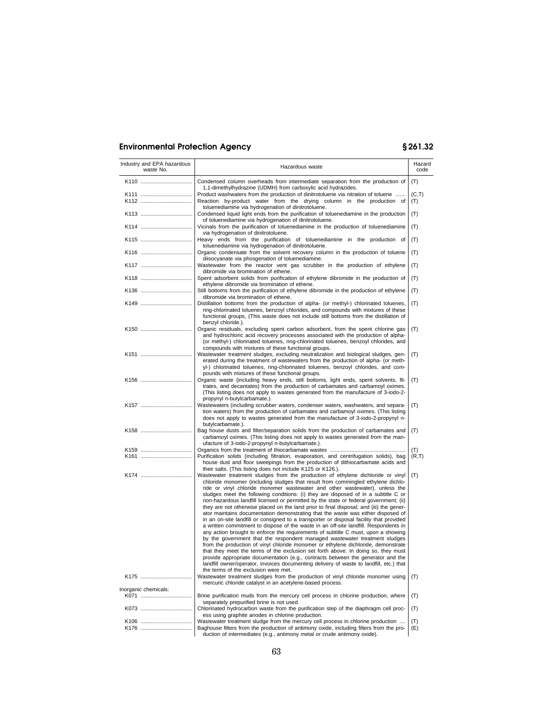| Industry and EPA hazardous<br>waste No. | Hazardous waste                                                                                                                                                                  | Hazard<br>code |
|-----------------------------------------|----------------------------------------------------------------------------------------------------------------------------------------------------------------------------------|----------------|
|                                         | Condensed column overheads from intermediate separation from the production of                                                                                                   | (T)            |
|                                         | 1,1-dimethylhydrazine (UDMH) from carboxylic acid hydrazides.                                                                                                                    |                |
|                                         | Product washwaters from the production of dinitrotoluene via nitration of toluene<br>Reaction by-product water from the drying column in the production of                       | (C,T)          |
|                                         | toluenediamine via hydrogenation of dinitrotoluene.                                                                                                                              | (T)            |
|                                         | Condensed liquid light ends from the purification of toluenediamine in the production                                                                                            | (T)            |
|                                         | of toluenediamine via hydrogenation of dinitrotoluene.                                                                                                                           |                |
|                                         | Vicinals from the purification of toluenediamine in the production of toluenediamine                                                                                             | (T)            |
|                                         | via hydrogenation of dinitrotoluene.                                                                                                                                             |                |
|                                         | Heavy ends from the purification of toluenediamine in the production of<br>toluenediamine via hydrogenation of dinitrotoluene.                                                   | (T)            |
|                                         | Organic condensate from the solvent recovery column in the production of toluene                                                                                                 | (T)            |
|                                         | diisocyanate via phosgenation of toluenediamine.                                                                                                                                 |                |
|                                         | Wastewater from the reactor vent gas scrubber in the production of ethylene                                                                                                      | (T)            |
|                                         | dibromide via bromination of ethene.<br>Spent adsorbent solids from purification of ethylene dibromide in the production of                                                      | (T)            |
|                                         | ethylene dibromide via bromination of ethene.                                                                                                                                    |                |
|                                         | Still bottoms from the purification of ethylene dibromide in the production of ethylene                                                                                          | (T)            |
|                                         | dibromide via bromination of ethene.                                                                                                                                             |                |
|                                         | Distillation bottoms from the production of alpha- (or methyl-) chlorinated toluenes,<br>ring-chlorinated toluenes, benzoyl chlorides, and compounds with mixtures of these      | (T)            |
|                                         | functional groups, (This waste does not include still bottoms from the distillation of                                                                                           |                |
|                                         | benzyl chloride.).                                                                                                                                                               |                |
|                                         | Organic residuals, excluding spent carbon adsorbent, from the spent chlorine gas<br>and hydrochloric acid recovery processes associated with the production of alpha-            | (T)            |
|                                         | (or methyl-) chlorinated toluenes, ring-chlorinated toluenes, benzoyl chlorides, and                                                                                             |                |
|                                         | compounds with mixtures of these functional groups.                                                                                                                              |                |
|                                         | Wastewater treatment sludges, excluding neutralization and biological sludges, gen-                                                                                              | (T)            |
|                                         | erated during the treatment of wastewaters from the production of alpha- (or meth-<br>yl-) chlorinated toluenes, ring-chlorinated toluenes, benzoyl chlorides, and com-          |                |
|                                         | pounds with mixtures of these functional groups.                                                                                                                                 |                |
| K156                                    | Organic waste (including heavy ends, still bottoms, light ends, spent solvents, fil-                                                                                             | (T)            |
|                                         | trates, and decantates) from the production of carbamates and carbamoyl oximes.                                                                                                  |                |
|                                         | (This listing does not apply to wastes generated from the manufacture of 3-iodo-2-<br>propynyl n-butylcarbamate.).                                                               |                |
|                                         | Wastewaters (including scrubber waters, condenser waters, washwaters, and separa-                                                                                                | (T)            |
|                                         | tion waters) from the production of carbamates and carbamoyl oximes. (This listing                                                                                               |                |
|                                         | does not apply to wastes generated from the manufacture of 3-iodo-2-propynyl n-                                                                                                  |                |
|                                         | butylcarbamate.).                                                                                                                                                                |                |
|                                         | Bag house dusts and filter/separation solids from the production of carbamates and<br>carbamoyl oximes. (This listing does not apply to wastes generated from the man-           | (T)            |
|                                         | ufacture of 3-iodo-2-propynyl n-butylcarbamate.).                                                                                                                                |                |
|                                         |                                                                                                                                                                                  | (T)            |
|                                         | Purification solids (including filtration, evaporation, and centrifugation solids), bag                                                                                          | (R,T)          |
|                                         | house dust and floor sweepings from the production of dithiocarbamate acids and<br>their salts. (This listing does not include K125 or K126.).                                   |                |
|                                         | Wastewater treatment sludges from the production of ethylene dichloride or vinyl                                                                                                 | (T)            |
|                                         | chloride monomer (including sludges that result from commingled ethylene dichlo-                                                                                                 |                |
|                                         | ride or vinyl chloride monomer wastewater and other wastewater), unless the                                                                                                      |                |
|                                         | sludges meet the following conditions: (i) they are disposed of in a subtitle C or                                                                                               |                |
|                                         | non-hazardous landfill licensed or permitted by the state or federal government; (ii)<br>they are not otherwise placed on the land prior to final disposal; and (iii) the gener- |                |
|                                         | ator maintains documentation demonstrating that the waste was either disposed of                                                                                                 |                |
|                                         | in an on-site landfill or consigned to a transporter or disposal facility that provided                                                                                          |                |
|                                         | a written commitment to dispose of the waste in an off-site landfill. Respondents in                                                                                             |                |
|                                         | any action brought to enforce the requirements of subtitle C must, upon a showing<br>by the government that the respondent managed wastewater treatment sludges                  |                |
|                                         | from the production of vinyl chloride monomer or ethylene dichloride, demonstrate                                                                                                |                |
|                                         | that they meet the terms of the exclusion set forth above. In doing so, they must                                                                                                |                |
|                                         | provide appropriate documentation (e.g., contracts between the generator and the                                                                                                 |                |
|                                         | landfill owner/operator, invoices documenting delivery of waste to landfill, etc.) that<br>the terms of the exclusion were met.                                                  |                |
| K175                                    | Wastewater treatment sludges from the production of vinyl chloride monomer using                                                                                                 | (T)            |
|                                         | mercuric chloride catalyst in an acetylene-based process.                                                                                                                        |                |
| Inorganic chemicals:                    |                                                                                                                                                                                  |                |
|                                         | Brine purification muds from the mercury cell process in chlorine production, where<br>separately prepurified brine is not used.                                                 | (T)            |
|                                         | Chlorinated hydrocarbon waste from the purification step of the diaphragm cell proc-                                                                                             | (T)            |
|                                         | ess using graphite anodes in chlorine production.                                                                                                                                |                |
|                                         | Wastewater treatment sludge from the mercury cell process in chlorine production                                                                                                 | (T)            |
|                                         | Baghouse filters from the production of antimony oxide, including filters from the pro-<br>duction of intermediates (e.g., antimony metal or crude antimony oxide).              | (E)            |
|                                         |                                                                                                                                                                                  |                |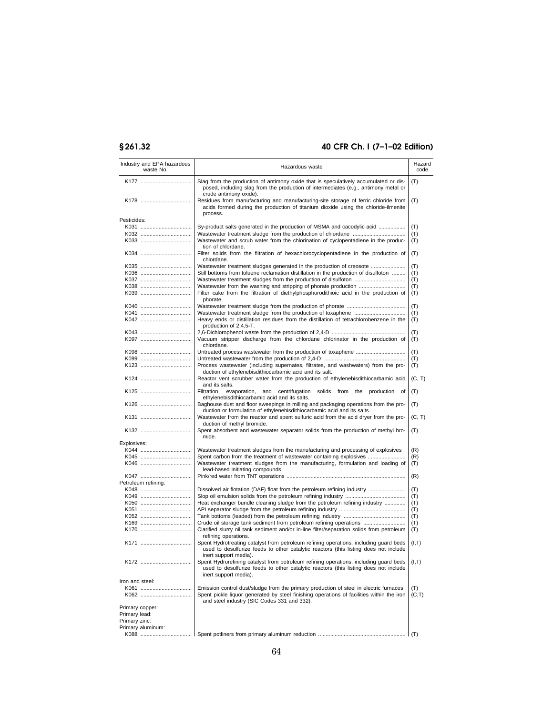# **§ 261.32 40 CFR Ch. I (7–1–02 Edition)**

|                     | Industry and EPA hazardous<br>waste No. | Hazardous waste                                                                                                                                                                                                                    | Hazard<br>code |
|---------------------|-----------------------------------------|------------------------------------------------------------------------------------------------------------------------------------------------------------------------------------------------------------------------------------|----------------|
|                     |                                         | Slag from the production of antimony oxide that is speculatively accumulated or dis-<br>posed, including slag from the production of intermediates (e.g., antimony metal or<br>crude antimony oxide).                              | (T)            |
|                     |                                         | Residues from manufacturing and manufacturing-site storage of ferric chloride from<br>acids formed during the production of titanium dioxide using the chloride-ilmenite<br>process.                                               | (T)            |
| Pesticides:         |                                         |                                                                                                                                                                                                                                    |                |
|                     |                                         | By-product salts generated in the production of MSMA and cacodylic acid                                                                                                                                                            | (T)            |
|                     | K032                                    |                                                                                                                                                                                                                                    | (T)            |
|                     |                                         | Wastewater and scrub water from the chlorination of cyclopentadiene in the produc-<br>tion of chlordane.                                                                                                                           | (T)            |
|                     | K034                                    | Filter solids from the filtration of hexachlorocyclopentadiene in the production of<br>chlordane.                                                                                                                                  | (T)            |
|                     | K035                                    | Wastewater treatment sludges generated in the production of creosote                                                                                                                                                               | (T)            |
|                     | K036                                    | Still bottoms from toluene reclamation distillation in the production of disulfoton                                                                                                                                                | (T)            |
|                     |                                         |                                                                                                                                                                                                                                    | (T)            |
|                     |                                         |                                                                                                                                                                                                                                    | (T)            |
|                     |                                         | Filter cake from the filtration of diethylphosphorodithioic acid in the production of<br>phorate.                                                                                                                                  | (T)            |
|                     |                                         |                                                                                                                                                                                                                                    | (T)            |
|                     | K041                                    |                                                                                                                                                                                                                                    | (T)            |
|                     |                                         | Heavy ends or distillation residues from the distillation of tetrachlorobenzene in the<br>production of 2,4,5-T.                                                                                                                   | (T)            |
|                     |                                         |                                                                                                                                                                                                                                    | (T)            |
|                     | K097                                    | Vacuum stripper discharge from the chlordane chlorinator in the production of<br>chlordane.                                                                                                                                        | (T)            |
|                     |                                         |                                                                                                                                                                                                                                    | (T)            |
|                     |                                         |                                                                                                                                                                                                                                    | (T)            |
|                     |                                         | Process wastewater (including supernates, filtrates, and washwaters) from the pro-<br>duction of ethylenebisdithiocarbamic acid and its salt.                                                                                      | (T)            |
|                     |                                         | Reactor vent scrubber water from the production of ethylenebisdithiocarbamic acid<br>and its salts.                                                                                                                                | (C, T)         |
|                     |                                         | Filtration, evaporation, and centrifugation solids from the<br>production of<br>ethylenebisdithiocarbamic acid and its salts.                                                                                                      | (T)            |
|                     | K126                                    | Baghouse dust and floor sweepings in milling and packaging operations from the pro-<br>duction or formulation of ethylenebisdithiocarbamic acid and its salts.                                                                     | (T)            |
|                     |                                         | Wastewater from the reactor and spent sulfuric acid from the acid dryer from the pro-<br>duction of methyl bromide.                                                                                                                | (C, T)         |
|                     |                                         | Spent absorbent and wastewater separator solids from the production of methyl bro-<br>mide.                                                                                                                                        | (T)            |
| Explosives:         |                                         |                                                                                                                                                                                                                                    |                |
|                     |                                         | Wastewater treatment sludges from the manufacturing and processing of explosives                                                                                                                                                   | (R)            |
|                     |                                         | Spent carbon from the treatment of wastewater containing explosives                                                                                                                                                                | (R)            |
|                     |                                         | Wastewater treatment sludges from the manufacturing, formulation and loading of<br>lead-based initiating compounds.                                                                                                                | (T)            |
| Petroleum refining: | K047                                    |                                                                                                                                                                                                                                    | (R)            |
|                     |                                         | Dissolved air flotation (DAF) float from the petroleum refining industry                                                                                                                                                           | (T)            |
|                     |                                         |                                                                                                                                                                                                                                    | (T)            |
|                     |                                         | Heat exchanger bundle cleaning sludge from the petroleum refining industry                                                                                                                                                         | (T)            |
|                     | K051                                    |                                                                                                                                                                                                                                    | (T)            |
|                     |                                         |                                                                                                                                                                                                                                    | (T)            |
|                     |                                         | Crude oil storage tank sediment from petroleum refining operations<br>Clarified slurry oil tank sediment and/or in-line filter/separation solids from petroleum                                                                    | (T)<br>(T)     |
|                     |                                         | refining operations.<br>Spent Hydrotreating catalyst from petroleum refining operations, including guard beds                                                                                                                      | (I, T)         |
|                     |                                         | used to desulfurize feeds to other catalytic reactors (this listing does not include<br>inert support media).                                                                                                                      |                |
|                     |                                         | Spent Hydrorefining catalyst from petroleum refining operations, including quard beds<br>used to desulfurize feeds to other catalytic reactors (this listing does not include<br>inert support media).                             | (I,T)          |
| Iron and steel:     |                                         |                                                                                                                                                                                                                                    |                |
|                     |                                         | Emission control dust/sludge from the primary production of steel in electric furnaces<br>Spent pickle liguor generated by steel finishing operations of facilities within the iron<br>and steel industry (SIC Codes 331 and 332). | (T)<br>(C,T)   |
| Primary copper:     |                                         |                                                                                                                                                                                                                                    |                |
| Primary lead:       |                                         |                                                                                                                                                                                                                                    |                |
| Primary zinc:       |                                         |                                                                                                                                                                                                                                    |                |
| Primary aluminum:   |                                         |                                                                                                                                                                                                                                    |                |
|                     |                                         |                                                                                                                                                                                                                                    | (T)            |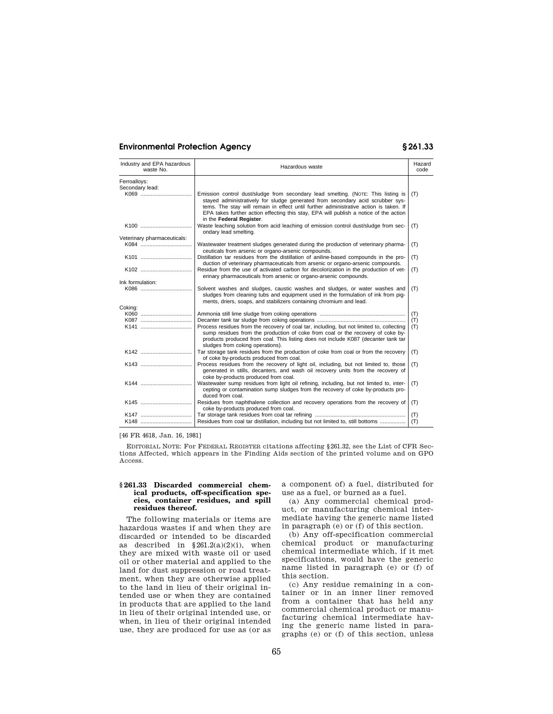| Industry and EPA hazardous<br>waste No. | Hazardous waste                                                                                                                                                                                                                                                                                                                                                                   | Hazard<br>code |
|-----------------------------------------|-----------------------------------------------------------------------------------------------------------------------------------------------------------------------------------------------------------------------------------------------------------------------------------------------------------------------------------------------------------------------------------|----------------|
| Ferroalloys:                            |                                                                                                                                                                                                                                                                                                                                                                                   |                |
| Secondary lead:                         |                                                                                                                                                                                                                                                                                                                                                                                   |                |
| K069                                    | Emission control dust/sludge from secondary lead smelting. (NOTE: This listing is<br>stayed administratively for sludge generated from secondary acid scrubber sys-<br>tems. The stay will remain in effect until further administrative action is taken. If<br>EPA takes further action effecting this stay, EPA will publish a notice of the action<br>in the Federal Register. | (T)            |
|                                         | Waste leaching solution from acid leaching of emission control dust/sludge from sec-<br>ondary lead smelting.                                                                                                                                                                                                                                                                     | (T)            |
| Veterinary pharmaceuticals:             |                                                                                                                                                                                                                                                                                                                                                                                   |                |
|                                         | Wastewater treatment sludges generated during the production of veterinary pharma-<br>ceuticals from arsenic or organo-arsenic compounds.                                                                                                                                                                                                                                         | (T)            |
|                                         | Distillation tar residues from the distillation of aniline-based compounds in the pro-<br>duction of veterinary pharmaceuticals from arsenic or organo-arsenic compounds.                                                                                                                                                                                                         | (T)            |
|                                         | Residue from the use of activated carbon for decolorization in the production of vet-<br>erinary pharmaceuticals from arsenic or organo-arsenic compounds.                                                                                                                                                                                                                        | (T)            |
| Ink formulation:                        |                                                                                                                                                                                                                                                                                                                                                                                   |                |
|                                         | Solvent washes and sludges, caustic washes and sludges, or water washes and<br>sludges from cleaning tubs and equipment used in the formulation of ink from pig-<br>ments, driers, soaps, and stabilizers containing chromium and lead.                                                                                                                                           | (T)            |
| Coking:                                 |                                                                                                                                                                                                                                                                                                                                                                                   |                |
|                                         |                                                                                                                                                                                                                                                                                                                                                                                   | (T)            |
| K087                                    |                                                                                                                                                                                                                                                                                                                                                                                   | (T)            |
|                                         | Process residues from the recovery of coal tar, including, but not limited to, collecting<br>sump residues from the production of coke from coal or the recovery of coke by-<br>products produced from coal. This listing does not include K087 (decanter tank tar<br>sludges from coking operations).                                                                            | (T)            |
|                                         | Tar storage tank residues from the production of coke from coal or from the recovery<br>of coke by-products produced from coal.                                                                                                                                                                                                                                                   | (T)            |
|                                         | Process residues from the recovery of light oil, including, but not limited to, those<br>generated in stills, decanters, and wash oil recovery units from the recovery of<br>coke by-products produced from coal.                                                                                                                                                                 | (T)            |
|                                         | Wastewater sump residues from light oil refining, including, but not limited to, inter-<br>cepting or contamination sump sludges from the recovery of coke by-products pro-<br>duced from coal.                                                                                                                                                                                   | (T)            |
|                                         | Residues from naphthalene collection and recovery operations from the recovery of<br>coke by-products produced from coal.                                                                                                                                                                                                                                                         | (T)            |
|                                         |                                                                                                                                                                                                                                                                                                                                                                                   | (T)            |
| K148                                    | Residues from coal tar distillation, including but not limited to, still bottoms                                                                                                                                                                                                                                                                                                  | (T)            |

### [46 FR 4618, Jan. 16, 1981]

EDITORIAL NOTE: For FEDERAL REGISTER citations affecting § 261.32, see the List of CFR Sections Affected, which appears in the Finding Aids section of the printed volume and on GPO Access.

### **§ 261.33 Discarded commercial chemical products, off-specification species, container residues, and spill residues thereof.**

The following materials or items are hazardous wastes if and when they are discarded or intended to be discarded as described in  $§261.2(a)(2)(i)$ , when they are mixed with waste oil or used oil or other material and applied to the land for dust suppression or road treatment, when they are otherwise applied to the land in lieu of their original intended use or when they are contained in products that are applied to the land in lieu of their original intended use, or when, in lieu of their original intended use, they are produced for use as (or as a component of) a fuel, distributed for use as a fuel, or burned as a fuel.

(a) Any commercial chemical product, or manufacturing chemical intermediate having the generic name listed in paragraph (e) or (f) of this section.

(b) Any off-specification commercial chemical product or manufacturing chemical intermediate which, if it met specifications, would have the generic name listed in paragraph (e) or (f) of this section.

(c) Any residue remaining in a container or in an inner liner removed from a container that has held any commercial chemical product or manufacturing chemical intermediate having the generic name listed in paragraphs (e) or (f) of this section, unless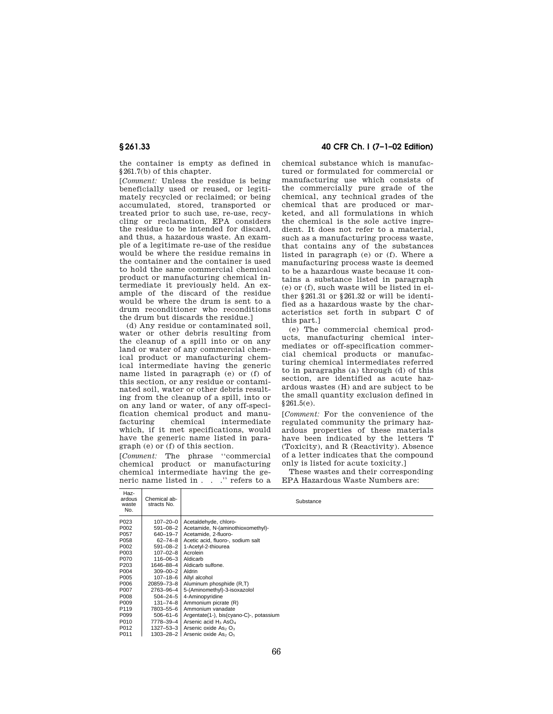the container is empty as defined in § 261.7(b) of this chapter.

[*Comment:* Unless the residue is being beneficially used or reused, or legitimately recycled or reclaimed; or being accumulated, stored, transported or treated prior to such use, re-use, recycling or reclamation, EPA considers the residue to be intended for discard, and thus, a hazardous waste. An example of a legitimate re-use of the residue would be where the residue remains in the container and the container is used to hold the same commercial chemical product or manufacturing chemical intermediate it previously held. An example of the discard of the residue would be where the drum is sent to a drum reconditioner who reconditions the drum but discards the residue.]

(d) Any residue or contaminated soil, water or other debris resulting from the cleanup of a spill into or on any land or water of any commercial chemical product or manufacturing chemical intermediate having the generic name listed in paragraph (e) or (f) of this section, or any residue or contaminated soil, water or other debris resulting from the cleanup of a spill, into or on any land or water, of any off-specification chemical product and manufacturing chemical intermediate which, if it met specifications, would have the generic name listed in paragraph (e) or (f) of this section.

[*Comment:* The phrase ''commercial chemical product or manufacturing chemical intermediate having the generic name listed in . . .'' refers to a

**§ 261.33 40 CFR Ch. I (7–1–02 Edition)**

chemical substance which is manufactured or formulated for commercial or manufacturing use which consists of the commercially pure grade of the chemical, any technical grades of the chemical that are produced or marketed, and all formulations in which the chemical is the sole active ingredient. It does not refer to a material, such as a manufacturing process waste, that contains any of the substances listed in paragraph (e) or (f). Where a manufacturing process waste is deemed to be a hazardous waste because it contains a substance listed in paragraph (e) or (f), such waste will be listed in either § 261.31 or § 261.32 or will be identified as a hazardous waste by the characteristics set forth in subpart C of this part.]

(e) The commercial chemical products, manufacturing chemical intermediates or off-specification commercial chemical products or manufacturing chemical intermediates referred to in paragraphs (a) through (d) of this section, are identified as acute hazardous wastes (H) and are subject to be the small quantity exclusion defined in § 261.5(e).

[*Comment:* For the convenience of the regulated community the primary hazardous properties of these materials have been indicated by the letters T (Toxicity), and R (Reactivity). Absence of a letter indicates that the compound only is listed for acute toxicity.]

These wastes and their corresponding EPA Hazardous Waste Numbers are:

| Haz-<br>ardous<br>waste<br>No. | Chemical ab-<br>stracts No. | Substance                                    |
|--------------------------------|-----------------------------|----------------------------------------------|
| P023                           | $107 - 20 - 0$              | Acetaldehyde, chloro-                        |
| P002                           | 591-08-2                    | Acetamide, N-(aminothioxomethyl)-            |
| P057                           | 640-19-7                    | Acetamide, 2-fluoro-                         |
| P058                           | $62 - 74 - 8$               | Acetic acid, fluoro-, sodium salt            |
| P002                           | $591 - 08 - 2$              | 1-Acetyl-2-thiourea                          |
| P003                           | $107 - 02 - 8$              | Acrolein                                     |
| P070                           | 116-06-3                    | Aldicarb                                     |
| P <sub>203</sub>               | 1646-88-4                   | Aldicarb sulfone.                            |
| P004                           | $309 - 00 - 2$              | Aldrin                                       |
| P005                           | $107 - 18 - 6$              | Allyl alcohol                                |
| P006                           | 20859-73-8                  | Aluminum phosphide (R,T)                     |
| P007                           | 2763-96-4                   | 5-(Aminomethyl)-3-isoxazolol                 |
| P008                           | $504 - 24 - 5$              | 4-Aminopyridine                              |
| P009                           | $131 - 74 - 8$              | Ammonium picrate (R)                         |
| P119                           | 7803-55-6                   | Ammonium vanadate                            |
| P099                           | $506 - 61 - 6$              | Argentate(1-), bis(cyano-C)-, potassium      |
| P010                           | 7778-39-4                   | Arsenic acid H <sub>3</sub> AsO <sub>4</sub> |
| P012                           | 1327–53–3                   | Arsenic oxide As <sub>2</sub> O <sub>3</sub> |
| P011                           | 1303-28-2                   | Arsenic oxide As <sub>2</sub> O <sub>5</sub> |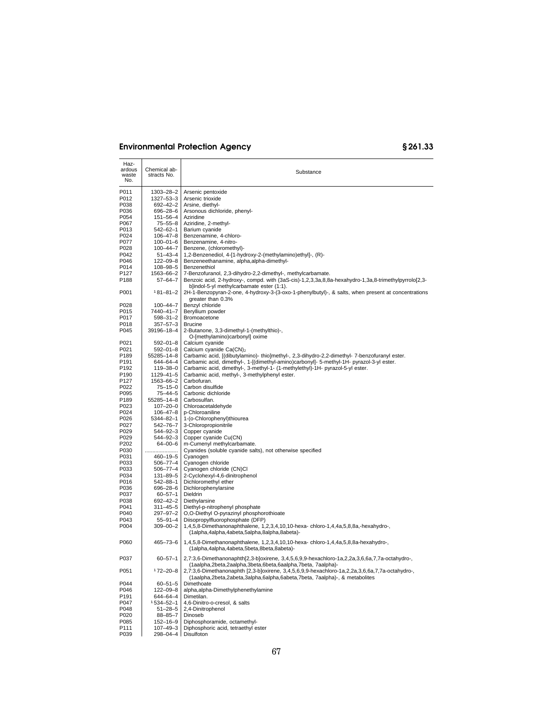| Haz-<br>ardous<br>waste<br>No. | Chemical ab-<br>stracts No.  | Substance                                                                                                                                                                                 |
|--------------------------------|------------------------------|-------------------------------------------------------------------------------------------------------------------------------------------------------------------------------------------|
|                                |                              |                                                                                                                                                                                           |
| P011<br>P012                   | 1303-28-2<br>1327–53–3       | Arsenic pentoxide<br>Arsenic trioxide                                                                                                                                                     |
| P038                           | 692-42-2                     | Arsine, diethyl-                                                                                                                                                                          |
| P036                           | 696-28-6                     | Arsonous dichloride, phenyl-                                                                                                                                                              |
| P054                           | 151-56-4                     | Aziridine                                                                                                                                                                                 |
| P067                           | 75-55-8                      | Aziridine, 2-methyl-                                                                                                                                                                      |
| P013                           | 542-62-1                     | Barium cyanide                                                                                                                                                                            |
| P024<br>P077                   | 106-47-8<br>$100 - 01 - 6$   | Benzenamine, 4-chloro-                                                                                                                                                                    |
| P028                           | $100 - 44 - 7$               | Benzenamine, 4-nitro-<br>Benzene, (chloromethyl)-                                                                                                                                         |
| P042                           | 51-43-4                      | 1,2-Benzenediol, 4-[1-hydroxy-2-(methylamino)ethyl]-, (R)-                                                                                                                                |
| P046                           | $122 - 09 - 8$               | Benzeneethanamine, alpha, alpha-dimethyl-                                                                                                                                                 |
| P014                           | 108-98-5                     | Benzenethiol                                                                                                                                                                              |
| P127                           | 1563-66-2                    | 7-Benzofuranol, 2,3-dihydro-2,2-dimethyl-, methylcarbamate.                                                                                                                               |
| P188                           | $57 - 64 - 7$                | Benzoic acid, 2-hydroxy-, compd. with (3aS-cis)-1,2,3,3a,8,8a-hexahydro-1,3a,8-trimethylpyrrolo[2,3-<br>b]indol-5-yl methylcarbamate ester (1:1).                                         |
| P001                           | 181-81-2                     | 2H-1-Benzopyran-2-one, 4-hydroxy-3-(3-oxo-1-phenylbutyl)-, & salts, when present at concentrations<br>greater than 0.3%                                                                   |
| P028<br>P015                   | $100 - 44 - 7$<br>7440-41-7  | Benzyl chloride<br>Beryllium powder                                                                                                                                                       |
| P017                           | $598 - 31 - 2$               | Bromoacetone                                                                                                                                                                              |
| P018                           | $357 - 57 - 3$               | <b>Brucine</b>                                                                                                                                                                            |
| P045                           | 39196-18-4                   | 2-Butanone, 3,3-dimethyl-1-(methylthio)-,<br>O-[methylamino)carbonyl] oxime                                                                                                               |
| P021                           | $592 - 01 - 8$               | Calcium cvanide                                                                                                                                                                           |
| P021                           | $592 - 01 - 8$               | Calcium cyanide Ca(CN) <sub>2</sub>                                                                                                                                                       |
| P <sub>189</sub><br>P191       | 55285-14-8<br>644-64-4       | Carbamic acid, [(dibutylamino)- thio]methyl-, 2,3-dihydro-2,2-dimethyl- 7-benzofuranyl ester.<br>Carbamic acid, dimethyl-, 1-[(dimethyl-amino)carbonyl]- 5-methyl-1H- pyrazol-3-yl ester. |
| P192                           | 119-38-0                     | Carbamic acid, dimethyl-, 3-methyl-1- (1-methylethyl)-1H- pyrazol-5-yl ester.                                                                                                             |
| P190                           | $1129 - 41 - 5$              | Carbamic acid, methyl-, 3-methylphenyl ester.                                                                                                                                             |
| P127                           | 1563-66-2                    | Carbofuran.                                                                                                                                                                               |
| P022                           | 75-15-0                      | Carbon disulfide                                                                                                                                                                          |
| P095                           | $75 - 44 - 5$                | Carbonic dichloride                                                                                                                                                                       |
| P189<br>P023                   | 55285-14-8<br>$107 - 20 - 0$ | Carbosulfan.<br>Chloroacetaldehyde                                                                                                                                                        |
| P024                           | $106 - 47 - 8$               | p-Chloroaniline                                                                                                                                                                           |
| P026                           | 5344-82-1                    | 1-(o-Chlorophenyl)thiourea                                                                                                                                                                |
| P027                           | 542-76-7                     | 3-Chloropropionitrile                                                                                                                                                                     |
| P029                           | 544-92-3                     | Copper cyanide                                                                                                                                                                            |
| P029<br>P202                   | 544-92-3<br>$64 - 00 - 6$    | Copper cyanide Cu(CN)<br>m-Cumenyl methylcarbamate.                                                                                                                                       |
| P030                           |                              | Cyanides (soluble cyanide salts), not otherwise specified                                                                                                                                 |
| P031                           | 460-19-5                     | Cyanogen                                                                                                                                                                                  |
| P033                           | $506 - 77 - 4$               | Cyanogen chloride                                                                                                                                                                         |
| P033                           | $506 - 77 - 4$               | Cyanogen chloride (CN)Cl                                                                                                                                                                  |
| P034                           | 131-89-5                     | 2-Cyclohexyl-4,6-dinitrophenol                                                                                                                                                            |
| P016<br>P036                   | 542-88-1<br>696-28-6         | Dichloromethyl ether<br>Dichlorophenylarsine                                                                                                                                              |
| P037                           | $60 - 57 - 1$                | Dieldrin                                                                                                                                                                                  |
| P038                           | 692-42-2                     | Diethylarsine                                                                                                                                                                             |
| P041                           | $311 - 45 - 5$               | Diethyl-p-nitrophenyl phosphate                                                                                                                                                           |
| P040                           | 297-97-2                     | O,O-Diethyl O-pyrazinyl phosphorothioate                                                                                                                                                  |
| P043                           | $55 - 91 - 4$                | Diisopropylfluorophosphate (DFP)                                                                                                                                                          |
| P004                           | $309 - 00 - 2$               | 1,4,5,8-Dimethanonaphthalene, 1,2,3,4,10,10-hexa-chloro-1,4,4a,5,8,8a,-hexahydro-,<br>(1alpha,4alpha,4abeta,5alpha,8alpha,8abeta)-                                                        |
| P060                           | $465 - 73 - 6$               | 1,4,5,8-Dimethanonaphthalene, 1,2,3,4,10,10-hexa-chloro-1,4,4a,5,8,8a-hexahydro-,<br>(1alpha,4alpha,4abeta,5beta,8beta,8abeta)-                                                           |
| P037                           | 60-57-1                      | 2,7:3,6-Dimethanonaphth[2,3-b]oxirene, 3,4,5,6,9,9-hexachloro-1a,2,2a,3,6,6a,7,7a-octahydro-,<br>(1aalpha,2beta,2aalpha,3beta,6beta,6aalpha,7beta, 7aalpha)-                              |
| P051                           | $172 - 20 - 8$               | 2,7:3,6-Dimethanonaphth [2,3-b]oxirene, 3,4,5,6,9,9-hexachloro-1a,2,2a,3,6,6a,7,7a-octahydro-,<br>(1aalpha,2beta,2abeta,3alpha,6alpha,6abeta,7beta, 7aalpha)-, & metabolites              |
| P044                           | $60 - 51 - 5$                | Dimethoate                                                                                                                                                                                |
| P046                           | 122-09-8                     | alpha, alpha-Dimethylphenethylamine                                                                                                                                                       |
| P191<br>P047                   | 644-64-4<br>$1534 - 52 - 1$  | Dimetilan.<br>4,6-Dinitro-o-cresol, & salts                                                                                                                                               |
| P048                           | 51-28-5                      | 2,4-Dinitrophenol                                                                                                                                                                         |
| P020                           | 88-85-7                      | Dinoseb                                                                                                                                                                                   |
| P085                           | $152 - 16 - 9$               | Diphosphoramide, octamethyl-                                                                                                                                                              |
| P111                           | 107-49-3                     | Diphosphoric acid, tetraethyl ester                                                                                                                                                       |
| P039                           | $298 - 04 - 4$               | Disulfoton                                                                                                                                                                                |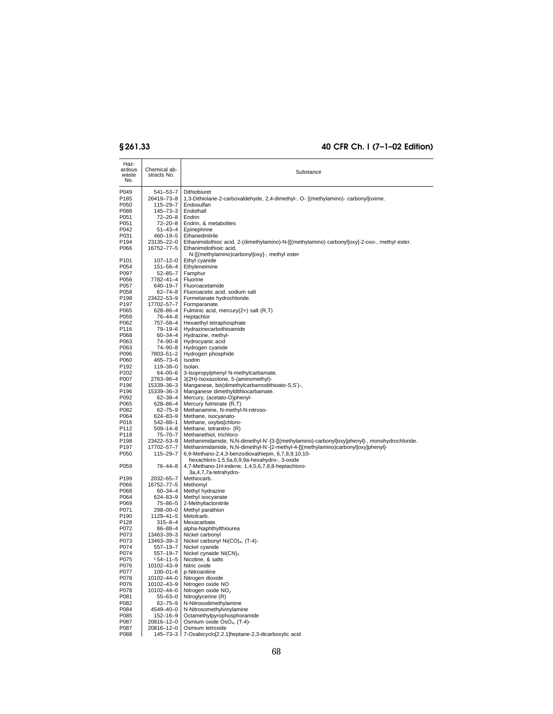# $\overline{\phantom{0}}$

# **§ 261.33 40 CFR Ch. I (7–1–02 Edition)**

| Haz-<br>ardous<br>waste<br>No. | Chemical ab-<br>stracts No.  | Substance                                                                                           |
|--------------------------------|------------------------------|-----------------------------------------------------------------------------------------------------|
| P049                           | 541–53–7                     | Dithiobiuret                                                                                        |
| P185                           | 26419-73-8                   | 1,3-Dithiolane-2-carboxaldehyde, 2,4-dimethyl-, O- [(methylamino)- carbonyl]oxime.                  |
| P050                           | 115-29-7                     | Endosulfan                                                                                          |
| P088                           | 145-73-3                     | Endothall                                                                                           |
| P051<br>P051                   | $72 - 20 - 8$<br>72-20-8     | Endrin<br>Endrin, & metabolites                                                                     |
| P042                           | 51-43-4                      | Epinephrine                                                                                         |
| P031                           | 460-19-5                     | Ethanedinitrile                                                                                     |
| P194                           | 23135-22-0                   | Ethanimidothioc acid, 2-(dimethylamino)-N-[[(methylamino) carbonyl]oxy]-2-oxo-, methyl ester.       |
| P066                           | 16752-77-5                   | Ethanimidothioic acid,<br>N-[[(methylamino)carbonyl]oxy]-, methyl ester                             |
| P <sub>101</sub><br>P054       | $107 - 12 - 0$<br>151-56-4   | Ethyl cyanide<br>Ethyleneimine                                                                      |
| P097                           | $52 - 85 - 7$                | Famphur                                                                                             |
| P056                           | 7782-41-4                    | Fluorine                                                                                            |
| P057                           | 640-19-7                     | Fluoroacetamide                                                                                     |
| P058                           | 62-74-8                      | Fluoroacetic acid, sodium salt                                                                      |
| P198                           | 23422-53-9                   | Formetanate hydrochloride.                                                                          |
| P197<br>P065                   | 17702-57-7<br>628-86-4       | Formparanate.<br>Fulminic acid, mercury(2+) salt (R,T)                                              |
| P059                           | 76-44-8                      | Heptachlor                                                                                          |
| P062                           | 757-58-4                     | Hexaethyl tetraphosphate                                                                            |
| P116                           | 79-19-6                      | Hydrazinecarbothioamide                                                                             |
| P068                           | $60 - 34 - 4$                | Hydrazine, methyl-                                                                                  |
| P063<br>P063                   | 74-90-8<br>74-90-8           | Hydrocyanic acid<br>Hydrogen cyanide                                                                |
| P096                           | 7803-51-2                    | Hydrogen phosphide                                                                                  |
| P060                           | 465-73-6                     | Isodrin                                                                                             |
| P <sub>192</sub>               | 119-38-0                     | Isolan.                                                                                             |
| P202                           | $64 - 00 - 6$                | 3-Isopropylphenyl N-methylcarbamate.                                                                |
| P007<br>P196                   | 2763-96-4<br>15339-36-3      | 3(2H)-Isoxazolone, 5-(aminomethyl)-<br>Manganese, bis(dimethylcarbamodithioato-S,S')-,              |
| P196                           | 15339-36-3                   | Manganese dimethyldithiocarbamate.                                                                  |
| P092                           | 62-38-4                      | Mercury, (acetato-O)phenyl-                                                                         |
| P065                           | 628-86-4                     | Mercury fulminate (R,T)                                                                             |
| P082                           | $62 - 75 - 9$                | Methanamine, N-methyl-N-nitroso-                                                                    |
| P064<br>P016                   | 624–83–9<br>542–88–1         | Methane, isocyanato-<br>Methane, oxybis[chloro-                                                     |
| P112                           | 509–14–8                     | Methane, tetranitro- (R)                                                                            |
| P118                           | $75 - 70 - 7$                | Methanethiol, trichloro-                                                                            |
| P198                           | 23422-53-9                   | Methanimidamide, N,N-dimethyl-N'-[3-[[(methylamino)-carbonyl]oxy]phenyl]-, monohydrochloride.       |
| P197                           | 17702-57-7                   | Methanimidamide, N,N-dimethyl-N'-[2-methyl-4-[[(methylamino)carbonyl]oxy]phenyl]-                   |
| P050                           | $115 - 29 - 7$               | 6,9-Methano-2,4,3-benzodioxathiepin, 6,7,8,9,10,10-<br>hexachloro-1,5,5a,6,9,9a-hexahydro-, 3-oxide |
| P059                           | 76–44–8                      | 4,7-Methano-1H-indene, 1,4,5,6,7,8,8-heptachloro-<br>3a,4,7,7a-tetrahydro-                          |
| P199<br>P066                   | 2032-65-7<br>16752-77-5      | Methiocarb.<br>Methomyl                                                                             |
| P068                           | 60-34-4                      | Methyl hydrazine                                                                                    |
| P064                           | 624–83–9                     | Methyl isocyanate                                                                                   |
| P069                           | 75-86-5                      | 2-Methyllactonitrile                                                                                |
| P071<br>P <sub>190</sub>       | 298-00-0<br>1129-41-5        | Methyl parathion<br>Metolcarb.                                                                      |
| P128                           | $315 - 8 - 4$                | Mexacarbate.                                                                                        |
| P072                           | 86-88-4                      | alpha-Naphthylthiourea                                                                              |
| P073                           | 13463-39-3                   | Nickel carbonyl                                                                                     |
| P073                           | 13463-39-3                   | Nickel carbonyl Ni(CO) <sub>4</sub> , (T-4)-                                                        |
| P074<br>P074                   | 557-19-7<br>557–19–7         | Nickel cyanide                                                                                      |
| P075                           | $154 - 11 - 5$               | Nickel cynaide $Ni(CN)2$<br>Nicotine, & salts                                                       |
| P076                           | 10102-43-9                   | Nitric oxide                                                                                        |
| P077                           | $100 - 01 - 6$               | p-Nitroaniline                                                                                      |
| P078                           | 10102-44-0                   | Nitrogen dioxide                                                                                    |
| P076                           | 10102-43-9                   | Nitrogen oxide NO                                                                                   |
| P078<br>P081                   | 10102-44-0<br>$55 - 63 - 0$  | Nitrogen oxide NO <sub>2</sub><br>Nitroglycerine (R)                                                |
| P082                           | $62 - 75 - 9$                | N-Nitrosodimethylamine                                                                              |
| P084                           | 4549-40-0                    | N-Nitrosomethylvinylamine                                                                           |
| P085                           | $152 - 16 - 9$               | Octamethylpyrophosphoramide                                                                         |
| P087                           | 20816-12-0                   | Osmium oxide OsO <sub>4</sub> , (T-4)-                                                              |
| P087<br>P088                   | 20816-12-0<br>$145 - 73 - 3$ | Osmium tetroxide<br>7-Oxabicyclo[2.2.1]heptane-2,3-dicarboxylic acid                                |
|                                |                              |                                                                                                     |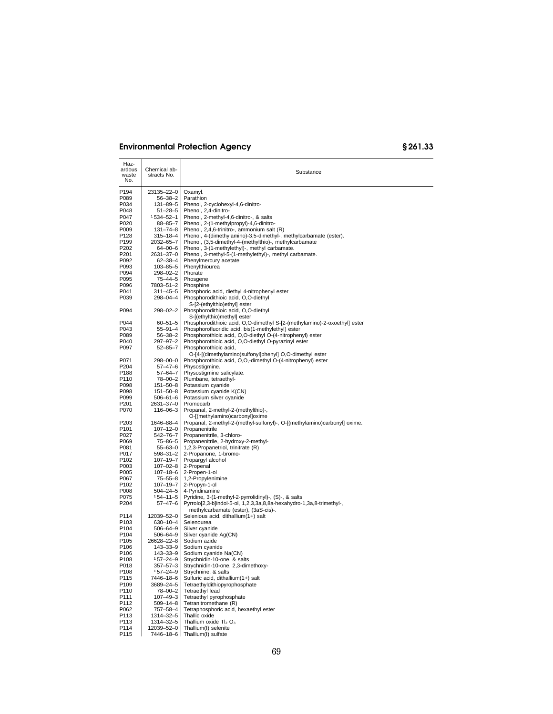| Haz-             |                 |                                                                           |
|------------------|-----------------|---------------------------------------------------------------------------|
| ardous           | Chemical ab-    | Substance                                                                 |
| waste<br>No.     | stracts No.     |                                                                           |
|                  |                 |                                                                           |
| P194             | 23135-22-0      | Oxamyl.                                                                   |
| P089             | $56 - 38 - 2$   | Parathion                                                                 |
| P034             | $131 - 89 - 5$  | Phenol, 2-cyclohexyl-4,6-dinitro-                                         |
| P048             | $51 - 28 - 5$   | Phenol, 2,4-dinitro-                                                      |
| P047             | $1534 - 52 - 1$ | Phenol, 2-methyl-4,6-dinitro-, & salts                                    |
| P020             | 88-85-7         | Phenol, 2-(1-methylpropyl)-4,6-dinitro-                                   |
| P009             | 131-74-8        | Phenol, 2,4,6-trinitro-, ammonium salt (R)                                |
| P128             | $315 - 18 - 4$  | Phenol, 4-(dimethylamino)-3,5-dimethyl-, methylcarbamate (ester).         |
| P199             | 2032-65-7       | Phenol, (3,5-dimethyl-4-(methylthio)-, methylcarbamate                    |
| P202             | $64 - 00 - 6$   | Phenol, 3-(1-methylethyl)-, methyl carbamate.                             |
| P201             | 2631-37-0       | Phenol, 3-methyl-5-(1-methylethyl)-, methyl carbamate.                    |
| P092             | 62-38-4         | Phenylmercury acetate                                                     |
| P093             | $103 - 85 - 5$  | Phenylthiourea                                                            |
| P094             | 298-02-2        | Phorate                                                                   |
| P095             | 75-44-5         | Phosgene                                                                  |
| P096             | 7803-51-2       | Phosphine                                                                 |
| P041             | $311 - 45 - 5$  | Phosphoric acid, diethyl 4-nitrophenyl ester                              |
| P039             | $298 - 04 - 4$  | Phosphorodithioic acid, O,O-diethyl                                       |
|                  |                 | S-[2-(ethylthio)ethyl] ester                                              |
| P094             | $298 - 02 - 2$  | Phosphorodithioic acid, O,O-diethyl                                       |
|                  |                 | S-[(ethylthio)methyl] ester                                               |
| P044             | $60 - 51 - 5$   | Phosphorodithioic acid, O,O-dimethyl S-[2-(methylamino)-2-oxoethyl] ester |
| P043             | $55 - 91 - 4$   | Phosphorofluoridic acid, bis(1-methylethyl) ester                         |
| P089             | $56 - 38 - 2$   | Phosphorothioic acid, O,O-diethyl O-(4-nitrophenyl) ester                 |
| P040             | 297-97-2        | Phosphorothioic acid, O,O-diethyl O-pyrazinyl ester                       |
| P097             | $52 - 85 - 7$   | Phosphorothioic acid,                                                     |
|                  |                 | O-[4-[(dimethylamino)sulfonyl]phenyl] O,O-dimethyl ester                  |
| P071             | $298 - 00 - 0$  | Phosphorothioic acid, O,O,-dimethyl O-(4-nitrophenyl) ester               |
| P204             | $57 - 47 - 6$   | Physostigmine.                                                            |
| P188             | $57 - 64 - 7$   | Physostigmine salicylate.                                                 |
| P110             | 78-00-2         | Plumbane, tetraethyl-                                                     |
| P098             | 151-50-8        | Potassium cyanide                                                         |
| P098             | $151 - 50 - 8$  | Potassium cyanide K(CN)                                                   |
| P099             | $506 - 61 - 6$  | Potassium silver cyanide                                                  |
| P201             | 2631-37-0       | Promecarb                                                                 |
| P070             | $116 - 06 - 3$  | Propanal, 2-methyl-2-(methylthio)-,                                       |
|                  |                 | O-[(methylamino)carbonyl]oxime                                            |
| P203             | 1646-88-4       | Propanal, 2-methyl-2-(methyl-sulfonyl)-, O-[(methylamino)carbonyl] oxime. |
| P101             | $107 - 12 - 0$  | Propanenitrile                                                            |
| P027             | 542-76-7        | Propanenitrile, 3-chloro-                                                 |
| P069             | 75-86-5         | Propanenitrile, 2-hydroxy-2-methyl-                                       |
| P081             | $55 - 63 - 0$   | 1,2,3-Propanetriol, trinitrate (R)                                        |
| P017             | $598 - 31 - 2$  | 2-Propanone, 1-bromo-                                                     |
| P <sub>102</sub> | 107-19-7        | Propargyl alcohol                                                         |
| P003             | $107 - 02 - 8$  | 2-Propenal                                                                |
| P005             | $107 - 18 - 6$  | 2-Propen-1-ol                                                             |
| P067             | 75-55-8         | 1,2-Propylenimine                                                         |
| P <sub>102</sub> | $107 - 19 - 7$  | 2-Propyn-1-ol                                                             |
| P008             | $504 - 24 - 5$  | 4-Pyridinamine                                                            |
| P075             | $154 - 11 - 5$  | Pyridine, 3-(1-methyl-2-pyrrolidinyl)-, (S)-, & salts                     |
| P204             | $57 - 47 - 6$   | Pyrrolo[2,3-b]indol-5-ol, 1,2,3,3a,8,8a-hexahydro-1,3a,8-trimethyl-,      |
|                  |                 | methylcarbamate (ester), (3aS-cis)-.                                      |
| P114             | 12039-52-0      | Selenious acid, dithallium(1+) salt                                       |
| P <sub>103</sub> | $630 - 10 - 4$  | Selenourea                                                                |
| P104             | 506-64-9        | Silver cyanide                                                            |
| P <sub>104</sub> | 506-64-9        | Silver cyanide Ag(CN)                                                     |
| P <sub>105</sub> | 26628-22-8      | Sodium azide                                                              |
| P <sub>106</sub> | 143-33-9        | Sodium cyanide                                                            |
| P <sub>106</sub> | 143-33-9        | Sodium cyanide Na(CN)                                                     |
| P108             | 157-24-9        | Strychnidin-10-one, & salts                                               |
| P018             | $357 - 57 - 3$  | Strychnidin-10-one, 2,3-dimethoxy-                                        |
| P108             | $157 - 24 - 9$  | Strychnine, & salts                                                       |
| P115             | 7446-18-6       | Sulfuric acid, dithallium(1+) salt                                        |
| P <sub>109</sub> | 3689-24-5       | Tetraethyldithiopyrophosphate                                             |
| P110             | 78-00-2         | Tetraethyl lead                                                           |
| P111             | $107 - 49 - 3$  | Tetraethyl pyrophosphate                                                  |
| P112             | $509 - 14 - 8$  | Tetranitromethane (R)                                                     |
| P062             | 757-58-4        | Tetraphosphoric acid, hexaethyl ester                                     |
| P113             | 1314-32-5       | Thallic oxide                                                             |
| P113             | 1314-32-5       | Thallium oxide $TI_2$ O <sub>3</sub>                                      |
| P114             | 12039-52-0      | Thallium(I) selenite                                                      |
| P115             | 7446-18-6       | Thallium(I) sulfate                                                       |
|                  |                 |                                                                           |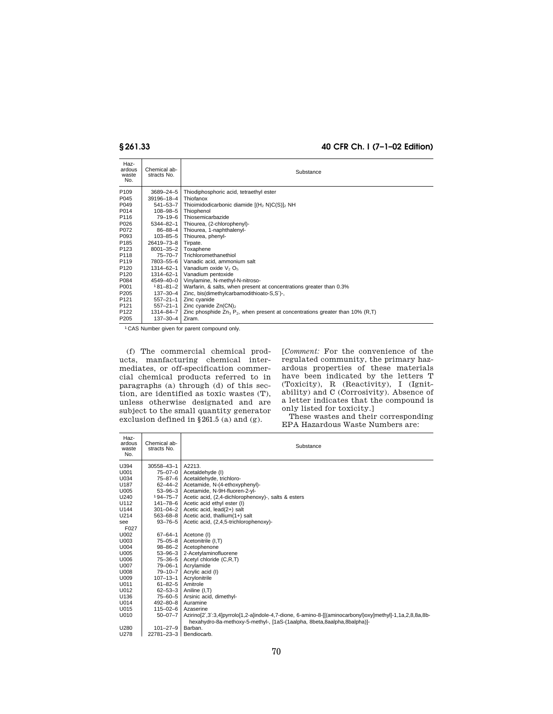# **§ 261.33 40 CFR Ch. I (7–1–02 Edition)**

| Haz-<br>ardous<br>waste<br>No. | Chemical ab-<br>stracts No. | Substance                                                                                    |
|--------------------------------|-----------------------------|----------------------------------------------------------------------------------------------|
| P <sub>109</sub>               | 3689-24-5                   | Thiodiphosphoric acid, tetraethyl ester                                                      |
| P045                           | 39196-18-4                  | Thiofanox                                                                                    |
| P049                           | 541-53-7                    | Thioimidodicarbonic diamide [(H <sub>2</sub> N)C(S)] <sub>2</sub> NH                         |
| P014                           | 108-98-5                    | Thiophenol                                                                                   |
| P116                           | 79-19-6                     | Thiosemicarbazide                                                                            |
| P026                           | 5344-82-1                   | Thiourea, (2-chlorophenyl)-                                                                  |
| P072                           | 86-88-4                     | Thiourea, 1-naphthalenyl-                                                                    |
| P093                           | $103 - 85 - 5$              | Thiourea, phenyl-                                                                            |
| P <sub>185</sub>               | 26419-73-8                  | Tirpate.                                                                                     |
| P <sub>123</sub>               | $8001 - 35 - 2$             | Toxaphene                                                                                    |
| P118                           | $75 - 70 - 7$               | Trichloromethanethiol                                                                        |
| P119                           | 7803-55-6                   | Vanadic acid, ammonium salt                                                                  |
| P <sub>120</sub>               | 1314-62-1                   | Vanadium oxide $V_2$ O <sub>5</sub>                                                          |
| P <sub>120</sub>               | 1314-62-1                   | Vanadium pentoxide                                                                           |
| P084                           | 4549-40-0                   | Vinylamine, N-methyl-N-nitroso-                                                              |
| P001                           | $181 - 81 - 2$              | Warfarin, & salts, when present at concentrations greater than 0.3%                          |
| P <sub>205</sub>               | $137 - 30 - 4$              | Zinc, bis(dimethylcarbamodithioato-S,S')-,                                                   |
| P <sub>121</sub>               | $557 - 21 - 1$              | Zinc cyanide                                                                                 |
| P <sub>121</sub>               | $557 - 21 - 1$              | Zinc cyanide $Zn(CN)$ ,                                                                      |
| P <sub>122</sub>               | 1314-84-7                   | Zinc phosphide $Zn_3$ P <sub>2</sub> , when present at concentrations greater than 10% (R,T) |
| P <sub>205</sub>               | $137 - 30 - 4$              | Ziram.                                                                                       |

1 CAS Number given for parent compound only.

(f) The commercial chemical products, manfacturing chemical intermediates, or off-specification commercial chemical products referred to in paragraphs (a) through (d) of this section, are identified as toxic wastes (T), unless otherwise designated and are subject to the small quantity generator exclusion defined in § 261.5 (a) and (g).

[*Comment:* For the convenience of the regulated community, the primary hazardous properties of these materials have been indicated by the letters T (Toxicity), R (Reactivity), I (Ignitability) and C (Corrosivity). Absence of a letter indicates that the compound is only listed for toxicity.]

These wastes and their corresponding EPA Hazardous Waste Numbers are:

| Haz-<br>ardous<br>waste<br>No. | Chemical ab-<br>stracts No. | Substance                                                                                                |
|--------------------------------|-----------------------------|----------------------------------------------------------------------------------------------------------|
| U394                           | 30558-43-1                  | A2213.                                                                                                   |
| U001                           | $75 - 07 - 0$               | Acetaldehyde (I)                                                                                         |
| U034                           | $75 - 87 - 6$               | Acetaldehyde, trichloro-                                                                                 |
| U187                           | $62 - 44 - 2$               | Acetamide, N-(4-ethoxyphenyl)-                                                                           |
| U005                           | $53 - 96 - 3$               | Acetamide, N-9H-fluoren-2-yl-                                                                            |
| U240                           | $194 - 75 - 7$              | Acetic acid, (2,4-dichlorophenoxy)-, salts & esters                                                      |
| U112                           | $141 - 78 - 6$              | Acetic acid ethyl ester (I)                                                                              |
| U144                           | $301 - 04 - 2$              | Acetic acid, lead(2+) salt                                                                               |
| U214                           | $563 - 68 - 8$              | Acetic acid, thallium(1+) salt                                                                           |
| see                            | $93 - 76 - 5$               | Acetic acid, (2,4,5-trichlorophenoxy)-                                                                   |
| F027                           |                             |                                                                                                          |
| U002                           | $67 - 64 - 1$               | Acetone (I)                                                                                              |
| U003                           | $75 - 05 - 8$               | Acetonitrile (I,T)                                                                                       |
| U004                           | $98 - 86 - 2$               | Acetophenone                                                                                             |
| U005                           | $53 - 96 - 3$               | 2-Acetylaminofluorene                                                                                    |
| U006                           | $75 - 36 - 5$               | Acetyl chloride (C,R,T)                                                                                  |
| U007                           | $79 - 06 - 1$               | Acrylamide                                                                                               |
| U008                           |                             | 79-10-7   Acrylic acid (I)                                                                               |
| U009                           | $107 - 13 - 1$              | Acrylonitrile                                                                                            |
| U011                           | $61 - 82 - 5$               | Amitrole                                                                                                 |
| U012                           | $62 - 53 - 3$               | Aniline (I,T)                                                                                            |
| U136                           | $75 - 60 - 5$               | Arsinic acid, dimethyl-                                                                                  |
| U014                           | 492-80-8                    | Auramine                                                                                                 |
| U015                           | $115 - 02 - 6$              | Azaserine                                                                                                |
| U010                           | $50 - 07 - 7$               | Azirino[2',3':3,4]pyrrolo[1,2-a]indole-4,7-dione, 6-amino-8-[[(aminocarbonyl)oxy]methyl]-1,1a,2,8,8a,8b- |
|                                |                             | hexahydro-8a-methoxy-5-methyl-, [1aS-(1aalpha, 8beta,8aalpha,8balpha)]-                                  |
| U280                           | $101 - 27 - 9$              | Barban.                                                                                                  |
| U278                           | 22781-23-3                  | Bendiocarb.                                                                                              |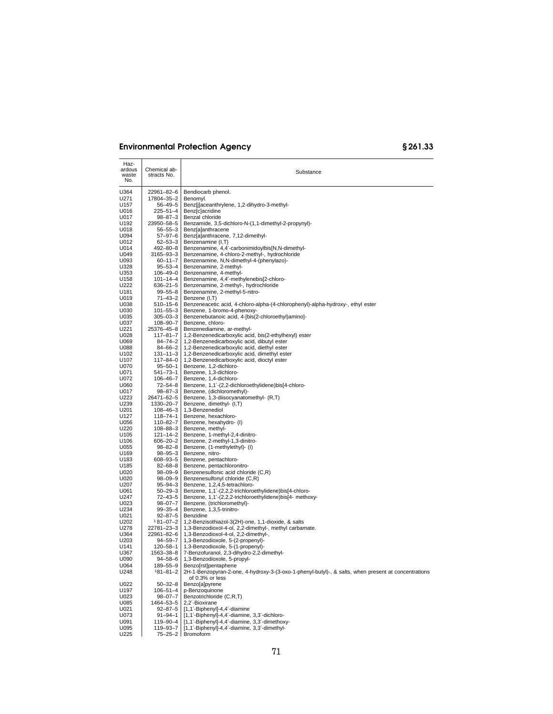| Haz-<br>ardous<br>waste<br>No. | Chemical ab-<br>stracts No. | Substance                                                                                                                   |
|--------------------------------|-----------------------------|-----------------------------------------------------------------------------------------------------------------------------|
| U364                           | 22961-82-6                  | Bendiocarb phenol.                                                                                                          |
| U271                           | 17804-35-2                  | Benomyl.                                                                                                                    |
| U157                           | 56–49–5                     | Benz[j]aceanthrylene, 1,2-dihydro-3-methyl-                                                                                 |
| U016                           | 225-51-4                    | Benz[c]acridine                                                                                                             |
| U017                           | $98 - 87 - 3$               | Benzal chloride<br>Benzamide, 3,5-dichloro-N-(1,1-dimethyl-2-propynyl)-                                                     |
| U192<br>U018                   | 23950-58-5<br>56–55–3       | Benz[a]anthracene                                                                                                           |
| U094                           | 57-97-6                     | Benz[a]anthracene, 7,12-dimethyl-                                                                                           |
| U012                           | $62 - 53 - 3$               | Benzenamine (I,T)                                                                                                           |
| U014                           | 492–80–8                    | Benzenamine, 4,4'-carbonimidoylbis[N,N-dimethyl-                                                                            |
| U049<br>U093                   | 3165-93-3<br>60–11–7        | Benzenamine, 4-chloro-2-methyl-, hydrochloride<br>Benzenamine, N,N-dimethyl-4-(phenylazo)-                                  |
| U328                           | 95-53-4                     | Benzenamine, 2-methyl-                                                                                                      |
| U353                           | $106 - 49 - 0$              | Benzenamine, 4-methyl-                                                                                                      |
| U158                           | $101 - 14 - 4$              | Benzenamine, 4,4'-methylenebis[2-chloro-                                                                                    |
| U222                           | $636 - 21 - 5$              | Benzenamine, 2-methyl-, hydrochloride                                                                                       |
| U181<br>U019                   | 99–55–8<br>71-43-2          | Benzenamine, 2-methyl-5-nitro-<br>Benzene (I,T)                                                                             |
| U038                           | 510-15-6                    | Benzeneacetic acid, 4-chloro-alpha-(4-chlorophenyl)-alpha-hydroxy-, ethyl ester                                             |
| U030                           | $101 - 55 - 3$              | Benzene, 1-bromo-4-phenoxy-                                                                                                 |
| U035                           | $305 - 03 - 3$              | Benzenebutanoic acid, 4-[bis(2-chloroethyl)amino]-                                                                          |
| U037                           | 108-90-7                    | Benzene, chloro-                                                                                                            |
| U221<br>U028                   | 25376-45-8<br>117-81-7      | Benzenediamine, ar-methyl-<br>1,2-Benzenedicarboxylic acid, bis(2-ethylhexyl) ester                                         |
| U069                           | 84–74–2                     | 1,2-Benzenedicarboxylic acid, dibutyl ester                                                                                 |
| U088                           | 84–66–2                     | 1,2-Benzenedicarboxylic acid, diethyl ester                                                                                 |
| U102                           | $131 - 11 - 3$              | 1,2-Benzenedicarboxylic acid, dimethyl ester                                                                                |
| U107<br>U070                   | 117-84-0                    | 1,2-Benzenedicarboxylic acid, dioctyl ester<br>Benzene, 1,2-dichloro-                                                       |
| U071                           | $95 - 50 - 1$<br>541-73-1   | Benzene, 1,3-dichloro-                                                                                                      |
| U072                           | 106-46-7                    | Benzene, 1,4-dichloro-                                                                                                      |
| U060                           | 72–54–8                     | Benzene, 1,1'-(2,2-dichloroethylidene)bis[4-chloro-                                                                         |
| U017                           | $98 - 87 - 3$               | Benzene, (dichloromethyl)-                                                                                                  |
| U223<br>U239                   | 26471-62-5<br>1330-20-7     | Benzene, 1,3-diisocyanatomethyl- (R,T)<br>Benzene, dimethyl- (I,T)                                                          |
| U201                           | 108-46-3                    | 1,3-Benzenediol                                                                                                             |
| U127                           | 118–74–1                    | Benzene, hexachloro-                                                                                                        |
| U056                           | 110-82-7                    | Benzene, hexahydro- (I)                                                                                                     |
| U220                           | 108-88-3                    | Benzene, methyl-                                                                                                            |
| U105<br>U106                   | 121-14-2<br>606-20-2        | Benzene, 1-methyl-2,4-dinitro-<br>Benzene, 2-methyl-1,3-dinitro-                                                            |
| U055                           | 98-82-8                     | Benzene, (1-methylethyl)- (I)                                                                                               |
| U169                           | 98-95-3                     | Benzene, nitro-                                                                                                             |
| U183                           | 608-93-5                    | Benzene, pentachloro-                                                                                                       |
| U185<br>U020                   | 82–68–8<br>98-09-9          | Benzene, pentachloronitro-<br>Benzenesulfonic acid chloride (C,R)                                                           |
| U020                           | 98-09-9                     | Benzenesulfonyl chloride (C,R)                                                                                              |
| U207                           | 95-94-3                     | Benzene, 1,2,4,5-tetrachloro-                                                                                               |
| U061                           | $50 - 29 - 3$               | Benzene, 1,1'-(2,2,2-trichloroethylidene)bis[4-chloro-                                                                      |
| U247<br>U023                   | 72–43–5<br>98–07–7          | Benzene, 1,1'-(2,2,2-trichloroethylidene)bis[4- methoxy-<br>Benzene, (trichloromethyl)-                                     |
| U234                           | 99–35–4                     | Benzene, 1,3,5-trinitro-                                                                                                    |
| U021                           | $92 - 87 - 5$               | Benzidine                                                                                                                   |
| U202                           | $181 - 07 - 2$              | 1,2-Benzisothiazol-3(2H)-one, 1,1-dioxide, & salts                                                                          |
| U278                           | 22781-23-3                  | 1,3-Benzodioxol-4-ol, 2,2-dimethyl-, methyl carbamate.                                                                      |
| U364<br>U203                   | 22961-82-6<br>94–59–7       | 1,3-Benzodioxol-4-ol, 2,2-dimethyl-,<br>1,3-Benzodioxole, 5-(2-propenyl)-                                                   |
| U141                           | 120–58–1                    | 1,3-Benzodioxole, 5-(1-propenyl)-                                                                                           |
| U367                           | 1563-38-8                   | 7-Benzofuranol, 2,3-dihydro-2,2-dimethyl-                                                                                   |
| U090                           | $94 - 58 - 6$               | 1,3-Benzodioxole, 5-propyl-                                                                                                 |
| U064<br>U248                   | 189-55-9<br>181–81–2        | Benzo[rst]pentaphene<br>2H-1-Benzopyran-2-one, 4-hydroxy-3-(3-oxo-1-phenyl-butyl)-, & salts, when present at concentrations |
|                                |                             | of 0.3% or less                                                                                                             |
| U022<br>U197                   | $50 - 32 - 8$<br>106-51-4   | Benzo[a]pyrene<br>p-Benzoquinone                                                                                            |
| U023                           | $98 - 07 - 7$               | Benzotrichloride (C,R,T)                                                                                                    |
| U085                           | 1464-53-5                   | 2.2'-Bioxirane                                                                                                              |
| U021                           | $92 - 87 - 5$               | [1,1'-Biphenyl]-4,4'-diamine                                                                                                |
| U073                           | $91 - 94 - 1$               | [1,1'-Biphenyl]-4,4'-diamine, 3,3'-dichloro-                                                                                |
| U091<br>U095                   | 119-90-4<br>119-93-7        | [1,1'-Biphenyl]-4,4'-diamine, 3,3'-dimethoxy-<br>[1,1'-Biphenyl]-4,4'-diamine, 3,3'-dimethyl-                               |
| U225                           |                             | 75-25-2   Bromoform                                                                                                         |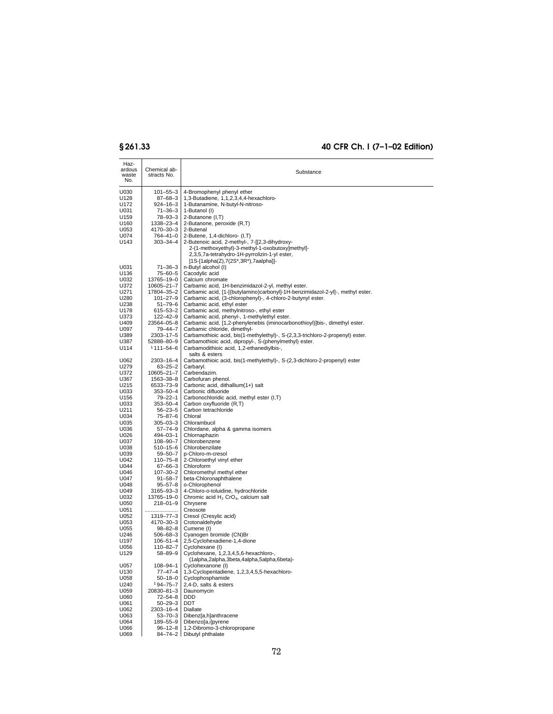# **§ 261.33 40 CFR Ch. I (7–1–02 Edition)**

| Haz-<br>ardous<br>waste<br>No. | Chemical ab-<br>stracts No.     | Substance                                                                                                                                           |
|--------------------------------|---------------------------------|-----------------------------------------------------------------------------------------------------------------------------------------------------|
| U030                           | $101 - 55 - 3$                  | 4-Bromophenyl phenyl ether                                                                                                                          |
| U128                           | $87 - 68 - 3$                   | 1,3-Butadiene, 1,1,2,3,4,4-hexachloro-                                                                                                              |
| U172                           | $924 - 16 - 3$                  | 1-Butanamine, N-butyl-N-nitroso-                                                                                                                    |
| U031                           | $71 - 36 - 3$                   | 1-Butanol (I)                                                                                                                                       |
| U159                           | 78-93-3                         | 2-Butanone (I,T)                                                                                                                                    |
| U160                           | 1338-23-4                       | 2-Butanone, peroxide (R,T)                                                                                                                          |
| U053                           | 4170-30-3                       | 2-Butenal                                                                                                                                           |
| U074                           | 764-41-0                        | 2-Butene, 1,4-dichloro- (I,T)                                                                                                                       |
| U143                           | $303 - 34 - 4$                  | 2-Butenoic acid, 2-methyl-, 7-[[2,3-dihydroxy-<br>2-(1-methoxyethyl)-3-methyl-1-oxobutoxy]methyl]-<br>2,3,5,7a-tetrahydro-1H-pyrrolizin-1-yl ester, |
|                                |                                 | [1S-[1alpha(Z),7(2S*,3R*),7aalpha]]-                                                                                                                |
| U031<br>U136                   | $71 - 36 - 3$                   | n-Butyl alcohol (I)                                                                                                                                 |
| U032                           | 75-60-5                         | Cacodylic acid<br>Calcium chromate                                                                                                                  |
| U372                           | 13765-19-0<br>10605-21-7        | Carbamic acid, 1H-benzimidazol-2-yl, methyl ester.                                                                                                  |
| U271                           | 17804-35-2                      | Carbamic acid, [1-[(butylamino)carbonyl]-1H-benzimidazol-2-yl]-, methyl ester.                                                                      |
| U280                           | $101 - 27 - 9$                  | Carbamic acid, (3-chlorophenyl)-, 4-chloro-2-butynyl ester.                                                                                         |
| U238                           | $51 - 79 - 6$                   | Carbamic acid, ethyl ester                                                                                                                          |
| U178                           | $615 - 53 - 2$                  | Carbamic acid, methylnitroso-, ethyl ester                                                                                                          |
| U373                           | $122 - 42 - 9$                  | Carbamic acid, phenyl-, 1-methylethyl ester.                                                                                                        |
| U409                           | 23564-05-8                      | Carbamic acid, [1,2-phenylenebis (iminocarbonothioyl)]bis-, dimethyl ester.                                                                         |
| U097                           | 79-44-7                         | Carbamic chloride, dimethyl-                                                                                                                        |
| U389                           | 2303-17-5                       | Carbamothioic acid, bis(1-methylethyl)-, S-(2,3,3-trichloro-2-propenyl) ester.                                                                      |
| U387                           | 52888-80-9                      | Carbamothioic acid, dipropyl-, S-(phenylmethyl) ester.                                                                                              |
| U114                           | 1111-54-6                       | Carbamodithioic acid, 1,2-ethanediylbis-,<br>salts & esters                                                                                         |
| U062                           | 2303-16-4                       | Carbamothioic acid, bis(1-methylethyl)-, S-(2,3-dichloro-2-propenyl) ester                                                                          |
| U279                           | 63-25-2                         | Carbaryl.                                                                                                                                           |
| U372                           | 10605-21-7                      | Carbendazim.                                                                                                                                        |
| U367                           | 1563-38-8                       | Carbofuran phenol.                                                                                                                                  |
| U215                           | 6533-73-9                       | Carbonic acid, dithallium(1+) salt                                                                                                                  |
| U033                           | $353 - 50 - 4$                  | Carbonic difluoride                                                                                                                                 |
| U156                           | 79-22-1                         | Carbonochloridic acid, methyl ester (I,T)                                                                                                           |
| U033                           | $353 - 50 - 4$                  | Carbon oxyfluoride (R,T)                                                                                                                            |
| U211                           | $56 - 23 - 5$                   | Carbon tetrachloride                                                                                                                                |
| U034<br>U035                   | $75 - 87 - 6$                   | Chloral<br>Chlorambucil                                                                                                                             |
| U036                           | $305 - 03 - 3$<br>$57 - 74 - 9$ | Chlordane, alpha & gamma isomers                                                                                                                    |
| U026                           | 494-03-1                        | Chlornaphazin                                                                                                                                       |
| U037                           | $108 - 90 - 7$                  | Chlorobenzene                                                                                                                                       |
| U038                           | $510 - 15 - 6$                  | Chlorobenzilate                                                                                                                                     |
| U039                           | $59 - 50 - 7$                   | p-Chloro-m-cresol                                                                                                                                   |
| U042                           | $110 - 75 - 8$                  | 2-Chloroethyl vinyl ether                                                                                                                           |
| U044                           | 67-66-3                         | Chloroform                                                                                                                                          |
| U046                           | 107-30-2                        | Chloromethyl methyl ether                                                                                                                           |
| U047                           | $91 - 58 - 7$                   | beta-Chloronaphthalene                                                                                                                              |
| U048                           | $95 - 57 - 8$                   | o-Chlorophenol                                                                                                                                      |
| U049                           | 3165-93-3                       | 4-Chloro-o-toluidine, hydrochloride                                                                                                                 |
| U032                           | 13765-19-0                      | Chromic acid H <sub>2</sub> CrO <sub>4</sub> , calcium salt                                                                                         |
| U050                           | $218 - 01 - 9$                  | Chrysene                                                                                                                                            |
| U051                           |                                 | Creosote                                                                                                                                            |
| U052                           | 1319-77-3                       | Cresol (Cresylic acid)                                                                                                                              |
| U053                           | 4170-30-3                       | Crotonaldehyde                                                                                                                                      |
| U055                           | $98 - 82 - 8$                   | Cumene (I)                                                                                                                                          |
| U246                           | 506-68-3                        | Cyanogen bromide (CN)Br                                                                                                                             |
| U197                           | $106 - 51 - 4$                  | 2,5-Cyclohexadiene-1,4-dione                                                                                                                        |
| U056                           | $110 - 82 - 7$<br>$58 - 89 - 9$ | Cyclohexane (I)                                                                                                                                     |
| U129                           | $108 - 94 - 1$                  | Cyclohexane, 1,2,3,4,5,6-hexachloro-,<br>(1alpha,2alpha,3beta,4alpha,5alpha,6beta)-                                                                 |
| U057<br>U130                   | $77 - 47 - 4$                   | Cyclohexanone (I)                                                                                                                                   |
| U058                           | $50 - 18 - 0$                   | 1,3-Cyclopentadiene, 1,2,3,4,5,5-hexachloro-<br>Cyclophosphamide                                                                                    |
| U240                           | $194 - 75 - 7$                  | 2,4-D, salts & esters                                                                                                                               |
| U059                           | 20830-81-3                      | Daunomycin                                                                                                                                          |
| U060                           | 72-54-8                         | <b>DDD</b>                                                                                                                                          |
| U061                           | $50 - 29 - 3$                   | DDT                                                                                                                                                 |
| U062                           | 2303-16-4                       | Diallate                                                                                                                                            |
| U063                           | $53 - 70 - 3$                   | Dibenz[a,h]anthracene                                                                                                                               |
| U064                           | 189-55-9                        | Dibenzo[a,i]pyrene                                                                                                                                  |
| U066                           | 96-12-8                         | 1,2-Dibromo-3-chloropropane                                                                                                                         |
| U069                           |                                 | 84-74-2 Dibutyl phthalate                                                                                                                           |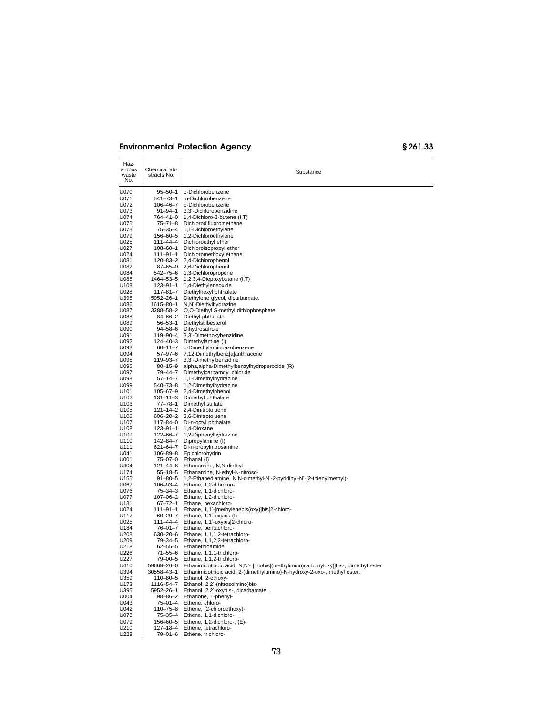$\overline{1}$ 

| Haz-<br>ardous<br>waste<br>No. | Chemical ab-<br>stracts No.      | Substance                                                                            |
|--------------------------------|----------------------------------|--------------------------------------------------------------------------------------|
| U070                           | $95 - 50 - 1$                    | o-Dichlorobenzene                                                                    |
| U071                           | $541 - 73 - 1$                   | m-Dichlorobenzene                                                                    |
| U072                           | $106 - 46 - 7$                   | p-Dichlorobenzene                                                                    |
| U073<br>U074                   | $91 - 94 - 1$<br>764-41-0        | 3,3'-Dichlorobenzidine<br>1,4-Dichloro-2-butene (I,T)                                |
| U075                           | 75-71-8                          | Dichlorodifluoromethane                                                              |
| U078                           | $75 - 35 - 4$                    | 1,1-Dichloroethylene                                                                 |
| U079                           | 156-60-5                         | 1,2-Dichloroethylene                                                                 |
| U025<br>U027                   | $111 - 44 - 4$<br>$108 - 60 - 1$ | Dichloroethyl ether<br>Dichloroisopropyl ether                                       |
| U024                           | $111 - 91 - 1$                   | Dichloromethoxy ethane                                                               |
| U081                           | $120 - 83 - 2$                   | 2,4-Dichlorophenol                                                                   |
| U082                           | $87 - 65 - 0$                    | 2,6-Dichlorophenol                                                                   |
| U084                           | 542-75-6                         | 1,3-Dichloropropene                                                                  |
| U085<br>U108                   | 1464-53-5<br>$123 - 91 - 1$      | 1,2:3,4-Diepoxybutane (I,T)<br>1,4-Diethyleneoxide                                   |
| U028                           | $117 - 81 - 7$                   | Diethylhexyl phthalate                                                               |
| U395                           | 5952-26-1                        | Diethylene glycol, dicarbamate.                                                      |
| U086                           | 1615-80-1                        | N,N'-Diethylhydrazine                                                                |
| U087<br>U088                   | 3288-58-2<br>84–66–2             | O,O-Diethyl S-methyl dithiophosphate<br>Diethyl phthalate                            |
| U089                           | $56 - 53 - 1$                    | Diethylstilbesterol                                                                  |
| U090                           | $94 - 58 - 6$                    | Dihydrosafrole                                                                       |
| U091                           | 119-90-4                         | 3,3'-Dimethoxybenzidine                                                              |
| U092<br>U093                   | $124 - 40 - 3$<br>$60 - 11 - 7$  | Dimethylamine (I)<br>p-Dimethylaminoazobenzene                                       |
| U094                           | 57-97-6                          | 7,12-Dimethylbenz[a]anthracene                                                       |
| U095                           | 119-93-7                         | 3,3'-Dimethylbenzidine                                                               |
| U096                           | $80 - 15 - 9$                    | alpha, alpha-Dimethylbenzylhydroperoxide (R)                                         |
| U097<br>U098                   | 79-44-7<br>57-14-7               | Dimethylcarbamoyl chloride<br>1,1-Dimethylhydrazine                                  |
| U099                           | $540 - 73 - 8$                   | 1,2-Dimethylhydrazine                                                                |
| U101                           | $105 - 67 - 9$                   | 2,4-Dimethylphenol                                                                   |
| U102                           | $131 - 11 - 3$                   | Dimethyl phthalate                                                                   |
| U103<br>U <sub>105</sub>       | $77 - 78 - 1$<br>$121 - 14 - 2$  | Dimethyl sulfate<br>2,4-Dinitrotoluene                                               |
| U106                           | $606 - 20 - 2$                   | 2,6-Dinitrotoluene                                                                   |
| U107                           | $117 - 84 - 0$                   | Di-n-octyl phthalate                                                                 |
| U108                           | $123 - 91 - 1$                   | 1,4-Dioxane                                                                          |
| U109<br>U110                   | $122 - 66 - 7$<br>142-84-7       | 1,2-Diphenylhydrazine<br>Dipropylamine (I)                                           |
| U111                           | $621 - 64 - 7$                   | Di-n-propylnitrosamine                                                               |
| U041                           | $106 - 89 - 8$                   | Epichlorohydrin                                                                      |
| U001                           | $75 - 07 - 0$                    | Ethanal (I)                                                                          |
| U404<br>U174                   | $121 - 44 - 8$<br>55-18-5        | Ethanamine, N,N-diethyl-<br>Ethanamine, N-ethyl-N-nitroso-                           |
| U155                           | $91 - 80 - 5$                    | 1,2-Ethanediamine, N,N-dimethyl-N'-2-pyridinyl-N'-(2-thienylmethyl)-                 |
| U067                           | $106 - 93 - 4$                   | Ethane, 1,2-dibromo-                                                                 |
| U076                           | $75 - 34 - 3$                    | Ethane, 1,1-dichloro-                                                                |
| U077<br>U131                   | $107 - 06 - 2$<br>67-72-1        | Ethane, 1,2-dichloro-<br>Ethane, hexachloro-                                         |
| U024                           | $111 - 91 - 1$                   | Ethane, 1,1'-[methylenebis(oxy)]bis[2-chloro-                                        |
| U117                           | $60 - 29 - 7$                    | Ethane, 1,1'-oxybis-(I)                                                              |
| U025<br>U184                   | $111 - 44 - 4$<br>$76 - 01 - 7$  | Ethane, 1,1'-oxybis[2-chloro-<br>Ethane, pentachloro-                                |
| U208                           | $630 - 20 - 6$                   | Ethane, 1,1,1,2-tetrachloro-                                                         |
| U209                           | 79-34-5                          | Ethane, 1,1,2,2-tetrachloro-                                                         |
| U218                           | $62 - 55 - 5$                    | Ethanethioamide                                                                      |
| U226<br>U227                   | 71-55-6<br>79-00-5               | Ethane, 1,1,1-trichloro-<br>Ethane, 1,1,2-trichloro-                                 |
| U410                           | 59669-26-0                       | Ethanimidothioic acid, N,N'- [thiobis[(methylimino)carbonyloxy]]bis-, dimethyl ester |
| U394                           | 30558-43-1                       | Ethanimidothioic acid, 2-(dimethylamino)-N-hydroxy-2-oxo-, methyl ester.             |
| U359                           | $110 - 80 - 5$                   | Ethanol, 2-ethoxy-                                                                   |
| U173<br>U395                   | 1116-54-7<br>$5952 - 26 - 1$     | Ethanol, 2,2'-(nitrosoimino)bis-<br>Ethanol, 2,2'-oxybis-, dicarbamate.              |
| U004                           | 98–86–2                          | Ethanone, 1-phenyl-                                                                  |
| U043                           | 75-01-4                          | Ethene, chloro-                                                                      |
| U042                           | 110-75-8                         | Ethene, (2-chloroethoxy)-                                                            |
| U078<br>U079                   | $75 - 35 - 4$<br>$156 - 60 - 5$  | Ethene, 1,1-dichloro-<br>Ethene, 1,2-dichloro-, (E)-                                 |
| U210                           | 127-18-4                         | Ethene, tetrachloro-                                                                 |
| U228                           |                                  | 79-01-6   Ethene, trichloro-                                                         |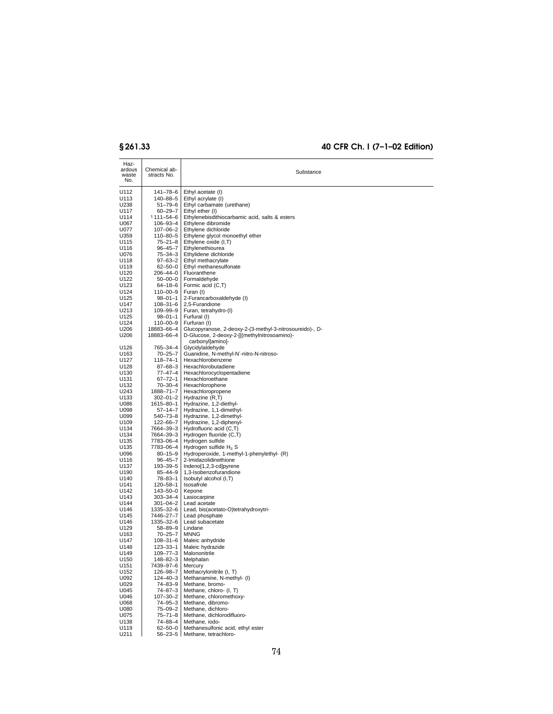# **§ 261.33 40 CFR Ch. I (7–1–02 Edition)**

| Haz-<br>ardous<br>waste<br>No. | Chemical ab-<br>stracts No.      | Substance                                                         |
|--------------------------------|----------------------------------|-------------------------------------------------------------------|
| U112                           | 141-78-6                         | Ethyl acetate (I)                                                 |
| U113                           | 140-88-5                         | Ethyl acrylate (I)                                                |
| U238                           | $51 - 79 - 6$                    | Ethyl carbamate (urethane)                                        |
| U117<br>U114                   | $60 - 29 - 7$<br>$1111 - 54 - 6$ | Ethyl ether (I)<br>Ethylenebisdithiocarbamic acid, salts & esters |
| U067                           | 106-93-4                         | Ethylene dibromide                                                |
| U077                           | $107 - 06 - 2$                   | Ethylene dichloride                                               |
| U359                           | 110-80-5                         | Ethylene glycol monoethyl ether                                   |
| U115                           | $75 - 21 - 8$                    | Ethylene oxide (I,T)                                              |
| U116<br>U076                   | $96 - 45 - 7$<br>75-34-3         | Ethylenethiourea<br>Ethylidene dichloride                         |
| U118                           | $97 - 63 - 2$                    | Ethyl methacrylate                                                |
| U119                           | $62 - 50 - 0$                    | Ethyl methanesulfonate                                            |
| U120                           | $206 - 44 - 0$                   | Fluoranthene                                                      |
| U122<br>U123                   | $50 - 00 - 0$<br>64-18-6         | Formaldehyde<br>Formic acid (C,T)                                 |
| U124                           | 110-00-9                         | Furan (I)                                                         |
| U125                           | $98 - 01 - 1$                    | 2-Furancarboxaldehyde (I)                                         |
| U147                           | $108 - 31 - 6$                   | 2,5-Furandione                                                    |
| U213<br>U125                   | 109–99–9<br>$98 - 01 - 1$        | Furan, tetrahydro-(I)<br>Furfural (I)                             |
| U124                           | $110 - 00 - 9$                   | Furfuran (I)                                                      |
| U206                           | 18883-66-4                       | Glucopyranose, 2-deoxy-2-(3-methyl-3-nitrosoureido)-, D-          |
| U206                           | 18883-66-4                       | D-Glucose, 2-deoxy-2-[[(methylnitrosoamino)-                      |
| U126                           | 765-34-4                         | carbonyl]amino]-<br>Glycidylaldehyde                              |
| U163                           | $70 - 25 - 7$                    | Guanidine, N-methyl-N'-nitro-N-nitroso-                           |
| U127                           | $118 - 74 - 1$                   | Hexachlorobenzene                                                 |
| U128                           | 87-68-3                          | Hexachlorobutadiene                                               |
| U130<br>U131                   | $77 - 47 - 4$<br>$67 - 72 - 1$   | Hexachlorocyclopentadiene<br>Hexachloroethane                     |
| U132                           | $70 - 30 - 4$                    | Hexachlorophene                                                   |
| U243                           | 1888-71-7                        | Hexachloropropene                                                 |
| U133                           | $302 - 01 - 2$                   | Hydrazine (R,T)                                                   |
| U086                           | 1615-80-1                        | Hydrazine, 1,2-diethyl-<br>Hydrazine, 1,1-dimethyl-               |
| U098<br>U099                   | 57-14-7<br>$540 - 73 - 8$        | Hydrazine, 1,2-dimethyl-                                          |
| U109                           | 122-66-7                         | Hydrazine, 1,2-diphenyl-                                          |
| U134                           | 7664-39-3                        | Hydrofluoric acid (C,T)                                           |
| U134                           | 7664–39–3                        | Hydrogen fluoride (C,T)                                           |
| U135<br>U135                   | 7783-06-4<br>7783-06-4           | Hydrogen sulfide<br>Hydrogen sulfide $H_2$ S                      |
| U096                           | $80 - 15 - 9$                    | Hydroperoxide, 1-methyl-1-phenylethyl- (R)                        |
| U116                           | $96 - 45 - 7$                    | 2-Imidazolidinethione                                             |
| U137                           | 193-39-5                         | Indeno[1,2,3-cd]pyrene                                            |
| U190<br>U140                   | $85 - 44 - 9$<br>78-83-1         | 1,3-Isobenzofurandione<br>Isobutyl alcohol (I,T)                  |
| U141                           | $120 - 58 - 1$                   | Isosafrole                                                        |
| U142                           | 143-50-0                         | Kepone                                                            |
| U143<br>U144                   | $303 - 34 - 4$<br>$301 - 04 - 2$ | Lasiocarpine<br>Lead acetate                                      |
| U146                           | 1335-32-6                        | Lead, bis(acetato-O)tetrahydroxytri-                              |
| U145                           | 7446–27–7                        | Lead phosphate                                                    |
| U146                           | 1335-32-6                        | Lead subacetate                                                   |
| U129<br>U <sub>163</sub>       | $58 - 89 - 9$                    | Lindane                                                           |
| U147                           | $70 - 25 - 7$<br>$108 - 31 - 6$  | <b>MNNG</b><br>Maleic anhydride                                   |
| U148                           | $123 - 33 - 1$                   | Maleic hydrazide                                                  |
| U149                           | $109 - 77 - 3$                   | Malononitrile                                                     |
| U <sub>150</sub>               | 148-82-3                         | Melphalan                                                         |
| U151<br>U152                   | 7439-97-6<br>126-98-7            | Mercury<br>Methacrylonitrile (I, T)                               |
| U092                           | $124 - 40 - 3$                   | Methanamine, N-methyl- (I)                                        |
| U029                           | $74 - 83 - 9$                    | Methane, bromo-                                                   |
| U045                           | $74 - 87 - 3$                    | Methane, chloro- (I, T)                                           |
| U046<br>U068                   | $107 - 30 - 2$<br>74-95-3        | Methane, chloromethoxy-<br>Methane, dibromo-                      |
| U080                           | $75 - 09 - 2$                    | Methane, dichloro-                                                |
| U075                           | 75-71-8                          | Methane, dichlorodifluoro-                                        |
| U138                           | 74-88-4                          | Methane, iodo-                                                    |
| U119<br>U211                   | $62 - 50 - 0$<br>$56 - 23 - 5$   | Methanesulfonic acid, ethyl ester<br>Methane, tetrachloro-        |
|                                |                                  |                                                                   |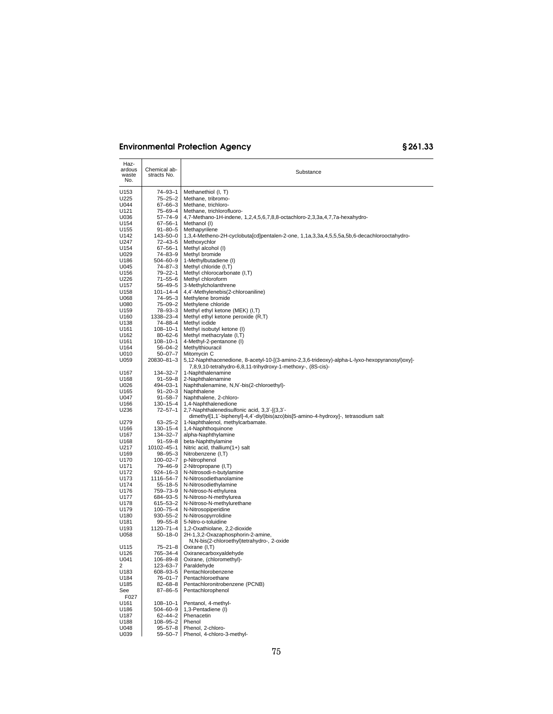| Haz-<br>ardous<br>waste<br>No. | Chemical ab-<br>stracts No.     | Substance                                                                                                                           |
|--------------------------------|---------------------------------|-------------------------------------------------------------------------------------------------------------------------------------|
| U153                           | $74 - 93 - 1$                   | Methanethiol (I, T)                                                                                                                 |
| U225                           | $75 - 25 - 2$                   | Methane, tribromo-                                                                                                                  |
| U044                           | $67 - 66 - 3$                   | Methane, trichloro-                                                                                                                 |
| U121                           | $75 - 69 - 4$                   | Methane, trichlorofluoro-                                                                                                           |
| U036<br>U154                   | $57 - 74 - 9$<br>$67 - 56 - 1$  | 4,7-Methano-1H-indene, 1,2,4,5,6,7,8,8-octachloro-2,3,3a,4,7,7a-hexahydro-<br>Methanol (I)                                          |
| U <sub>155</sub>               | $91 - 80 - 5$                   | Methapyrilene                                                                                                                       |
| U142                           | 143-50-0                        | 1,3,4-Metheno-2H-cyclobuta[cd]pentalen-2-one, 1,1a,3,3a,4,5,5,5a,5b,6-decachlorooctahydro-                                          |
| U247                           | $72 - 43 - 5$                   | Methoxychlor                                                                                                                        |
| U154                           | $67 - 56 - 1$                   | Methyl alcohol (I)                                                                                                                  |
| U029                           | 74-83-9                         | Methyl bromide                                                                                                                      |
| U186<br>U045                   | 504–60–9<br>74-87-3             | 1-Methylbutadiene (I)<br>Methyl chloride (I,T)                                                                                      |
| U156                           | $79 - 22 - 1$                   | Methyl chlorocarbonate (I,T)                                                                                                        |
| U226                           | $71 - 55 - 6$                   | Methyl chloroform                                                                                                                   |
| U157                           | $56 - 49 - 5$                   | 3-Methylcholanthrene                                                                                                                |
| U158                           | $101 - 14 - 4$                  | 4,4'-Methylenebis(2-chloroaniline)                                                                                                  |
| U068<br>U080                   | 74-95-3<br>$75 - 09 - 2$        | Methylene bromide<br>Methylene chloride                                                                                             |
| U159                           | 78-93-3                         | Methyl ethyl ketone (MEK) (I,T)                                                                                                     |
| U160                           | 1338-23-4                       | Methyl ethyl ketone peroxide (R,T)                                                                                                  |
| U138                           | 74-88-4                         | Methyl iodide                                                                                                                       |
| U161                           | 108-10-1                        | Methyl isobutyl ketone (I)<br>Methyl methacrylate (I,T)                                                                             |
| U162<br>U161                   | $80 - 62 - 6$<br>108-10-1       | 4-Methyl-2-pentanone (I)                                                                                                            |
| U164                           | $56 - 04 - 2$                   | Methylthiouracil                                                                                                                    |
| U010                           | $50 - 07 - 7$                   | Mitomycin C                                                                                                                         |
| U059                           | 20830-81-3                      | 5,12-Naphthacenedione, 8-acetyl-10-[(3-amino-2,3,6-trideoxy)-alpha-L-lyxo-hexopyranosyl)oxy]-                                       |
|                                |                                 | 7,8,9,10-tetrahydro-6,8,11-trihydroxy-1-methoxy-, (8S-cis)-<br>1-Naphthalenamine                                                    |
| U167<br>U168                   | 134-32-7<br>$91 - 59 - 8$       | 2-Naphthalenamine                                                                                                                   |
| U026                           | 494–03–1                        | Naphthalenamine, N,N'-bis(2-chloroethyl)-                                                                                           |
| U165                           | $91 - 20 - 3$                   | Naphthalene                                                                                                                         |
| U047                           | $91 - 58 - 7$                   | Naphthalene, 2-chloro-                                                                                                              |
| U166                           | $130 - 15 - 4$                  | 1,4-Naphthalenedione                                                                                                                |
| U236                           | $72 - 57 - 1$                   | 2,7-Naphthalenedisulfonic acid, 3,3'-[(3,3'-<br>dimethyl[1,1'-biphenyl]-4,4'-diyl)bis(azo)bis[5-amino-4-hydroxy]-, tetrasodium salt |
| U279<br>U166                   | $63 - 25 - 2$<br>$130 - 15 - 4$ | 1-Naphthalenol, methylcarbamate.<br>1,4-Naphthoquinone                                                                              |
| U167                           | 134-32-7                        | alpha-Naphthylamine                                                                                                                 |
| U168                           | $91 - 59 - 8$                   | beta-Naphthylamine                                                                                                                  |
| U217                           | 10102-45-1                      | Nitric acid, thallium(1+) salt                                                                                                      |
| U169                           | $98 - 95 - 3$                   | Nitrobenzene (I,T)                                                                                                                  |
| U170<br>U171                   | $100 - 02 - 7$<br>79–46–9       | p-Nitrophenol<br>2-Nitropropane (I,T)                                                                                               |
| U172                           | $924 - 16 - 3$                  | N-Nitrosodi-n-butylamine                                                                                                            |
| U173                           | 1116-54-7                       | N-Nitrosodiethanolamine                                                                                                             |
| U174                           | $55 - 18 - 5$                   | N-Nitrosodiethylamine                                                                                                               |
| U176                           | 759-73-9                        | N-Nitroso-N-ethylurea                                                                                                               |
| U177<br>U178                   | 684-93-5<br>615-53-2            | N-Nitroso-N-methylurea<br>N-Nitroso-N-methylurethane                                                                                |
| U179                           | $100 - 75 - 4$                  | N-Nitrosopiperidine                                                                                                                 |
| U180                           | $930 - 55 - 2$                  | N-Nitrosopyrrolidine                                                                                                                |
| U181                           | $99 - 55 - 8$                   | 5-Nitro-o-toluidine                                                                                                                 |
| U193<br>U058                   | 1120-71-4<br>$50 - 18 - 0$      | 1,2-Oxathiolane, 2,2-dioxide<br>2H-1,3,2-Oxazaphosphorin-2-amine,                                                                   |
|                                |                                 | N,N-bis(2-chloroethyl)tetrahydro-, 2-oxide                                                                                          |
| U115                           | $75 - 21 - 8$                   | Oxirane (I,T)                                                                                                                       |
| U126                           | 765–34–4                        | Oxiranecarboxyaldehyde                                                                                                              |
| U041                           | $106 - 89 - 8$                  | Oxirane, (chloromethyl)-                                                                                                            |
| 2<br>U183                      | $123 - 63 - 7$<br>608-93-5      | Paraldehyde<br>Pentachlorobenzene                                                                                                   |
| U184                           | $76 - 01 - 7$                   | Pentachloroethane                                                                                                                   |
| U185                           | $82 - 68 - 8$                   | Pentachloronitrobenzene (PCNB)                                                                                                      |
| See<br>F027                    | $87 - 86 - 5$                   | Pentachlorophenol                                                                                                                   |
| U161                           | $108 - 10 - 1$                  | Pentanol, 4-methyl-                                                                                                                 |
| U186                           | $504 - 60 - 9$                  | 1,3-Pentadiene (I)                                                                                                                  |
| U187<br>U188                   | $62 - 44 - 2$<br>108-95-2       | Phenacetin<br>Phenol                                                                                                                |
| U048                           | $95 - 57 - 8$                   | Phenol, 2-chloro-                                                                                                                   |
| U039                           |                                 | 59-50-7   Phenol, 4-chloro-3-methyl-                                                                                                |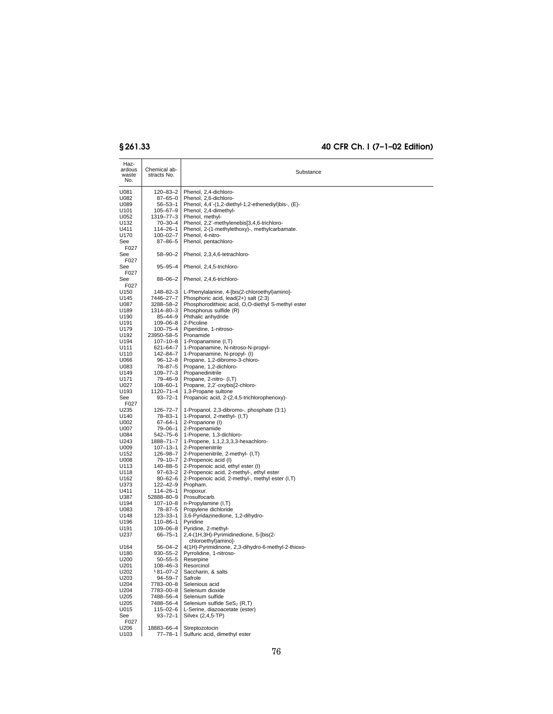# **§ 261.33 40 CFR Ch. I (7–1–02 Edition)**

| Haz-<br>ardous<br>waste<br>No. | Chemical ab-<br>stracts No. | Substance                                                                     |
|--------------------------------|-----------------------------|-------------------------------------------------------------------------------|
| U081                           | $120 - 83 - 2$              | Phenol, 2,4-dichloro-                                                         |
| U082                           | 87-65-0                     | Phenol, 2,6-dichloro-                                                         |
| U089                           | $56 - 53 - 1$               | Phenol, 4,4'-(1,2-diethyl-1,2-ethenediyl)bis-, (E)-                           |
| U101                           | 105-67-9                    | Phenol, 2,4-dimethyl-                                                         |
| U052                           | 1319-77-3                   | Phenol, methyl-                                                               |
| U132                           | 70-30-4                     | Phenol, 2,2'-methylenebis[3,4,6-trichloro-                                    |
| U411                           | 114–26–1                    | Phenol, 2-(1-methylethoxy)-, methylcarbamate.                                 |
| U170                           | 100-02-7                    | Phenol, 4-nitro-                                                              |
| See                            | 87-86-5                     | Phenol, pentachloro-                                                          |
| F027                           |                             |                                                                               |
| See<br>F027                    | 58–90–2                     | Phenol, 2,3,4,6-tetrachloro-                                                  |
| See                            | $95 - 95 - 4$               | Phenol, 2,4,5-trichloro-                                                      |
| F027                           |                             |                                                                               |
| See                            | 88-06-2                     | Phenol, 2,4,6-trichloro-                                                      |
| F027                           |                             |                                                                               |
| U <sub>150</sub>               | 148–82–3                    | L-Phenylalanine, 4-[bis(2-chloroethyl)amino]-                                 |
| U145                           | 7446–27–7                   | Phosphoric acid, lead(2+) salt (2:3)                                          |
| U087                           | 3288-58-2                   | Phosphorodithioic acid, O,O-diethyl S-methyl ester                            |
| U189                           | 1314-80-3                   | Phosphorus sulfide (R)                                                        |
| U190<br>U191                   | 85–44–9<br>109-06-8         | Phthalic anhydride<br>2-Picoline                                              |
| U179                           | 100-75-4                    | Piperidine, 1-nitroso-                                                        |
| U192                           | 23950-58-5                  | Pronamide                                                                     |
| U194                           | 107-10-8                    | 1-Propanamine (I,T)                                                           |
| U111                           | 621-64-7                    | 1-Propanamine, N-nitroso-N-propyl-                                            |
| U110                           | 142–84–7                    | 1-Propanamine, N-propyl- (I)                                                  |
| U066                           | 96–12–8                     | Propane, 1,2-dibromo-3-chloro-                                                |
| U083                           | 78-87-5                     | Propane, 1,2-dichloro-                                                        |
| U149                           | 109-77-3                    | Propanedinitrile<br>Propane, 2-nitro- (I,T)                                   |
| U171<br>U027                   | 79–46–9<br>108-60-1         | Propane, 2,2'-oxybis[2-chloro-                                                |
| U193                           | 1120-71-4                   | 1,3-Propane sultone                                                           |
| See                            | $93 - 72 - 1$               | Propanoic acid, 2-(2,4,5-trichlorophenoxy)-                                   |
| F027                           |                             |                                                                               |
| U235                           | 126-72-7                    | 1-Propanol, 2,3-dibromo-, phosphate (3:1)                                     |
| U140<br>U002                   | 78-83-1<br>67-64-1          | 1-Propanol, 2-methyl- (I,T)                                                   |
| U007                           | 79-06-1                     | 2-Propanone (I)<br>2-Propenamide                                              |
| U084                           | 542–75–6                    | 1-Propene, 1,3-dichloro-                                                      |
| U243                           | 1888-71-7                   | 1-Propene, 1,1,2,3,3,3-hexachloro-                                            |
| U009                           | 107-13-1                    | 2-Propenenitrile                                                              |
| U152                           | 126–98–7                    | 2-Propenenitrile, 2-methyl- (I,T)                                             |
| U008                           | $79 - 10 - 7$               | 2-Propenoic acid (I)                                                          |
| U113<br>U118                   | 140-88-5<br>97–63–2         | 2-Propenoic acid, ethyl ester (I)<br>2-Propenoic acid, 2-methyl-, ethyl ester |
| U162                           | $80 - 62 - 6$               | 2-Propenoic acid, 2-methyl-, methyl ester (I,T)                               |
| U373                           | 122-42-9                    | Propham.                                                                      |
| U411                           | 114-26-1                    | Propoxur.                                                                     |
| U387                           | 52888-80-9                  | Prosulfocarb.                                                                 |
| U194                           | 107-10-8                    | n-Propylamine (I,T)                                                           |
| U083                           | 78–87–5                     | Propylene dichloride                                                          |
| U148                           | 123–33–1                    | 3,6-Pyridazinedione, 1,2-dihydro-                                             |
| U196<br>U191                   | 110-86-1                    | Pyridine                                                                      |
| U237                           | 109-06-8<br>$66 - 75 - 1$   | Pyridine, 2-methyl-<br>2,4-(1H,3H)-Pyrimidinedione, 5-[bis(2-                 |
|                                |                             | chloroethyl)amino]-                                                           |
| U164                           | $56 - 04 - 2$               | 4(1H)-Pyrimidinone, 2,3-dihydro-6-methyl-2-thioxo-                            |
| U180                           | 930–55–2                    | Pyrrolidine, 1-nitroso-                                                       |
| U200                           | $50 - 55 - 5$               | Reserpine                                                                     |
| U201                           | 108-46-3                    | Resorcinol                                                                    |
| U202                           | 181-07-2                    | Saccharin, & salts                                                            |
| U203<br>U204                   | $94 - 59 - 7$               | Safrole<br>Selenious acid                                                     |
| U204                           | 7783-00-8<br>7783-00-8      | Selenium dioxide                                                              |
| U205                           | 7488-56-4                   | Selenium sulfide                                                              |
| U205                           | 7488-56-4                   | Selenium sulfide SeS <sub>2</sub> (R,T)                                       |
| U015                           | $115 - 02 - 6$              | L-Serine, diazoacetate (ester)                                                |
| See                            | $93 - 72 - 1$               | Silvex (2,4,5-TP)                                                             |
| F027                           |                             | Streptozotocin                                                                |
| U206<br>U103                   | 18883-66-4<br>$77 - 78 - 1$ | Sulfuric acid, dimethyl ester                                                 |
|                                |                             |                                                                               |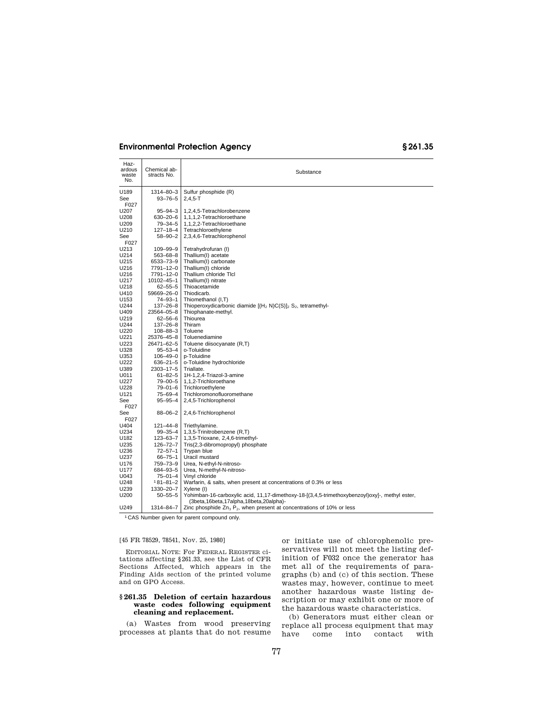| Haz-<br>ardous<br>waste<br>No. | Chemical ab-<br>stracts No. | Substance                                                                                      |
|--------------------------------|-----------------------------|------------------------------------------------------------------------------------------------|
| U189                           | 1314-80-3                   | Sulfur phosphide (R)                                                                           |
| See                            | $93 - 76 - 5$               | $2,4,5-T$                                                                                      |
| F027                           |                             |                                                                                                |
| U207                           | $95 - 94 - 3$               | 1,2,4,5-Tetrachlorobenzene                                                                     |
| U208                           | 630-20-6                    | 1,1,1,2-Tetrachloroethane                                                                      |
| U209                           | 79-34-5                     | 1,1,2,2-Tetrachloroethane                                                                      |
| U210                           | $127 - 18 - 4$              | Tetrachloroethylene                                                                            |
| See                            | $58 - 90 - 2$               | 2,3,4,6-Tetrachlorophenol                                                                      |
| F027                           |                             |                                                                                                |
| U213                           | $109 - 99 - 9$              | Tetrahydrofuran (I)                                                                            |
| U214                           | $563 - 68 - 8$              | Thallium(I) acetate                                                                            |
| U215                           | 6533-73-9                   | Thallium(I) carbonate                                                                          |
| U216                           | 7791–12–0                   | Thallium(I) chloride                                                                           |
| U216                           | 7791–12–0                   | Thallium chloride Tlcl                                                                         |
| U217                           | 10102-45-1                  | Thallium(I) nitrate                                                                            |
| U218                           | 62-55-5                     | Thioacetamide                                                                                  |
| U410                           | 59669-26-0                  | Thiodicarb.                                                                                    |
| U153                           | $74 - 93 - 1$               | Thiomethanol (I,T)                                                                             |
| U244                           | $137 - 26 - 8$              | Thioperoxydicarbonic diamide $[(H_2 N)C(S)]_2 S_2$ , tetramethyl-                              |
| U409                           | 23564-05-8                  | Thiophanate-methyl.                                                                            |
| U219                           | $62 - 56 - 6$               | Thiourea                                                                                       |
| U244                           | $137 - 26 - 8$              | Thiram                                                                                         |
| U220                           | $108 - 88 - 3$              | Toluene                                                                                        |
| U221                           | 25376-45-8                  | Toluenediamine                                                                                 |
| U223                           | 26471-62-5                  | Toluene diisocyanate (R,T)                                                                     |
| U328                           | $95 - 53 - 4$               | o-Toluidine                                                                                    |
| U353                           | $106 - 49 - 0$              | p-Toluidine                                                                                    |
| U222                           | $636 - 21 - 5$              | o-Toluidine hydrochloride<br>Triallate.                                                        |
| U389<br>U011                   | 2303-17-5<br>$61 - 82 - 5$  | 1H-1,2,4-Triazol-3-amine                                                                       |
| U227                           | $79 - 00 - 5$               | 1,1,2-Trichloroethane                                                                          |
| U228                           | $79 - 01 - 6$               | Trichloroethylene                                                                              |
| U121                           | 75-69-4                     | Trichloromonofluoromethane                                                                     |
| See                            | $95 - 95 - 4$               | 2,4,5-Trichlorophenol                                                                          |
| F027                           |                             |                                                                                                |
| See                            | 88-06-2                     | 2,4,6-Trichlorophenol                                                                          |
| F027                           |                             |                                                                                                |
| U404                           | $121 - 44 - 8$              | Triethylamine.                                                                                 |
| U234                           | $99 - 35 - 4$               | 1,3,5-Trinitrobenzene (R,T)                                                                    |
| U182                           | 123-63-7                    | 1,3,5-Trioxane, 2,4,6-trimethyl-                                                               |
| U235                           | $126 - 72 - 7$              | Tris(2,3-dibromopropyl) phosphate                                                              |
| U236                           | $72 - 57 - 1$               | Trypan blue                                                                                    |
| U237                           | 66-75-1                     | Uracil mustard                                                                                 |
| U176                           | 759–73–9                    | Urea, N-ethyl-N-nitroso-                                                                       |
| U177                           | 684-93-5                    | Urea, N-methyl-N-nitroso-                                                                      |
| U043                           | $75 - 01 - 4$               | Vinyl chloride                                                                                 |
| U248                           | 181-81-2                    | Warfarin, & salts, when present at concentrations of 0.3% or less                              |
| U239                           | 1330-20-7                   | Xylene (I)                                                                                     |
| U200                           | $50 - 55 - 5$               | Yohimban-16-carboxylic acid, 11,17-dimethoxy-18-[(3,4,5-trimethoxybenzoyl)oxy]-, methyl ester, |
|                                |                             | (3beta,16beta,17alpha,18beta,20alpha)-                                                         |
| U249                           | 1314-84-7                   | Zinc phosphide $Zn_3$ $P_2$ , when present at concentrations of 10% or less                    |

1 CAS Number given for parent compound only.

### [45 FR 78529, 78541, Nov. 25, 1980]

EDITORIAL NOTE: For FEDERAL REGISTER citations affecting § 261.33, see the List of CFR Sections Affected, which appears in the Finding Aids section of the printed volume and on GPO Access.

### **§ 261.35 Deletion of certain hazardous waste codes following equipment cleaning and replacement.**

(a) Wastes from wood preserving processes at plants that do not resume or initiate use of chlorophenolic preservatives will not meet the listing definition of F032 once the generator has met all of the requirements of paragraphs (b) and (c) of this section. These wastes may, however, continue to meet another hazardous waste listing description or may exhibit one or more of the hazardous waste characteristics.

(b) Generators must either clean or replace all process equipment that may<br>have come into contact with come into contact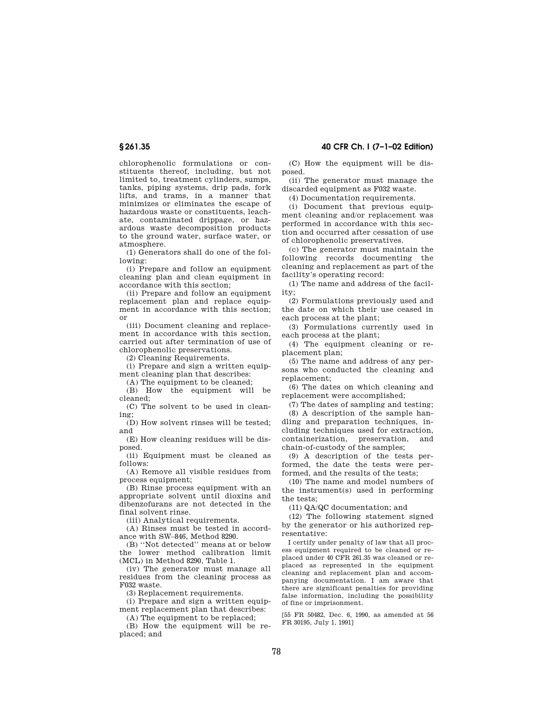chlorophenolic formulations or constituents thereof, including, but not limited to, treatment cylinders, sumps, tanks, piping systems, drip pads, fork lifts, and trams, in a manner that minimizes or eliminates the escape of hazardous waste or constituents, leachate, contaminated drippage, or hazardous waste decomposition products to the ground water, surface water, or atmosphere.

(1) Generators shall do one of the following:

(i) Prepare and follow an equipment cleaning plan and clean equipment in accordance with this section;

(ii) Prepare and follow an equipment replacement plan and replace equipment in accordance with this section; or

(iii) Document cleaning and replacement in accordance with this section, carried out after termination of use of chlorophenolic preservations.

(2) Cleaning Requirements.

(i) Prepare and sign a written equipment cleaning plan that describes:

(A) The equipment to be cleaned;

(B) How the equipment will be cleaned;

(C) The solvent to be used in cleaning:

(D) How solvent rinses will be tested; and

(E) How cleaning residues will be disposed.

(ii) Equipment must be cleaned as follows:

(A) Remove all visible residues from process equipment;

(B) Rinse process equipment with an appropriate solvent until dioxins and dibenzofurans are not detected in the final solvent rinse.

(iii) Analytical requirements.

(A) Rinses must be tested in accordance with SW–846, Method 8290.

(B) ''Not detected'' means at or below the lower method calibration limit (MCL) in Method 8290, Table 1.

(iv) The generator must manage all residues from the cleaning process as F032 waste.

(3) Replacement requirements.

(i) Prepare and sign a written equipment replacement plan that describes:

(A) The equipment to be replaced;

(B) How the equipment will be replaced; and

(C) How the equipment will be disposed.

(ii) The generator must manage the discarded equipment as F032 waste.

(4) Documentation requirements.

(i) Document that previous equipment cleaning and/or replacement was performed in accordance with this section and occurred after cessation of use of chlorophenolic preservatives.

(c) The generator must maintain the following records documenting the cleaning and replacement as part of the facility's operating record:

(1) The name and address of the facility;

(2) Formulations previously used and the date on which their use ceased in each process at the plant;

(3) Formulations currently used in each process at the plant;

(4) The equipment cleaning or replacement plan;

(5) The name and address of any persons who conducted the cleaning and replacement;

(6) The dates on which cleaning and replacement were accomplished;

(7) The dates of sampling and testing;

(8) A description of the sample handling and preparation techniques, including techniques used for extraction, containerization, preservation, and chain-of-custody of the samples;

(9) A description of the tests performed, the date the tests were performed, and the results of the tests;

(10) The name and model numbers of the instrument(s) used in performing the tests;

(11) QA/QC documentation; and

(12) The following statement signed by the generator or his authorized representative:

I certify under penalty of law that all process equipment required to be cleaned or replaced under 40 CFR 261.35 was cleaned or replaced as represented in the equipment cleaning and replacement plan and accompanying documentation. I am aware that there are significant penalties for providing false information, including the possibility of fine or imprisonment.

[55 FR 50482, Dec. 6, 1990, as amended at 56 FR 30195, July 1, 1991]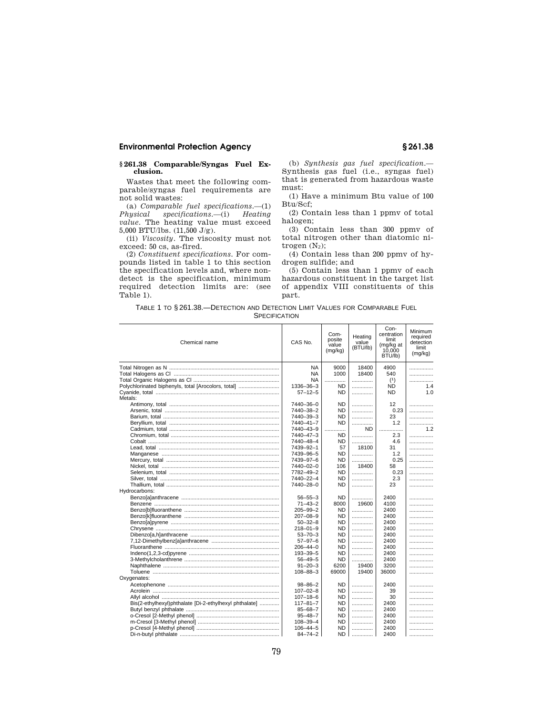### **§ 261.38 Comparable/Syngas Fuel Exclusion.**

Wastes that meet the following comparable/syngas fuel requirements are not solid wastes:

(a) *Comparable fuel specifications.*—(1) *Physical specifications.*—(i) *Heating value.* The heating value must exceed 5,000 BTU/lbs. (11,500 J/g).

(ii) *Viscosity.* The viscosity must not exceed: 50 cs, as-fired.

(2) *Constituent specifications.* For compounds listed in table 1 to this section the specification levels and, where nondetect is the specification, minimum required detection limits are: (see Table 1).

(b) *Synthesis gas fuel specification.*— Synthesis gas fuel (i.e., syngas fuel) that is generated from hazardous waste must:

(1) Have a minimum Btu value of 100 Btu/Scf;

(2) Contain less than 1 ppmv of total halogen;

(3) Contain less than 300 ppmv of total nitrogen other than diatomic nitrogen  $(N_2)$ ;

(4) Contain less than 200 ppmv of hydrogen sulfide; and

(5) Contain less than 1 ppmv of each hazardous constituent in the target list of appendix VIII constituents of this part.

TABLE 1 TO § 261.38.—DETECTION AND DETECTION LIMIT VALUES FOR COMPARABLE FUEL **SPECIFICATION** 

| Chemical name                                          | CAS No.        | Com-<br>posite<br>value<br>(mq/kg) | Heating<br>value<br>(BTU/lb) | Con-<br>centration<br>limit<br>(mg/kg at<br>10.000<br>BTU/lb) | Minimum<br>required<br>detection<br>limit<br>(mg/kg) |
|--------------------------------------------------------|----------------|------------------------------------|------------------------------|---------------------------------------------------------------|------------------------------------------------------|
|                                                        | <b>NA</b>      | 9000                               | 18400                        | 4900                                                          | .                                                    |
|                                                        | NA             | 1000                               | 18400                        | 540                                                           | .                                                    |
|                                                        | NA             | .                                  |                              | (1)                                                           | .                                                    |
| Polychlorinated biphenyls, total [Arocolors, total]    | 1336-36-3      | ND.                                |                              | ND.                                                           | 1.4                                                  |
|                                                        | $57 - 12 - 5$  | <b>ND</b>                          | .                            | ND.                                                           | 1.0                                                  |
| Metals:                                                |                |                                    |                              |                                                               |                                                      |
|                                                        | 7440-36-0      | <b>ND</b>                          | .                            | 12                                                            | .                                                    |
|                                                        | 7440-38-2      | ND.                                | .                            | 0.23                                                          | .                                                    |
|                                                        | 7440-39-3      | <b>ND</b>                          | .                            | 23                                                            | .                                                    |
|                                                        | 7440-41-7      | <b>ND</b>                          |                              | 1.2                                                           | .                                                    |
|                                                        | 7440-43-9      | .<br>.                             | <b>ND</b>                    | .                                                             | 1.2                                                  |
|                                                        | 7440-47-3      | ND.                                | .                            | 2.3                                                           | .                                                    |
|                                                        | 7440-48-4      | <b>ND</b>                          | .                            | 4.6                                                           | .                                                    |
|                                                        | 7439-92-1      | 57                                 | 18100                        | 31                                                            | .                                                    |
|                                                        | 7439-96-5      | ND.                                | .                            | 1.2                                                           | .                                                    |
|                                                        | 7439-97-6      | <b>ND</b>                          | .                            | 0.25                                                          | .                                                    |
|                                                        | 7440-02-0      | 106                                | 18400                        | 58                                                            | .                                                    |
|                                                        | 7782-49-2      | ND.                                |                              | 0.23                                                          | .                                                    |
|                                                        | 7440-22-4      | ND.                                | .                            | 2.3                                                           | .                                                    |
|                                                        | 7440-28-0      | <b>ND</b>                          | .                            | 23                                                            | .                                                    |
| Hydrocarbons:                                          |                |                                    |                              |                                                               |                                                      |
|                                                        | $56 - 55 - 3$  | <b>ND</b>                          |                              | 2400                                                          | .                                                    |
|                                                        | $71 - 43 - 2$  | 8000                               | 19600                        | 4100                                                          |                                                      |
|                                                        | $205 - 99 - 2$ | <b>ND</b>                          | .                            | 2400                                                          | .                                                    |
|                                                        | $207 - 08 - 9$ | <b>ND</b>                          | .                            | 2400                                                          | .                                                    |
|                                                        | $50 - 32 - 8$  | <b>ND</b>                          | .                            | 2400                                                          | .                                                    |
|                                                        | $218 - 01 - 9$ | <b>ND</b>                          | .                            | 2400                                                          | .                                                    |
|                                                        | $53 - 70 - 3$  | <b>ND</b>                          | .                            | 2400                                                          | .                                                    |
|                                                        | $57 - 97 - 6$  | ND.                                | .                            | 2400                                                          | .                                                    |
|                                                        | $206 - 44 - 0$ | <b>ND</b>                          | .                            | 2400                                                          | .                                                    |
|                                                        | 193-39-5       | <b>ND</b>                          |                              | 2400                                                          | .                                                    |
|                                                        | $56 - 49 - 5$  | <b>ND</b>                          | .                            | 2400                                                          | .                                                    |
|                                                        | $91 - 20 - 3$  | 6200                               | 19400                        | 3200                                                          | .                                                    |
|                                                        | $108 - 88 - 3$ | 69000                              | 19400                        | 36000                                                         | .                                                    |
| Oxygenates:                                            |                |                                    |                              |                                                               |                                                      |
|                                                        | $98 - 86 - 2$  | ND.                                | .                            | 2400                                                          | .                                                    |
|                                                        | $107 - 02 - 8$ | ND.                                | .                            | 39                                                            | .                                                    |
|                                                        | $107 - 18 - 6$ | <b>ND</b>                          | .                            | 30                                                            | .                                                    |
| Bis(2-ethylhexyl)phthalate [Di-2-ethylhexyl phthalate] | $117 - 81 - 7$ | ND.                                | .                            | 2400                                                          | .                                                    |
|                                                        | $85 - 68 - 7$  | ND.                                | .                            | 2400                                                          | .                                                    |
|                                                        | $95 - 48 - 7$  | <b>ND</b>                          | .                            | 2400                                                          | .                                                    |
|                                                        | $108 - 39 - 4$ | <b>ND</b>                          | .                            | 2400                                                          | .                                                    |
|                                                        | $106 - 44 - 5$ | ND.                                | .                            | 2400                                                          | .                                                    |
|                                                        | $84 - 74 - 2$  | ND.                                | .                            | 2400                                                          | .                                                    |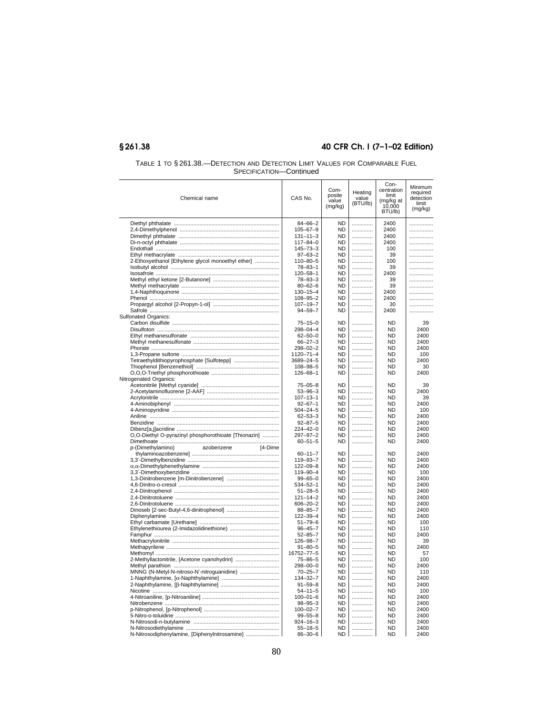# **§ 261.38 40 CFR Ch. I (7–1–02 Edition)**

| TABLE 1 TO § 261.38.-DETECTION AND DETECTION LIMIT VALUES FOR COMPARABLE FUEL |
|-------------------------------------------------------------------------------|
| SPECIFICATION-Continued                                                       |

| Chemical name                                        | CAS No.        | Com-<br>posite<br>value<br>(mg/kg) | Heating<br>value<br>(BTU/lb) | Con-<br>centration<br>limit<br>(mg/kg at<br>10,000<br>BTU/lb) | Minimum<br>required<br>detection<br>limit<br>(mg/kg) |
|------------------------------------------------------|----------------|------------------------------------|------------------------------|---------------------------------------------------------------|------------------------------------------------------|
|                                                      | $84 - 66 - 2$  | <b>ND</b>                          |                              | 2400                                                          | .                                                    |
|                                                      | $105 - 67 - 9$ | <b>ND</b>                          |                              | 2400                                                          |                                                      |
|                                                      | $131 - 11 - 3$ | <b>ND</b>                          |                              | 2400                                                          | .                                                    |
|                                                      | $117 - 84 - 0$ | <b>ND</b>                          |                              | 2400                                                          | .                                                    |
|                                                      |                |                                    | .                            |                                                               | .                                                    |
|                                                      | $145 - 73 - 3$ | <b>ND</b>                          | .                            | 100                                                           | .                                                    |
|                                                      | $97 - 63 - 2$  | <b>ND</b>                          |                              | 39                                                            | .                                                    |
| 2-Ethoxyethanol [Ethylene glycol monoethyl ether]    | $110 - 80 - 5$ | <b>ND</b>                          |                              | 100                                                           | .                                                    |
|                                                      | $78 - 83 - 1$  | <b>ND</b>                          |                              | 39                                                            | .                                                    |
|                                                      | $120 - 58 - 1$ | <b>ND</b>                          |                              | 2400                                                          | .                                                    |
|                                                      | $78 - 93 - 3$  | <b>ND</b>                          | .                            | 39                                                            | .                                                    |
|                                                      | $80 - 62 - 6$  | <b>ND</b>                          |                              | 39                                                            | .                                                    |
|                                                      | $130 - 15 - 4$ | <b>ND</b>                          |                              | 2400                                                          | .                                                    |
|                                                      | $108 - 95 - 2$ | <b>ND</b>                          |                              | 2400                                                          | .                                                    |
|                                                      | $107 - 19 - 7$ | <b>ND</b>                          |                              | 30                                                            | .                                                    |
|                                                      | $94 - 59 - 7$  | <b>ND</b>                          |                              | 2400                                                          | .                                                    |
| <b>Sulfonated Organics:</b>                          |                |                                    |                              |                                                               |                                                      |
|                                                      | $75 - 15 - 0$  | <b>ND</b>                          | .                            | <b>ND</b>                                                     | 39                                                   |
|                                                      | $298 - 04 - 4$ | <b>ND</b>                          |                              | <b>ND</b>                                                     | 2400                                                 |
|                                                      | $62 - 50 - 0$  | <b>ND</b>                          | .                            | <b>ND</b>                                                     | 2400                                                 |
|                                                      | $66 - 27 - 3$  | <b>ND</b>                          | .                            | <b>ND</b>                                                     | 2400                                                 |
|                                                      | $298 - 02 - 2$ | <b>ND</b>                          |                              | <b>ND</b>                                                     | 2400                                                 |
|                                                      | 1120-71-4      | <b>ND</b>                          |                              | <b>ND</b>                                                     | 100                                                  |
| Tetraethyldithiopyrophosphate [Sulfotepp]            | 3689-24-5      | <b>ND</b>                          |                              | <b>ND</b>                                                     | 2400                                                 |
|                                                      | $108 - 98 - 5$ | <b>ND</b>                          |                              | <b>ND</b>                                                     | 30                                                   |
|                                                      |                |                                    |                              |                                                               |                                                      |
|                                                      | $126 - 68 - 1$ | <b>ND</b>                          |                              | <b>ND</b>                                                     | 2400                                                 |
| Nitrogenated Organics:                               |                |                                    |                              |                                                               |                                                      |
|                                                      | $75 - 05 - 8$  | <b>ND</b>                          | .                            | <b>ND</b>                                                     | 39                                                   |
|                                                      | $53 - 96 - 3$  | <b>ND</b>                          |                              | <b>ND</b>                                                     | 2400                                                 |
|                                                      | $107 - 13 - 1$ | <b>ND</b>                          |                              | <b>ND</b>                                                     | 39                                                   |
|                                                      | $92 - 67 - 1$  | <b>ND</b>                          |                              | ND                                                            | 2400                                                 |
|                                                      | $504 - 24 - 5$ | <b>ND</b>                          |                              | <b>ND</b>                                                     | 100                                                  |
|                                                      | $62 - 53 - 3$  | ND                                 |                              | <b>ND</b>                                                     | 2400                                                 |
|                                                      | $92 - 87 - 5$  | ND                                 |                              | ND                                                            | 2400                                                 |
|                                                      | $224 - 42 - 0$ | <b>ND</b>                          |                              | <b>ND</b>                                                     | 2400                                                 |
| O,O-Diethyl O-pyrazinyl phosphorothioate [Thionazin] | $297 - 97 - 2$ | <b>ND</b>                          |                              | <b>ND</b>                                                     | 2400                                                 |
|                                                      | $60 - 51 - 5$  | ND                                 |                              | ND                                                            | 2400                                                 |
| p-(Dimethylamino)<br>azobenzene<br>[4-Dime           |                |                                    |                              |                                                               |                                                      |
|                                                      | $60 - 11 - 7$  | <b>ND</b>                          |                              | <b>ND</b>                                                     | 2400                                                 |
|                                                      | $119 - 93 - 7$ | <b>ND</b>                          |                              | <b>ND</b>                                                     | 2400                                                 |
|                                                      | $122 - 09 - 8$ | <b>ND</b>                          |                              | <b>ND</b>                                                     | 2400                                                 |
|                                                      | $119 - 90 - 4$ | <b>ND</b>                          |                              | <b>ND</b>                                                     | 100                                                  |
|                                                      | $99 - 65 - 0$  | <b>ND</b>                          |                              | <b>ND</b>                                                     | 2400                                                 |
|                                                      | $534 - 52 - 1$ | <b>ND</b>                          |                              | <b>ND</b>                                                     | 2400                                                 |
|                                                      | $51 - 28 - 5$  | <b>ND</b>                          |                              | <b>ND</b>                                                     | 2400                                                 |
|                                                      | $121 - 14 - 2$ | <b>ND</b>                          |                              | <b>ND</b>                                                     | 2400                                                 |
|                                                      | $606 - 20 - 2$ | <b>ND</b>                          |                              | <b>ND</b>                                                     | 2400                                                 |
|                                                      | $88 - 85 - 7$  | <b>ND</b>                          |                              | <b>ND</b>                                                     | 2400                                                 |
|                                                      | $122 - 39 - 4$ | <b>ND</b>                          |                              | <b>ND</b>                                                     | 2400                                                 |
|                                                      | $51 - 79 - 6$  | <b>ND</b>                          |                              | <b>ND</b>                                                     | 100                                                  |
|                                                      | $96 - 45 - 7$  | <b>ND</b>                          |                              | <b>ND</b>                                                     | 110                                                  |
|                                                      |                |                                    |                              |                                                               |                                                      |
|                                                      | $52 - 85 - 7$  | <b>ND</b>                          |                              | <b>ND</b>                                                     | 2400                                                 |
|                                                      | $126 - 98 - 7$ | <b>ND</b>                          |                              | <b>ND</b>                                                     | 39                                                   |
|                                                      | $91 - 80 - 5$  | <b>ND</b>                          |                              | <b>ND</b>                                                     | 2400                                                 |
|                                                      | 16752-77-5     | <b>ND</b>                          |                              | <b>ND</b>                                                     | 57                                                   |
| 2-Methyllactonitrile, [Acetone cyanohydrin]          | $75 - 86 - 5$  | <b>ND</b>                          |                              | <b>ND</b>                                                     | 100                                                  |
|                                                      | $298 - 00 - 0$ | <b>ND</b>                          |                              | <b>ND</b>                                                     | 2400                                                 |
| MNNG (N-Metyl-N-nitroso-N'-nitroguanidine)           | $70 - 25 - 7$  | <b>ND</b>                          |                              | <b>ND</b>                                                     | 110                                                  |
|                                                      | $134 - 32 - 7$ | <b>ND</b>                          | .                            | <b>ND</b>                                                     | 2400                                                 |
|                                                      | $91 - 59 - 8$  | <b>ND</b>                          |                              | <b>ND</b>                                                     | 2400                                                 |
|                                                      | $54 - 11 - 5$  | <b>ND</b>                          |                              | <b>ND</b>                                                     | 100                                                  |
|                                                      | $100 - 01 - 6$ | <b>ND</b>                          |                              | <b>ND</b>                                                     | 2400                                                 |
|                                                      | $98 - 95 - 3$  | <b>ND</b>                          |                              | <b>ND</b>                                                     | 2400                                                 |
|                                                      | $100 - 02 - 7$ | <b>ND</b>                          |                              | <b>ND</b>                                                     | 2400                                                 |
|                                                      | $99 - 55 - 8$  | <b>ND</b>                          |                              | <b>ND</b>                                                     | 2400                                                 |
|                                                      | $924 - 16 - 3$ | <b>ND</b>                          | .                            | <b>ND</b>                                                     | 2400                                                 |
|                                                      | $55 - 18 - 5$  | <b>ND</b>                          |                              | <b>ND</b>                                                     | 2400                                                 |
| N-Nitrosodiphenylamine, [Diphenylnitrosamine]        | $86 - 30 - 6$  | ND                                 | .                            | <b>ND</b>                                                     | 2400                                                 |
|                                                      |                |                                    |                              |                                                               |                                                      |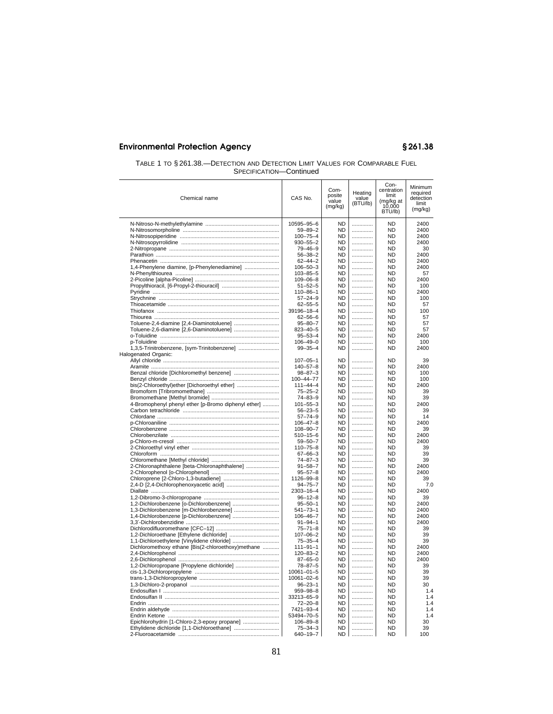| TABLE 1 TO §261.38.—DETECTION AND DETECTION LIMIT VALUES FOR COMPARABLE FUEL |  |
|------------------------------------------------------------------------------|--|
| SPECIFICATION-Continued                                                      |  |

| Chemical name                                       | CAS No.                        | Com-<br>posite<br>value<br>(mg/kg) | Heating<br>value<br>(BTU/lb) | Con-<br>centration<br>limit<br>(mg/kg at<br>10.000<br>BTU/lb) | Minimum<br>required<br>detection<br>limit<br>(mg/kg) |
|-----------------------------------------------------|--------------------------------|------------------------------------|------------------------------|---------------------------------------------------------------|------------------------------------------------------|
|                                                     | 10595-95-6                     | <b>ND</b>                          |                              | <b>ND</b>                                                     | 2400                                                 |
|                                                     | $59 - 89 - 2$                  | <b>ND</b>                          |                              | <b>ND</b>                                                     | 2400                                                 |
|                                                     | $100 - 75 - 4$                 | <b>ND</b>                          |                              | <b>ND</b>                                                     | 2400                                                 |
|                                                     | $930 - 55 - 2$                 | <b>ND</b>                          | .                            | <b>ND</b>                                                     | 2400                                                 |
|                                                     | $79 - 46 - 9$                  | <b>ND</b>                          |                              | <b>ND</b>                                                     | 30                                                   |
|                                                     | $56 - 38 - 2$                  | <b>ND</b>                          |                              | <b>ND</b>                                                     | 2400                                                 |
|                                                     | $62 - 44 - 2$                  | <b>ND</b>                          | .                            | <b>ND</b>                                                     | 2400                                                 |
| 1,4-Phenylene diamine, [p-Phenylenediamine]         | $106 - 50 - 3$                 | <b>ND</b>                          | .                            | <b>ND</b>                                                     | 2400                                                 |
|                                                     | $103 - 85 - 5$                 | ND.                                | .                            | <b>ND</b>                                                     | 57                                                   |
|                                                     | $109 - 06 - 8$                 | ND.                                | .                            | <b>ND</b>                                                     | 2400                                                 |
|                                                     | $51 - 52 - 5$                  | <b>ND</b>                          | .                            | <b>ND</b>                                                     | 100                                                  |
|                                                     | 110-86-1                       | <b>ND</b>                          |                              | <b>ND</b>                                                     | 2400                                                 |
|                                                     | $57 - 24 - 9$                  | <b>ND</b>                          |                              | <b>ND</b>                                                     | 100                                                  |
|                                                     | $62 - 55 - 5$                  | ND                                 | .                            | <b>ND</b>                                                     | 57                                                   |
|                                                     | 39196-18-4                     | ND                                 |                              | <b>ND</b>                                                     | 100                                                  |
|                                                     | $62 - 56 - 6$                  | ND                                 |                              | <b>ND</b>                                                     | 57                                                   |
|                                                     | $95 - 80 - 7$                  | ND                                 | .                            | <b>ND</b>                                                     | 57                                                   |
|                                                     | $823 - 40 - 5$                 | ND                                 | .                            | <b>ND</b>                                                     | 57                                                   |
|                                                     | $95 - 53 - 4$                  | <b>ND</b>                          |                              | <b>ND</b>                                                     | 2400                                                 |
|                                                     | $106 - 49 - 0$                 | <b>ND</b>                          |                              | <b>ND</b>                                                     | 100                                                  |
| 1,3,5-Trinitrobenzene, [sym-Trinitobenzene]         | $99 - 35 - 4$                  | ND                                 | .                            | <b>ND</b>                                                     | 2400                                                 |
| Halogenated Organic:                                |                                |                                    |                              |                                                               |                                                      |
|                                                     | $107 - 05 - 1$                 | <b>ND</b>                          | .                            | <b>ND</b>                                                     | 39                                                   |
|                                                     | $140 - 57 - 8$                 | <b>ND</b>                          |                              | <b>ND</b>                                                     | 2400                                                 |
|                                                     | $98 - 87 - 3$                  | <b>ND</b>                          |                              | <b>ND</b>                                                     | 100                                                  |
|                                                     | 100-44-77                      | <b>ND</b>                          |                              | <b>ND</b>                                                     | 100                                                  |
|                                                     | $111 - 44 - 4$                 | ND.                                |                              | <b>ND</b>                                                     | 2400                                                 |
| bis(2-Chloroethyl)ether [Dichoroethyl ether]        |                                | <b>ND</b>                          | .                            | <b>ND</b>                                                     |                                                      |
|                                                     | $75 - 25 - 2$<br>$74 - 83 - 9$ | <b>ND</b>                          | .                            | <b>ND</b>                                                     | 39<br>39                                             |
|                                                     |                                |                                    |                              |                                                               |                                                      |
| 4-Bromophenyl phenyl ether [p-Bromo diphenyl ether] | $101 - 55 - 3$                 | <b>ND</b>                          |                              | <b>ND</b>                                                     | 2400                                                 |
|                                                     | $56 - 23 - 5$                  | ND                                 | .                            | <b>ND</b>                                                     | 39                                                   |
|                                                     | $57 - 74 - 9$                  | <b>ND</b>                          |                              | <b>ND</b>                                                     | 14                                                   |
|                                                     | $106 - 47 - 8$                 | <b>ND</b>                          |                              | <b>ND</b>                                                     | 2400                                                 |
|                                                     | $108 - 90 - 7$                 | <b>ND</b>                          |                              | <b>ND</b>                                                     | 39                                                   |
|                                                     | $510 - 15 - 6$                 | <b>ND</b>                          |                              | <b>ND</b>                                                     | 2400                                                 |
|                                                     | $59 - 50 - 7$                  | <b>ND</b>                          |                              | <b>ND</b>                                                     | 2400                                                 |
|                                                     | $110 - 75 - 8$                 | <b>ND</b>                          |                              | <b>ND</b>                                                     | 39                                                   |
|                                                     | $67 - 66 - 3$                  | <b>ND</b>                          |                              | <b>ND</b>                                                     | 39                                                   |
|                                                     | $74 - 87 - 3$                  | <b>ND</b>                          | .                            | <b>ND</b>                                                     | 39                                                   |
| 2-Chloronaphthalene [beta-Chloronaphthalene]        | $91 - 58 - 7$                  | <b>ND</b>                          |                              | <b>ND</b>                                                     | 2400                                                 |
|                                                     | $95 - 57 - 8$                  | <b>ND</b>                          |                              | <b>ND</b>                                                     | 2400                                                 |
|                                                     | 1126-99-8                      | <b>ND</b>                          |                              | <b>ND</b>                                                     | 39                                                   |
|                                                     | $94 - 75 - 7$                  | <b>ND</b>                          | .                            | <b>ND</b>                                                     | 7.0                                                  |
|                                                     | 2303-16-4                      | ND                                 | .                            | <b>ND</b>                                                     | 2400                                                 |
|                                                     | $96 - 12 - 8$                  | <b>ND</b>                          | .                            | <b>ND</b>                                                     | 39                                                   |
|                                                     | $95 - 50 - 1$                  | <b>ND</b>                          |                              | <b>ND</b>                                                     | 2400                                                 |
|                                                     | $541 - 73 - 1$                 | ND                                 |                              | <b>ND</b>                                                     | 2400                                                 |
|                                                     | $106 - 46 - 7$                 | ND                                 | .                            | <b>ND</b>                                                     | 2400                                                 |
|                                                     | $91 - 94 - 1$                  | ND                                 |                              | <b>ND</b>                                                     | 2400                                                 |
|                                                     | $75 - 71 - 8$                  | ND                                 |                              | <b>ND</b>                                                     | 39                                                   |
|                                                     | $107 - 06 - 2$                 | ND                                 |                              | <b>ND</b>                                                     | 39                                                   |
| 1,1-Dichloroethylene [Vinylidene chloride]          | $75 - 35 - 4$                  | ND                                 | .                            | <b>ND</b>                                                     | 39                                                   |
| Dichloromethoxy ethane [Bis(2-chloroethoxy)methane  | $111 - 91 - 1$                 | ND                                 |                              | <b>ND</b>                                                     | 2400                                                 |
|                                                     | $120 - 83 - 2$                 | <b>ND</b>                          | .                            | <b>ND</b>                                                     | 2400                                                 |
|                                                     | $87 - 65 - 0$                  | <b>ND</b>                          | .                            | <b>ND</b>                                                     | 2400                                                 |
| 1,2-Dichloropropane [Propylene dichloride]          | $78 - 87 - 5$                  | ND                                 |                              | <b>ND</b>                                                     | 39                                                   |
|                                                     | $10061 - 01 - 5$               | <b>ND</b>                          |                              | <b>ND</b>                                                     | 39                                                   |
|                                                     | 10061-02-6                     | ND                                 | .                            | <b>ND</b>                                                     | 39                                                   |
|                                                     | $96 - 23 - 1$                  | <b>ND</b>                          |                              | <b>ND</b>                                                     | 30                                                   |
|                                                     | $959 - 98 - 8$                 | ND                                 |                              | <b>ND</b>                                                     | 1.4                                                  |
|                                                     | 33213-65-9                     | <b>ND</b>                          | .                            | <b>ND</b>                                                     | 1.4                                                  |
|                                                     | $72 - 20 - 8$                  | <b>ND</b>                          | .                            | <b>ND</b>                                                     | 1.4                                                  |
|                                                     | 7421-93-4                      | <b>ND</b>                          |                              | <b>ND</b>                                                     | 1.4                                                  |
|                                                     | 53494-70-5                     | <b>ND</b>                          | .                            | <b>ND</b>                                                     | 1.4                                                  |
| Epichlorohydrin [1-Chloro-2,3-epoxy propane]        | $106 - 89 - 8$                 | <b>ND</b>                          | .                            | <b>ND</b>                                                     | 30                                                   |
| Ethylidene dichloride [1,1-Dichloroethane]          | $75 - 34 - 3$                  | <b>ND</b>                          |                              | <b>ND</b>                                                     | 39                                                   |
|                                                     | 640-19-7                       | ND.                                |                              | <b>ND</b>                                                     | 100                                                  |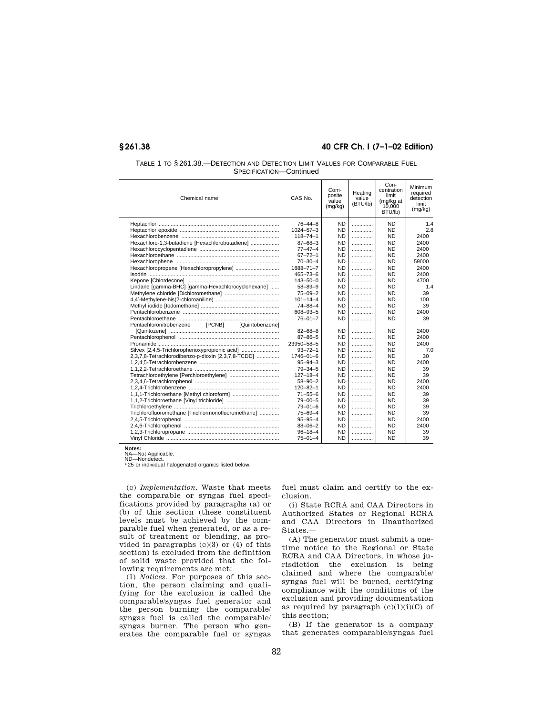### **§ 261.38 40 CFR Ch. I (7–1–02 Edition)**

| TABLE 1 TO §261.38.-DETECTION AND DETECTION LIMIT VALUES FOR COMPARABLE FUEL |
|------------------------------------------------------------------------------|
| SPECIFICATION-Continued                                                      |

| Chemical name                                        | CAS No.         | Com-<br>posite<br>value<br>(mq/kg) | Heating<br>value<br>(BTU/lb) | Con-<br>centration<br>limit<br>(mg/kg at<br>10.000<br>BTU/lb) | Minimum<br>required<br>detection<br>limit<br>(mq/kg) |
|------------------------------------------------------|-----------------|------------------------------------|------------------------------|---------------------------------------------------------------|------------------------------------------------------|
|                                                      | $76 - 44 - 8$   | <b>ND</b>                          | .                            | ND.                                                           | 1.4                                                  |
|                                                      | $1024 - 57 - 3$ | <b>ND</b>                          | .                            | <b>ND</b>                                                     | 2.8                                                  |
|                                                      | $118 - 74 - 1$  | <b>ND</b>                          | .                            | ND.                                                           | 2400                                                 |
| Hexachloro-1,3-butadiene [Hexachlorobutadiene]       | $87 - 68 - 3$   | <b>ND</b>                          | .                            | ND.                                                           | 2400                                                 |
|                                                      | $77 - 47 - 4$   | <b>ND</b>                          | .                            | <b>ND</b>                                                     | 2400                                                 |
|                                                      | $67 - 72 - 1$   | <b>ND</b>                          | .                            | <b>ND</b>                                                     | 2400                                                 |
|                                                      | $70 - 30 - 4$   | <b>ND</b>                          | .                            | <b>ND</b>                                                     | 59000                                                |
| Hexachloropropene [Hexachloropropylene]              | 1888-71-7       | <b>ND</b>                          | .                            | <b>ND</b>                                                     | 2400                                                 |
|                                                      | $465 - 73 - 6$  | <b>ND</b>                          | .                            | <b>ND</b>                                                     | 2400                                                 |
|                                                      | $143 - 50 - 0$  | <b>ND</b>                          | .                            | <b>ND</b>                                                     | 4700                                                 |
| Lindane [gamma-BHC] [gamma-Hexachlorocyclohexane]    | $58 - 89 - 9$   | <b>ND</b>                          | .                            | ND.                                                           | 1.4                                                  |
|                                                      | $75 - 09 - 2$   | <b>ND</b>                          | .                            | ND.                                                           | 39                                                   |
|                                                      | $101 - 14 - 4$  | <b>ND</b>                          | .                            | <b>ND</b>                                                     | 100                                                  |
|                                                      | $74 - 88 - 4$   | <b>ND</b>                          | .                            | <b>ND</b>                                                     | 39                                                   |
|                                                      | $608 - 93 - 5$  | <b>ND</b>                          | .                            | <b>ND</b>                                                     | 2400                                                 |
|                                                      | $76 - 01 - 7$   | <b>ND</b>                          | .                            | <b>ND</b>                                                     | 39                                                   |
| [PCNB]<br>[Quintobenzene]<br>Pentachloronitrobenzene |                 |                                    |                              |                                                               |                                                      |
|                                                      | $82 - 68 - 8$   | <b>ND</b>                          | .                            | <b>ND</b>                                                     | 2400                                                 |
|                                                      | $87 - 86 - 5$   | <b>ND</b>                          | .                            | ND.                                                           | 2400                                                 |
|                                                      | 23950-58-5      | <b>ND</b>                          | .                            | ND.                                                           | 2400                                                 |
| Silvex [2,4,5-Trichlorophenoxypropionic acid]        | $93 - 72 - 1$   | <b>ND</b>                          | .                            | <b>ND</b>                                                     | 7.0                                                  |
| 2,3,7,8-Tetrachlorodibenzo-p-dioxin [2,3,7,8-TCDD]   | $1746 - 01 - 6$ | <b>ND</b>                          | .                            | <b>ND</b>                                                     | 30                                                   |
|                                                      | $95 - 94 - 3$   | <b>ND</b>                          | .                            | <b>ND</b>                                                     | 2400                                                 |
|                                                      | $79 - 34 - 5$   | <b>ND</b>                          | .                            | ND.                                                           | 39                                                   |
|                                                      | $127 - 18 - 4$  | <b>ND</b>                          | .                            | <b>ND</b>                                                     | 39                                                   |
|                                                      | $58 - 90 - 2$   | <b>ND</b>                          | .                            | <b>ND</b>                                                     | 2400                                                 |
|                                                      | $120 - 82 - 1$  | <b>ND</b>                          | .                            | <b>ND</b>                                                     | 2400                                                 |
|                                                      | $71 - 55 - 6$   | <b>ND</b>                          | .                            | <b>ND</b>                                                     | 39                                                   |
|                                                      | $79 - 00 - 5$   | <b>ND</b>                          | .                            | <b>ND</b>                                                     | 39                                                   |
|                                                      | $79 - 01 - 6$   | <b>ND</b>                          | .                            | <b>ND</b>                                                     | 39                                                   |
| Trichlorofluoromethane [Trichlormonofluoromethane]   | $75 - 69 - 4$   | <b>ND</b>                          | .                            | <b>ND</b>                                                     | 39                                                   |
|                                                      | $95 - 95 - 4$   | <b>ND</b>                          | .                            | <b>ND</b>                                                     | 2400                                                 |
|                                                      | $88 - 06 - 2$   | <b>ND</b>                          | .                            | <b>ND</b>                                                     | 2400                                                 |
|                                                      | $96 - 18 - 4$   | <b>ND</b>                          | .                            | <b>ND</b>                                                     | 39                                                   |
|                                                      | $75 - 01 - 4$   | <b>ND</b>                          | .                            | <b>ND</b>                                                     | 39                                                   |

**Notes:**

NA—Not Applicable.<br>ND—Nondetect.<br>1 25 or individual halogenated organics listed below.

(c) *Implementation.* Waste that meets the comparable or syngas fuel specifications provided by paragraphs (a) or (b) of this section (these constituent levels must be achieved by the comparable fuel when generated, or as a result of treatment or blending, as provided in paragraphs (c)(3) or (4) of this section) is excluded from the definition of solid waste provided that the following requirements are met:

(1) *Notices.* For purposes of this section, the person claiming and qualifying for the exclusion is called the comparable/syngas fuel generator and the person burning the comparable/ syngas fuel is called the comparable/ syngas burner. The person who generates the comparable fuel or syngas fuel must claim and certify to the exclusion.

(i) State RCRA and CAA Directors in Authorized States or Regional RCRA and CAA Directors in Unauthorized States.—

(A) The generator must submit a onetime notice to the Regional or State RCRA and CAA Directors, in whose jurisdiction the exclusion is being claimed and where the comparable/ syngas fuel will be burned, certifying compliance with the conditions of the exclusion and providing documentation as required by paragraph  $(c)(1)(i)(C)$  of this section;

(B) If the generator is a company that generates comparable/syngas fuel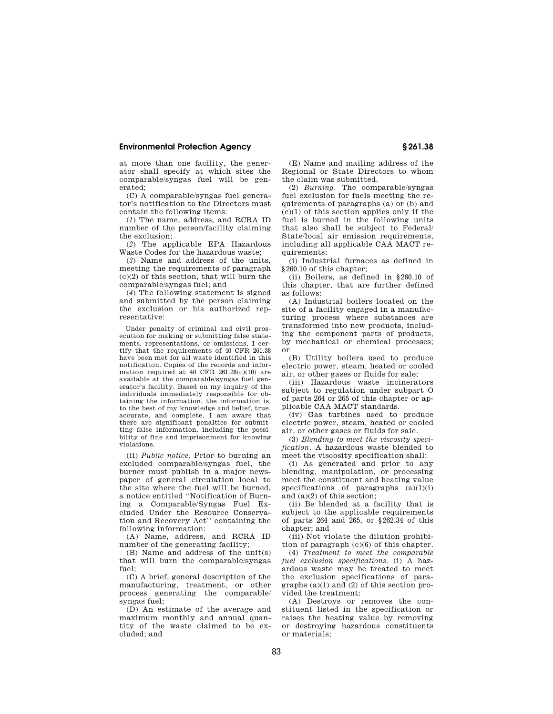at more than one facility, the generator shall specify at which sites the comparable/syngas fuel will be generated;

(C) A comparable/syngas fuel generator's notification to the Directors must contain the following items:

(*1*) The name, address, and RCRA ID number of the person/facility claiming the exclusion;

(*2*) The applicable EPA Hazardous Waste Codes for the hazardous waste;

(*3*) Name and address of the units, meeting the requirements of paragraph (c)(2) of this section, that will burn the comparable/syngas fuel; and

(*4*) The following statement is signed and submitted by the person claiming the exclusion or his authorized representative:

Under penalty of criminal and civil prosecution for making or submitting false statements, representations, or omissions, I certify that the requirements of 40 CFR 261.38 have been met for all waste identified in this notification. Copies of the records and information required at 40 CFR  $261.28(c)(10)$  are available at the comparable/syngas fuel generator's facility. Based on my inquiry of the individuals immediately responsible for obtaining the information, the information is, to the best of my knowledge and belief, true, accurate, and complete. I am aware that there are significant penalties for submitting false information, including the possibility of fine and imprisonment for knowing violations.

(ii) *Public notice.* Prior to burning an excluded comparable/syngas fuel, the burner must publish in a major newspaper of general circulation local to the site where the fuel will be burned, a notice entitled ''Notification of Burning a Comparable/Syngas Fuel Excluded Under the Resource Conservation and Recovery Act'' containing the following information:

(A) Name, address, and RCRA ID number of the generating facility;

(B) Name and address of the unit(s) that will burn the comparable/syngas  $f$ uel $\cdot$ 

(C) A brief, general description of the manufacturing, treatment, or other process generating the comparable/ syngas fuel;

(D) An estimate of the average and maximum monthly and annual quantity of the waste claimed to be excluded; and

(E) Name and mailing address of the Regional or State Directors to whom the claim was submitted.

(2) *Burning.* The comparable/syngas fuel exclusion for fuels meeting the requirements of paragraphs (a) or (b) and  $(c)(1)$  of this section applies only if the fuel is burned in the following units that also shall be subject to Federal/ State/local air emission requirements, including all applicable CAA MACT requirements:

(i) Industrial furnaces as defined in § 260.10 of this chapter;

(ii) Boilers, as defined in § 260.10 of this chapter, that are further defined as follows:

(A) Industrial boilers located on the site of a facility engaged in a manufacturing process where substances are transformed into new products, including the component parts of products, by mechanical or chemical processes; or

(B) Utility boilers used to produce electric power, steam, heated or cooled air, or other gases or fluids for sale;

(iii) Hazardous waste incinerators subject to regulation under subpart O of parts 264 or 265 of this chapter or applicable CAA MACT standards.

(iv) Gas turbines used to produce electric power, steam, heated or cooled air, or other gases or fluids for sale.

(3) *Blending to meet the viscosity specification.* A hazardous waste blended to meet the viscosity specification shall:

(i) As generated and prior to any blending, manipulation, or processing meet the constituent and heating value specifications of paragraphs  $(a)(1)(i)$ and  $(a)(2)$  of this section;

(ii) Be blended at a facility that is subject to the applicable requirements of parts 264 and 265, or § 262.34 of this chapter; and

(iii) Not violate the dilution prohibition of paragraph (c)(6) of this chapter.

(4) *Treatment to meet the comparable fuel exclusion specifications.* (i) A hazardous waste may be treated to meet the exclusion specifications of paragraphs  $(a)(1)$  and  $(2)$  of this section provided the treatment:

(A) Destroys or removes the constituent listed in the specification or raises the heating value by removing or destroying hazardous constituents or materials;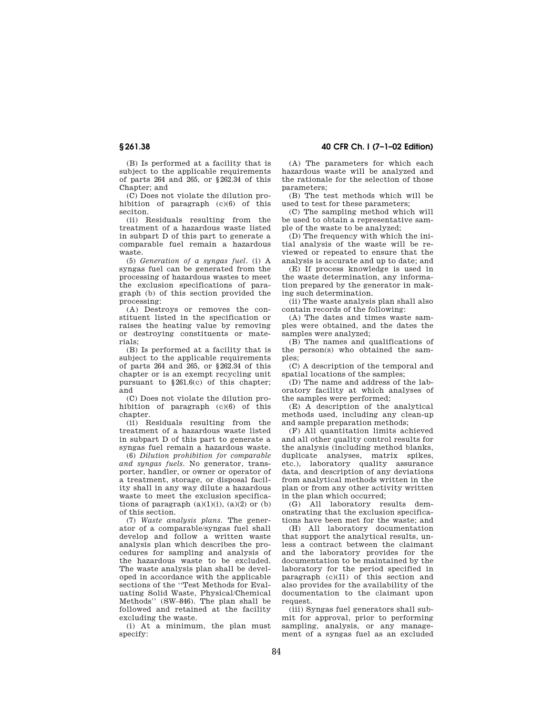**§ 261.38 40 CFR Ch. I (7–1–02 Edition)**

(B) Is performed at a facility that is subject to the applicable requirements of parts 264 and 265, or § 262.34 of this Chapter; and

(C) Does not violate the dilution prohibition of paragraph (c)(6) of this seciton.

(ii) Residuals resulting from the treatment of a hazardous waste listed in subpart D of this part to generate a comparable fuel remain a hazardous waste.

(5) *Generation of a syngas fuel.* (i) A syngas fuel can be generated from the processing of hazardous wastes to meet the exclusion specifications of paragraph (b) of this section provided the processing:

(A) Destroys or removes the constituent listed in the specification or raises the heating value by removing or destroying constituents or materials;

(B) Is performed at a facility that is subject to the applicable requirements of parts 264 and 265, or § 262.34 of this chapter or is an exempt recycling unit pursuant to § 261.6(c) of this chapter; and

(C) Does not violate the dilution prohibition of paragraph (c)(6) of this chapter

(ii) Residuals resulting from the treatment of a hazardous waste listed in subpart D of this part to generate a syngas fuel remain a hazardous waste.

(6) *Dilution prohibition for comparable and syngas fuels.* No generator, transporter, handler, or owner or operator of a treatment, storage, or disposal facility shall in any way dilute a hazardous waste to meet the exclusion specifications of paragraph  $(a)(1)(i)$ ,  $(a)(2)$  or  $(b)$ of this section.

(7) *Waste analysis plans.* The generator of a comparable/syngas fuel shall develop and follow a written waste analysis plan which describes the procedures for sampling and analysis of the hazardous waste to be excluded. The waste analysis plan shall be developed in accordance with the applicable sections of the ''Test Methods for Evaluating Solid Waste, Physical/Chemical Methods'' (SW–846). The plan shall be followed and retained at the facility excluding the waste.

(i) At a minimum, the plan must specify<sup>.</sup>

(A) The parameters for which each hazardous waste will be analyzed and the rationale for the selection of those parameters;

(B) The test methods which will be used to test for these parameters;

(C) The sampling method which will be used to obtain a representative sample of the waste to be analyzed;

(D) The frequency with which the initial analysis of the waste will be reviewed or repeated to ensure that the analysis is accurate and up to date; and

(E) If process knowledge is used in the waste determination, any information prepared by the generator in making such determination.

(ii) The waste analysis plan shall also contain records of the following:

(A) The dates and times waste samples were obtained, and the dates the samples were analyzed;

(B) The names and qualifications of the person(s) who obtained the samples;

(C) A description of the temporal and spatial locations of the samples;

(D) The name and address of the laboratory facility at which analyses of the samples were performed;

(E) A description of the analytical methods used, including any clean-up and sample preparation methods;

(F) All quantitation limits achieved and all other quality control results for the analysis (including method blanks, duplicate analyses, matrix spikes, etc.), laboratory quality assurance data, and description of any deviations from analytical methods written in the plan or from any other activity written in the plan which occurred;

(G) All laboratory results demonstrating that the exclusion specifications have been met for the waste; and

(H) All laboratory documentation that support the analytical results, unless a contract between the claimant and the laboratory provides for the documentation to be maintained by the laboratory for the period specified in paragraph  $(c)(11)$  of this section and also provides for the availability of the documentation to the claimant upon request.

(iii) Syngas fuel generators shall submit for approval, prior to performing sampling, analysis, or any management of a syngas fuel as an excluded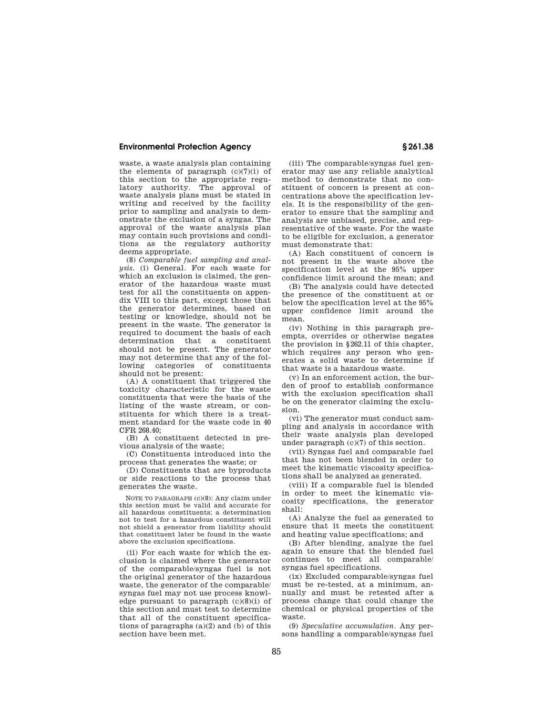waste, a waste analysis plan containing the elements of paragraph  $(c)(7)(i)$  of this section to the appropriate regulatory authority. The approval of waste analysis plans must be stated in writing and received by the facility prior to sampling and analysis to demonstrate the exclusion of a syngas. The approval of the waste analysis plan may contain such provisions and conditions as the regulatory authority deems appropriate.

(8) *Comparable fuel sampling and analysis.* (i) General. For each waste for which an exclusion is claimed, the generator of the hazardous waste must test for all the constituents on appendix VIII to this part, except those that the generator determines, based on testing or knowledge, should not be present in the waste. The generator is required to document the basis of each determination that a constituent should not be present. The generator may not determine that any of the following categories of constituents should not be present:

(A) A constituent that triggered the toxicity characteristic for the waste constituents that were the basis of the listing of the waste stream, or constituents for which there is a treatment standard for the waste code in 40 CFR 268.40;

(B) A constituent detected in previous analysis of the waste;

(C) Constituents introduced into the process that generates the waste; or

(D) Constituents that are byproducts or side reactions to the process that generates the waste.

NOTE TO PARAGRAPH (c)(8): Any claim under this section must be valid and accurate for all hazardous constituents; a determination not to test for a hazardous constituent will not shield a generator from liability should that constituent later be found in the waste above the exclusion specifications.

(ii) For each waste for which the exclusion is claimed where the generator of the comparable/syngas fuel is not the original generator of the hazardous waste, the generator of the comparable/ syngas fuel may not use process knowledge pursuant to paragraph  $(c)(8)(i)$  of this section and must test to determine that all of the constituent specifications of paragraphs  $(a)(2)$  and  $(b)$  of this section have been met.

(iii) The comparable/syngas fuel generator may use any reliable analytical method to demonstrate that no constituent of concern is present at concentrations above the specification levels. It is the responsibility of the generator to ensure that the sampling and analysis are unbiased, precise, and representative of the waste. For the waste to be eligible for exclusion, a generator must demonstrate that:

(A) Each constituent of concern is not present in the waste above the specification level at the 95% upper confidence limit around the mean; and

(B) The analysis could have detected the presence of the constituent at or below the specification level at the 95% upper confidence limit around the mean.

(iv) Nothing in this paragraph preempts, overrides or otherwise negates the provision in § 262.11 of this chapter, which requires any person who generates a solid waste to determine if that waste is a hazardous waste.

(v) In an enforcement action, the burden of proof to establish conformance with the exclusion specification shall be on the generator claiming the exclusion.

(vi) The generator must conduct sampling and analysis in accordance with their waste analysis plan developed under paragraph (c)(7) of this section.

(vii) Syngas fuel and comparable fuel that has not been blended in order to meet the kinematic viscosity specifications shall be analyzed as generated.

(viii) If a comparable fuel is blended in order to meet the kinematic viscosity specifications, the generator shall:

(A) Analyze the fuel as generated to ensure that it meets the constituent and heating value specifications; and

(B) After blending, analyze the fuel again to ensure that the blended fuel continues to meet all comparable/ syngas fuel specifications.

(ix) Excluded comparable/syngas fuel must be re-tested, at a minimum, annually and must be retested after a process change that could change the chemical or physical properties of the waste.

(9) *Speculative accumulation.* Any persons handling a comparable/syngas fuel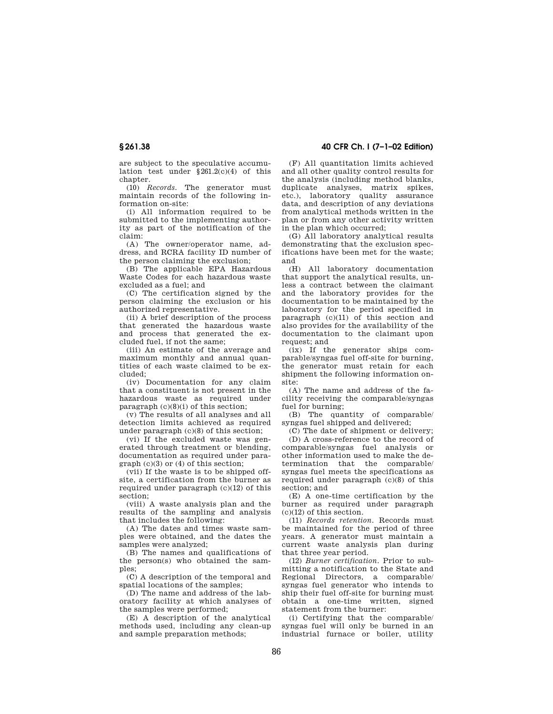are subject to the speculative accumulation test under  $§261.2(c)(4)$  of this chapter.

(10) *Records.* The generator must maintain records of the following information on-site:

(i) All information required to be submitted to the implementing authority as part of the notification of the claim:

(A) The owner/operator name, address, and RCRA facility ID number of the person claiming the exclusion;

(B) The applicable EPA Hazardous Waste Codes for each hazardous waste excluded as a fuel; and

(C) The certification signed by the person claiming the exclusion or his authorized representative.

(ii) A brief description of the process that generated the hazardous waste and process that generated the excluded fuel, if not the same;

(iii) An estimate of the average and maximum monthly and annual quantities of each waste claimed to be excluded;

(iv) Documentation for any claim that a constituent is not present in the hazardous waste as required under paragraph  $(c)(8)(i)$  of this section;

(v) The results of all analyses and all detection limits achieved as required under paragraph (c)(8) of this section;

(vi) If the excluded waste was generated through treatment or blending, documentation as required under paragraph (c)(3) or (4) of this section;

(vii) If the waste is to be shipped offsite, a certification from the burner as required under paragraph (c)(12) of this section;

(viii) A waste analysis plan and the results of the sampling and analysis that includes the following:

(A) The dates and times waste samples were obtained, and the dates the samples were analyzed;

(B) The names and qualifications of the person(s) who obtained the samples;

(C) A description of the temporal and spatial locations of the samples;

(D) The name and address of the laboratory facility at which analyses of the samples were performed;

(E) A description of the analytical methods used, including any clean-up and sample preparation methods;

### **§ 261.38 40 CFR Ch. I (7–1–02 Edition)**

(F) All quantitation limits achieved and all other quality control results for the analysis (including method blanks, duplicate analyses, matrix spikes, etc.), laboratory quality assurance data, and description of any deviations from analytical methods written in the plan or from any other activity written in the plan which occurred;

(G) All laboratory analytical results demonstrating that the exclusion specifications have been met for the waste; and

(H) All laboratory documentation that support the analytical results, unless a contract between the claimant and the laboratory provides for the documentation to be maintained by the laboratory for the period specified in paragraph  $(c)(11)$  of this section and also provides for the availability of the documentation to the claimant upon request; and

(ix) If the generator ships comparable/syngas fuel off-site for burning, the generator must retain for each shipment the following information onsite:

(A) The name and address of the facility receiving the comparable/syngas fuel for burning;

(B) The quantity of comparable/ syngas fuel shipped and delivered;

(C) The date of shipment or delivery; (D) A cross-reference to the record of comparable/syngas fuel analysis or other information used to make the determination that the comparable/ syngas fuel meets the specifications as required under paragraph (c)(8) of this section; and

(E) A one-time certification by the burner as required under paragraph (c)(12) of this section.

(11) *Records retention.* Records must be maintained for the period of three years. A generator must maintain a current waste analysis plan during that three year period.

(12) *Burner certification.* Prior to submitting a notification to the State and Regional Directors, a comparable/ syngas fuel generator who intends to ship their fuel off-site for burning must obtain a one-time written, signed statement from the burner:

(i) Certifying that the comparable/ syngas fuel will only be burned in an industrial furnace or boiler, utility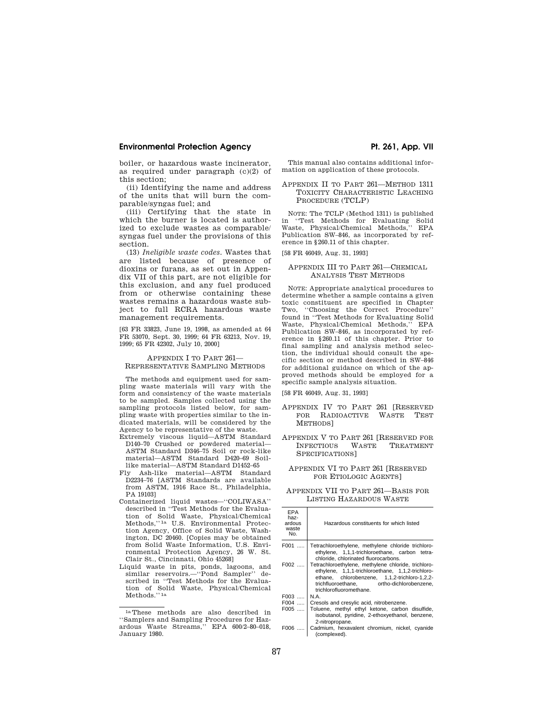### **Environmental Protection Agency**  The Contract Control of Pt. 261, App. VII

boiler, or hazardous waste incinerator, as required under paragraph (c)(2) of this section;

(ii) Identifying the name and address of the units that will burn the comparable/syngas fuel; and

(iii) Certifying that the state in which the burner is located is authorized to exclude wastes as comparable/ syngas fuel under the provisions of this section.

(13) *Ineligible waste codes.* Wastes that are listed because of presence of dioxins or furans, as set out in Appendix VII of this part, are not eligible for this exclusion, and any fuel produced from or otherwise containing these wastes remains a hazardous waste subject to full RCRA hazardous waste management requirements.

[63 FR 33823, June 19, 1998, as amended at 64 FR 53070, Sept. 30, 1999; 64 FR 63213, Nov. 19, 1999; 65 FR 42302, July 10, 2000]

### APPENDIX I TO PART 261— REPRESENTATIVE SAMPLING METHODS

The methods and equipment used for sampling waste materials will vary with the form and consistency of the waste materials to be sampled. Samples collected using the sampling protocols listed below, for sampling waste with properties similar to the indicated materials, will be considered by the Agency to be representative of the waste.

- Extremely viscous liquid—ASTM Standard D140–70 Crushed or powdered material— ASTM Standard D346–75 Soil or rock-like material—ASTM Standard D420–69 Soillike material—ASTM Standard D1452–65
- Fly Ash-like material—ASTM Standard D2234–76 [ASTM Standards are available from ASTM, 1916 Race St., Philadelphia, PA 19103]
- Containerized liquid wastes—''COLIWASA'' described in ''Test Methods for the Evaluation of Solid Waste, Physical/Chemical Methods,'' 1a U.S. Environmental Protection Agency, Office of Solid Waste, Washington, DC 20460. [Copies may be obtained from Solid Waste Information, U.S. Environmental Protection Agency, 26 W. St. Clair St., Cincinnati, Ohio 45268]
- Liquid waste in pits, ponds, lagoons, and similar reservoirs.—''Pond Sampler'' described in ''Test Methods for the Evaluation of Solid Waste, Physical/Chemical Methods.'' 1a

1aThese methods are also described in ''Samplers and Sampling Procedures for Hazardous Waste Streams,'' EPA 600/2–80–018, January 1980.

This manual also contains additional information on application of these protocols.

### APPENDIX II TO PART 261—METHOD 1311 TOXICITY CHARACTERISTIC LEACHING PROCEDURE (TCLP)

NOTE: The TCLP (Method 1311) is published in ''Test Methods for Evaluating Solid Waste, Physical/Chemical Methods,'' EPA Publication SW–846, as incorporated by reference in § 260.11 of this chapter.

[58 FR 46049, Aug. 31, 1993]

### APPENDIX III TO PART 261—CHEMICAL ANALYSIS TEST METHODS

NOTE: Appropriate analytical procedures to determine whether a sample contains a given toxic constituent are specified in Chapter Two, ''Choosing the Correct Procedure'' found in ''Test Methods for Evaluating Solid Waste, Physical/Chemical Methods,' Publication SW–846, as incorporated by reference in § 260.11 of this chapter. Prior to final sampling and analysis method selection, the individual should consult the specific section or method described in SW–846 for additional guidance on which of the approved methods should be employed for a specific sample analysis situation.

[58 FR 46049, Aug. 31, 1993]

- APPENDIX IV TO PART 261 [RESERVED FOR RADIOACTIVE WASTE TEST METHODS]
- APPENDIX V TO PART 261 [RESERVED FOR INFECTIOUS WASTE TREATMENT SPECIFICATIONS]

### APPENDIX VI TO PART 261 [RESERVED FOR ETIOLOGIC AGENTS]

### APPENDIX VII TO PART 261—BASIS FOR LISTING HAZARDOUS WASTE

| <b>EPA</b><br>haz-<br>ardous<br>waste<br>No. | Hazardous constituents for which listed                                                                                                                                                                                           |
|----------------------------------------------|-----------------------------------------------------------------------------------------------------------------------------------------------------------------------------------------------------------------------------------|
| F001                                         | Tetrachloroethylene, methylene chloride trichloro-<br>ethylene, 1,1,1-trichloroethane, carbon tetra-<br>chloride, chlorinated fluorocarbons.                                                                                      |
| F002                                         | Tetrachloroethylene, methylene chloride, trichloro-<br>ethylene, 1,1,1-trichloroethane, 1,1,2-trichloro-<br>ethane, chlorobenzene, 1,1,2-trichloro-1,2,2-<br>trichfluoroethane. ortho-dichlorobenzene.<br>trichlorofluoromethane. |
| F003    N.A.                                 |                                                                                                                                                                                                                                   |
| F004                                         | Cresols and cresylic acid, nitrobenzene.                                                                                                                                                                                          |
| F005                                         | Toluene, methyl ethyl ketone, carbon disulfide,<br>isobutanol, pyridine, 2-ethoxyethanol, benzene,<br>2-nitropropane.                                                                                                             |
| F006                                         | Cadmium, hexavalent chromium, nickel, cyanide                                                                                                                                                                                     |

(complexed).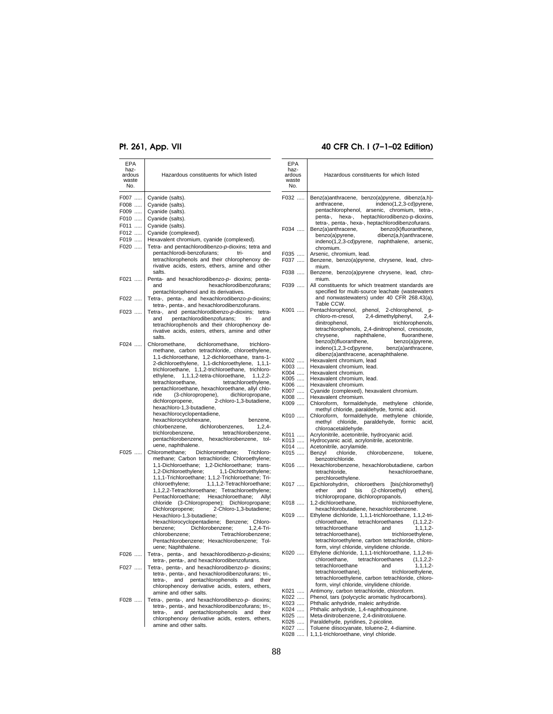# $\sim$

| EPA            |                                                                                                                                                            |
|----------------|------------------------------------------------------------------------------------------------------------------------------------------------------------|
| haz-<br>ardous | Hazardous constituents for which listed                                                                                                                    |
| waste          |                                                                                                                                                            |
| No.            |                                                                                                                                                            |
| F007           | Cyanide (salts).                                                                                                                                           |
| F008           | Cyanide (salts).                                                                                                                                           |
| F009           | Cyanide (salts).                                                                                                                                           |
| F010           | Cyanide (salts).                                                                                                                                           |
| F011           | Cyanide (salts).                                                                                                                                           |
| F012           | Cyanide (complexed).                                                                                                                                       |
| F019           | Hexavalent chromium, cyanide (complexed).                                                                                                                  |
| F020           | Tetra- and pentachlorodibenzo-p-dioxins; tetra and                                                                                                         |
|                | pentachlorodi-benzofurans;<br>tri-<br>and<br>tetrachlorophenols and their chlorophenoxy de-                                                                |
|                | rivative acids, esters, ethers, amine and other<br>salts.                                                                                                  |
| F021           | Penta- and hexachlorodibenzo-p- dioxins; penta-                                                                                                            |
|                | hexachlorodibenzofurans;<br>and                                                                                                                            |
|                | pentachlorophenol and its derivatives.                                                                                                                     |
| F022           | Tetra-, penta-, and hexachlorodibenzo-p-dioxins;<br>tetra-, penta-, and hexachlorodibenzofurans.                                                           |
| F023           | Tetra-, and pentachlorodibenzo-p-dioxins; tetra-                                                                                                           |
|                | and<br>pentachlorodibenzofurans;<br>tri-<br>and                                                                                                            |
|                | tetrachlorophenols and their chlorophenoxy de-<br>rivative acids, esters, ethers, amine and other                                                          |
|                | salts.                                                                                                                                                     |
| F024           | Chloromethane,<br>dichloromethane,<br>trichloro-                                                                                                           |
|                | methane, carbon tetrachloride, chloroethylene,                                                                                                             |
|                | 1,1-dichloroethane, 1,2-dichloroethane, trans-1-<br>2-dichloroethylene, 1,1-dichloroethylene, 1,1,1-<br>trichloroethane, 1,1,2-trichloroethane, trichloro- |
|                |                                                                                                                                                            |
|                |                                                                                                                                                            |
|                | ethylene, 1,1,1,2-tetra-chloroethane, 1,1,2,2-<br>tetrachloroethane,<br>tetrachloroethylene,                                                               |
|                | pentachloroethane, hexachloroethane, allyl chlo-                                                                                                           |
|                | (3-chloropropene),<br>ride<br>dichloropropane,                                                                                                             |
|                | 2-chloro-1,3-butadiene,<br>dichloropropene,                                                                                                                |
|                | hexachloro-1,3-butadiene,                                                                                                                                  |
|                | hexachlorocyclopentadiene,                                                                                                                                 |
|                | hexachlorocyclohexane,<br>benzene,<br>chlorbenzene,<br>dichlorobenzenes,<br>$1, 2, 4-$                                                                     |
|                | tetrachlorobenzene,<br>trichlorobenzene,                                                                                                                   |
|                | pentachlorobenzene, hexachlorobenzene,<br>tol-                                                                                                             |
|                | uene, naphthalene.                                                                                                                                         |
| F025           | Trichloro-<br>Chloromethane;<br>Dichloromethane;                                                                                                           |
|                | methane; Carbon tetrachloride; Chloroethylene;                                                                                                             |
|                | 1,1-Dichloroethane; 1,2-Dichloroethane; trans-                                                                                                             |
|                | 1,1-Dichloroethylene;<br>1,2-Dichloroethylene;                                                                                                             |
|                | 1,1.1-Trichloroethane; 1,1,2-Trichloroethane; Tri-<br>chloroethylene; 1,1,1,2-Tetrachloroethane;                                                           |
|                | 1,1,2,2-Tetrachloroethane; Tetrachloroethylene;                                                                                                            |
|                | Pentachloroethane; Hexachloroethane; Allyl                                                                                                                 |
|                | chloride (3-Chloropropene); Dichloropropane;                                                                                                               |
|                | 2-Chloro-1,3-butadiene;<br>Dichloropropene;<br>Hexachloro-1,3-butadiene;                                                                                   |
|                | Hexachlorocyclopentadiene; Benzene;<br>Chloro-                                                                                                             |
|                | Dichlorobenzene;<br>$1, 2, 4$ -Tri-<br>benzene:                                                                                                            |
|                | chlorobenzene;<br>Tetrachlorobenzene;                                                                                                                      |
|                | Pentachlorobenzene; Hexachlorobenzene; Tol-                                                                                                                |
| F026           | uene; Naphthalene.<br>Tetra-, penta-, and hexachlorodibenzo-p-dioxins;                                                                                     |
|                | tetra-, penta-, and hexachlorodibenzofurans.                                                                                                               |
| F027           | Tetra-, penta-, and hexachlorodibenzo-p- dioxins;                                                                                                          |
|                | tetra-, penta-, and hexachlorodibenzofurans; tri-,                                                                                                         |
|                | tetra-, and pentachlorophenols and their<br>chlorophenoxy derivative acids, esters, ethers,                                                                |
|                |                                                                                                                                                            |
|                | amine and other salts.                                                                                                                                     |
| F028           | Tetra-, penta-, and hexachlorodibenzo-p- dioxins;<br>tetra-, penta-, and hexachlorodibenzofurans; tri-,                                                    |
|                | and pentachlorophenols<br>and<br>their<br>tetra-,                                                                                                          |
|                | chlorophenoxy derivative acids, esters, ethers,                                                                                                            |
|                | amine and other salts.                                                                                                                                     |

# **Pt. 261, App. VII 40 CFR Ch. I (7–1–02 Edition)**

| EPA<br>haz-<br>ardous<br>waste<br>No. | Hazardous constituents for which listed                                                         |
|---------------------------------------|-------------------------------------------------------------------------------------------------|
| F032                                  | Benz(a)anthracene, benzo(a)pyrene, dibenz(a,h)-                                                 |
|                                       | indeno(1,2,3-cd)pyrene,<br>anthracene,<br>pentachlorophenol, arsenic, chromium, tetra-,         |
|                                       | heptachlorodibenzo-p-dioxins,<br>penta-,<br>hexa-,                                              |
|                                       | tetra-, penta-, hexa-, heptachlorodibenzofurans.                                                |
| F034                                  | Benz(a)anthracene,<br>benzo(k)fluoranthene,                                                     |
|                                       | benzo(a)pyrene,<br>dibenz(a,h)anthracene,                                                       |
|                                       | indeno(1,2,3-cd)pyrene, naphthalene, arsenic,<br>chromium.                                      |
| F035                                  | Arsenic, chromium, lead.                                                                        |
| F037                                  | Benzene, benzo(a)pyrene, chrysene, lead, chro-                                                  |
|                                       | mium.                                                                                           |
| F038                                  | Benzene, benzo(a)pyrene chrysene, lead, chro-                                                   |
| F039                                  | mium.<br>All constituents for which treatment standards are                                     |
|                                       | specified for multi-source leachate (wastewaters                                                |
|                                       | and nonwastewaters) under 40 CFR 268.43(a),                                                     |
|                                       | Table CCW.                                                                                      |
| K001                                  | Pentachlorophenol, phenol,<br>2-chlorophenol,<br>p-<br>$2,4-$                                   |
|                                       | 2,4-dimethylphenyl,<br>chloro-m-cresol,<br>dinitrophenol,<br>trichlorophenols,                  |
|                                       | tetrachlorophenols, 2,4-dinitrophenol, cresosote,                                               |
|                                       | naphthalene,<br>chrysene,<br>fluoranthene,                                                      |
|                                       | benzo(b)fluoranthene,<br>benzo(a)pyrene,                                                        |
|                                       | indeno(1,2,3-cd)pyrene,<br>benz(a)anthracene,<br>dibenz(a)anthracene, acenaphthalene.           |
| K002                                  | Hexavalent chromium, lead                                                                       |
| K003                                  | Hexavalent chromium, lead.                                                                      |
| K004                                  | Hexavalent chromium.                                                                            |
| K005                                  | Hexavalent chromium, lead.<br>Hexavalent chromium.                                              |
| K006<br>K007                          | Cyanide (complexed), hexavalent chromium.                                                       |
| K008                                  | Hexavalent chromium.                                                                            |
| K009                                  | Chloroform, formaldehyde, methylene<br>chloride,                                                |
| K010                                  | methyl chloride, paraldehyde, formic acid.<br>Chloroform, formaldehyde, methylene chloride,     |
|                                       | methyl chloride,<br>paraldehyde, formic<br>acid,                                                |
|                                       | chloroacetaldehyde.                                                                             |
| K011                                  | Acrylonitrile, acetonitrile, hydrocyanic acid.                                                  |
| K013<br>K014                          | Hydrocyanic acid, acrylonitrile, acetonitrile.<br>Acetonitrile, acrylamide.                     |
| K015                                  | Benzyl<br>chloride,<br>chlorobenzene,<br>toluene,                                               |
|                                       | benzotrichloride.                                                                               |
| K016                                  | Hexachlorobenzene, hexachlorobutadiene, carbon<br>tetrachloride,<br>hexachloroethane,           |
|                                       | perchloroethylene.                                                                              |
| K017                                  | Epichlorohydrin, chloroethers [bis(chloromethyl)                                                |
|                                       | ether<br>and<br>bis (2-chloroethyl)<br>ethers],                                                 |
| K018                                  | trichloropropane, dichloropropanols.<br>1,2-dichloroethane,<br>trichloroethylene,               |
|                                       | hexachlorobutadiene, hexachlorobenzene.                                                         |
| K019                                  | Ethylene dichloride, 1,1,1-trichloroethane, 1,1,2-tri-                                          |
|                                       | chloroethane, tetrachloroethanes<br>$(1,1,2,2-$<br>tetrachloroethane                            |
|                                       | and<br>$1, 1, 1, 2 -$<br>tetrachloroethane),<br>trichloroethylene,                              |
|                                       | tetrachloroethylene, carbon tetrachloride, chloro-                                              |
|                                       | form, vinyl chloride, vinylidene chloride.                                                      |
| K020                                  | Ethylene dichloride, 1,1,1-trichloroethane, 1,1,2-tri-                                          |
|                                       | chloroethane, tetrachloroethanes<br>$(1,1,2,2-$<br>tetrachloroethane<br>and<br>$1, 1, 1, 2$ -   |
|                                       | tetrachloroethane),<br>trichloroethylene,                                                       |
|                                       | tetrachloroethylene, carbon tetrachloride, chloro-                                              |
|                                       | form, vinyl chloride, vinylidene chloride.                                                      |
| K021<br>K022                          | Antimony, carbon tetrachloride, chloroform.<br>Phenol, tars (polycyclic aromatic hydrocarbons). |
| K023                                  | Phthalic anhydride, maleic anhydride.                                                           |
| K024                                  | Phthalic anhydride, 1,4-naphthoquinone.                                                         |
| K025                                  | Meta-dinitrobenzene, 2,4-dinitrotoluene.                                                        |
| K026                                  | Paraldehyde, pyridines, 2-picoline.<br>Toluene diisocyanate, toluene-2, 4-diamine.              |
| K027<br>K028  l                       | 1,1,1-trichloroethane, vinyl chloride.                                                          |
|                                       |                                                                                                 |
|                                       |                                                                                                 |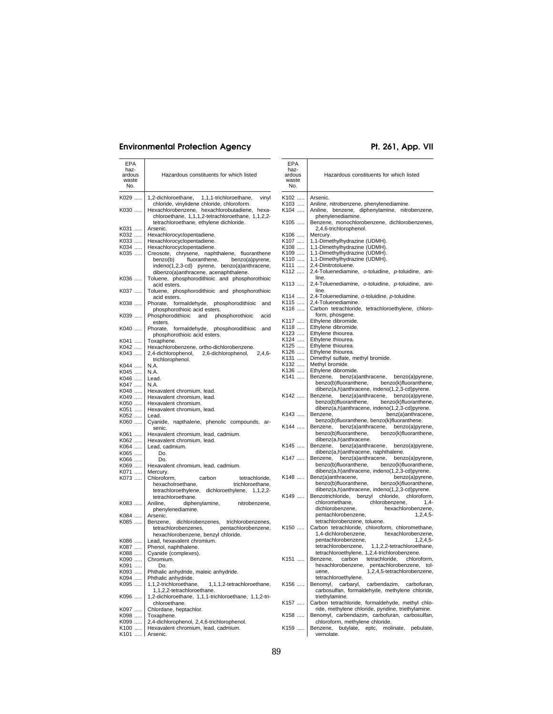# Environmental Protection Agency **Pt. 261, App. VII**

### EPA hazardous waste wasi<br>No. Hazardous constituents for which listed K029 ..... 1,2-dichloroethane, 1,1,1-trichloroethane, vinyl chloride, vinylidene chloride, chloroform. K030 ..... Hexachlorobenzene, hexachlorobutadiene, hexa-chloroethane, 1,1,1,2-tetrachloroethane, 1,1,2,2 tetrachloroethane, ethylene dichloride. K031 ....<br>K032 K032 ..... Hexachlorocyclopentadiene.<br>K033 ..... Hexachlorocyclopentadiene. K033 ..... Hexachlorocyclopentadiene.<br>K034 ..... Hexachlorocyclopentadiene. K034 ..... Hexachlorocyclopentadiene.<br>K035 ..... Creosote. chrysene. naph K035 ..... Creosote, chrysene, naphthalene, fluoranthene benzo(b) fluoranthene, benzo(a)pyrene, indeno(1,2,3-cd) pyrene, benzo(a)anthracene, dibenzo(a)anthracene, acenaphthalene. K036 ..... Toluene, phosphorodithioic and phosphorothioic acid esters. K037 ..... Toluene, phosphorodithioic and phosphorothioic acid esters. K038 ..... Phorate, formaldehyde, phosphorodithioic and phosphorothioic acid esters. K039 ..... Phosphorodithioic and phosphorothioic acid esters. K040 ..... Phorate, formaldehyde, phosphorodithioic and phosphorothioic acid esters. K041 ..... Toxaphene.<br>K042 ..... Hexachlorob ..... | Hexachlorobenzene, ortho-dichlorobenzene. K043 ..... 2,4-dichlorophenol, 2,6-dichlorophenol, 2,4,6- trichlorophenol. K044 ..... N.A.<br>K045 ..... N.A. K045 ..... N.A. K046 ..... | Lead.<br>K047 ..... | N.A. K047 ..... N.A.<br>K048 ..... Hexa K048 ..... Hexavalent chromium, lead.<br>K049 ..... Hexavalent chromium, lead. K049 ..... Hexavalent chromium, lead.<br>K050 ..... Hexavalent chromium. K050 ..... Hexavalent chromium.<br>K051 ..... Hexavalent chromium, K051 ..... Hexavalent chromium, lead.<br>K052 ..... Lead. K052 ..... | Lead.<br>K060 ..... | Cvani Cyanide, napthalene, phenolic compounds, arsenic. K061 ..... Hexavalent chromium, lead, cadmium.<br>K062 ..... Hexavalent chromium, lead. K062 ..... Hexavalent chromium, lead.<br>K064 ..... Lead, cadmium.  $\begin{array}{c} \ldots \\ \ldots \\ \ldots \end{array}$  Lead, cadmium. K065 ..... Do.<br>K066 ..... Do. K066<br>K069 K069 ...... | Hexavalent chromium, lead, cadmium.<br>K071 ..... | Mercury. K071 ..... Mercury.<br>K073 ..... Chloroform, carbon tetrachloride,<br>
trichloroethane hexacholroethane tetrachloroethylene, dichloroethylene, 1,1,2,2 tetrachloroethane.<br>Aniline. dipher K083 ..... Aniline, diphenylamine, nitrobenzene, phenylenediamine. K084 ..... Arsenic.<br>K085 ..... Benzene Benzene, dichlorobenzenes, trichlorobenzenes, tetrachlorobenzenes, pentachlorobenzene, hexachlorobenzene, benzyl chloride. K086 ..... Lead, hexavalent chromium.<br>K087 ..... Phenol, naphthalene. K087 ..... Phenol, naphthalene.<br>K088 ..... Cvanide (complexes) K088 ..... Cyanide (complexes).<br>K090 ..... Chromium. K090 ..... Chromium.<br>K091 ..... Chromium. K091 ..... Do.<br>K093 ..... Phthalic K093 ..... Phthalic anhydride, maleic anhydride.<br>K094 ..... Phthalic anhydride. K094 ..... Phthalic anhydride.<br>K095 ..... 1.1.2-trichloroethane. 1,1,1,2-tetrachloroethane, 1,1,2,2-tetrachloroethane. K096 ..... 1,2-dichloroethane, 1,1,1-trichloroethane, 1,1,2-trichloroethane. K097 ..... Chlordane, heptachlor. Toxaphene. K099 ..... 2,4-dichlorophenol, 2,4,6-trichlorophenol.<br>K100 ..... Hexavalent chromium, lead, cadmium. K100 ..... Hexavalent chromium, lead, cadmium. Arsenic.

| EPA<br>haz-<br>ardous<br>waste<br>No. | Hazardous constituents for which listed                 |
|---------------------------------------|---------------------------------------------------------|
| K102                                  | Arsenic.                                                |
|                                       |                                                         |
| K103                                  | Aniline, nitrobenzene, phenylenediamine.                |
| K104                                  | Aniline, benzene, diphenylamine, nitrobenzene,          |
|                                       | phenylenediamine.                                       |
| K105                                  | Benzene, monochlorobenzene, dichlorobenzenes,           |
|                                       | 2,4,6-trichlorophenol.                                  |
| K106                                  | Mercury.                                                |
| K107                                  | 1,1-Dimethylhydrazine (UDMH).                           |
| K108                                  | 1,1-Dimethylhydrazine (UDMH).                           |
| K109                                  | 1,1-Dimethylhydrazine (UDMH).                           |
| K110                                  | 1,1-Dimethylhydrazine (UDMH).                           |
| K111                                  | 2.4-Dinitrotoluene.                                     |
| K112                                  | 2,4-Toluenediamine, o-toluidine,<br>p-toluidine, ani-   |
|                                       | line.                                                   |
| K113                                  | 2,4-Toluenediamine, o-toluidine, p-toluidine, ani-      |
|                                       | line.                                                   |
| K114                                  | 2,4-Toluenediamine, o-toluidine, p-toluidine.           |
| K115                                  | 2,4-Toluenediamine.                                     |
|                                       |                                                         |
| K116                                  | Carbon tetrachloride, tetrachloroethylene, chloro-      |
|                                       | form, phosgene.                                         |
| K117                                  | Ethylene dibromide.                                     |
| K118                                  | Ethylene dibromide.                                     |
| K123                                  | Ethylene thiourea.                                      |
| K124                                  | Ethylene thiourea.                                      |
| K125                                  | Ethylene thiourea.                                      |
| K126                                  | Ethylene thiourea.                                      |
| K131                                  | Dimethyl sulfate, methyl bromide.                       |
| K132                                  | Methyl bromide.                                         |
| K136                                  | Ethylene dibromide.                                     |
| K141                                  | benz(a)anthracene,<br>Benzene,<br>benzo(a)pyrene,       |
|                                       | benzo(b)fluoranthene,<br>benzo(k)fluoranthene,          |
|                                       | dibenz(a,h)anthracene, indeno(1,2,3-cd)pyrene.          |
| K142                                  | benz(a)anthracene,<br>benzo(a)pyrene,<br>Benzene,       |
|                                       | benzo(b)fluoranthene,<br>benzo(k)fluoranthene,          |
|                                       | dibenz(a,h)anthracene, indeno(1,2,3-cd)pyrene.          |
| K143                                  | Benzene,<br>benz(a)anthracene,                          |
|                                       | benzo(b)fluoranthene, benzo(k)fluoranthene.             |
| K144                                  | benz(a)anthracene,<br>benzo(a)pyrene,<br>Benzene,       |
|                                       | benzo(b)fluoranthene,<br>benzo(k)fluoranthene,          |
|                                       | dibenz(a,h)anthracene.                                  |
| K145                                  | Benzene,<br>benz(a)anthracene,<br>benzo(a)pyrene,       |
|                                       | dibenz(a,h)anthracene, naphthalene.                     |
| K147                                  | benz(a)anthracene,<br>Benzene,<br>benzo(a)pyrene,       |
|                                       | benzo(b)fluoranthene,<br>benzo(k)fluoranthene,          |
|                                       |                                                         |
| K148                                  | dibenz(a,h)anthracene, indeno(1,2,3-cd)pyrene.          |
|                                       | Benz(a)anthracene,<br>benzo(a)pyrene,                   |
|                                       | benzo(b)fluoranthene,<br>benzo(k)fluoranthene,          |
|                                       | dibenz(a,h)anthracene, indeno(1,2,3-cd)pyrene.          |
| K149                                  | benzyl<br>Benzotrichloride,<br>chloride,<br>chloroform, |
|                                       | chloromethane,<br>chlorobenzene,<br>$1,4-$              |
|                                       | dichlorobenzene,<br>hexachlorobenzene,                  |
|                                       | pentachlorobenzene,<br>1, 2, 4, 5                       |
|                                       | tetrachlorobenzene, toluene.                            |
| K150                                  | Carbon tetrachloride, chloroform, chloromethane,        |
|                                       | 1,4-dichlorobenzene,<br>hexachlorobenzene,              |
|                                       | pentachlorobenzene,<br>1, 2, 4, 5                       |
|                                       | 1,1,2,2-tetrachloroethane,<br>tetrachlorobenzene,       |
|                                       | tetrachloroethylene, 1,2,4-trichlorobenzene.            |
| K151                                  | Benzene, carbon tetrachloride, chloroform,              |
|                                       | hexachlorobenzene, pentachlorobenzene, tol-             |
|                                       | 1,2,4,5-tetrachlorobenzene,<br>uene,                    |
|                                       | tetrachloroethylene.                                    |
| K156                                  | carbendazim,<br>Benomyl,<br>carbaryl,<br>carbofuran,    |
|                                       | carbosulfan, formaldehyde, methylene chloride,          |
|                                       | triethylamine.                                          |
| K157                                  | Carbon tetrachloride, formaldehyde, methyl chlo-        |
|                                       | ride, methylene chloride, pyridine, triethylamine.      |
| K158                                  | Benomyl, carbendazim, carbofuran, carbosulfan,          |
|                                       | chloroform, methylene chloride.                         |
| K159                                  | Benzene,<br>molinate, pebulate,                         |
|                                       | butylate, eptc,                                         |
|                                       | vernolate.                                              |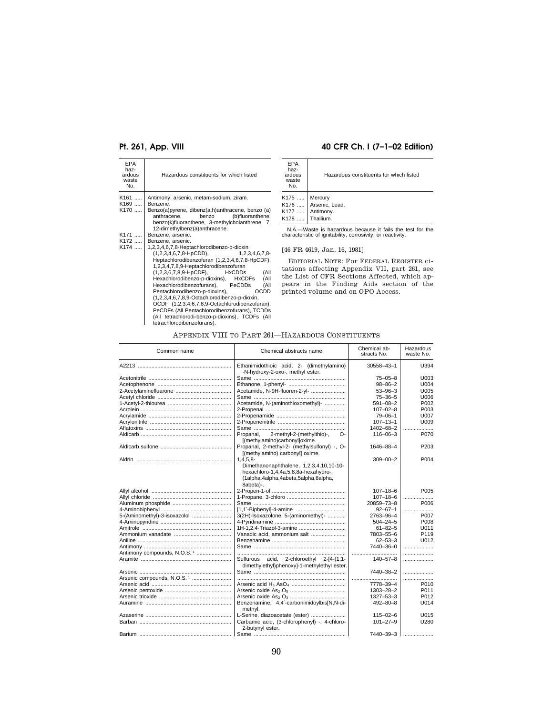| <b>EPA</b><br>haz-<br>ardous<br>waste<br>No. | Hazardous constituents for which listed             |
|----------------------------------------------|-----------------------------------------------------|
| K161                                         | Antimony, arsenic, metam-sodium, ziram.             |
| K169                                         | Benzene.                                            |
| K170                                         | Benzo(a)pyrene, dibenz(a,h)anthracene, benzo (a)    |
|                                              | (b)fluoranthene,<br>benzo<br>anthracene,            |
|                                              | benzo(k)fluoranthene, 3-methylcholanthrene, 7,      |
|                                              | 12-dimethylbenz(a)anthracene.                       |
| K171                                         | Benzene, arsenic.                                   |
| K172                                         | Benzene, arsenic.                                   |
| K174                                         | 1,2,3,4,6,7,8-Heptachlorodibenzo-p-dioxin           |
|                                              | $(1,2,3,4,6,7,8-HpCDD),$<br>$1, 2, 3, 4, 6, 7, 8$ - |
|                                              | Heptachlorodibenzofuran (1,2,3,4,6,7,8-HpCDF),      |
|                                              | 1,2,3,4,7,8,9-Heptachlorodibenzofuran               |
|                                              | (1,2,3,6,7,8,9-HpCDF), HxCDDs<br>(All               |
|                                              | Hexachlorodibenzo-p-dioxins), HxCDFs<br>(All        |
|                                              | Hexachlorodibenzofurans), PeCDDs<br>(All            |
|                                              | Pentachlorodibenzo-p-dioxins),<br><b>OCDD</b>       |
|                                              | (1,2,3,4,6,7,8,9-Octachlorodibenzo-p-dioxin,        |
|                                              | OCDF (1,2,3,4,6,7,8,9-Octachlorodibenzofuran),      |
|                                              | PeCDFs (All Pentachlorodibenzofurans), TCDDs        |
|                                              | (All tetrachlorodi-benzo-p-dioxins), TCDFs (All     |
|                                              | tetrachlorodibenzofurans).                          |

### **Pt. 261, App. VIII 40 CFR Ch. I (7–1–02 Edition)**

| <b>EPA</b><br>haz-<br>ardous<br>waste<br>No. | Hazardous constituents for which listed                  |
|----------------------------------------------|----------------------------------------------------------|
| K175    Mercury<br>K178                      | K176    Arsenic, Lead.<br>K177    Antimony.<br>Thallium. |

N.A.—Waste is hazardous because it fails the test for the characteristic of ignitability, corrosivity, or reactivity.

### [46 FR 4619, Jan. 16, 1981]

EDITORIAL NOTE: For FEDERAL REGISTER citations affecting Appendix VII, part 261, see the List of CFR Sections Affected, which appears in the Finding Aids section of the printed volume and on GPO Access.

### APPENDIX VIII TO PART 261—HAZARDOUS CONSTITUENTS

| Common name                             | Chemical abstracts name                                                                                                                            | Chemical ab-<br>stracts No. | Hazardous<br>waste No. |
|-----------------------------------------|----------------------------------------------------------------------------------------------------------------------------------------------------|-----------------------------|------------------------|
|                                         | Ethanimidothioic acid, 2- (dimethylamino)<br>-N-hydroxy-2-oxo-, methyl ester.                                                                      | 30558-43-1                  | U394                   |
|                                         |                                                                                                                                                    | $75 - 05 - 8$               | U003                   |
|                                         |                                                                                                                                                    | $98 - 86 - 2$               | U004                   |
|                                         | Acetamide, N-9H-fluoren-2-yl-                                                                                                                      | $53 - 96 - 3$               | U005                   |
|                                         |                                                                                                                                                    | $75 - 36 - 5$               | U006                   |
|                                         | Acetamide, N-(aminothioxomethyl)-                                                                                                                  | $591 - 08 - 2$              | P002                   |
|                                         |                                                                                                                                                    | $107 - 02 - 8$              | P003                   |
|                                         |                                                                                                                                                    | $79 - 06 - 1$               | U007                   |
|                                         |                                                                                                                                                    | $107 - 13 - 1$              | U009                   |
|                                         |                                                                                                                                                    | 1402-68-2                   | .                      |
|                                         | 2-methyl-2-(methylthio)-,<br>Propanal,<br>O-                                                                                                       | $116 - 06 - 3$              | P070                   |
|                                         | [(methylamino)carbonyl]oxime.                                                                                                                      |                             |                        |
|                                         | Propanal, 2-methyl-2- (methylsulfonyl) -, O-<br>[(methylamino) carbonyl] oxime.                                                                    | 1646-88-4                   | P203                   |
|                                         | $1,4,5,8-$<br>Dimethanonaphthalene, 1,2,3,4,10,10-10-<br>hexachloro-1,4,4a,5,8,8a-hexahydro-,<br>(1alpha,4alpha,4abeta,5alpha,8alpha,<br>8abeta)-. | $309 - 00 - 2$              | P004                   |
|                                         |                                                                                                                                                    | $107 - 18 - 6$              | P005                   |
|                                         |                                                                                                                                                    | $107 - 18 - 6$              |                        |
|                                         |                                                                                                                                                    | 20859-73-8                  | P006                   |
|                                         |                                                                                                                                                    | $92 - 67 - 1$               | .                      |
| 5-(Aminomethyl)-3-isoxazolol            | 3(2H)-Isoxazolone, 5-(aminomethyl)-                                                                                                                | 2763-96-4                   | P <sub>00</sub> 7      |
|                                         |                                                                                                                                                    | $504 - 24 - 5$              | P008                   |
|                                         | 1H-1,2,4-Triazol-3-amine                                                                                                                           | $61 - 82 - 5$               | U011                   |
|                                         | Vanadic acid, ammonium salt                                                                                                                        | 7803-55-6                   | P <sub>119</sub>       |
|                                         |                                                                                                                                                    | $62 - 53 - 3$               | U012                   |
|                                         |                                                                                                                                                    | 7440-36-0                   | .                      |
| Antimony compounds, N.O.S. <sup>1</sup> |                                                                                                                                                    |                             | .                      |
|                                         | Sulfurous acid, 2-chloroethyl 2-[4-(1,1-<br>dimethylethyl)phenoxy]-1-methylethyl ester.                                                            | $140 - 57 - 8$              |                        |
|                                         |                                                                                                                                                    | 7440-38-2                   |                        |
| Arsenic compounds, N.O.S. <sup>1</sup>  |                                                                                                                                                    |                             | .                      |
|                                         |                                                                                                                                                    | 7778-39-4                   | P010                   |
|                                         |                                                                                                                                                    | $1303 - 28 - 2$             | P011                   |
|                                         |                                                                                                                                                    | $1327 - 53 - 3$             | P012                   |
|                                         | Benzenamine, 4,4'-carbonimidoylbis[N,N-di-<br>methyl.                                                                                              | $492 - 80 - 8$              | U014                   |
|                                         | L-Serine, diazoacetate (ester)                                                                                                                     | $115 - 02 - 6$              | U015                   |
|                                         | Carbamic acid, (3-chlorophenyl) -, 4-chloro-<br>2-butynyl ester.                                                                                   | $101 - 27 - 9$              | U280                   |
|                                         |                                                                                                                                                    | 7440-39-3                   |                        |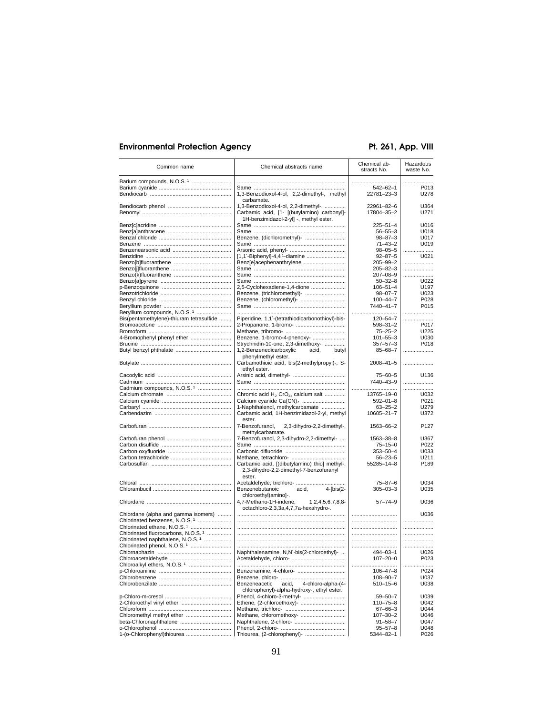# Environmental Protection Agency **Pt. 261, App. VIII**

| Common name                                    | Chemical abstracts name                                                               | Chemical ab-<br>stracts No. | Hazardous<br>waste No. |
|------------------------------------------------|---------------------------------------------------------------------------------------|-----------------------------|------------------------|
| Barium compounds, N.O.S. <sup>1</sup>          |                                                                                       |                             |                        |
|                                                |                                                                                       | 542-62-1                    | P013                   |
|                                                | 1,3-Benzodioxol-4-ol, 2,2-dimethyl-, methyl<br>carbamate.                             | 22781-23-3                  | U278                   |
|                                                |                                                                                       |                             | U364                   |
|                                                | 1,3-Benzodioxol-4-ol, 2,2-dimethyl-,                                                  | 22961-82-6                  |                        |
|                                                | Carbamic acid, [1- [(butylamino) carbonyl]-<br>1H-benzimidazol-2-yl] -, methyl ester. | 17804-35-2                  | U271                   |
|                                                |                                                                                       | $225 - 51 - 4$              | U016                   |
|                                                |                                                                                       | $56 - 55 - 3$               | U018                   |
|                                                | Benzene, (dichloromethyl)-                                                            | $98 - 87 - 3$               | U017                   |
|                                                |                                                                                       |                             |                        |
|                                                |                                                                                       | $71 - 43 - 2$               | U019                   |
|                                                |                                                                                       | $98 - 05 - 5$               |                        |
|                                                |                                                                                       | $92 - 87 - 5$               | U021                   |
|                                                | Benz[e]acephenanthrylene                                                              | $205 - 99 - 2$              |                        |
|                                                |                                                                                       | $205 - 82 - 3$              |                        |
|                                                |                                                                                       | $207 - 08 - 9$              |                        |
|                                                |                                                                                       | $50 - 32 - 8$               | U022                   |
|                                                |                                                                                       |                             |                        |
|                                                | 2,5-Cyclohexadiene-1,4-dione                                                          | $106 - 51 - 4$              | U197                   |
|                                                | Benzene, (trichloromethyl)-                                                           | $98 - 07 - 7$               | U023                   |
|                                                | Benzene, (chloromethyl)-                                                              | $100 - 44 - 7$              | P028                   |
|                                                |                                                                                       | 7440-41-7                   | P015                   |
| Beryllium compounds, N.O.S. <sup>1</sup>       |                                                                                       |                             |                        |
| Bis(pentamethylene)-thiuram tetrasulfide       | Piperidine, 1,1'-(tetrathiodicarbonothioyl)-bis-                                      | 120-54-7                    |                        |
|                                                | 2-Propanone, 1-bromo-                                                                 | $598 - 31 - 2$              | P017                   |
|                                                |                                                                                       |                             | U225                   |
|                                                |                                                                                       | $75 - 25 - 2$               |                        |
| 4-Bromophenyl phenyl ether                     | Benzene, 1-bromo-4-phenoxy-                                                           | $101 - 55 - 3$              | U030                   |
|                                                | Strychnidin-10-one, 2,3-dimethoxy-                                                    | $357 - 57 - 3$              | P018                   |
|                                                | 1,2-Benzenedicarboxylic<br>acid,<br>butyl                                             | $85 - 68 - 7$               |                        |
|                                                | phenylmethyl ester.<br>Carbamothioic acid, bis(2-methylpropyl)-, S-                   | $2008 - 41 - 5$             | .                      |
|                                                | ethyl ester.                                                                          |                             |                        |
|                                                |                                                                                       | $75 - 60 - 5$               | U136                   |
|                                                |                                                                                       | 7440-43-9                   | .                      |
| Cadmium compounds, N.O.S. <sup>1</sup>         |                                                                                       |                             | .                      |
|                                                | Chromic acid H <sub>2</sub> CrO <sub>4</sub> , calcium salt                           | 13765-19-0                  | U032                   |
|                                                | Calcium cyanide Ca(CN) <sub>2</sub>                                                   | $592 - 01 - 8$              | P021                   |
|                                                | 1-Naphthalenol, methylcarbamate                                                       | 63-25-2                     | U279                   |
|                                                | Carbamic acid, 1H-benzimidazol-2-yl, methyl<br>ester.                                 | $10605 - 21 - 7$            | U372                   |
|                                                | 7-Benzofuranol,<br>2,3-dihydro-2,2-dimethyl-,                                         | 1563-66-2                   | P <sub>127</sub>       |
|                                                | methylcarbamate.                                                                      |                             |                        |
|                                                | 7-Benzofuranol, 2,3-dihydro-2,2-dimethyl-                                             | 1563-38-8                   | U367                   |
|                                                |                                                                                       | $75 - 15 - 0$               | P022                   |
|                                                |                                                                                       | $353 - 50 - 4$              | U033                   |
|                                                |                                                                                       | $56 - 23 - 5$               | U211                   |
|                                                | Carbamic acid, [(dibutylamino) thio] methyl-,                                         | 55285-14-8                  | P <sub>189</sub>       |
|                                                | 2,3-dihydro-2,2-dimethyl-7-benzofuranyl<br>ester.                                     |                             |                        |
|                                                | Acetaldehyde, trichloro-                                                              | 75-87-6                     | U034                   |
|                                                |                                                                                       |                             |                        |
|                                                | Benzenebutanoic<br>acid,<br>4-[bis(2-<br>chloroethyl)amino]-.                         | 305-03-3                    | U035                   |
|                                                | 4,7-Methano-1H-indene,<br>1,2,4,5,6,7,8,8-<br>octachloro-2,3,3a,4,7,7a-hexahydro-.    | $57 - 74 - 9$               | U036                   |
| Chlordane (alpha and gamma isomers)            |                                                                                       |                             | U036                   |
| Chlorinated benzenes, N.O.S. <sup>1</sup>      |                                                                                       |                             |                        |
| Chlorinated ethane, N.O.S. <sup>1</sup>        |                                                                                       |                             |                        |
| Chlorinated fluorocarbons, N.O.S. <sup>1</sup> |                                                                                       |                             |                        |
|                                                |                                                                                       |                             |                        |
| Chlorinated naphthalene, N.O.S. <sup>1</sup>   |                                                                                       |                             |                        |
| Chlorinated phenol, N.O.S. <sup>1</sup>        |                                                                                       |                             | .                      |
|                                                | Naphthalenamine, N,N'-bis(2-chloroethyl)-                                             | 494-03-1                    | U026                   |
|                                                |                                                                                       | $107 - 20 - 0$              | P023                   |
| Chloroalkyl ethers, N.O.S. <sup>1</sup>        |                                                                                       |                             |                        |
|                                                | Benzenamine, 4-chloro-                                                                | $106 - 47 - 8$              | P024                   |
|                                                |                                                                                       | $108 - 90 - 7$              | U037                   |
|                                                | acid,<br>Benzeneacetic<br>4-chloro-alpha-(4-                                          |                             |                        |
|                                                | chlorophenyl)-alpha-hydroxy-, ethyl ester.                                            | $510 - 15 - 6$              | U038                   |
|                                                | Phenol, 4-chloro-3-methyl-                                                            | $59 - 50 - 7$               | U039                   |
| 2-Chloroethyl vinyl ether                      | Ethene, (2-chloroethoxy)-                                                             | $110 - 75 - 8$              | U042                   |
|                                                |                                                                                       | 67-66-3                     | U044                   |
| Chloromethyl methyl ether                      | Methane, chloromethoxy-                                                               | $107 - 30 - 2$              | U046                   |
|                                                |                                                                                       | $91 - 58 - 7$               | U047                   |
|                                                |                                                                                       | 95–57–8                     | U048                   |
|                                                | Thiourea, (2-chlorophenyl)-                                                           |                             | P026                   |
|                                                |                                                                                       | 5344-82-1                   |                        |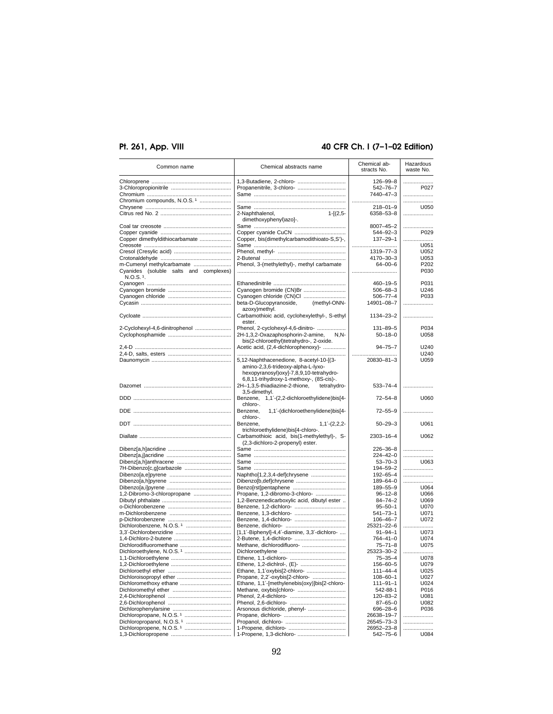# **Pt. 261, App. VIII 40 CFR Ch. I (7–1–02 Edition)**

| Common name                             | Chemical abstracts name                       | Chemical ab-<br>stracts No. | Hazardous<br>waste No. |
|-----------------------------------------|-----------------------------------------------|-----------------------------|------------------------|
|                                         | 1,3-Butadiene, 2-chloro-                      | $126 - 99 - 8$              |                        |
|                                         | Propanenitrile, 3-chloro-                     | $542 - 76 - 7$              | P027                   |
|                                         |                                               | 7440-47-3                   |                        |
| Chromium compounds, N.O.S. <sup>1</sup> |                                               |                             |                        |
|                                         |                                               | $218 - 01 - 9$              | U050                   |
|                                         | 2-Naphthalenol,<br>$1 - [(2, 5 -$             | 6358-53-8                   |                        |
|                                         | dimethoxyphenyl)azo]-.                        |                             |                        |
|                                         |                                               | $8007 - 45 - 2$             |                        |
|                                         |                                               | 544-92-3                    | P029                   |
| Copper dimethyldithiocarbamate          | Copper, bis(dimethylcarbamodithioato-S,S')-,  | $137 - 29 - 1$              |                        |
|                                         |                                               |                             | U051                   |
|                                         |                                               | 1319-77-3                   | U052                   |
|                                         |                                               | 4170-30-3                   | U053                   |
| m-Cumenyl methylcarbamate               | Phenol, 3-(methylethyl)-, methyl carbamate    | $64 - 00 - 6$               | P202                   |
| Cyanides (soluble salts and complexes)  |                                               |                             | P030                   |
| N.O.S. 1.                               |                                               |                             |                        |
|                                         |                                               | $460 - 19 - 5$              | P031                   |
|                                         | Cyanogen bromide (CN)Br                       | $506 - 68 - 3$              | U246                   |
|                                         |                                               | $506 - 77 - 4$              | P033                   |
|                                         | beta-D-Glucopyranoside,<br>(methyl-ONN-       | 14901-08-7                  |                        |
|                                         | azoxy)methyl.                                 |                             | .                      |
|                                         | Carbamothioic acid, cyclohexylethyl-, S-ethyl | 1134-23-2                   |                        |
|                                         | ester.                                        |                             |                        |
| 2-Cyclohexyl-4,6-dinitrophenol          | Phenol, 2-cyclohexyl-4,6-dinitro-             | $131 - 89 - 5$              | P034                   |
|                                         | 2H-1.3.2-Oxazaphosphorin-2-amine.<br>N,N-     | $50 - 18 - 0$               | U058                   |
|                                         | bis(2-chloroethyl)tetrahydro-, 2-oxide.       |                             |                        |
|                                         | Acetic acid, (2,4-dichlorophenoxy)-           | $94 - 75 - 7$               | U240                   |
|                                         |                                               |                             | U240                   |
|                                         | 5,12-Naphthacenedione, 8-acetyl-10-[(3-       | 20830-81-3                  | U059                   |
|                                         | amino-2,3,6-trideoxy-alpha-L-lyxo-            |                             |                        |
|                                         | hexopyranosyl)oxy]-7,8,9,10-tetrahydro-       |                             |                        |
|                                         | 6,8,11-trihydroxy-1-methoxy-, (8S-cis)-.      |                             |                        |
|                                         | 2H-1,3,5-thiadiazine-2-thione,<br>tetrahydro- | $533 - 74 - 4$              |                        |
|                                         | 3,5-dimethyl.                                 |                             |                        |
|                                         | Benzene, 1,1'-(2,2-dichloroethylidene)bis[4-  | $72 - 54 - 8$               | U060                   |
|                                         | chloro-.                                      |                             |                        |
|                                         | Benzene,<br>1,1'-(dichloroethenylidene)bis[4- | $72 - 55 - 9$               | .                      |
|                                         | chloro-.                                      |                             |                        |
|                                         | Benzene,<br>$1,1'-(2,2,2-$                    | $50 - 29 - 3$               | U061                   |
|                                         | trichloroethylidene)bis[4-chloro-.            |                             |                        |
|                                         | Carbamothioic acid, bis(1-methylethyl)-, S-   | 2303-16-4                   | U062                   |
|                                         | (2,3-dichloro-2-propenyl) ester.              |                             |                        |
|                                         |                                               | 226-36-8                    | .                      |
|                                         |                                               | $224 - 42 - 0$              |                        |
|                                         |                                               | $53 - 70 - 3$               | U063                   |
| 7H-Dibenzo[c,g]carbazole                |                                               | 194-59-2                    | .                      |
|                                         | Naphtho[1,2,3,4-def]chrysene                  | $192 - 65 - 4$              |                        |
|                                         | Dibenzo[b,def]chrysene                        | 189-64-0                    |                        |
|                                         |                                               | 189-55-9                    | U064                   |
|                                         | Propane, 1,2-dibromo-3-chloro-                | $96 - 12 - 8$               | U066                   |
|                                         | 1,2-Benzenedicarboxylic acid, dibutyl ester   | $84 - 74 - 2$               | U069                   |
|                                         |                                               | $95 - 50 - 1$               | U070                   |
|                                         |                                               | $541 - 73 - 1$              | U071                   |
|                                         |                                               | $106 - 46 - 7$              | U072                   |
| Dichlorobenzene, N.O.S. <sup>1</sup>    |                                               | 25321-22-6                  |                        |
|                                         | [1,1'-Biphenyl]-4,4'-diamine, 3,3'-dichloro-  | $91 - 94 - 1$               | U073                   |
|                                         |                                               | 764-41-0                    | U074                   |
|                                         | Methane, dichlorodifluoro-                    | $75 - 71 - 8$               | U075                   |
| Dichloroethylene, N.O.S. <sup>1</sup>   |                                               | 25323-30-2                  |                        |
|                                         |                                               | $75 - 35 - 4$               | U078                   |
|                                         | Ethene, 1,2-dichlrol-, (E)-                   | 156-60-5                    | U079                   |
|                                         | Ethane, 1,1'oxybis[2-chloro-                  | $111 - 44 - 4$              | U025                   |
|                                         | Propane, 2,2'-oxybis[2-chloro-                | $108 - 60 - 1$              | U027                   |
|                                         | Ethane, 1,1'-[methylenebis(oxy)]bis[2-chloro- | $111 - 91 - 1$              | U024                   |
|                                         | Methane, oxybis[chloro-                       | 542-88-1                    | P016                   |
|                                         |                                               | $120 - 83 - 2$              | U081                   |
|                                         |                                               | $87 - 65 - 0$               | U082                   |
|                                         | Arsonous dichloride, phenyl-                  | 696-28-6                    | P036                   |
| Dichloropropane, N.O.S. <sup>1</sup>    |                                               | 26638-19-7                  | .                      |
|                                         |                                               | 26545-73-3                  | .                      |
|                                         |                                               | 26952-23-8                  | .                      |
|                                         | 1-Propene, 1,3-dichloro-                      | 542-75-6                    | U084                   |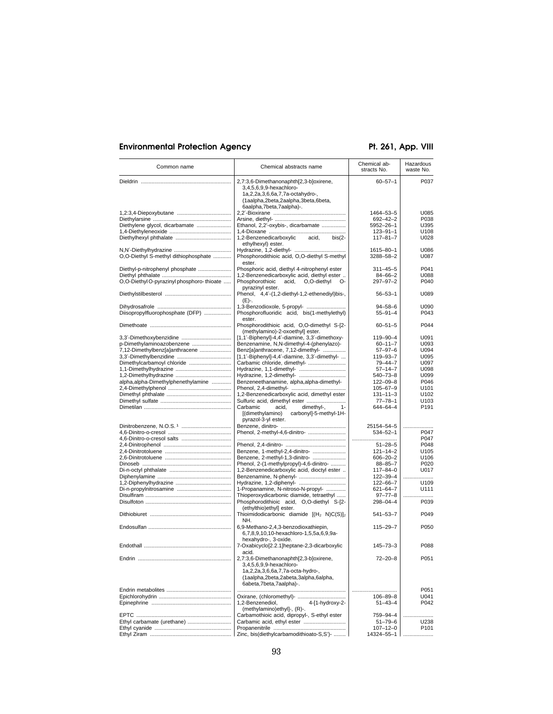# Environmental Protection Agency **Pt. 261, App. VIII**

| Common name                               | Chemical abstracts name                                                                                                                                                    | Chemical ab-<br>stracts No. | Hazardous<br>waste No. |
|-------------------------------------------|----------------------------------------------------------------------------------------------------------------------------------------------------------------------------|-----------------------------|------------------------|
|                                           | 2,7:3,6-Dimethanonaphth[2,3-b]oxirene,<br>3,4,5,6,9,9-hexachloro-                                                                                                          | $60 - 57 - 1$               | P037                   |
|                                           | 1a,2,2a,3,6,6a,7,7a-octahydro-,<br>(1aalpha,2beta,2aalpha,3beta,6beta,<br>6aalpha, 7beta, 7aalpha)-.                                                                       |                             |                        |
|                                           |                                                                                                                                                                            | 1464-53-5                   | U085                   |
|                                           |                                                                                                                                                                            | $692 - 42 - 2$              | P038                   |
| Diethylene glycol, dicarbamate            | Ethanol, 2,2'-oxybis-, dicarbamate                                                                                                                                         | 5952-26-1                   | U395                   |
|                                           |                                                                                                                                                                            | $123 - 91 - 1$              | U108                   |
|                                           | 1,2-Benzenedicarboxylic acid,<br>$bis(2-$<br>ethylhexyl) ester.                                                                                                            | $117 - 81 - 7$              | U028                   |
|                                           |                                                                                                                                                                            | $1615 - 80 - 1$             | U086                   |
| O,O-Diethyl S-methyl dithiophosphate      | Phosphorodithioic acid, O,O-diethyl S-methyl<br>ester.                                                                                                                     | 3288-58-2                   | U087                   |
| Diethyl-p-nitrophenyl phosphate           | Phosphoric acid, diethyl 4-nitrophenyl ester                                                                                                                               | $311 - 45 - 5$              | P041                   |
|                                           | 1,2-Benzenedicarboxylic acid, diethyl ester                                                                                                                                | $84 - 66 - 2$               | U088                   |
| O,O-Diethyl O-pyrazinyl phosphoro-thioate | Phosphorothioic<br>acid,<br>O,O-diethyl<br>O-<br>pyrazinyl ester.                                                                                                          | 297-97-2                    | P040                   |
|                                           | Phenol, 4,4'-(1,2-diethyl-1,2-ethenediyl)bis-,<br>(E)-.                                                                                                                    | $56 - 53 - 1$               | U089                   |
|                                           | 1,3-Benzodioxole, 5-propyl-                                                                                                                                                | $94 - 58 - 6$               | U090                   |
| Diisopropylfluorophosphate (DFP)          | Phosphorofluoridic acid, bis(1-methylethyl)<br>ester.                                                                                                                      | $55 - 91 - 4$               | P043                   |
|                                           | Phosphorodithioic acid, O,O-dimethyl S-[2-<br>(methylamino)-2-oxoethyl] ester.                                                                                             | $60 - 51 - 5$               | P044                   |
|                                           | [1,1'-Biphenyl]-4,4'-diamine, 3,3'-dimethoxy-                                                                                                                              | 119-90-4                    | U091                   |
| p-Dimethylaminoazobenzene                 | Benzenamine, N,N-dimethyl-4-(phenylazo)-                                                                                                                                   | $60 - 11 - 7$               | U093                   |
| 7,12-Dimethylbenz[a]anthracene            | Benz[a]anthracene, 7,12-dimethyl-                                                                                                                                          | $57 - 97 - 6$               | U094                   |
|                                           | [1,1'-Biphenyl]-4,4'-diamine, 3,3'-dimethyl-                                                                                                                               | 119-93-7                    | U095                   |
| Dimethylcarbamoyl chloride                | Carbamic chloride, dimethyl-                                                                                                                                               | $79 - 44 - 7$               | U097                   |
|                                           |                                                                                                                                                                            | $57 - 14 - 7$               | U098                   |
|                                           | Hydrazine, 1,2-dimethyl-                                                                                                                                                   | 540-73-8                    | U099                   |
| alpha, alpha-Dimethylphenethylamine       | Benzeneethanamine, alpha, alpha-dimethyl-                                                                                                                                  | 122-09-8                    | P046                   |
|                                           |                                                                                                                                                                            | $105 - 67 - 9$              | U101                   |
|                                           | 1,2-Benzenedicarboxylic acid, dimethyl ester                                                                                                                               | $131 - 11 - 3$              | U102                   |
|                                           |                                                                                                                                                                            | $77 - 78 - 1$               | U103                   |
|                                           | Carbamic<br>acid.<br>dimethyl-,<br>$1 -$<br>[(dimethylamino)<br>carbonyl]-5-methyl-1H-<br>pyrazol-3-yl ester.                                                              | 644-64-4                    | P <sub>191</sub>       |
|                                           |                                                                                                                                                                            | 25154-54-5                  |                        |
|                                           | Phenol, 2-methyl-4,6-dinitro-                                                                                                                                              | $534 - 52 - 1$<br>          | P047<br>P047           |
|                                           |                                                                                                                                                                            | $51 - 28 - 5$               | P048                   |
|                                           | Benzene, 1-methyl-2,4-dinitro-                                                                                                                                             | $121 - 14 - 2$              | U <sub>105</sub>       |
|                                           | Benzene, 2-methyl-1,3-dinitro-                                                                                                                                             | $606 - 20 - 2$              | U106                   |
|                                           | Phenol, 2-(1-methylpropyl)-4,6-dinitro-                                                                                                                                    | $88 - 85 - 7$               | P020                   |
|                                           | 1,2-Benzenedicarboxylic acid, dioctyl ester                                                                                                                                | 117-84-0                    | U017                   |
|                                           | Benzenamine, N-phenyl-                                                                                                                                                     | 122-39-4                    |                        |
|                                           | Hydrazine, 1,2-diphenyl-                                                                                                                                                   | $122 - 66 - 7$              | U109                   |
|                                           | 1-Propanamine, N-nitroso-N-propyl-                                                                                                                                         | 621-64-7                    | U111                   |
|                                           | Thioperoxydicarbonic diamide, tetraethyl<br>Phosphorodithioic acid, O,O-diethyl S-[2-                                                                                      | $97 - 77 - 8$<br>298-04-4   | <br>P039               |
|                                           | (ethylthio)ethyl] ester.<br>Thioimidodicarbonic diamide $[(H_2 \ N)C(S)]_2$                                                                                                | $541 - 53 - 7$              | P049                   |
|                                           | NH.<br>6,9-Methano-2,4,3-benzodioxathiepin,                                                                                                                                | 115-29-7                    | P050                   |
|                                           | 6,7,8,9,10,10-hexachloro-1,5,5a,6,9,9a-<br>hexahydro-, 3-oxide.                                                                                                            |                             |                        |
|                                           | 7-Oxabicyclo[2.2.1]heptane-2,3-dicarboxylic<br>acid.                                                                                                                       | $145 - 73 - 3$              | P088                   |
|                                           | 2,7:3,6-Dimethanonaphth[2,3-b]oxirene,<br>3,4,5,6,9,9-hexachloro-<br>1a,2,2a,3,6,6a,7,7a-octa-hydro-,<br>(1aalpha,2beta,2abeta,3alpha,6alpha,<br>6abeta, 7beta, 7aalpha)-. | $72 - 20 - 8$               | P051                   |
|                                           |                                                                                                                                                                            |                             | P051                   |
|                                           | Oxirane, (chloromethyl)-                                                                                                                                                   | $106 - 89 - 8$              | U041                   |
|                                           | 1.2-Benzenediol.<br>4-[1-hydroxy-2-<br>(methylamino)ethyl]-, (R)-.                                                                                                         | $51 - 43 - 4$               | P042                   |
|                                           | Carbamothioic acid, dipropyl-, S-ethyl ester                                                                                                                               | 759–94–4                    |                        |
| Ethyl carbamate (urethane)                | Carbamic acid, ethyl ester                                                                                                                                                 | 51-79-6                     | U238                   |
|                                           |                                                                                                                                                                            | $107 - 12 - 0$              | P101                   |
|                                           | Zinc, bis(diethylcarbamodithioato-S,S')-                                                                                                                                   | 14324-55-1                  |                        |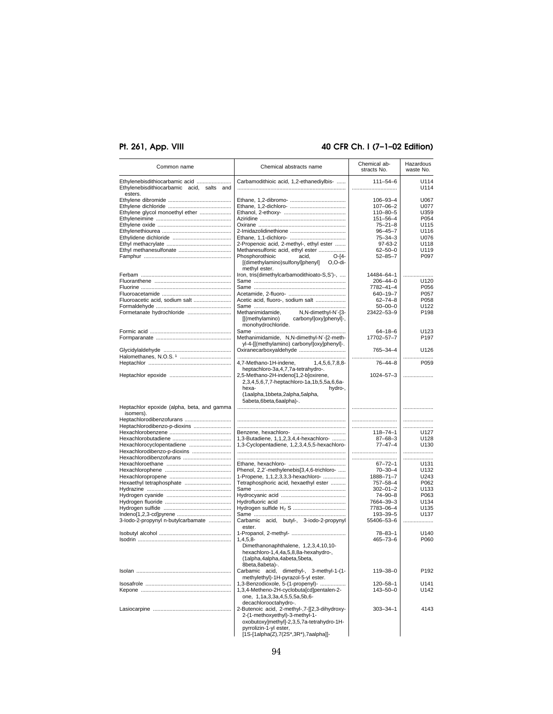# **Pt. 261, App. VIII 40 CFR Ch. I (7–1–02 Edition)**

| Common name                                                                 | Chemical abstracts name                                                                                                                                                | Chemical ab-<br>stracts No.      | Hazardous<br>waste No. |
|-----------------------------------------------------------------------------|------------------------------------------------------------------------------------------------------------------------------------------------------------------------|----------------------------------|------------------------|
| Ethylenebisdithiocarbamic acid<br>Ethylenebisdithiocarbamic acid, salts and | Carbamodithioic acid, 1,2-ethanediylbis-                                                                                                                               | $111 - 54 - 6$<br>               | U114<br>U114           |
| esters.                                                                     |                                                                                                                                                                        |                                  |                        |
|                                                                             |                                                                                                                                                                        | $106 - 93 - 4$<br>$107 - 06 - 2$ | U067<br>U077           |
| Ethylene glycol monoethyl ether                                             |                                                                                                                                                                        | $110 - 80 - 5$                   | U359                   |
|                                                                             |                                                                                                                                                                        | $151 - 56 - 4$                   | P054                   |
|                                                                             |                                                                                                                                                                        | $75 - 21 - 8$                    | U115                   |
|                                                                             |                                                                                                                                                                        | $96 - 45 - 7$                    | U116                   |
|                                                                             |                                                                                                                                                                        | $75 - 34 - 3$                    | U076                   |
|                                                                             | 2-Propenoic acid, 2-methyl-, ethyl ester                                                                                                                               | 97-63-2                          | U118                   |
|                                                                             | Methanesulfonic acid, ethyl ester<br>Phosphorothioic<br>$O-[4-$<br>acid,<br>[(dimethylamino)sulfonyl]phenyl]<br>O,O-di-                                                | $62 - 50 - 0$<br>$52 - 85 - 7$   | U119<br>P097           |
|                                                                             | methyl ester.                                                                                                                                                          |                                  |                        |
|                                                                             | Iron, tris(dimethylcarbamodithioato-S,S')-,                                                                                                                            | 14484-64-1<br>$206 - 44 - 0$     |                        |
|                                                                             |                                                                                                                                                                        | 7782-41-4                        | U120<br>P056           |
|                                                                             |                                                                                                                                                                        | 640-19-7                         | P057                   |
| Fluoroacetic acid, sodium salt                                              | Acetic acid, fluoro-, sodium salt                                                                                                                                      | $62 - 74 - 8$                    | P058                   |
|                                                                             |                                                                                                                                                                        | $50 - 00 - 0$                    | U122                   |
| Formetanate hydrochloride                                                   | Methanimidamide.<br>N, N-dimethyl-N'-[3-<br>[[(methylamino)<br>carbonyl]oxy]phenyl]-,<br>monohydrochloride.                                                            | 23422-53-9                       | P198                   |
|                                                                             |                                                                                                                                                                        | 64-18-6                          | U123                   |
|                                                                             | Methanimidamide, N,N-dimethyl-N'-[2-meth-<br>yl-4-[[(methylamino) carbonyl]oxy]phenyl]-.                                                                               | 17702-57-7                       | P197                   |
|                                                                             | Oxiranecarboxyaldehyde                                                                                                                                                 | 765-34-4                         | U <sub>126</sub>       |
|                                                                             | 4,7-Methano-1H-indene,<br>1,4,5,6,7,8,8-                                                                                                                               | $76 - 44 - 8$                    | <br>P059               |
|                                                                             | heptachloro-3a,4,7,7a-tetrahydro-.                                                                                                                                     |                                  |                        |
|                                                                             | 2,5-Methano-2H-indeno[1,2-b]oxirene,<br>2,3,4,5,6,7,7-heptachloro-1a,1b,5,5a,6,6a-<br>hexa-<br>hydro-,<br>(1aalpha,1bbeta,2alpha,5alpha,<br>5abeta, 6beta, 6aalpha) -. | $1024 - 57 - 3$                  |                        |
| Heptachlor epoxide (alpha, beta, and gamma<br>isomers).                     |                                                                                                                                                                        |                                  |                        |
| Heptachlorodibenzofurans<br>Heptachlorodibenzo-p-dioxins                    |                                                                                                                                                                        | <br>                             | <br>.                  |
|                                                                             |                                                                                                                                                                        | $118 - 74 - 1$                   | U127                   |
|                                                                             | 1,3-Butadiene, 1,1,2,3,4,4-hexachloro-                                                                                                                                 | $87 - 68 - 3$                    | U128                   |
| Hexachlorocyclopentadiene                                                   | 1,3-Cyclopentadiene, 1,2,3,4,5,5-hexachloro-                                                                                                                           | $77 - 47 - 4$                    | U130                   |
| Hexachlorodibenzo-p-dioxins                                                 |                                                                                                                                                                        |                                  |                        |
|                                                                             |                                                                                                                                                                        |                                  |                        |
|                                                                             |                                                                                                                                                                        | 67-72-1                          | U131                   |
|                                                                             | Phenol, 2,2'-methylenebis[3,4,6-trichloro-                                                                                                                             | $70 - 30 - 4$                    | U132                   |
|                                                                             | 1-Propene, 1,1,2,3,3,3-hexachloro-                                                                                                                                     | 1888-71-7                        | U243                   |
| Hexaethyl tetraphosphate                                                    | Tetraphosphoric acid, hexaethyl ester                                                                                                                                  | 757-58-4                         | P062                   |
|                                                                             |                                                                                                                                                                        | $302 - 01 - 2$                   | U <sub>133</sub>       |
|                                                                             |                                                                                                                                                                        | 74-90-8                          | P063<br>U134           |
|                                                                             |                                                                                                                                                                        | 7664-39-3<br>7783-06-4           | U135                   |
|                                                                             |                                                                                                                                                                        | 193-39-5                         | U137                   |
| 3-lodo-2-propynyl n-butylcarbamate                                          | Carbamic acid, butyl-, 3-iodo-2-propynyl<br>ester.                                                                                                                     | 55406-53-6                       |                        |
|                                                                             |                                                                                                                                                                        | $78 - 83 - 1$                    | U140                   |
|                                                                             | $1,4,5,8-$<br>Dimethanonaphthalene, 1,2,3,4,10,10-<br>hexachloro-1,4,4a,5,8,8a-hexahydro-,<br>(1alpha,4alpha,4abeta,5beta,                                             | 465-73-6                         | P060                   |
|                                                                             | 8beta,8abeta)-.<br>Carbamic acid, dimethyl-, 3-methyl-1-(1-<br>methylethyl)-1H-pyrazol-5-yl ester.                                                                     | 119-38-0                         | P192                   |
|                                                                             | 1,3-Benzodioxole, 5-(1-propenyl)-<br>1,3,4-Metheno-2H-cyclobuta[cd]pentalen-2-<br>one, 1,1a,3,3a,4,5,5,5a,5b,6-                                                        | $120 - 58 - 1$<br>$143 - 50 - 0$ | U141<br>U142           |
|                                                                             | decachlorooctahydro-.<br>2-Butenoic acid, 2-methyl-, 7-[[2, 3-dihydroxy-<br>2-(1-methoxyethyl)-3-methyl-1-<br>oxobutoxy]methyl]-2,3,5,7a-tetrahydro-1H-                | $303 - 34 - 1$                   | 4143                   |
|                                                                             | pyrrolizin-1-yl ester,<br>[1S-[1alpha(Z),7(2S*,3R*),7aalpha]]-                                                                                                         |                                  |                        |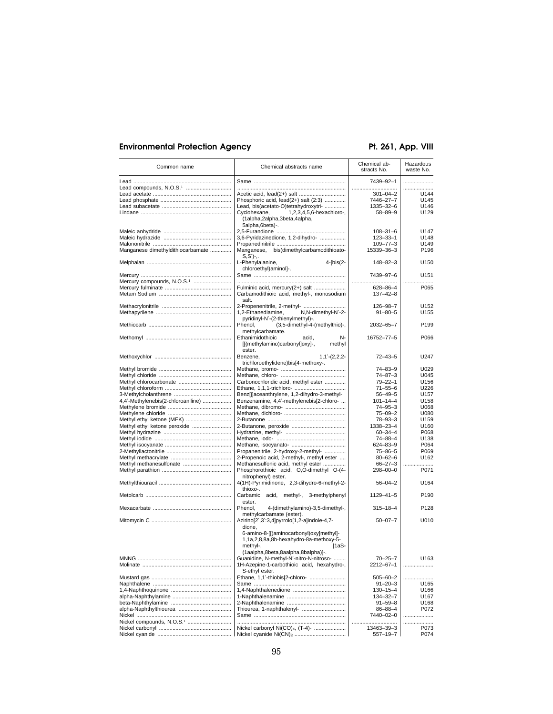# Environmental Protection Agency **Pt. 261, App. VIII**

| Common name                            | Chemical abstracts name                                                                                                                                                                               | Chemical ab-<br>stracts No. | Hazardous<br>waste No. |
|----------------------------------------|-------------------------------------------------------------------------------------------------------------------------------------------------------------------------------------------------------|-----------------------------|------------------------|
|                                        |                                                                                                                                                                                                       | 7439-92-1                   |                        |
|                                        |                                                                                                                                                                                                       |                             |                        |
|                                        |                                                                                                                                                                                                       | $301 - 04 - 2$              | U144                   |
|                                        | Phosphoric acid, lead(2+) salt (2:3)                                                                                                                                                                  | 7446-27-7                   | U145                   |
|                                        | Lead, bis(acetato-O)tetrahydroxytri-                                                                                                                                                                  | 1335-32-6                   | U146                   |
|                                        | Cyclohexane,<br>1,2,3,4,5,6-hexachloro-,                                                                                                                                                              | $58 - 89 - 9$               | U129                   |
|                                        | (1alpha,2alpha,3beta,4alpha,<br>5alpha, 6beta)-.                                                                                                                                                      |                             |                        |
|                                        |                                                                                                                                                                                                       | $108 - 31 - 6$              | U147                   |
|                                        | 3,6-Pyridazinedione, 1,2-dihydro-                                                                                                                                                                     | $123 - 33 - 1$              | U148                   |
|                                        |                                                                                                                                                                                                       | $109 - 77 - 3$              | U149                   |
| Manganese dimethyldithiocarbamate      | Manganese, bis(dimethylcarbamodithioato-<br>$S.S'$ -                                                                                                                                                  | 15339-36-3                  | P <sub>196</sub>       |
|                                        | L-Phenylalanine,<br>4-[bis(2-<br>chloroethyl)aminol]-.                                                                                                                                                | 148-82-3                    | U150                   |
|                                        |                                                                                                                                                                                                       | 7439-97-6                   | U151                   |
| Mercury compounds, N.O.S. <sup>1</sup> |                                                                                                                                                                                                       |                             |                        |
|                                        | Fulminic acid, mercury(2+) salt                                                                                                                                                                       | 628-86-4                    | P065                   |
|                                        | Carbamodithioic acid, methyl-, monosodium                                                                                                                                                             | 137-42-8                    |                        |
|                                        | salt.                                                                                                                                                                                                 |                             |                        |
|                                        | 2-Propenenitrile, 2-methyl-                                                                                                                                                                           | 126-98-7                    | U152                   |
|                                        | 1,2-Ethanediamine,<br>N,N-dimethyl-N'-2-                                                                                                                                                              | $91 - 80 - 5$               | U155                   |
|                                        | pyridinyl-N'-(2-thienylmethyl)-.<br>Phenol,<br>(3,5-dimethyl-4-(methylthio)-,                                                                                                                         | 2032-65-7                   | P199                   |
|                                        | methylcarbamate.                                                                                                                                                                                      |                             |                        |
|                                        | Ethanimidothioic<br>acid,<br>N-<br>[[(methylamino)carbonyl]oxy]-,<br>methyl<br>ester.                                                                                                                 | 16752-77-5                  | P066                   |
|                                        | $1,1'-(2,2,2-$<br>Benzene.<br>trichloroethylidene)bis[4-methoxy-.                                                                                                                                     | $72 - 43 - 5$               | U247                   |
|                                        |                                                                                                                                                                                                       | $74 - 83 - 9$               | U029                   |
|                                        |                                                                                                                                                                                                       | $74 - 87 - 3$               | U045                   |
|                                        | Carbonochloridic acid, methyl ester                                                                                                                                                                   | $79 - 22 - 1$               | U156                   |
|                                        |                                                                                                                                                                                                       | $71 - 55 - 6$               | U226                   |
|                                        | Benz[j]aceanthrylene, 1,2-dihydro-3-methyl-                                                                                                                                                           | $56 - 49 - 5$               | U157                   |
| 4,4'-Methylenebis(2-chloroaniline)     | Benzenamine, 4,4'-methylenebis[2-chloro-                                                                                                                                                              | $101 - 14 - 4$              | U158                   |
|                                        |                                                                                                                                                                                                       | $74 - 95 - 3$               | U068                   |
|                                        |                                                                                                                                                                                                       | $75 - 09 - 2$               | U080                   |
|                                        |                                                                                                                                                                                                       | $78 - 93 - 3$               | U159                   |
| Methyl ethyl ketone peroxide           |                                                                                                                                                                                                       | 1338-23-4                   | U160                   |
|                                        |                                                                                                                                                                                                       | $60 - 34 - 4$               | P068                   |
|                                        |                                                                                                                                                                                                       | 74-88-4                     | U138                   |
|                                        |                                                                                                                                                                                                       | 624-83-9                    | P064                   |
|                                        | Propanenitrile, 2-hydroxy-2-methyl-                                                                                                                                                                   | $75 - 86 - 5$               | P069                   |
|                                        | 2-Propenoic acid, 2-methyl-, methyl ester                                                                                                                                                             | $80 - 62 - 6$               | U162                   |
|                                        | Methanesulfonic acid, methyl ester                                                                                                                                                                    | $66 - 27 - 3$               |                        |
|                                        | Phosphorothioic acid, O,O-dimethyl O-(4-<br>nitrophenyl) ester.                                                                                                                                       | 298-00-0                    | P071                   |
|                                        | 4(1H)-Pyrimidinone, 2,3-dihydro-6-methyl-2-<br>thioxo-.                                                                                                                                               | $56 - 04 - 2$               | U164                   |
|                                        | Carbamic acid, methyl-, 3-methylphenyl<br>ester.                                                                                                                                                      | 1129-41-5                   | P <sub>190</sub>       |
|                                        | Phenol,<br>4-(dimethylamino)-3,5-dimethyl-,<br>methylcarbamate (ester).                                                                                                                               | 315–18–4                    | P128                   |
|                                        | Azirino[2',3':3,4]pyrrolo[1,2-a]indole-4,7-<br>dione.<br>6-amino-8-[[(aminocarbonyl)oxy]methyl]-<br>1,1a,2,8,8a,8b-hexahydro-8a-methoxy-5-<br>methyl-,<br>[1aS-<br>(1aalpha,8beta,8aalpha,8balpha)]-. | $50 - 07 - 7$               | U010                   |
|                                        | Guanidine, N-methyl-N'-nitro-N-nitroso-                                                                                                                                                               | $70 - 25 - 7$               | U163                   |
|                                        | 1H-Azepine-1-carbothioic acid, hexahydro-,                                                                                                                                                            | 2212-67-1                   |                        |
|                                        | S-ethyl ester.<br>Ethane, 1,1'-thiobis[2-chloro-                                                                                                                                                      | $505 - 60 - 2$              |                        |
|                                        |                                                                                                                                                                                                       | $91 - 20 - 3$               | U165                   |
|                                        |                                                                                                                                                                                                       | $130 - 15 - 4$              | U166                   |
|                                        |                                                                                                                                                                                                       | $134 - 32 - 7$              | U167                   |
|                                        |                                                                                                                                                                                                       | $91 - 59 - 8$               | U168                   |
|                                        | Thiourea, 1-naphthalenyl-                                                                                                                                                                             | 86-88-4                     | P072                   |
|                                        |                                                                                                                                                                                                       | 7440-02-0                   | .                      |
| Nickel compounds, N.O.S. <sup>1</sup>  |                                                                                                                                                                                                       |                             |                        |
|                                        | Nickel carbonyl Ni(CO) <sub>4</sub> , (T-4)-                                                                                                                                                          | 13463-39-3                  | P073                   |
|                                        |                                                                                                                                                                                                       | 557-19-7                    | P074                   |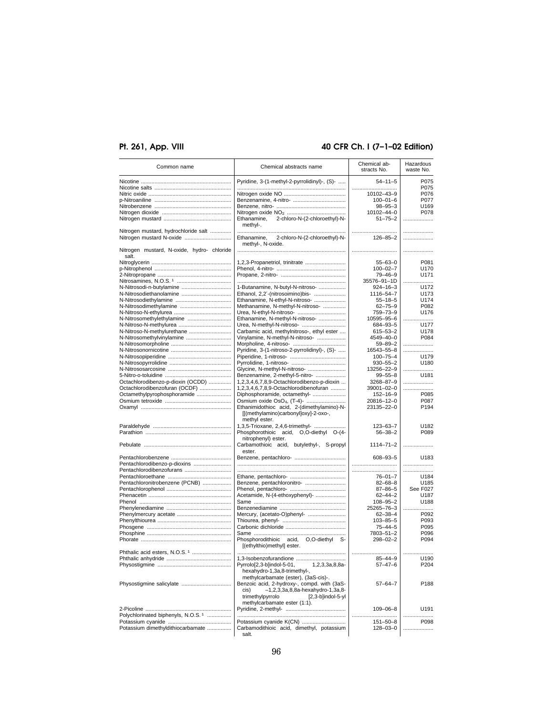# **Pt. 261, App. VIII 40 CFR Ch. I (7–1–02 Edition)**

| Common name                                                      | Chemical abstracts name                                                                                                                  | Chemical ab-<br>stracts No. | Hazardous<br>waste No. |
|------------------------------------------------------------------|------------------------------------------------------------------------------------------------------------------------------------------|-----------------------------|------------------------|
|                                                                  | Pyridine, 3-(1-methyl-2-pyrrolidinyl)-, (S)-                                                                                             | $54 - 11 - 5$               | P075                   |
|                                                                  |                                                                                                                                          |                             | P075                   |
|                                                                  |                                                                                                                                          | 10102-43-9                  | P076                   |
|                                                                  |                                                                                                                                          | $100 - 01 - 6$              | P077                   |
|                                                                  |                                                                                                                                          | $98 - 95 - 3$               | U169                   |
|                                                                  |                                                                                                                                          | 10102-44-0                  | P078                   |
|                                                                  | Ethanamine,<br>2-chloro-N-(2-chloroethyl)-N-                                                                                             | $51 - 75 - 2$               |                        |
|                                                                  | methyl-.                                                                                                                                 |                             | .                      |
| Nitrogen mustard, hydrochloride salt<br>Nitrogen mustard N-oxide | Ethanamine, 2-chloro-N-(2-chloroethyl)-N-<br>methyl-, N-oxide.                                                                           | <br>$126 - 85 - 2$          | .                      |
| Nitrogen mustard, N-oxide, hydro- chloride<br>salt.              |                                                                                                                                          |                             |                        |
|                                                                  |                                                                                                                                          | $55 - 63 - 0$               | P081                   |
|                                                                  |                                                                                                                                          | $100 - 02 - 7$              | U170                   |
|                                                                  |                                                                                                                                          | 79-46-9                     | U171                   |
|                                                                  |                                                                                                                                          | 35576-91-1D                 | .                      |
|                                                                  |                                                                                                                                          |                             |                        |
| N-Nitrosodi-n-butylamine                                         | 1-Butanamine, N-butyl-N-nitroso-                                                                                                         | $924 - 16 - 3$              | U172                   |
| N-Nitrosodiethanolamine                                          | Ethanol, 2,2'-(nitrosoimino)bis-                                                                                                         | 1116-54-7                   | U173                   |
|                                                                  | Ethanamine, N-ethyl-N-nitroso-                                                                                                           | $55 - 18 - 5$               | U174                   |
| N-Nitrosodimethylamine                                           | Methanamine, N-methyl-N-nitroso-                                                                                                         | $62 - 75 - 9$               | P082                   |
|                                                                  | Urea, N-ethyl-N-nitroso-                                                                                                                 | 759-73-9                    | U176                   |
| N-Nitrosomethylethylamine                                        | Ethanamine, N-methyl-N-nitroso-                                                                                                          | 10595-95-6                  |                        |
|                                                                  | Urea, N-methyl-N-nitroso-                                                                                                                | 684-93-5                    | U177                   |
|                                                                  |                                                                                                                                          |                             |                        |
| N-Nitroso-N-methylurethane                                       | Carbamic acid, methylnitroso-, ethyl ester                                                                                               | 615-53-2                    | U178                   |
| N-Nitrosomethylvinylamine                                        | Vinylamine, N-methyl-N-nitroso-                                                                                                          | 4549-40-0                   | P084                   |
|                                                                  |                                                                                                                                          | $59 - 89 - 2$               |                        |
|                                                                  | Pyridine, 3-(1-nitroso-2-pyrrolidinyl)-, (S)-                                                                                            | 16543-55-8                  |                        |
|                                                                  |                                                                                                                                          | $100 - 75 - 4$              | U179                   |
|                                                                  |                                                                                                                                          | $930 - 55 - 2$              | U180                   |
|                                                                  | Glycine, N-methyl-N-nitroso-                                                                                                             | 13256-22-9                  |                        |
|                                                                  |                                                                                                                                          |                             | U181                   |
|                                                                  | Benzenamine, 2-methyl-5-nitro-                                                                                                           | $99 - 55 - 8$               |                        |
| Octachlorodibenzo-p-dioxin (OCDD)                                | 1,2,3,4,6,7,8,9-Octachlorodibenzo-p-dioxin                                                                                               | 3268-87-9                   |                        |
| Octachlorodibenzofuran (OCDF)                                    | 1,2,3,4,6,7,8,9-Octachlorodibenofuran                                                                                                    | 39001-02-0                  | .                      |
| Octamethylpyrophosphoramide                                      | Diphosphoramide, octamethyl-                                                                                                             | $152 - 16 - 9$              | P085                   |
|                                                                  |                                                                                                                                          | 20816-12-0                  | P087                   |
|                                                                  | Ethanimidothioc acid, 2-(dimethylamino)-N-<br>[[(methylamino)carbonyl]oxy]-2-oxo-,<br>methyl ester.                                      | 23135-22-0                  | P194                   |
|                                                                  | 1,3,5-Trioxane, 2,4,6-trimethyl-                                                                                                         | 123-63-7                    | U182                   |
|                                                                  | Phosphorothioic acid, O,O-diethyl O-(4-<br>nitrophenyl) ester.                                                                           | $56 - 38 - 2$               | P089                   |
|                                                                  | Carbamothioic acid, butylethyl-, S-propyl<br>ester.                                                                                      | $1114 - 71 - 2$             |                        |
|                                                                  |                                                                                                                                          | $608 - 93 - 5$              | U183                   |
|                                                                  |                                                                                                                                          |                             |                        |
| Pentachlorodibenzo-p-dioxins                                     |                                                                                                                                          |                             |                        |
| Pentachlorodibenzofurans                                         |                                                                                                                                          |                             | .                      |
|                                                                  |                                                                                                                                          | $76 - 01 - 7$               | U184                   |
| Pentachloronitrobenzene (PCNB)                                   | Benzene, pentachloronitro-                                                                                                               | $82 - 68 - 8$               | U185                   |
|                                                                  |                                                                                                                                          | $87 - 86 - 5$               | See F027               |
|                                                                  | Acetamide, N-(4-ethoxyphenyl)-                                                                                                           | $62 - 44 - 2$               | U187                   |
|                                                                  |                                                                                                                                          | $108 - 95 - 2$              | U188                   |
|                                                                  |                                                                                                                                          | 25265-76-3                  | .                      |
|                                                                  | Mercury, (acetato-O)phenyl-                                                                                                              | $62 - 38 - 4$               | P092                   |
|                                                                  |                                                                                                                                          | $103 - 85 - 5$              | P093                   |
|                                                                  |                                                                                                                                          |                             |                        |
|                                                                  |                                                                                                                                          | $75 - 44 - 5$               | P095                   |
|                                                                  |                                                                                                                                          | 7803-51-2                   | P096                   |
|                                                                  | Phosphorodithioic acid, O,O-diethyl S-<br>[(ethylthio)methyl] ester.                                                                     | $298 - 02 - 2$              | P094                   |
| Phthalic acid esters, N.O.S. <sup>1</sup>                        |                                                                                                                                          |                             |                        |
|                                                                  |                                                                                                                                          | $85 - 44 - 9$               | U190                   |
|                                                                  | Pyrrolo[2,3-b]indol-5-01,<br>1,2,3,3a,8,8a-                                                                                              | $57 - 47 - 6$               | P204                   |
|                                                                  | hexahydro-1,3a,8-trimethyl-,<br>methylcarbamate (ester), (3aS-cis)-.                                                                     |                             |                        |
|                                                                  | Benzoic acid, 2-hydroxy-, compd. with (3aS-<br>$-1, 2, 3, 3a, 8, 8a$ -hexahydro-1,3a,8-<br>cis)<br>trimethylpyrrolo<br>[2,3-b]indol-5-yl | $57 - 64 - 7$               | P188                   |
|                                                                  | methylcarbamate ester (1:1).                                                                                                             |                             |                        |
|                                                                  |                                                                                                                                          | $109 - 06 - 8$              | U191                   |
| Polychlorinated biphenyls, N.O.S. <sup>1</sup>                   |                                                                                                                                          | .                           |                        |
|                                                                  |                                                                                                                                          | $151 - 50 - 8$              | P098                   |
| Potassium dimethyldithiocarbamate                                | Carbamodithioic acid, dimethyl, potassium<br>salt.                                                                                       | $128 - 03 - 0$              |                        |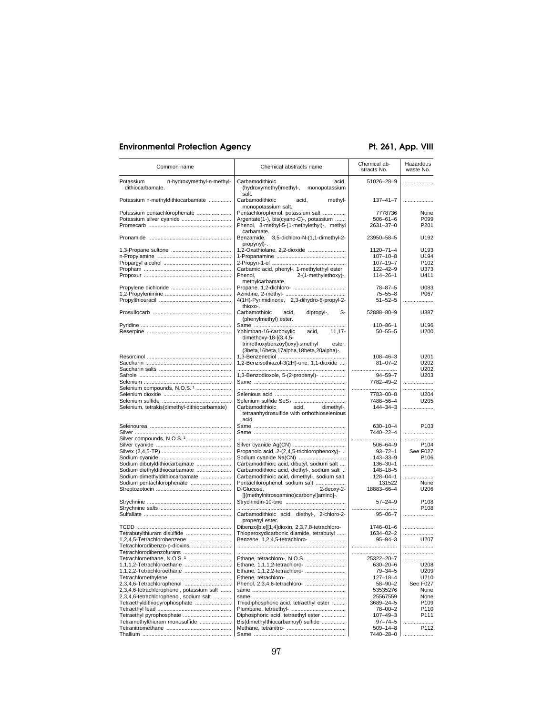# Environmental Protection Agency **Pt. 261, App. VIII**

| Common name                                                | Chemical abstracts name                                                                                      | Chemical ab-<br>stracts No. | Hazardous<br>waste No. |
|------------------------------------------------------------|--------------------------------------------------------------------------------------------------------------|-----------------------------|------------------------|
| n-hydroxymethyl-n-methyl-<br>Potassium<br>dithiocarbamate. | Carbamodithioic<br>acid,<br>(hydroxymethyl)methyl-,<br>monopotassium<br>salt.                                | 51026-28-9                  | .                      |
| Potassium n-methyldithiocarbamate                          | Carbamodithioic<br>methyl-<br>acid,<br>monopotassium salt.                                                   | 137-41-7                    | .                      |
| Potassium pentachlorophenate                               | Pentachlorophenol, potassium salt                                                                            | 7778736                     | None                   |
| Potassium silver cyanide                                   | Argentate(1-), bis(cyano-C)-, potassium                                                                      | $506 - 61 - 6$              | P099                   |
|                                                            | Phenol, 3-methyl-5-(1-methylethyl)-, methyl                                                                  | $2631 - 37 - 0$             | P201                   |
|                                                            | carbamate.<br>Benzamide,<br>3,5-dichloro-N-(1,1-dimethyl-2-<br>propynyl)-.                                   | 23950-58-5                  | U192                   |
|                                                            |                                                                                                              | 1120-71-4                   | U193                   |
|                                                            |                                                                                                              | $107 - 10 - 8$              | U194                   |
|                                                            |                                                                                                              | $107 - 19 - 7$              | P <sub>102</sub>       |
|                                                            | Carbamic acid, phenyl-, 1-methylethyl ester                                                                  | $122 - 42 - 9$              | U373                   |
|                                                            | Phenol.<br>2-(1-methylethoxy)-,                                                                              | 114-26-1                    | U411                   |
|                                                            | methylcarbamate.                                                                                             |                             |                        |
|                                                            |                                                                                                              | $78 - 87 - 5$               | U083                   |
|                                                            |                                                                                                              | $75 - 55 - 8$               | P067                   |
|                                                            | 4(1H)-Pyrimidinone, 2,3-dihydro-6-propyl-2-                                                                  | $51 - 52 - 5$               |                        |
|                                                            | thioxo-.                                                                                                     |                             |                        |
|                                                            | Carbamothioic<br>acid,<br>dipropyl-,<br>s-                                                                   | 52888-80-9                  | U387                   |
|                                                            | (phenylmethyl) ester.                                                                                        |                             |                        |
|                                                            |                                                                                                              | $110 - 86 - 1$              | U196                   |
|                                                            | Yohimban-16-carboxylic<br>acid,<br>$11,17-$                                                                  | $50 - 55 - 5$               | U200                   |
|                                                            | dimethoxy-18-[(3,4,5-<br>trimethoxybenzoyl)oxy]-smethyl<br>ester,<br>(3beta,16beta,17alpha,18beta,20alpha)-. |                             |                        |
|                                                            |                                                                                                              | $108 - 46 - 3$              | U201                   |
|                                                            | 1,2-Benzisothiazol-3(2H)-one, 1,1-dioxide                                                                    | $81 - 07 - 2$               | U202                   |
|                                                            |                                                                                                              |                             | U202                   |
|                                                            | 1,3-Benzodioxole, 5-(2-propenyl)-                                                                            | $94 - 59 - 7$               | U203                   |
|                                                            |                                                                                                              | 7782-49-2                   |                        |
| Selenium compounds, N.O.S. <sup>1</sup>                    |                                                                                                              |                             | .                      |
|                                                            |                                                                                                              | 7783-00-8                   | U204                   |
|                                                            |                                                                                                              | 7488-56-4                   | U205                   |
| Selenium, tetrakis(dimethyl-dithiocarbamate)               | Carbamodithioic<br>acid,<br>dimethyl-,<br>tetraanhydrosulfide with orthothioselenious<br>acid.               | $144 - 34 - 3$              |                        |
|                                                            |                                                                                                              | $630 - 10 - 4$              | P <sub>103</sub>       |
|                                                            |                                                                                                              | 7440-22-4                   |                        |
| Silver compounds, N.O.S. <sup>1</sup>                      |                                                                                                              |                             |                        |
|                                                            |                                                                                                              | $506 - 64 - 9$              | P104                   |
|                                                            | Propanoic acid, 2-(2,4,5-trichlorophenoxy)-                                                                  | $93 - 72 - 1$               | See F027               |
|                                                            |                                                                                                              | $143 - 33 - 9$              | P <sub>106</sub>       |
| Sodium dibutyldithiocarbamate                              | Carbamodithioic acid, dibutyl, sodium salt                                                                   | $136 - 30 - 1$              |                        |
| Sodium diethyldithiocarbamate                              | Carbamodithioic acid, diethyl-, sodium salt                                                                  | $148 - 18 - 5$              |                        |
| Sodium dimethyldithiocarbamate                             | Carbamodithioic acid, dimethyl-, sodium salt                                                                 | $128 - 04 - 1$              |                        |
| Sodium pentachlorophenate                                  | Pentachlorophenol, sodium salt                                                                               | 131522                      | None                   |
|                                                            | D-Glucose,<br>$2$ -deoxy- $2$ -                                                                              | 18883-66-4                  | U206                   |
|                                                            | [[(methylnitrosoamino)carbonyl]amino]-.                                                                      |                             |                        |
|                                                            |                                                                                                              | $57 - 24 - 9$               | P108                   |
|                                                            |                                                                                                              |                             | P <sub>108</sub>       |
|                                                            | Carbamodithioic acid, diethyl-, 2-chloro-2-<br>propenyl ester.                                               | $95 - 06 - 7$               |                        |
|                                                            | Dibenzo[b,e][1,4]dioxin, 2,3,7,8-tetrachloro-                                                                | 1746-01-6                   | .                      |
| Tetrabutylthiuram disulfide                                | Thioperoxydicarbonic diamide, tetrabutyl                                                                     | 1634-02-2                   |                        |
|                                                            | Benzene, 1,2,4,5-tetrachloro-                                                                                | $95 - 94 - 3$               | U207                   |
| Tetrachlorodibenzo-p-dioxins                               |                                                                                                              |                             |                        |
| Tetrachlorodibenzofurans                                   |                                                                                                              |                             |                        |
| Tetrachloroethane, N.O.S. <sup>1</sup>                     | Ethane, tetrachloro-, N.O.S.                                                                                 | 25322-20-7                  |                        |
| 1,1,1,2-Tetrachloroethane                                  |                                                                                                              | $630 - 20 - 6$<br>79-34-5   | U208<br>U209           |
|                                                            |                                                                                                              | $127 - 18 - 4$              | U210                   |
|                                                            |                                                                                                              | $58 - 90 - 2$               | See F027               |
| 2,3,4,6-tetrachlorophenol, potassium salt                  |                                                                                                              | 53535276                    | None                   |
| 2,3,4,6-tetrachlorophenol, sodium salt                     |                                                                                                              | 25567559                    | None                   |
| Tetraethyldithiopyrophosphate                              | Thiodiphosphoric acid, tetraethyl ester                                                                      | 3689-24-5                   | P <sub>109</sub>       |
|                                                            |                                                                                                              | 78-00-2                     | P110                   |
| Tetraethyl pyrophosphate                                   | Diphosphoric acid, tetraethyl ester                                                                          | $107 - 49 - 3$              | P111                   |
| Tetramethylthiuram monosulfide                             | Bis(dimethylthiocarbamoyl) sulfide                                                                           | $97 - 74 - 5$               |                        |
|                                                            |                                                                                                              | $509 - 14 - 8$              | P112                   |
|                                                            |                                                                                                              |                             |                        |
|                                                            |                                                                                                              |                             |                        |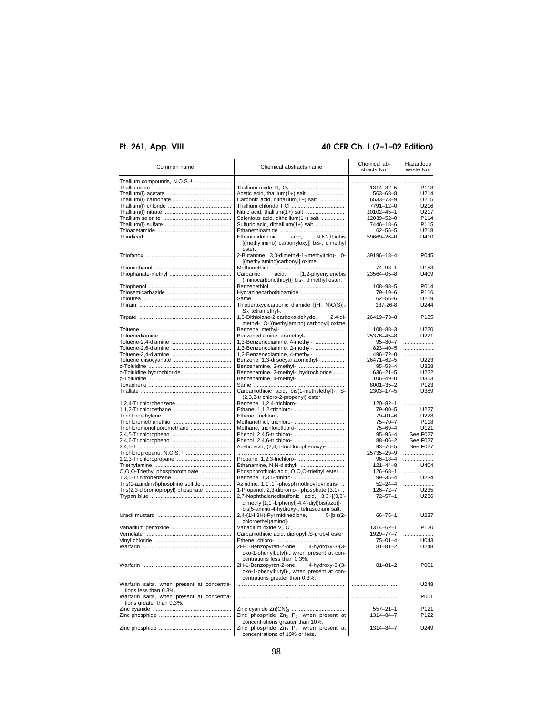# **Pt. 261, App. VIII 40 CFR Ch. I (7–1–02 Edition)**

| Common name                                | Chemical abstracts name                                                                        | Chemical ab-<br>stracts No. | Hazardous<br>waste No. |
|--------------------------------------------|------------------------------------------------------------------------------------------------|-----------------------------|------------------------|
| Thallium compounds, N.O.S. <sup>1</sup>    |                                                                                                |                             |                        |
|                                            |                                                                                                |                             |                        |
|                                            |                                                                                                | 1314-32-5                   | P113                   |
|                                            |                                                                                                | 563-68-8                    | U214                   |
|                                            | Carbonic acid, dithallium(1+) salt                                                             | 6533-73-9                   | U215                   |
|                                            |                                                                                                | 7791-12-0                   | U216                   |
|                                            |                                                                                                | 10102-45-1                  | U217                   |
|                                            | Selenious acid, dithallium(1+) salt                                                            | 12039-52-0                  | P114                   |
|                                            |                                                                                                |                             |                        |
|                                            | Sulfuric acid, dithallium(1+) salt                                                             | 7446-18-6                   | P115                   |
|                                            |                                                                                                | $62 - 55 - 5$               | U218                   |
|                                            | Ethanimidothioic<br>acid,<br>N,N'-[thiobis                                                     | 59669-26-0                  | U410                   |
|                                            | [(methylimino) carbonyloxy]] bis-, dimethyl<br>ester.                                          |                             |                        |
|                                            | 2-Butanone, 3,3-dimethyl-1-(methylthio)-, 0-<br>[(methylamino)carbonyl] oxime.                 | 39196-18-4                  | P045                   |
|                                            |                                                                                                | $74 - 93 - 1$               | U153                   |
|                                            | Carbamic<br>acid,                                                                              | 23564-05-8                  | U409                   |
|                                            | [1,2-phyenylenebis                                                                             |                             |                        |
|                                            | (iminocarbonothioyl)] bis-, dimethyl ester.                                                    |                             |                        |
|                                            |                                                                                                | $108 - 98 - 5$              | P014                   |
|                                            |                                                                                                | 79-19-6                     | P116                   |
|                                            |                                                                                                | $62 - 56 - 6$               | U219                   |
|                                            | Thioperoxydicarbonic diamide $[(H_2 \ N)C(S)]_2$                                               | 137-26-8                    | U244                   |
|                                            |                                                                                                |                             |                        |
|                                            | $S_2$ , tetramethyl-.                                                                          |                             |                        |
|                                            | 1,3-Dithiolane-2-carboxaldehyde,<br>2,4-di-                                                    | 26419-73-8                  | P185                   |
|                                            | methyl-, O-[(methylamino) carbonyl] oxime.                                                     |                             |                        |
|                                            |                                                                                                | $108 - 88 - 3$              | U220                   |
|                                            | Benzenediamine, ar-methyl-                                                                     | 25376-45-8                  | U221                   |
|                                            | 1,3-Benzenediamine, 4-methyl-                                                                  | $95 - 80 - 7$               |                        |
|                                            |                                                                                                |                             | .                      |
|                                            | 1,3-Benzenediamine, 2-methyl-                                                                  | $823 - 40 - 5$              | .                      |
|                                            | 1,2-Benzenediamine, 4-methyl-                                                                  | 496-72-0                    |                        |
|                                            | Benzene, 1,3-diisocyanatomethyl-                                                               | 26471-62-5                  | U223                   |
|                                            | Benzenamine, 2-methyl-                                                                         | $95 - 53 - 4$               | U328                   |
| o-Toluidine hydrochloride                  | Benzenamine, 2-methyl-, hydrochloride                                                          | $636 - 21 - 5$              | U222                   |
|                                            | Benzenamine, 4-methyl-                                                                         | $106 - 49 - 0$              | U353                   |
|                                            |                                                                                                |                             |                        |
|                                            |                                                                                                | 8001-35-2                   | P <sub>123</sub>       |
|                                            | Carbamothioic acid, bis(1-methylethyl)-, S-<br>(2,3,3-trichloro-2-propenyl) ester.             | 2303-17-5                   | U389                   |
|                                            |                                                                                                | $120 - 82 - 1$              | .                      |
|                                            |                                                                                                | $79 - 00 - 5$               | U227                   |
|                                            |                                                                                                | $79 - 01 - 6$               | U228                   |
|                                            |                                                                                                | $75 - 70 - 7$               | P118                   |
| Trichloromonofluoromethane                 |                                                                                                |                             | U121                   |
|                                            | Methane, trichlorofluoro-                                                                      | $75 - 69 - 4$               |                        |
|                                            |                                                                                                | $95 - 95 - 4$               | See F027               |
|                                            |                                                                                                | $88 - 06 - 2$               | See F027               |
|                                            | Acetic acid, (2,4,5-trichlorophenoxy)-                                                         | $93 - 76 - 5$               | See F027               |
| Trichloropropane, N.O.S. <sup>1</sup>      |                                                                                                | 25735-29-9                  |                        |
|                                            |                                                                                                | $96 - 18 - 4$               |                        |
|                                            |                                                                                                |                             |                        |
|                                            | Ethanamine, N,N-diethyl-                                                                       | 121-44-8                    | U404                   |
| O,O,O-Triethyl phosphorothioate            | Phosphorothioic acid, O,O,O-triethyl ester                                                     | 126-68-1                    |                        |
|                                            |                                                                                                | $99 - 35 - 4$               | U234                   |
| Tris(1-aziridinyl)phosphine sulfide        | Aziridine, 1,1',1"-phosphinothioylidynetris-                                                   | $52 - 24 - 4$               | .                      |
| Tris(2,3-dibromopropyl) phosphate          | 1-Propanol, 2,3-dibromo-, phosphate (3:1)                                                      | $126 - 72 - 7$              | U235                   |
|                                            | 2,7-Naphthalenedisulfonic acid, 3,3'-[(3,3'-                                                   | $72 - 57 - 1$               | U236                   |
|                                            |                                                                                                |                             |                        |
|                                            | dimethyl[1,1'-biphenyl]-4,4'-diyl)bis(azo)]-                                                   |                             |                        |
|                                            | bis[5-amino-4-hydroxy-, tetrasodium salt.                                                      |                             |                        |
|                                            | 2,4-(1H,3H)-Pyrimidinedione,<br>$5$ - $[bis(2-$                                                | $66 - 75 - 1$               | U237                   |
|                                            | chloroethyl)amino]-.                                                                           |                             |                        |
|                                            |                                                                                                | 1314-62-1                   | P <sub>120</sub>       |
|                                            |                                                                                                |                             |                        |
|                                            | Carbamothioic acid, dipropyl-, S-propyl ester                                                  | 1929-77-7                   | .                      |
|                                            |                                                                                                | $75 - 01 - 4$               | U043                   |
|                                            | 2H-1-Benzopyran-2-one,<br>4-hydroxy-3-(3-                                                      | $81 - 81 - 2$               | U248                   |
|                                            | oxo-1-phenylbutyl)-, when present at con-<br>centrations less than 0.3%.                       |                             |                        |
|                                            | 2H-1-Benzopyran-2-one,<br>4-hydroxy-3-(3-                                                      | $81 - 81 - 2$               | P001                   |
|                                            | oxo-1-phenylbutyl)-, when present at con-<br>centrations greater than 0.3%.                    |                             |                        |
|                                            |                                                                                                |                             |                        |
| Warfarin salts, when present at concentra- |                                                                                                |                             | U248                   |
| tions less than 0.3%.                      |                                                                                                |                             |                        |
| Warfarin salts, when present at concentra- |                                                                                                |                             | P001                   |
| tions greater than 0.3%.                   |                                                                                                |                             |                        |
|                                            |                                                                                                | $557 - 21 - 1$              | P121                   |
|                                            |                                                                                                |                             |                        |
|                                            | Zinc phosphide $Zn_3$ $P_2$ , when present at                                                  | 1314-84-7                   | P122                   |
|                                            | concentrations greater than 10%.                                                               |                             |                        |
|                                            | Zinc phosphide $\bar{Z}n_3$ P <sub>2</sub> , when present at<br>concentrations of 10% or less. | 1314-84-7                   | U249                   |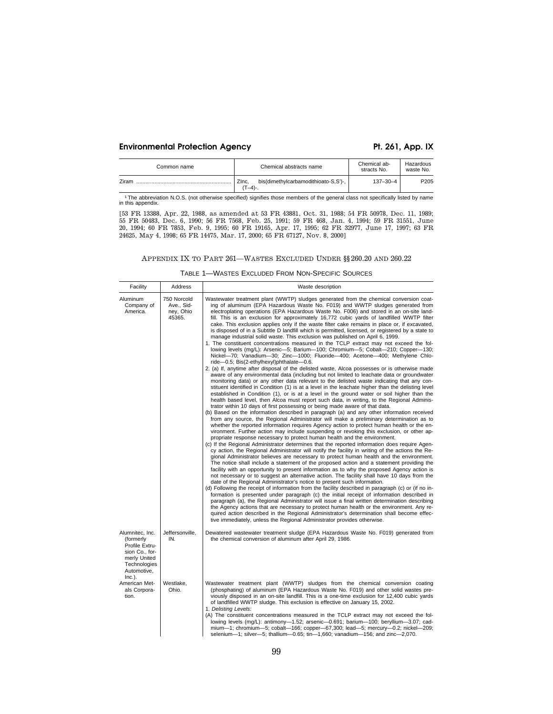## Environmental Protection Agency **Pt. 261, App. IX**

| Common name | Chemical abstracts name                                 | Chemical ab-<br>stracts No. | Hazardous<br>waste No. |
|-------------|---------------------------------------------------------|-----------------------------|------------------------|
| Ziram       | ZInc.<br>bis(dimethylcarbamodithioato-S.S')-.<br>т–4)-. | $137 - 30 - 4$              | P <sub>205</sub>       |

1The abbreviation N.O.S. (not otherwise specified) signifies those members of the general class not specifically listed by name in this appendix.

[53 FR 13388, Apr. 22, 1988, as amended at 53 FR 43881, Oct. 31, 1988; 54 FR 50978, Dec. 11, 1989; 55 FR 50483, Dec. 6, 1990; 56 FR 7568, Feb. 25, 1991; 59 FR 468, Jan. 4, 1994; 59 FR 31551, June 20, 1994; 60 FR 7853, Feb. 9, 1995; 60 FR 19165, Apr. 17, 1995; 62 FR 32977, June 17, 1997; 63 FR 24625, May 4, 1998; 65 FR 14475, Mar. 17, 2000; 65 FR 67127, Nov. 8, 2000]

## APPENDIX IX TO PART 261—WASTES EXCLUDED UNDER §§ 260.20 AND 260.22

| Facility                                                                                                                     | Address                                          | Waste description                                                                                                                                                                                                                                                                                                                                                                                                                                                                                                                                                                                                                                                                                                                                                                                                                                                                                                                                                                                                                                                                                                                                                                                                                                                                                                                                                                                                                                                                                                                                                                                                                                                                                                                                                                                                                                                                                                                                                                                                                                                                                                                                                                                                                                                                                                                                                                                                                                                                                                                                                                                                                                                                                                                                                                                                                                                                                                                                                                                                                                                                                                                                                                                                                                                                                                                                                     |
|------------------------------------------------------------------------------------------------------------------------------|--------------------------------------------------|-----------------------------------------------------------------------------------------------------------------------------------------------------------------------------------------------------------------------------------------------------------------------------------------------------------------------------------------------------------------------------------------------------------------------------------------------------------------------------------------------------------------------------------------------------------------------------------------------------------------------------------------------------------------------------------------------------------------------------------------------------------------------------------------------------------------------------------------------------------------------------------------------------------------------------------------------------------------------------------------------------------------------------------------------------------------------------------------------------------------------------------------------------------------------------------------------------------------------------------------------------------------------------------------------------------------------------------------------------------------------------------------------------------------------------------------------------------------------------------------------------------------------------------------------------------------------------------------------------------------------------------------------------------------------------------------------------------------------------------------------------------------------------------------------------------------------------------------------------------------------------------------------------------------------------------------------------------------------------------------------------------------------------------------------------------------------------------------------------------------------------------------------------------------------------------------------------------------------------------------------------------------------------------------------------------------------------------------------------------------------------------------------------------------------------------------------------------------------------------------------------------------------------------------------------------------------------------------------------------------------------------------------------------------------------------------------------------------------------------------------------------------------------------------------------------------------------------------------------------------------------------------------------------------------------------------------------------------------------------------------------------------------------------------------------------------------------------------------------------------------------------------------------------------------------------------------------------------------------------------------------------------------------------------------------------------------------------------------------------------------|
| Aluminum<br>Company of<br>America.                                                                                           | 750 Norcold<br>Ave., Sid-<br>ney, Ohio<br>45365. | Wastewater treatment plant (WWTP) sludges generated from the chemical conversion coat-<br>ing of aluminum (EPA Hazardous Waste No. F019) and WWTP sludges generated from<br>electroplating operations (EPA Hazardous Waste No. F006) and stored in an on-site land-<br>fill. This is an exclusion for approximately 16,772 cubic yards of landfilled WWTP filter<br>cake. This exclusion applies only if the waste filter cake remains in place or, if excavated,<br>is disposed of in a Subtitle D landfill which is permitted, licensed, or registered by a state to<br>manage industrial solid waste. This exclusion was published on April 6, 1999.<br>1. The constituent concentrations measured in the TCLP extract may not exceed the fol-<br>lowing levels (mg/L): Arsenic—5; Barium—100; Chromium—5; Cobalt—210; Copper—130;<br>Nickel-70; Vanadium-30; Zinc-1000; Fluoride-400; Acetone-400; Methylene Chlo-<br>ride-0.5; Bis(2-ethylhexyl)phthalate-0.6.<br>2. (a) If, anytime after disposal of the delisted waste, Alcoa possesses or is otherwise made<br>aware of any environmental data (including but not limited to leachate data or groundwater<br>monitoring data) or any other data relevant to the delisted waste indicating that any con-<br>stituent identified in Condition (1) is at a level in the leachate higher than the delisting level<br>established in Condition (1), or is at a level in the ground water or soil higher than the<br>health based level, then Alcoa must report such data, in writing, to the Regional Adminis-<br>trator within 10 days of first possessing or being made aware of that data.<br>(b) Based on the information described in paragraph (a) and any other information received<br>from any source, the Regional Administrator will make a preliminary determination as to<br>whether the reported information requires Agency action to protect human health or the en-<br>vironment. Further action may include suspending or revoking this exclusion, or other ap-<br>propriate response necessary to protect human health and the environment.<br>(c) If the Regional Administrator determines that the reported information does require Agen-<br>cy action, the Regional Administrator will notify the facility in writing of the actions the Re-<br>gional Administrator believes are necessary to protect human health and the environment.<br>The notice shall include a statement of the proposed action and a statement providing the<br>facility with an opportunity to present information as to why the proposed Agency action is<br>not necessary or to suggest an alternative action. The facility shall have 10 days from the<br>date of the Regional Administrator's notice to present such information.<br>(d) Following the receipt of information from the facility described in paragraph (c) or (if no in-<br>formation is presented under paragraph (c) the initial receipt of information described in<br>paragraph (a), the Regional Administrator will issue a final written determination describing<br>the Agency actions that are necessary to protect human health or the environment. Any re-<br>quired action described in the Regional Administrator's determination shall become effec-<br>tive immediately, unless the Regional Administrator provides otherwise. |
| Alumnitec, Inc.<br>(formerly<br>Profile Extru-<br>sion Co., for-<br>merly United<br>Technologies<br>Automotive,<br>$Inc.$ ). | Jeffersonville,<br>IN.                           | Dewatered wastewater treatment sludge (EPA Hazardous Waste No. F019) generated from<br>the chemical conversion of aluminum after April 29, 1986.                                                                                                                                                                                                                                                                                                                                                                                                                                                                                                                                                                                                                                                                                                                                                                                                                                                                                                                                                                                                                                                                                                                                                                                                                                                                                                                                                                                                                                                                                                                                                                                                                                                                                                                                                                                                                                                                                                                                                                                                                                                                                                                                                                                                                                                                                                                                                                                                                                                                                                                                                                                                                                                                                                                                                                                                                                                                                                                                                                                                                                                                                                                                                                                                                      |
| American Met-<br>als Corpora-<br>tion.                                                                                       | Westlake,<br>Ohio.                               | Wastewater treatment plant (WWTP) sludges from the chemical conversion coating<br>(phosphating) of aluminum (EPA Hazardous Waste No. F019) and other solid wastes pre-<br>viously disposed in an on-site landfill. This is a one-time exclusion for 12,400 cubic yards<br>of landfilled WWTP sludge. This exclusion is effective on January 15, 2002.<br>1. Delisting Levels:<br>(A) The constituent concentrations measured in the TCLP extract may not exceed the fol-<br>lowing levels (mg/L): antimony-1.52; arsenic-0.691; barium-100; beryllium-3.07; cad-<br>mium-1; chromium-5; cobalt-166; copper-67,300; lead-5; mercury-0.2; nickel-209;<br>selenium-1; silver-5; thallium-0.65; tin-1,660; vanadium-156; and zinc-2,070.                                                                                                                                                                                                                                                                                                                                                                                                                                                                                                                                                                                                                                                                                                                                                                                                                                                                                                                                                                                                                                                                                                                                                                                                                                                                                                                                                                                                                                                                                                                                                                                                                                                                                                                                                                                                                                                                                                                                                                                                                                                                                                                                                                                                                                                                                                                                                                                                                                                                                                                                                                                                                                  |

TABLE 1—WASTES EXCLUDED FROM NON-SPECIFIC SOURCES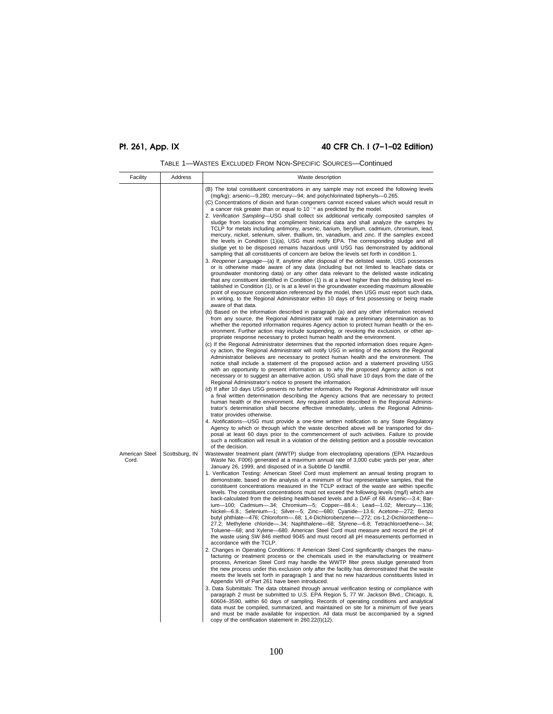# **Pt. 261, App. IX 40 CFR Ch. I (7–1–02 Edition)**

| Facility                | Address        | Waste description                                                                                                                                                                                                                                                                                                                                                                                                                                                                                                                                                                                                                                                                                                                                                                                                                                                                                                                                                                                                                                                                                                                                                                                                                                                                                                                                                                                                                                                                                                                                                                                                                                                                                                                                                                                                                                                                                                                                                                                                                                                                                                                                                                                                                                                                                                                                                                                                                                                                                                                                                                                                                                                                                                                                                                                                                                                                                                                                                                                                                                                                                                                                                                                                                                                                                                                                                                                                                                                                                                                                                                                                                                                                                                                                                                                                                                                                                                                                                                                                                                                                                                                                                                                                                                                                                                   |  |
|-------------------------|----------------|---------------------------------------------------------------------------------------------------------------------------------------------------------------------------------------------------------------------------------------------------------------------------------------------------------------------------------------------------------------------------------------------------------------------------------------------------------------------------------------------------------------------------------------------------------------------------------------------------------------------------------------------------------------------------------------------------------------------------------------------------------------------------------------------------------------------------------------------------------------------------------------------------------------------------------------------------------------------------------------------------------------------------------------------------------------------------------------------------------------------------------------------------------------------------------------------------------------------------------------------------------------------------------------------------------------------------------------------------------------------------------------------------------------------------------------------------------------------------------------------------------------------------------------------------------------------------------------------------------------------------------------------------------------------------------------------------------------------------------------------------------------------------------------------------------------------------------------------------------------------------------------------------------------------------------------------------------------------------------------------------------------------------------------------------------------------------------------------------------------------------------------------------------------------------------------------------------------------------------------------------------------------------------------------------------------------------------------------------------------------------------------------------------------------------------------------------------------------------------------------------------------------------------------------------------------------------------------------------------------------------------------------------------------------------------------------------------------------------------------------------------------------------------------------------------------------------------------------------------------------------------------------------------------------------------------------------------------------------------------------------------------------------------------------------------------------------------------------------------------------------------------------------------------------------------------------------------------------------------------------------------------------------------------------------------------------------------------------------------------------------------------------------------------------------------------------------------------------------------------------------------------------------------------------------------------------------------------------------------------------------------------------------------------------------------------------------------------------------------------------------------------------------------------------------------------------------------------------------------------------------------------------------------------------------------------------------------------------------------------------------------------------------------------------------------------------------------------------------------------------------------------------------------------------------------------------------------------------------------------------------------------------------------------------------------------------|--|
|                         |                | (B) The total constituent concentrations in any sample may not exceed the following levels<br>(mg/kg): arsenic-9,280; mercury-94; and polychlorinated biphenyls-0.265.<br>(C) Concentrations of dioxin and furan congeners cannot exceed values which would result in<br>a cancer risk greater than or equal to $10^{-6}$ as predicted by the model.<br>2. Verification Sampling-USG shall collect six additional vertically composited samples of<br>sludge from locations that compliment historical data and shall analyze the samples by<br>TCLP for metals including antimony, arsenic, barium, beryllium, cadmium, chromium, lead,<br>mercury, nickel, selenium, silver, thallium, tin, vanadium, and zinc. If the samples exceed<br>the levels in Condition (1)(a), USG must notify EPA. The corresponding sludge and all<br>sludge yet to be disposed remains hazardous until USG has demonstrated by additional<br>sampling that all constituents of concern are below the levels set forth in condition 1.<br>3. Reopener Language—(a) If, anytime after disposal of the delisted waste, USG possesses<br>or is otherwise made aware of any data (including but not limited to leachate data or<br>groundwater monitoring data) or any other data relevant to the delisted waste indicating<br>that any constituent identified in Condition (1) is at a level higher than the delisting level es-<br>tablished in Condition (1), or is at a level in the groundwater exceeding maximum allowable<br>point of exposure concentration referenced by the model, then USG must report such data,<br>in writing, to the Regional Administrator within 10 days of first possessing or being made                                                                                                                                                                                                                                                                                                                                                                                                                                                                                                                                                                                                                                                                                                                                                                                                                                                                                                                                                                                                                                                                                                                                                                                                                                                                                                                                                                                                                                                                                                                                                                                                                                                                                                                                                                                                                                                                                                                                                                                                                                                                                                                                                                                                                                                                                                                                                                                                                                                                                                                                                                                                                |  |
| American Steel<br>Cord. | Scottsburg, IN | aware of that data.<br>(b) Based on the information described in paragraph (a) and any other information received<br>from any source, the Regional Administrator will make a preliminary determination as to<br>whether the reported information requires Agency action to protect human health or the en-<br>vironment. Further action may include suspending, or revoking the exclusion, or other ap-<br>propriate response necessary to protect human health and the environment.<br>(c) If the Regional Administrator determines that the reported information does require Agen-<br>cy action, the Regional Administrator will notify USG in writing of the actions the Regional<br>Administrator believes are necessary to protect human health and the environment. The<br>notice shall include a statement of the proposed action and a statement providing USG<br>with an opportunity to present information as to why the proposed Agency action is not<br>necessary or to suggest an alternative action. USG shall have 10 days from the date of the<br>Regional Administrator's notice to present the information.<br>(d) If after 10 days USG presents no further information, the Regional Administrator will issue<br>a final written determination describing the Agency actions that are necessary to protect<br>human health or the environment. Any required action described in the Regional Adminis-<br>trator's determination shall become effective immediately, unless the Regional Adminis-<br>trator provides otherwise.<br>4. Notifications-USG must provide a one-time written notification to any State Regulatory<br>Agency to which or through which the waste described above will be transported for dis-<br>posal at least 60 days prior to the commencement of such activities. Failure to provide<br>such a notification will result in a violation of the delisting petition and a possible revocation<br>of the decision.<br>Wastewater treatment plant (WWTP) sludge from electroplating operations (EPA Hazardous<br>Waste No. F006) generated at a maximum annual rate of 3,000 cubic yards per year, after<br>January 26, 1999, and disposed of in a Subtitle D landfill.<br>1. Verification Testing: American Steel Cord must implement an annual testing program to<br>demonstrate, based on the analysis of a minimum of four representative samples, that the<br>constituent concentrations measured in the TCLP extract of the waste are within specific<br>levels. The constituent concentrations must not exceed the following levels (mg/l) which are<br>back-calculated from the delisting health-based levels and a DAF of 68. Arsenic-3.4; Bar-<br>ium-100; Cadmium-34; Chromium-5; Copper-88.4.; Lead-1.02; Mercury-1.136;<br>Nickel-6.8.; Selenium-1; Silver--5; Zinc--680; Cyanide--13.6; Acetone--272; Benzo<br>butyl phthlate-476; Chloroform-68; 1,4-Dichlorobenzene-272; cis-1,2-Dichloroethene-<br>27.2; Methylene chloride-34; Naphthalene-68; Styrene-6.8; Tetrachloroethene-34;<br>Toluene-68; and Xylene-680. American Steel Cord must measure and record the pH of<br>the waste using SW 846 method 9045 and must record all pH measurements performed in<br>accordance with the TCLP.<br>2. Changes in Operating Conditions: If American Steel Cord significantly changes the manu-<br>facturing or treatment process or the chemicals used in the manufacturing or treatment<br>process, American Steel Cord may handle the WWTP filter press sludge generated from<br>the new process under this exclusion only after the facility has demonstrated that the waste<br>meets the levels set forth in paragraph 1 and that no new hazardous constituents listed in<br>Appendix VIII of Part 261 have been introduced.<br>3. Data Submittals: The data obtained through annual verification testing or compliance with<br>paragraph 2 must be submitted to U.S. EPA Region 5, 77 W. Jackson Blvd., Chicago, IL<br>60604-3590, within 60 days of sampling. Records of operating conditions and analytical<br>data must be compiled, summarized, and maintained on site for a minimum of five years<br>and must be made available for inspection. All data must be accompanied by a signed<br>copy of the certification statement in 260.22(I)(12). |  |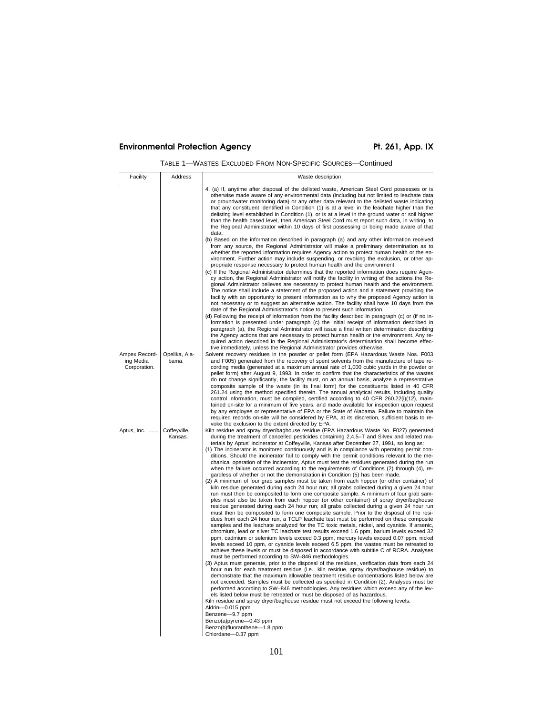| Facility                  | Address                 | Waste description                                                                                                                                                                                                                                                                                                                                                                                                                                                                                                                                                                                                                                                                                                                                                                                                                                                                                                                                                                                                                                                                                                                                                                                                                                                                                                                                                                                                                                                                                                                                                                                                                                                                                                                                                                                                                                                                                                                                                                                                                                                                                                                                                                                                                                                                                                                                                                                                                                                                                                                                                                                                                                                                                                                               |
|---------------------------|-------------------------|-------------------------------------------------------------------------------------------------------------------------------------------------------------------------------------------------------------------------------------------------------------------------------------------------------------------------------------------------------------------------------------------------------------------------------------------------------------------------------------------------------------------------------------------------------------------------------------------------------------------------------------------------------------------------------------------------------------------------------------------------------------------------------------------------------------------------------------------------------------------------------------------------------------------------------------------------------------------------------------------------------------------------------------------------------------------------------------------------------------------------------------------------------------------------------------------------------------------------------------------------------------------------------------------------------------------------------------------------------------------------------------------------------------------------------------------------------------------------------------------------------------------------------------------------------------------------------------------------------------------------------------------------------------------------------------------------------------------------------------------------------------------------------------------------------------------------------------------------------------------------------------------------------------------------------------------------------------------------------------------------------------------------------------------------------------------------------------------------------------------------------------------------------------------------------------------------------------------------------------------------------------------------------------------------------------------------------------------------------------------------------------------------------------------------------------------------------------------------------------------------------------------------------------------------------------------------------------------------------------------------------------------------------------------------------------------------------------------------------------------------|
|                           |                         | 4. (a) If, anytime after disposal of the delisted waste, American Steel Cord possesses or is<br>otherwise made aware of any environmental data (including but not limited to leachate data<br>or groundwater monitoring data) or any other data relevant to the delisted waste indicating<br>that any constituent identified in Condition (1) is at a level in the leachate higher than the<br>delisting level established in Condition (1), or is at a level in the ground water or soil higher<br>than the health based level, then American Steel Cord must report such data, in writing, to<br>the Regional Administrator within 10 days of first possessing or being made aware of that                                                                                                                                                                                                                                                                                                                                                                                                                                                                                                                                                                                                                                                                                                                                                                                                                                                                                                                                                                                                                                                                                                                                                                                                                                                                                                                                                                                                                                                                                                                                                                                                                                                                                                                                                                                                                                                                                                                                                                                                                                                    |
| Ampex Record-             | Opelika, Ala-           | data.<br>(b) Based on the information described in paragraph (a) and any other information received<br>from any source, the Regional Administrator will make a preliminary determination as to<br>whether the reported information requires Agency action to protect human health or the en-<br>vironment. Further action may include suspending, or revoking the exclusion, or other ap-<br>propriate response necessary to protect human health and the environment.<br>(c) If the Regional Administrator determines that the reported information does require Agen-<br>cy action, the Regional Administrator will notify the facility in writing of the actions the Re-<br>gional Administrator believes are necessary to protect human health and the environment.<br>The notice shall include a statement of the proposed action and a statement providing the<br>facility with an opportunity to present information as to why the proposed Agency action is<br>not necessary or to suggest an alternative action. The facility shall have 10 days from the<br>date of the Regional Administrator's notice to present such information.<br>(d) Following the receipt of information from the facility described in paragraph (c) or (if no in-<br>formation is presented under paragraph (c) the initial receipt of information described in<br>paragraph (a), the Regional Administrator will issue a final written determination describing<br>the Agency actions that are necessary to protect human health or the environment. Any re-<br>quired action described in the Regional Administrator's determination shall become effec-<br>tive immediately, unless the Regional Administrator provides otherwise.<br>Solvent recovery residues in the powder or pellet form (EPA Hazardous Waste Nos. F003                                                                                                                                                                                                                                                                                                                                                                                                                                                                                                                                                                                                                                                                                                                                                                                                                                                                                                                              |
| ing Media<br>Corporation. | bama.                   | and F005) generated from the recovery of spent solvents from the manufacture of tape re-<br>cording media (generated at a maximum annual rate of 1,000 cubic yards in the powder or<br>pellet form) after August 9, 1993. In order to confirm that the characteristics of the wastes<br>do not change significantly, the facility must, on an annual basis, analyze a representative<br>composite sample of the waste (in its final form) for the constituents listed in 40 CFR<br>261.24 using the method specified therein. The annual analytical results, including quality<br>control information, must be compiled, certified according to 40 CFR 260.22(i)(12), main-<br>tained on-site for a minimum of five years, and made available for inspection upon request<br>by any employee or representative of EPA or the State of Alabama. Failure to maintain the<br>required records on-site will be considered by EPA, at its discretion, sufficient basis to re-<br>voke the exclusion to the extent directed by EPA.                                                                                                                                                                                                                                                                                                                                                                                                                                                                                                                                                                                                                                                                                                                                                                                                                                                                                                                                                                                                                                                                                                                                                                                                                                                                                                                                                                                                                                                                                                                                                                                                                                                                                                                   |
| Aptus, Inc.               | Coffeyville,<br>Kansas. | Kiln residue and spray dryer/baghouse residue (EPA Hazardous Waste No. F027) generated<br>during the treatment of cancelled pesticides containing 2,4,5–T and Silvex and related ma-<br>terials by Aptus' incinerator at Coffeyville, Kansas after December 27, 1991, so long as:<br>(1) The incinerator is monitored continuously and is in compliance with operating permit con-<br>ditions. Should the incinerator fail to comply with the permit conditions relevant to the me-<br>chanical operation of the incinerator, Aptus must test the residues generated during the run<br>when the failure occurred according to the requirements of Conditions (2) through (4), re-<br>gardless of whether or not the demonstration in Condition (5) has been made.<br>(2) A minimum of four grab samples must be taken from each hopper (or other container) of<br>kiln residue generated during each 24 hour run; all grabs collected during a given 24 hour<br>run must then be composited to form one composite sample. A minimum of four grab sam-<br>ples must also be taken from each hopper (or other container) of spray dryer/baghouse<br>residue generated during each 24 hour run; all grabs collected during a given 24 hour run<br>must then be composited to form one composite sample. Prior to the disposal of the resi-<br>dues from each 24 hour run, a TCLP leachate test must be performed on these composite<br>samples and the leachate analyzed for the TC toxic metals, nickel, and cyanide. If arsenic,<br>chromium, lead or silver TC leachate test results exceed 1.6 ppm, barium levels exceed 32<br>ppm, cadmium or selenium levels exceed 0.3 ppm, mercury levels exceed 0.07 ppm, nickel<br>levels exceed 10 ppm, or cyanide levels exceed 6.5 ppm, the wastes must be retreated to<br>achieve these levels or must be disposed in accordance with subtitle C of RCRA. Analyses<br>must be performed according to SW-846 methodologies.<br>(3) Aptus must generate, prior to the disposal of the residues, verification data from each 24<br>hour run for each treatment residue (i.e., kiln residue, spray dryer/baghouse residue) to<br>demonstrate that the maximum allowable treatment residue concentrations listed below are<br>not exceeded. Samples must be collected as specified in Condition (2). Analyses must be<br>performed according to SW-846 methodologies. Any residues which exceed any of the lev-<br>els listed below must be retreated or must be disposed of as hazardous.<br>Kiln residue and spray dryer/baghouse residue must not exceed the following levels:<br>Aldrin-0.015 ppm<br>Benzene-9.7 ppm<br>Benzo(a)pyrene-0.43 ppm<br>Benzo(b)fluoranthene-1.8 ppm<br>Chlordane-0.37 ppm |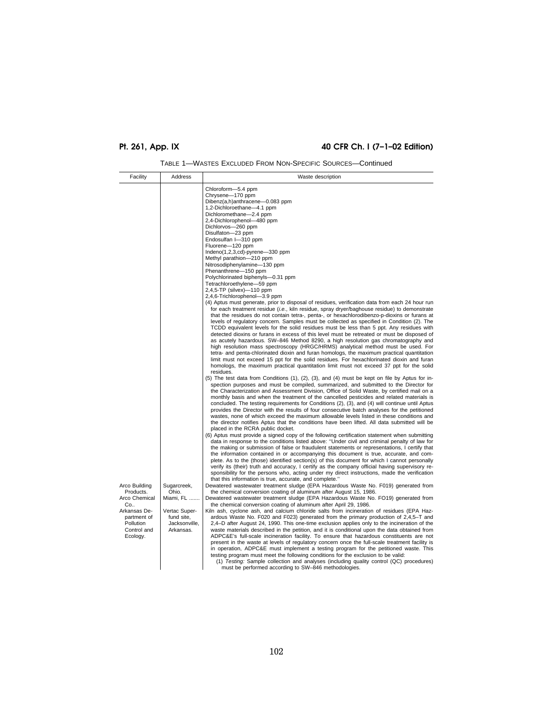| TABLE 1—WASTES EXCLUDED FROM NON-SPECIFIC SOURCES—Continued |  |  |  |  |  |  |
|-------------------------------------------------------------|--|--|--|--|--|--|
|-------------------------------------------------------------|--|--|--|--|--|--|

| Chloroform-5.4 ppm<br>Chrysene-170 ppm<br>Dibenz(a,h)anthracene-0.083 ppm<br>1,2-Dichloroethane-4.1 ppm<br>Dichloromethane-2.4 ppm<br>2,4-Dichlorophenol-480 ppm<br>Dichlorvos-260 ppm<br>Disulfaton-23 ppm                                     |  |
|-------------------------------------------------------------------------------------------------------------------------------------------------------------------------------------------------------------------------------------------------|--|
|                                                                                                                                                                                                                                                 |  |
|                                                                                                                                                                                                                                                 |  |
|                                                                                                                                                                                                                                                 |  |
|                                                                                                                                                                                                                                                 |  |
|                                                                                                                                                                                                                                                 |  |
|                                                                                                                                                                                                                                                 |  |
| Endosulfan I-310 ppm                                                                                                                                                                                                                            |  |
| Fluorene-120 ppm                                                                                                                                                                                                                                |  |
| Indeno(1,2,3,cd)-pyrene-330 ppm                                                                                                                                                                                                                 |  |
| Methyl parathion-210 ppm                                                                                                                                                                                                                        |  |
| Nitrosodiphenylamine-130 ppm                                                                                                                                                                                                                    |  |
| Phenanthrene-150 ppm<br>Polychlorinated biphenyls-0.31 ppm                                                                                                                                                                                      |  |
| Tetrachloroethylene-59 ppm                                                                                                                                                                                                                      |  |
| $2,4,5$ -TP (silvex)--110 ppm                                                                                                                                                                                                                   |  |
| 2,4,6-Trichlorophenol-3.9 ppm                                                                                                                                                                                                                   |  |
| (4) Aptus must generate, prior to disposal of residues, verification data from each 24 hour run                                                                                                                                                 |  |
| for each treatment residue (i.e., kiln residue, spray dryer/baghouse residue) to demonstrate                                                                                                                                                    |  |
| that the residues do not contain tetra-, penta-, or hexachlorodibenzo-p-dioxins or furans at<br>levels of regulatory concern. Samples must be collected as specified in Condition (2). The                                                      |  |
| TCDD equivalent levels for the solid residues must be less than 5 ppt. Any residues with                                                                                                                                                        |  |
| detected dioxins or furans in excess of this level must be retreated or must be disposed of                                                                                                                                                     |  |
| as acutely hazardous. SW-846 Method 8290, a high resolution gas chromatography and                                                                                                                                                              |  |
| high resolution mass spectroscopy (HRGC/HRMS) analytical method must be used. For                                                                                                                                                               |  |
| tetra- and penta-chlorinated dioxin and furan homologs, the maximum practical quantitation                                                                                                                                                      |  |
| limit must not exceed 15 ppt for the solid residues. For hexachlorinated dioxin and furan<br>homologs, the maximum practical quantitation limit must not exceed 37 ppt for the solid                                                            |  |
| residues.                                                                                                                                                                                                                                       |  |
| (5) The test data from Conditions (1), (2), (3), and (4) must be kept on file by Aptus for in-                                                                                                                                                  |  |
| spection purposes and must be compiled, summarized, and submitted to the Director for                                                                                                                                                           |  |
| the Characterization and Assessment Division, Office of Solid Waste, by certified mail on a<br>monthly basis and when the treatment of the cancelled pesticides and related materials is                                                        |  |
| concluded. The testing requirements for Conditions (2), (3), and (4) will continue until Aptus                                                                                                                                                  |  |
| provides the Director with the results of four consecutive batch analyses for the petitioned                                                                                                                                                    |  |
| wastes, none of which exceed the maximum allowable levels listed in these conditions and                                                                                                                                                        |  |
| the director notifies Aptus that the conditions have been lifted. All data submitted will be                                                                                                                                                    |  |
| placed in the RCRA public docket.<br>(6) Aptus must provide a signed copy of the following certification statement when submitting                                                                                                              |  |
| data in response to the conditions listed above: "Under civil and criminal penalty of law for                                                                                                                                                   |  |
| the making or submission of false or fraudulent statements or representations, I certify that                                                                                                                                                   |  |
| the information contained in or accompanying this document is true, accurate, and com-                                                                                                                                                          |  |
| plete. As to the (those) identified section(s) of this document for which I cannot personally                                                                                                                                                   |  |
| verify its (their) truth and accuracy, I certify as the company official having supervisory re-                                                                                                                                                 |  |
| sponsibility for the persons who, acting under my direct instructions, made the verification<br>that this information is true, accurate, and complete."                                                                                         |  |
| Sugarcreek,<br>Dewatered wastewater treatment sludge (EPA Hazardous Waste No. F019) generated from<br>Arco Building                                                                                                                             |  |
| Products.<br>Ohio.<br>the chemical conversion coating of aluminum after August 15, 1986.                                                                                                                                                        |  |
| Dewatered wastewater treatment sludge (EPA Hazardous Waste No. FO19) generated from<br>Arco Chemical<br>Miami, FL                                                                                                                               |  |
| Co.<br>the chemical conversion coating of aluminum after April 29, 1986.                                                                                                                                                                        |  |
| Kiln ash, cyclone ash, and calcium chloride salts from incineration of residues (EPA Haz-<br>Arkansas De-<br>Vertac Super-<br>partment of<br>fund site,<br>ardous Waste No. F020 and F023) generated from the primary production of 2,4,5–T and |  |
| Pollution<br>Jacksonville,<br>2,4–D after August 24, 1990. This one-time exclusion applies only to the incineration of the                                                                                                                      |  |
| Control and<br>waste materials described in the petition, and it is conditional upon the data obtained from<br>Arkansas.                                                                                                                        |  |
| Ecology.<br>ADPC&E's full-scale incineration facility. To ensure that hazardous constituents are not                                                                                                                                            |  |
| present in the waste at levels of regulatory concern once the full-scale treatment facility is                                                                                                                                                  |  |
| in operation, ADPC&E must implement a testing program for the petitioned waste. This                                                                                                                                                            |  |
| testing program must meet the following conditions for the exclusion to be valid:<br>(1) Testing: Sample collection and analyses (including quality control (QC) procedures)                                                                    |  |
| must be performed according to SW-846 methodologies.                                                                                                                                                                                            |  |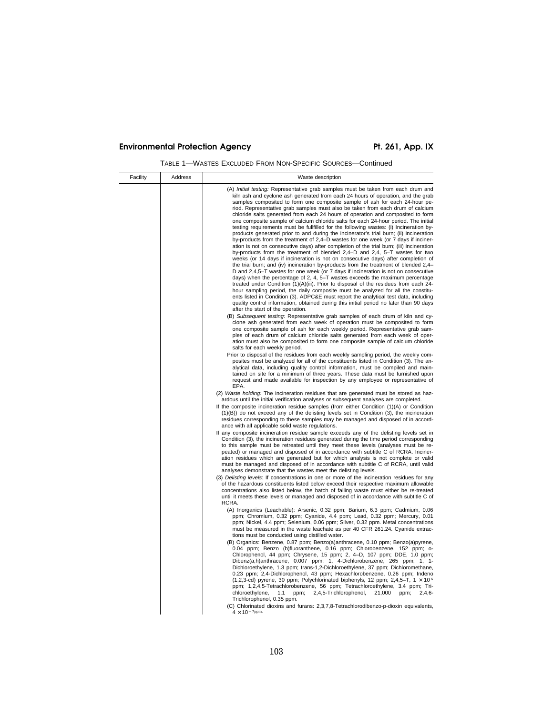| Facility | Address | Waste description                                                                                                                                                                                                                                                                                                                                                                                                                                                                                                                                                                                                                                                                                                                                                                                                                                                                                                                                                                                                                                                                                                                                                                                                                                                                                                                                                                                                                                                                                                                                                                                                                                                                                                           |
|----------|---------|-----------------------------------------------------------------------------------------------------------------------------------------------------------------------------------------------------------------------------------------------------------------------------------------------------------------------------------------------------------------------------------------------------------------------------------------------------------------------------------------------------------------------------------------------------------------------------------------------------------------------------------------------------------------------------------------------------------------------------------------------------------------------------------------------------------------------------------------------------------------------------------------------------------------------------------------------------------------------------------------------------------------------------------------------------------------------------------------------------------------------------------------------------------------------------------------------------------------------------------------------------------------------------------------------------------------------------------------------------------------------------------------------------------------------------------------------------------------------------------------------------------------------------------------------------------------------------------------------------------------------------------------------------------------------------------------------------------------------------|
|          |         | (A) Initial testing: Representative grab samples must be taken from each drum and<br>kiln ash and cyclone ash generated from each 24 hours of operation, and the grab<br>samples composited to form one composite sample of ash for each 24-hour pe-<br>riod. Representative grab samples must also be taken from each drum of calcium<br>chloride salts generated from each 24 hours of operation and composited to form<br>one composite sample of calcium chloride salts for each 24-hour period. The initial<br>testing requirements must be fullfilled for the following wastes: (i) Incineration by-<br>products generated prior to and during the incinerator's trial burn; (ii) incineration<br>by-products from the treatment of 2,4–D wastes for one week (or 7 days if inciner-<br>ation is not on consecutive days) after completion of the trial burn; (iii) incineration<br>by-products from the treatment of blended 2,4–D and 2,4, 5–T wastes for two<br>weeks (or 14 days if incineration is not on consecutive days) after completion of<br>the trial burn; and (iv) incineration by-products from the treatment of blended 2,4–<br>D and 2,4,5–T wastes for one week (or 7 days if incineration is not on consecutive<br>days) when the percentage of 2, 4, 5–T wastes exceeds the maximum percentage<br>treated under Condition (1)(A)(iii). Prior to disposal of the residues from each 24-<br>hour sampling period, the daily composite must be analyzed for all the constitu-<br>ents listed in Condition (3). ADPC&E must report the analytical test data, including<br>quality control information, obtained during this initial period no later than 90 days<br>after the start of the operation. |
|          |         | (B) Subsequent testing: Representative grab samples of each drum of kiln and cy-<br>clone ash generated from each week of operation must be composited to form<br>one composite sample of ash for each weekly period. Representative grab sam-<br>ples of each drum of calcium chloride salts generated from each week of oper-<br>ation must also be composited to form one composite sample of calcium chloride<br>salts for each weekly period.                                                                                                                                                                                                                                                                                                                                                                                                                                                                                                                                                                                                                                                                                                                                                                                                                                                                                                                                                                                                                                                                                                                                                                                                                                                                          |
|          |         | Prior to disposal of the residues from each weekly sampling period, the weekly com-<br>posites must be analyzed for all of the constituents listed in Condition (3). The an-<br>alytical data, including quality control information, must be compiled and main-<br>tained on site for a minimum of three years. These data must be furnished upon<br>request and made available for inspection by any employee or representative of<br>EPA.                                                                                                                                                                                                                                                                                                                                                                                                                                                                                                                                                                                                                                                                                                                                                                                                                                                                                                                                                                                                                                                                                                                                                                                                                                                                                |
|          |         | (2) Waste holding: The incineration residues that are generated must be stored as haz-<br>ardous until the initial verification analyses or subsequent analyses are completed.<br>If the composite incineration residue samples (from either Condition (1)(A) or Condition<br>$(1)(B)$ do not exceed any of the delisting levels set in Condition $(3)$ , the incineration<br>residues corresponding to these samples may be managed and disposed of in accord-<br>ance with all applicable solid waste regulations.<br>If any composite incineration residue sample exceeds any of the delisting levels set in<br>Condition (3), the incineration residues generated during the time period corresponding<br>to this sample must be retreated until they meet these levels (analyses must be re-<br>peated) or managed and disposed of in accordance with subtitle C of RCRA. Inciner-                                                                                                                                                                                                                                                                                                                                                                                                                                                                                                                                                                                                                                                                                                                                                                                                                                     |
|          |         | ation residues which are generated but for which analysis is not complete or valid<br>must be managed and disposed of in accordance with subtitle C of RCRA, until valid<br>analyses demonstrate that the wastes meet the delisting levels.<br>(3) Delisting levels: If concentrations in one or more of the incineration residues for any<br>of the hazardous constituents listed below exceed their respective maximum allowable                                                                                                                                                                                                                                                                                                                                                                                                                                                                                                                                                                                                                                                                                                                                                                                                                                                                                                                                                                                                                                                                                                                                                                                                                                                                                          |
|          |         | concentrations also listed below, the batch of failing waste must either be re-treated<br>until it meets these levels or managed and disposed of in accordance with subtitle C of<br>RCRA.<br>(A) Inorganics (Leachable): Arsenic, 0.32 ppm; Barium, 6.3 ppm; Cadmium, 0.06                                                                                                                                                                                                                                                                                                                                                                                                                                                                                                                                                                                                                                                                                                                                                                                                                                                                                                                                                                                                                                                                                                                                                                                                                                                                                                                                                                                                                                                 |
|          |         | ppm; Chromium, 0.32 ppm; Cyanide, 4.4 ppm; Lead, 0.32 ppm; Mercury, 0.01<br>ppm; Nickel, 4.4 ppm; Selenium, 0.06 ppm; Silver, 0.32 ppm. Metal concentrations<br>must be measured in the waste leachate as per 40 CFR 261.24. Cyanide extrac-<br>tions must be conducted using distilled water.                                                                                                                                                                                                                                                                                                                                                                                                                                                                                                                                                                                                                                                                                                                                                                                                                                                                                                                                                                                                                                                                                                                                                                                                                                                                                                                                                                                                                              |
|          |         | (B) Organics: Benzene, 0.87 ppm; Benzo(a)anthracene, 0.10 ppm; Benzo(a)pyrene,<br>0.04 ppm; Benzo (b)fluoranthene, 0.16 ppm; Chlorobenzene, 152 ppm; o-<br>Chlorophenol, 44 ppm; Chrysene, 15 ppm; 2, 4-D, 107 ppm; DDE, 1.0 ppm;<br>Dibenz(a,h)anthracene, 0.007 ppm; 1, 4-Dichlorobenzene, 265 ppm; 1, 1-<br>Dichloroethylene, 1.3 ppm; trans-1,2-Dichloroethylene, 37 ppm; Dichloromethane,<br>0.23 ppm; 2,4-Dichlorophenol, 43 ppm; Hexachlorobenzene, 0.26 ppm; Indeno<br>(1,2,3-cd) pyrene, 30 ppm; Polychlorinated biphenyls, 12 ppm; 2,4,5–T, 1 $\times$ 10 <sup>6</sup><br>ppm; 1,2,4,5-Tetrachlorobenzene, 56 ppm; Tetrachloroethylene, 3.4 ppm; Tri-<br>ppm;<br>2,4,5-Trichlorophenol,<br>chloroethylene,<br>1.1<br>21,000<br>ppm;<br>$2,4,6-$<br>Trichlorophenol, 0.35 ppm.<br>(C) Chlorinated dioxins and furans: 2,3,7,8-Tetrachlorodibenzo-p-dioxin equivalents,<br>$4 \times 10^{-7}$ ppm.                                                                                                                                                                                                                                                                                                                                                                                                                                                                                                                                                                                                                                                                                                                                                                                                                  |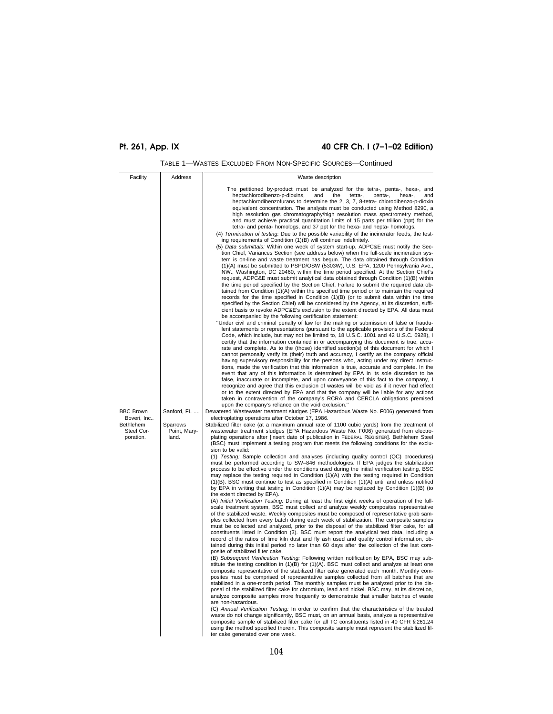| TABLE 1—WASTES EXCLUDED FROM NON-SPECIFIC SOURCES—Continued |  |  |  |  |  |  |
|-------------------------------------------------------------|--|--|--|--|--|--|
|-------------------------------------------------------------|--|--|--|--|--|--|

| Facility                                                                | Address                                          | Waste description                                                                                                                                                                                                                                                                                                                                                                                                                                                                                                                                                                                                                                                                                                                                                                                                                                                                                                                                                                                                                                                                                                                                                                                                                                                                                                                                                                                                                                                                                                                                                                                                                                                                                                                                                                                                                                                                                                                                                                                                                                                                                                                                                                                                                                                                                                                                                                                                                                                                                                                                                                                                                                                                                                                                                                                                                                                                                                                                                                                                                                                                                                                                                                                                                                                                                                                                                                                                                                                                                                                                                                                                                                                                                                                                                                                                                                                                                                                                                                                                                                                                                                                                                                                                                                                                                                                                                                                                                                                                                                                                                                                                                                                                                                                                                                                                                                                                                                                                                                                                                                                                                                                                                                                                                                                                                                                                                                                                                                                                                                                                                                                                                                                                                                                                                                                                                                                                                                                                                                                                                                                                                                                                                                                                                                                                 |
|-------------------------------------------------------------------------|--------------------------------------------------|-----------------------------------------------------------------------------------------------------------------------------------------------------------------------------------------------------------------------------------------------------------------------------------------------------------------------------------------------------------------------------------------------------------------------------------------------------------------------------------------------------------------------------------------------------------------------------------------------------------------------------------------------------------------------------------------------------------------------------------------------------------------------------------------------------------------------------------------------------------------------------------------------------------------------------------------------------------------------------------------------------------------------------------------------------------------------------------------------------------------------------------------------------------------------------------------------------------------------------------------------------------------------------------------------------------------------------------------------------------------------------------------------------------------------------------------------------------------------------------------------------------------------------------------------------------------------------------------------------------------------------------------------------------------------------------------------------------------------------------------------------------------------------------------------------------------------------------------------------------------------------------------------------------------------------------------------------------------------------------------------------------------------------------------------------------------------------------------------------------------------------------------------------------------------------------------------------------------------------------------------------------------------------------------------------------------------------------------------------------------------------------------------------------------------------------------------------------------------------------------------------------------------------------------------------------------------------------------------------------------------------------------------------------------------------------------------------------------------------------------------------------------------------------------------------------------------------------------------------------------------------------------------------------------------------------------------------------------------------------------------------------------------------------------------------------------------------------------------------------------------------------------------------------------------------------------------------------------------------------------------------------------------------------------------------------------------------------------------------------------------------------------------------------------------------------------------------------------------------------------------------------------------------------------------------------------------------------------------------------------------------------------------------------------------------------------------------------------------------------------------------------------------------------------------------------------------------------------------------------------------------------------------------------------------------------------------------------------------------------------------------------------------------------------------------------------------------------------------------------------------------------------------------------------------------------------------------------------------------------------------------------------------------------------------------------------------------------------------------------------------------------------------------------------------------------------------------------------------------------------------------------------------------------------------------------------------------------------------------------------------------------------------------------------------------------------------------------------------------------------------------------------------------------------------------------------------------------------------------------------------------------------------------------------------------------------------------------------------------------------------------------------------------------------------------------------------------------------------------------------------------------------------------------------------------------------------------------------------------------------------------------------------------------------------------------------------------------------------------------------------------------------------------------------------------------------------------------------------------------------------------------------------------------------------------------------------------------------------------------------------------------------------------------------------------------------------------------------------------------------------------------------------------------------------------------------------------------------------------------------------------------------------------------------------------------------------------------------------------------------------------------------------------------------------------------------------------------------------------------------------------------------------------------------------------------------------------------------------------------------------------------------------------------|
| <b>BBC Brown</b><br>Boveri, Inc<br>Bethlehem<br>Steel Cor-<br>poration. | Sanford, FL<br>Sparrows<br>Point, Mary-<br>land. | The petitioned by-product must be analyzed for the tetra-, penta-, hexa-, and<br>heptachlorodibenzo-p-dioxins,<br>and<br>the<br>tetra-,<br>penta-,<br>hexa-.<br>and<br>heptachlorodibenzofurans to determine the 2, 3, 7, 8-tetra-chlorodibenzo-p-dioxin<br>equivalent concentration. The analysis must be conducted using Method 8290, a<br>high resolution gas chromatography/high resolution mass spectrometry method,<br>and must achieve practical quantitation limits of 15 parts per trillion (ppt) for the<br>tetra- and penta- homologs, and 37 ppt for the hexa- and hepta- homologs.<br>(4) Termination of testing: Due to the possible variability of the incinerator feeds, the test-<br>ing requirements of Condition (1)(B) will continue indefinitely.<br>(5) Data submittals: Within one week of system start-up, ADPC&E must notify the Sec-<br>tion Chief, Variances Section (see address below) when the full-scale incineration sys-<br>tem is on-line and waste treatment has begun. The data obtained through Condition<br>(1)(A) must be submitted to PSPD/OSW (5303W), U.S. EPA, 1200 Pennsylvania Ave.,<br>NW., Washington, DC 20460, within the time period specified. At the Section Chief's<br>request, ADPC&E must submit analytical data obtained through Condition (1)(B) within<br>the time period specified by the Section Chief. Failure to submit the required data ob-<br>tained from Condition $(1)(A)$ within the specified time period or to maintain the required<br>records for the time specified in Condition $(1)(B)$ (or to submit data within the time<br>specified by the Section Chief) will be considered by the Agency, at its discretion, suffi-<br>cient basis to revoke ADPC&E's exclusion to the extent directed by EPA. All data must<br>be accompanied by the following certification statement:<br>"Under civil and criminal penalty of law for the making or submission of false or fraudu-<br>lent statements or representations (pursuant to the applicable provisions of the Federal<br>Code, which include, but may not be limited to, 18 U.S.C. 1001 and 42 U.S.C. 6928), I<br>certify that the information contained in or accompanying this document is true, accu-<br>rate and complete. As to the (those) identified section(s) of this document for which I<br>cannot personally verify its (their) truth and accuracy, I certify as the company official<br>having supervisory responsibility for the persons who, acting under my direct instruc-<br>tions, made the verification that this information is true, accurate and complete. In the<br>event that any of this information is determined by EPA in its sole discretion to be<br>false, inaccurate or incomplete, and upon conveyance of this fact to the company, I<br>recognize and agree that this exclusion of wastes will be void as if it never had effect<br>or to the extent directed by EPA and that the company will be liable for any actions<br>taken in contravention of the company's RCRA and CERCLA obligations premised<br>upon the company's reliance on the void exclusion."<br>Dewatered Wastewater treatment sludges (EPA Hazardous Waste No. F006) generated from<br>electroplating operations after October 17, 1986.<br>Stabilized filter cake (at a maximum annual rate of 1100 cubic yards) from the treatment of<br>wastewater treatment sludges (EPA Hazardous Waste No. F006) generated from electro-<br>plating operations after [insert date of publication in FEDERAL REGISTER]. Bethlehem Steel<br>(BSC) must implement a testing program that meets the following conditions for the exclu-<br>sion to be valid:<br>(1) Testing: Sample collection and analyses (including quality control (QC) procedures)<br>must be performed according to SW-846 methodologies. If EPA judges the stabilization<br>process to be effective under the conditions used during the initial verification testing, BSC<br>may replace the testing required in Condition (1)(A) with the testing required in Condition<br>$(1)(B)$ . BSC must continue to test as specified in Condition $(1)(A)$ until and unless notified<br>by EPA in writing that testing in Condition $(1)(A)$ may be replaced by Condition $(1)(B)$ (to<br>the extent directed by EPA).<br>(A) Initial Verification Testing: During at least the first eight weeks of operation of the full-<br>scale treatment system, BSC must collect and analyze weekly composites representative<br>of the stabilized waste. Weekly composites must be composed of representative grab sam-<br>ples collected from every batch during each week of stabilization. The composite samples<br>must be collected and analyzed, prior to the disposal of the stabilized filter cake, for all<br>constituents listed in Condition (3). BSC must report the analytical test data, including a<br>record of the ratios of lime kiln dust and fly ash used and quality control information, ob-<br>tained during this initial period no later than 60 days after the collection of the last com-<br>posite of stabilized filter cake.<br>(B) Subsequent Verification Testing: Following written notification by EPA, BSC may sub-<br>stitute the testing condition in $(1)(B)$ for $(1)(A)$ . BSC must collect and analyze at least one<br>composite representative of the stabilized filter cake generated each month. Monthly com-<br>posites must be comprised of representative samples collected from all batches that are<br>stabilized in a one-month period. The monthly samples must be analyzed prior to the dis-<br>posal of the stabilized filter cake for chromium, lead and nickel. BSC may, at its discretion,<br>analyze composite samples more frequently to demonstrate that smaller batches of waste<br>are non-hazardous.<br>(C) Annual Verification Testing: In order to confirm that the characteristics of the treated<br>waste do not change significantly, BSC must, on an annual basis, analyze a representative<br>composite sample of stabilized filter cake for all TC constituents listed in 40 CFR § 261.24<br>using the method specified therein. This composite sample must represent the stabilized fil-<br>ter cake generated over one week. |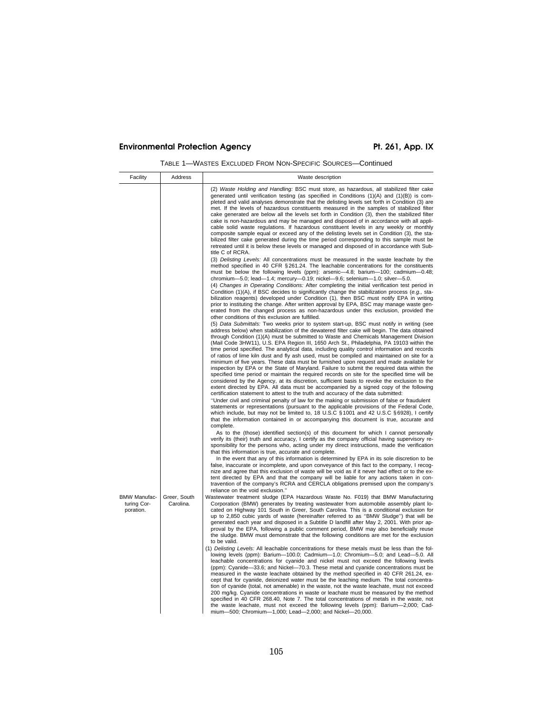| Facility                                        | Address                   | Waste description                                                                                                                                                                                                                                                                                                                                                                                                                                                                                                                                                                                                                                                                                                                                                                                                                                                                                                                                                                                                                                                                                                                                       |
|-------------------------------------------------|---------------------------|---------------------------------------------------------------------------------------------------------------------------------------------------------------------------------------------------------------------------------------------------------------------------------------------------------------------------------------------------------------------------------------------------------------------------------------------------------------------------------------------------------------------------------------------------------------------------------------------------------------------------------------------------------------------------------------------------------------------------------------------------------------------------------------------------------------------------------------------------------------------------------------------------------------------------------------------------------------------------------------------------------------------------------------------------------------------------------------------------------------------------------------------------------|
|                                                 |                           | (2) Waste Holding and Handling: BSC must store, as hazardous, all stabilized filter cake<br>generated until verification testing (as specified in Conditions (1)(A) and (1)(B)) is com-<br>pleted and valid analyses demonstrate that the delisting levels set forth in Condition (3) are<br>met. If the levels of hazardous constituents measured in the samples of stabilized filter<br>cake generated are below all the levels set forth in Condition (3), then the stabilized filter<br>cake is non-hazardous and may be managed and disposed of in accordance with all appli-<br>cable solid waste regulations. If hazardous constituent levels in any weekly or monthly<br>composite sample equal or exceed any of the delisting levels set in Condition (3), the sta-<br>bilized filter cake generated during the time period corresponding to this sample must be<br>retreated until it is below these levels or managed and disposed of in accordance with Sub-<br>title C of RCRA.                                                                                                                                                            |
|                                                 |                           | (3) Delisting Levels: All concentrations must be measured in the waste leachate by the<br>method specified in 40 CFR § 261.24. The leachable concentrations for the constituents<br>must be below the following levels (ppm): arsenic-4.8; barium-100; cadmium-0.48;<br>chromium-5.0; lead-1.4; mercury-0.19; nickel-9.6; selenium-1.0; silver-5.0.<br>(4) Changes in Operating Conditions: After completing the initial verification test period in<br>Condition (1)(A), if BSC decides to significantly change the stabilization process (e.g., sta-<br>bilization reagents) developed under Condition (1), then BSC must notify EPA in writing<br>prior to instituting the change. After written approval by EPA, BSC may manage waste gen-<br>erated from the changed process as non-hazardous under this exclusion, provided the<br>other conditions of this exclusion are fulfilled.                                                                                                                                                                                                                                                              |
|                                                 |                           | (5) Data Submittals: Two weeks prior to system start-up, BSC must notify in writing (see<br>address below) when stabilization of the dewatered filter cake will begin. The data obtained<br>through Condition (1)(A) must be submitted to Waste and Chemicals Management Division<br>(Mail Code 3HW11), U.S. EPA Region III, 1650 Arch St., Philadelphia, PA 19103 within the<br>time period specified. The analytical data, including quality control information and records<br>of ratios of lime kiln dust and fly ash used, must be compiled and maintained on site for a<br>minimum of five years. These data must be furnished upon request and made available for<br>inspection by EPA or the State of Maryland. Failure to submit the required data within the<br>specified time period or maintain the required records on site for the specified time will be<br>considered by the Agency, at its discretion, sufficient basis to revoke the exclusion to the<br>extent directed by EPA. All data must be accompanied by a signed copy of the following<br>certification statement to attest to the truth and accuracy of the data submitted: |
|                                                 |                           | "Under civil and criminal penalty of law for the making or submission of false or fraudulent<br>statements or representations (pursuant to the applicable provisions of the Federal Code,<br>which include, but may not be limited to, 18 U.S.C § 1001 and 42 U.S.C § 6928), I certify<br>that the information contained in or accompanying this document is true, accurate and<br>complete.<br>As to the (those) identified section(s) of this document for which I cannot personally<br>verify its (their) truth and accuracy, I certify as the company official having supervisory re-<br>sponsibility for the persons who, acting under my direct instructions, made the verification<br>that this information is true, accurate and complete.                                                                                                                                                                                                                                                                                                                                                                                                      |
|                                                 |                           | In the event that any of this information is determined by EPA in its sole discretion to be<br>false, inaccurate or incomplete, and upon conveyance of this fact to the company, I recog-<br>nize and agree that this exclusion of waste will be void as if it never had effect or to the ex-<br>tent directed by EPA and that the company will be liable for any actions taken in con-<br>travention of the company's RCRA and CERCLA obligations premised upon the company's<br>reliance on the void exclusion."                                                                                                                                                                                                                                                                                                                                                                                                                                                                                                                                                                                                                                      |
| <b>BMW Manufac-</b><br>turing Cor-<br>poration. | Greer, South<br>Carolina. | Wastewater treatment sludge (EPA Hazardous Waste No. F019) that BMW Manufacturing<br>Corporation (BMW) generates by treating wastewater from automobile assembly plant lo-<br>cated on Highway 101 South in Greer, South Carolina. This is a conditional exclusion for<br>up to 2,850 cubic yards of waste (hereinafter referred to as "BMW Sludge") that will be<br>generated each year and disposed in a Subtitle D landfill after May 2, 2001. With prior ap-<br>proval by the EPA, following a public comment period, BMW may also beneficially reuse<br>the sludge. BMW must demonstrate that the following conditions are met for the exclusion<br>to be valid.                                                                                                                                                                                                                                                                                                                                                                                                                                                                                   |
|                                                 |                           | (1) Delisting Levels: All leachable concentrations for these metals must be less than the fol-<br>lowing levels (ppm): Barium-100.0; Cadmium-1.0; Chromium-5.0; and Lead-5.0. All<br>leachable concentrations for cyanide and nickel must not exceed the following levels<br>(ppm): Cyanide-33.6; and Nickel-70.3. These metal and cyanide concentrations must be<br>measured in the waste leachate obtained by the method specified in 40 CFR 261.24, ex-<br>cept that for cyanide, deionized water must be the leaching medium. The total concentra-<br>tion of cyanide (total, not amenable) in the waste, not the waste leachate, must not exceed<br>200 mg/kg. Cyanide concentrations in waste or leachate must be measured by the method<br>specified in 40 CFR 268.40, Note 7. The total concentrations of metals in the waste, not<br>the waste leachate, must not exceed the following levels (ppm): Barium-2,000; Cad-<br>mium-500; Chromium-1,000; Lead-2,000; and Nickel-20,000.                                                                                                                                                            |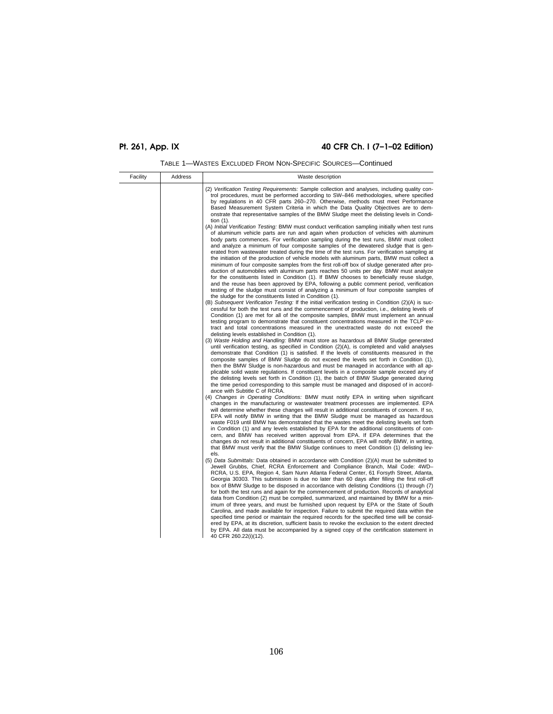|  | TABLE 1—WASTES EXCLUDED FROM NON-SPECIFIC SOURCES—Continued |  |  |  |  |  |
|--|-------------------------------------------------------------|--|--|--|--|--|
|--|-------------------------------------------------------------|--|--|--|--|--|

| Facility | Address | Waste description                                                                                                                                                                                                                                                                                                                                                                                                                                                                                                                                                                                                                                                                                                                                                                                                                                                                                                                                                                                                                                                                                                                                                                                                                                                                                                                                                                                                                                                                                                                                                                                                                                                                                                                                                                                                                                                                                                                                                                                                                                                                                                               |
|----------|---------|---------------------------------------------------------------------------------------------------------------------------------------------------------------------------------------------------------------------------------------------------------------------------------------------------------------------------------------------------------------------------------------------------------------------------------------------------------------------------------------------------------------------------------------------------------------------------------------------------------------------------------------------------------------------------------------------------------------------------------------------------------------------------------------------------------------------------------------------------------------------------------------------------------------------------------------------------------------------------------------------------------------------------------------------------------------------------------------------------------------------------------------------------------------------------------------------------------------------------------------------------------------------------------------------------------------------------------------------------------------------------------------------------------------------------------------------------------------------------------------------------------------------------------------------------------------------------------------------------------------------------------------------------------------------------------------------------------------------------------------------------------------------------------------------------------------------------------------------------------------------------------------------------------------------------------------------------------------------------------------------------------------------------------------------------------------------------------------------------------------------------------|
|          |         | (2) Verification Testing Requirements: Sample collection and analyses, including quality con-<br>trol procedures, must be performed according to SW-846 methodologies, where specified<br>by regulations in 40 CFR parts 260-270. Otherwise, methods must meet Performance<br>Based Measurement System Criteria in which the Data Quality Objectives are to dem-<br>onstrate that representative samples of the BMW Sludge meet the delisting levels in Condi-<br>tion (1).                                                                                                                                                                                                                                                                                                                                                                                                                                                                                                                                                                                                                                                                                                                                                                                                                                                                                                                                                                                                                                                                                                                                                                                                                                                                                                                                                                                                                                                                                                                                                                                                                                                     |
|          |         | (A) Initial Verification Testing: BMW must conduct verification sampling initially when test runs<br>of aluminum vehicle parts are run and again when production of vehicles with aluminum<br>body parts commences. For verification sampling during the test runs, BMW must collect<br>and analyze a minimum of four composite samples of the dewatered sludge that is gen-<br>erated from wastewater treated during the time of the test runs. For verification sampling at<br>the initiation of the production of vehicle models with aluminum parts, BMW must collect a<br>minimum of four composite samples from the first roll-off box of sludge generated after pro-<br>duction of automobiles with aluminum parts reaches 50 units per day. BMW must analyze<br>for the constituents listed in Condition (1). If BMW chooses to beneficially reuse sludge,<br>and the reuse has been approved by EPA, following a public comment period, verification<br>testing of the sludge must consist of analyzing a minimum of four composite samples of<br>the sludge for the constituents listed in Condition (1).<br>(B) Subsequent Verification Testing: If the initial verification testing in Condition (2)(A) is suc-<br>cessful for both the test runs and the commencement of production, i.e., delisting levels of<br>Condition (1) are met for all of the composite samples, BMW must implement an annual<br>testing program to demonstrate that constituent concentrations measured in the TCLP ex-<br>tract and total concentrations measured in the unextracted waste do not exceed the<br>delisting levels established in Condition (1).<br>(3) Waste Holding and Handling: BMW must store as hazardous all BMW Sludge generated<br>until verification testing, as specified in Condition $(2)(A)$ , is completed and valid analyses<br>demonstrate that Condition (1) is satisfied. If the levels of constituents measured in the<br>composite samples of BMW Sludge do not exceed the levels set forth in Condition (1),<br>then the BMW Sludge is non-hazardous and must be managed in accordance with all ap- |
|          |         | plicable solid waste regulations. If constituent levels in a composite sample exceed any of<br>the delisting levels set forth in Condition (1), the batch of BMW Sludge generated during<br>the time period corresponding to this sample must be managed and disposed of in accord-<br>ance with Subtitle C of RCRA.<br>(4) Changes in Operating Conditions: BMW must notify EPA in writing when significant<br>changes in the manufacturing or wastewater treatment processes are implemented. EPA<br>will determine whether these changes will result in additional constituents of concern. If so,                                                                                                                                                                                                                                                                                                                                                                                                                                                                                                                                                                                                                                                                                                                                                                                                                                                                                                                                                                                                                                                                                                                                                                                                                                                                                                                                                                                                                                                                                                                           |
|          |         | EPA will notify BMW in writing that the BMW Sludge must be managed as hazardous<br>waste F019 until BMW has demonstrated that the wastes meet the delisting levels set forth<br>in Condition (1) and any levels established by EPA for the additional constituents of con-<br>cern, and BMW has received written approval from EPA. If EPA determines that the<br>changes do not result in additional constituents of concern, EPA will notify BMW, in writing,<br>that BMW must verify that the BMW Sludge continues to meet Condition (1) delisting lev-<br>els.                                                                                                                                                                                                                                                                                                                                                                                                                                                                                                                                                                                                                                                                                                                                                                                                                                                                                                                                                                                                                                                                                                                                                                                                                                                                                                                                                                                                                                                                                                                                                              |
|          |         | (5) Data Submittals: Data obtained in accordance with Condition (2)(A) must be submitted to<br>Jewell Grubbs, Chief, RCRA Enforcement and Compliance Branch, Mail Code: 4WD-<br>RCRA, U.S. EPA, Region 4, Sam Nunn Atlanta Federal Center, 61 Forsyth Street, Atlanta,<br>Georgia 30303. This submission is due no later than 60 days after filling the first roll-off<br>box of BMW Sludge to be disposed in accordance with delisting Conditions (1) through (7)<br>for both the test runs and again for the commencement of production. Records of analytical<br>data from Condition (2) must be compiled, summarized, and maintained by BMW for a min-<br>imum of three years, and must be furnished upon request by EPA or the State of South<br>Carolina, and made available for inspection. Failure to submit the required data within the<br>specified time period or maintain the required records for the specified time will be consid-<br>ered by EPA, at its discretion, sufficient basis to revoke the exclusion to the extent directed<br>by EPA. All data must be accompanied by a signed copy of the certification statement in<br>40 CFR 260.22(i)(12).                                                                                                                                                                                                                                                                                                                                                                                                                                                                                                                                                                                                                                                                                                                                                                                                                                                                                                                                                       |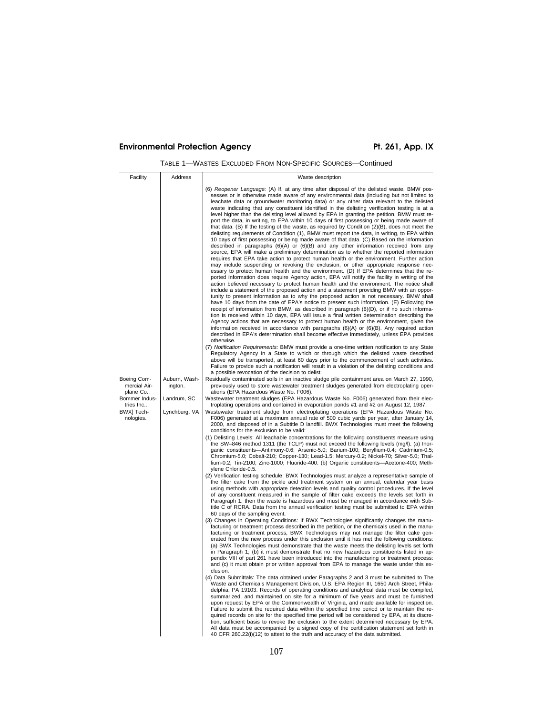| Facility                                | Address                  | Waste description                                                                                                                                                                                                                                                                                                                                                                                                                                                                                                                                                                                                                                                                                                                                                                                                                                                                                                                                                                                                                                                                                                                                                                                                                                                                                                                                                                                                                                                                                                                                                                                                                                                                                                                                                                                                                                                                                                                                                                                                                                                                                                                                                                                                                                                                                                                                                                                                                                                                                                                                                                                                                                                                                                                                                                                                                                                                                                                                                                                                                                                                                                                                                                         |
|-----------------------------------------|--------------------------|-------------------------------------------------------------------------------------------------------------------------------------------------------------------------------------------------------------------------------------------------------------------------------------------------------------------------------------------------------------------------------------------------------------------------------------------------------------------------------------------------------------------------------------------------------------------------------------------------------------------------------------------------------------------------------------------------------------------------------------------------------------------------------------------------------------------------------------------------------------------------------------------------------------------------------------------------------------------------------------------------------------------------------------------------------------------------------------------------------------------------------------------------------------------------------------------------------------------------------------------------------------------------------------------------------------------------------------------------------------------------------------------------------------------------------------------------------------------------------------------------------------------------------------------------------------------------------------------------------------------------------------------------------------------------------------------------------------------------------------------------------------------------------------------------------------------------------------------------------------------------------------------------------------------------------------------------------------------------------------------------------------------------------------------------------------------------------------------------------------------------------------------------------------------------------------------------------------------------------------------------------------------------------------------------------------------------------------------------------------------------------------------------------------------------------------------------------------------------------------------------------------------------------------------------------------------------------------------------------------------------------------------------------------------------------------------------------------------------------------------------------------------------------------------------------------------------------------------------------------------------------------------------------------------------------------------------------------------------------------------------------------------------------------------------------------------------------------------------------------------------------------------------------------------------------------------|
|                                         |                          | (6) Reopener Language: (A) If, at any time after disposal of the delisted waste, BMW pos-<br>sesses or is otherwise made aware of any environmental data (including but not limited to<br>leachate data or groundwater monitoring data) or any other data relevant to the delisted<br>waste indicating that any constituent identified in the delisting verification testing is at a<br>level higher than the delisting level allowed by EPA in granting the petition, BMW must re-<br>port the data, in writing, to EPA within 10 days of first possessing or being made aware of<br>that data. $(B)$ If the testing of the waste, as required by Condition $(2)(B)$ , does not meet the<br>delisting requirements of Condition (1), BMW must report the data, in writing, to EPA within<br>10 days of first possessing or being made aware of that data. (C) Based on the information<br>described in paragraphs $(6)(A)$ or $(6)(B)$ and any other information received from any<br>source, EPA will make a preliminary determination as to whether the reported information<br>requires that EPA take action to protect human health or the environment. Further action<br>may include suspending or revoking the exclusion, or other appropriate response nec-<br>essary to protect human health and the environment. (D) If EPA determines that the re-<br>ported information does require Agency action, EPA will notify the facility in writing of the<br>action believed necessary to protect human health and the environment. The notice shall<br>include a statement of the proposed action and a statement providing BMW with an oppor-<br>tunity to present information as to why the proposed action is not necessary. BMW shall<br>have 10 days from the date of EPA's notice to present such information. (E) Following the<br>receipt of information from BMW, as described in paragraph (6)(D), or if no such informa-<br>tion is received within 10 days, EPA will issue a final written determination describing the<br>Agency actions that are necessary to protect human health or the environment, given the<br>information received in accordance with paragraphs $(6)(A)$ or $(6)(B)$ . Any required action<br>described in EPA's determination shall become effective immediately, unless EPA provides<br>otherwise.<br>(7) Notification Requirements: BMW must provide a one-time written notification to any State<br>Regulatory Agency in a State to which or through which the delisted waste described<br>above will be transported, at least 60 days prior to the commencement of such activities.<br>Failure to provide such a notification will result in a violation of the delisting conditions and<br>a possible revocation of the decision to delist.                                                                                                                                                                                                                                                                                                                                                                                              |
| Boeing Com-<br>mercial Air-<br>plane Co | Auburn, Wash-<br>ington. | Residually contaminated soils in an inactive sludge pile containment area on March 27, 1990,<br>previously used to store wastewater treatment sludges generated from electroplating oper-<br>ations (EPA Hazardous Waste No. F006).                                                                                                                                                                                                                                                                                                                                                                                                                                                                                                                                                                                                                                                                                                                                                                                                                                                                                                                                                                                                                                                                                                                                                                                                                                                                                                                                                                                                                                                                                                                                                                                                                                                                                                                                                                                                                                                                                                                                                                                                                                                                                                                                                                                                                                                                                                                                                                                                                                                                                                                                                                                                                                                                                                                                                                                                                                                                                                                                                       |
| Bommer Indus-                           | Landrum, SC              | Wastewater treatment sludges (EPA Hazardous Waste No. F006) generated from their elec-                                                                                                                                                                                                                                                                                                                                                                                                                                                                                                                                                                                                                                                                                                                                                                                                                                                                                                                                                                                                                                                                                                                                                                                                                                                                                                                                                                                                                                                                                                                                                                                                                                                                                                                                                                                                                                                                                                                                                                                                                                                                                                                                                                                                                                                                                                                                                                                                                                                                                                                                                                                                                                                                                                                                                                                                                                                                                                                                                                                                                                                                                                    |
| tries Inc<br>BWX] Tech-<br>nologies.    | Lynchburg, VA            | troplating operations and contained in evaporation ponds #1 and #2 on August 12, 1987.<br>Wastewater treatment sludge from electroplating operations (EPA Hazardous Waste No.<br>F006) generated at a maximum annual rate of 500 cubic yards per year, after January 14,<br>2000, and disposed of in a Subtitle D landfill. BWX Technologies must meet the following<br>conditions for the exclusion to be valid:<br>(1) Delisting Levels: All leachable concentrations for the following constituents measure using<br>the SW-846 method 1311 (the TCLP) must not exceed the following levels (mg/l). (a) Inor-<br>ganic constituents—Antimony-0.6; Arsenic-5.0; Barium-100; Beryllium-0.4; Cadmium-0.5;<br>Chromium-5.0; Cobalt-210; Copper-130; Lead-1.5; Mercury-0.2; Nickel-70; Silver-5.0; Thal-<br>lium-0.2; Tin-2100; Zinc-1000; Fluoride-400. (b) Organic constituents-Acetone-400; Meth-<br>ylene Chloride-0.5.<br>(2) Verification testing schedule: BWX Technologies must analyze a representative sample of<br>the filter cake from the pickle acid treatment system on an annual, calendar year basis<br>using methods with appropriate detection levels and quality control procedures. If the level<br>of any constituent measured in the sample of filter cake exceeds the levels set forth in<br>Paragraph 1, then the waste is hazardous and must be managed in accordance with Sub-<br>title C of RCRA. Data from the annual verification testing must be submitted to EPA within<br>60 days of the sampling event.<br>(3) Changes in Operating Conditions: If BWX Technologies significantly changes the manu-<br>facturing or treatment process described in the petition, or the chemicals used in the manu-<br>facturing or treatment process, BWX Technologies may not manage the filter cake gen-<br>erated from the new process under this exclusion until it has met the following conditions:<br>(a) BWX Technologies must demonstrate that the waste meets the delisting levels set forth<br>in Paragraph 1; (b) it must demonstrate that no new hazardous constituents listed in ap-<br>pendix VIII of part 261 have been introduced into the manufacturing or treatment process:<br>and (c) it must obtain prior written approval from EPA to manage the waste under this ex-<br>clusion.<br>(4) Data Submittals: The data obtained under Paragraphs 2 and 3 must be submitted to The<br>Waste and Chemicals Management Division, U.S. EPA Region III, 1650 Arch Street, Phila-<br>delphia, PA 19103. Records of operating conditions and analytical data must be compiled,<br>summarized, and maintained on site for a minimum of five years and must be furnished<br>upon request by EPA or the Commonwealth of Virginia, and made available for inspection.<br>Failure to submit the required data within the specified time period or to maintain the re-<br>quired records on site for the specified time period will be considered by EPA, at its discre-<br>tion, sufficient basis to revoke the exclusion to the extent determined necessary by EPA.<br>All data must be accompanied by a signed copy of the certification statement set forth in |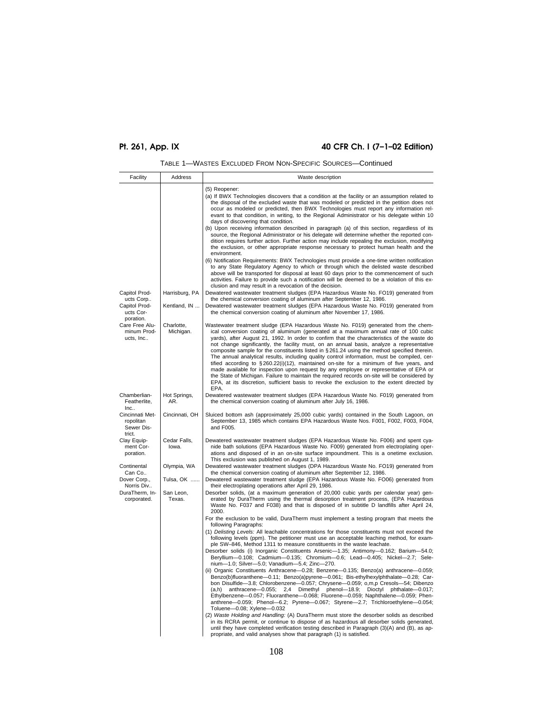| Facility                                                   | Address                        | Waste description                                                                                                                                                                                                                                                                                                                                                                                                                                                                                                                                                                                                                                                                                                                                                                                                                                                                                                                                                                                                                                                                                                                                                                                                                                                                                                                                                                                                                                                                                                                                                   |
|------------------------------------------------------------|--------------------------------|---------------------------------------------------------------------------------------------------------------------------------------------------------------------------------------------------------------------------------------------------------------------------------------------------------------------------------------------------------------------------------------------------------------------------------------------------------------------------------------------------------------------------------------------------------------------------------------------------------------------------------------------------------------------------------------------------------------------------------------------------------------------------------------------------------------------------------------------------------------------------------------------------------------------------------------------------------------------------------------------------------------------------------------------------------------------------------------------------------------------------------------------------------------------------------------------------------------------------------------------------------------------------------------------------------------------------------------------------------------------------------------------------------------------------------------------------------------------------------------------------------------------------------------------------------------------|
| Capitol Prod-<br>ucts Corp<br>Capitol Prod-                | Harrisburg, PA<br>Kentland, IN | (5) Reopener:<br>(a) If BWX Technologies discovers that a condition at the facility or an assumption related to<br>the disposal of the excluded waste that was modeled or predicted in the petition does not<br>occur as modeled or predicted, then BWX Technologies must report any information rel-<br>evant to that condition, in writing, to the Regional Administrator or his delegate within 10<br>days of discovering that condition.<br>(b) Upon receiving information described in paragraph (a) of this section, regardless of its<br>source, the Regional Administrator or his delegate will determine whether the reported con-<br>dition requires further action. Further action may include repealing the exclusion, modifying<br>the exclusion, or other appropriate response necessary to protect human health and the<br>environment.<br>(6) Notification Requirements: BWX Technologies must provide a one-time written notification<br>to any State Regulatory Agency to which or through which the delisted waste described<br>above will be transported for disposal at least 60 days prior to the commencement of such<br>activities. Failure to provide such a notification will be deemed to be a violation of this ex-<br>clusion and may result in a revocation of the decision.<br>Dewatered wastewater treatment sludges (EPA Hazardous Waste No. FO19) generated from<br>the chemical conversion coating of aluminum after September 12, 1986.<br>Dewatered wastewater treatment sludges (EPA Hazardous Waste No. F019) generated from |
| ucts Cor-<br>poration.                                     |                                | the chemical conversion coating of aluminum after November 17, 1986.                                                                                                                                                                                                                                                                                                                                                                                                                                                                                                                                                                                                                                                                                                                                                                                                                                                                                                                                                                                                                                                                                                                                                                                                                                                                                                                                                                                                                                                                                                |
| Care Free Alu-<br>minum Prod-<br>ucts, Inc<br>Chamberlian- | Charlotte,<br>Michigan.        | Wastewater treatment sludge (EPA Hazardous Waste No. F019) generated from the chem-<br>ical conversion coating of aluminum (generated at a maximum annual rate of 100 cubic<br>yards), after August 21, 1992. In order to confirm that the characteristics of the waste do<br>not change significantly, the facility must, on an annual basis, analyze a representative<br>composite sample for the constituents listed in §261.24 using the method specified therein.<br>The annual analytical results, including quality control information, must be compiled, cer-<br>tified according to §260.22(i)(12), maintained on-site for a minimum of five years, and<br>made available for inspection upon request by any employee or representative of EPA or<br>the State of Michigan. Failure to maintain the required records on-site will be considered by<br>EPA, at its discretion, sufficient basis to revoke the exclusion to the extent directed by<br>EPA.                                                                                                                                                                                                                                                                                                                                                                                                                                                                                                                                                                                                  |
| Featherlite,<br>Inc.                                       | Hot Springs,<br>AR.            | Dewatered wastewater treatment sludges (EPA Hazardous Waste No. F019) generated from<br>the chemical conversion coating of aluminum after July 16, 1986.                                                                                                                                                                                                                                                                                                                                                                                                                                                                                                                                                                                                                                                                                                                                                                                                                                                                                                                                                                                                                                                                                                                                                                                                                                                                                                                                                                                                            |
| Cincinnati Met-<br>ropolitan<br>Sewer Dis-<br>trict.       | Cincinnati, OH                 | Sluiced bottom ash (approximately 25,000 cubic yards) contained in the South Lagoon, on<br>September 13, 1985 which contains EPA Hazardous Waste Nos. F001, F002, F003, F004,<br>and F005.                                                                                                                                                                                                                                                                                                                                                                                                                                                                                                                                                                                                                                                                                                                                                                                                                                                                                                                                                                                                                                                                                                                                                                                                                                                                                                                                                                          |
| Clay Equip-<br>ment Cor-<br>poration.                      | Cedar Falls,<br>lowa.          | Dewatered wastewater treatment sludges (EPA Hazardous Waste No. F006) and spent cya-<br>nide bath solutions (EPA Hazardous Waste No. F009) generated from electroplating oper-<br>ations and disposed of in an on-site surface impoundment. This is a onetime exclusion.<br>This exclusion was published on August 1, 1989.                                                                                                                                                                                                                                                                                                                                                                                                                                                                                                                                                                                                                                                                                                                                                                                                                                                                                                                                                                                                                                                                                                                                                                                                                                         |
| Continental<br>Can Co                                      | Olympia, WA                    | Dewatered wastewater treatment sludges (DPA Hazardous Waste No. FO19) generated from<br>the chemical conversion coating of aluminum after September 12, 1986.                                                                                                                                                                                                                                                                                                                                                                                                                                                                                                                                                                                                                                                                                                                                                                                                                                                                                                                                                                                                                                                                                                                                                                                                                                                                                                                                                                                                       |
| Dover Corp.,<br>Norris Div                                 | Tulsa, OK                      | Dewatered wastewater treatment sludge (EPA Hazardous Waste No. FO06) generated from<br>their electroplating operations after April 29, 1986.                                                                                                                                                                                                                                                                                                                                                                                                                                                                                                                                                                                                                                                                                                                                                                                                                                                                                                                                                                                                                                                                                                                                                                                                                                                                                                                                                                                                                        |
| DuraTherm, In-<br>corporated.                              | San Leon,<br>Texas.            | Desorber solids, (at a maximum generation of 20,000 cubic yards per calendar year) gen-<br>erated by DuraTherm using the thermal desorption treatment process, (EPA Hazardous<br>Waste No. F037 and F038) and that is disposed of in subtitle D landfills after April 24,<br>2000.                                                                                                                                                                                                                                                                                                                                                                                                                                                                                                                                                                                                                                                                                                                                                                                                                                                                                                                                                                                                                                                                                                                                                                                                                                                                                  |
|                                                            |                                | For the exclusion to be valid, DuraTherm must implement a testing program that meets the<br>following Paragraphs:<br>(1) Delisting Levels: All leachable concentrations for those constituents must not exceed the                                                                                                                                                                                                                                                                                                                                                                                                                                                                                                                                                                                                                                                                                                                                                                                                                                                                                                                                                                                                                                                                                                                                                                                                                                                                                                                                                  |
|                                                            |                                | following levels (ppm). The petitioner must use an acceptable leaching method, for exam-<br>ple SW-846, Method 1311 to measure constituents in the waste leachate.<br>Desorber solids (i) Inorganic Constituents Arsenic-1.35; Antimony-0.162; Barium-54.0;<br>Beryllium-0.108; Cadmium-0.135; Chromium-0.6; Lead-0.405; Nickel-2.7; Sele-<br>nium-1.0; Silver-5.0; Vanadium-5.4; Zinc-270.                                                                                                                                                                                                                                                                                                                                                                                                                                                                                                                                                                                                                                                                                                                                                                                                                                                                                                                                                                                                                                                                                                                                                                         |
|                                                            |                                | (ii) Organic Constituents Anthracene-0.28; Benzene-0.135; Benzo(a) anthracene-0.059;<br>Benzo(b)fluoranthene-0.11; Benzo(a)pyrene-0.061; Bis-ethylhexylphthalate-0.28; Car-<br>bon Disulfide-3.8; Chlorobenzene-0.057; Chrysene-0.059; o,m,p Cresols-54; Dibenzo<br>anthracene-0.055; 2,4 Dimethyl phenol-18.9; Dioctyl<br>phthalate-0.017;<br>(a.h)<br>Ethylbenzene-0.057; Fluoranthene-0.068; Fluorene-0.059; Naphthalene-0.059; Phen-<br>anthrene-0.059; Phenol-6.2; Pyrene-0.067; Styrene-2.7; Trichloroethylene-0.054;<br>Toluene-0.08; Xylene-0.032<br>(2) Waste Holding and Handling: (A) DuraTherm must store the desorber solids as described                                                                                                                                                                                                                                                                                                                                                                                                                                                                                                                                                                                                                                                                                                                                                                                                                                                                                                              |
|                                                            |                                | in its RCRA permit, or continue to dispose of as hazardous all desorber solids generated,<br>until they have completed verification testing described in Paragraph (3)(A) and (B), as ap-<br>propriate, and valid analyses show that paragraph (1) is satisfied.                                                                                                                                                                                                                                                                                                                                                                                                                                                                                                                                                                                                                                                                                                                                                                                                                                                                                                                                                                                                                                                                                                                                                                                                                                                                                                    |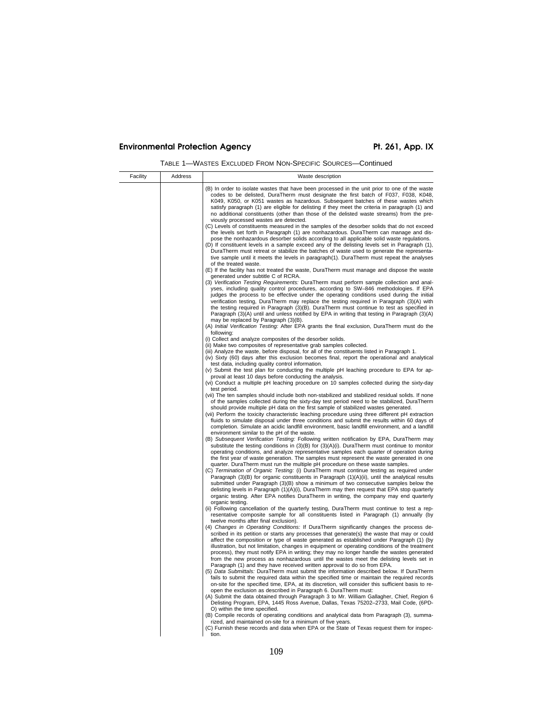| Facility | Address | Waste description                                                                                                                                                                                                                                                                                                                                                                                                                                                                                                                                                                                                                                                                                                                                                                                                                                                                                                                                                                                                   |  |
|----------|---------|---------------------------------------------------------------------------------------------------------------------------------------------------------------------------------------------------------------------------------------------------------------------------------------------------------------------------------------------------------------------------------------------------------------------------------------------------------------------------------------------------------------------------------------------------------------------------------------------------------------------------------------------------------------------------------------------------------------------------------------------------------------------------------------------------------------------------------------------------------------------------------------------------------------------------------------------------------------------------------------------------------------------|--|
|          |         | (B) In order to isolate wastes that have been processed in the unit prior to one of the waste<br>codes to be delisted, DuraTherm must designate the first batch of F037, F038, K048,<br>K049, K050, or K051 wastes as hazardous. Subsequent batches of these wastes which<br>satisfy paragraph (1) are eligible for delisting if they meet the criteria in paragraph (1) and<br>no additional constituents (other than those of the delisted waste streams) from the pre-<br>viously processed wastes are detected.                                                                                                                                                                                                                                                                                                                                                                                                                                                                                                 |  |
|          |         | (C) Levels of constituents measured in the samples of the desorber solids that do not exceed<br>the levels set forth in Paragraph (1) are nonhazardous. DuraTherm can manage and dis-<br>pose the nonhazardous desorber solids according to all applicable solid waste regulations.<br>(D) If constituent levels in a sample exceed any of the delisting levels set in Paragraph (1),<br>DuraTherm must retreat or stabilize the batches of waste used to generate the representa-<br>tive sample until it meets the levels in paragraph(1). DuraTherm must repeat the analyses<br>of the treated waste.                                                                                                                                                                                                                                                                                                                                                                                                            |  |
|          |         | (E) If the facility has not treated the waste, DuraTherm must manage and dispose the waste<br>generated under subtitle C of RCRA.                                                                                                                                                                                                                                                                                                                                                                                                                                                                                                                                                                                                                                                                                                                                                                                                                                                                                   |  |
|          |         | (3) Verification Testing Requirements: DuraTherm must perform sample collection and anal-<br>yses, including quality control procedures, according to SW-846 methodologies. If EPA<br>judges the process to be effective under the operating conditions used during the initial<br>verification testing, DuraTherm may replace the testing required in Paragraph (3)(A) with<br>the testing required in Paragraph (3)(B). DuraTherm must continue to test as specified in<br>Paragraph (3)(A) until and unless notified by EPA in writing that testing in Paragraph (3)(A)<br>may be replaced by Paragraph (3)(B).<br>(A) Initial Verification Testing: After EPA grants the final exclusion, DuraTherm must do the                                                                                                                                                                                                                                                                                                 |  |
|          |         | following:                                                                                                                                                                                                                                                                                                                                                                                                                                                                                                                                                                                                                                                                                                                                                                                                                                                                                                                                                                                                          |  |
|          |         | (i) Collect and analyze composites of the desorber solids.<br>(ii) Make two composites of representative grab samples collected.<br>(iii) Analyze the waste, before disposal, for all of the constituents listed in Paragraph 1.<br>(iv) Sixty (60) days after this exclusion becomes final, report the operational and analytical<br>test data, including quality control information.                                                                                                                                                                                                                                                                                                                                                                                                                                                                                                                                                                                                                             |  |
|          |         | (v) Submit the test plan for conducting the multiple pH leaching procedure to EPA for ap-<br>proval at least 10 days before conducting the analysis.<br>(vi) Conduct a multiple pH leaching procedure on 10 samples collected during the sixty-day                                                                                                                                                                                                                                                                                                                                                                                                                                                                                                                                                                                                                                                                                                                                                                  |  |
|          |         | test period.<br>(vii) The ten samples should include both non-stabilized and stabilized residual solids. If none<br>of the samples collected during the sixty-day test period need to be stabilized, DuraTherm<br>should provide multiple pH data on the first sample of stabilized wastes generated.<br>(vii) Perform the toxicity characteristic leaching procedure using three different pH extraction<br>fluids to simulate disposal under three conditions and submit the results within 60 days of<br>completion. Simulate an acidic landfill environment, basic landfill environment, and a landfill                                                                                                                                                                                                                                                                                                                                                                                                         |  |
|          |         | environment similar to the pH of the waste.<br>(B) Subsequent Verification Testing: Following written notification by EPA, DuraTherm may<br>substitute the testing conditions in $(3)(B)$ for $(3)(A)(i)$ . DuraTherm must continue to monitor<br>operating conditions, and analyze representative samples each quarter of operation during<br>the first year of waste generation. The samples must represent the waste generated in one<br>quarter. DuraTherm must run the multiple pH procedure on these waste samples.<br>(C) Termination of Organic Testing: (i) DuraTherm must continue testing as required under<br>Paragraph $(3)(B)$ for organic constituents in Paragraph $(1)(A)(ii)$ , until the analytical results<br>submitted under Paragraph (3)(B) show a minimum of two consecutive samples below the<br>delisting levels in Paragraph $(1)(A)(i)$ , DuraTherm may then request that EPA stop quarterly<br>organic testing. After EPA notifies DuraTherm in writing, the company may end quarterly |  |
|          |         | organic testing.<br>(ii) Following cancellation of the quarterly testing, DuraTherm must continue to test a rep-<br>resentative composite sample for all constituents listed in Paragraph (1) annually (by<br>twelve months after final exclusion).                                                                                                                                                                                                                                                                                                                                                                                                                                                                                                                                                                                                                                                                                                                                                                 |  |
|          |         | (4) Changes in Operating Conditions: If DuraTherm significantly changes the process de-<br>scribed in its petition or starts any processes that generate(s) the waste that may or could<br>affect the composition or type of waste generated as established under Paragraph (1) (by<br>illustration, but not limitation, changes in equipment or operating conditions of the treatment<br>process), they must notify EPA in writing; they may no longer handle the wastes generated<br>from the new process as nonhazardous until the wastes meet the delisting levels set in<br>Paragraph (1) and they have received written approval to do so from EPA.                                                                                                                                                                                                                                                                                                                                                           |  |
|          |         | (5) Data Submittals: DuraTherm must submit the information described below. If DuraTherm<br>fails to submit the required data within the specified time or maintain the required records<br>on-site for the specified time, EPA, at its discretion, will consider this sufficient basis to re-<br>open the exclusion as described in Paragraph 6. DuraTherm must:<br>(A) Submit the data obtained through Paragraph 3 to Mr. William Gallagher, Chief, Region 6<br>Delisting Program, EPA, 1445 Ross Avenue, Dallas, Texas 75202-2733, Mail Code, (6PD-<br>O) within the time specified.                                                                                                                                                                                                                                                                                                                                                                                                                            |  |
|          |         | (B) Compile records of operating conditions and analytical data from Paragraph (3), summa-<br>rized, and maintained on-site for a minimum of five years.<br>(C) Furnish these records and data when EPA or the State of Texas request them for inspec-<br>tion.                                                                                                                                                                                                                                                                                                                                                                                                                                                                                                                                                                                                                                                                                                                                                     |  |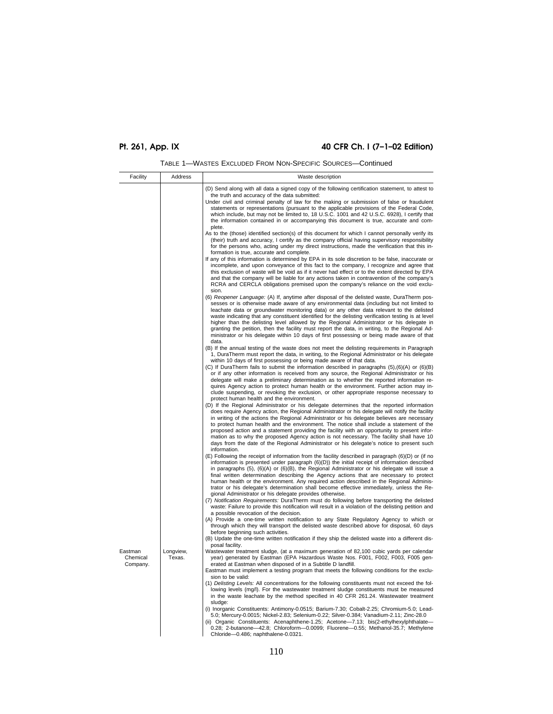| TABLE 1—WASTES EXCLUDED FROM NON-SPECIFIC SOURCES—Continued |  |  |  |  |  |  |
|-------------------------------------------------------------|--|--|--|--|--|--|
|-------------------------------------------------------------|--|--|--|--|--|--|

| Facility                        | Address             | Waste description                                                                                                                                                                                                                                                                                                                                                                                                                                                                                                                                                                                                                                                                                                                                                                                                                                    |
|---------------------------------|---------------------|------------------------------------------------------------------------------------------------------------------------------------------------------------------------------------------------------------------------------------------------------------------------------------------------------------------------------------------------------------------------------------------------------------------------------------------------------------------------------------------------------------------------------------------------------------------------------------------------------------------------------------------------------------------------------------------------------------------------------------------------------------------------------------------------------------------------------------------------------|
|                                 |                     | (D) Send along with all data a signed copy of the following certification statement, to attest to<br>the truth and accuracy of the data submitted:<br>Under civil and criminal penalty of law for the making or submission of false or fraudulent<br>statements or representations (pursuant to the applicable provisions of the Federal Code,<br>which include, but may not be limited to, 18 U.S.C. 1001 and 42 U.S.C. 6928), I certify that<br>the information contained in or accompanying this document is true, accurate and com-<br>plete.                                                                                                                                                                                                                                                                                                    |
|                                 |                     | As to the (those) identified section(s) of this document for which I cannot personally verify its<br>(their) truth and accuracy, I certify as the company official having supervisory responsibility<br>for the persons who, acting under my direct instructions, made the verification that this in-<br>formation is true, accurate and complete.<br>If any of this information is determined by EPA in its sole discretion to be false, inaccurate or<br>incomplete, and upon conveyance of this fact to the company, I recognize and agree that<br>this exclusion of waste will be void as if it never had effect or to the extent directed by EPA<br>and that the company will be liable for any actions taken in contravention of the company's<br>RCRA and CERCLA obligations premised upon the company's reliance on the void exclu-<br>sion. |
|                                 |                     | (6) Reopener Language: (A) If, anytime after disposal of the delisted waste, DuraTherm pos-<br>sesses or is otherwise made aware of any environmental data (including but not limited to<br>leachate data or groundwater monitoring data) or any other data relevant to the delisted<br>waste indicating that any constituent identified for the delisting verification testing is at level<br>higher than the delisting level allowed by the Regional Administrator or his delegate in<br>granting the petition, then the facility must report the data, in writing, to the Regional Ad-<br>ministrator or his delegate within 10 days of first possessing or being made aware of that<br>data.                                                                                                                                                     |
|                                 |                     | (B) If the annual testing of the waste does not meet the delisting requirements in Paragraph<br>1, DuraTherm must report the data, in writing, to the Regional Administrator or his delegate<br>within 10 days of first possessing or being made aware of that data.<br>(C) If DuraTherm fails to submit the information described in paragraphs (5),(6)(A) or (6)(B)<br>or if any other information is received from any source, the Regional Administrator or his<br>delegate will make a preliminary determination as to whether the reported information re-<br>quires Agency action to protect human health or the environment. Further action may in-<br>clude suspending, or revoking the exclusion, or other appropriate response necessary to                                                                                               |
|                                 |                     | protect human health and the environment.<br>(D) If the Regional Administrator or his delegate determines that the reported information<br>does require Agency action, the Regional Administrator or his delegate will notify the facility<br>in writing of the actions the Regional Administrator or his delegate believes are necessary<br>to protect human health and the environment. The notice shall include a statement of the<br>proposed action and a statement providing the facility with an opportunity to present infor-<br>mation as to why the proposed Agency action is not necessary. The facility shall have 10<br>days from the date of the Regional Administrator or his delegate's notice to present such<br>information.                                                                                                       |
|                                 |                     | (E) Following the receipt of information from the facility described in paragraph (6)(D) or (if no<br>information is presented under paragraph $(6)(D)$ ) the initial receipt of information described<br>in paragraphs $(5)$ , $(6)(A)$ or $(6)(B)$ , the Regional Administrator or his delegate will issue a<br>final written determination describing the Agency actions that are necessary to protect<br>human health or the environment. Any required action described in the Regional Adminis-<br>trator or his delegate's determination shall become effective immediately, unless the Re-<br>gional Administrator or his delegate provides otherwise.<br>(7) Notification Requirements: DuraTherm must do following before transporting the delisted                                                                                         |
|                                 |                     | waste: Failure to provide this notification will result in a violation of the delisting petition and<br>a possible revocation of the decision.<br>(A) Provide a one-time written notification to any State Regulatory Agency to which or<br>through which they will transport the delisted waste described above for disposal, 60 days<br>before beginning such activities.<br>(B) Update the one-time written notification if they ship the delisted waste into a different dis-                                                                                                                                                                                                                                                                                                                                                                    |
| Eastman<br>Chemical<br>Company. | Longview,<br>Texas. | posal facility.<br>Wastewater treatment sludge, (at a maximum generation of 82,100 cubic yards per calendar<br>year) generated by Eastman (EPA Hazardous Waste Nos. F001, F002, F003, F005 gen-<br>erated at Eastman when disposed of in a Subtitle D landfill.<br>Eastman must implement a testing program that meets the following conditions for the exclu-                                                                                                                                                                                                                                                                                                                                                                                                                                                                                       |
|                                 |                     | sion to be valid:<br>(1) Delisting Levels: All concentrations for the following constituents must not exceed the fol-<br>lowing levels (mg/l). For the wastewater treatment sludge constituents must be measured<br>in the waste leachate by the method specified in 40 CFR 261.24. Wastewater treatment<br>sludge:                                                                                                                                                                                                                                                                                                                                                                                                                                                                                                                                  |
|                                 |                     | (i) Inorganic Constituents: Antimony-0.0515; Barium-7.30; Cobalt-2.25; Chromium-5.0; Lead-<br>5.0; Mercury-0.0015; Nickel-2.83; Selenium-0.22; Silver-0.384; Vanadium-2.11; Zinc-28.0<br>(ii) Organic Constituents: Acenaphthene-1.25; Acetone-7.13; bis(2-ethylhexylphthalate-<br>0.28; 2-butanone-42.8; Chloroform-0.0099; Fluorene-0.55; Methanol-35.7; Methylene<br>Chloride-0.486; naphthalene-0.0321.                                                                                                                                                                                                                                                                                                                                                                                                                                          |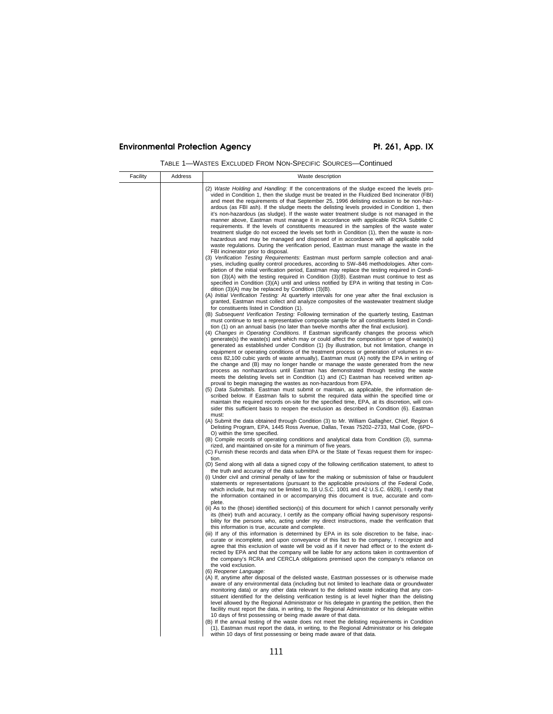| Facility | Address | Waste description                                                                                                                                                                                  |
|----------|---------|----------------------------------------------------------------------------------------------------------------------------------------------------------------------------------------------------|
|          |         | (2) Waste Holding and Handling: If the concentrations of the sludge exceed the levels pro-                                                                                                         |
|          |         | vided in Condition 1, then the sludge must be treated in the Fluidized Bed Incinerator (FBI)                                                                                                       |
|          |         | and meet the requirements of that September 25, 1996 delisting exclusion to be non-haz-<br>ardous (as FBI ash). If the sludge meets the delisting levels provided in Condition 1, then             |
|          |         | it's non-hazardous (as sludge). If the waste water treatment sludge is not managed in the                                                                                                          |
|          |         | manner above, Eastman must manage it in accordance with applicable RCRA Subtitle C                                                                                                                 |
|          |         | requirements. If the levels of constituents measured in the samples of the waste water                                                                                                             |
|          |         | treatment sludge do not exceed the levels set forth in Condition (1), then the waste is non-                                                                                                       |
|          |         | hazardous and may be managed and disposed of in accordance with all applicable solid<br>waste regulations. During the verification period, Eastman must manage the waste in the                    |
|          |         | FBI incinerator prior to disposal.                                                                                                                                                                 |
|          |         | (3) Verification Testing Requirements: Eastman must perform sample collection and anal-<br>yses, including quality control procedures, according to SW-846 methodologies. After com-               |
|          |         | pletion of the initial verification period, Eastman may replace the testing required in Condi-                                                                                                     |
|          |         | tion $(3)(A)$ with the testing required in Condition $(3)(B)$ . Eastman must continue to test as<br>specified in Condition (3)(A) until and unless notified by EPA in writing that testing in Con- |
|          |         | dition $(3)(A)$ may be replaced by Condition $(3)(B)$ .                                                                                                                                            |
|          |         | (A) Initial Verification Testing: At quarterly intervals for one year after the final exclusion is                                                                                                 |
|          |         | granted, Eastman must collect and analyze composites of the wastewater treatment sludge                                                                                                            |
|          |         | for constituents listed in Condition (1).                                                                                                                                                          |
|          |         | (B) Subsequent Verification Testing: Following termination of the quarterly testing, Eastman                                                                                                       |
|          |         | must continue to test a representative composite sample for all constituents listed in Condi-                                                                                                      |
|          |         | tion (1) on an annual basis (no later than twelve months after the final exclusion).<br>(4) Changes in Operating Conditions. If Eastman significantly changes the process which                    |
|          |         | generate(s) the waste(s) and which may or could affect the composition or type of waste(s)                                                                                                         |
|          |         | generated as established under Condition (1) (by illustration, but not limitation, change in                                                                                                       |
|          |         | equipment or operating conditions of the treatment process or generation of volumes in ex-                                                                                                         |
|          |         | cess 82,100 cubic yards of waste annually), Eastman must (A) notify the EPA in writing of                                                                                                          |
|          |         | the change and (B) may no longer handle or manage the waste generated from the new                                                                                                                 |
|          |         | process as nonhazardous until Eastman has demonstrated through testing the waste                                                                                                                   |
|          |         | meets the delisting levels set in Condition (1) and (C) Eastman has received written ap-<br>proval to begin managing the wastes as non-hazardous from EPA.                                         |
|          |         | (5) Data Submittals. Eastman must submit or maintain, as applicable, the information de-                                                                                                           |
|          |         | scribed below. If Eastman fails to submit the required data within the specified time or                                                                                                           |
|          |         | maintain the required records on-site for the specified time, EPA, at its discretion, will con-                                                                                                    |
|          |         | sider this sufficient basis to reopen the exclusion as described in Condition (6). Eastman                                                                                                         |
|          |         | must:<br>(A) Submit the data obtained through Condition (3) to Mr. William Gallagher, Chief, Region 6                                                                                              |
|          |         | Delisting Program, EPA, 1445 Ross Avenue, Dallas, Texas 75202-2733, Mail Code, (6PD-                                                                                                               |
|          |         | O) within the time specified.                                                                                                                                                                      |
|          |         | (B) Compile records of operating conditions and analytical data from Condition (3), summa-<br>rized, and maintained on-site for a minimum of five years.                                           |
|          |         | (C) Furnish these records and data when EPA or the State of Texas request them for inspec-                                                                                                         |
|          |         | tion.                                                                                                                                                                                              |
|          |         | (D) Send along with all data a signed copy of the following certification statement, to attest to<br>the truth and accuracy of the data submitted:                                                 |
|          |         | (i) Under civil and criminal penalty of law for the making or submission of false or fraudulent                                                                                                    |
|          |         | statements or representations (pursuant to the applicable provisions of the Federal Code,                                                                                                          |
|          |         | which include, but may not be limited to, 18 U.S.C. 1001 and 42 U.S.C. 6928), I certify that<br>the information contained in or accompanying this document is true, accurate and com-              |
|          |         | plete.                                                                                                                                                                                             |
|          |         | (ii) As to the (those) identified section(s) of this document for which I cannot personally verify                                                                                                 |
|          |         | its (their) truth and accuracy, I certify as the company official having supervisory responsi-                                                                                                     |
|          |         | bility for the persons who, acting under my direct instructions, made the verification that                                                                                                        |
|          |         | this information is true, accurate and complete.                                                                                                                                                   |
|          |         | (iii) If any of this information is determined by EPA in its sole discretion to be false, inac-                                                                                                    |
|          |         | curate or incomplete, and upon conveyance of this fact to the company, I recognize and<br>agree that this exclusion of waste will be void as if it never had effect or to the extent di-           |
|          |         | rected by EPA and that the company will be liable for any actions taken in contravention of                                                                                                        |
|          |         | the company's RCRA and CERCLA obligations premised upon the company's reliance on                                                                                                                  |
|          |         | the void exclusion.                                                                                                                                                                                |
|          |         | 6) Reopener Language:                                                                                                                                                                              |
|          |         | (A) If, anytime after disposal of the delisted waste, Eastman possesses or is otherwise made                                                                                                       |
|          |         | aware of any environmental data (including but not limited to leachate data or groundwater                                                                                                         |
|          |         | monitoring data) or any other data relevant to the delisted waste indicating that any con-                                                                                                         |
|          |         | stituent identified for the delisting verification testing is at level higher than the delisting<br>level allowed by the Regional Administrator or his delegate in granting the petition, then the |
|          |         | facility must report the data, in writing, to the Regional Administrator or his delegate within                                                                                                    |
|          |         | 10 days of first possessing or being made aware of that data.                                                                                                                                      |
|          |         | (B) If the annual testing of the waste does not meet the delisting requirements in Condition                                                                                                       |
|          |         | (1), Eastman must report the data, in writing, to the Regional Administrator or his delegate                                                                                                       |
|          |         | within 10 days of first possessing or being made aware of that data.                                                                                                                               |
|          |         |                                                                                                                                                                                                    |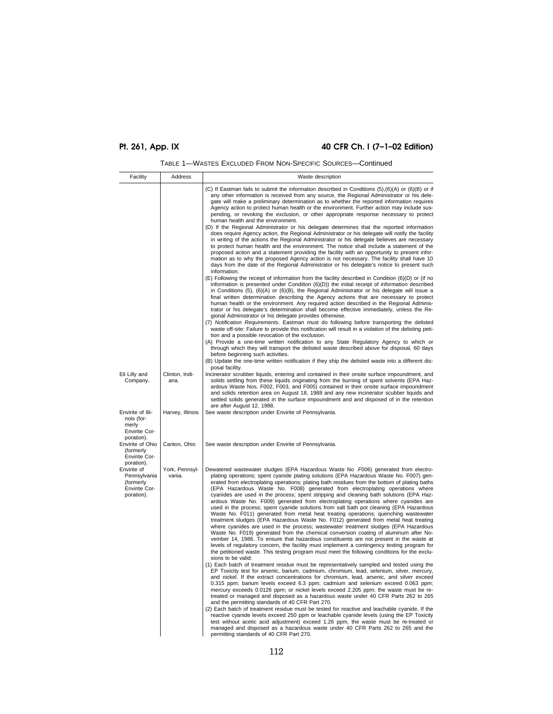|  | TABLE 1—WASTES EXCLUDED FROM NON-SPECIFIC SOURCES—Continued |  |  |  |  |  |
|--|-------------------------------------------------------------|--|--|--|--|--|
|--|-------------------------------------------------------------|--|--|--|--|--|

| Facility                                                                | Address                  | Waste description                                                                                                                                                                                                                                                                                                                                                                                                                                                                                                                                                                                                                                                                                                                                                                                                                                                                                                                                                                                                                                                                                                                                                                                                                                                                                                                                                                                                                                                                                                                                                                                                                                                                                                                                                                                                                                                                                                                                                                                                                                                                                                                                                                                                                                                                                                                                         |
|-------------------------------------------------------------------------|--------------------------|-----------------------------------------------------------------------------------------------------------------------------------------------------------------------------------------------------------------------------------------------------------------------------------------------------------------------------------------------------------------------------------------------------------------------------------------------------------------------------------------------------------------------------------------------------------------------------------------------------------------------------------------------------------------------------------------------------------------------------------------------------------------------------------------------------------------------------------------------------------------------------------------------------------------------------------------------------------------------------------------------------------------------------------------------------------------------------------------------------------------------------------------------------------------------------------------------------------------------------------------------------------------------------------------------------------------------------------------------------------------------------------------------------------------------------------------------------------------------------------------------------------------------------------------------------------------------------------------------------------------------------------------------------------------------------------------------------------------------------------------------------------------------------------------------------------------------------------------------------------------------------------------------------------------------------------------------------------------------------------------------------------------------------------------------------------------------------------------------------------------------------------------------------------------------------------------------------------------------------------------------------------------------------------------------------------------------------------------------------------|
|                                                                         |                          | (C) If Eastman fails to submit the information described in Conditions $(5),(6)(A)$ or $(6)(B)$ or if<br>any other information is received from any source, the Regional Administrator or his dele-<br>gate will make a preliminary determination as to whether the reported information requires<br>Agency action to protect human health or the environment. Further action may include sus-<br>pending, or revoking the exclusion, or other appropriate response necessary to protect<br>human health and the environment.                                                                                                                                                                                                                                                                                                                                                                                                                                                                                                                                                                                                                                                                                                                                                                                                                                                                                                                                                                                                                                                                                                                                                                                                                                                                                                                                                                                                                                                                                                                                                                                                                                                                                                                                                                                                                             |
|                                                                         |                          | (D) If the Regional Administrator or his delegate determines that the reported information<br>does require Agency action, the Regional Administrator or his delegate will notify the facility<br>in writing of the actions the Regional Administrator or his delegate believes are necessary<br>to protect human health and the environment. The notice shall include a statement of the<br>proposed action and a statement providing the facility with an opportunity to present infor-<br>mation as to why the proposed Agency action is not necessary. The facility shall have 10<br>days from the date of the Regional Administrator or his delegate's notice to present such<br>information.                                                                                                                                                                                                                                                                                                                                                                                                                                                                                                                                                                                                                                                                                                                                                                                                                                                                                                                                                                                                                                                                                                                                                                                                                                                                                                                                                                                                                                                                                                                                                                                                                                                         |
|                                                                         |                          | (E) Following the receipt of information from the facility described in Condition (6)(D) or (if no<br>information is presented under Condition $(6)(D)$ the initial receipt of information described<br>in Conditions $(5)$ , $(6)(A)$ or $(6)(B)$ , the Regional Administrator or his delegate will issue a<br>final written determination describing the Agency actions that are necessary to protect<br>human health or the environment. Any required action described in the Regional Adminis-<br>trator or his delegate's determination shall become effective immediately, unless the Re-<br>gional Administrator or his delegate provides otherwise.<br>(7) Notification Requirements. Eastman must do following before transporting the delisted                                                                                                                                                                                                                                                                                                                                                                                                                                                                                                                                                                                                                                                                                                                                                                                                                                                                                                                                                                                                                                                                                                                                                                                                                                                                                                                                                                                                                                                                                                                                                                                                  |
|                                                                         |                          | waste off-site: Failure to provide this notification will result in a violation of the delisting peti-<br>tion and a possible revocation of the exclusion.<br>(A) Provide a one-time written notification to any State Regulatory Agency to which or<br>through which they will transport the delisted waste described above for disposal, 60 days                                                                                                                                                                                                                                                                                                                                                                                                                                                                                                                                                                                                                                                                                                                                                                                                                                                                                                                                                                                                                                                                                                                                                                                                                                                                                                                                                                                                                                                                                                                                                                                                                                                                                                                                                                                                                                                                                                                                                                                                        |
|                                                                         |                          | before beginning such activities.<br>(B) Update the one-time written notification if they ship the delisted waste into a different dis-                                                                                                                                                                                                                                                                                                                                                                                                                                                                                                                                                                                                                                                                                                                                                                                                                                                                                                                                                                                                                                                                                                                                                                                                                                                                                                                                                                                                                                                                                                                                                                                                                                                                                                                                                                                                                                                                                                                                                                                                                                                                                                                                                                                                                   |
| Eli Lilly and<br>Company.                                               | Clinton, Indi-<br>ana.   | posal facility.<br>Incinerator scrubber liquids, entering and contained in their onsite surface impoundment, and<br>solids settling from these liquids originating from the burning of spent solvents (EPA Haz-<br>ardous Waste Nos. F002, F003, and F005) contained in their onsite surface impoundment<br>and solids retention area on August 18, 1988 and any new incinerator scubber liquids and<br>settled solids generated in the surface impoundment and and disposed of in the retention<br>are after August 12, 1988.                                                                                                                                                                                                                                                                                                                                                                                                                                                                                                                                                                                                                                                                                                                                                                                                                                                                                                                                                                                                                                                                                                                                                                                                                                                                                                                                                                                                                                                                                                                                                                                                                                                                                                                                                                                                                            |
| Envirite of Illi-<br>nois (for-<br>merly<br>Envirite Cor-<br>poration). | Harvey, Illinois         | See waste description under Envirite of Pennsylvania.                                                                                                                                                                                                                                                                                                                                                                                                                                                                                                                                                                                                                                                                                                                                                                                                                                                                                                                                                                                                                                                                                                                                                                                                                                                                                                                                                                                                                                                                                                                                                                                                                                                                                                                                                                                                                                                                                                                                                                                                                                                                                                                                                                                                                                                                                                     |
| Envirite of Ohio<br>(formerly<br><b>Envirite Cor-</b><br>poration).     | Canton, Ohio             | See waste description under Envirite of Pennsylvania.                                                                                                                                                                                                                                                                                                                                                                                                                                                                                                                                                                                                                                                                                                                                                                                                                                                                                                                                                                                                                                                                                                                                                                                                                                                                                                                                                                                                                                                                                                                                                                                                                                                                                                                                                                                                                                                                                                                                                                                                                                                                                                                                                                                                                                                                                                     |
| Envirite of<br>Pennsylvania<br>(formerly<br>Envirite Cor-<br>poration). | York, Pennsyl-<br>vania. | Dewatered wastewater sludges (EPA Hazardous Waste No .F006) generated from electro-<br>plating operations; spent cyanide plating solutions (EPA Hazardous Waste No. F007) gen-<br>erated from electroplating operations; plating bath residues from the bottom of plating baths<br>(EPA Hazardous Waste No. F008) generated from electroplating operations where<br>cyanides are used in the process; spent stripping and cleaning bath solutions (EPA Haz-<br>ardous Waste No. F009) generated from electroplating operations where cyanides are<br>used in the process; spent cyanide solutions from salt bath pot cleaning (EPA Hazardous<br>Waste No. F011) generated from metal heat treating operations; quenching wastewater<br>treatment sludges (EPA Hazardous Waste No. F012) generated from metal heat treating<br>where cyanides are used in the process; wastewater treatment sludges (EPA Hazardous<br>Waste No. F019) generated from the chemical conversion coating of aluminum after No-<br>vember 14, 1986. To ensure that hazardous constituents are not present in the waste at<br>levels of regulatory concern, the facility must implement a contingency testing program for<br>the petitioned waste. This testing program must meet the following conditions for the exclu-<br>sions to be valid:<br>(1) Each batch of treatment residue must be representatively sampled and tested using the<br>EP Toxicity test for arsenic, barium, cadmium, chromium, lead, selenium, silver, mercury,<br>and nickel. If the extract concentrations for chromium, lead, arsenic, and silver exceed<br>0.315 ppm; barium levels exceed 6.3 ppm; cadmium and selenium exceed 0.063 ppm;<br>mercury exceeds 0.0126 ppm; or nickel levels exceed 2.205 ppm; the waste must be re-<br>treated or managed and disposed as a hazardous waste under 40 CFR Parts 262 to 265<br>and the permitting standards of 40 CFR Part 270.<br>(2) Each batch of treatment residue must be tested for reactive and leachable cyanide. If the<br>reactive cyanide levels exceed 250 ppm or leachable cyanide levels (using the EP Toxicity<br>test without acetic acid adjustment) exceed 1.26 ppm, the waste must be re-treated or<br>managed and disposed as a hazardous waste under 40 CFR Parts 262 to 265 and the<br>permitting standards of 40 CFR Part 270. |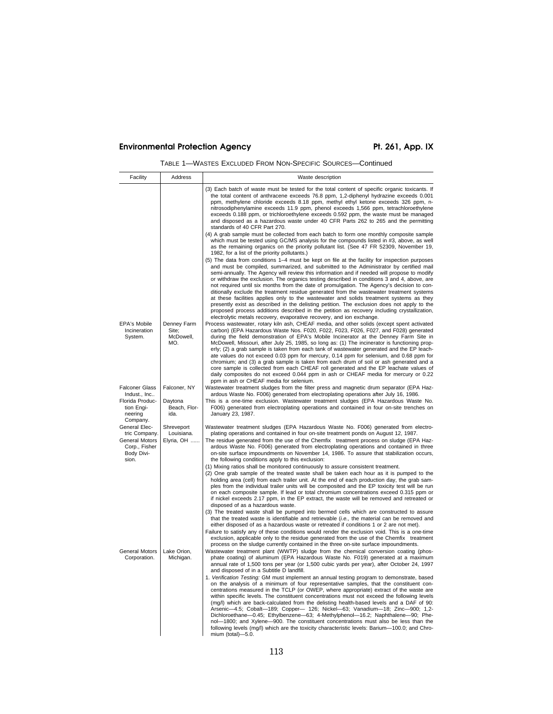| Facility                                               | Address                                  | Waste description                                                                                                                                                                                                                                                                                                                                                                                                                                                                                                                                                                                                                                                                                                                                                                                                                                                                                                                                 |
|--------------------------------------------------------|------------------------------------------|---------------------------------------------------------------------------------------------------------------------------------------------------------------------------------------------------------------------------------------------------------------------------------------------------------------------------------------------------------------------------------------------------------------------------------------------------------------------------------------------------------------------------------------------------------------------------------------------------------------------------------------------------------------------------------------------------------------------------------------------------------------------------------------------------------------------------------------------------------------------------------------------------------------------------------------------------|
|                                                        |                                          | (3) Each batch of waste must be tested for the total content of specific organic toxicants. If<br>the total content of anthracene exceeds 76.8 ppm, 1,2-diphenyl hydrazine exceeds 0.001<br>ppm, methylene chloride exceeds 8.18 ppm, methyl ethyl ketone exceeds 326 ppm, n-<br>nitrosodiphenylamine exceeds 11.9 ppm, phenol exceeds 1,566 ppm, tetrachloroethylene<br>exceeds 0.188 ppm, or trichloroethylene exceeds 0.592 ppm, the waste must be managed<br>and disposed as a hazardous waste under 40 CFR Parts 262 to 265 and the permitting<br>standards of 40 CFR Part 270.                                                                                                                                                                                                                                                                                                                                                              |
|                                                        |                                          | (4) A grab sample must be collected from each batch to form one monthly composite sample<br>which must be tested using GC/MS analysis for the compounds listed in #3, above, as well<br>as the remaining organics on the priority pollutant list. (See 47 FR 52309, November 19,<br>1982, for a list of the priority pollutants.)                                                                                                                                                                                                                                                                                                                                                                                                                                                                                                                                                                                                                 |
|                                                        |                                          | (5) The data from conditions 1–4 must be kept on file at the facility for inspection purposes<br>and must be compiled, summarized, and submitted to the Administrator by certified mail<br>semi-annually. The Agency will review this information and if needed will propose to modify<br>or withdraw the exclusion. The organics testing described in conditions 3 and 4, above, are<br>not required until six months from the date of promulgation. The Agency's decision to con-<br>ditionally exclude the treatment residue generated from the wastewater treatment systems<br>at these facilities applies only to the wastewater and solids treatment systems as they<br>presently exist as described in the delisting petition. The exclusion does not apply to the<br>proposed process additions described in the petition as recovery including crystallization,<br>electrolytic metals recovery, evaporative recovery, and ion exchange. |
| EPA's Mobile<br>Incineration<br>System.                | Denney Farm<br>Site:<br>McDowell,<br>MO. | Process wastewater, rotary kiln ash, CHEAF media, and other solids (except spent activated<br>carbon) (EPA Hazardous Waste Nos. F020, F022, F023, F026, F027, and F028) generated<br>during the field demonstration of EPA's Mobile Incinerator at the Denney Farm Site in<br>McDowell, Missouri, after July 25, 1985, so long as: (1) The incinerator is functioning prop-<br>erly; (2) a grab sample is taken from each tank of wastewater generated and the EP leach-<br>ate values do not exceed 0.03 ppm for mercury, 0.14 ppm for selenium, and 0.68 ppm for<br>chromium; and (3) a grab sample is taken from each drum of soil or ash generated and a<br>core sample is collected from each CHEAF roll generated and the EP leachate values of<br>daily composites do not exceed 0.044 ppm in ash or CHEAF media for mercury or 0.22<br>ppm in ash or CHEAF media for selenium.                                                            |
| <b>Falconer Glass</b><br>Indust., Inc                  | Falconer, NY                             | Wastewater treatment sludges from the filter press and magnetic drum separator (EPA Haz-<br>ardous Waste No. F006) generated from electroplating operations after July 16, 1986.                                                                                                                                                                                                                                                                                                                                                                                                                                                                                                                                                                                                                                                                                                                                                                  |
| Florida Produc-<br>tion Engi-<br>neering<br>Company.   | Daytona<br>Beach, Flor-<br>ida.          | This is a one-time exclusion. Wastewater treatment sludges (EPA Hazardous Waste No.<br>F006) generated from electroplating operations and contained in four on-site trenches on<br>January 23, 1987.                                                                                                                                                                                                                                                                                                                                                                                                                                                                                                                                                                                                                                                                                                                                              |
| General Elec-<br>tric Company.                         | Shreveport<br>Louisiana.                 | Wastewater treatment sludges (EPA Hazardous Waste No. F006) generated from electro-<br>plating operations and contained in four on-site treatment ponds on August 12, 1987.                                                                                                                                                                                                                                                                                                                                                                                                                                                                                                                                                                                                                                                                                                                                                                       |
| General Motors<br>Corp., Fisher<br>Body Divi-<br>sion. | Elyria, OH                               | The residue generated from the use of the Chemfix® treatment process on sludge (EPA Haz-<br>ardous Waste No. F006) generated from electroplating operations and contained in three<br>on-site surface impoundments on November 14, 1986. To assure that stabilization occurs,<br>the following conditions apply to this exclusion:                                                                                                                                                                                                                                                                                                                                                                                                                                                                                                                                                                                                                |
|                                                        |                                          | (1) Mixing ratios shall be monitored continuously to assure consistent treatment.<br>(2) One grab sample of the treated waste shall be taken each hour as it is pumped to the<br>holding area (cell) from each trailer unit. At the end of each production day, the grab sam-<br>ples from the individual trailer units will be composited and the EP toxicity test will be run<br>on each composite sample. If lead or total chromium concentrations exceed 0.315 ppm or<br>if nickel exceeds 2.17 ppm, in the EP extract, the waste will be removed and retreated or<br>disposed of as a hazardous waste.<br>(3) The treated waste shall be pumped into bermed cells which are constructed to assure<br>that the treated waste is identifiable and retrievable (i.e., the material can be removed and                                                                                                                                           |
| General Motors<br>Corporation.                         | Lake Orion,<br>Michigan.                 | either disposed of as a hazardous waste or retreated if conditions 1 or 2 are not met).<br>Failure to satisfy any of these conditions would render the exclusion void. This is a one-time<br>exclusion, applicable only to the residue generated from the use of the Chemfix <sup>®</sup> treatment<br>process on the sludge currently contained in the three on-site surface impoundments.<br>Wastewater treatment plant (WWTP) sludge from the chemical conversion coating (phos-<br>phate coating) of aluminum (EPA Hazardous Waste No. F019) generated at a maximum<br>annual rate of 1,500 tons per year (or 1,500 cubic yards per year), after October 24, 1997<br>and disposed of in a Subtitle D landfill.                                                                                                                                                                                                                                |
|                                                        |                                          | 1. Verification Testing: GM must implement an annual testing program to demonstrate, based<br>on the analysis of a minimum of four representative samples, that the constituent con-<br>centrations measured in the TCLP (or OWEP, where appropriate) extract of the waste are<br>within specific levels. The constituent concentrations must not exceed the following levels<br>(mg/l) which are back-calculated from the delisting health-based levels and a DAF of 90:<br>Arsenic-4.5; Cobalt-189; Copper- 126; Nickel-63; Vanadium-18; Zinc-900; 1,2-<br>Dichloroethane-0.45; Ethylbenzene-63; 4-Methylphenol-16.2; Naphthalene-90; Phe-<br>nol-1800; and Xylene-900. The constituent concentrations must also be less than the<br>following levels (mg/l) which are the toxicity characteristic levels: Barium-100.0; and Chro-<br>mium (total)-5.0.                                                                                         |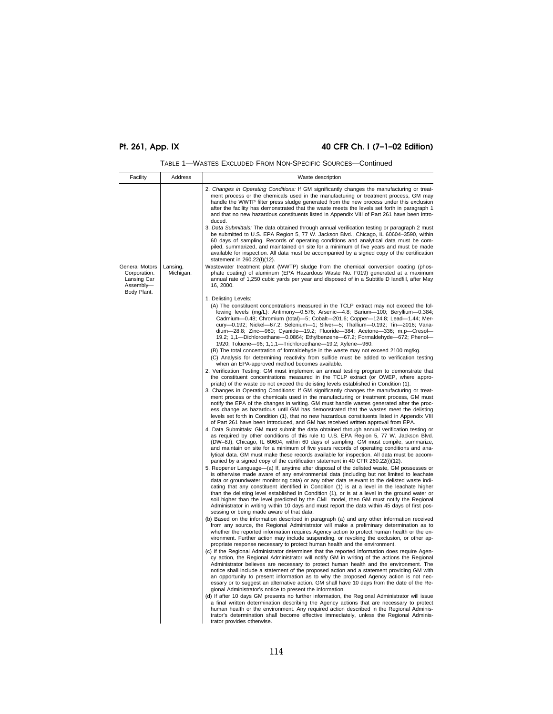|  | TABLE 1—WASTES EXCLUDED FROM NON-SPECIFIC SOURCES—Continued |  |  |  |  |  |
|--|-------------------------------------------------------------|--|--|--|--|--|
|--|-------------------------------------------------------------|--|--|--|--|--|

| Waste description                                                                                                                                                                                                                                                                                                                                                                                                                                                                                                                                                                                                                                                                                                                                                                                                                                                                                                                                                                                                                                                                                                                                                                                                                                                                                                                                                                                                                                                                                                                                                                                                                                                                                                                                                                                                                                                                                                                                                                                                                                                                                                                                                                                                                                                                                                                                                                                                                                                                                                                                                                                                                                                                                                                                                                                                                                                                                                                                                                                                                                                                                                                                                                                                                                                                                                                                                                                                                                                                                                                                                                                                                                                                                                                                                                                                                                                                                                                                                                                                                                                                                                                                                                                                                                                                                                                                                                                                                                                                       |
|-----------------------------------------------------------------------------------------------------------------------------------------------------------------------------------------------------------------------------------------------------------------------------------------------------------------------------------------------------------------------------------------------------------------------------------------------------------------------------------------------------------------------------------------------------------------------------------------------------------------------------------------------------------------------------------------------------------------------------------------------------------------------------------------------------------------------------------------------------------------------------------------------------------------------------------------------------------------------------------------------------------------------------------------------------------------------------------------------------------------------------------------------------------------------------------------------------------------------------------------------------------------------------------------------------------------------------------------------------------------------------------------------------------------------------------------------------------------------------------------------------------------------------------------------------------------------------------------------------------------------------------------------------------------------------------------------------------------------------------------------------------------------------------------------------------------------------------------------------------------------------------------------------------------------------------------------------------------------------------------------------------------------------------------------------------------------------------------------------------------------------------------------------------------------------------------------------------------------------------------------------------------------------------------------------------------------------------------------------------------------------------------------------------------------------------------------------------------------------------------------------------------------------------------------------------------------------------------------------------------------------------------------------------------------------------------------------------------------------------------------------------------------------------------------------------------------------------------------------------------------------------------------------------------------------------------------------------------------------------------------------------------------------------------------------------------------------------------------------------------------------------------------------------------------------------------------------------------------------------------------------------------------------------------------------------------------------------------------------------------------------------------------------------------------------------------------------------------------------------------------------------------------------------------------------------------------------------------------------------------------------------------------------------------------------------------------------------------------------------------------------------------------------------------------------------------------------------------------------------------------------------------------------------------------------------------------------------------------------------------------------------------------------------------------------------------------------------------------------------------------------------------------------------------------------------------------------------------------------------------------------------------------------------------------------------------------------------------------------------------------------------------------------------------------------------------------------------------------------------------|
| 2. Changes in Operating Conditions: If GM significantly changes the manufacturing or treat-<br>ment process or the chemicals used in the manufacturing or treatment process, GM may<br>handle the WWTP filter press sludge generated from the new process under this exclusion<br>after the facility has demonstrated that the waste meets the levels set forth in paragraph 1<br>and that no new hazardous constituents listed in Appendix VIII of Part 261 have been intro-<br>duced.<br>3. Data Submittals: The data obtained through annual verification testing or paragraph 2 must<br>be submitted to U.S. EPA Region 5, 77 W. Jackson Blvd., Chicago, IL 60604-3590, within<br>60 days of sampling. Records of operating conditions and analytical data must be com-<br>piled, summarized, and maintained on site for a minimum of five years and must be made<br>available for inspection. All data must be accompanied by a signed copy of the certification<br>statement in 260.22(l)(12).<br>Wastewater treatment plant (WWTP) sludge from the chemical conversion coating (phos-                                                                                                                                                                                                                                                                                                                                                                                                                                                                                                                                                                                                                                                                                                                                                                                                                                                                                                                                                                                                                                                                                                                                                                                                                                                                                                                                                                                                                                                                                                                                                                                                                                                                                                                                                                                                                                                                                                                                                                                                                                                                                                                                                                                                                                                                                                                                                                                                                                                                                                                                                                                                                                                                                                                                                                                                                                                                                                                                                                                                                                                                                                                                                                                                                                                                                                                                                                                            |
| phate coating) of aluminum (EPA Hazardous Waste No. F019) generated at a maximum<br>annual rate of 1,250 cubic yards per year and disposed of in a Subtitle D landfill, after May<br>16, 2000.                                                                                                                                                                                                                                                                                                                                                                                                                                                                                                                                                                                                                                                                                                                                                                                                                                                                                                                                                                                                                                                                                                                                                                                                                                                                                                                                                                                                                                                                                                                                                                                                                                                                                                                                                                                                                                                                                                                                                                                                                                                                                                                                                                                                                                                                                                                                                                                                                                                                                                                                                                                                                                                                                                                                                                                                                                                                                                                                                                                                                                                                                                                                                                                                                                                                                                                                                                                                                                                                                                                                                                                                                                                                                                                                                                                                                                                                                                                                                                                                                                                                                                                                                                                                                                                                                          |
| 1. Delisting Levels:<br>(A) The constituent concentrations measured in the TCLP extract may not exceed the fol-<br>lowing levels (mg/L): Antimony-0.576; Arsenic-4.8; Barium-100; Beryllium-0.384;<br>Cadmium-0.48; Chromium (total)-5; Cobalt-201.6; Copper-124.8; Lead-1.44; Mer-<br>cury-0.192; Nickel-67.2; Selenium-1; Silver-5; Thallium-0.192; Tin-2016; Vana-<br>dium-28.8; Zinc-960; Cyanide-19.2; Fluoride-384; Acetone-336; m,p-Cresol-<br>19.2; 1,1—Dichloroethane—0.0864; Ethylbenzene—67.2; Formaldehyde—672; Phenol—<br>1920; Toluene—96; 1,1,1—Trichloroethane—19.2; Xylene—960.<br>(B) The total concentration of formaldehyde in the waste may not exceed 2100 mg/kg.<br>(C) Analysis for determining reactivity from sulfide must be added to verification testing<br>when an EPA-approved method becomes available.<br>2. Verification Testing: GM must implement an annual testing program to demonstrate that<br>the constituent concentrations measured in the TCLP extract (or OWEP, where appro-<br>priate) of the waste do not exceed the delisting levels established in Condition (1).<br>3. Changes in Operating Conditions: If GM significantly changes the manufacturing or treat-<br>ment process or the chemicals used in the manufacturing or treatment process, GM must<br>notify the EPA of the changes in writing. GM must handle wastes generated after the proc-<br>ess change as hazardous until GM has demonstrated that the wastes meet the delisting<br>levels set forth in Condition (1), that no new hazardous constituents listed in Appendix VIII<br>of Part 261 have been introduced, and GM has received written approval from EPA.<br>4. Data Submittals: GM must submit the data obtained through annual verification testing or<br>as required by other conditions of this rule to U.S. EPA Region 5, 77 W. Jackson Blvd.<br>(DW-8J), Chicago, IL 60604, within 60 days of sampling. GM must compile, summarize,<br>and maintain on site for a minimum of five years records of operating conditions and ana-<br>lytical data. GM must make these records available for inspection. All data must be accom-<br>panied by a signed copy of the certification statement in 40 CFR 260.22(i)(12).<br>5. Reopener Language—(a) If, anytime after disposal of the delisted waste, GM possesses or<br>is otherwise made aware of any environmental data (including but not limited to leachate<br>data or groundwater monitoring data) or any other data relevant to the delisted waste indi-<br>cating that any constituent identified in Condition (1) is at a level in the leachate higher<br>than the delisting level established in Condition (1), or is at a level in the ground water or<br>soil higher than the level predicted by the CML model, then GM must notify the Regional<br>Administrator in writing within 10 days and must report the data within 45 days of first pos-<br>sessing or being made aware of that data.<br>(b) Based on the information described in paragraph (a) and any other information received<br>from any source, the Regional Administrator will make a preliminary determination as to<br>whether the reported information requires Agency action to protect human health or the en-<br>vironment. Further action may include suspending, or revoking the exclusion, or other ap-<br>propriate response necessary to protect human health and the environment.<br>(c) If the Regional Administrator determines that the reported information does require Agen-<br>cy action, the Regional Administrator will notify GM in writing of the actions the Regional<br>Administrator believes are necessary to protect human health and the environment. The<br>notice shall include a statement of the proposed action and a statement providing GM with<br>an opportunity to present information as to why the proposed Agency action is not nec-<br>essary or to suggest an alternative action. GM shall have 10 days from the date of the Re-<br>gional Administrator's notice to present the information.<br>(d) If after 10 days GM presents no further information, the Regional Administrator will issue<br>a final written determination describing the Agency actions that are necessary to protect<br>human health or the environment. Any required action described in the Regional Adminis-<br>trator's determination shall become effective immediately, unless the Regional Adminis- |
|                                                                                                                                                                                                                                                                                                                                                                                                                                                                                                                                                                                                                                                                                                                                                                                                                                                                                                                                                                                                                                                                                                                                                                                                                                                                                                                                                                                                                                                                                                                                                                                                                                                                                                                                                                                                                                                                                                                                                                                                                                                                                                                                                                                                                                                                                                                                                                                                                                                                                                                                                                                                                                                                                                                                                                                                                                                                                                                                                                                                                                                                                                                                                                                                                                                                                                                                                                                                                                                                                                                                                                                                                                                                                                                                                                                                                                                                                                                                                                                                                                                                                                                                                                                                                                                                                                                                                                                                                                                                                         |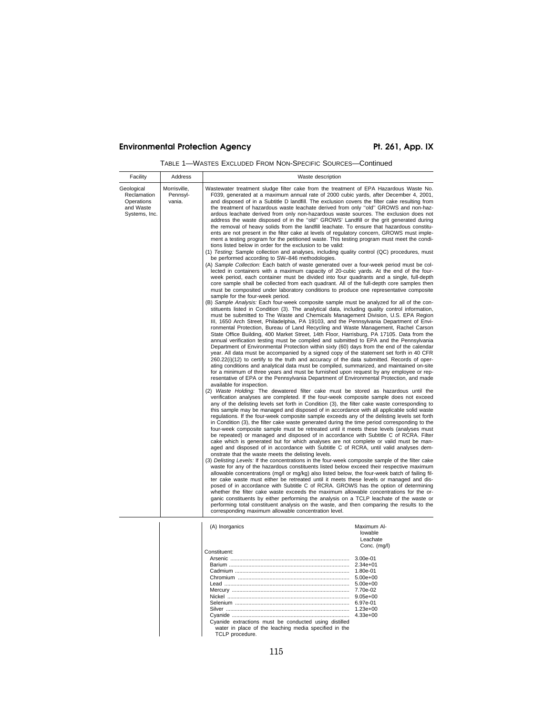| Facility                                                              | Address                            |                                                                                                                                                                                                                                                                                                                 | Waste description                                                                                                                                                                                                                                                                                                                                                                                                                                                                                                                                                                                                                                                                                                                                                                                                                                                                                                                                                                                                                                                                                                                                                                                                                                                                                                                                                                                                                                                                                                                                                                                                                                                                                                                                                                                                                                                                                                                                                                                                                                                                                                                                                                                                                                                                                                                                                                                                                                                                                                                                                                                                                                                                                                                                                                                                                                                                                                                                                                                                                                                                                                                                                                                                                                                                                                                                                                                                                                                                                                                                                                                                                                                                                                                                                                                                                                                                                                                                                                                                                                                                                                                                                                                                                                                                                                                                                                                                   |
|-----------------------------------------------------------------------|------------------------------------|-----------------------------------------------------------------------------------------------------------------------------------------------------------------------------------------------------------------------------------------------------------------------------------------------------------------|---------------------------------------------------------------------------------------------------------------------------------------------------------------------------------------------------------------------------------------------------------------------------------------------------------------------------------------------------------------------------------------------------------------------------------------------------------------------------------------------------------------------------------------------------------------------------------------------------------------------------------------------------------------------------------------------------------------------------------------------------------------------------------------------------------------------------------------------------------------------------------------------------------------------------------------------------------------------------------------------------------------------------------------------------------------------------------------------------------------------------------------------------------------------------------------------------------------------------------------------------------------------------------------------------------------------------------------------------------------------------------------------------------------------------------------------------------------------------------------------------------------------------------------------------------------------------------------------------------------------------------------------------------------------------------------------------------------------------------------------------------------------------------------------------------------------------------------------------------------------------------------------------------------------------------------------------------------------------------------------------------------------------------------------------------------------------------------------------------------------------------------------------------------------------------------------------------------------------------------------------------------------------------------------------------------------------------------------------------------------------------------------------------------------------------------------------------------------------------------------------------------------------------------------------------------------------------------------------------------------------------------------------------------------------------------------------------------------------------------------------------------------------------------------------------------------------------------------------------------------------------------------------------------------------------------------------------------------------------------------------------------------------------------------------------------------------------------------------------------------------------------------------------------------------------------------------------------------------------------------------------------------------------------------------------------------------------------------------------------------------------------------------------------------------------------------------------------------------------------------------------------------------------------------------------------------------------------------------------------------------------------------------------------------------------------------------------------------------------------------------------------------------------------------------------------------------------------------------------------------------------------------------------------------------------------------------------------------------------------------------------------------------------------------------------------------------------------------------------------------------------------------------------------------------------------------------------------------------------------------------------------------------------------------------------------------------------------------------------------------------------------------------------------------|
| Geological<br>Reclamation<br>Operations<br>and Waste<br>Systems, Inc. | Morrisville,<br>Pennsyl-<br>vania. | tions listed below in order for the exclusion to be valid:<br>be performed according to SW-846 methodologies.<br>sample for the four-week period.<br>available for inspection.<br>onstrate that the waste meets the delisting levels.<br>corresponding maximum allowable concentration level.<br>(A) Inorganics | Wastewater treatment sludge filter cake from the treatment of EPA Hazardous Waste No.<br>F039, generated at a maximum annual rate of 2000 cubic yards, after December 4, 2001,<br>and disposed of in a Subtitle D landfill. The exclusion covers the filter cake resulting from<br>the treatment of hazardous waste leachate derived from only "old" GROWS and non-haz-<br>ardous leachate derived from only non-hazardous waste sources. The exclusion does not<br>address the waste disposed of in the "old" GROWS' Landfill or the grit generated during<br>the removal of heavy solids from the landfill leachate. To ensure that hazardous constitu-<br>ents are not present in the filter cake at levels of regulatory concern, GROWS must imple-<br>ment a testing program for the petitioned waste. This testing program must meet the condi-<br>(1) Testing: Sample collection and analyses, including quality control (QC) procedures, must<br>(A) Sample Collection: Each batch of waste generated over a four-week period must be col-<br>lected in containers with a maximum capacity of 20-cubic yards. At the end of the four-<br>week period, each container must be divided into four quadrants and a single, full-depth<br>core sample shall be collected from each quadrant. All of the full-depth core samples then<br>must be composited under laboratory conditions to produce one representative composite<br>(B) Sample Analysis: Each four-week composite sample must be analyzed for all of the con-<br>stituents listed in Condition (3). The analytical data, including quality control information,<br>must be submitted to The Waste and Chemicals Management Division, U.S. EPA Region<br>III, 1650 Arch Street, Philadelphia, PA 19103, and the Pennsylvania Department of Envi-<br>ronmental Protection, Bureau of Land Recycling and Waste Management, Rachel Carson<br>State Office Building, 400 Market Street, 14th Floor, Harrisburg, PA 17105. Data from the<br>annual verification testing must be compiled and submitted to EPA and the Pennsylvania<br>Department of Environmental Protection within sixty (60) days from the end of the calendar<br>year. All data must be accompanied by a signed copy of the statement set forth in 40 CFR<br>260.22(i)(12) to certify to the truth and accuracy of the data submitted. Records of oper-<br>ating conditions and analytical data must be compiled, summarized, and maintained on-site<br>for a minimum of three years and must be furnished upon request by any employee or rep-<br>resentative of EPA or the Pennsylvania Department of Environmental Protection, and made<br>(2) Waste Holding: The dewatered filter cake must be stored as hazardous until the<br>verification analyses are completed. If the four-week composite sample does not exceed<br>any of the delisting levels set forth in Condition (3), the filter cake waste corresponding to<br>this sample may be managed and disposed of in accordance with all applicable solid waste<br>regulations. If the four-week composite sample exceeds any of the delisting levels set forth<br>in Condition (3), the filter cake waste generated during the time period corresponding to the<br>four-week composite sample must be retreated until it meets these levels (analyses must<br>be repeated) or managed and disposed of in accordance with Subtitle C of RCRA. Filter<br>cake which is generated but for which analyses are not complete or valid must be man-<br>aged and disposed of in accordance with Subtitle C of RCRA, until valid analyses dem-<br>(3) Delisting Levels: If the concentrations in the four-week composite sample of the filter cake<br>waste for any of the hazardous constituents listed below exceed their respective maximum<br>allowable concentrations (mg/l or mg/kg) also listed below, the four-week batch of failing fil-<br>ter cake waste must either be retreated until it meets these levels or managed and dis-<br>posed of in accordance with Subtitle C of RCRA. GROWS has the option of determining<br>whether the filter cake waste exceeds the maximum allowable concentrations for the or-<br>ganic constituents by either performing the analysis on a TCLP leachate of the waste or<br>performing total constituent analysis on the waste, and then comparing the results to the<br>Maximum Al- |
|                                                                       |                                    |                                                                                                                                                                                                                                                                                                                 | lowable                                                                                                                                                                                                                                                                                                                                                                                                                                                                                                                                                                                                                                                                                                                                                                                                                                                                                                                                                                                                                                                                                                                                                                                                                                                                                                                                                                                                                                                                                                                                                                                                                                                                                                                                                                                                                                                                                                                                                                                                                                                                                                                                                                                                                                                                                                                                                                                                                                                                                                                                                                                                                                                                                                                                                                                                                                                                                                                                                                                                                                                                                                                                                                                                                                                                                                                                                                                                                                                                                                                                                                                                                                                                                                                                                                                                                                                                                                                                                                                                                                                                                                                                                                                                                                                                                                                                                                                                             |

| (A) Inorganics                                                                                                                    | Maximum Al-<br>lowable<br>Leachate |
|-----------------------------------------------------------------------------------------------------------------------------------|------------------------------------|
|                                                                                                                                   | Conc. (mg/l)                       |
| Constituent:                                                                                                                      |                                    |
|                                                                                                                                   | $3.00e-01$                         |
|                                                                                                                                   | $2.34e+01$                         |
|                                                                                                                                   | 1.80e-01                           |
|                                                                                                                                   | $5.00e + 00$                       |
|                                                                                                                                   | $5.00e + 00$                       |
|                                                                                                                                   | 7.70e-02                           |
|                                                                                                                                   | $9.05e + 00$                       |
|                                                                                                                                   | 6.97e-01                           |
|                                                                                                                                   | $1.23e+00$                         |
|                                                                                                                                   | $4.33e+00$                         |
| Cyanide extractions must be conducted using distilled<br>water in place of the leaching media specified in the<br>TCLP procedure. |                                    |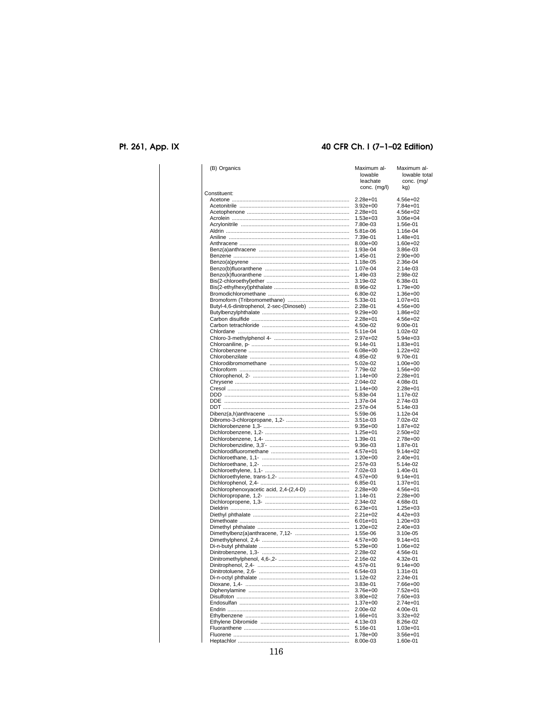| (B) Organics                             | Maximum al-<br>lowable<br>leachate<br>conc. (mg/l) | Maximum al-<br>lowable total<br>conc. (mg/<br>kg) |
|------------------------------------------|----------------------------------------------------|---------------------------------------------------|
| Constituent:                             |                                                    |                                                   |
|                                          | $2.28e+01$<br>$3.92e+00$<br>2.28e+01               | 4.56e+02<br>7.84e+01<br>4.56e+02                  |
|                                          | $1.53e+03$                                         | $3.06e + 04$                                      |
|                                          | 7.80e-03                                           | 1.56e-01                                          |
|                                          | 5.81e-06                                           | 1.16e-04                                          |
|                                          | 7.39e-01                                           | 1.48e+01                                          |
|                                          | 8.00e+00<br>1.93e-04                               | $1.60e + 02$<br>3.86e-03                          |
|                                          | 1.45e-01                                           | $2.90e + 00$                                      |
|                                          | 1.18e-05                                           | 2.36e-04                                          |
|                                          | 1.07e-04                                           | 2.14e-03                                          |
|                                          | 1.49e-03                                           | 2.98e-02                                          |
|                                          | 3.19e-02                                           | 6.38e-01                                          |
|                                          | 8.96e-02                                           | 1.79e+00                                          |
|                                          | 6.80e-02                                           | 1.36e+00                                          |
|                                          | 5.33e-01                                           | $1.07e + 01$<br>4.56e+00                          |
| Butyl-4,6-dinitrophenol, 2-sec-(Dinoseb) | 2.28e-01<br>$9.29e + 00$                           | 1.86e+02                                          |
|                                          | $2.28e+01$                                         | 4.56e+02                                          |
|                                          | 4.50e-02                                           | 9.00e-01                                          |
|                                          | 5.11e-04                                           | 1.02e-02                                          |
|                                          | $2.97e+02$                                         | 5.94e+03                                          |
|                                          | 9.14e-01                                           | 1.83e+01                                          |
|                                          | $6.08e + 00$                                       | $1.22e + 02$                                      |
|                                          | 4.85e-02                                           | 9.70e-01                                          |
|                                          | 5.02e-02                                           | $1.00e + 00$                                      |
|                                          | 7.79e-02<br>$1.14e + 00$                           | $1.56e + 00$<br>2.28e+01                          |
|                                          | 2.04e-02                                           | 4.08e-01                                          |
|                                          | $1.14e + 00$                                       | $2.28e + 01$                                      |
|                                          | 5.83e-04                                           | 1.17e-02                                          |
|                                          | 1.37e-04                                           | 2.74e-03                                          |
|                                          | 2.57e-04                                           | 5.14e-03                                          |
|                                          | 5.59e-06                                           | 1.12e-04                                          |
|                                          | 3.51e-03                                           | 7.02e-02                                          |
|                                          | $9.35e+00$                                         | 1.87e+02                                          |
|                                          | $1.25e + 01$                                       | $2.50e + 02$                                      |
|                                          | 1.39e-01<br>9.36e-03                               | 2.78e+00<br>1.87e-01                              |
|                                          | 4.57e+01                                           | $9.14e + 02$                                      |
|                                          | 1.20e+00                                           | 2.40e+01                                          |
|                                          | 2.57e-03                                           | 5.14e-02                                          |
|                                          | 7.02e-03                                           | 1.40e-01                                          |
|                                          | 4.57e+00                                           | 9.14e+01                                          |
|                                          | 6.85e-01                                           | $1.37e + 01$                                      |
| Dichlorophenoxyacetic acid, 2,4-(2,4-D)  | 2.28e+00                                           | 4.56e+01                                          |
|                                          | 1.14e-01<br>2.34e-02                               | $2.28e+00$                                        |
|                                          | $6.23e+01$                                         | 4.68e-01<br>$1.25e+03$                            |
|                                          | $2.21e+02$                                         | 4.42e+03                                          |
|                                          | $6.01e + 01$                                       | $1.20e + 03$                                      |
|                                          | 1.20e+02                                           | $2.40e + 03$                                      |
|                                          | 1.55e-06                                           | 3.10e-05                                          |
|                                          | 4.57e+00                                           | $9.14e + 01$                                      |
|                                          | $5.29e+00$                                         | $1.06e + 02$                                      |
|                                          | 2.28e-02                                           | 4.56e-01                                          |
|                                          | 2.16e-02                                           | 4.32e-01                                          |
|                                          | 4.57e-01<br>6.54e-03                               | $9.14e + 00$<br>1.31e-01                          |
|                                          | 1.12e-02                                           | 2.24e-01                                          |
|                                          | 3.83e-01                                           | 7.66e+00                                          |
|                                          | 3.76e+00                                           | 7.52e+01                                          |
|                                          | $3.80e + 02$                                       | 7.60e+03                                          |
|                                          | 1.37e+00                                           | 2.74e+01                                          |
|                                          | 2.00e-02                                           | 4.00e-01                                          |
|                                          | $1.66e + 01$                                       | $3.32e + 02$                                      |
|                                          | 4.13e-03                                           | 8.26e-02                                          |
|                                          | 5.16e-01<br>1.78e+00                               | $1.03e + 01$<br>3.56e+01                          |
|                                          | 8.00e-03                                           | 1.60e-01                                          |
|                                          |                                                    |                                                   |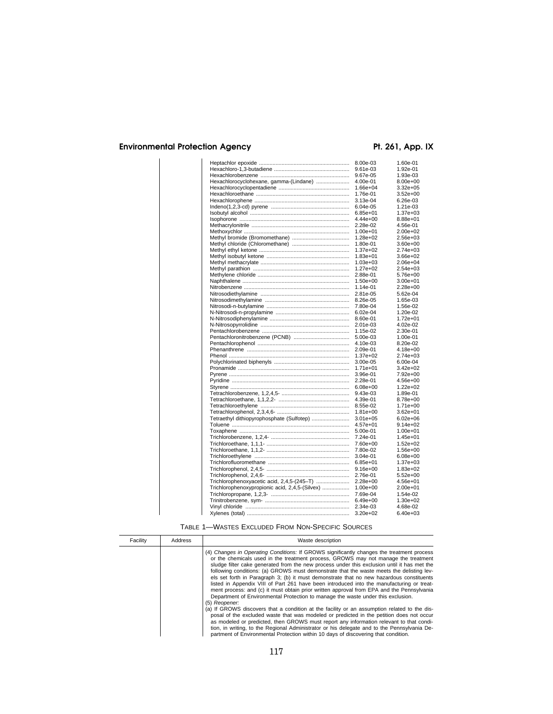|                                                | 8.00e-03     | 1.60e-01     |
|------------------------------------------------|--------------|--------------|
|                                                | 9.61e-03     | 1.92e-01     |
|                                                | 9.67e-05     | 1.93e-03     |
| Hexachlorocyclohexane, gamma-(Lindane)         | 4.00e-01     | $8.00e + 00$ |
|                                                | 1.66e+04     | $3.32e+05$   |
|                                                | 1.76e-01     | $3.52e+00$   |
|                                                | 3.13e-04     | 6.26e-03     |
|                                                | 6.04e-05     | 1.21e-03     |
|                                                | $6.85e+01$   | $1.37e + 03$ |
|                                                | 4.44e+00     | 8.88e+01     |
|                                                | 2.28e-02     | 4.56e-01     |
|                                                | $1.00e + 01$ | $2.00e + 02$ |
|                                                | $1.28e+02$   | $2.56e + 03$ |
|                                                | 1.80e-01     | $3.60e + 00$ |
|                                                | 1.37e+02     | $2.74e+03$   |
|                                                | $1.83e+01$   | 3.66e+02     |
|                                                | $1.03e + 03$ | $2.06e + 04$ |
|                                                | $1.27e + 02$ | $2.54e+03$   |
|                                                | 2.88e-01     | 5.76e+00     |
|                                                | $1.50e + 00$ | $3.00e + 01$ |
|                                                | 1.14e-01     | $2.28e+00$   |
|                                                | 2.81e-05     | 5.62e-04     |
|                                                | 8.26e-05     | 1.65e-03     |
|                                                | 7.80e-04     | 1.56e-02     |
|                                                | 6.02e-04     | 1.20e-02     |
|                                                | 8.60e-01     | $1.72e + 01$ |
|                                                | 2.01e-03     | 4.02e-02     |
|                                                | 1.15e-02     | 2.30e-01     |
|                                                | 5.00e-03     | 1.00e-01     |
|                                                | 4.10e-03     | 8.20e-02     |
|                                                | 2.09e-01     | $4.18e + 00$ |
|                                                | 1.37e+02     | $2.74e+03$   |
|                                                | 3.00e-05     | $6.00e-04$   |
|                                                | $1.71e+01$   | $3.42e+02$   |
|                                                | 3.96e-01     | 7.92e+00     |
|                                                | 2.28e-01     | $4.56e+00$   |
|                                                | $6.08e + 00$ | $1.22e+02$   |
|                                                | 9.43e-03     | 1.89e-01     |
|                                                | 4.39e-01     | 8.78e+00     |
|                                                | 8.55e-02     | $1.71e+00$   |
|                                                | $1.81e+00$   | $3.62e + 01$ |
| Tetraethyl dithiopyrophosphate (Sulfotep)      | $3.01e + 05$ | $6.02e + 06$ |
|                                                | 4.57e+01     | $9.14e + 02$ |
|                                                | 5.00e-01     | $1.00e + 01$ |
|                                                | 7.24e-01     | $1.45e + 01$ |
|                                                | 7.60e+00     | $1.52e+02$   |
|                                                | 7.80e-02     | $1.56e + 00$ |
|                                                | 3.04e-01     | $6.08e + 00$ |
|                                                | $6.85e+01$   | $1.37e + 03$ |
|                                                | $9.16e + 00$ | $1.83e+02$   |
|                                                | 2.76e-01     | $5.52e+00$   |
| Trichlorophenoxyacetic acid, 2,4,5-(245-T)     | $2.28e+00$   | 4.56e+01     |
| Trichlorophenoxypropionic acid, 2,4,5-(Silvex) | $1.00e + 00$ | $2.00e + 01$ |
|                                                | 7.69e-04     | 1.54e-02     |
|                                                | $6.49e+00$   | 1.30e+02     |
|                                                | 2.34e-03     | 4.68e-02     |
|                                                | $3.20e + 02$ | $6.40e + 03$ |
|                                                |              |              |

| Facility | Address | Waste description                                                                                                                                                                                                                                                                                                                                                                                                                                                                                                                                                                                                                                                                                                                                                     |
|----------|---------|-----------------------------------------------------------------------------------------------------------------------------------------------------------------------------------------------------------------------------------------------------------------------------------------------------------------------------------------------------------------------------------------------------------------------------------------------------------------------------------------------------------------------------------------------------------------------------------------------------------------------------------------------------------------------------------------------------------------------------------------------------------------------|
|          |         | (4) Changes in Operating Conditions: If GROWS significantly changes the treatment process<br>or the chemicals used in the treatment process. GROWS may not manage the treatment<br>sludge filter cake generated from the new process under this exclusion until it has met the<br>following conditions: (a) GROWS must demonstrate that the waste meets the delisting lev-<br>els set forth in Paragraph 3: (b) it must demonstrate that no new hazardous constituents<br>listed in Appendix VIII of Part 261 have been introduced into the manufacturing or treat-<br>ment process: and (c) it must obtain prior written approval from EPA and the Pennsylvania<br>Department of Environmental Protection to manage the waste under this exclusion.<br>(5) Reopener: |
|          |         | (a) If GROWS discovers that a condition at the facility or an assumption related to the dis-<br>posal of the excluded waste that was modeled or predicted in the petition does not occur<br>as modeled or predicted, then GROWS must report any information relevant to that condi-<br>tion, in writing, to the Regional Administrator or his delegate and to the Pennsylvania De-<br>partment of Environmental Protection within 10 days of discovering that condition.                                                                                                                                                                                                                                                                                              |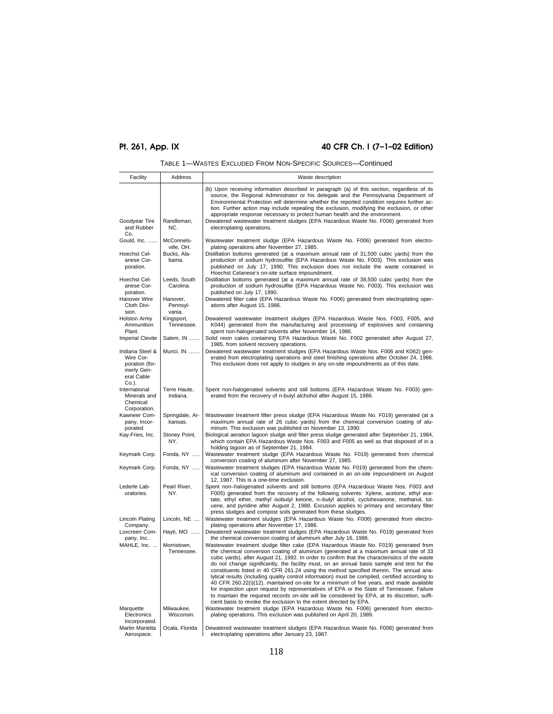| Facility                                                                            | Address                        | Waste description                                                                                                                                                                                                                                                                                                                                                                                                                                                                                                                                                                                                                                                                                                                                                                                                                                                                                                                             |
|-------------------------------------------------------------------------------------|--------------------------------|-----------------------------------------------------------------------------------------------------------------------------------------------------------------------------------------------------------------------------------------------------------------------------------------------------------------------------------------------------------------------------------------------------------------------------------------------------------------------------------------------------------------------------------------------------------------------------------------------------------------------------------------------------------------------------------------------------------------------------------------------------------------------------------------------------------------------------------------------------------------------------------------------------------------------------------------------|
|                                                                                     |                                | (b) Upon receiving information described in paragraph (a) of this section, regardless of its<br>source, the Regional Administrator or his delegate and the Pennsylvania Department of<br>Environmental Protection will determine whether the reported condition requires further ac-<br>tion. Further action may include repealing the exclusion, modifying the exclusion, or other<br>appropriate response necessary to protect human health and the environment.                                                                                                                                                                                                                                                                                                                                                                                                                                                                            |
| Goodyear Tire<br>and Rubber<br>Co.                                                  | Randleman,<br>NC.              | Dewatered wastewater treatment sludges (EPA Hazardous Waste No. F006) generated from<br>electroplating operations.                                                                                                                                                                                                                                                                                                                                                                                                                                                                                                                                                                                                                                                                                                                                                                                                                            |
| Gould, Inc.                                                                         | McConnels-<br>ville, OH.       | Wastewater treatment sludge (EPA Hazardous Waste No. F006) generated from electro-<br>plating operations after November 27, 1985.                                                                                                                                                                                                                                                                                                                                                                                                                                                                                                                                                                                                                                                                                                                                                                                                             |
| Hoechst Cel-<br>anese Cor-<br>poration.                                             | Bucks, Ala-<br>bama.           | Distillation bottoms generated (at a maximum annual rate of 31,500 cubic yards) from the<br>production of sodium hydrosulfite (EPA Hazardous Waste No. F003). This exclusion was<br>published on July 17, 1990. This exclusion does not include the waste contained in<br>Hoechst Celanese's on-site surface impoundment.                                                                                                                                                                                                                                                                                                                                                                                                                                                                                                                                                                                                                     |
| Hoechst Cel-<br>anese Cor-<br>poration.                                             | Leeds, South<br>Carolina.      | Distillation bottoms generated (at a maximum annual rate of 38,500 cubic yards) from the<br>production of sodium hydrosulfite (EPA Hazardous Waste No. F003). This exclusion was<br>published on July 17, 1990.                                                                                                                                                                                                                                                                                                                                                                                                                                                                                                                                                                                                                                                                                                                               |
| Hanover Wire<br>Cloth Divi-<br>sion.                                                | Hanover,<br>Pennsyl-<br>vania. | Dewatered filter cake (EPA Hazardous Waste No. F006) generated from electroplating oper-<br>ations after August 15, 1986.                                                                                                                                                                                                                                                                                                                                                                                                                                                                                                                                                                                                                                                                                                                                                                                                                     |
| Holston Army<br>Ammunition<br>Plant.                                                | Kingsport,<br>Tennessee.       | Dewatered wastewater treatment sludges (EPA Hazardous Waste Nos. F003, F005, and<br>K044) generated from the manufacturing and processing of explosives and containing<br>spent non-halogenated solvents after November 14, 1986.                                                                                                                                                                                                                                                                                                                                                                                                                                                                                                                                                                                                                                                                                                             |
| <b>Imperial Clevite</b>                                                             | Salem, IN                      | Solid resin cakes containing EPA Hazardous Waste No. F002 generated after August 27,<br>1985, from solvent recovery operations.                                                                                                                                                                                                                                                                                                                                                                                                                                                                                                                                                                                                                                                                                                                                                                                                               |
| Indiana Steel &<br>Wire Cor-<br>poration (for-<br>merly Gen-<br>eral Cable<br>Co.). | Munci, IN                      | Dewatered wastewater treatment sludges (EPA Hazardous Waste Nos. F006 and K062) gen-<br>erated from electroplating operations and steel finishing operations after October 24, 1986.<br>This exclusion does not apply to sludges in any on-site impoundments as of this date.                                                                                                                                                                                                                                                                                                                                                                                                                                                                                                                                                                                                                                                                 |
| International<br>Minerals and<br>Chemical<br>Corporation.                           | Terre Haute,<br>Indiana.       | Spent non-halogenated solvents and still bottoms (EPA Hazardous Waste No. F003) gen-<br>erated from the recovery of n-butyl alchohol after August 15, 1986.                                                                                                                                                                                                                                                                                                                                                                                                                                                                                                                                                                                                                                                                                                                                                                                   |
| Kawneer Com-<br>pany, Incor-<br>porated.                                            | Springdale, Ar-<br>kansas.     | Wastewater treatment filter press sludge (EPA Hazardous Waste No. F019) generated (at a<br>maximum annual rate of 26 cubic yards) from the chemical conversion coating of alu-<br>minum. This exclusion was published on November 13, 1990.                                                                                                                                                                                                                                                                                                                                                                                                                                                                                                                                                                                                                                                                                                   |
| Kay-Fries, Inc.                                                                     | Stoney Point,<br>NY.           | Biological aeration lagoon sludge and filter press sludge generated after September 21, 1984,<br>which contain EPA Hazardous Waste Nos. F003 and F005 as well as that disposed of in a<br>holding lagoon as of September 21, 1984.                                                                                                                                                                                                                                                                                                                                                                                                                                                                                                                                                                                                                                                                                                            |
| Keymark Corp.                                                                       | Fonda, NY                      | Wastewater treatment sludge (EPA Hazardous Waste No. F019) generated from chemical<br>conversion coating of aluminum after November 27, 1985.                                                                                                                                                                                                                                                                                                                                                                                                                                                                                                                                                                                                                                                                                                                                                                                                 |
| Keymark Corp.                                                                       | Fonda, NY                      | Wastewater treatment sludges (EPA Hazardous Waste No. F019) generated from the chem-<br>ical conversion coating of aluminum and contained in an on-site impoundment on August<br>12, 1987. This is a one-time exclusion.                                                                                                                                                                                                                                                                                                                                                                                                                                                                                                                                                                                                                                                                                                                      |
| Lederle Lab-<br>oratories.                                                          | Pearl River,<br>NY.            | Spent non-halogenated solvents and still bottoms (EPA Hazardous Waste Nos. F003 and<br>F005) generated from the recovery of the following solvents: Xylene, acetone, ethyl ace-<br>tate, ethyl ether, methyl isobutyl ketone, n-butyl alcohol, cyclohexanone, methanol, tol-<br>uene, and pyridine after August 2, 1988. Excusion applies to primary and secondary filter<br>press sludges and compost soils generated from these sludges.                                                                                                                                                                                                                                                                                                                                                                                                                                                                                                    |
| Lincoln Plating<br>Company.                                                         | Lincoln, NE                    | Wastewater treatment sludges (EPA Hazardous Waste No. F006) generated from electro-<br>plating operations after November 17, 1986.                                                                                                                                                                                                                                                                                                                                                                                                                                                                                                                                                                                                                                                                                                                                                                                                            |
| Loxcreen Com-<br>pany, Inc                                                          | Hayti, MO                      | Dewatered wastewater treatment sludges (EPA Hazardous Waste No. F019) generated from<br>the chemical conversion coating of aluminum after July 16, 1986.                                                                                                                                                                                                                                                                                                                                                                                                                                                                                                                                                                                                                                                                                                                                                                                      |
| MAHLE, Inc.                                                                         | Morristown,<br>Tennessee.      | Wastewater treatment sludge filter cake (EPA Hazardous Waste No. F019) generated from<br>the chemical conversion coating of aluminum (generated at a maximum annual rate of 33<br>cubic yards), after August 21, 1992. In order to confirm that the characteristics of the waste<br>do not change significantly, the facility must, on an annual basis sample and test for the<br>constituents listed in 40 CFR 261.24 using the method specified therein. The annual ana-<br>lytical results (including quality control information) must be compiled, certified according to<br>40 CFR 260.22(i)(12), maintained on-site for a minimum of five years, and made available<br>for inspection upon request by representatives of EPA or the State of Tennessee. Failure<br>to maintain the required records on-site will be considered by EPA, at its discretion, suffi-<br>cient basis to revoke the exclusion to the extent directed by EPA. |
| Marquette<br>Electronics<br>Incorporated.                                           | Milwaukee,<br>Wisconsin.       | Wastewater treatment sludge (EPA Hazardous Waste No. F006) generated from electro-<br>plating operations. This exclusion was published on April 20, 1989.                                                                                                                                                                                                                                                                                                                                                                                                                                                                                                                                                                                                                                                                                                                                                                                     |
| Martin Marietta<br>Aerospace.                                                       | Ocala, Florida                 | Dewatered wastewater treatment sludges (EPA Hazardous Waste No. F006) generated from<br>electroplating operations after January 23, 1987.                                                                                                                                                                                                                                                                                                                                                                                                                                                                                                                                                                                                                                                                                                                                                                                                     |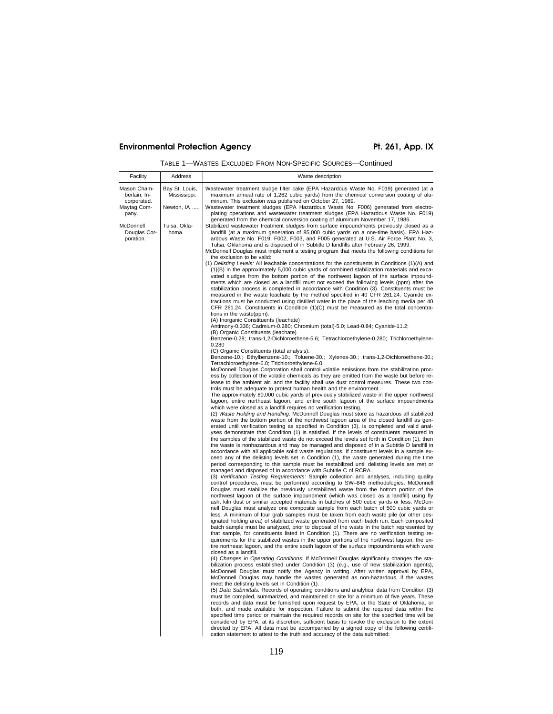| Facility                                                                                                     | Address                                                               | Waste description                                                                                                                                                                                                                                                                                                                                                                                                                                                                                                                                                                                                                                                                                                                                                                                                                                                                                                                                                                                                                                                                                                                                                                                                                                                                                                                                                                                                                                                                                                                                                                                                                                                                                                                                                                                                                                                                                                                                                                                                                                                                                                                                                                                                                                                                                                                                                                                                                                                                                                                                                                                                                                                                                                                                                                                                                                                                                                                                                                                                                                                                                                                                                                                                                                                                                                                                                                                                                                                                                                                                                                                                                                                                                        |
|--------------------------------------------------------------------------------------------------------------|-----------------------------------------------------------------------|----------------------------------------------------------------------------------------------------------------------------------------------------------------------------------------------------------------------------------------------------------------------------------------------------------------------------------------------------------------------------------------------------------------------------------------------------------------------------------------------------------------------------------------------------------------------------------------------------------------------------------------------------------------------------------------------------------------------------------------------------------------------------------------------------------------------------------------------------------------------------------------------------------------------------------------------------------------------------------------------------------------------------------------------------------------------------------------------------------------------------------------------------------------------------------------------------------------------------------------------------------------------------------------------------------------------------------------------------------------------------------------------------------------------------------------------------------------------------------------------------------------------------------------------------------------------------------------------------------------------------------------------------------------------------------------------------------------------------------------------------------------------------------------------------------------------------------------------------------------------------------------------------------------------------------------------------------------------------------------------------------------------------------------------------------------------------------------------------------------------------------------------------------------------------------------------------------------------------------------------------------------------------------------------------------------------------------------------------------------------------------------------------------------------------------------------------------------------------------------------------------------------------------------------------------------------------------------------------------------------------------------------------------------------------------------------------------------------------------------------------------------------------------------------------------------------------------------------------------------------------------------------------------------------------------------------------------------------------------------------------------------------------------------------------------------------------------------------------------------------------------------------------------------------------------------------------------------------------------------------------------------------------------------------------------------------------------------------------------------------------------------------------------------------------------------------------------------------------------------------------------------------------------------------------------------------------------------------------------------------------------------------------------------------------------------------------------|
| Mason Cham-<br>berlain, In-<br>corporated.<br>Maytag Com-<br>pany.<br>McDonnell<br>Douglas Cor-<br>poration. | Bay St. Louis,<br>Mississippi.<br>Newton, IA<br>Tulsa, Okla-<br>homa. | Wastewater treatment sludge filter cake (EPA Hazardous Waste No. F019) generated (at a<br>maximum annual rate of 1,262 cubic yards) from the chemical conversion coating of alu-<br>minum. This exclusion was published on October 27, 1989.<br>Wastewater treatment sludges (EPA Hazardous Waste No. F006) generated from electro-<br>plating operations and wastewater treatment sludges (EPA Hazardous Waste No. F019)<br>generated from the chemical conversion coating of aluminum November 17, 1986.<br>Stabilized wastewater treatment sludges from surface impoundments previously closed as a<br>landfill (at a maximum generation of 85,000 cubic yards on a one-time basis). EPA Haz-<br>ardous Waste No. F019, F002, F003, and F005 generated at U.S. Air Force Plant No. 3,<br>Tulsa, Oklahoma and is disposed of in Subtitle D landfills after February 26, 1999.<br>McDonnell Douglas must implement a testing program that meets the following conditions for<br>the exclusion to be valid:<br>(1) Delisting Levels: All leachable concentrations for the constituents in Conditions (1)(A) and<br>$(1)(B)$ in the approximately 5,000 cubic yards of combined stabilization materials and exca-<br>vated sludges from the bottom portion of the northwest lagoon of the surface impound-<br>ments which are closed as a landfill must not exceed the following levels (ppm) after the<br>stabilization process is completed in accordance with Condition (3). Constituents must be<br>measured in the waste leachate by the method specified in 40 CFR 261.24. Cyanide ex-<br>tractions must be conducted using distilled water in the place of the leaching media per 40<br>CFR 261.24. Constituents in Condition $(1)(C)$ must be measured as the total concentra-<br>tions in the waste(ppm).<br>(A) Inorganic Constituents (leachate)<br>Antimony-0.336; Cadmium-0.280; Chromium (total)-5.0; Lead-0.84; Cyanide-11.2;<br>(B) Organic Constituents (leachate)<br>Benzene-0.28; trans-1,2-Dichloroethene-5.6; Tetrachloroethylene-0.280; Trichloroethylene-<br>0.280<br>(C) Organic Constituents (total analysis).<br>Benzene-10.; Ethylbenzene-10.; Toluene-30.; Xylenes-30.; trans-1,2-Dichloroethene-30.;<br>Tetrachloroethylene-6.0; Trichloroethylene-6.0.<br>McDonnell Douglas Corporation shall control volatile emissions from the stabilization proc-<br>ess by collection of the volatile chemicals as they are emitted from the waste but before re-<br>lease to the ambient air. and the facility shall use dust control measures. These two con-<br>trols must be adequate to protect human health and the environment.<br>The approximately 80,000 cubic yards of previously stabilized waste in the upper northwest<br>lagoon, entire northeast lagoon, and entire south lagoon of the surface impoundments<br>which were closed as a landfill requires no verification testing.<br>(2) Waste Holding and Handling: McDonnell Douglas must store as hazardous all stabilized<br>waste from the bottom portion of the northwest lagoon area of the closed landfill as gen-<br>erated until verification testing as specified in Condition (3), is completed and valid anal-<br>yses demonstrate that Condition (1) is satisfied. If the levels of constituents measured in<br>the samples of the stabilized waste do not exceed the levels set forth in Condition (1), then<br>the waste is nonhazardous and may be managed and disposed of in a Subtitle D landfill in<br>accordance with all applicable solid waste regulations. If constituent levels in a sample ex-<br>ceed any of the delisting levels set in Condition (1), the waste generated during the time |
|                                                                                                              |                                                                       | period corresponding to this sample must be restabilized until delisting levels are met or<br>managed and disposed of in accordance with Subtitle C of RCRA.<br>(3) Verification Testing Requirements: Sample collection and analyses, including quality<br>control procedures, must be performed according to SW-846 methodologies. McDonnell<br>Douglas must stabilize the previously unstabilized waste from the bottom portion of the<br>northwest lagoon of the surface impoundment (which was closed as a landfill) using fly<br>ash, kiln dust or similar accepted materials in batches of 500 cubic yards or less. McDon-<br>nell Douglas must analyze one composite sample from each batch of 500 cubic yards or<br>less. A minimum of four grab samples must be taken from each waste pile (or other des-<br>ignated holding area) of stabilized waste generated from each batch run. Each composited<br>batch sample must be analyzed, prior to disposal of the waste in the batch represented by<br>that sample, for constituents listed in Condition (1). There are no verification testing re-<br>quirements for the stabilized wastes in the upper portions of the northwest lagoon, the en-<br>tire northeast lagoon, and the entire south lagoon of the surface impoundments which were<br>closed as a landfill.<br>(4) Changes in Operating Conditions: If McDonnell Douglas significantly changes the sta-<br>bilization process established under Condition (3) (e.g., use of new stabilization agents),<br>McDonnell Douglas must notify the Agency in writing. After written approval by EPA,<br>McDonnell Douglas may handle the wastes generated as non-hazardous, if the wastes<br>meet the delisting levels set in Condition (1).<br>(5) Data Submittals: Records of operating conditions and analytical data from Condition (3)<br>must be compiled, summarized, and maintained on site for a minimum of five years. These<br>records and data must be furnished upon request by EPA, or the State of Oklahoma, or<br>both, and made available for inspection. Failure to submit the required data within the<br>specified time period or maintain the required records on site for the specified time will be<br>considered by EPA, at its discretion, sufficient basis to revoke the exclusion to the extent<br>directed by EPA. All data must be accompanied by a signed copy of the following certifi-<br>cation statement to attest to the truth and accuracy of the data submitted:                                                                                                                                                                                                                                                                                                                                                                                                                                                                                                                                                                                                                                                                                                                                                                                                                                                                                                                                                                                                                                                                                                                                                                                     |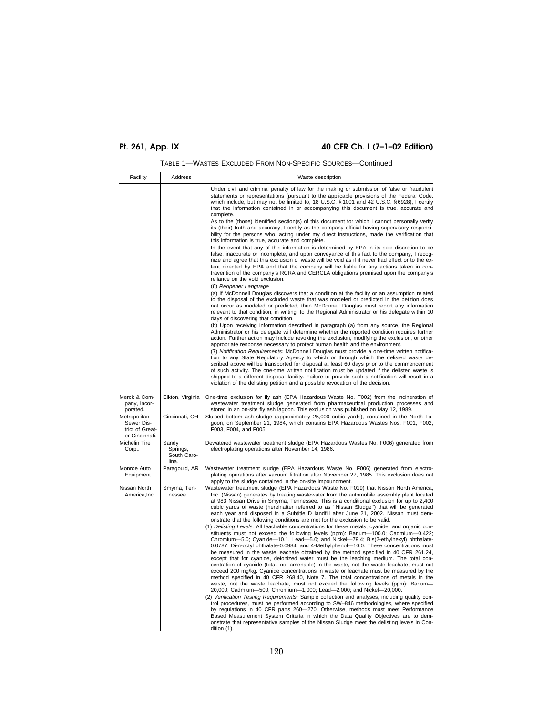|  | TABLE 1—WASTES EXCLUDED FROM NON-SPECIFIC SOURCES—Continued |  |  |  |  |  |
|--|-------------------------------------------------------------|--|--|--|--|--|
|--|-------------------------------------------------------------|--|--|--|--|--|

| Facility                                                        | Address                                   | Waste description                                                                                                                                                                                                                                                                                                                                                                                                                                                                                                                                                                                                                                                                                                                                                                                                                                                                                                                                                                                                                                                                                                                                                                                                                                                                                                                                                                              |
|-----------------------------------------------------------------|-------------------------------------------|------------------------------------------------------------------------------------------------------------------------------------------------------------------------------------------------------------------------------------------------------------------------------------------------------------------------------------------------------------------------------------------------------------------------------------------------------------------------------------------------------------------------------------------------------------------------------------------------------------------------------------------------------------------------------------------------------------------------------------------------------------------------------------------------------------------------------------------------------------------------------------------------------------------------------------------------------------------------------------------------------------------------------------------------------------------------------------------------------------------------------------------------------------------------------------------------------------------------------------------------------------------------------------------------------------------------------------------------------------------------------------------------|
|                                                                 |                                           | Under civil and criminal penalty of law for the making or submission of false or fraudulent<br>statements or representations (pursuant to the applicable provisions of the Federal Code,<br>which include, but may not be limited to, 18 U.S.C. § 1001 and 42 U.S.C. § 6928), I certify<br>that the information contained in or accompanying this document is true, accurate and<br>complete.<br>As to the (those) identified section(s) of this document for which I cannot personally verify                                                                                                                                                                                                                                                                                                                                                                                                                                                                                                                                                                                                                                                                                                                                                                                                                                                                                                 |
|                                                                 |                                           | its (their) truth and accuracy, I certify as the company official having supervisory responsi-<br>bility for the persons who, acting under my direct instructions, made the verification that<br>this information is true, accurate and complete.                                                                                                                                                                                                                                                                                                                                                                                                                                                                                                                                                                                                                                                                                                                                                                                                                                                                                                                                                                                                                                                                                                                                              |
|                                                                 |                                           | In the event that any of this information is determined by EPA in its sole discretion to be<br>false, inaccurate or incomplete, and upon conveyance of this fact to the company, I recog-<br>nize and agree that this exclusion of waste will be void as if it never had effect or to the ex-<br>tent directed by EPA and that the company will be liable for any actions taken in con-<br>travention of the company's RCRA and CERCLA obligations premised upon the company's<br>reliance on the void exclusion.                                                                                                                                                                                                                                                                                                                                                                                                                                                                                                                                                                                                                                                                                                                                                                                                                                                                              |
|                                                                 |                                           | (6) Reopener Language<br>(a) If McDonnell Douglas discovers that a condition at the facility or an assumption related<br>to the disposal of the excluded waste that was modeled or predicted in the petition does<br>not occur as modeled or predicted, then McDonnell Douglas must report any information<br>relevant to that condition, in writing, to the Regional Administrator or his delegate within 10<br>days of discovering that condition.                                                                                                                                                                                                                                                                                                                                                                                                                                                                                                                                                                                                                                                                                                                                                                                                                                                                                                                                           |
|                                                                 |                                           | (b) Upon receiving information described in paragraph (a) from any source, the Regional<br>Administrator or his delegate will determine whether the reported condition requires further<br>action. Further action may include revoking the exclusion, modifying the exclusion, or other<br>appropriate response necessary to protect human health and the environment.                                                                                                                                                                                                                                                                                                                                                                                                                                                                                                                                                                                                                                                                                                                                                                                                                                                                                                                                                                                                                         |
|                                                                 |                                           | (7) Notification Requirements: McDonnell Douglas must provide a one-time written notifica-<br>tion to any State Regulatory Agency to which or through which the delisted waste de-<br>scribed above will be transported for disposal at least 60 days prior to the commencement<br>of such activity. The one-time written notification must be updated if the delisted waste is<br>shipped to a different disposal facility. Failure to provide such a notification will result in a<br>violation of the delisting petition and a possible revocation of the decision.                                                                                                                                                                                                                                                                                                                                                                                                                                                                                                                                                                                                                                                                                                                                                                                                                         |
| Merck & Com-<br>pany, Incor-<br>porated.                        | Elkton, Virginia                          | One-time exclusion for fly ash (EPA Hazardous Waste No. F002) from the incineration of<br>wastewater treatment sludge generated from pharmaceutical production processes and<br>stored in an on-site fly ash lagoon. This exclusion was published on May 12, 1989.                                                                                                                                                                                                                                                                                                                                                                                                                                                                                                                                                                                                                                                                                                                                                                                                                                                                                                                                                                                                                                                                                                                             |
| Metropolitan<br>Sewer Dis-<br>trict of Great-<br>er Cincinnati. | Cincinnati, OH                            | Sluiced bottom ash sludge (approximately 25,000 cubic yards), contained in the North La-<br>goon, on September 21, 1984, which contains EPA Hazardous Wastes Nos. F001, F002,<br>F003, F004, and F005.                                                                                                                                                                                                                                                                                                                                                                                                                                                                                                                                                                                                                                                                                                                                                                                                                                                                                                                                                                                                                                                                                                                                                                                         |
| Michelin Tire<br>Corp                                           | Sandy<br>Springs,<br>South Caro-<br>lina. | Dewatered wastewater treatment sludge (EPA Hazardous Wastes No. F006) generated from<br>electroplating operations after November 14, 1986.                                                                                                                                                                                                                                                                                                                                                                                                                                                                                                                                                                                                                                                                                                                                                                                                                                                                                                                                                                                                                                                                                                                                                                                                                                                     |
| Monroe Auto<br>Equipment.                                       | Paragould, AR                             | Wastewater treatment sludge (EPA Hazardous Waste No. F006) generated from electro-<br>plating operations after vacuum filtration after November 27, 1985. This exclusion does not<br>apply to the sludge contained in the on-site impoundment.                                                                                                                                                                                                                                                                                                                                                                                                                                                                                                                                                                                                                                                                                                                                                                                                                                                                                                                                                                                                                                                                                                                                                 |
| Nissan North<br>America, Inc.                                   | Smyrna, Ten-<br>nessee.                   | Wastewater treatment sludge (EPA Hazardous Waste No. F019) that Nissan North America,<br>Inc. (Nissan) generates by treating wastewater from the automobile assembly plant located<br>at 983 Nissan Drive in Smyrna, Tennessee. This is a conditional exclusion for up to 2,400<br>cubic yards of waste (hereinafter referred to as "Nissan Sludge") that will be generated<br>each year and disposed in a Subtitle D landfill after June 21, 2002. Nissan must dem-<br>onstrate that the following conditions are met for the exclusion to be valid.<br>(1) Delisting Levels: All leachable concentrations for these metals, cyanide, and organic con-<br>stituents must not exceed the following levels (ppm): Barium-100.0; Cadmium-0.422;<br>Chromium-5.0; Cyanide-10.1, Lead-5.0; and Nickel-79.4; Bis(2-ethylhexyl) phthalate-<br>0.0787; Di-n-octyl phthalate-0.0984; and 4-Methylphenol-10.0. These concentrations must<br>be measured in the waste leachate obtained by the method specified in 40 CFR 261.24,<br>except that for cyanide, deionized water must be the leaching medium. The total con-<br>centration of cyanide (total, not amenable) in the waste, not the waste leachate, must not<br>exceed 200 mg/kg. Cyanide concentrations in waste or leachate must be measured by the<br>method specified in 40 CFR 268.40, Note 7. The total concentrations of metals in the |
|                                                                 |                                           | waste, not the waste leachate, must not exceed the following levels (ppm): Barium-<br>20,000; Cadmium-500; Chromium-1,000; Lead-2,000; and Nickel-20,000.<br>(2) Verification Testing Requirements: Sample collection and analyses, including quality con-<br>trol procedures, must be performed according to SW-846 methodologies, where specified<br>by regulations in 40 CFR parts 260-270. Otherwise, methods must meet Performance<br>Based Measurement System Criteria in which the Data Quality Objectives are to dem-<br>onstrate that representative samples of the Nissan Sludge meet the delisting levels in Con-<br>dition (1).                                                                                                                                                                                                                                                                                                                                                                                                                                                                                                                                                                                                                                                                                                                                                    |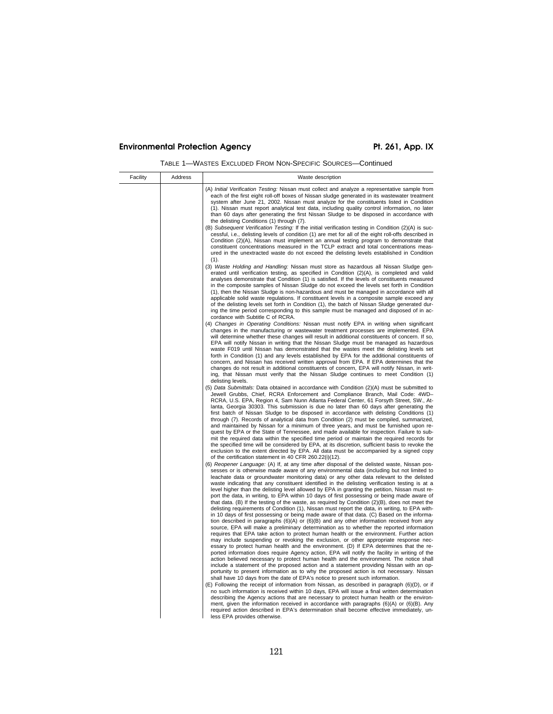| Facility | Address | Waste description                                                                                                                                                                                                                                                                                                                                                                                                                                                                                                                                                                                                                                                                                                                                                                                                                                                                                                                                                                                                                                                                                                                                                                                                                                                                                                                                                                                                                                                                                                                                                                                                                                                                                                                                                                                                                        |
|----------|---------|------------------------------------------------------------------------------------------------------------------------------------------------------------------------------------------------------------------------------------------------------------------------------------------------------------------------------------------------------------------------------------------------------------------------------------------------------------------------------------------------------------------------------------------------------------------------------------------------------------------------------------------------------------------------------------------------------------------------------------------------------------------------------------------------------------------------------------------------------------------------------------------------------------------------------------------------------------------------------------------------------------------------------------------------------------------------------------------------------------------------------------------------------------------------------------------------------------------------------------------------------------------------------------------------------------------------------------------------------------------------------------------------------------------------------------------------------------------------------------------------------------------------------------------------------------------------------------------------------------------------------------------------------------------------------------------------------------------------------------------------------------------------------------------------------------------------------------------|
|          |         | (A) Initial Verification Testing: Nissan must collect and analyze a representative sample from<br>each of the first eight roll-off boxes of Nissan sludge generated in its wastewater treatment<br>system after June 21, 2002. Nissan must analyze for the constituents listed in Condition<br>(1). Nissan must report analytical test data, including quality control information, no later<br>than 60 days after generating the first Nissan Sludge to be disposed in accordance with<br>the delisting Conditions (1) through (7).                                                                                                                                                                                                                                                                                                                                                                                                                                                                                                                                                                                                                                                                                                                                                                                                                                                                                                                                                                                                                                                                                                                                                                                                                                                                                                     |
|          |         | (B) Subsequent Verification Testing: If the initial verification testing in Condition (2)(A) is suc-<br>cessful, i.e., delisting levels of condition (1) are met for all of the eight roll-offs described in<br>Condition (2)(A), Nissan must implement an annual testing program to demonstrate that<br>constituent concentrations measured in the TCLP extract and total concentrations meas-<br>ured in the unextracted waste do not exceed the delisting levels established in Condition<br>(1).                                                                                                                                                                                                                                                                                                                                                                                                                                                                                                                                                                                                                                                                                                                                                                                                                                                                                                                                                                                                                                                                                                                                                                                                                                                                                                                                     |
|          |         | (3) Waste Holding and Handling: Nissan must store as hazardous all Nissan Sludge gen-<br>erated until verification testing, as specified in Condition (2)(A), is completed and valid<br>analyses demonstrate that Condition (1) is satisfied. If the levels of constituents measured<br>in the composite samples of Nissan Sludge do not exceed the levels set forth in Condition<br>(1), then the Nissan Sludge is non-hazardous and must be managed in accordance with all<br>applicable solid waste regulations. If constituent levels in a composite sample exceed any<br>of the delisting levels set forth in Condition (1), the batch of Nissan Sludge generated dur-<br>ing the time period corresponding to this sample must be managed and disposed of in ac-<br>cordance with Subtitle C of RCRA.                                                                                                                                                                                                                                                                                                                                                                                                                                                                                                                                                                                                                                                                                                                                                                                                                                                                                                                                                                                                                              |
|          |         | (4) Changes in Operating Conditions: Nissan must notify EPA in writing when significant<br>changes in the manufacturing or wastewater treatment processes are implemented. EPA<br>will determine whether these changes will result in additional constituents of concern. If so,<br>EPA will notify Nissan in writing that the Nissan Sludge must be managed as hazardous<br>waste F019 until Nissan has demonstrated that the wastes meet the delisting levels set<br>forth in Condition (1) and any levels established by EPA for the additional constituents of<br>concern, and Nissan has received written approval from EPA. If EPA determines that the<br>changes do not result in additional constituents of concern, EPA will notify Nissan, in writ-<br>ing, that Nissan must verify that the Nissan Sludge continues to meet Condition (1)<br>delisting levels.                                                                                                                                                                                                                                                                                                                                                                                                                                                                                                                                                                                                                                                                                                                                                                                                                                                                                                                                                                |
|          |         | (5) Data Submittals: Data obtained in accordance with Condition (2)(A) must be submitted to<br>Jewell Grubbs, Chief, RCRA Enforcement and Compliance Branch, Mail Code: 4WD-<br>RCRA, U.S. EPA, Region 4, Sam Nunn Atlanta Federal Center, 61 Forsyth Street, SW., At-<br>lanta, Georgia 30303. This submission is due no later than 60 days after generating the<br>first batch of Nissan Sludge to be disposed in accordance with delisting Conditions (1)<br>through (7). Records of analytical data from Condition (2) must be compiled, summarized,<br>and maintained by Nissan for a minimum of three years, and must be furnished upon re-<br>quest by EPA or the State of Tennessee, and made available for inspection. Failure to sub-<br>mit the required data within the specified time period or maintain the required records for<br>the specified time will be considered by EPA, at its discretion, sufficient basis to revoke the<br>exclusion to the extent directed by EPA. All data must be accompanied by a signed copy<br>of the certification statement in 40 CFR 260.22(i)(12).                                                                                                                                                                                                                                                                                                                                                                                                                                                                                                                                                                                                                                                                                                                                   |
|          |         | (6) Reopener Language: (A) If, at any time after disposal of the delisted waste, Nissan pos-<br>sesses or is otherwise made aware of any environmental data (including but not limited to<br>leachate data or groundwater monitoring data) or any other data relevant to the delisted<br>waste indicating that any constituent identified in the delisting verification testing is at a<br>level higher than the delisting level allowed by EPA in granting the petition, Nissan must re-<br>port the data, in writing, to EPA within 10 days of first possessing or being made aware of<br>that data. (B) If the testing of the waste, as required by Condition (2)(B), does not meet the<br>delisting requirements of Condition (1), Nissan must report the data, in writing, to EPA with-<br>in 10 days of first possessing or being made aware of that data. (C) Based on the informa-<br>tion described in paragraphs $(6)(A)$ or $(6)(B)$ and any other information received from any<br>source, EPA will make a preliminary determination as to whether the reported information<br>requires that EPA take action to protect human health or the environment. Further action<br>may include suspending or revoking the exclusion, or other appropriate response nec-<br>essary to protect human health and the environment. (D) If EPA determines that the re-<br>ported information does require Agency action, EPA will notify the facility in writing of the<br>action believed necessary to protect human health and the environment. The notice shall<br>include a statement of the proposed action and a statement providing Nissan with an op-<br>portunity to present information as to why the proposed action is not necessary. Nissan<br>shall have 10 days from the date of EPA's notice to present such information. |
|          |         | (E) Following the receipt of information from Nissan, as described in paragraph (6)(D), or if<br>no such information is received within 10 days, EPA will issue a final written determination<br>describing the Agency actions that are necessary to protect human health or the environ-<br>ment, given the information received in accordance with paragraphs $(6)(A)$ or $(6)(B)$ . Any<br>required action described in EPA's determination shall become effective immediately, un-<br>less EPA provides otherwise.                                                                                                                                                                                                                                                                                                                                                                                                                                                                                                                                                                                                                                                                                                                                                                                                                                                                                                                                                                                                                                                                                                                                                                                                                                                                                                                   |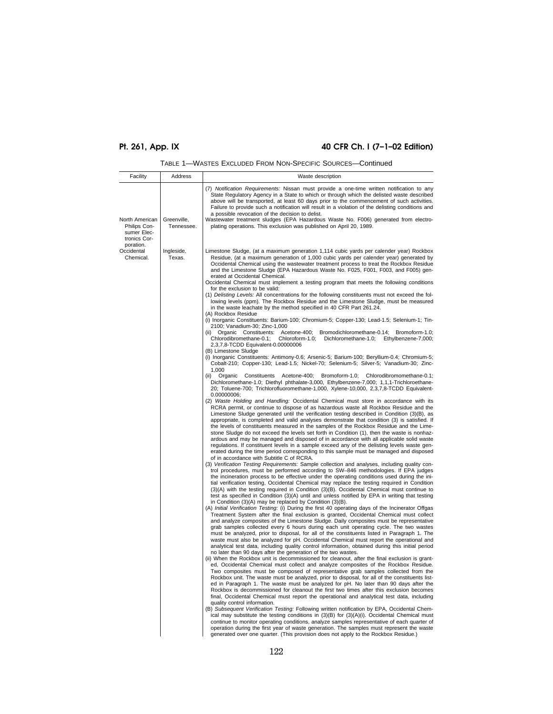| Facility                                                                     | Address<br>Waste description                                                                                                                                                                                                                                                                                                                                                                                                                                                                                                                                                                                                                                                                                                                                                                                                                                                                                                                                                                                                                                                                                                                                                                                                                                                                                                                                                                                                                                                                                                                                                                                                                                                                                                                                                                                                                                                                                                                                                                                                                                                                                                                                                                                                                                                                                                                                                                                                                                                                                                                                                                                                                                                                                                                                                                                                                                                                                                                                                                                                                                                                                                                                                                                                                                                                                                                                                                                                                                                                                                                                                                                                                                                                                                                                                                                                                                                                                                                                                                                                                                                                                                                                                                                                                                                                                                                                                                                                                                                                                                                                                                                                                                                                                                                                                                                                                                                                                                                                                                                                                                                                                                                                                                                       |
|------------------------------------------------------------------------------|--------------------------------------------------------------------------------------------------------------------------------------------------------------------------------------------------------------------------------------------------------------------------------------------------------------------------------------------------------------------------------------------------------------------------------------------------------------------------------------------------------------------------------------------------------------------------------------------------------------------------------------------------------------------------------------------------------------------------------------------------------------------------------------------------------------------------------------------------------------------------------------------------------------------------------------------------------------------------------------------------------------------------------------------------------------------------------------------------------------------------------------------------------------------------------------------------------------------------------------------------------------------------------------------------------------------------------------------------------------------------------------------------------------------------------------------------------------------------------------------------------------------------------------------------------------------------------------------------------------------------------------------------------------------------------------------------------------------------------------------------------------------------------------------------------------------------------------------------------------------------------------------------------------------------------------------------------------------------------------------------------------------------------------------------------------------------------------------------------------------------------------------------------------------------------------------------------------------------------------------------------------------------------------------------------------------------------------------------------------------------------------------------------------------------------------------------------------------------------------------------------------------------------------------------------------------------------------------------------------------------------------------------------------------------------------------------------------------------------------------------------------------------------------------------------------------------------------------------------------------------------------------------------------------------------------------------------------------------------------------------------------------------------------------------------------------------------------------------------------------------------------------------------------------------------------------------------------------------------------------------------------------------------------------------------------------------------------------------------------------------------------------------------------------------------------------------------------------------------------------------------------------------------------------------------------------------------------------------------------------------------------------------------------------------------------------------------------------------------------------------------------------------------------------------------------------------------------------------------------------------------------------------------------------------------------------------------------------------------------------------------------------------------------------------------------------------------------------------------------------------------------------------------------------------------------------------------------------------------------------------------------------------------------------------------------------------------------------------------------------------------------------------------------------------------------------------------------------------------------------------------------------------------------------------------------------------------------------------------------------------------------------------------------------------------------------------------------------------------------------------------------------------------------------------------------------------------------------------------------------------------------------------------------------------------------------------------------------------------------------------------------------------------------------------------------------------------------------------------------------------------------------------------------------------------------------------------------------|
| North American<br>Greenville,<br>Philips Con-<br>sumer Elec-<br>tronics Cor- | (7) Notification Requirements: Nissan must provide a one-time written notification to any<br>State Regulatory Agency in a State to which or through which the delisted waste described<br>above will be transported, at least 60 days prior to the commencement of such activities.<br>Failure to provide such a notification will result in a violation of the delisting conditions and<br>a possible revocation of the decision to delist.<br>Wastewater treatment sludges (EPA Hazardous Waste No. F006) generated from electro-<br>Tennessee.<br>plating operations. This exclusion was published on April 20, 1989.                                                                                                                                                                                                                                                                                                                                                                                                                                                                                                                                                                                                                                                                                                                                                                                                                                                                                                                                                                                                                                                                                                                                                                                                                                                                                                                                                                                                                                                                                                                                                                                                                                                                                                                                                                                                                                                                                                                                                                                                                                                                                                                                                                                                                                                                                                                                                                                                                                                                                                                                                                                                                                                                                                                                                                                                                                                                                                                                                                                                                                                                                                                                                                                                                                                                                                                                                                                                                                                                                                                                                                                                                                                                                                                                                                                                                                                                                                                                                                                                                                                                                                                                                                                                                                                                                                                                                                                                                                                                                                                                                                                           |
| poration.<br>Occidental<br>Ingleside,<br>Chemical.<br>Texas.                 | Limestone Sludge, (at a maximum generation 1,114 cubic yards per calender year) Rockbox<br>Residue, (at a maximum generation of 1,000 cubic yards per calender year) generated by<br>Occidental Chemical using the wastewater treatment process to treat the Rockbox Residue<br>and the Limestone Sludge (EPA Hazardous Waste No. F025, F001, F003, and F005) gen-<br>erated at Occidental Chemical.<br>Occidental Chemical must implement a testing program that meets the following conditions<br>for the exclusion to be valid:<br>(1) Delisting Levels: All concentrations for the following constituents must not exceed the fol-<br>lowing levels (ppm). The Rockbox Residue and the Limestone Sludge, must be measured<br>in the waste leachate by the method specified in 40 CFR Part 261.24.<br>(A) Rockbox Residue<br>(i) Inorganic Constituents: Barium-100; Chromium-5; Copper-130; Lead-1.5; Selenium-1; Tin-<br>2100; Vanadium-30; Zinc-1,000<br>(ii) Organic Constituents: Acetone-400; Bromodichloromethane-0.14; Bromoform-1.0;<br>Chloroform-1.0;<br>Chlorodibromethane-0.1;<br>Dichloromethane-1.0; Ethylbenzene-7,000;<br>2,3,7,8-TCDD Equivalent-0.00000006<br>(B) Limestone Sludge<br>(i) Inorganic Constituents: Antimony-0.6; Arsenic-5; Barium-100; Beryllium-0.4; Chromium-5;<br>Cobalt-210; Copper-130; Lead-1.5; Nickel-70; Selenium-5; Silver-5; Vanadium-30; Zinc-<br>1,000<br>Organic Constituents<br>Acetone-400; Bromoform-1.0; Chlorodibromomethane-0.1;<br>(ii)<br>Dichloromethane-1.0; Diethyl phthalate-3,000, Ethylbenzene-7,000; 1,1,1-Trichloroethane-<br>20; Toluene-700; Trichlorofluoromethane-1,000, Xylene-10,000, 2,3,7,8-TCDD Equivalent-<br>0.00000006;<br>(2) Waste Holding and Handling: Occidental Chemical must store in accordance with its<br>RCRA permit, or continue to dispose of as hazardous waste all Rockbox Residue and the<br>Limestone Sludge generated until the verification testing described in Condition (3)(B), as<br>appropriate, is completed and valid analyses demonstrate that condition (3) is satisfied. If<br>the levels of constituents measured in the samples of the Rockbox Residue and the Lime-<br>stone Sludge do not exceed the levels set forth in Condition (1), then the waste is nonhaz-<br>ardous and may be managed and disposed of in accordance with all applicable solid waste<br>regulations. If constituent levels in a sample exceed any of the delisting levels waste gen-<br>erated during the time period corresponding to this sample must be managed and disposed<br>of in accordance with Subtitle C of RCRA.<br>(3) Verification Testing Requirements: Sample collection and analyses, including quality con-<br>trol procedures, must be performed according to SW-846 methodologies. If EPA judges<br>the incineration process to be effective under the operating conditions used during the ini-<br>tial verification testing, Occidental Chemical may replace the testing required in Condition<br>(3)(A) with the testing required in Condition (3)(B). Occidental Chemical must continue to<br>test as specified in Condition (3)(A) until and unless notified by EPA in writing that testing<br>in Condition (3)(A) may be replaced by Condition (3)(B).<br>(A) Initial Verification Testing: (i) During the first 40 operating days of the Incinerator Offgas<br>Treatment System after the final exclusion is granted, Occidental Chemical must collect<br>and analyze composites of the Limestone Sludge. Daily composites must be representative<br>grab samples collected every 6 hours during each unit operating cycle. The two wastes<br>must be analyzed, prior to disposal, for all of the constituents listed in Paragraph 1. The<br>waste must also be analyzed for pH. Occidental Chemical must report the operational and<br>analytical test data, including quality control information, obtained during this initial period<br>no later than 90 days after the generation of the two wastes.<br>(ii) When the Rockbox unit is decommissioned for cleanout, after the final exclusion is grant-<br>ed, Occidental Chemical must collect and analyze composites of the Rockbox Residue.<br>Two composites must be composed of representative grab samples collected from the<br>Rockbox unit. The waste must be analyzed, prior to disposal, for all of the constituents list-<br>ed in Paragraph 1. The waste must be analyzed for pH. No later than 90 days after the<br>Rockbox is decommissioned for cleanout the first two times after this exclusion becomes<br>final, Occidental Chemical must report the operational and analytical test data, including<br>quality control information.<br>(B) Subsequent Verification Testing: Following written notification by EPA, Occidental Chem-<br>ical may substitute the testing conditions in (3)(B) for (3)(A)(i). Occidental Chemical must<br>continue to monitor operating conditions, analyze samples representative of each quarter of<br>operation during the first year of waste generation. The samples must represent the waste<br>generated over one quarter. (This provision does not apply to the Rockbox Residue.) |

| TABLE 1—WASTES EXCLUDED FROM NON-SPECIFIC SOURCES—Continued |  |
|-------------------------------------------------------------|--|
|-------------------------------------------------------------|--|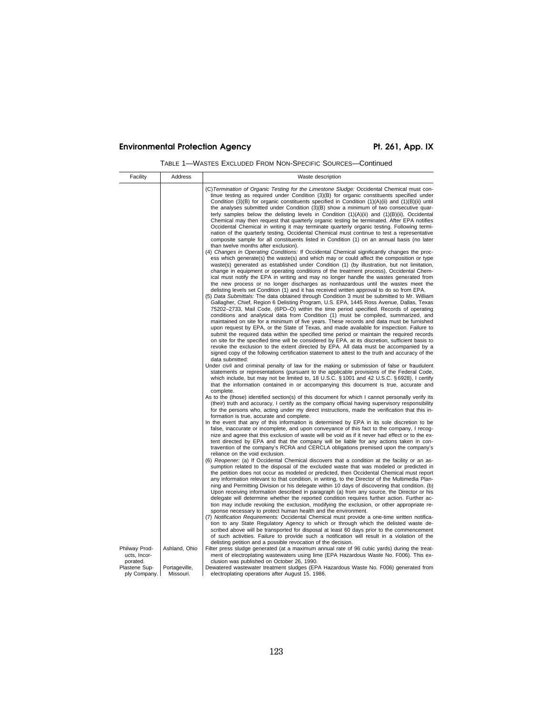| Facility                                                                   | Address                                     | Waste description                                                                                                                                                                                                                                                                                                                                                                                                                                                                                                                                                                                                                                                                                                                                                                                                                                                                                                                                                                                                                                                                                                                                                                                                                                                                                                                                                                                                                                                                                                                                                                                                                                                                                                                                                                                                                                                                                                                                                                                                                                                                                                                                                                                                                                                                                                                                                                                                                                              |
|----------------------------------------------------------------------------|---------------------------------------------|----------------------------------------------------------------------------------------------------------------------------------------------------------------------------------------------------------------------------------------------------------------------------------------------------------------------------------------------------------------------------------------------------------------------------------------------------------------------------------------------------------------------------------------------------------------------------------------------------------------------------------------------------------------------------------------------------------------------------------------------------------------------------------------------------------------------------------------------------------------------------------------------------------------------------------------------------------------------------------------------------------------------------------------------------------------------------------------------------------------------------------------------------------------------------------------------------------------------------------------------------------------------------------------------------------------------------------------------------------------------------------------------------------------------------------------------------------------------------------------------------------------------------------------------------------------------------------------------------------------------------------------------------------------------------------------------------------------------------------------------------------------------------------------------------------------------------------------------------------------------------------------------------------------------------------------------------------------------------------------------------------------------------------------------------------------------------------------------------------------------------------------------------------------------------------------------------------------------------------------------------------------------------------------------------------------------------------------------------------------------------------------------------------------------------------------------------------------|
|                                                                            |                                             | (C) Termination of Organic Testing for the Limestone Sludge: Occidental Chemical must con-<br>tinue testing as required under Condition (3)(B) for organic constituents specified under<br>Condition (3)(B) for organic constituents specified in Condition $(1)(A)(ii)$ and $(1)(B)(ii)$ until<br>the analyses submitted under Condition (3)(B) show a minimum of two consecutive quar-<br>terly samples below the delisting levels in Condition $(1)(A)(ii)$ and $(1)(B)(ii)$ , Occidental<br>Chemical may then request that quarterly organic testing be terminated. After EPA notifies<br>Occidental Chemical in writing it may terminate quarterly organic testing. Following termi-<br>nation of the quarterly testing, Occidental Chemical must continue to test a representative<br>composite sample for all constituents listed in Condition (1) on an annual basis (no later<br>than twelve months after exclusion).<br>(4) Changes in Operating Conditions: If Occidental Chemical significantly changes the proc-<br>ess which generate(s) the waste(s) and which may or could affect the composition or type<br>waste(s) generated as established under Condition (1) (by illustration, but not limitation,<br>change in equipment or operating conditions of the treatment process), Occidental Chem-<br>ical must notify the EPA in writing and may no longer handle the wastes generated from<br>the new process or no longer discharges as nonhazardous until the wastes meet the<br>delisting levels set Condition (1) and it has received written approval to do so from EPA.<br>(5) Data Submittals: The data obtained through Condition 3 must be submitted to Mr. William<br>Gallagher, Chief, Region 6 Delisting Program, U.S. EPA, 1445 Ross Avenue, Dallas, Texas<br>75202-2733, Mail Code, (6PD-O) within the time period specified. Records of operating<br>conditions and analytical data from Condition (1) must be compiled, summarized, and<br>maintained on site for a minimum of five years. These records and data must be furnished<br>upon request by EPA, or the State of Texas, and made available for inspection. Failure to<br>submit the required data within the specified time period or maintain the required records<br>on site for the specified time will be considered by EPA, at its discretion, sufficient basis to<br>revoke the exclusion to the extent directed by EPA. All data must be accompanied by a |
|                                                                            |                                             | signed copy of the following certification statement to attest to the truth and accuracy of the<br>data submitted:<br>Under civil and criminal penalty of law for the making or submission of false or fraudulent<br>statements or representations (pursuant to the applicable provisions of the Federal Code,<br>which include, but may not be limited to, 18 U.S.C. § 1001 and 42 U.S.C. § 6928), I certify<br>that the information contained in or accompanying this document is true, accurate and<br>complete.<br>As to the (those) identified section(s) of this document for which I cannot personally verify its<br>(their) truth and accuracy, I certify as the company official having supervisory responsibility<br>for the persons who, acting under my direct instructions, made the verification that this in-<br>formation is true, accurate and complete.<br>In the event that any of this information is determined by EPA in its sole discretion to be<br>false, inaccurate or incomplete, and upon conveyance of this fact to the company, I recog-<br>nize and agree that this exclusion of waste will be void as if it never had effect or to the ex-<br>tent directed by EPA and that the company will be liable for any actions taken in con-<br>travention of the company's RCRA and CERCLA obligations premised upon the company's<br>reliance on the void exclusion.                                                                                                                                                                                                                                                                                                                                                                                                                                                                                                                                                                                                                                                                                                                                                                                                                                                                                                                                                                                                                                                                 |
| Philway Prod-<br>ucts, Incor-<br>porated.<br>Plastene Sup-<br>ply Company. | Ashland, Ohio<br>Portageville,<br>Missouri. | (6) Reopener: (a) If Occidental Chemical discovers that a condition at the facility or an as-<br>sumption related to the disposal of the excluded waste that was modeled or predicted in<br>the petition does not occur as modeled or predicted, then Occidental Chemical must report<br>any information relevant to that condition, in writing, to the Director of the Multimedia Plan-<br>ning and Permitting Division or his delegate within 10 days of discovering that condition. (b)<br>Upon receiving information described in paragraph (a) from any source, the Director or his<br>delegate will determine whether the reported condition requires further action. Further ac-<br>tion may include revoking the exclusion, modifying the exclusion, or other appropriate re-<br>sponse necessary to protect human health and the environment.<br>(7) Notification Requirements: Occidental Chemical must provide a one-time written notifica-<br>tion to any State Regulatory Agency to which or through which the delisted waste de-<br>scribed above will be transported for disposal at least 60 days prior to the commencement<br>of such activities. Failure to provide such a notification will result in a violation of the<br>delisting petition and a possible revocation of the decision.<br>Filter press sludge generated (at a maximum annual rate of 96 cubic yards) during the treat-<br>ment of electroplating wastewaters using lime (EPA Hazardous Waste No. F006). This ex-<br>clusion was published on October 26, 1990.<br>Dewatered wastewater treatment sludges (EPA Hazardous Waste No. F006) generated from<br>electroplating operations after August 15, 1986.                                                                                                                                                                                                                                                                                                                                                                                                                                                                                                                                                                                                                                                                                                                                                               |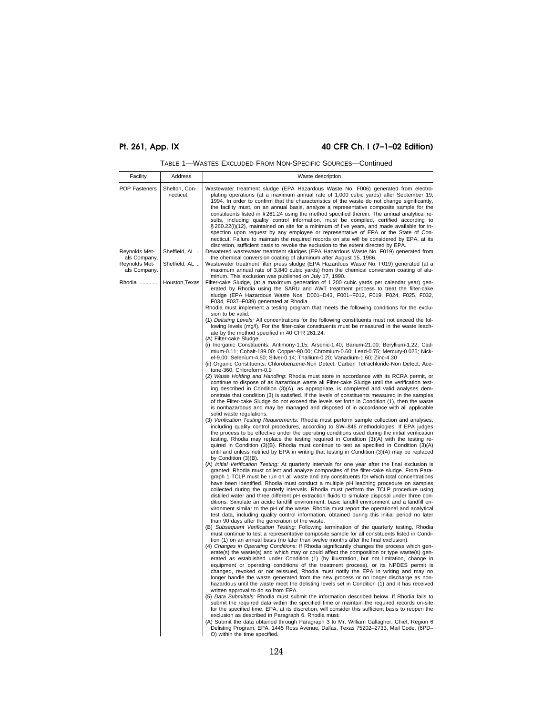| TABLE 1—WASTES EXCLUDED FROM NON-SPECIFIC SOURCES—Continued |  |  |  |  |  |  |
|-------------------------------------------------------------|--|--|--|--|--|--|
|-------------------------------------------------------------|--|--|--|--|--|--|

| Facility                                      | Address                    | Waste description                                                                                                                                                                                                                                                                                                                                                                                                                                                                                                                                                                                                                                                                                                                                                                                                                                                                                                                              |
|-----------------------------------------------|----------------------------|------------------------------------------------------------------------------------------------------------------------------------------------------------------------------------------------------------------------------------------------------------------------------------------------------------------------------------------------------------------------------------------------------------------------------------------------------------------------------------------------------------------------------------------------------------------------------------------------------------------------------------------------------------------------------------------------------------------------------------------------------------------------------------------------------------------------------------------------------------------------------------------------------------------------------------------------|
| POP Fasteners                                 | Shelton, Con-<br>necticut. | Wastewater treatment sludge (EPA Hazardous Waste No. F006) generated from electro-<br>plating operations (at a maximum annual rate of 1,000 cubic yards) after September 19,<br>1994. In order to confirm that the characteristics of the waste do not change significantly,<br>the facility must, on an annual basis, analyze a representative composite sample for the<br>constituents listed in §261.24 using the method specified therein. The annual analytical re-<br>sults, including quality control information, must be compiled, certified according to<br>§260.22(i)(12), maintained on site for a minimum of five years, and made available for in-<br>spection upon request by any employee or representative of EPA or the State of Con-<br>necticut. Failure to maintain the required records on site will be considered by EPA, at its<br>discretion, sufficient basis to revoke the exclusion to the extent directed by EPA. |
| Reynolds Met-                                 | Sheffield, AL              | Dewatered wastewater treatment sludges (EPA Hazardous Waste No. F019) generated from                                                                                                                                                                                                                                                                                                                                                                                                                                                                                                                                                                                                                                                                                                                                                                                                                                                           |
| als Company.<br>Reynolds Met-<br>als Company. | Sheffield, AL              | the chemical conversion coating of aluminum after August 15, 1986.<br>Wastewater treatment filter press sludge (EPA Hazardous Waste No. F019) generated (at a<br>maximum annual rate of 3,840 cubic yards) from the chemical conversion coating of alu-                                                                                                                                                                                                                                                                                                                                                                                                                                                                                                                                                                                                                                                                                        |
| Rhodia                                        | Houston, Texas             | minum. This exclusion was published on July 17, 1990.<br>Filter-cake Sludge, (at a maximum generation of 1,200 cubic yards per calendar year) gen-<br>erated by Rhodia using the SARU and AWT treatment process to treat the filter-cake<br>sludge (EPA Hazardous Waste Nos. D001-D43, F001-F012, F019, F024, F025, F032,<br>F034, F037-F039) generated at Rhodia.<br>Rhodia must implement a testing program that meets the following conditions for the exclu-<br>sion to be valid:                                                                                                                                                                                                                                                                                                                                                                                                                                                          |
|                                               |                            | (1) Delisting Levels: All concentrations for the following constituents must not exceed the fol-<br>lowing levels (mg/l). For the filter-cake constituents must be measured in the waste leach-<br>ate by the method specified in 40 CFR 261.24.                                                                                                                                                                                                                                                                                                                                                                                                                                                                                                                                                                                                                                                                                               |
|                                               |                            | (A) Filter-cake Sludge<br>(i) Inorganic Constituents: Antimony-1.15; Arsenic-1.40; Barium-21.00; Beryllium-1.22; Cad-<br>mium-0.11; Cobalt-189.00; Copper-90.00; Chromium-0.60; Lead-0.75; Mercury-0.025; Nick-<br>el-9.00; Selenium-4.50; Silver-0.14; Thallium-0.20; Vanadium-1.60; Zinc-4.30<br>(ii) Organic Constituents: Chlorobenzene-Non Detect; Carbon Tetrachloride-Non Detect; Ace-<br>tone-360; Chloroform-0.9                                                                                                                                                                                                                                                                                                                                                                                                                                                                                                                      |
|                                               |                            | (2) Waste Holding and Handling: Rhodia must store in accordance with its RCRA permit, or<br>continue to dispose of as hazardous waste all Filter-cake Sludge until the verification test-<br>ing described in Condition (3)(A), as appropriate, is completed and valid analyses dem-<br>onstrate that condition (3) is satisfied. If the levels of constituents measured in the samples<br>of the Filter-cake Sludge do not exceed the levels set forth in Condition (1), then the waste<br>is nonhazardous and may be managed and disposed of in accordance with all applicable<br>solid waste regulations.                                                                                                                                                                                                                                                                                                                                   |
|                                               |                            | (3) Verification Testing Requirements: Rhodia must perform sample collection and analyses,<br>including quality control procedures, according to SW-846 methodologies. If EPA judges<br>the process to be effective under the operating conditions used during the initial verification<br>testing, Rhodia may replace the testing required in Condition (3)(A) with the testing re-<br>quired in Condition (3)(B). Rhodia must continue to test as specified in Condition (3)(A)<br>until and unless notified by EPA in writing that testing in Condition (3)(A) may be replaced<br>by Condition (3)(B).                                                                                                                                                                                                                                                                                                                                      |
|                                               |                            | (A) Initial Verification Testing: At quarterly intervals for one year after the final exclusion is<br>granted, Rhodia must collect and analyze composites of the filter-cake sludge. From Para-<br>graph 1 TCLP must be run on all waste and any constituents for which total concentrations<br>have been identified. Rhodia must conduct a multiple pH leaching procedure on samples<br>collected during the quarterly intervals. Rhodia must perform the TCLP procedure using<br>distilled water and three different pH extraction fluids to simulate disposal under three con-<br>ditions. Simulate an acidic landfill environment, basic landfill environment and a landfill en-<br>vironment similar to the pH of the waste. Rhodia must report the operational and analytical<br>test data, including quality control information, obtained during this initial period no later<br>than 90 days after the generation of the waste.       |
|                                               |                            | (B) Subsequent Verification Testing: Following termination of the quarterly testing, Rhodia<br>must continue to test a representative composite sample for all constituents listed in Condi-<br>tion (1) on an annual basis (no later than twelve months after the final exclusion).<br>(4) Changes in Operating Conditions: If Rhodia significantly changes the process which gen-<br>erate(s) the waste(s) and which may or could affect the composition or type waste(s) gen-<br>erated as established under Condition (1) (by illustration, but not limitation, change in<br>equipment or operating conditions of the treatment process), or its NPDES permit is                                                                                                                                                                                                                                                                           |
|                                               |                            | changed, revoked or not reissued, Rhodia must notify the EPA in writing and may no<br>longer handle the waste generated from the new process or no longer discharge as non-<br>hazardous until the waste meet the delisting levels set in Condition (1) and it has received<br>written approval to do so from EPA.                                                                                                                                                                                                                                                                                                                                                                                                                                                                                                                                                                                                                             |
|                                               |                            | (5) Data Submittals: Rhodia must submit the information described below. If Rhodia fails to<br>submit the required data within the specified time or maintain the required records on-site<br>for the specified time, EPA, at its discretion, will consider this sufficient basis to reopen the<br>exclusion as described in Paragraph 6. Rhodia must:                                                                                                                                                                                                                                                                                                                                                                                                                                                                                                                                                                                         |
|                                               |                            | (A) Submit the data obtained through Paragraph 3 to Mr. William Gallagher, Chief, Region 6<br>Delisting Program, EPA, 1445 Ross Avenue, Dallas, Texas 75202-2733, Mail Code, (6PD-<br>O) within the time specified.                                                                                                                                                                                                                                                                                                                                                                                                                                                                                                                                                                                                                                                                                                                            |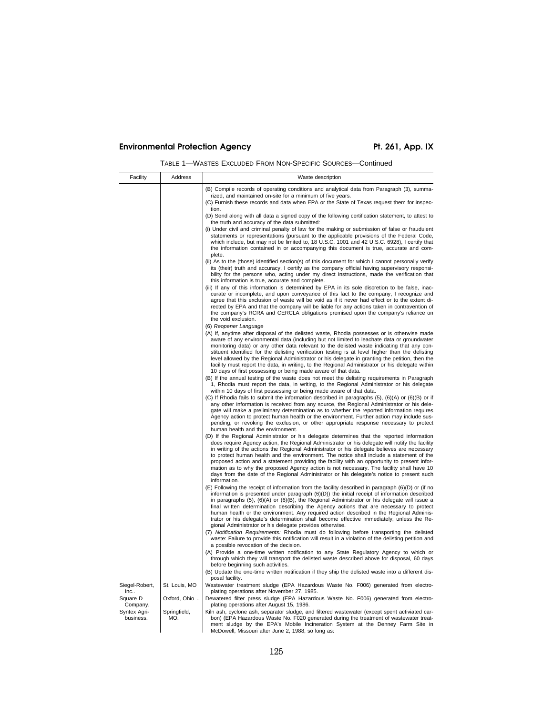| Facility                  | Address             | Waste description                                                                                                                                                                                                                                                                                                                                                                                                                                                                                                                                                                                                                                                                                 |
|---------------------------|---------------------|---------------------------------------------------------------------------------------------------------------------------------------------------------------------------------------------------------------------------------------------------------------------------------------------------------------------------------------------------------------------------------------------------------------------------------------------------------------------------------------------------------------------------------------------------------------------------------------------------------------------------------------------------------------------------------------------------|
|                           |                     | (B) Compile records of operating conditions and analytical data from Paragraph (3), summa-<br>rized, and maintained on-site for a minimum of five years.<br>(C) Furnish these records and data when EPA or the State of Texas request them for inspec-<br>tion.                                                                                                                                                                                                                                                                                                                                                                                                                                   |
|                           |                     | (D) Send along with all data a signed copy of the following certification statement, to attest to<br>the truth and accuracy of the data submitted:                                                                                                                                                                                                                                                                                                                                                                                                                                                                                                                                                |
|                           |                     | (i) Under civil and criminal penalty of law for the making or submission of false or fraudulent<br>statements or representations (pursuant to the applicable provisions of the Federal Code,<br>which include, but may not be limited to, 18 U.S.C. 1001 and 42 U.S.C. 6928), I certify that<br>the information contained in or accompanying this document is true, accurate and com-<br>plete.                                                                                                                                                                                                                                                                                                   |
|                           |                     | (ii) As to the (those) identified section(s) of this document for which I cannot personally verify<br>its (their) truth and accuracy, I certify as the company official having supervisory responsi-<br>bility for the persons who, acting under my direct instructions, made the verification that<br>this information is true, accurate and complete.                                                                                                                                                                                                                                                                                                                                           |
|                           |                     | (iii) If any of this information is determined by EPA in its sole discretion to be false, inac-<br>curate or incomplete, and upon conveyance of this fact to the company, I recognize and<br>agree that this exclusion of waste will be void as if it never had effect or to the extent di-<br>rected by EPA and that the company will be liable for any actions taken in contravention of<br>the company's RCRA and CERCLA obligations premised upon the company's reliance on<br>the void exclusion.                                                                                                                                                                                            |
|                           |                     | (6) Reopener Language                                                                                                                                                                                                                                                                                                                                                                                                                                                                                                                                                                                                                                                                             |
|                           |                     | (A) If, anytime after disposal of the delisted waste, Rhodia possesses or is otherwise made<br>aware of any environmental data (including but not limited to leachate data or groundwater<br>monitoring data) or any other data relevant to the delisted waste indicating that any con-<br>stituent identified for the delisting verification testing is at level higher than the delisting<br>level allowed by the Regional Administrator or his delegate in granting the petition, then the<br>facility must report the data, in writing, to the Regional Administrator or his delegate within<br>10 days of first possessing or being made aware of that data.                                 |
|                           |                     | (B) If the annual testing of the waste does not meet the delisting requirements in Paragraph<br>1, Rhodia must report the data, in writing, to the Regional Administrator or his delegate<br>within 10 days of first possessing or being made aware of that data.                                                                                                                                                                                                                                                                                                                                                                                                                                 |
|                           |                     | (C) If Rhodia fails to submit the information described in paragraphs (5), (6)(A) or (6)(B) or if<br>any other information is received from any source, the Regional Administrator or his dele-<br>gate will make a preliminary determination as to whether the reported information requires<br>Agency action to protect human health or the environment. Further action may include sus-<br>pending, or revoking the exclusion, or other appropriate response necessary to protect<br>human health and the environment.                                                                                                                                                                         |
|                           |                     | (D) If the Regional Administrator or his delegate determines that the reported information<br>does require Agency action, the Regional Administrator or his delegate will notify the facility<br>in writing of the actions the Regional Administrator or his delegate believes are necessary<br>to protect human health and the environment. The notice shall include a statement of the<br>proposed action and a statement providing the facility with an opportunity to present infor-<br>mation as to why the proposed Agency action is not necessary. The facility shall have 10<br>days from the date of the Regional Administrator or his delegate's notice to present such<br>information. |
|                           |                     | (E) Following the receipt of information from the facility described in paragraph (6)(D) or (if no<br>information is presented under paragraph $(6)(D)$ the initial receipt of information described<br>in paragraphs $(5)$ , $(6)(A)$ or $(6)(B)$ , the Regional Administrator or his delegate will issue a<br>final written determination describing the Agency actions that are necessary to protect<br>human health or the environment. Any required action described in the Regional Adminis-<br>trator or his delegate's determination shall become effective immediately, unless the Re-<br>gional Administrator or his delegate provides otherwise.                                       |
|                           |                     | (7) Notification Requirements: Rhodia must do following before transporting the delisted<br>waste: Failure to provide this notification will result in a violation of the delisting petition and<br>a possible revocation of the decision.                                                                                                                                                                                                                                                                                                                                                                                                                                                        |
|                           |                     | (A) Provide a one-time written notification to any State Regulatory Agency to which or<br>through which they will transport the delisted waste described above for disposal, 60 days<br>before beginning such activities.                                                                                                                                                                                                                                                                                                                                                                                                                                                                         |
|                           |                     | (B) Update the one-time written notification if they ship the delisted waste into a different dis-<br>posal facility.                                                                                                                                                                                                                                                                                                                                                                                                                                                                                                                                                                             |
| Siegel-Robert,<br>Inc     | St. Louis, MO       | Wastewater treatment sludge (EPA Hazardous Waste No. F006) generated from electro-<br>plating operations after November 27, 1985.                                                                                                                                                                                                                                                                                                                                                                                                                                                                                                                                                                 |
| Square D<br>Company.      | Oxford, Ohio        | Dewatered filter press sludge (EPA Hazardous Waste No. F006) generated from electro-<br>plating operations after August 15, 1986.                                                                                                                                                                                                                                                                                                                                                                                                                                                                                                                                                                 |
| Syntex Agri-<br>business. | Springfield,<br>MO. | Kiln ash, cyclone ash, separator sludge, and filtered wastewater (except spent activiated car-<br>bon) (EPA Hazardous Waste No. F020 generated during the treatment of wastewater treat-<br>ment sludge by the EPA's Mobile Incineration System at the Denney Farm Site in<br>McDowell, Missouri after June 2, 1988, so long as:                                                                                                                                                                                                                                                                                                                                                                  |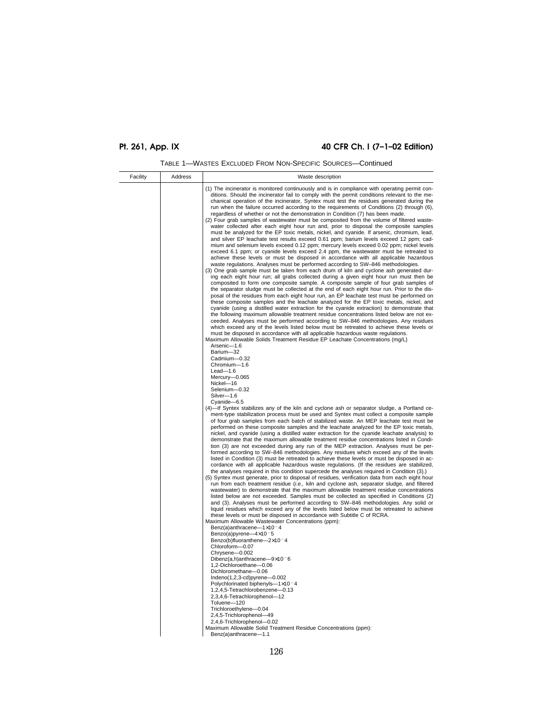| TABLE 1—WASTES EXCLUDED FROM NON-SPECIFIC SOURCES—Continued |
|-------------------------------------------------------------|
|-------------------------------------------------------------|

| Facility | Address | Waste description                                                                                                                                                                                                                                                                                                                                                                                                                                                                                                                                                                                                                                                                                                                                                                                                                                                                                                                                                                                                                                                                                                                                                                                                                                                                                                                                                                                                                                                                                                                                                                                                                                                                                                                                                                                                                                                                                                                                                                                                                                                                                                                                                                                                                                                                                                                             |
|----------|---------|-----------------------------------------------------------------------------------------------------------------------------------------------------------------------------------------------------------------------------------------------------------------------------------------------------------------------------------------------------------------------------------------------------------------------------------------------------------------------------------------------------------------------------------------------------------------------------------------------------------------------------------------------------------------------------------------------------------------------------------------------------------------------------------------------------------------------------------------------------------------------------------------------------------------------------------------------------------------------------------------------------------------------------------------------------------------------------------------------------------------------------------------------------------------------------------------------------------------------------------------------------------------------------------------------------------------------------------------------------------------------------------------------------------------------------------------------------------------------------------------------------------------------------------------------------------------------------------------------------------------------------------------------------------------------------------------------------------------------------------------------------------------------------------------------------------------------------------------------------------------------------------------------------------------------------------------------------------------------------------------------------------------------------------------------------------------------------------------------------------------------------------------------------------------------------------------------------------------------------------------------------------------------------------------------------------------------------------------------|
|          |         | (1) The incinerator is monitored continuously and is in compliance with operating permit con-<br>ditions. Should the incinerator fail to comply with the permit conditions relevant to the me-<br>chanical operation of the incinerator, Syntex must test the residues generated during the<br>run when the failure occurred according to the requirements of Conditions (2) through (6),<br>regardless of whether or not the demonstration in Condition (7) has been made.<br>(2) Four grab samples of wastewater must be composited from the volume of filtered waste-<br>water collected after each eight hour run and, prior to disposal the composite samples<br>must be analyzed for the EP toxic metals, nickel, and cyanide. If arsenic, chromium, lead,<br>and silver EP leachate test results exceed 0.61 ppm; barium levels exceed 12 ppm; cad-<br>mium and selenium levels exceed 0.12 ppm; mercury levels exceed 0.02 ppm; nickel levels<br>exceed 6.1 ppm; or cyanide levels exceed 2.4 ppm, the wastewater must be retreated to<br>achieve these levels or must be disposed in accordance with all applicable hazardous<br>waste regulations. Analyses must be performed according to SW-846 methodologies.<br>(3) One grab sample must be taken from each drum of kiln and cyclone ash generated dur-<br>ing each eight hour run; all grabs collected during a given eight hour run must then be<br>composited to form one composite sample. A composite sample of four grab samples of<br>the separator sludge must be collected at the end of each eight hour run. Prior to the dis-<br>posal of the residues from each eight hour run, an EP leachate test must be performed on<br>these composite samples and the leachate analyzed for the EP toxic metals, nickel, and<br>cyanide (using a distilled water extraction for the cyanide extraction) to demonstrate that<br>the following maximum allowable treatment residue concentrations listed below are not ex-<br>ceeded. Analyses must be performed according to SW-846 methodologies. Any residues<br>which exceed any of the levels listed below must be retreated to achieve these levels or<br>must be disposed in accordance with all applicable hazardous waste regulations.<br>Maximum Allowable Solids Treatment Residue EP Leachate Concentrations (mg/L) |
|          |         | Arsenic-1.6<br>Barium-32<br>Cadmium-0.32<br>Chromium-1.6<br>$Lead - 1.6$<br>Mercury-0.065<br>Nickel-16<br>Selenium-0.32<br>Silver-1.6                                                                                                                                                                                                                                                                                                                                                                                                                                                                                                                                                                                                                                                                                                                                                                                                                                                                                                                                                                                                                                                                                                                                                                                                                                                                                                                                                                                                                                                                                                                                                                                                                                                                                                                                                                                                                                                                                                                                                                                                                                                                                                                                                                                                         |
|          |         | Cyanide-6.5<br>(4)—If Syntex stabilizes any of the kiln and cyclone ash or separator sludge, a Portland ce-<br>ment-type stabilization process must be used and Syntex must collect a composite sample<br>of four grab samples from each batch of stabilized waste. An MEP leachate test must be<br>performed on these composite samples and the leachate analyzed for the EP toxic metals,<br>nickel, and cyanide (using a distilled water extraction for the cyanide leachate analysis) to<br>demonstrate that the maximum allowable treatment residue concentrations listed in Condi-<br>tion (3) are not exceeded during any run of the MEP extraction. Analyses must be per-<br>formed according to SW-846 methodologies. Any residues which exceed any of the levels<br>listed in Condition (3) must be retreated to achieve these levels or must be disposed in ac-<br>cordance with all applicable hazardous waste regulations. (If the residues are stabilized,<br>the analyses required in this condition supercede the analyses required in Condition (3).)<br>(5) Syntex must generate, prior to disposal of residues, verification data from each eight hour<br>run from each treatment residue (i.e., kiln and cyclone ash, separator sludge, and filtered<br>wastewater) to demonstrate that the maximum allowable treatment residue concentrations<br>listed below are not exceeded. Samples must be collected as specified in Conditions (2)<br>and (3). Analyses must be performed according to SW-846 methodologies. Any solid or<br>liquid residues which exceed any of the levels listed below must be retreated to achieve<br>these levels or must be disposed in accordance with Subtitle C of RCRA.                                                                                                                                                                                                                                                                                                                                                                                                                                                                                                                                                                                                                   |
|          |         | Maximum Allowable Wastewater Concentrations (ppm):<br>Benz(a)anthracene- $1\times10^-4$<br>Benzo(a)pyrene- $4\times10-5$<br>Benzo(b)fluoranthene- $2\times10^-4$<br>Chloroform-0.07<br>Chrysene-0.002<br>Dibenz(a,h)anthracene- $-9\times10^-6$<br>1,2-Dichloroethane-0.06<br>Dichloromethane-0.06<br>Indeno(1,2,3-cd)pyrene-0.002<br>Polychlorinated biphenyls-1x10-4<br>1,2,4,5-Tetrachlorobenzene-0.13<br>2,3,4,6-Tetrachlorophenol-12<br>Toluene-120<br>Trichloroethylene-0.04<br>2,4,5-Trichlorophenol-49<br>2,4,6-Trichlorophenol-0.02<br>Maximum Allowable Solid Treatment Residue Concentrations (ppm):<br>Benz(a)anthracene-1.1                                                                                                                                                                                                                                                                                                                                                                                                                                                                                                                                                                                                                                                                                                                                                                                                                                                                                                                                                                                                                                                                                                                                                                                                                                                                                                                                                                                                                                                                                                                                                                                                                                                                                                      |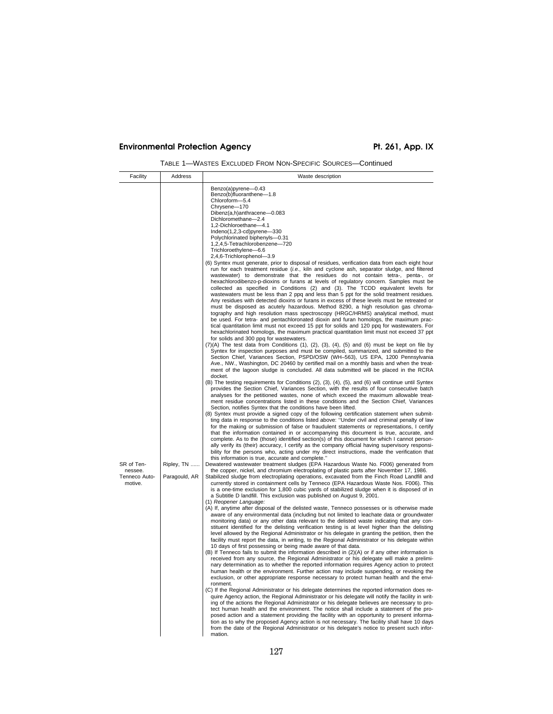| TABLE 1—WASTES EXCLUDED FROM NON-SPECIFIC SOURCES—Continued |  |  |  |  |
|-------------------------------------------------------------|--|--|--|--|
|-------------------------------------------------------------|--|--|--|--|

| Facility<br>Address                                                              | Waste description                                                                                                                                                                                                                                                                                                                                                                                                                                                                                                                                                                                                                                                                                                                                                                                                                                                                                                                                                                                                                                                                                                                                                                                                                                                                                                                                                                                                                                                                                                                                                                                                                                                                                                                                                                                                                                                                                                                                                                                                                                                                                                                                                                                                                                                                                                                                                                                                                                                                                                                                                                                                                                                                                                                                                                                                                                                                                                                                                                                                                                                                                                                                                                                                                                                                                                                                                                                                                                                                                                                                                                                                                                                                                                                                                                                                                                                                                                                                                                                                                                                                                                                                                                                                                                                                                                                                                                                                                                                                                                                                                                                                                                                                                                                                                                                                                                                                                                                                                                                                                                                                                                                                                              |
|----------------------------------------------------------------------------------|--------------------------------------------------------------------------------------------------------------------------------------------------------------------------------------------------------------------------------------------------------------------------------------------------------------------------------------------------------------------------------------------------------------------------------------------------------------------------------------------------------------------------------------------------------------------------------------------------------------------------------------------------------------------------------------------------------------------------------------------------------------------------------------------------------------------------------------------------------------------------------------------------------------------------------------------------------------------------------------------------------------------------------------------------------------------------------------------------------------------------------------------------------------------------------------------------------------------------------------------------------------------------------------------------------------------------------------------------------------------------------------------------------------------------------------------------------------------------------------------------------------------------------------------------------------------------------------------------------------------------------------------------------------------------------------------------------------------------------------------------------------------------------------------------------------------------------------------------------------------------------------------------------------------------------------------------------------------------------------------------------------------------------------------------------------------------------------------------------------------------------------------------------------------------------------------------------------------------------------------------------------------------------------------------------------------------------------------------------------------------------------------------------------------------------------------------------------------------------------------------------------------------------------------------------------------------------------------------------------------------------------------------------------------------------------------------------------------------------------------------------------------------------------------------------------------------------------------------------------------------------------------------------------------------------------------------------------------------------------------------------------------------------------------------------------------------------------------------------------------------------------------------------------------------------------------------------------------------------------------------------------------------------------------------------------------------------------------------------------------------------------------------------------------------------------------------------------------------------------------------------------------------------------------------------------------------------------------------------------------------------------------------------------------------------------------------------------------------------------------------------------------------------------------------------------------------------------------------------------------------------------------------------------------------------------------------------------------------------------------------------------------------------------------------------------------------------------------------------------------------------------------------------------------------------------------------------------------------------------------------------------------------------------------------------------------------------------------------------------------------------------------------------------------------------------------------------------------------------------------------------------------------------------------------------------------------------------------------------------------------------------------------------------------------------------------------------------------------------------------------------------------------------------------------------------------------------------------------------------------------------------------------------------------------------------------------------------------------------------------------------------------------------------------------------------------------------------------------------------------------------------------------------------------------------|
| SR of Ten-<br>Ripley, TN<br>nessee.<br>Tenneco Auto-<br>Paragould, AR<br>motive. | Benzo(a)pyrene-0.43<br>Benzo(b)fluoranthene-1.8<br>Chloroform-5.4<br>Chrysene-170<br>Dibenz(a,h)anthracene-0.083<br>Dichloromethane-2.4<br>1,2-Dichloroethane-4.1<br>Indeno(1,2,3-cd)pyrene-330<br>Polychlorinated biphenyls-0.31<br>1,2,4,5-Tetrachlorobenzene-720<br>Trichloroethylene-6.6<br>2,4,6-Trichlorophenol-3.9<br>(6) Syntex must generate, prior to disposal of residues, verification data from each eight hour<br>run for each treatment residue (i.e., kiln and cyclone ash, separator sludge, and filtered<br>wastewater) to demonstrate that the residues do not contain tetra-, penta-, or<br>hexachlorodibenzo-p-dioxins or furans at levels of regulatory concern. Samples must be<br>collected as specified in Conditions (2) and (3). The TCDD equivalent levels for<br>wastewaters must be less than 2 ppq and less than 5 ppt for the solid treatment residues.<br>Any residues with detected dioxins or furans in excess of these levels must be retreated or<br>must be disposed as acutely hazardous. Method 8290, a high resolution gas chroma-<br>tography and high resolution mass spectroscopy (HRGC/HRMS) analytical method, must<br>be used. For tetra- and pentachloronated dioxin and furan homologs, the maximum prac-<br>tical quantitation limit must not exceed 15 ppt for solids and 120 ppq for wastewaters. For<br>hexachlorinated homologs, the maximum practical quantitation limit must not exceed 37 ppt<br>for solids and 300 ppq for wastewaters.<br>$(7)(A)$ The test data from Conditions $(1)$ , $(2)$ , $(3)$ , $(4)$ , $(5)$ and $(6)$ must be kept on file by<br>Syntex for inspection purposes and must be compiled, summarized, and submitted to the<br>Section Chief, Variances Section, PSPD/OSW (WH-563), US EPA, 1200 Pennsylvania<br>Ave., NW., Washington, DC 20460 by certified mail on a monthly basis and when the treat-<br>ment of the lagoon sludge is concluded. All data submitted will be placed in the RCRA<br>docket.<br>(B) The testing requirements for Conditions (2), (3), (4), (5), and (6) will continue until Syntex<br>provides the Section Chief, Variances Section, with the results of four consecutive batch<br>analyses for the petitioned wastes, none of which exceed the maximum allowable treat-<br>ment residue concentrations listed in these conditions and the Section Chief, Variances<br>Section, notifies Syntex that the conditions have been lifted.<br>(8) Syntex must provide a signed copy of the following certification statement when submit-<br>ting data in response to the conditions listed above: "Under civil and criminal penalty of law<br>for the making or submission of false or fraudulent statements or representations, I certify<br>that the information contained in or accompanying this document is true, accurate, and<br>complete. As to the (those) identified section(s) of this document for which I cannot person-<br>ally verify its (their) accuracy, I certify as the company official having supervisory responsi-<br>bility for the persons who, acting under my direct instructions, made the verification that<br>this information is true, accurate and complete."<br>Dewatered wastewater treatment sludges (EPA Hazardous Waste No. F006) generated from<br>the copper, nickel, and chromium electroplating of plastic parts after November 17, 1986.<br>Stabilized sludge from electroplating operations, excavated from the Finch Road Landfill and<br>currently stored in containment cells by Tenneco (EPA Hazardous Waste Nos. F006). This<br>is a one-time exclusion for 1,800 cubic yards of stabilized sludge when it is disposed of in<br>a Subtitle D landfill. This exclusion was published on August 9, 2001.<br>(1) Reopener Language:<br>(A) If, anytime after disposal of the delisted waste, Tenneco possesses or is otherwise made<br>aware of any environmental data (including but not limited to leachate data or groundwater<br>monitoring data) or any other data relevant to the delisted waste indicating that any con-<br>stituent identified for the delisting verification testing is at level higher than the delisting<br>level allowed by the Regional Administrator or his delegate in granting the petition, then the<br>facility must report the data, in writing, to the Regional Administrator or his delegate within<br>10 days of first possessing or being made aware of that data.<br>(B) If Tenneco fails to submit the information described in (2)(A) or if any other information is<br>received from any source, the Regional Administrator or his delegate will make a prelimi-<br>nary determination as to whether the reported information requires Agency action to protect<br>human health or the environment. Further action may include suspending, or revoking the<br>exclusion, or other appropriate response necessary to protect human health and the envi-<br>ronment<br>(C) If the Regional Administrator or his delegate determines the reported information does re-<br>quire Agency action, the Regional Administrator or his delegate will notify the facility in writ- |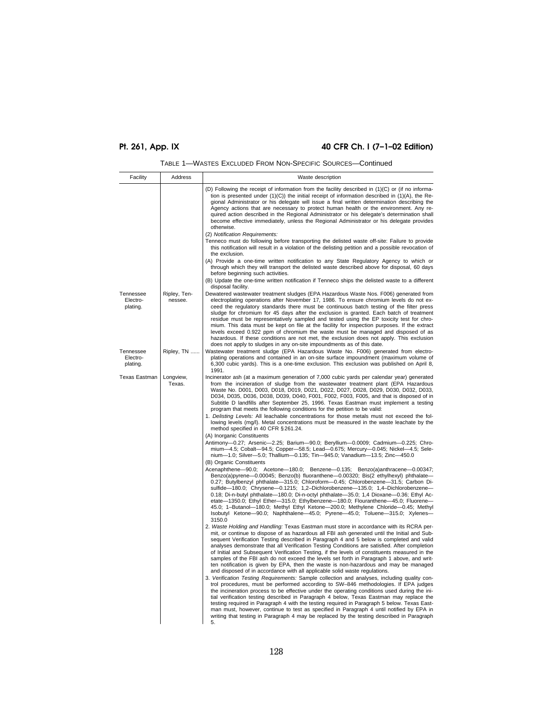|  | TABLE 1—WASTES EXCLUDED FROM NON-SPECIFIC SOURCES—Continued |  |  |  |  |  |
|--|-------------------------------------------------------------|--|--|--|--|--|
|--|-------------------------------------------------------------|--|--|--|--|--|

| Facility                          | Address                 | Waste description                                                                                                                                                                                                                                                                                                                                                                                                                                                                                                                                                                                                                                                                                                                                                                                                                                                                                                                                                                                                                                                                                                                                                                                                                                                                                                                                                                                                                   |
|-----------------------------------|-------------------------|-------------------------------------------------------------------------------------------------------------------------------------------------------------------------------------------------------------------------------------------------------------------------------------------------------------------------------------------------------------------------------------------------------------------------------------------------------------------------------------------------------------------------------------------------------------------------------------------------------------------------------------------------------------------------------------------------------------------------------------------------------------------------------------------------------------------------------------------------------------------------------------------------------------------------------------------------------------------------------------------------------------------------------------------------------------------------------------------------------------------------------------------------------------------------------------------------------------------------------------------------------------------------------------------------------------------------------------------------------------------------------------------------------------------------------------|
|                                   |                         | (D) Following the receipt of information from the facility described in (1)(C) or (if no informa-<br>tion is presented under $(1)(C)$ the initial receipt of information described in $(1)(A)$ , the Re-<br>gional Administrator or his delegate will issue a final written determination describing the<br>Agency actions that are necessary to protect human health or the environment. Any re-<br>quired action described in the Regional Administrator or his delegate's determination shall<br>become effective immediately, unless the Regional Administrator or his delegate provides<br>otherwise.<br>(2) Notification Requirements:                                                                                                                                                                                                                                                                                                                                                                                                                                                                                                                                                                                                                                                                                                                                                                                        |
|                                   |                         | Tenneco must do following before transporting the delisted waste off-site: Failure to provide<br>this notification will result in a violation of the delisting petition and a possible revocation of<br>the exclusion.                                                                                                                                                                                                                                                                                                                                                                                                                                                                                                                                                                                                                                                                                                                                                                                                                                                                                                                                                                                                                                                                                                                                                                                                              |
|                                   |                         | (A) Provide a one-time written notification to any State Regulatory Agency to which or<br>through which they will transport the delisted waste described above for disposal, 60 days<br>before beginning such activities.                                                                                                                                                                                                                                                                                                                                                                                                                                                                                                                                                                                                                                                                                                                                                                                                                                                                                                                                                                                                                                                                                                                                                                                                           |
|                                   |                         | (B) Update the one-time written notification if Tenneco ships the delisted waste to a different<br>disposal facility.                                                                                                                                                                                                                                                                                                                                                                                                                                                                                                                                                                                                                                                                                                                                                                                                                                                                                                                                                                                                                                                                                                                                                                                                                                                                                                               |
| Tennessee<br>Electro-<br>plating. | Ripley, Ten-<br>nessee. | Dewatered wastewater treatment sludges (EPA Hazardous Waste Nos. F006) generated from<br>electroplating operations after November 17, 1986. To ensure chromium levels do not ex-<br>ceed the regulatory standards there must be continuous batch testing of the filter press<br>sludge for chromium for 45 days after the exclusion is granted. Each batch of treatment<br>residue must be representatively sampled and tested using the EP toxicity test for chro-<br>mium. This data must be kept on file at the facility for inspection purposes. If the extract<br>levels exceed 0.922 ppm of chromium the waste must be managed and disposed of as<br>hazardous. If these conditions are not met, the exclusion does not apply. This exclusion<br>does not apply to sludges in any on-site impoundments as of this date.                                                                                                                                                                                                                                                                                                                                                                                                                                                                                                                                                                                                       |
| Tennessee<br>Electro-<br>plating. | Ripley, TN              | Wastewater treatment sludge (EPA Hazardous Waste No. F006) generated from electro-<br>plating operations and contained in an on-site surface impoundment (maximum volume of<br>6,300 cubic yards). This is a one-time exclusion. This exclusion was published on April 8,<br>1991.                                                                                                                                                                                                                                                                                                                                                                                                                                                                                                                                                                                                                                                                                                                                                                                                                                                                                                                                                                                                                                                                                                                                                  |
| Texas Eastman                     | Longview,<br>Texas.     | Incinerator ash (at a maximum generation of 7,000 cubic yards per calendar year) generated<br>from the incineration of sludge from the wastewater treatment plant (EPA Hazardous<br>Waste No. D001, D003, D018, D019, D021, D022, D027, D028, D029, D030, D032, D033,<br>D034, D035, D036, D038, D039, D040, F001, F002, F003, F005, and that is disposed of in<br>Subtitle D landfills after September 25, 1996. Texas Eastman must implement a testing<br>program that meets the following conditions for the petition to be valid:<br>1. Delisting Levels: All leachable concentrations for those metals must not exceed the fol-<br>lowing levels (mg/l). Metal concentrations must be measured in the waste leachate by the<br>method specified in 40 CFR § 261.24.<br>(A) Inorganic Constituents                                                                                                                                                                                                                                                                                                                                                                                                                                                                                                                                                                                                                              |
|                                   |                         | Antimony-0.27; Arsenic-2.25; Barium-90.0; Beryllium-0.0009; Cadmium-0.225; Chro-<br>mium-4.5; Cobalt-94.5; Copper-58.5; Lead-0.675; Mercury-0.045; Nickel-4.5; Sele-<br>nium-1.0; Silver-5.0; Thallium-0.135; Tin-945.0; Vanadium-13.5; Zinc-450.0<br>(B) Organic Constituents                                                                                                                                                                                                                                                                                                                                                                                                                                                                                                                                                                                                                                                                                                                                                                                                                                                                                                                                                                                                                                                                                                                                                      |
|                                   |                         | Acenaphthene-90.0; Acetone-180.0; Benzene-0.135; Benzo(a)anthracene-0.00347;<br>Benzo(a)pyrene-0.00045; Benzo(b) fluoranthene-0.00320; Bis(2 ethylhexyl) phthalate-<br>0.27; Butylbenzyl phthalate—315.0; Chloroform—0.45; Chlorobenzene—31.5; Carbon Di-<br>sulfide-180.0; Chrysene-0.1215; 1,2-Dichlorobenzene-135.0; 1,4-Dichlorobenzene-<br>0.18; Di-n-butyl phthalate-180.0; Di-n-octyl phthalate-35.0; 1,4 Dioxane-0.36; Ethyl Ac-<br>etate-1350.0; Ethyl Ether-315.0; Ethylbenzene-180.0; Flouranthene-45.0; Fluorene-<br>45.0; 1-Butanol-180.0; Methyl Ethyl Ketone-200.0; Methylene Chloride-0.45; Methyl<br>Isobutyl Ketone-90.0; Naphthalene-45.0; Pyrene-45.0; Toluene-315.0; Xylenes-<br>3150.0                                                                                                                                                                                                                                                                                                                                                                                                                                                                                                                                                                                                                                                                                                                        |
|                                   |                         | 2. Waste Holding and Handling: Texas Eastman must store in accordance with its RCRA per-<br>mit, or continue to dispose of as hazardous all FBI ash generated until the Initial and Sub-<br>sequent Verification Testing described in Paragraph 4 and 5 below is completed and valid<br>analyses demonstrate that all Verification Testing Conditions are satisfied. After completion<br>of Initial and Subsequent Verification Testing, if the levels of constituents measured in the<br>samples of the FBI ash do not exceed the levels set forth in Paragraph 1 above, and writ-<br>ten notification is given by EPA, then the waste is non-hazardous and may be managed<br>and disposed of in accordance with all applicable solid waste regulations.<br>3. Verification Testing Requirements: Sample collection and analyses, including quality con-<br>trol procedures, must be performed according to SW-846 methodologies. If EPA judges<br>the incineration process to be effective under the operating conditions used during the ini-<br>tial verification testing described in Paragraph 4 below, Texas Eastman may replace the<br>testing required in Paragraph 4 with the testing required in Paragraph 5 below. Texas East-<br>man must, however, continue to test as specified in Paragraph 4 until notified by EPA in<br>writing that testing in Paragraph 4 may be replaced by the testing described in Paragraph |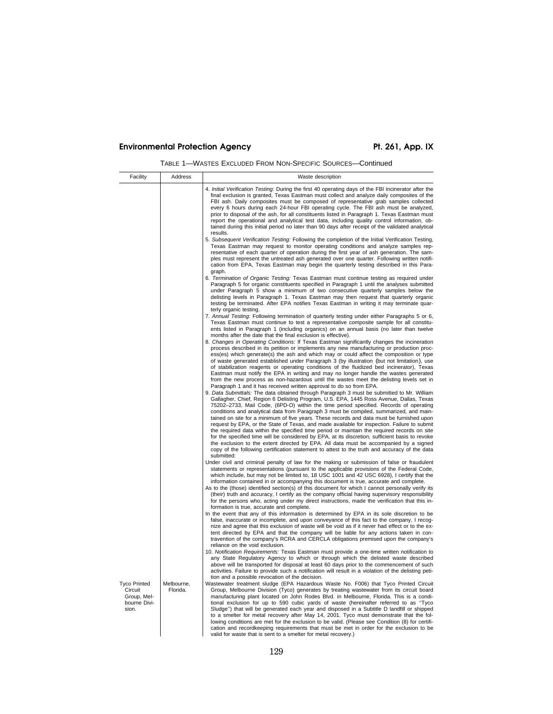| Facility                                                               | Address                | Waste description                                                                                                                                                                                                                                                                                                                                                                                                                                                                                                                                                                                                                                                                                                                                                                                                                                                                                                                                                               |
|------------------------------------------------------------------------|------------------------|---------------------------------------------------------------------------------------------------------------------------------------------------------------------------------------------------------------------------------------------------------------------------------------------------------------------------------------------------------------------------------------------------------------------------------------------------------------------------------------------------------------------------------------------------------------------------------------------------------------------------------------------------------------------------------------------------------------------------------------------------------------------------------------------------------------------------------------------------------------------------------------------------------------------------------------------------------------------------------|
|                                                                        |                        | 4. Initial Verification Testing: During the first 40 operating days of the FBI incinerator after the<br>final exclusion is granted, Texas Eastman must collect and analyze daily composites of the<br>FBI ash. Daily composites must be composed of representative grab samples collected<br>every 6 hours during each 24-hour FBI operating cycle. The FBI ash must be analyzed,<br>prior to disposal of the ash, for all constituents listed in Paragraph 1. Texas Eastman must<br>report the operational and analytical test data, including quality control information, ob-<br>tained during this initial period no later than 90 days after receipt of the validated analytical<br>results.                                                                                                                                                                                                                                                                               |
|                                                                        |                        | 5. Subsequent Verification Testing: Following the completion of the Initial Verification Testing,<br>Texas Eastman may request to monitor operating conditions and analyze samples rep-<br>resentative of each quarter of operation during the first year of ash generation. The sam-<br>ples must represent the untreated ash generated over one quarter. Following written notifi-<br>cation from EPA, Texas Eastman may begin the quarterly testing described in this Para-<br>graph.                                                                                                                                                                                                                                                                                                                                                                                                                                                                                        |
|                                                                        |                        | 6. Termination of Organic Testing: Texas Eastman must continue testing as required under<br>Paragraph 5 for organic constituents specified in Paragraph 1 until the analyses submitted<br>under Paragraph 5 show a minimum of two consecutive quarterly samples below the<br>delisting levels in Paragraph 1. Texas Eastman may then request that quarterly organic<br>testing be terminated. After EPA notifies Texas Eastman in writing it may terminate quar-<br>terly organic testing.                                                                                                                                                                                                                                                                                                                                                                                                                                                                                      |
|                                                                        |                        | 7. Annual Testing: Following termination of quarterly testing under either Paragraphs 5 or 6,<br>Texas Eastman must continue to test a representative composite sample for all constitu-<br>ents listed in Paragraph 1 (including organics) on an annual basis (no later than twelve<br>months after the date that the final exclusion is effective).                                                                                                                                                                                                                                                                                                                                                                                                                                                                                                                                                                                                                           |
|                                                                        |                        | 8. Changes in Operating Conditions: If Texas Eastman significantly changes the incineration<br>process described in its petition or implements any new manufacturing or production proc-<br>ess(es) which generate(s) the ash and which may or could affect the composition or type<br>of waste generated established under Paragraph 3 (by illustration {but not limitation}, use<br>of stabilization reagents or operating conditions of the fluidized bed incinerator), Texas<br>Eastman must notify the EPA in writing and may no longer handle the wastes generated<br>from the new process as non-hazardous until the wastes meet the delisting levels set in<br>Paragraph 1 and it has received written approval to do so from EPA.                                                                                                                                                                                                                                      |
|                                                                        |                        | 9. Data Submittals: The data obtained through Paragraph 3 must be submitted to Mr. William<br>Gallagher, Chief, Region 6 Delisting Program, U.S. EPA, 1445 Ross Avenue, Dallas, Texas<br>75202-2733, Mail Code, (6PD-O) within the time period specified. Records of operating<br>conditions and analytical data from Paragraph 3 must be compiled, summarized, and main-<br>tained on site for a minimum of five years. These records and data must be furnished upon<br>request by EPA, or the State of Texas, and made available for inspection. Failure to submit<br>the required data within the specified time period or maintain the required records on site<br>for the specified time will be considered by EPA, at its discretion, sufficient basis to revoke<br>the exclusion to the extent directed by EPA. All data must be accompanied by a signed<br>copy of the following certification statement to attest to the truth and accuracy of the data<br>submitted: |
|                                                                        |                        | Under civil and criminal penalty of law for the making or submission of false or fraudulent<br>statements or representations (pursuant to the applicable provisions of the Federal Code,<br>which include, but may not be limited to, 18 USC 1001 and 42 USC 6928), I certify that the<br>information contained in or accompanying this document is true, accurate and complete.<br>As to the (those) identified section(s) of this document for which I cannot personally verify its                                                                                                                                                                                                                                                                                                                                                                                                                                                                                           |
|                                                                        |                        | (their) truth and accuracy, I certify as the company official having supervisory responsibility<br>for the persons who, acting under my direct instructions, made the verification that this in-<br>formation is true, accurate and complete.<br>In the event that any of this information is determined by EPA in its sole discretion to be                                                                                                                                                                                                                                                                                                                                                                                                                                                                                                                                                                                                                                    |
|                                                                        |                        | false, inaccurate or incomplete, and upon conveyance of this fact to the company, I recog-<br>nize and agree that this exclusion of waste will be void as if it never had effect or to the ex-<br>tent directed by EPA and that the company will be liable for any actions taken in con-<br>travention of the company's RCRA and CERCLA obligations premised upon the company's<br>reliance on the void exclusion.                                                                                                                                                                                                                                                                                                                                                                                                                                                                                                                                                              |
|                                                                        |                        | 10. Notification Requirements: Texas Eastman must provide a one-time written notification to<br>any State Regulatory Agency to which or through which the delisted waste described<br>above will be transported for disposal at least 60 days prior to the commencement of such<br>activities. Failure to provide such a notification will result in a violation of the delisting peti-<br>tion and a possible revocation of the decision.                                                                                                                                                                                                                                                                                                                                                                                                                                                                                                                                      |
| <b>Tyco Printed</b><br>Circuit<br>Group, Mel-<br>bourne Divi-<br>sion. | Melbourne,<br>Florida. | Wastewater treatment sludge (EPA Hazardous Waste No. F006) that Tyco Printed Circuit<br>Group, Melbourne Division (Tyco) generates by treating wastewater from its circuit board<br>manufacturing plant located on John Rodes Blvd. in Melbourne, Florida. This is a condi-<br>tional exclusion for up to 590 cubic yards of waste (hereinafter referred to as "Tyco<br>Sludge") that will be generated each year and disposed in a Subtitle D landfill or shipped<br>to a smelter for metal recovery after May 14, 2001. Tyco must demonstrate that the fol-<br>lowing conditions are met for the exclusion to be valid. (Please see Condition (8) for certifi-<br>cation and recordkeeping requirements that must be met in order for the exclusion to be<br>valid for waste that is sent to a smelter for metal recovery.)                                                                                                                                                   |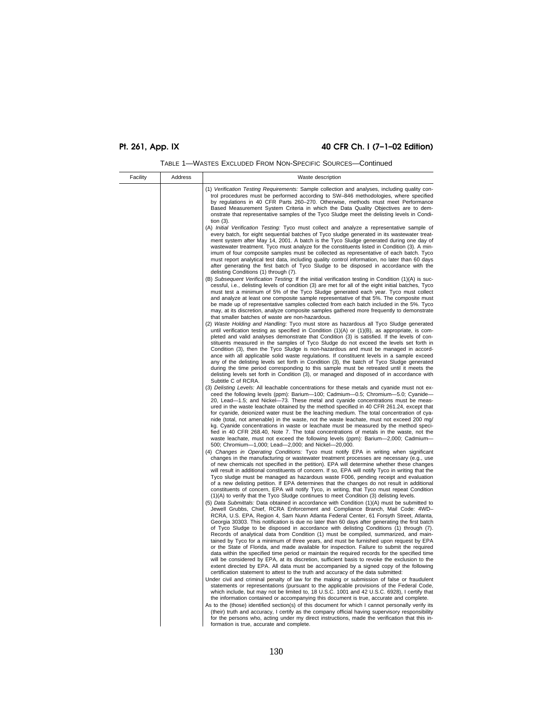| TABLE 1—WASTES EXCLUDED FROM NON-SPECIFIC SOURCES—Continued |
|-------------------------------------------------------------|
|-------------------------------------------------------------|

| Facility | Address | Waste description                                                                                                                                                                                                                                                                                                                                                                                                                                                                                                                                                                                                                                                                                                                                                                                                                                                                                                                                                                                                                                                                                                                                                                                                                                                                                                                 |
|----------|---------|-----------------------------------------------------------------------------------------------------------------------------------------------------------------------------------------------------------------------------------------------------------------------------------------------------------------------------------------------------------------------------------------------------------------------------------------------------------------------------------------------------------------------------------------------------------------------------------------------------------------------------------------------------------------------------------------------------------------------------------------------------------------------------------------------------------------------------------------------------------------------------------------------------------------------------------------------------------------------------------------------------------------------------------------------------------------------------------------------------------------------------------------------------------------------------------------------------------------------------------------------------------------------------------------------------------------------------------|
|          |         | (1) Verification Testing Requirements: Sample collection and analyses, including quality con-<br>trol procedures must be performed according to SW-846 methodologies, where specified<br>by regulations in 40 CFR Parts 260-270. Otherwise, methods must meet Performance<br>Based Measurement System Criteria in which the Data Quality Objectives are to dem-<br>onstrate that representative samples of the Tyco Sludge meet the delisting levels in Condi-<br>tion $(3)$ .                                                                                                                                                                                                                                                                                                                                                                                                                                                                                                                                                                                                                                                                                                                                                                                                                                                    |
|          |         | (A) Initial Verification Testing: Tyco must collect and analyze a representative sample of<br>every batch, for eight sequential batches of Tyco sludge generated in its wastewater treat-<br>ment system after May 14, 2001. A batch is the Tyco Sludge generated during one day of<br>wastewater treatment. Tyco must analyze for the constituents listed in Condition (3). A min-<br>imum of four composite samples must be collected as representative of each batch. Tyco<br>must report analytical test data, including quality control information, no later than 60 days<br>after generating the first batch of Tyco Sludge to be disposed in accordance with the<br>delisting Conditions (1) through (7).                                                                                                                                                                                                                                                                                                                                                                                                                                                                                                                                                                                                                 |
|          |         | (B) Subsequent Verification Testing: If the initial verification testing in Condition (1)(A) is suc-<br>cessful, i.e., delisting levels of condition (3) are met for all of the eight initial batches, Tyco<br>must test a minimum of 5% of the Tyco Sludge generated each year. Tyco must collect<br>and analyze at least one composite sample representative of that 5%. The composite must<br>be made up of representative samples collected from each batch included in the 5%. Tyco<br>may, at its discretion, analyze composite samples gathered more frequently to demonstrate<br>that smaller batches of waste are non-hazardous.                                                                                                                                                                                                                                                                                                                                                                                                                                                                                                                                                                                                                                                                                         |
|          |         | (2) Waste Holding and Handling: Tyco must store as hazardous all Tyco Sludge generated<br>until verification testing as specified in Condition $(1)(A)$ or $(1)(B)$ , as appropriate, is com-<br>pleted and valid analyses demonstrate that Condition (3) is satisfied. If the levels of con-<br>stituents measured in the samples of Tyco Sludge do not exceed the levels set forth in<br>Condition (3), then the Tyco Sludge is non-hazardous and must be managed in accord-<br>ance with all applicable solid waste regulations. If constituent levels in a sample exceed<br>any of the delisting levels set forth in Condition (3), the batch of Tyco Sludge generated<br>during the time period corresponding to this sample must be retreated until it meets the<br>delisting levels set forth in Condition (3), or managed and disposed of in accordance with<br>Subtitle C of RCRA.                                                                                                                                                                                                                                                                                                                                                                                                                                       |
|          |         | (3) Delisting Levels: All leachable concentrations for these metals and cyanide must not ex-<br>ceed the following levels (ppm): Barium-100; Cadmium-0.5; Chromium-5.0; Cyanide-<br>20, Lead-1.5; and Nickel-73. These metal and cyanide concentrations must be meas-<br>ured in the waste leachate obtained by the method specified in 40 CFR 261.24, except that<br>for cyanide, deionized water must be the leaching medium. The total concentration of cya-<br>nide (total, not amenable) in the waste, not the waste leachate, must not exceed 200 mg/<br>kg. Cyanide concentrations in waste or leachate must be measured by the method speci-<br>fied in 40 CFR 268.40, Note 7. The total concentrations of metals in the waste, not the<br>waste leachate, must not exceed the following levels (ppm): Barium-2,000; Cadmium-<br>500; Chromium-1,000; Lead-2,000; and Nickel-20,000.                                                                                                                                                                                                                                                                                                                                                                                                                                      |
|          |         | (4) Changes in Operating Conditions: Tyco must notify EPA in writing when significant<br>changes in the manufacturing or wastewater treatment processes are necessary (e.g., use<br>of new chemicals not specified in the petition). EPA will determine whether these changes<br>will result in additional constituents of concern. If so, EPA will notify Tyco in writing that the<br>Tyco sludge must be managed as hazardous waste F006, pending receipt and evaluation<br>of a new delisting petition. If EPA determines that the changes do not result in additional<br>constituents of concern, EPA will notify Tyco, in writing, that Tyco must repeat Condition<br>(1)(A) to verify that the Tyco Sludge continues to meet Condition (3) delisting levels.<br>(5) Data Submittals: Data obtained in accordance with Condition (1)(A) must be submitted to<br>Jewell Grubbs, Chief, RCRA Enforcement and Compliance Branch, Mail Code: 4WD-<br>RCRA, U.S. EPA, Region 4, Sam Nunn Atlanta Federal Center, 61 Forsyth Street, Atlanta,<br>Georgia 30303. This notification is due no later than 60 days after generating the first batch<br>of Tyco Sludge to be disposed in accordance with delisting Conditions (1) through (7).<br>Records of analytical data from Condition (1) must be compiled, summarized, and main- |
|          |         | tained by Tyco for a minimum of three years, and must be furnished upon request by EPA<br>or the State of Florida, and made available for inspection. Failure to submit the required<br>data within the specified time period or maintain the required records for the specified time<br>will be considered by EPA, at its discretion, sufficient basis to revoke the exclusion to the<br>extent directed by EPA. All data must be accompanied by a signed copy of the following<br>certification statement to attest to the truth and accuracy of the data submitted:<br>Under civil and criminal penalty of law for the making or submission of false or fraudulent<br>statements or representations (pursuant to the applicable provisions of the Federal Code,<br>which include, but may not be limited to, 18 U.S.C. 1001 and 42 U.S.C. 6928), I certify that<br>the information contained or accompanying this document is true, accurate and complete.<br>As to the (those) identified section(s) of this document for which I cannot personally verify its<br>(their) truth and accuracy, I certify as the company official having supervisory responsibility                                                                                                                                                             |
|          |         | for the persons who, acting under my direct instructions, made the verification that this in-<br>formation is true, accurate and complete.                                                                                                                                                                                                                                                                                                                                                                                                                                                                                                                                                                                                                                                                                                                                                                                                                                                                                                                                                                                                                                                                                                                                                                                        |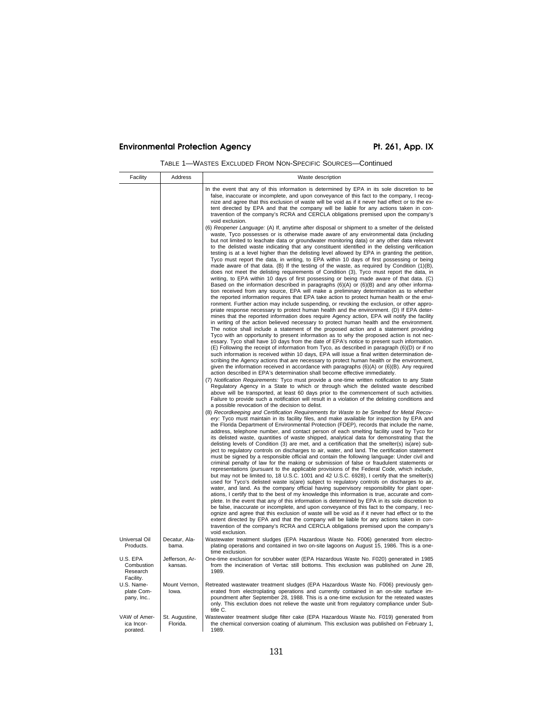| Facility                               | Address                                  | Waste description                                                                                                                                                                                                                                                                                                                                                                                                                                                                                                                                                                                                                                                                                                                                                                                                                                                                                                                                                                                                                                                                                                                                                                                                                                                                                                                                                                                                                                                                                                                                                                                                                                                                                                                                                                                                                                                                                                                                                                                                                                                                                                                                                                                                                                                                                                                                                                                                                                                                                                                  |
|----------------------------------------|------------------------------------------|------------------------------------------------------------------------------------------------------------------------------------------------------------------------------------------------------------------------------------------------------------------------------------------------------------------------------------------------------------------------------------------------------------------------------------------------------------------------------------------------------------------------------------------------------------------------------------------------------------------------------------------------------------------------------------------------------------------------------------------------------------------------------------------------------------------------------------------------------------------------------------------------------------------------------------------------------------------------------------------------------------------------------------------------------------------------------------------------------------------------------------------------------------------------------------------------------------------------------------------------------------------------------------------------------------------------------------------------------------------------------------------------------------------------------------------------------------------------------------------------------------------------------------------------------------------------------------------------------------------------------------------------------------------------------------------------------------------------------------------------------------------------------------------------------------------------------------------------------------------------------------------------------------------------------------------------------------------------------------------------------------------------------------------------------------------------------------------------------------------------------------------------------------------------------------------------------------------------------------------------------------------------------------------------------------------------------------------------------------------------------------------------------------------------------------------------------------------------------------------------------------------------------------|
|                                        |                                          | In the event that any of this information is determined by EPA in its sole discretion to be<br>false, inaccurate or incomplete, and upon conveyance of this fact to the company, I recog-<br>nize and agree that this exclusion of waste will be void as if it never had effect or to the ex-<br>tent directed by EPA and that the company will be liable for any actions taken in con-<br>travention of the company's RCRA and CERCLA obligations premised upon the company's<br>void exclusion.                                                                                                                                                                                                                                                                                                                                                                                                                                                                                                                                                                                                                                                                                                                                                                                                                                                                                                                                                                                                                                                                                                                                                                                                                                                                                                                                                                                                                                                                                                                                                                                                                                                                                                                                                                                                                                                                                                                                                                                                                                  |
|                                        |                                          | (6) Reopener Language: (A) If, anytime after disposal or shipment to a smelter of the delisted<br>waste, Tyco possesses or is otherwise made aware of any environmental data (including<br>but not limited to leachate data or groundwater monitoring data) or any other data relevant<br>to the delisted waste indicating that any constituent identified in the delisting verification<br>testing is at a level higher than the delisting level allowed by EPA in granting the petition,<br>Tyco must report the data, in writing, to EPA within 10 days of first possessing or being<br>made aware of that data. (B) If the testing of the waste, as required by Condition $(1)(B)$ ,<br>does not meet the delisting requirements of Condition (3), Tyco must report the data, in<br>writing, to EPA within 10 days of first possessing or being made aware of that data. (C)<br>Based on the information described in paragraphs $(6)(A)$ or $(6)(B)$ and any other informa-<br>tion received from any source, EPA will make a preliminary determination as to whether<br>the reported information requires that EPA take action to protect human health or the envi-<br>ronment. Further action may include suspending, or revoking the exclusion, or other appro-<br>priate response necessary to protect human health and the environment. (D) If EPA deter-<br>mines that the reported information does require Agency action, EPA will notify the facility<br>in writing of the action believed necessary to protect human health and the environment.<br>The notice shall include a statement of the proposed action and a statement providing<br>Tyco with an opportunity to present information as to why the proposed action is not nec-<br>essary. Tyco shall have 10 days from the date of EPA's notice to present such information.<br>$(E)$ Following the receipt of information from Tyco, as described in paragraph $(6)(D)$ or if no<br>such information is received within 10 days, EPA will issue a final written determination de-<br>scribing the Agency actions that are necessary to protect human health or the environment,<br>given the information received in accordance with paragraphs $(6)(A)$ or $(6)(B)$ . Any required<br>action described in EPA's determination shall become effective immediately.<br>(7) Notification Requirements: Tyco must provide a one-time written notification to any State<br>Regulatory Agency in a State to which or through which the delisted waste described |
|                                        |                                          | above will be transported, at least 60 days prior to the commencement of such activities.<br>Failure to provide such a notification will result in a violation of the delisting conditions and<br>a possible revocation of the decision to delist.<br>(8) Recordkeeping and Certification Requirements for Waste to be Smelted for Metal Recov-<br>ery: Tyco must maintain in its facility files, and make available for inspection by EPA and                                                                                                                                                                                                                                                                                                                                                                                                                                                                                                                                                                                                                                                                                                                                                                                                                                                                                                                                                                                                                                                                                                                                                                                                                                                                                                                                                                                                                                                                                                                                                                                                                                                                                                                                                                                                                                                                                                                                                                                                                                                                                     |
|                                        |                                          | the Florida Department of Environmental Protection (FDEP), records that include the name,<br>address, telephone number, and contact person of each smelting facility used by Tyco for<br>its delisted waste, quantities of waste shipped, analytical data for demonstrating that the<br>delisting levels of Condition (3) are met, and a certification that the smelter(s) is(are) sub-<br>ject to regulatory controls on discharges to air, water, and land. The certification statement<br>must be signed by a responsible official and contain the following language: Under civil and<br>criminal penalty of law for the making or submission of false or fraudulent statements or<br>representations (pursuant to the applicable provisions of the Federal Code, which include,<br>but may not be limited to, 18 U.S.C. 1001 and 42 U.S.C. 6928), I certify that the smelter(s)<br>used for Tyco's delisted waste is (are) subject to regulatory controls on discharges to air,<br>water, and land. As the company official having supervisory responsibility for plant oper-<br>ations, I certify that to the best of my knowledge this information is true, accurate and com-<br>plete. In the event that any of this information is determined by EPA in its sole discretion to<br>be false, inaccurate or incomplete, and upon conveyance of this fact to the company, I rec-<br>ognize and agree that this exclusion of waste will be void as if it never had effect or to the<br>extent directed by EPA and that the company will be liable for any actions taken in con-<br>travention of the company's RCRA and CERCLA obligations premised upon the company's<br>void exclusion.                                                                                                                                                                                                                                                                                                                                                                                                                                                                                                                                                                                                                                                                                                                                                                                                                                     |
| Universal Oil<br>Products.<br>U.S. EPA | Decatur, Ala-<br>bama.<br>Jefferson, Ar- | Wastewater treatment sludges (EPA Hazardous Waste No. F006) generated from electro-<br>plating operations and contained in two on-site lagoons on August 15, 1986. This is a one-<br>time exclusion.<br>One-time exclusion for scrubber water (EPA Hazardous Waste No. F020) generated in 1985                                                                                                                                                                                                                                                                                                                                                                                                                                                                                                                                                                                                                                                                                                                                                                                                                                                                                                                                                                                                                                                                                                                                                                                                                                                                                                                                                                                                                                                                                                                                                                                                                                                                                                                                                                                                                                                                                                                                                                                                                                                                                                                                                                                                                                     |
| Combustion<br>Research<br>Facility.    | kansas.                                  | from the incineration of Vertac still bottoms. This exclusion was published on June 28,<br>1989.                                                                                                                                                                                                                                                                                                                                                                                                                                                                                                                                                                                                                                                                                                                                                                                                                                                                                                                                                                                                                                                                                                                                                                                                                                                                                                                                                                                                                                                                                                                                                                                                                                                                                                                                                                                                                                                                                                                                                                                                                                                                                                                                                                                                                                                                                                                                                                                                                                   |
| U.S. Name-<br>plate Com-<br>pany, Inc  | Mount Vernon,<br>lowa.                   | Retreated wastewater treatment sludges (EPA Hazardous Waste No. F006) previously gen-<br>erated from electroplating operations and currently contained in an on-site surface im-<br>poundment after September 28, 1988. This is a one-time exclusion for the reteated wastes<br>only. This exclution does not relieve the waste unit from regulatory compliance under Sub-<br>title C.                                                                                                                                                                                                                                                                                                                                                                                                                                                                                                                                                                                                                                                                                                                                                                                                                                                                                                                                                                                                                                                                                                                                                                                                                                                                                                                                                                                                                                                                                                                                                                                                                                                                                                                                                                                                                                                                                                                                                                                                                                                                                                                                             |
| VAW of Amer-<br>ica Incor-<br>porated. | St. Augustine,<br>Florida.               | Wastewater treatment sludge filter cake (EPA Hazardous Waste No. F019) generated from<br>the chemical conversion coating of aluminum. This exclusion was published on February 1,<br>1989.                                                                                                                                                                                                                                                                                                                                                                                                                                                                                                                                                                                                                                                                                                                                                                                                                                                                                                                                                                                                                                                                                                                                                                                                                                                                                                                                                                                                                                                                                                                                                                                                                                                                                                                                                                                                                                                                                                                                                                                                                                                                                                                                                                                                                                                                                                                                         |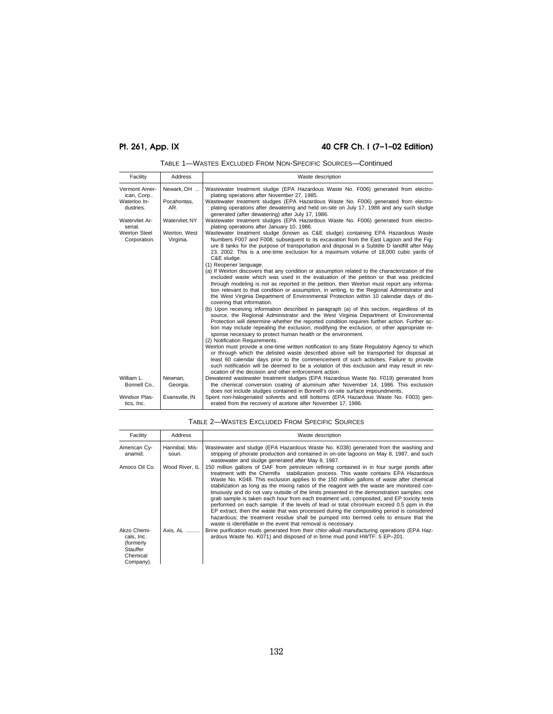| Facility                      | <b>Address</b>             | Waste description                                                                                                                                                                                                                                                                                                                                                                                                                                                                                               |
|-------------------------------|----------------------------|-----------------------------------------------------------------------------------------------------------------------------------------------------------------------------------------------------------------------------------------------------------------------------------------------------------------------------------------------------------------------------------------------------------------------------------------------------------------------------------------------------------------|
| Vermont Amer-<br>ican, Corp   | Newark. OH                 | Wastewater treatment sludge (EPA Hazardous Waste No. F006) generated from electro-<br>plating operations after November 27, 1985.                                                                                                                                                                                                                                                                                                                                                                               |
| Waterloo In-<br>dustries.     | Pocahontas,<br>AR.         | Wastewater treatment sludges (EPA Hazardous Waste No. F006) generated from electro-<br>plating operations after dewatering and held on-site on July 17, 1986 and any such sludge<br>generated (after dewatering) after July 17, 1986.                                                                                                                                                                                                                                                                           |
| Watervliet Ar-<br>senal.      | Watervliet, NY             | Wastewater treatment sludges (EPA Hazardous Waste No. F006) generated from electro-<br>plating operations after January 10, 1986.                                                                                                                                                                                                                                                                                                                                                                               |
| Weirton Steel<br>Corporation. | Weirton, West<br>Virginia. | Wastewater treatment sludge (known as C&E sludge) containing EPA Hazardous Waste<br>Numbers F007 and F008, subsequent to its excavation from the East Lagoon and the Fig-<br>ure 8 tanks for the purpose of transportation and disposal in a Subtitle D landfill after May<br>23, 2002. This is a one-time exclusion for a maximum volume of 18,000 cubic yards of<br>C&E sludge.<br>(1) Reopener language.<br>(a) If Weirton discovers that any condition or assumption related to the characterization of the |
|                               |                            | excluded waste which was used in the evaluation of the petition or that was predicted<br>through modeling is not as reported in the petition, then Weirton must report any informa-<br>tion relevant to that condition or assumption, in writing, to the Regional Administrator and<br>the West Virginia Department of Environmental Protection within 10 calendar days of dis-<br>covering that information.                                                                                                   |
|                               |                            | (b) Upon receiving information described in paragraph (a) of this section, regardless of its<br>source, the Regional Administrator and the West Virginia Department of Environmental<br>Protection will determine whether the reported condition requires further action. Further ac-<br>tion may include repealing the exclusion, modifying the exclusion, or other appropriate re-<br>sponse necessary to protect human health or the environment.<br>(2) Notification Requirements.                          |
|                               |                            | Weirton must provide a one-time written notification to any State Regulatory Agency to which<br>or through which the delisted waste described above will be transported for disposal at<br>least 60 calendar days prior to the commencement of such activities. Failure to provide<br>such notification will be deemed to be a violation of this exclusion and may result in rev-<br>ocation of the decision and other enforcement action.                                                                      |
| William L.<br>Bonnell Co.,    | Newnan.<br>Georgia.        | Dewatered wastewater treatment sludges (EPA Hazardous Waste No. F019) generated from<br>the chemical conversion coating of aluminum after November 14, 1986. This exclusion<br>does not include sludges contained in Bonnell's on-site surface impoundments.                                                                                                                                                                                                                                                    |
| Windsor Plas-<br>tics, Inc.   | Evansville, IN             | Spent non-halogenated solvents and still bottoms (EPA Hazardous Waste No. F003) gen-<br>erated from the recovery of acetone after November 17, 1986.                                                                                                                                                                                                                                                                                                                                                            |

### TABLE 2—WASTES EXCLUDED FROM SPECIFIC SOURCES

| Facility                                                                    | Address                  | Waste description                                                                                                                                                                                                                                                                                                                                                                                                                                                                                                                                                                                                                                                                                                                                                                                                                                                                                                                         |
|-----------------------------------------------------------------------------|--------------------------|-------------------------------------------------------------------------------------------------------------------------------------------------------------------------------------------------------------------------------------------------------------------------------------------------------------------------------------------------------------------------------------------------------------------------------------------------------------------------------------------------------------------------------------------------------------------------------------------------------------------------------------------------------------------------------------------------------------------------------------------------------------------------------------------------------------------------------------------------------------------------------------------------------------------------------------------|
| American Cy-<br>anamid.                                                     | Hannibal, Mis-<br>souri. | Wastewater and sludge (EPA Hazardous Waste No. K038) generated from the washing and<br>stripping of phorate production and contained in on-site lagoons on May 8, 1987, and such<br>wastewater and sludge generated after May 8, 1987.                                                                                                                                                                                                                                                                                                                                                                                                                                                                                                                                                                                                                                                                                                    |
| Amoco Oil Co.                                                               | Wood River, IL           | 150 million gallons of DAF from petroleum refining contained in in four surge ponds after<br>treatment with the Chemifix <sup>®</sup> stabilization process. This waste contains EPA Hazardous<br>Waste No. K048. This exclusion applies to the 150 million gallons of waste after chemical<br>stabilization as long as the mixing ratios of the reagent with the waste are monitored con-<br>tinuously and do not vary outside of the limits presented in the demonstration samples; one<br>grab sample is taken each hour from each treatment unit, composited, and EP toxicity tests<br>performed on each sample. If the levels of lead or total chromium exceed 0.5 ppm in the<br>EP extract, then the waste that was processed during the compositing period is considered<br>hazardous; the treatment residue shall be pumped into bermed cells to ensure that the<br>waste is identifiable in the event that removal is necessary. |
| Akzo Chemi-<br>cals, Inc.<br>(formerly<br>Stauffer<br>Chemical<br>Company). | Axis. AL                 | Brine purification muds generated from their chlor-alkali manufacturing operations (EPA Haz-<br>ardous Waste No. K071) and disposed of in brine mud pond HWTF: 5 EP-201.                                                                                                                                                                                                                                                                                                                                                                                                                                                                                                                                                                                                                                                                                                                                                                  |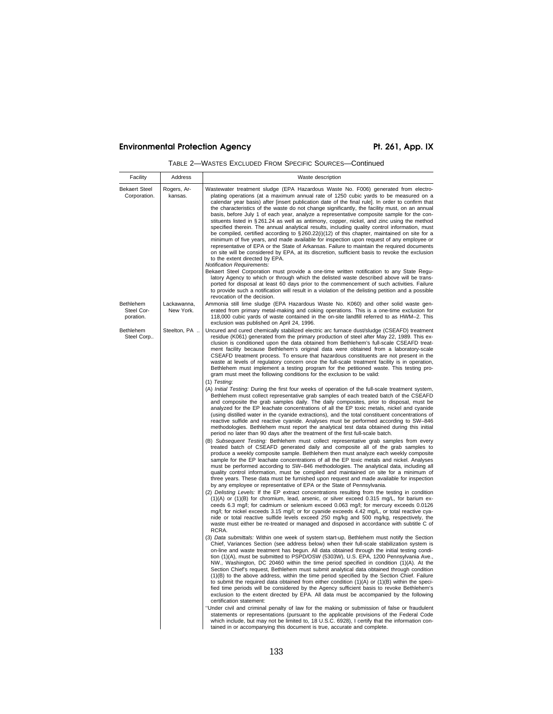| TABLE 2—WASTES EXCLUDED FROM SPECIFIC SOURCES—Continued |  |  |  |
|---------------------------------------------------------|--|--|--|
|---------------------------------------------------------|--|--|--|

| Facility                             | Address                  | Waste description                                                                                                                                                                                                                                                                                                                                                                                                                                                                                                                                                                                                                                                                                                                                                                                                                                                                                                                                                                                                                                                                                                                                                                                                                                                                                                                                                                                                                                                                                                                                                               |
|--------------------------------------|--------------------------|---------------------------------------------------------------------------------------------------------------------------------------------------------------------------------------------------------------------------------------------------------------------------------------------------------------------------------------------------------------------------------------------------------------------------------------------------------------------------------------------------------------------------------------------------------------------------------------------------------------------------------------------------------------------------------------------------------------------------------------------------------------------------------------------------------------------------------------------------------------------------------------------------------------------------------------------------------------------------------------------------------------------------------------------------------------------------------------------------------------------------------------------------------------------------------------------------------------------------------------------------------------------------------------------------------------------------------------------------------------------------------------------------------------------------------------------------------------------------------------------------------------------------------------------------------------------------------|
| <b>Bekaert Steel</b><br>Corporation. | Rogers, Ar-<br>kansas.   | Wastewater treatment sludge (EPA Hazardous Waste No. F006) generated from electro-<br>plating operations (at a maximum annual rate of 1250 cubic yards to be measured on a<br>calendar year basis) after [insert publication date of the final rule]. In order to confirm that<br>the characteristics of the waste do not change significantly, the facility must, on an annual<br>basis, before July 1 of each year, analyze a representative composite sample for the con-<br>stituents listed in §261.24 as well as antimony, copper, nickel, and zinc using the method<br>specified therein. The annual analytical results, including quality control information, must<br>be compiled, certified according to $\S 260.22(i)(12)$ of this chapter, maintained on site for a<br>minimum of five years, and made available for inspection upon request of any employee or<br>representative of EPA or the State of Arkansas. Failure to maintain the required documents<br>on site will be considered by EPA, at its discretion, sufficient basis to revoke the exclusion<br>to the extent directed by EPA.<br><b>Notification Requirements:</b><br>Bekaert Steel Corporation must provide a one-time written notification to any State Regu-<br>latory Agency to which or through which the delisted waste described above will be trans-<br>ported for disposal at least 60 days prior to the commencement of such activities. Failure<br>to provide such a notification will result in a violation of the delisting petition and a possible<br>revocation of the decision. |
| Bethlehem<br>Steel Cor-<br>poration. | Lackawanna,<br>New York. | Ammonia still lime sludge (EPA Hazardous Waste No. K060) and other solid waste gen-<br>erated from primary metal-making and coking operations. This is a one-time exclusion for<br>118,000 cubic yards of waste contained in the on-site landfill referred to as HWM-2. This<br>exclusion was published on April 24, 1996.                                                                                                                                                                                                                                                                                                                                                                                                                                                                                                                                                                                                                                                                                                                                                                                                                                                                                                                                                                                                                                                                                                                                                                                                                                                      |
| Bethlehem<br>Steel Corp              | Steelton, PA             | Uncured and cured chemically stabilized electric arc furnace dust/sludge (CSEAFD) treatment<br>residue (K061) generated from the primary production of steel after May 22, 1989. This ex-<br>clusion is conditioned upon the data obtained from Bethlehem's full-scale CSEAFD treat-<br>ment facility because Bethlehem's original data were obtained from a laboratory-scale<br>CSEAFD treatment process. To ensure that hazardous constituents are not present in the<br>waste at levels of regulatory concern once the full-scale treatment facility is in operation,<br>Bethlehem must implement a testing program for the petitioned waste. This testing pro-<br>gram must meet the following conditions for the exclusion to be valid:<br>$(1)$ Testing:<br>(A) Initial Testing: During the first four weeks of operation of the full-scale treatment system,<br>Bethlehem must collect representative grab samples of each treated batch of the CSEAFD                                                                                                                                                                                                                                                                                                                                                                                                                                                                                                                                                                                                                   |
|                                      |                          | and composite the grab samples daily. The daily composites, prior to disposal, must be<br>analyzed for the EP leachate concentrations of all the EP toxic metals, nickel and cyanide<br>(using distilled water in the cyanide extractions), and the total constituent concentrations of<br>reactive sulfide and reactive cyanide. Analyses must be performed according to SW-846<br>methodologies. Bethlehem must report the analytical test data obtained during this initial<br>period no later than 90 days after the treatment of the first full-scale batch.                                                                                                                                                                                                                                                                                                                                                                                                                                                                                                                                                                                                                                                                                                                                                                                                                                                                                                                                                                                                               |
|                                      |                          | (B) Subsequent Testing: Bethlehem must collect representative grab samples from every<br>treated batch of CSEAFD generated daily and composite all of the grab samples to<br>produce a weekly composite sample. Bethlehem then must analyze each weekly composite<br>sample for the EP leachate concentrations of all the EP toxic metals and nickel. Analyses<br>must be performed according to SW-846 methodologies. The analytical data, including all<br>quality control information, must be compiled and maintained on site for a minimum of<br>three years. These data must be furnished upon request and made available for inspection<br>by any employee or representative of EPA or the State of Pennsylvania.<br>(2) Delisting Levels: If the EP extract concentrations resulting from the testing in condition                                                                                                                                                                                                                                                                                                                                                                                                                                                                                                                                                                                                                                                                                                                                                      |
|                                      |                          | $(1)(A)$ or $(1)(B)$ for chromium, lead, arsenic, or silver exceed 0.315 mg/L, for barium ex-<br>ceeds 6.3 mg/l; for cadmium or selenium exceed 0.063 mg/l; for mercury exceeds 0.0126<br>mg/l; for nickel exceeds 3.15 mg/l; or for cyanide exceeds 4.42 mg/L, or total reactive cya-<br>nide or total reactive sulfide levels exceed 250 mg/kg and 500 mg/kg, respectively, the<br>waste must either be re-treated or managed and disposed in accordance with subtitle C of<br>RCRA.                                                                                                                                                                                                                                                                                                                                                                                                                                                                                                                                                                                                                                                                                                                                                                                                                                                                                                                                                                                                                                                                                          |
|                                      |                          | (3) Data submittals: Within one week of system start-up, Bethlehem must notify the Section<br>Chief, Variances Section (see address below) when their full-scale stabilization system is<br>on-line and waste treatment has begun. All data obtained through the initial testing condi-<br>tion (1)(A), must be submitted to PSPD/OSW (5303W), U.S. EPA, 1200 Pennsylvania Ave.,<br>NW., Washington, DC 20460 within the time period specified in condition (1)(A). At the<br>Section Chief's request, Bethlehem must submit analytical data obtained through condition<br>(1)(B) to the above address, within the time period specified by the Section Chief. Failure<br>to submit the required data obtained from either condition $(1)(A)$ or $(1)(B)$ within the speci-<br>fied time periods will be considered by the Agency sufficient basis to revoke Bethlehem's<br>exclusion to the extent directed by EPA. All data must be accompanied by the following<br>certification statement:                                                                                                                                                                                                                                                                                                                                                                                                                                                                                                                                                                                  |
|                                      |                          | "Under civil and criminal penalty of law for the making or submission of false or fraudulent<br>statements or representations (pursuant to the applicable provisions of the Federal Code<br>which include, but may not be limited to, 18 U.S.C. 6928), I certify that the information con-<br>tained in or accompanying this document is true, accurate and complete.                                                                                                                                                                                                                                                                                                                                                                                                                                                                                                                                                                                                                                                                                                                                                                                                                                                                                                                                                                                                                                                                                                                                                                                                           |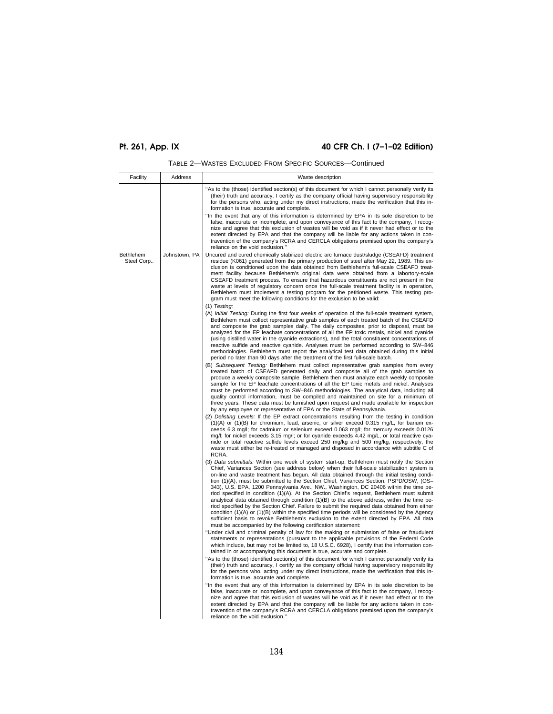| Facility                | Address       | Waste description                                                                                                                                                                                                                                                                                                                                                                                                                                                                                                                                                                                                                                                                                                                                                                                                                                                                                                                                                                                                                           |
|-------------------------|---------------|---------------------------------------------------------------------------------------------------------------------------------------------------------------------------------------------------------------------------------------------------------------------------------------------------------------------------------------------------------------------------------------------------------------------------------------------------------------------------------------------------------------------------------------------------------------------------------------------------------------------------------------------------------------------------------------------------------------------------------------------------------------------------------------------------------------------------------------------------------------------------------------------------------------------------------------------------------------------------------------------------------------------------------------------|
|                         |               | "As to the (those) identified section(s) of this document for which I cannot personally verify its<br>(their) truth and accuracy, I certify as the company official having supervisory responsibility<br>for the persons who, acting under my direct instructions, made the verification that this in-<br>formation is true, accurate and complete.                                                                                                                                                                                                                                                                                                                                                                                                                                                                                                                                                                                                                                                                                         |
|                         |               | "In the event that any of this information is determined by EPA in its sole discretion to be<br>false, inaccurate or incomplete, and upon conveyance of this fact to the company, I recog-<br>nize and agree that this exclusion of wastes will be void as if it never had effect or to the<br>extent directed by EPA and that the company will be liable for any actions taken in con-<br>travention of the company's RCRA and CERCLA obligations premised upon the company's<br>reliance on the void exclusion."                                                                                                                                                                                                                                                                                                                                                                                                                                                                                                                          |
| Bethlehem<br>Steel Corp | Johnstown, PA | Uncured and cured chemically stabilized electric arc furnace dust/sludge (CSEAFD) treatment<br>residue (K061) generated from the primary production of steel after May 22, 1989. This ex-<br>clusion is conditioned upon the data obtained from Bethlehem's full-scale CSEAFD treat-<br>ment facility because Bethlehem's original data were obtained from a labortory-scale<br>CSEAFD treatment process. To ensure that hazardous constituents are not present in the<br>waste at levels of regulatory concern once the full-scale treatment facility is in operation,<br>Bethlehem must implement a testing program for the petitioned waste. This testing pro-<br>gram must meet the following conditions for the exclusion to be valid:<br>$(1)$ Testing:                                                                                                                                                                                                                                                                               |
|                         |               | (A) Initial Testing: During the first four weeks of operation of the full-scale treatment system,<br>Bethlehem must collect representative grab samples of each treated batch of the CSEAFD<br>and composite the grab samples daily. The daily composites, prior to disposal, must be<br>analyzed for the EP leachate concentrations of all the EP toxic metals, nickel and cyanide<br>(using distilled water in the cyanide extractions), and the total constituent concentrations of<br>reactive sulfide and reactive cyanide. Analyses must be performed according to SW-846<br>methodologies. Bethlehem must report the analytical test data obtained during this initial<br>period no later than 90 days after the treatment of the first full-scale batch.                                                                                                                                                                                                                                                                            |
|                         |               | (B) Subsequent Testing: Bethlehem must collect representative grab samples from every<br>treated batch of CSEAFD generated daily and composite all of the grab samples to<br>produce a weekly composite sample. Bethlehem then must analyze each weekly composite<br>sample for the EP leachate concentrations of all the EP toxic metals and nickel. Analyses<br>must be performed according to SW-846 methodologies. The analytical data, including all<br>quality control information, must be compiled and maintained on site for a minimum of<br>three years. These data must be furnished upon request and made available for inspection<br>by any employee or representative of EPA or the State of Pennsylvania.                                                                                                                                                                                                                                                                                                                    |
|                         |               | (2) Delisting Levels: If the EP extract concentrations resulting from the testing in condition<br>$(1)(A)$ or $(1)(B)$ for chromium, lead, arsenic, or silver exceed 0.315 mg/L, for barium ex-<br>ceeds 6.3 mg/l; for cadmium or selenium exceed 0.063 mg/l; for mercury exceeds 0.0126<br>mg/l; for nickel exceeds 3.15 mg/l; or for cyanide exceeds 4.42 mg/L, or total reactive cya-<br>nide or total reactive sulfide levels exceed 250 mg/kg and 500 mg/kg, respectively, the<br>waste must either be re-treated or managed and disposed in accordance with subtitle C of<br>RCRA.                                                                                                                                                                                                                                                                                                                                                                                                                                                    |
|                         |               | (3) Data submittals: Within one week of system start-up, Bethlehem must notify the Section<br>Chief, Variances Section (see address below) when their full-scale stabilization system is<br>on-line and waste treatment has begun. All data obtained through the initial testing condi-<br>tion (1)(A), must be submitted to the Section Chief, Variances Section, PSPD/OSW, (OS-<br>343), U.S. EPA, 1200 Pennsylvania Ave., NW., Washington, DC 20406 within the time pe-<br>riod specified in condition (1)(A). At the Section Chief's request, Bethlehem must submit<br>analytical data obtained through condition $(1)(B)$ to the above address, within the time pe-<br>riod specified by the Section Chief. Failure to submit the required data obtained from either<br>condition $(1)(A)$ or $(1)(B)$ within the specified time periods will be considered by the Agency<br>sufficient basis to revoke Bethlehem's exclusion to the extent directed by EPA. All data<br>must be accompanied by the following certification statement: |
|                         |               | "Under civil and criminal penalty of law for the making or submission of false or fraudulent<br>statements or representations (pursuant to the applicable provisions of the Federal Code<br>which include, but may not be limited to, 18 U.S.C. 6928), I certify that the information con-<br>tained in or accompanying this document is true, accurate and complete.<br>"As to the (those) identified section(s) of this document for which I cannot personally verify its<br>(their) truth and accuracy, I certify as the company official having supervisory responsibility                                                                                                                                                                                                                                                                                                                                                                                                                                                              |
|                         |               | for the persons who, acting under my direct instructions, made the verification that this in-<br>formation is true, accurate and complete.<br>"In the event that any of this information is determined by EPA in its sole discretion to be<br>false, inaccurate or incomplete, and upon conveyance of this fact to the company, I recog-<br>nize and agree that this exclusion of wastes will be void as if it never had effect or to the<br>extent directed by EPA and that the company will be liable for any actions taken in con-<br>travention of the company's RCRA and CERCLA obligations premised upon the company's<br>reliance on the void exclusion."                                                                                                                                                                                                                                                                                                                                                                            |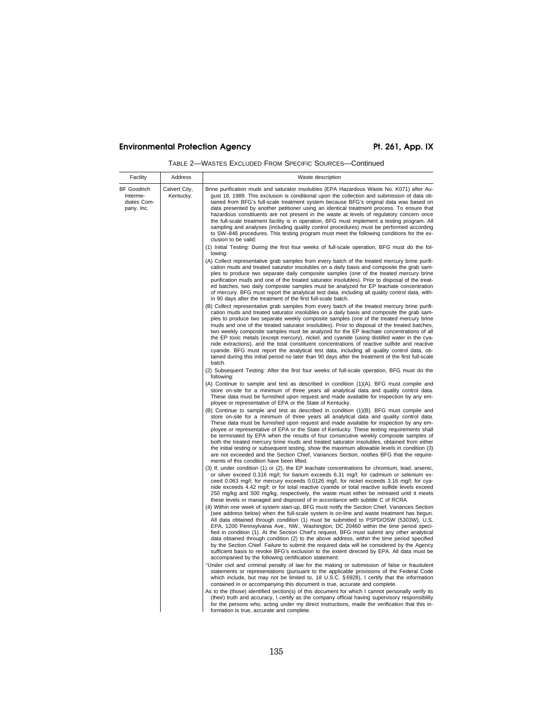| Facility                                                    | Address                    | Waste description                                                                                                                                                                                                                                                                                                                                                                                                                                                                                                                                                                                                                                                                                                                                                                                                                                                                                         |
|-------------------------------------------------------------|----------------------------|-----------------------------------------------------------------------------------------------------------------------------------------------------------------------------------------------------------------------------------------------------------------------------------------------------------------------------------------------------------------------------------------------------------------------------------------------------------------------------------------------------------------------------------------------------------------------------------------------------------------------------------------------------------------------------------------------------------------------------------------------------------------------------------------------------------------------------------------------------------------------------------------------------------|
| <b>BF</b> Goodrich<br>Interme-<br>diates Com-<br>pany, Inc. | Calvert City,<br>Kentucky. | Brine purification muds and saturator insolubles (EPA Hazardous Waste No. K071) after Au-<br>gust 18, 1989. This exclusion is conditional upon the collection and submission of data ob-<br>tained from BFG's full-scale treatment system because BFG's original data was based on<br>data presented by another petitioner using an identical treatment process. To ensure that<br>hazardous constituents are not present in the waste at levels of regulatory concern once<br>the full-scale treatment facility is in operation, BFG must implement a testing program. All<br>sampling and analyses (including quality control procedures) must be performed according<br>to SW-846 procedures. This testing program must meet the following conditions for the ex-<br>clusion to be valid:<br>(1) Initial Testing: During the first four weeks of full-scale operation, BFG must do the fol-<br>lowing: |
|                                                             |                            | (A) Collect representative grab samples from every batch of the treated mercury brine purifi-<br>cation muds and treated saturator insolubles on a daily basis and composite the grab sam-<br>ples to produce two separate daily composite samples (one of the treated mercury brine<br>purification muds and one of the treated saturator insolubles). Prior to disposal of the treat-<br>ed batches, two daily composite samples must be analyzed for EP leachate concentration<br>of mercury. BFG must report the analytical test data, including all quality control data, with-<br>in 90 days after the treatment of the first full-scale batch.                                                                                                                                                                                                                                                     |
|                                                             |                            | (B) Collect representative grab samples from every batch of the treated mercury brine purifi-<br>cation muds and treated saturator insolubles on a daily basis and composite the grab sam-<br>ples to produce two separate weekly composite samples (one of the treated mercury brine<br>muds and one of the treated saturator insolubles). Prior to disposal of the treated batches,<br>two weekly composite samples must be analyzed for the EP leachate concentrations of all<br>the EP toxic metals (except mercury), nickel, and cyanide (using distilled water in the cya-<br>nide extractions), and the total constituent concentrations of reactive sulfide and reactive<br>cyanide. BFG must report the analytical test data, including all quality control data, ob-<br>tained during this initial period no later than 90 days after the treatment of the first full-scale<br>batch.           |
|                                                             |                            | (2) Subsequent Testing: After the first four weeks of full-scale operation, BFG must do the<br>following:<br>$(A)$ Continue to sample and test as described in condition $(1)(A)$ . BFG must compile and<br>store on-site for a minimum of three years all analytical data and quality control data.<br>These data must be furnished upon request and made available for inspection by any em-<br>ployee or representative of EPA or the State of Kentucky.                                                                                                                                                                                                                                                                                                                                                                                                                                               |
|                                                             |                            | (B) Continue to sample and test as described in condition (1)(B). BFG must compile and<br>store on-site for a minimum of three years all analytical data and quality control data.<br>These data must be furnished upon request and made available for inspection by any em-<br>ployee or representative of EPA or the State of Kentucky. These testing requirements shall<br>be terminated by EPA when the results of four consecutive weekly composite samples of<br>both the treated mercury brine muds and treated saturator insolubles, obtained from either<br>the initial testing or subsequent testing, show the maximum allowable levels in condition (3)<br>are not exceeded and the Section Chief, Variances Section, notifies BFG that the require-<br>ments of this condition have been lifted.                                                                                              |
|                                                             |                            | (3) If, under condition (1) or (2), the EP leachate concentrations for chromium, lead, arsenic,<br>or silver exceed 0.316 mg/l; for barium exceeds 6.31 mg/l; for cadmium or selenium ex-<br>ceed 0.063 mg/l; for mercury exceeds 0.0126 mg/l, for nickel exceeds 3.16 mg/l; for cya-<br>nide exceeds 4.42 mg/l; or for total reactive cyanide or total reactive sulfide levels exceed<br>250 mg/kg and 500 mg/kg, respectively, the waste must either be retreated until it meets<br>these levels or managed and disposed of in accordance with subtitle C of RCRA.                                                                                                                                                                                                                                                                                                                                      |
|                                                             |                            | (4) Within one week of system start-up, BFG must notify the Section Chief, Variances Section<br>(see address below) when the full-scale system is on-line and waste treatment has begun.<br>All data obtained through condition (1) must be submitted to PSPD/OSW (5303W), U.S.<br>EPA, 1200 Pennsylvania Ave., NW., Washington, DC 20460 within the time period speci-<br>fied in condition (1). At the Section Chief's request, BFG must submit any other analytical<br>data obtained through condition (2) to the above address, within the time period specified<br>by the Section Chief. Failure to submit the required data will be considered by the Agency<br>sufficient basis to revoke BFG's exclusion to the extent directed by EPA. All data must be<br>accompanied by the following certification statement:                                                                                 |
|                                                             |                            | "Under civil and criminal penalty of law for the making or submission of false or fraudulent<br>statements or representations (pursuant to the applicable provisions of the Federal Code<br>which include, but may not be limited to, 18 U.S.C. §6928), I certify that the information<br>contained in or accompanying this document is true, accurate and complete.<br>As to the (those) identified section(s) of this document for which I cannot personally verify its<br>(their) truth and accuracy, I certify as the company official having supervisory responsibility<br>for the persons who, acting under my direct instructions, made the verification that this in-<br>formation is true, accurate and complete.                                                                                                                                                                                |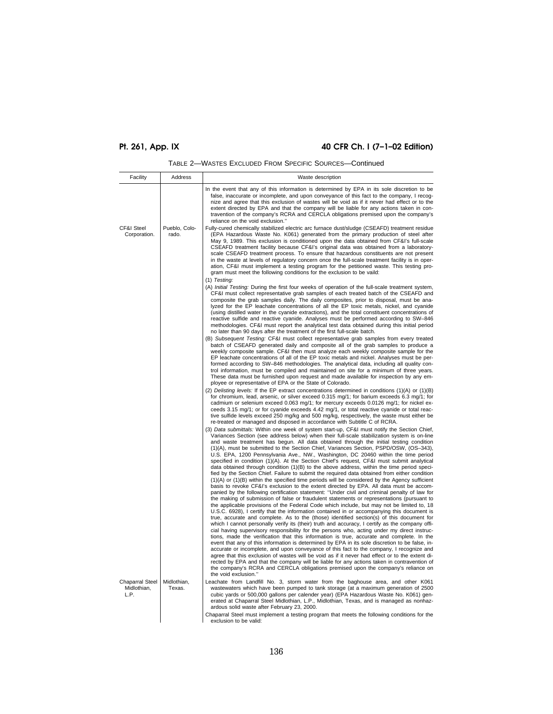| Facility                               | Address                | Waste description                                                                                                                                                                                                                                                                                                                                                                                                                                                                                                                                                                                                                                                                                                                                                                                                                                                                                                                                                                                                                                                                                                                                                                                                                                                |
|----------------------------------------|------------------------|------------------------------------------------------------------------------------------------------------------------------------------------------------------------------------------------------------------------------------------------------------------------------------------------------------------------------------------------------------------------------------------------------------------------------------------------------------------------------------------------------------------------------------------------------------------------------------------------------------------------------------------------------------------------------------------------------------------------------------------------------------------------------------------------------------------------------------------------------------------------------------------------------------------------------------------------------------------------------------------------------------------------------------------------------------------------------------------------------------------------------------------------------------------------------------------------------------------------------------------------------------------|
|                                        |                        | In the event that any of this information is determined by EPA in its sole discretion to be<br>false, inaccurate or incomplete, and upon conveyance of this fact to the company, I recog-<br>nize and agree that this exclusion of wastes will be void as if it never had effect or to the<br>extent directed by EPA and that the company will be liable for any actions taken in con-<br>travention of the company's RCRA and CERCLA obligations premised upon the company's<br>reliance on the void exclusion."                                                                                                                                                                                                                                                                                                                                                                                                                                                                                                                                                                                                                                                                                                                                                |
| CF&I Steel<br>Corporation.             | Pueblo, Colo-<br>rado. | Fully-cured chemically stabilized electric arc furnace dust/sludge (CSEAFD) treatment residue<br>(EPA Hazardous Waste No. K061) generated from the primary production of steel after<br>May 9, 1989. This exclusion is conditioned upon the data obtained from CF&I's full-scale<br>CSEAFD treatment facility because CF&I's original data was obtained from a laboratory-<br>scale CSEAFD treatment process. To ensure that hazardous constituents are not present<br>in the waste at levels of regulatory concern once the full-scale treatment facility is in oper-<br>ation, CF&I must implement a testing program for the petitioned waste. This testing pro-<br>gram must meet the following conditions for the exclusion to be vaild:<br>$(1)$ Testing:                                                                                                                                                                                                                                                                                                                                                                                                                                                                                                   |
|                                        |                        | (A) Initial Testing: During the first four weeks of operation of the full-scale treatment system,<br>CF&I must collect representative grab samples of each treated batch of the CSEAFD and<br>composite the grab samples daily. The daily composites, prior to disposal, must be ana-<br>lyzed for the EP leachate concentrations of all the EP toxic metals, nickel, and cyanide<br>(using distilled water in the cyanide extractions), and the total constituent concentrations of<br>reactive sulfide and reactive cyanide. Analyses must be performed according to SW-846<br>methodologies. CF&I must report the analytical test data obtained during this initial period<br>no later than 90 days after the treatment of the first full-scale batch.                                                                                                                                                                                                                                                                                                                                                                                                                                                                                                        |
|                                        |                        | (B) Subsequent Testing: CF&I must collect representative grab samples from every treated<br>batch of CSEAFD generated daily and composite all of the grab samples to produce a<br>weekly composite sample. CF&I then must analyze each weekly composite sample for the<br>EP leachate concentrations of all of the EP toxic metals and nickel. Analyses must be per-<br>formed according to SW-846 methodologies. The analytical data, including all quality con-<br>trol information, must be compiled and maintained on site for a minimum of three years.<br>These data must be furnished upon request and made available for inspection by any em-<br>ployee or representative of EPA or the State of Colorado.                                                                                                                                                                                                                                                                                                                                                                                                                                                                                                                                              |
|                                        |                        | (2) Delisting levels: If the EP extract concentrations determined in conditions (1)(A) or (1)(B)<br>for chromium, lead, arsenic, or silver exceed 0.315 mg/1; for barium exceeds 6.3 mg/1; for<br>cadmium or selenium exceed 0.063 mg/1; for mercury exceeds 0.0126 mg/1; for nickel ex-<br>ceeds 3.15 mg/1; or for cyanide exceeds 4.42 mg/1, or total reactive cyanide or total reac-<br>tive sulfide levels exceed 250 mg/kg and 500 mg/kg, respectively, the waste must either be<br>re-treated or managed and disposed in accordance with Subtitle C of RCRA.                                                                                                                                                                                                                                                                                                                                                                                                                                                                                                                                                                                                                                                                                               |
|                                        |                        | (3) Data submittals: Within one week of system start-up, CF&I must notify the Section Chief,<br>Variances Section (see address below) when their full-scale stabilization system is on-line<br>and waste treatment has begun. All data obtained through the initial testing condition<br>(1)(A), must be submitted to the Section Chief, Variances Section, PSPD/OSW, (OS-343),<br>U.S. EPA, 1200 Pennsylvania Ave., NW., Washington, DC 20460 within the time period<br>specified in condition (1)(A). At the Section Chief's request, CF&I must submit analytical<br>data obtained through condition (1)(B) to the above address, within the time period speci-<br>fied by the Section Chief. Failure to submit the required data obtained from either condition<br>$(1)(A)$ or $(1)(B)$ within the specified time periods will be considered by the Agency sufficient<br>basis to revoke CF&I's exclusion to the extent directed by EPA. All data must be accom-<br>panied by the following certification statement: "Under civil and criminal penalty of law for<br>the making of submission of false or fraudulent statements or representations (pursuant to<br>the applicable provisions of the Federal Code which include, but may not be limited to, 18 |
|                                        |                        | U.S.C. 6928), I certify that the information contained in or accompanying this document is<br>true, accurate and complete. As to the (those) identified section(s) of this document for<br>which I cannot personally verify its (their) truth and accuracy, I certify as the company offi-<br>cial having supervisory responsibility for the persons who, acting under my direct instruc-<br>tions, made the verification that this information is true, accurate and complete. In the<br>event that any of this information is determined by EPA in its sole discretion to be false, in-<br>accurate or incomplete, and upon conveyance of this fact to the company, I recognize and<br>agree that this exclusion of wastes will be void as if it never had effect or to the extent di-<br>rected by EPA and that the company will be liable for any actions taken in contravention of<br>the company's RCRA and CERCLA obligations premised upon the company's reliance on<br>the void exclusion."                                                                                                                                                                                                                                                             |
| Chaparral Steel<br>Midlothian,<br>L.P. | Midlothian,<br>Texas.  | Leachate from Landfill No. 3, storm water from the baghouse area, and other K061<br>wastewaters which have been pumped to tank storage (at a maximum generation of 2500<br>cubic yards or 500,000 gallons per calender year) (EPA Hazardous Waste No. K061) gen-<br>erated at Chaparral Steel Midlothian, L.P., Midlothian, Texas, and is managed as nonhaz-<br>ardous solid waste after February 23, 2000.<br>Chaparral Steel must implement a testing program that meets the following conditions for the<br>exclusion to be valid:                                                                                                                                                                                                                                                                                                                                                                                                                                                                                                                                                                                                                                                                                                                            |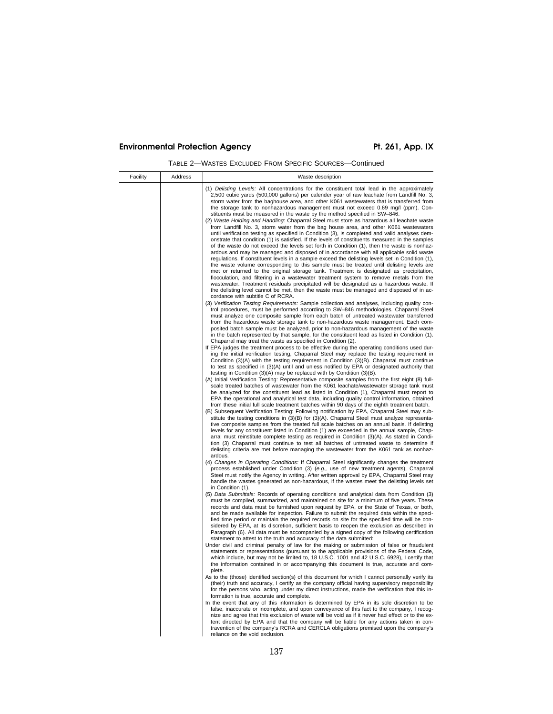| Facility | Address | Waste description                                                                                                                                                                                                                                                                                                                                                                                                                                                                                                                                                                                                                                                                                                                                                                                                                                                                                                                                                    |
|----------|---------|----------------------------------------------------------------------------------------------------------------------------------------------------------------------------------------------------------------------------------------------------------------------------------------------------------------------------------------------------------------------------------------------------------------------------------------------------------------------------------------------------------------------------------------------------------------------------------------------------------------------------------------------------------------------------------------------------------------------------------------------------------------------------------------------------------------------------------------------------------------------------------------------------------------------------------------------------------------------|
|          |         | (1) Delisting Levels: All concentrations for the constituent total lead in the approximately<br>2,500 cubic yards (500,000 gallons) per calender year of raw leachate from Landfill No. 3,<br>storm water from the baghouse area, and other K061 wastewaters that is transferred from<br>the storage tank to nonhazardous management must not exceed 0.69 mg/l (ppm). Con-<br>stituents must be measured in the waste by the method specified in SW-846.<br>(2) Waste Holding and Handling: Chaparral Steel must store as hazardous all leachate waste                                                                                                                                                                                                                                                                                                                                                                                                               |
|          |         | from Landfill No. 3, storm water from the bag house area, and other K061 wastewaters<br>until verification testing as specified in Condition (3), is completed and valid analyses dem-<br>onstrate that condition (1) is satisfied. If the levels of constituents measured in the samples<br>of the waste do not exceed the levels set forth in Condition (1), then the waste is nonhaz-<br>ardous and may be managed and disposed of in accordance with all applicable solid waste<br>regulations. If constituent levels in a sample exceed the delisting levels set in Condition (1),<br>the waste volume corresponding to this sample must be treated until delisting levels are<br>met or returned to the original storage tank. Treatment is designated as precipitation,<br>flocculation, and filtering in a wastewater treatment system to remove metals from the<br>wastewater. Treatment residuals precipitated will be designated as a hazardous waste. If |
|          |         | the delisting level cannot be met, then the waste must be managed and disposed of in ac-<br>cordance with subtitle C of RCRA.<br>(3) Verification Testing Requirements: Sample collection and analyses, including quality con-<br>trol procedures, must be performed according to SW-846 methodologies. Chaparral Steel                                                                                                                                                                                                                                                                                                                                                                                                                                                                                                                                                                                                                                              |
|          |         | must analyze one composite sample from each batch of untreated wastewater transferred<br>from the hazardous waste storage tank to non-hazardous waste management. Each com-<br>posited batch sample must be analyzed, prior to non-hazardous management of the waste<br>in the batch represented by that sample, for the constituent lead as listed in Condition (1).<br>Chaparral may treat the waste as specified in Condition (2).                                                                                                                                                                                                                                                                                                                                                                                                                                                                                                                                |
|          |         | If EPA judges the treatment process to be effective during the operating conditions used dur-<br>ing the initial verification testing, Chaparral Steel may replace the testing requirement in<br>Condition (3)(A) with the testing requirement in Condition (3)(B). Chaparral must continue<br>to test as specified in (3)(A) until and unless notified by EPA or designated authority that<br>testing in Condition (3)(A) may be replaced with by Condition (3)(B).                                                                                                                                                                                                                                                                                                                                                                                                                                                                                                 |
|          |         | (A) Initial Verification Testing: Representative composite samples from the first eight (8) full-<br>scale treated batches of wastewater from the K061 leachate/wastewater storage tank must<br>be analyzed for the constituent lead as listed in Condition (1), Chaparral must report to<br>EPA the operational and analytical test data, including quality control information, obtained<br>from these initial full scale treatment batches within 90 days of the eighth treatment batch.                                                                                                                                                                                                                                                                                                                                                                                                                                                                          |
|          |         | (B) Subsequent Verification Testing: Following notification by EPA, Chaparral Steel may sub-<br>stitute the testing conditions in $(3)(B)$ for $(3)(A)$ . Chaparral Steel must analyze representa-<br>tive composite samples from the treated full scale batches on an annual basis. If delisting<br>levels for any constituent listed in Condition (1) are exceeded in the annual sample, Chap-<br>arral must reinstitute complete testing as required in Condition (3)(A). As stated in Condi-<br>tion (3) Chaparral must continue to test all batches of untreated waste to determine if<br>delisting criteria are met before managing the wastewater from the K061 tank as nonhaz-<br>ardous.                                                                                                                                                                                                                                                                    |
|          |         | (4) Changes in Operating Conditions: If Chaparral Steel significantly changes the treatment<br>process established under Condition (3) (e.g., use of new treatment agents), Chaparral<br>Steel must notify the Agency in writing. After written approval by EPA, Chaparral Steel may<br>handle the wastes generated as non-hazardous, if the wastes meet the delisting levels set<br>in Condition (1).                                                                                                                                                                                                                                                                                                                                                                                                                                                                                                                                                               |
|          |         | (5) Data Submittals: Records of operating conditions and analytical data from Condition (3)<br>must be compiled, summarized, and maintained on site for a minimum of five years. These<br>records and data must be furnished upon request by EPA, or the State of Texas, or both,<br>and be made available for inspection. Failure to submit the required data within the speci-<br>fied time period or maintain the required records on site for the specified time will be con-<br>sidered by EPA, at its discretion, sufficient basis to reopen the exclusion as described in<br>Paragraph (6). All data must be accompanied by a signed copy of the following certification<br>statement to attest to the truth and accuracy of the data submitted:                                                                                                                                                                                                              |
|          |         | Under civil and criminal penalty of law for the making or submission of false or fraudulent<br>statements or representations (pursuant to the applicable provisions of the Federal Code,<br>which include, but may not be limited to, 18 U.S.C. 1001 and 42 U.S.C. 6928), I certify that<br>the information contained in or accompanying this document is true, accurate and com-<br>plete.                                                                                                                                                                                                                                                                                                                                                                                                                                                                                                                                                                          |
|          |         | As to the (those) identified section(s) of this document for which I cannot personally verify its<br>(their) truth and accuracy, I certify as the company official having supervisory responsibility<br>for the persons who, acting under my direct instructions, made the verification that this in-<br>formation is true, accurate and complete.                                                                                                                                                                                                                                                                                                                                                                                                                                                                                                                                                                                                                   |
|          |         | In the event that any of this information is determined by EPA in its sole discretion to be<br>false, inaccurate or incomplete, and upon conveyance of this fact to the company, I recog-<br>nize and agree that this exclusion of waste will be void as if it never had effect or to the ex-<br>tent directed by EPA and that the company will be liable for any actions taken in con-<br>travention of the company's RCRA and CERCLA obligations premised upon the company's<br>reliance on the void exclusion.                                                                                                                                                                                                                                                                                                                                                                                                                                                    |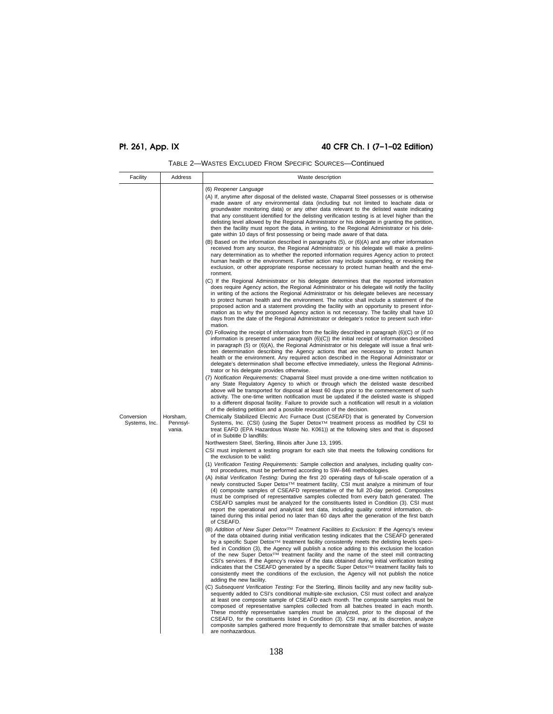| Facility                    | Address                        | Waste description                                                                                                                                                                                                                                                                                                                                                                                                                                                                                                                                                                                                                                                                                                                                                                                                                                                                                                                                                                                                                                                                                                                                                                                                                                                                                                                                                                                                                                                                                                                                                                                                                                                                                                                                                                                                                                                                                                                                                                                                                                                                                                                                                                                                                                                                                                                                                                                                                                                                                                                                                                                                                                                                                                                                                                                                                                                                                                                                                                                                                                                                                                                                                                                                                                                                                                                                                                                                                                                                                                                                                                                                                                                                                                                                                                                                                                                                                                                                                                                                                                                                                                                                                                                                                                                                                                                                                                                                                                                                                                                                                                                                                                                                                                                                                                                                                                                                                                                                                                                                                                                                                                                                                                                                                                                                                                                                                                                                                                                                                                                                                                                                                                                                                                                                                                                                              |
|-----------------------------|--------------------------------|--------------------------------------------------------------------------------------------------------------------------------------------------------------------------------------------------------------------------------------------------------------------------------------------------------------------------------------------------------------------------------------------------------------------------------------------------------------------------------------------------------------------------------------------------------------------------------------------------------------------------------------------------------------------------------------------------------------------------------------------------------------------------------------------------------------------------------------------------------------------------------------------------------------------------------------------------------------------------------------------------------------------------------------------------------------------------------------------------------------------------------------------------------------------------------------------------------------------------------------------------------------------------------------------------------------------------------------------------------------------------------------------------------------------------------------------------------------------------------------------------------------------------------------------------------------------------------------------------------------------------------------------------------------------------------------------------------------------------------------------------------------------------------------------------------------------------------------------------------------------------------------------------------------------------------------------------------------------------------------------------------------------------------------------------------------------------------------------------------------------------------------------------------------------------------------------------------------------------------------------------------------------------------------------------------------------------------------------------------------------------------------------------------------------------------------------------------------------------------------------------------------------------------------------------------------------------------------------------------------------------------------------------------------------------------------------------------------------------------------------------------------------------------------------------------------------------------------------------------------------------------------------------------------------------------------------------------------------------------------------------------------------------------------------------------------------------------------------------------------------------------------------------------------------------------------------------------------------------------------------------------------------------------------------------------------------------------------------------------------------------------------------------------------------------------------------------------------------------------------------------------------------------------------------------------------------------------------------------------------------------------------------------------------------------------------------------------------------------------------------------------------------------------------------------------------------------------------------------------------------------------------------------------------------------------------------------------------------------------------------------------------------------------------------------------------------------------------------------------------------------------------------------------------------------------------------------------------------------------------------------------------------------------------------------------------------------------------------------------------------------------------------------------------------------------------------------------------------------------------------------------------------------------------------------------------------------------------------------------------------------------------------------------------------------------------------------------------------------------------------------------------------------------------------------------------------------------------------------------------------------------------------------------------------------------------------------------------------------------------------------------------------------------------------------------------------------------------------------------------------------------------------------------------------------------------------------------------------------------------------------------------------------------------------------------------------------------------------------------------------------------------------------------------------------------------------------------------------------------------------------------------------------------------------------------------------------------------------------------------------------------------------------------------------------------------------------------------------------------------------------------------------------------------------------------------------------------|
| Conversion<br>Systems, Inc. | Horsham,<br>Pennsyl-<br>vania. | (6) Reopener Language<br>(A) If, anytime after disposal of the delisted waste, Chaparral Steel possesses or is otherwise<br>made aware of any environmental data (including but not limited to leachate data or<br>groundwater monitoring data) or any other data relevant to the delisted waste indicating<br>that any constituent identified for the delisting verification testing is at level higher than the<br>delisting level allowed by the Regional Administrator or his delegate in granting the petition,<br>then the facility must report the data, in writing, to the Regional Administrator or his dele-<br>gate within 10 days of first possessing or being made aware of that data.<br>(B) Based on the information described in paragraphs $(5)$ , or $(6)(A)$ and any other information<br>received from any source, the Regional Administrator or his delegate will make a prelimi-<br>nary determination as to whether the reported information requires Agency action to protect<br>human health or the environment. Further action may include suspending, or revoking the<br>exclusion, or other appropriate response necessary to protect human health and the envi-<br>ronment.<br>(C) If the Regional Administrator or his delegate determines that the reported information<br>does require Agency action, the Regional Administrator or his delegate will notify the facility<br>in writing of the actions the Regional Administrator or his delegate believes are necessary<br>to protect human health and the environment. The notice shall include a statement of the<br>proposed action and a statement providing the facility with an opportunity to present infor-<br>mation as to why the proposed Agency action is not necessary. The facility shall have 10<br>days from the date of the Regional Administrator or delegate's notice to present such infor-<br>mation.<br>(D) Following the receipt of information from the facility described in paragraph (6)(C) or (if no<br>information is presented under paragraph $(6)(C)$ ) the initial receipt of information described<br>in paragraph $(5)$ or $(6)(A)$ , the Regional Administrator or his delegate will issue a final writ-<br>ten determination describing the Agency actions that are necessary to protect human<br>health or the environment. Any required action described in the Regional Administrator or<br>delegate's determination shall become effective immediately, unless the Regional Adminis-<br>trator or his delegate provides otherwise.<br>(7) Notification Requirements: Chaparral Steel must provide a one-time written notification to<br>any State Regulatory Agency to which or through which the delisted waste described<br>above will be transported for disposal at least 60 days prior to the commencement of such<br>activity. The one-time written notification must be updated if the delisted waste is shipped<br>to a different disposal facility. Failure to provide such a notification will result in a violation<br>of the delisting petition and a possible revocation of the decision.<br>Chemically Stabilized Electric Arc Furnace Dust (CSEAFD) that is generated by Conversion<br>Systems, Inc. (CSI) (using the Super Detox™ treatment process as modified by CSI to<br>treat EAFD (EPA Hazardous Waste No. K061)) at the following sites and that is disposed<br>of in Subtitle D landfills:<br>Northwestern Steel, Sterling, Illinois after June 13, 1995.<br>CSI must implement a testing program for each site that meets the following conditions for<br>the exclusion to be valid:<br>(1) Verification Testing Requirements: Sample collection and analyses, including quality con-<br>trol procedures, must be performed according to SW-846 methodologies.<br>(A) Initial Verification Testing: During the first 20 operating days of full-scale operation of a<br>newly constructed Super Detox™ treatment facility, CSI must analyze a minimum of four<br>(4) composite samples of CSEAFD representative of the full 20-day period. Composites<br>must be comprised of representative samples collected from every batch generated. The<br>CSEAFD samples must be analyzed for the constituents listed in Condition (3). CSI must<br>report the operational and analytical test data, including quality control information, ob-<br>tained during this initial period no later than 60 days after the generation of the first batch<br>of CSEAFD.<br>(B) Addition of New Super Detox <sup>TM</sup> Treatment Facilities to Exclusion: If the Agency's review<br>of the data obtained during initial verification testing indicates that the CSEAFD generated<br>by a specific Super Detox™ treatment facility consistently meets the delisting levels speci-<br>fied in Condition (3), the Agency will publish a notice adding to this exclusion the location<br>of the new Super Detox <sup>TM</sup> treatment facility and the name of the steel mill contracting<br>CSI's services. If the Agency's review of the data obtained during initial verification testing<br>indicates that the CSEAFD generated by a specific Super Detox™ treatment facility fails to<br>consistently meet the conditions of the exclusion, the Agency will not publish the notice<br>adding the new facility.<br>(C) Subsequent Verification Testing: For the Sterling, Illinois facility and any new facility sub-<br>sequently added to CSI's conditional multiple-site exclusion, CSI must collect and analyze<br>at least one composite sample of CSEAFD each month. The composite samples must be<br>composed of representative samples collected from all batches treated in each month.<br>These monthly representative samples must be analyzed, prior to the disposal of the |
|                             |                                | CSEAFD, for the constituents listed in Condition (3). CSI may, at its discretion, analyze<br>composite samples gathered more frequently to demonstrate that smaller batches of waste<br>are nonhazardous.                                                                                                                                                                                                                                                                                                                                                                                                                                                                                                                                                                                                                                                                                                                                                                                                                                                                                                                                                                                                                                                                                                                                                                                                                                                                                                                                                                                                                                                                                                                                                                                                                                                                                                                                                                                                                                                                                                                                                                                                                                                                                                                                                                                                                                                                                                                                                                                                                                                                                                                                                                                                                                                                                                                                                                                                                                                                                                                                                                                                                                                                                                                                                                                                                                                                                                                                                                                                                                                                                                                                                                                                                                                                                                                                                                                                                                                                                                                                                                                                                                                                                                                                                                                                                                                                                                                                                                                                                                                                                                                                                                                                                                                                                                                                                                                                                                                                                                                                                                                                                                                                                                                                                                                                                                                                                                                                                                                                                                                                                                                                                                                                                      |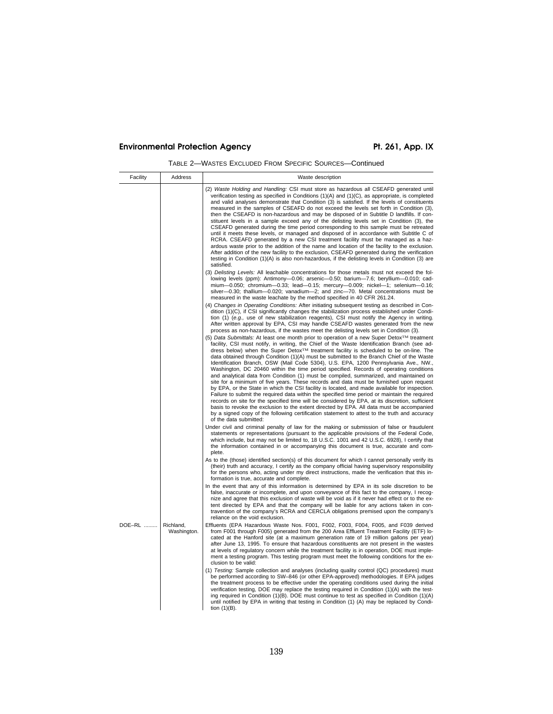| Facility | Address                  | Waste description                                                                                                                                                                                                                                                                                                                                                                                                                                                                                                                                                                                                                                                                                                                                                                                                                                                                                                                                                                                                                                                                                                                                                              |
|----------|--------------------------|--------------------------------------------------------------------------------------------------------------------------------------------------------------------------------------------------------------------------------------------------------------------------------------------------------------------------------------------------------------------------------------------------------------------------------------------------------------------------------------------------------------------------------------------------------------------------------------------------------------------------------------------------------------------------------------------------------------------------------------------------------------------------------------------------------------------------------------------------------------------------------------------------------------------------------------------------------------------------------------------------------------------------------------------------------------------------------------------------------------------------------------------------------------------------------|
|          |                          | (2) Waste Holding and Handling: CSI must store as hazardous all CSEAFD generated until<br>verification testing as specified in Conditions $(1)(A)$ and $(1)(C)$ , as appropriate, is completed<br>and valid analyses demonstrate that Condition (3) is satisfied. If the levels of constituents<br>measured in the samples of CSEAFD do not exceed the levels set forth in Condition (3),<br>then the CSEAFD is non-hazardous and may be disposed of in Subtitle D landfills. If con-<br>stituent levels in a sample exceed any of the delisting levels set in Condition (3), the<br>CSEAFD generated during the time period corresponding to this sample must be retreated<br>until it meets these levels, or managed and disposed of in accordance with Subtitle C of<br>RCRA. CSEAFD generated by a new CSI treatment facility must be managed as a haz-<br>ardous waste prior to the addition of the name and location of the facility to the exclusion.<br>After addition of the new facility to the exclusion, CSEAFD generated during the verification<br>testing in Condition (1)(A) is also non-hazardous, if the delisting levels in Condition (3) are<br>satisfied. |
|          |                          | (3) Delisting Levels: All leachable concentrations for those metals must not exceed the fol-<br>lowing levels (ppm): Antimony-0.06; arsenic-0.50; barium-7.6; beryllium-0.010; cad-<br>mium-0.050; chromium-0.33; lead-0.15; mercury-0.009; nickel-1; selenium-0.16;<br>silver-0.30; thallium-0.020; vanadium-2; and zinc-70. Metal concentrations must be<br>measured in the waste leachate by the method specified in 40 CFR 261.24.                                                                                                                                                                                                                                                                                                                                                                                                                                                                                                                                                                                                                                                                                                                                         |
|          |                          | (4) Changes in Operating Conditions: After initiating subsequent testing as described in Con-<br>dition (1)(C), if CSI significantly changes the stabilization process established under Condi-<br>tion (1) (e.g., use of new stabilization reagents), CSI must notify the Agency in writing.<br>After written approval by EPA, CSI may handle CSEAFD wastes generated from the new<br>process as non-hazardous, if the wastes meet the delisting levels set in Condition (3).<br>(5) Data Submittals: At least one month prior to operation of a new Super Detox <sup>TM</sup> treatment<br>facility, CSI must notify, in writing, the Chief of the Waste Identification Branch (see ad-<br>dress below) when the Super Detox™ treatment facility is scheduled to be on-line. The                                                                                                                                                                                                                                                                                                                                                                                             |
|          |                          | data obtained through Condition (1)(A) must be submitted to the Branch Chief of the Waste<br>Identification Branch, OSW (Mail Code 5304), U.S. EPA, 1200 Pennsylvania Ave., NW.,<br>Washington, DC 20460 within the time period specified. Records of operating conditions<br>and analytical data from Condition (1) must be compiled, summarized, and maintained on<br>site for a minimum of five years. These records and data must be furnished upon request<br>by EPA, or the State in which the CSI facility is located, and made available for inspection.<br>Failure to submit the required data within the specified time period or maintain the required<br>records on site for the specified time will be considered by EPA, at its discretion, sufficient<br>basis to revoke the exclusion to the extent directed by EPA. All data must be accompanied<br>by a signed copy of the following certification statement to attest to the truth and accuracy<br>of the data submitted:                                                                                                                                                                                   |
|          |                          | Under civil and criminal penalty of law for the making or submission of false or fraudulent<br>statements or representations (pursuant to the applicable provisions of the Federal Code,<br>which include, but may not be limited to, 18 U.S.C. 1001 and 42 U.S.C. 6928), I certify that<br>the information contained in or accompanying this document is true, accurate and com-<br>plete.                                                                                                                                                                                                                                                                                                                                                                                                                                                                                                                                                                                                                                                                                                                                                                                    |
|          |                          | As to the (those) identified section(s) of this document for which I cannot personally verify its<br>(their) truth and accuracy, I certify as the company official having supervisory responsibility<br>for the persons who, acting under my direct instructions, made the verification that this in-<br>formation is true, accurate and complete.                                                                                                                                                                                                                                                                                                                                                                                                                                                                                                                                                                                                                                                                                                                                                                                                                             |
|          |                          | In the event that any of this information is determined by EPA in its sole discretion to be<br>false, inaccurate or incomplete, and upon conveyance of this fact to the company, I recog-<br>nize and agree that this exclusion of waste will be void as if it never had effect or to the ex-<br>tent directed by EPA and that the company will be liable for any actions taken in con-<br>travention of the company's RCRA and CERCLA obligations premised upon the company's<br>reliance on the void exclusion.                                                                                                                                                                                                                                                                                                                                                                                                                                                                                                                                                                                                                                                              |
| DOE-RL   | Richland,<br>Washington. | Effluents (EPA Hazardous Waste Nos. F001, F002, F003, F004, F005, and F039 derived<br>from F001 through F005) generated from the 200 Area Effluent Treatment Facility (ETF) lo-<br>cated at the Hanford site (at a maximum generation rate of 19 million gallons per year)<br>after June 13, 1995. To ensure that hazardous constituents are not present in the wastes<br>at levels of requlatory concern while the treatment facility is in operation, DOE must imple-<br>ment a testing program. This testing program must meet the following conditions for the ex-<br>clusion to be valid:                                                                                                                                                                                                                                                                                                                                                                                                                                                                                                                                                                                 |
|          |                          | (1) Testing: Sample collection and analyses (including quality control (QC) procedures) must<br>be performed according to SW-846 (or other EPA-approved) methodologies. If EPA judges<br>the treatment process to be effective under the operating conditions used during the initial<br>verification testing, DOE may replace the testing required in Condition (1)(A) with the test-<br>ing required in Condition $(1)(B)$ . DOE must continue to test as specified in Condition $(1)(A)$<br>until notified by EPA in writing that testing in Condition (1) (A) may be replaced by Condi-<br>tion $(1)(B)$ .                                                                                                                                                                                                                                                                                                                                                                                                                                                                                                                                                                 |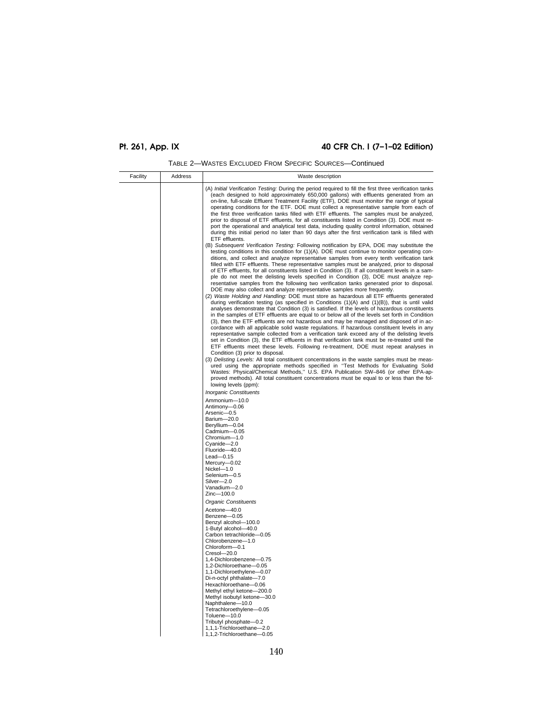|  | TABLE 2—WASTES EXCLUDED FROM SPECIFIC SOURCES—Continued |  |
|--|---------------------------------------------------------|--|
|--|---------------------------------------------------------|--|

| Facility | Address | Waste description                                                                                                                                                                                                                                                                                                                                                                                                                                                                                                                                                                                                                                                                                                                                                                                                                                                                                                                                                                                                                                                                                                                                                                                                                                                                                                                                                                                                                                                                                                                                                                                                                                                                                                |
|----------|---------|------------------------------------------------------------------------------------------------------------------------------------------------------------------------------------------------------------------------------------------------------------------------------------------------------------------------------------------------------------------------------------------------------------------------------------------------------------------------------------------------------------------------------------------------------------------------------------------------------------------------------------------------------------------------------------------------------------------------------------------------------------------------------------------------------------------------------------------------------------------------------------------------------------------------------------------------------------------------------------------------------------------------------------------------------------------------------------------------------------------------------------------------------------------------------------------------------------------------------------------------------------------------------------------------------------------------------------------------------------------------------------------------------------------------------------------------------------------------------------------------------------------------------------------------------------------------------------------------------------------------------------------------------------------------------------------------------------------|
|          |         | (A) Initial Verification Testing: During the period required to fill the first three verification tanks<br>(each designed to hold approximately 650,000 gallons) with effluents generated from an<br>on-line, full-scale Effluent Treatment Facility (ETF), DOE must monitor the range of typical<br>operating conditions for the ETF. DOE must collect a representative sample from each of<br>the first three verification tanks filled with ETF effluents. The samples must be analyzed,<br>prior to disposal of ETF effluents, for all constituents listed in Condition (3). DOE must re-<br>port the operational and analytical test data, including quality control information, obtained<br>during this initial period no later than 90 days after the first verification tank is filled with                                                                                                                                                                                                                                                                                                                                                                                                                                                                                                                                                                                                                                                                                                                                                                                                                                                                                                             |
|          |         | ETF effluents.<br>(B) Subsequent Verification Testing: Following notification by EPA, DOE may substitute the<br>testing conditions in this condition for $(1)(A)$ . DOE must continue to monitor operating con-<br>ditions, and collect and analyze representative samples from every tenth verification tank<br>filled with ETF effluents. These representative samples must be analyzed, prior to disposal<br>of ETF effluents, for all constituents listed in Condition (3). If all constituent levels in a sam-<br>ple do not meet the delisting levels specified in Condition (3), DOE must analyze rep-<br>resentative samples from the following two verification tanks generated prior to disposal.<br>DOE may also collect and analyze representative samples more frequently.<br>(2) Waste Holding and Handling: DOE must store as hazardous all ETF effluents generated<br>during verification testing (as specified in Conditions (1)(A) and (1)(B)), that is until valid<br>analyses demonstrate that Condition (3) is satisfied. If the levels of hazardous constituents<br>in the samples of ETF effluents are equal to or below all of the levels set forth in Condition<br>(3), then the ETF effluents are not hazardous and may be managed and disposed of in ac-<br>cordance with all applicable solid waste regulations. If hazardous constituent levels in any<br>representative sample collected from a verification tank exceed any of the delisting levels<br>set in Condition (3), the ETF effluents in that verification tank must be re-treated until the<br>ETF effluents meet these levels. Following re-treatment, DOE must repeat analyses in<br>Condition (3) prior to disposal. |
|          |         | (3) Delisting Levels: All total constituent concentrations in the waste samples must be meas-<br>ured using the appropriate methods specified in "Test Methods for Evaluating Solid<br>Wastes: Physical/Chemical Methods," U.S. EPA Publication SW-846 (or other EPA-ap-<br>proved methods). All total constituent concentrations must be equal to or less than the fol-<br>lowing levels (ppm):                                                                                                                                                                                                                                                                                                                                                                                                                                                                                                                                                                                                                                                                                                                                                                                                                                                                                                                                                                                                                                                                                                                                                                                                                                                                                                                 |
|          |         | <b>Inorganic Constituents</b>                                                                                                                                                                                                                                                                                                                                                                                                                                                                                                                                                                                                                                                                                                                                                                                                                                                                                                                                                                                                                                                                                                                                                                                                                                                                                                                                                                                                                                                                                                                                                                                                                                                                                    |
|          |         | Ammonium-10.0<br>Antimony-0.06<br>Arsenic-0.5                                                                                                                                                                                                                                                                                                                                                                                                                                                                                                                                                                                                                                                                                                                                                                                                                                                                                                                                                                                                                                                                                                                                                                                                                                                                                                                                                                                                                                                                                                                                                                                                                                                                    |
|          |         | Barium-20.0<br>Beryllium-0.04<br>Cadmium-0.05<br>Chromium-1.0<br>Cyanide-2.0                                                                                                                                                                                                                                                                                                                                                                                                                                                                                                                                                                                                                                                                                                                                                                                                                                                                                                                                                                                                                                                                                                                                                                                                                                                                                                                                                                                                                                                                                                                                                                                                                                     |
|          |         | Fluoride-40.0<br>$Lead - 0.15$<br>Mercury-0.02<br>Nickel-1.0<br>Selenium-0.5                                                                                                                                                                                                                                                                                                                                                                                                                                                                                                                                                                                                                                                                                                                                                                                                                                                                                                                                                                                                                                                                                                                                                                                                                                                                                                                                                                                                                                                                                                                                                                                                                                     |
|          |         | Silver-2.0<br>Vanadium-2.0<br>Zinc-100.0                                                                                                                                                                                                                                                                                                                                                                                                                                                                                                                                                                                                                                                                                                                                                                                                                                                                                                                                                                                                                                                                                                                                                                                                                                                                                                                                                                                                                                                                                                                                                                                                                                                                         |
|          |         | <b>Organic Constituents</b><br>Acetone-40.0<br>Benzene-0.05                                                                                                                                                                                                                                                                                                                                                                                                                                                                                                                                                                                                                                                                                                                                                                                                                                                                                                                                                                                                                                                                                                                                                                                                                                                                                                                                                                                                                                                                                                                                                                                                                                                      |
|          |         | Benzyl alcohol-100.0<br>1-Butyl alcohol-40.0<br>Carbon tetrachloride-0.05<br>Chlorobenzene-1.0                                                                                                                                                                                                                                                                                                                                                                                                                                                                                                                                                                                                                                                                                                                                                                                                                                                                                                                                                                                                                                                                                                                                                                                                                                                                                                                                                                                                                                                                                                                                                                                                                   |
|          |         | Chloroform-0.1<br>Cresol-20.0<br>1,4-Dichlorobenzene-0.75<br>1,2-Dichloroethane-0.05<br>1,1-Dichloroethylene-0.07                                                                                                                                                                                                                                                                                                                                                                                                                                                                                                                                                                                                                                                                                                                                                                                                                                                                                                                                                                                                                                                                                                                                                                                                                                                                                                                                                                                                                                                                                                                                                                                                |
|          |         | Di-n-octyl phthalate-7.0<br>Hexachloroethane-0.06<br>Methyl ethyl ketone-200.0                                                                                                                                                                                                                                                                                                                                                                                                                                                                                                                                                                                                                                                                                                                                                                                                                                                                                                                                                                                                                                                                                                                                                                                                                                                                                                                                                                                                                                                                                                                                                                                                                                   |
|          |         | Methyl isobutyl ketone-30.0<br>Naphthalene-10.0<br>Tetrachloroethylene-0.05<br>Toluene-10.0                                                                                                                                                                                                                                                                                                                                                                                                                                                                                                                                                                                                                                                                                                                                                                                                                                                                                                                                                                                                                                                                                                                                                                                                                                                                                                                                                                                                                                                                                                                                                                                                                      |
|          |         | Tributyl phosphate-0.2<br>1,1,1-Trichloroethane-2.0<br>1,1,2-Trichloroethane-0.05                                                                                                                                                                                                                                                                                                                                                                                                                                                                                                                                                                                                                                                                                                                                                                                                                                                                                                                                                                                                                                                                                                                                                                                                                                                                                                                                                                                                                                                                                                                                                                                                                                |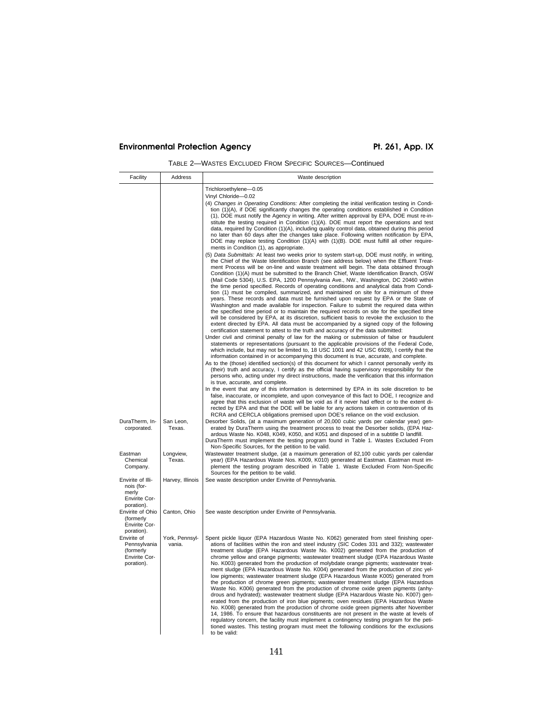| Facility                                                                                                                                       | Address                  | Waste description                                                                                                                                                                                                                                                                                                                                                                                                                                                                                                                                                                                                                                                                                                                                                                                                                                                                                                                                                                                                                                                                                                                                                                                                                                                                                                                                                                                                                                                                                                                                                                                                                                                                                                                                                                                                                                                                                                                                                                                                                                                                                                                                                  |
|------------------------------------------------------------------------------------------------------------------------------------------------|--------------------------|--------------------------------------------------------------------------------------------------------------------------------------------------------------------------------------------------------------------------------------------------------------------------------------------------------------------------------------------------------------------------------------------------------------------------------------------------------------------------------------------------------------------------------------------------------------------------------------------------------------------------------------------------------------------------------------------------------------------------------------------------------------------------------------------------------------------------------------------------------------------------------------------------------------------------------------------------------------------------------------------------------------------------------------------------------------------------------------------------------------------------------------------------------------------------------------------------------------------------------------------------------------------------------------------------------------------------------------------------------------------------------------------------------------------------------------------------------------------------------------------------------------------------------------------------------------------------------------------------------------------------------------------------------------------------------------------------------------------------------------------------------------------------------------------------------------------------------------------------------------------------------------------------------------------------------------------------------------------------------------------------------------------------------------------------------------------------------------------------------------------------------------------------------------------|
|                                                                                                                                                |                          | Trichloroethylene-0.05<br>Vinyl Chloride-0.02<br>(4) Changes in Operating Conditions: After completing the initial verification testing in Condi-<br>tion (1)(A), if DOE significantly changes the operating conditions established in Condition<br>(1), DOE must notify the Agency in writing. After written approval by EPA, DOE must re-in-<br>stitute the testing required in Condition (1)(A). DOE must report the operations and test<br>data, required by Condition (1)(A), including quality control data, obtained during this period<br>no later than 60 days after the changes take place. Following written notification by EPA,<br>DOE may replace testing Condition (1)(A) with (1)(B). DOE must fulfill all other require-<br>ments in Condition (1), as appropriate.                                                                                                                                                                                                                                                                                                                                                                                                                                                                                                                                                                                                                                                                                                                                                                                                                                                                                                                                                                                                                                                                                                                                                                                                                                                                                                                                                                               |
|                                                                                                                                                |                          | (5) Data Submittals: At least two weeks prior to system start-up, DOE must notify, in writing,<br>the Chief of the Waste Identification Branch (see address below) when the Effluent Treat-<br>ment Process will be on-line and waste treatment will begin. The data obtained through<br>Condition (1)(A) must be submitted to the Branch Chief, Waste Identification Branch, OSW<br>(Mail Code 5304), U.S. EPA, 1200 Pennsylvania Ave., NW., Washington, DC 20460 within<br>the time period specified. Records of operating conditions and analytical data from Condi-<br>tion (1) must be compiled, summarized, and maintained on site for a minimum of three<br>years. These records and data must be furnished upon request by EPA or the State of<br>Washington and made available for inspection. Failure to submit the required data within<br>the specified time period or to maintain the required records on site for the specified time<br>will be considered by EPA, at its discretion, sufficient basis to revoke the exclusion to the<br>extent directed by EPA. All data must be accompanied by a signed copy of the following<br>certification statement to attest to the truth and accuracy of the data submitted:<br>Under civil and criminal penalty of law for the making or submission of false or fraudulent<br>statements or representations (pursuant to the applicable provisions of the Federal Code,<br>which include, but may not be limited to, 18 USC 1001 and 42 USC 6928), I certify that the<br>information contained in or accompanying this document is true, accurate, and complete.<br>As to the (those) identified section(s) of this document for which I cannot personally verify its<br>(their) truth and accuracy, I certify as the official having supervisory responsibility for the<br>persons who, acting under my direct instructions, made the verification that this information<br>is true, accurate, and complete.<br>In the event that any of this information is determined by EPA in its sole discretion to be<br>false, inaccurate, or incomplete, and upon conveyance of this fact to DOE, I recognize and |
| DuraTherm, In-<br>corporated.                                                                                                                  | San Leon,<br>Texas.      | agree that this exclusion of waste will be void as if it never had effect or to the extent di-<br>rected by EPA and that the DOE will be liable for any actions taken in contravention of its<br>RCRA and CERCLA obligations premised upon DOE's reliance on the void exclusion.<br>Desorber Solids, (at a maximum generation of 20,000 cubic yards per calendar year) gen-<br>erated by DuraTherm using the treatment process to treat the Desorber solids, (EPA Haz-<br>ardous Waste No. K048, K049, K050, and K051 and disposed of in a subtitle D landfill.<br>DuraTherm must implement the testing program found in Table 1. Wastes Excluded From<br>Non-Specific Sources, for the petition to be valid.                                                                                                                                                                                                                                                                                                                                                                                                                                                                                                                                                                                                                                                                                                                                                                                                                                                                                                                                                                                                                                                                                                                                                                                                                                                                                                                                                                                                                                                      |
| Eastman<br>Chemical<br>Company.                                                                                                                | Longview,<br>Texas.      | Wastewater treatment sludge, (at a maximum generation of 82,100 cubic yards per calendar<br>year) (EPA Hazardous Waste Nos. K009, K010) generated at Eastman. Eastman must im-<br>plement the testing program described in Table 1. Waste Excluded From Non-Specific<br>Sources for the petition to be valid.                                                                                                                                                                                                                                                                                                                                                                                                                                                                                                                                                                                                                                                                                                                                                                                                                                                                                                                                                                                                                                                                                                                                                                                                                                                                                                                                                                                                                                                                                                                                                                                                                                                                                                                                                                                                                                                      |
| Envirite of Illi-<br>nois (for-<br>merly<br>Envirite Cor-<br>poration).                                                                        | Harvey, Illinois         | See waste description under Envirite of Pennsylvania.                                                                                                                                                                                                                                                                                                                                                                                                                                                                                                                                                                                                                                                                                                                                                                                                                                                                                                                                                                                                                                                                                                                                                                                                                                                                                                                                                                                                                                                                                                                                                                                                                                                                                                                                                                                                                                                                                                                                                                                                                                                                                                              |
| Envirite of Ohio<br>(formerly<br><b>Envirite Cor-</b><br>poration).<br>Envirite of<br>Pennsylvania<br>(formerly<br>Envirite Cor-<br>poration). | Canton, Ohio             | See waste description under Envirite of Pennsylvania.                                                                                                                                                                                                                                                                                                                                                                                                                                                                                                                                                                                                                                                                                                                                                                                                                                                                                                                                                                                                                                                                                                                                                                                                                                                                                                                                                                                                                                                                                                                                                                                                                                                                                                                                                                                                                                                                                                                                                                                                                                                                                                              |
|                                                                                                                                                | York, Pennsyl-<br>vania. | Spent pickle liquor (EPA Hazardous Waste No. K062) generated from steel finishing oper-<br>ations of facilities within the iron and steel industry (SIC Codes 331 and 332); wastewater<br>treatment sludge (EPA Hazardous Waste No. K002) generated from the production of<br>chrome yellow and orange pigments; wastewater treatment sludge (EPA Hazardous Waste<br>No. K003) generated from the production of molybdate orange pigments; wastewater treat-<br>ment sludge (EPA Hazardous Waste No. K004) generated from the production of zinc yel-<br>low pigments; wastewater treatment sludge (EPA Hazardous Waste K005) generated from<br>the production of chrome green pigments; wastewater treatment sludge (EPA Hazardous<br>Waste No. K006) generated from the production of chrome oxide green pigments (anhy-<br>drous and hydrated); wastewater treatment sludge (EPA Hazardous Waste No. K007) gen-<br>erated from the production of iron blue pigments; oven residues (EPA Hazardous Waste<br>No. K008) generated from the production of chrome oxide green pigments after November<br>14, 1986. To ensure that hazardous constituents are not present in the waste at levels of<br>regulatory concern, the facility must implement a contingency testing program for the peti-<br>tioned wastes. This testing program must meet the following conditions for the exclusions<br>to be valid:                                                                                                                                                                                                                                                                                                                                                                                                                                                                                                                                                                                                                                                                                                                                                       |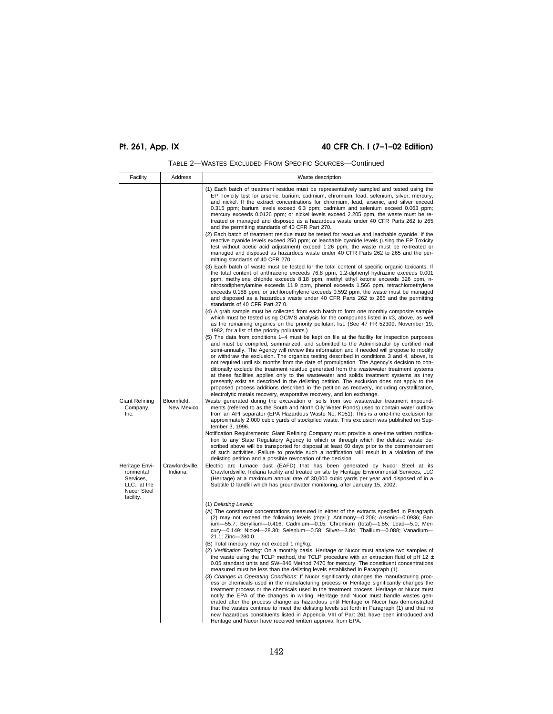| Facility                                                                             | Address                     | Waste description                                                                                                                                                                                                                                                                                                                                                                                                                                                                                                                                                                                                                                                                                                                                                                                                                                                                                                                                                                                                                                                                                                                                    |
|--------------------------------------------------------------------------------------|-----------------------------|------------------------------------------------------------------------------------------------------------------------------------------------------------------------------------------------------------------------------------------------------------------------------------------------------------------------------------------------------------------------------------------------------------------------------------------------------------------------------------------------------------------------------------------------------------------------------------------------------------------------------------------------------------------------------------------------------------------------------------------------------------------------------------------------------------------------------------------------------------------------------------------------------------------------------------------------------------------------------------------------------------------------------------------------------------------------------------------------------------------------------------------------------|
|                                                                                      |                             | (1) Each batch of treatment residue must be representatively sampled and tested using the<br>EP Toxicity test for arsenic, barium, cadmium, chromium, lead, selenium, silver, mercury,<br>and nickel. If the extract concentrations for chromium, lead, arsenic, and silver exceed<br>0.315 ppm; barium levels exceed 6.3 ppm; cadmium and selenium exceed 0.063 ppm;<br>mercury exceeds 0.0126 ppm; or nickel levels exceed 2.205 ppm, the waste must be re-<br>treated or managed and disposed as a hazardous waste under 40 CFR Parts 262 to 265<br>and the permitting standards of 40 CFR Part 270.                                                                                                                                                                                                                                                                                                                                                                                                                                                                                                                                              |
|                                                                                      |                             | (2) Each batch of treatment residue must be tested for reactive and leachable cyanide. If the<br>reactive cyanide levels exceed 250 ppm; or leachable cyanide levels (using the EP Toxicity<br>test without acetic acid adjustment) exceed 1.26 ppm, the waste must be re-treated or<br>managed and disposed as hazardous waste under 40 CFR Parts 262 to 265 and the per-<br>mitting standards of 40 CFR 270.                                                                                                                                                                                                                                                                                                                                                                                                                                                                                                                                                                                                                                                                                                                                       |
|                                                                                      |                             | (3) Each batch of waste must be tested for the total content of specific organic toxicants. If<br>the total content of anthracene exceeds 76.8 ppm, 1.2-diphenyl hydrazine exceeds 0.001<br>ppm, methylene chloride exceeds 8.18 ppm, methyl ethyl ketone exceeds 326 ppm, n-<br>nitrosodiphenylamine exceeds 11.9 ppm, phenol exceeds 1,566 ppm, tetrachloroethylene<br>exceeds 0.188 ppm, or trichloroethylene exceeds 0.592 ppm, the waste must be managed<br>and disposed as a hazardous waste under 40 CFR Parts 262 to 265 and the permitting<br>standards of 40 CFR Part 27 0.                                                                                                                                                                                                                                                                                                                                                                                                                                                                                                                                                                |
|                                                                                      |                             | (4) A grab sample must be collected from each batch to form one monthly composite sample<br>which must be tested using GC/MS analysis for the compounds listed in #3, above, as well<br>as the remaining organics on the priority pollutant list. (See 47 FR 52309, November 19,<br>1982, for a list of the priority pollutants.)                                                                                                                                                                                                                                                                                                                                                                                                                                                                                                                                                                                                                                                                                                                                                                                                                    |
|                                                                                      |                             | (5) The data from conditions 1–4 must be kept on file at the facility for inspection purposes<br>and must be compiled, summarized, and submitted to the Administrator by certified mail<br>semi-annually. The Agency will review this information and if needed will propose to modify<br>or withdraw the exclusion. The organics testing described in conditions 3 and 4, above, is<br>not required until six months from the date of promulgation. The Agency's decision to con-<br>ditionally exclude the treatment residue generated from the wastewater treatment systems<br>at these facilities applies only to the wastewater and solids treatment systems as they<br>presently exist as described in the delisting petition. The exclusion does not apply to the<br>proposed process additions described in the petition as recovery, including crystallization,<br>electrolytic metals recovery, evaporative recovery, and ion exchange.                                                                                                                                                                                                    |
| Giant Refining<br>Company,<br>Inc.                                                   | Bloomfield,<br>New Mexico.  | Waste generated during the excavation of soils from two wastewater treatment impound-<br>ments (referred to as the South and North Oily Water Ponds) used to contain water outflow<br>from an API separator (EPA Hazardous Waste No. K051). This is a one-time exclusion for<br>approximately 2,000 cubic yards of stockpiled waste. This exclusion was published on Sep-<br>tember 3, 1996.                                                                                                                                                                                                                                                                                                                                                                                                                                                                                                                                                                                                                                                                                                                                                         |
|                                                                                      |                             | Notification Requirements: Giant Refining Company must provide a one-time written notifica-<br>tion to any State Regulatory Agency to which or through which the delisted waste de-<br>scribed above will be transported for disposal at least 60 days prior to the commencement<br>of such activities. Failure to provide such a notification will result in a violation of the<br>delisting petition and a possible revocation of the decision.                                                                                                                                                                                                                                                                                                                                                                                                                                                                                                                                                                                                                                                                                                    |
| Heritage Envi-<br>ronmental<br>Services,<br>LLC., at the<br>Nucor Steel<br>facility. | Crawfordsville,<br>Indiana. | Electric arc furnace dust (EAFD) that has been generated by Nucor Steel at its<br>Crawfordsville, Indiana facility and treated on site by Heritage Environmental Services, LLC<br>(Heritage) at a maximum annual rate of 30,000 cubic yards per year and disposed of in a<br>Subtitle D landfill which has groundwater monitoring, after January 15, 2002.                                                                                                                                                                                                                                                                                                                                                                                                                                                                                                                                                                                                                                                                                                                                                                                           |
|                                                                                      |                             | (1) Delisting Levels:                                                                                                                                                                                                                                                                                                                                                                                                                                                                                                                                                                                                                                                                                                                                                                                                                                                                                                                                                                                                                                                                                                                                |
|                                                                                      |                             | (A) The constituent concentrations measured in either of the extracts specified in Paragraph<br>(2) may not exceed the following levels (mg/L): Antimony-0.206; Arsenic-0.0936; Bar-<br>ium-55.7; Beryllium-0.416; Cadmium-0.15; Chromium (total)-1.55; Lead-5.0; Mer-<br>cury-0.149; Nickel-28.30; Selenium-0.58; Silver-3.84; Thallium-0.088; Vanadium-<br>21.1; Zinc-280.0.                                                                                                                                                                                                                                                                                                                                                                                                                                                                                                                                                                                                                                                                                                                                                                       |
|                                                                                      |                             | (B) Total mercury may not exceed 1 mg/kg.<br>(2) Verification Testing: On a monthly basis, Heritage or Nucor must analyze two samples of<br>the waste using the TCLP method, the TCLP procedure with an extraction fluid of pH 12 $\pm$<br>0.05 standard units and SW-846 Method 7470 for mercury. The constituent concentrations<br>measured must be less than the delisting levels established in Paragraph (1).<br>(3) Changes in Operating Conditions: If Nucor significantly changes the manufacturing proc-<br>ess or chemicals used in the manufacturing process or Heritage significantly changes the<br>treatment process or the chemicals used in the treatment process, Heritage or Nucor must<br>notify the EPA of the changes in writing. Heritage and Nucor must handle wastes gen-<br>erated after the process change as hazardous until Heritage or Nucor has demonstrated<br>that the wastes continue to meet the delisting levels set forth in Paragraph (1) and that no<br>new hazardous constituents listed in Appendix VIII of Part 261 have been introduced and<br>Heritage and Nucor have received written approval from EPA. |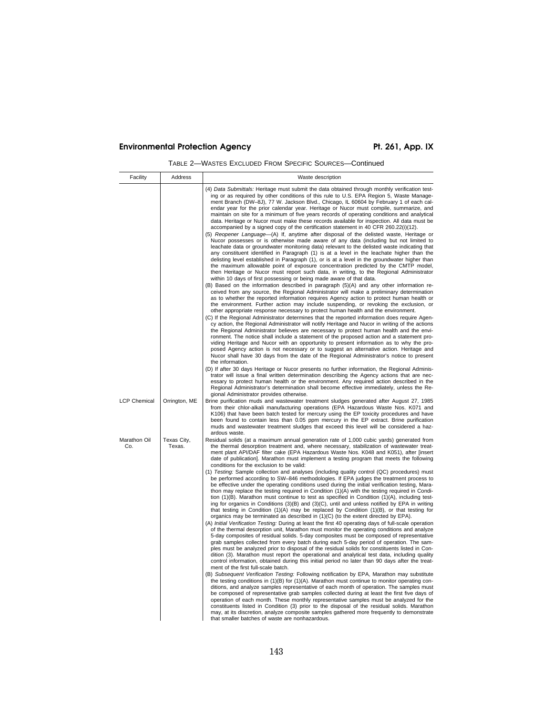| Facility            | Address               | Waste description                                                                                                                                                                                                                                                                                                                                                                                                                                                                                                                                                                                                                                                                                                                                                                                                                                                                                                                                                                                                                                                                                                                                                                                                                                                                                                                                                                                                                                                                                                                                                                                                                                                                                                                                                                                                                                                                                                                                                                                                                                                                                                                                                                                                                                                                                                                                                                                                                                                                                                                                                                                                                                                                                                                                                                                                                                                                                                                                                                                                  |  |  |
|---------------------|-----------------------|--------------------------------------------------------------------------------------------------------------------------------------------------------------------------------------------------------------------------------------------------------------------------------------------------------------------------------------------------------------------------------------------------------------------------------------------------------------------------------------------------------------------------------------------------------------------------------------------------------------------------------------------------------------------------------------------------------------------------------------------------------------------------------------------------------------------------------------------------------------------------------------------------------------------------------------------------------------------------------------------------------------------------------------------------------------------------------------------------------------------------------------------------------------------------------------------------------------------------------------------------------------------------------------------------------------------------------------------------------------------------------------------------------------------------------------------------------------------------------------------------------------------------------------------------------------------------------------------------------------------------------------------------------------------------------------------------------------------------------------------------------------------------------------------------------------------------------------------------------------------------------------------------------------------------------------------------------------------------------------------------------------------------------------------------------------------------------------------------------------------------------------------------------------------------------------------------------------------------------------------------------------------------------------------------------------------------------------------------------------------------------------------------------------------------------------------------------------------------------------------------------------------------------------------------------------------------------------------------------------------------------------------------------------------------------------------------------------------------------------------------------------------------------------------------------------------------------------------------------------------------------------------------------------------------------------------------------------------------------------------------------------------|--|--|
|                     |                       | (4) Data Submittals: Heritage must submit the data obtained through monthly verification test-<br>ing or as required by other conditions of this rule to U.S. EPA Region 5, Waste Manage-<br>ment Branch (DW-8J), 77 W. Jackson Blvd., Chicago, IL 60604 by February 1 of each cal-<br>endar year for the prior calendar year. Heritage or Nucor must compile, summarize, and<br>maintain on site for a minimum of five years records of operating conditions and analytical<br>data. Heritage or Nucor must make these records available for inspection. All data must be<br>accompanied by a signed copy of the certification statement in 40 CFR 260.22(i)(12).<br>(5) Reopener Language—(A) If, anytime after disposal of the delisted waste, Heritage or<br>Nucor possesses or is otherwise made aware of any data (including but not limited to<br>leachate data or groundwater monitoring data) relevant to the delisted waste indicating that<br>any constituent identified in Paragraph (1) is at a level in the leachate higher than the<br>delisting level established in Paragraph (1), or is at a level in the groundwater higher than<br>the maximum allowable point of exposure concentration predicted by the CMTP model,<br>then Heritage or Nucor must report such data, in writing, to the Regional Administrator<br>within 10 days of first possessing or being made aware of that data.<br>(B) Based on the information described in paragraph (5)(A) and any other information re-<br>ceived from any source, the Regional Administrator will make a preliminary determination<br>as to whether the reported information requires Agency action to protect human health or<br>the environment. Further action may include suspending, or revoking the exclusion, or<br>other appropriate response necessary to protect human health and the environment.<br>(C) If the Regional Administrator determines that the reported information does require Agen-<br>cy action, the Regional Administrator will notify Heritage and Nucor in writing of the actions<br>the Regional Administrator believes are necessary to protect human health and the envi-<br>ronment. The notice shall include a statement of the proposed action and a statement pro-<br>viding Heritage and Nucor with an opportunity to present information as to why the pro-<br>posed Agency action is not necessary or to suggest an alternative action. Heritage and<br>Nucor shall have 30 days from the date of the Regional Administrator's notice to present<br>the information.<br>(D) If after 30 days Heritage or Nucor presents no further information, the Regional Adminis-<br>trator will issue a final written determination describing the Agency actions that are nec-<br>essary to protect human health or the environment. Any required action described in the<br>Regional Administrator's determination shall become effective immediately, unless the Re-<br>gional Administrator provides otherwise. |  |  |
| <b>LCP Chemical</b> | Orrington, ME         | Brine purification muds and wastewater treatment sludges generated after August 27, 1985<br>from their chlor-alkali manufacturing operations (EPA Hazardous Waste Nos. K071 and<br>K106) that have been batch tested for mercury using the EP toxicity procedures and have<br>been found to contain less than 0.05 ppm mercury in the EP extract. Brine purification<br>muds and wastewater treatment sludges that exceed this level will be considered a haz-<br>ardous waste.                                                                                                                                                                                                                                                                                                                                                                                                                                                                                                                                                                                                                                                                                                                                                                                                                                                                                                                                                                                                                                                                                                                                                                                                                                                                                                                                                                                                                                                                                                                                                                                                                                                                                                                                                                                                                                                                                                                                                                                                                                                                                                                                                                                                                                                                                                                                                                                                                                                                                                                                    |  |  |
| Marathon Oil<br>Co. | Texas City,<br>Texas. | Residual solids (at a maximum annual generation rate of 1,000 cubic yards) generated from<br>the thermal desorption treatment and, where necessary, stabilization of wastewater treat-<br>ment plant API/DAF filter cake (EPA Hazardous Waste Nos. K048 and K051), after [insert<br>date of publication]. Marathon must implement a testing program that meets the following<br>conditions for the exclusion to be valid:<br>(1) Testing: Sample collection and analyses (including quality control (QC) procedures) must<br>be performed according to SW-846 methodologies. If EPA judges the treatment process to<br>be effective under the operating conditions used during the initial verification testing, Mara-<br>thon may replace the testing required in Condition (1)(A) with the testing required in Condi-<br>tion $(1)(B)$ . Marathon must continue to test as specified in Condition $(1)(A)$ , including test-<br>ing for organics in Conditions $(3)(B)$ and $(3)(C)$ , until and unless notified by EPA in writing<br>that testing in Condition $(1)(A)$ may be replaced by Condition $(1)(B)$ , or that testing for<br>organics may be terminated as described in $(1)(C)$ (to the extent directed by EPA).<br>(A) Initial Verification Testing: During at least the first 40 operating days of full-scale operation<br>of the thermal desorption unit, Marathon must monitor the operating conditions and analyze<br>5-day composites of residual solids. 5-day composites must be composed of representative<br>grab samples collected from every batch during each 5-day period of operation. The sam-<br>ples must be analyzed prior to disposal of the residual solids for constituents listed in Con-<br>dition (3). Marathon must report the operational and analytical test data, including quality<br>control information, obtained during this initial period no later than 90 days after the treat-<br>ment of the first full-scale batch.<br>(B) Subsequent Verification Testing: Following notification by EPA, Marathon may substitute<br>the testing conditions in (1)(B) for (1)(A). Marathon must continue to monitor operating con-<br>ditions, and analyze samples representative of each month of operation. The samples must<br>be composed of representative grab samples collected during at least the first five days of<br>operation of each month. These monthly representative samples must be analyzed for the<br>constituents listed in Condition (3) prior to the disposal of the residual solids. Marathon<br>may, at its discretion, analyze composite samples gathered more frequently to demonstrate<br>that smaller batches of waste are nonhazardous.                                                                                                                                                                                                                                                                                                       |  |  |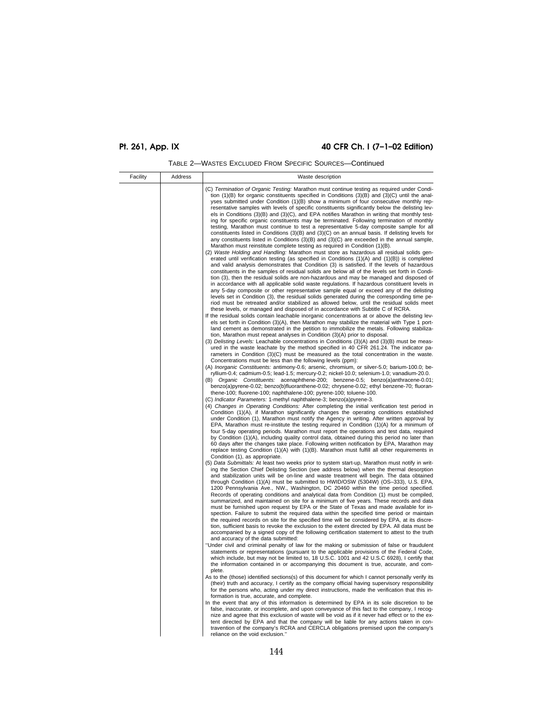| TABLE 2—WASTES EXCLUDED FROM SPECIFIC SOURCES—Continued |  |  |
|---------------------------------------------------------|--|--|
|                                                         |  |  |

| Facility | Address | Waste description                                                                                                                                                                                                                                                                                                                                                                                                                                                                                                                                                                                                                                                                                                                                                                                                                                                                                                                                                                                                                                                                                                                                     |
|----------|---------|-------------------------------------------------------------------------------------------------------------------------------------------------------------------------------------------------------------------------------------------------------------------------------------------------------------------------------------------------------------------------------------------------------------------------------------------------------------------------------------------------------------------------------------------------------------------------------------------------------------------------------------------------------------------------------------------------------------------------------------------------------------------------------------------------------------------------------------------------------------------------------------------------------------------------------------------------------------------------------------------------------------------------------------------------------------------------------------------------------------------------------------------------------|
|          |         | (C) Termination of Organic Testing: Marathon must continue testing as required under Condi-<br>tion $(1)(B)$ for organic constituents specified in Conditions $(3)(B)$ and $(3)(C)$ until the anal-<br>yses submitted under Condition (1)(B) show a minimum of four consecutive monthly rep-<br>resentative samples with levels of specific constituents significantly below the delisting lev-<br>els in Conditions (3)(B) and (3)(C), and EPA notifies Marathon in writing that monthly test-<br>ing for specific organic constituents may be terminated. Following termination of monthly<br>testing, Marathon must continue to test a representative 5-day composite sample for all<br>constituents listed in Conditions $(3)(B)$ and $(3)(C)$ on an annual basis. If delisting levels for<br>any constituents listed in Conditions $(3)(B)$ and $(3)(C)$ are exceeded in the annual sample,<br>Marathon must reinstitute complete testing as required in Condition (1)(B).<br>(2) Waste Holding and Handling: Marathon must store as hazardous all residual solids gen-                                                                          |
|          |         | erated until verification testing (as specified in Conditions $(1)(A)$ and $(1)(B)$ ) is completed<br>and valid analysis demonstrates that Condition (3) is satisfied. If the levels of hazardous<br>constituents in the samples of residual solids are below all of the levels set forth in Condi-<br>tion (3), then the residual solids are non-hazardous and may be managed and disposed of<br>in accordance with all applicable solid waste regulations. If hazardous constituent levels in<br>any 5-day composite or other representative sample equal or exceed any of the delisting<br>levels set in Condition (3), the residual solids generated during the corresponding time pe-<br>riod must be retreated and/or stabilized as allowed below, until the residual solids meet<br>these levels, or managed and disposed of in accordance with Subtitle C of RCRA.<br>If the residual solids contain leachable inorganic concentrations at or above the delisting lev-<br>els set forth in Condition (3)(A), then Marathon may stabilize the material with Type 1 port-                                                                       |
|          |         | land cement as demonstrated in the petition to immobilize the metals. Following stabiliza-<br>tion, Marathon must repeat analyses in Condition (3)(A) prior to disposal.<br>(3) Delisting Levels: Leachable concentrations in Conditions (3)(A) and (3)(B) must be meas-<br>ured in the waste leachate by the method specified in 40 CFR 261.24. The indicator pa-<br>rameters in Condition $(3)(C)$ must be measured as the total concentration in the waste.<br>Concentrations must be less than the following levels (ppm):                                                                                                                                                                                                                                                                                                                                                                                                                                                                                                                                                                                                                        |
|          |         | (A) Inorganic Constituents: antimony-0.6; arsenic, chromium, or silver-5.0; barium-100.0; be-<br>ryllium-0.4; cadmium-0.5; lead-1.5; mercury-0.2; nickel-10.0; selenium-1.0; vanadium-20.0.<br>Organic Constituents: acenaphthene-200; benzene-0.5; benzo(a)anthracene-0.01;<br>(B)<br>benzo(a)pyrene-0.02; benzo(b)fluoranthene-0.02; chrysene-0.02; ethyl benzene-70; fluoran-<br>thene-100; fluorene-100; naphthalene-100; pyrene-100; toluene-100.<br>(C) Indicator Parameters: 1-methyl naphthalene-3; benzo(a)pyrene-3.                                                                                                                                                                                                                                                                                                                                                                                                                                                                                                                                                                                                                         |
|          |         | (4) Changes in Operating Conditions: After completing the initial verification test period in<br>Condition (1)(A), if Marathon significantly changes the operating conditions established<br>under Condition (1), Marathon must notify the Agency in writing. After written approval by<br>EPA, Marathon must re-institute the testing required in Condition (1)(A) for a minimum of<br>four 5-day operating periods. Marathon must report the operations and test data, required<br>by Condition (1)(A), including quality control data, obtained during this period no later than<br>60 days after the changes take place. Following written notification by EPA, Marathon may<br>replace testing Condition (1)(A) with (1)(B). Marathon must fulfill all other requirements in<br>Condition (1), as appropriate.                                                                                                                                                                                                                                                                                                                                   |
|          |         | (5) Data Submittals: At least two weeks prior to system start-up, Marathon must notify in writ-<br>ing the Section Chief Delisting Section (see address below) when the thermal desorption<br>and stabilization units will be on-line and waste treatment will begin. The data obtained<br>through Condition (1)(A) must be submitted to HWID/OSW (5304W) (OS-333), U.S. EPA,<br>1200 Pennsylvania Ave., NW., Washington, DC 20460 within the time period specified.<br>Records of operating conditions and analytical data from Condition (1) must be compiled,<br>summarized, and maintained on site for a minimum of five years. These records and data<br>must be furnished upon request by EPA or the State of Texas and made available for in-<br>spection. Failure to submit the required data within the specified time period or maintain<br>the required records on site for the specified time will be considered by EPA, at its discre-<br>tion, sufficient basis to revoke the exclusion to the extent directed by EPA. All data must be<br>accompanied by a signed copy of the following certification statement to attest to the truth |
|          |         | and accuracy of the data submitted:<br>"Under civil and criminal penalty of law for the making or submission of false or fraudulent<br>statements or representations (pursuant to the applicable provisions of the Federal Code,<br>which include, but may not be limited to, 18 U.S.C. 1001 and 42 U.S.C 6928), I certify that<br>the information contained in or accompanying this document is true, accurate, and com-<br>plete.                                                                                                                                                                                                                                                                                                                                                                                                                                                                                                                                                                                                                                                                                                                   |
|          |         | As to the (those) identified sections(s) of this document for which I cannot personally verify its<br>(their) truth and accuracy, I certify as the company official having supervisory responsibility<br>for the persons who, acting under my direct instructions, made the verification that this in-<br>formation is true, accurate, and complete.                                                                                                                                                                                                                                                                                                                                                                                                                                                                                                                                                                                                                                                                                                                                                                                                  |
|          |         | In the event that any of this information is determined by EPA in its sole discretion to be<br>false, inaccurate, or incomplete, and upon conveyance of this fact to the company, I recog-<br>nize and agree that this exclusion of waste will be void as if it never had effect or to the ex-<br>tent directed by EPA and that the company will be liable for any actions taken in con-<br>travention of the company's RCRA and CERCLA obligations premised upon the company's<br>reliance on the void exclusion."                                                                                                                                                                                                                                                                                                                                                                                                                                                                                                                                                                                                                                   |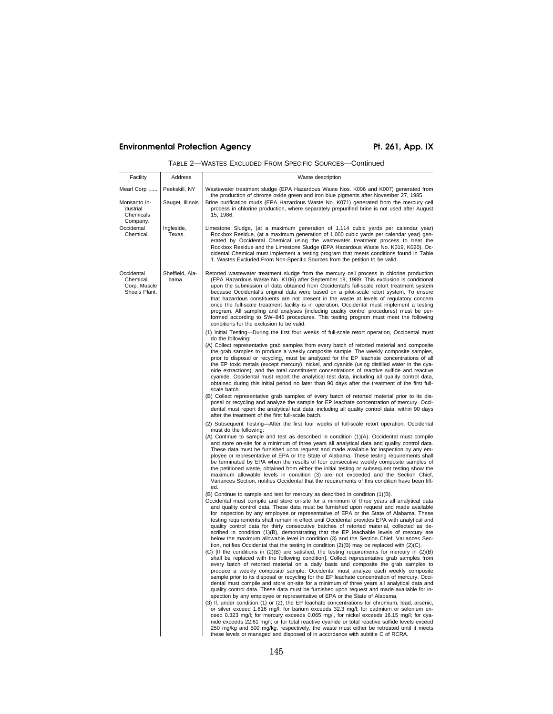| TABLE 2-WASTES EXCLUDED FROM SPECIFIC SOURCES-Continued |
|---------------------------------------------------------|
|---------------------------------------------------------|

| Facility                                                        | Address                           | Waste description                                                                                                                                                                                                                                                                                                                                                                                                                                                                                                                                                                                                                                                                                                                                                                                                                                                                                                                                                                                                                                                                                                                                                                                                                                                                                                                                                                                                                                                                                                                                                                                                                                                                                                                                                                                                                                                                                                                                                                                                                                                                                                                                                                                                                                                                                                                                                                                                                                                                                                                                                                                                                                                                                                                                                                                                                                                                                                                                                                                                                                                                           |
|-----------------------------------------------------------------|-----------------------------------|---------------------------------------------------------------------------------------------------------------------------------------------------------------------------------------------------------------------------------------------------------------------------------------------------------------------------------------------------------------------------------------------------------------------------------------------------------------------------------------------------------------------------------------------------------------------------------------------------------------------------------------------------------------------------------------------------------------------------------------------------------------------------------------------------------------------------------------------------------------------------------------------------------------------------------------------------------------------------------------------------------------------------------------------------------------------------------------------------------------------------------------------------------------------------------------------------------------------------------------------------------------------------------------------------------------------------------------------------------------------------------------------------------------------------------------------------------------------------------------------------------------------------------------------------------------------------------------------------------------------------------------------------------------------------------------------------------------------------------------------------------------------------------------------------------------------------------------------------------------------------------------------------------------------------------------------------------------------------------------------------------------------------------------------------------------------------------------------------------------------------------------------------------------------------------------------------------------------------------------------------------------------------------------------------------------------------------------------------------------------------------------------------------------------------------------------------------------------------------------------------------------------------------------------------------------------------------------------------------------------------------------------------------------------------------------------------------------------------------------------------------------------------------------------------------------------------------------------------------------------------------------------------------------------------------------------------------------------------------------------------------------------------------------------------------------------------------------------|
| Mearl Corp<br>Monsanto In-<br>dustrial<br>Chemicals<br>Company. | Peekskill, NY<br>Sauget, Illinois | Wastewater treatment sludge (EPA Hazardous Waste Nos. K006 and K007) generated from<br>the production of chrome oxide green and iron blue pigments after November 27, 1985.<br>Brine purification muds (EPA Hazardous Waste No. K071) generated from the mercury cell<br>process in chlorine production, where separately prepurified brine is not used after August<br>15, 1986.                                                                                                                                                                                                                                                                                                                                                                                                                                                                                                                                                                                                                                                                                                                                                                                                                                                                                                                                                                                                                                                                                                                                                                                                                                                                                                                                                                                                                                                                                                                                                                                                                                                                                                                                                                                                                                                                                                                                                                                                                                                                                                                                                                                                                                                                                                                                                                                                                                                                                                                                                                                                                                                                                                           |
| Occidental<br>Chemical.                                         | Ingleside,<br>Texas.              | Limestone Sludge, (at a maximum generation of 1,114 cubic yards per calendar year)<br>Rockbox Residue, (at a maximum generation of 1,000 cubic yards per calendar year) gen-<br>erated by Occidental Chemical using the wastewater treatment process to treat the<br>Rockbox Residue and the Limestone Sludge (EPA Hazardous Waste No. K019, K020). Oc-<br>cidental Chemical must implement a testing program that meets conditions found in Table<br>1. Wastes Excluded From Non-Specific Sources from the petition to be valid.                                                                                                                                                                                                                                                                                                                                                                                                                                                                                                                                                                                                                                                                                                                                                                                                                                                                                                                                                                                                                                                                                                                                                                                                                                                                                                                                                                                                                                                                                                                                                                                                                                                                                                                                                                                                                                                                                                                                                                                                                                                                                                                                                                                                                                                                                                                                                                                                                                                                                                                                                           |
| Occidental<br>Chemical<br>Corp. Muscle<br>Shoals Plant.         | Sheffield, Ala-<br>bama.          | Retorted wastewater treatment sludge from the mercury cell process in chlorine production<br>(EPA Hazardous Waste No. K106) after September 19, 1989. This exclusion is conditional<br>upon the submission of data obtained from Occidental's full-scale retort treatment system<br>because Occidental's original data were based on a pilot-scale retort system. To ensure<br>that hazardous constituents are not present in the waste at levels of regulatory concern<br>once the full-scale treatment facility is in operation, Occidental must implement a testing<br>program. All sampling and analyses (including quality control procedures) must be per-<br>formed according to SW-846 procedures. This testing program must meet the following<br>conditions for the exclusion to be valid:                                                                                                                                                                                                                                                                                                                                                                                                                                                                                                                                                                                                                                                                                                                                                                                                                                                                                                                                                                                                                                                                                                                                                                                                                                                                                                                                                                                                                                                                                                                                                                                                                                                                                                                                                                                                                                                                                                                                                                                                                                                                                                                                                                                                                                                                                        |
|                                                                 |                                   | (1) Initial Testing-During the first four weeks of full-scale retort operation, Occidental must<br>do the following:<br>(A) Collect representative grab samples from every batch of retorted material and composite<br>the grab samples to produce a weekly composite sample. The weekly composite samples,<br>prior to disposal or recycling, must be analyzed for the EP leachate concentrations of all<br>the EP toxic metals (except mercury), nickel, and cyanide (using distilled water in the cya-<br>nide extractions), and the total constitutent concentrations of reactive sulfide and reactive<br>cyanide. Occidental must report the analytical test data, including all quality control data,<br>obtained during this initial period no later than 90 days after the treatment of the first full-<br>scale batch.<br>(B) Collect representative grab samples of every batch of retorted material prior to its dis-<br>posal or recycling and analyze the sample for EP leachate concentration of mercury. Occi-<br>dental must report the analytical test data, including all quality control data, within 90 days<br>after the treatment of the first full-scale batch.                                                                                                                                                                                                                                                                                                                                                                                                                                                                                                                                                                                                                                                                                                                                                                                                                                                                                                                                                                                                                                                                                                                                                                                                                                                                                                                                                                                                                                                                                                                                                                                                                                                                                                                                                                                                                                                                                                      |
|                                                                 |                                   | (2) Subsequent Testing-After the first four weeks of full-scale retort operation, Occidental<br>must do the following:<br>(A) Continue to sample and test as described in condition (1)(A). Occidental must compile<br>and store on-site for a minimum of three years all analytical data and quality control data.<br>These data must be furnished upon request and made available for inspection by any em-<br>ployee or representative of EPA or the State of Alabama. These testing requirements shall<br>be terminated by EPA when the results of four consecutive weekly composite samples of<br>the petitioned waste, obtained from either the initial testing or subsequent testing show the<br>maximum allowable levels in condition (3) are not exceeded and the Section Chief,<br>Variances Section, notifies Occidental that the requirements of this condition have been lift-<br>ed.<br>(B) Continue to sample and test for mercury as described in condition (1)(B).<br>Occidental must compile and store on-site for a minimum of three years all analytical data<br>and quality control data. These data must be furnished upon request and made available<br>for inspection by any employee or representative of EPA or the State of Alabama. These<br>testing requirements shall remain in effect until Occidental provides EPA with analytical and<br>quality control data for thirty consecutive batches of retorted material, collected as de-<br>scribed in condition (1)(B), demonstrating that the EP leachable levels of mercury are<br>below the maximum allowable level in condition (3) and the Section Chief, Variances Sec-<br>tion, notifies Occidental that the testing in condition (2)(B) may be replaced with (2)(C).<br>(C) [If the conditions in $(2)(B)$ are satisfied, the testing requirements for mercury in $(2)(B)$<br>shall be replaced with the following condition]. Collect representative grab samples from<br>every batch of retorted material on a daily basis and composite the grab samples to<br>produce a weekly composite sample. Occidental must analyze each weekly composite<br>sample prior to its disposal or recycling for the EP leachate concentration of mercury. Occi-<br>dental must compile and store on-site for a minimum of three years all analytical data and<br>quality control data. These data must be furnished upon request and made available for in-<br>spection by any employee or representative of EPA or the State of Alabama.<br>(3) If, under condition (1) or (2), the EP leachate concentrations for chromium, lead, arsenic,<br>or silver exceed 1.616 mg/l; for barium exceeds 32.3 mg/l; for cadmium or selenium ex-<br>ceed 0.323 mg/l; for mercury exceeds 0.065 mg/l, for nickel exceeds 16.15 mg/l; for cya-<br>nide exceeds 22.61 mg/l; or for total reactive cyanide or total reactive sulfide levels exceed<br>250 mg/kg and 500 mg/kg, respectively, the waste must either be retreated until it meets<br>these levels or managed and disposed of in accordance with subtitle C of RCRA. |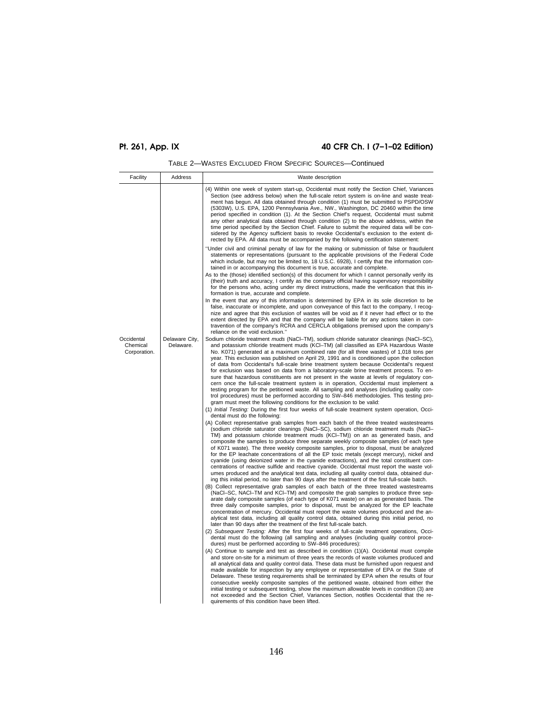| Facility                               | Address                     | Waste description                                                                                                                                                                                                                                                                                                                                                                                                                                                                                                                                                                                                                                                                                                                                                                                                                                                                                                                                                                                                                                                                                                                                                                                                                                                                                                                                                                                                                                                                                                                                                                                                                                                                                                                                                                                                                                                                                                                                                                                                                                                                                                                                                                                                                                                                                                                                                                                                                                                                                                                                                                                                                                                                                                                                                                                                                                                                                                                                                                                                                                                                                                                                                                                                                                                                                                                                                                                                                                                                                                                                                                                                                                                                                                                                                                                                                                                  |
|----------------------------------------|-----------------------------|--------------------------------------------------------------------------------------------------------------------------------------------------------------------------------------------------------------------------------------------------------------------------------------------------------------------------------------------------------------------------------------------------------------------------------------------------------------------------------------------------------------------------------------------------------------------------------------------------------------------------------------------------------------------------------------------------------------------------------------------------------------------------------------------------------------------------------------------------------------------------------------------------------------------------------------------------------------------------------------------------------------------------------------------------------------------------------------------------------------------------------------------------------------------------------------------------------------------------------------------------------------------------------------------------------------------------------------------------------------------------------------------------------------------------------------------------------------------------------------------------------------------------------------------------------------------------------------------------------------------------------------------------------------------------------------------------------------------------------------------------------------------------------------------------------------------------------------------------------------------------------------------------------------------------------------------------------------------------------------------------------------------------------------------------------------------------------------------------------------------------------------------------------------------------------------------------------------------------------------------------------------------------------------------------------------------------------------------------------------------------------------------------------------------------------------------------------------------------------------------------------------------------------------------------------------------------------------------------------------------------------------------------------------------------------------------------------------------------------------------------------------------------------------------------------------------------------------------------------------------------------------------------------------------------------------------------------------------------------------------------------------------------------------------------------------------------------------------------------------------------------------------------------------------------------------------------------------------------------------------------------------------------------------------------------------------------------------------------------------------------------------------------------------------------------------------------------------------------------------------------------------------------------------------------------------------------------------------------------------------------------------------------------------------------------------------------------------------------------------------------------------------------------------------------------------------------------------------------------------------|
|                                        |                             | (4) Within one week of system start-up, Occidental must notify the Section Chief, Variances<br>Section (see address below) when the full-scale retort system is on-line and waste treat-<br>ment has begun. All data obtained through condition (1) must be submitted to PSPD/OSW<br>(5303W), U.S. EPA, 1200 Pennsylvania Ave., NW., Washington, DC 20460 within the time<br>period specified in condition (1). At the Section Chief's request, Occidental must submit<br>any other analytical data obtained through condition (2) to the above address, within the<br>time period specified by the Section Chief. Failure to submit the required data will be con-<br>sidered by the Agency sufficient basis to revoke Occidental's exclusion to the extent di-<br>rected by EPA. All data must be accompanied by the following certification statement:                                                                                                                                                                                                                                                                                                                                                                                                                                                                                                                                                                                                                                                                                                                                                                                                                                                                                                                                                                                                                                                                                                                                                                                                                                                                                                                                                                                                                                                                                                                                                                                                                                                                                                                                                                                                                                                                                                                                                                                                                                                                                                                                                                                                                                                                                                                                                                                                                                                                                                                                                                                                                                                                                                                                                                                                                                                                                                                                                                                                          |
|                                        |                             | "Under civil and criminal penalty of law for the making or submission of false or fraudulent<br>statements or representations (pursuant to the applicable provisions of the Federal Code<br>which include, but may not be limited to, 18 U.S.C. 6928), I certify that the information con-<br>tained in or accompanying this document is true, accurate and complete.<br>As to the (those) identified section(s) of this document for which I cannot personally verify its<br>(their) truth and accuracy, I certify as the company official having supervisory responsibility<br>for the persons who, acting under my direct instructions, made the verification that this in-<br>formation is true, accurate and complete.<br>In the event that any of this information is determined by EPA in its sole discretion to be                                                                                                                                                                                                                                                                                                                                                                                                                                                                                                                                                                                                                                                                                                                                                                                                                                                                                                                                                                                                                                                                                                                                                                                                                                                                                                                                                                                                                                                                                                                                                                                                                                                                                                                                                                                                                                                                                                                                                                                                                                                                                                                                                                                                                                                                                                                                                                                                                                                                                                                                                                                                                                                                                                                                                                                                                                                                                                                                                                                                                                         |
|                                        |                             | false, inaccurate or incomplete, and upon conveyance of this fact to the company, I recog-<br>nize and agree that this exclusion of wastes will be void as if it never had effect or to the<br>extent directed by EPA and that the company will be liable for any actions taken in con-<br>travention of the company's RCRA and CERCLA obligations premised upon the company's<br>reliance on the void exclusion."                                                                                                                                                                                                                                                                                                                                                                                                                                                                                                                                                                                                                                                                                                                                                                                                                                                                                                                                                                                                                                                                                                                                                                                                                                                                                                                                                                                                                                                                                                                                                                                                                                                                                                                                                                                                                                                                                                                                                                                                                                                                                                                                                                                                                                                                                                                                                                                                                                                                                                                                                                                                                                                                                                                                                                                                                                                                                                                                                                                                                                                                                                                                                                                                                                                                                                                                                                                                                                                 |
| Occidental<br>Chemical<br>Corporation. | Delaware City,<br>Delaware. | Sodium chloride treatment muds (NaCl-TM), sodium chloride saturator cleanings (NaCl-SC),<br>and potassium chloride treatment muds (KCI-TM) (all classified as EPA Hazardous Waste<br>No. K071) generated at a maximum combined rate (for all three wastes) of 1,018 tons per<br>year. This exclusion was published on April 29, 1991 and is conditioned upon the collection<br>of data from Occidental's full-scale brine treatment system because Occidental's request<br>for exclusion was based on data from a laboratory-scale brine treatment process. To en-<br>sure that hazardous constituents are not present in the waste at levels of regulatory con-<br>cern once the full-scale treatment system is in operation, Occidental must implement a<br>testing program for the petitioned waste. All sampling and analyses (including quality con-<br>trol procedures) must be performed according to SW-846 methodologies. This testing pro-<br>gram must meet the following conditions for the exclusion to be valid:<br>(1) Initial Testing: During the first four weeks of full-scale treatment system operation, Occi-<br>dental must do the following:<br>(A) Collect representative grab samples from each batch of the three treated wastestreams<br>(sodium chloride saturator cleanings (NaCl–SC), sodium chloride treatment muds (NaCl–<br>TM) and potassium chloride treatment muds (KCI-TM)) on an as generated basis, and<br>composite the samples to produce three separate weekly composite samples (of each type<br>of K071 waste). The three weekly composite samples, prior to disposal, must be analyzed<br>for the EP leachate concentrations of all the EP toxic metals (except mercury), nickel and<br>cyanide (using deionized water in the cyanide extractions), and the total constituent con-<br>centrations of reactive sulfide and reactive cyanide. Occidental must report the waste vol-<br>umes produced and the analytical test data, including all quality control data, obtained dur-<br>ing this initial period, no later than 90 days after the treatment of the first full-scale batch.<br>(B) Collect representative grab samples of each batch of the three treated wastestreams<br>(NaCl-SC, NACl-TM and KCl-TM) and composite the grab samples to produce three sep-<br>arate daily composite samples (of each type of K071 waste) on an as generated basis. The<br>three daily composite samples, prior to disposal, must be analyzed for the EP leachate<br>concentration of mercury. Occidental must report the waste volumes produced and the an-<br>alytical test data, including all quality control data, obtained during this initial period, no<br>later than 90 days after the treatment of the first full-scale batch.<br>(2) Subsequent Testing: After the first four weeks of full-scale treatment operations, Occi-<br>dental must do the following (all sampling and analyses (including quality control proce-<br>dures) must be performed according to SW-846 procedures):<br>(A) Continue to sample and test as described in condition (1)(A). Occidental must compile<br>and store on-site for a minimum of three years the records of waste volumes produced and<br>all analytical data and quality control data. These data must be furnished upon request and<br>made available for inspection by any employee or representative of EPA or the State of<br>Delaware. These testing requirements shall be terminated by EPA when the results of four<br>consecutive weekly composite samples of the petitioned waste, obtained from either the<br>initial testing or subsequent testing, show the maximum allowable levels in condition (3) are<br>not exceeded and the Section Chief, Variances Section, notifies Occidental that the re-<br>quirements of this condition have been lifted. |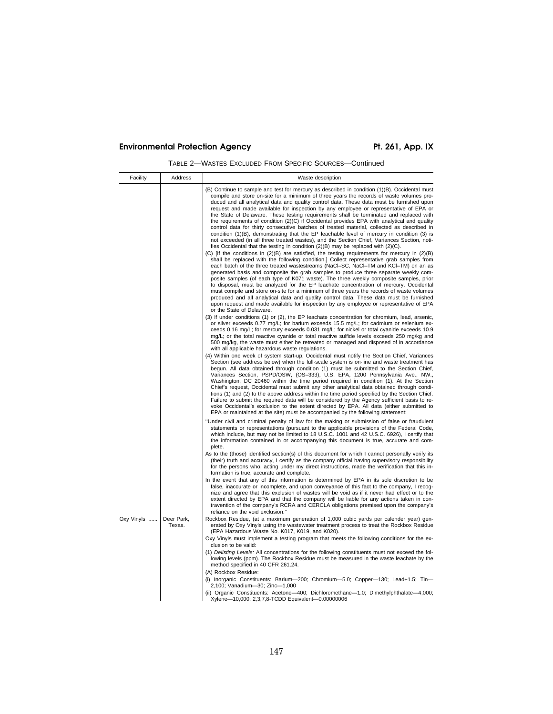| Facility   | Address              | Waste description                                                                                                                                                                                                                                                                                                                                                                                                                                                                                                                                                                                                                                                                                                                                                                                                                                                                                                                                                                                                                                                                                                                                                                                                                                                                                                                                                                                                                                                                                                                                                                                                                                                                                                                                                                                                                                                                                                                                                                                                                                                                                                                                                                                                                                                                                                                                                                                                                                                                                                                                                                                                                                                                                                                                                                                                                                                                                                                                                                                                                                                                                                                                                                                                                                                                                                                    |
|------------|----------------------|--------------------------------------------------------------------------------------------------------------------------------------------------------------------------------------------------------------------------------------------------------------------------------------------------------------------------------------------------------------------------------------------------------------------------------------------------------------------------------------------------------------------------------------------------------------------------------------------------------------------------------------------------------------------------------------------------------------------------------------------------------------------------------------------------------------------------------------------------------------------------------------------------------------------------------------------------------------------------------------------------------------------------------------------------------------------------------------------------------------------------------------------------------------------------------------------------------------------------------------------------------------------------------------------------------------------------------------------------------------------------------------------------------------------------------------------------------------------------------------------------------------------------------------------------------------------------------------------------------------------------------------------------------------------------------------------------------------------------------------------------------------------------------------------------------------------------------------------------------------------------------------------------------------------------------------------------------------------------------------------------------------------------------------------------------------------------------------------------------------------------------------------------------------------------------------------------------------------------------------------------------------------------------------------------------------------------------------------------------------------------------------------------------------------------------------------------------------------------------------------------------------------------------------------------------------------------------------------------------------------------------------------------------------------------------------------------------------------------------------------------------------------------------------------------------------------------------------------------------------------------------------------------------------------------------------------------------------------------------------------------------------------------------------------------------------------------------------------------------------------------------------------------------------------------------------------------------------------------------------------------------------------------------------------------------------------------------------|
|            |                      | (B) Continue to sample and test for mercury as described in condition (1)(B). Occidental must<br>compile and store on-site for a minimum of three years the records of waste volumes pro-<br>duced and all analytical data and quality control data. These data must be furnished upon<br>request and made available for inspection by any employee or representative of EPA or<br>the State of Delaware. These testing requirements shall be terminated and replaced with<br>the requirements of condition (2)(C) if Occidental provides EPA with analytical and quality<br>control data for thirty consecutive batches of treated material, collected as described in<br>condition (1)(B), demonstrating that the EP leachable level of mercury in condition (3) is<br>not exceeded (in all three treated wastes), and the Section Chief, Variances Section, noti-<br>fies Occidental that the testing in condition $(2)(B)$ may be replaced with $(2)(C)$ .<br>(C) [If the conditions in $(2)(B)$ are satisfied, the testing requirements for mercury in $(2)(B)$<br>shall be replaced with the following condition.] Collect representative grab samples from<br>each batch of the three treated wastestreams (NaCl-SC, NaCl-TM and KCl-TM) on an as<br>generated basis and composite the grab samples to produce three separate weekly com-<br>posite samples (of each type of K071 waste). The three weekly composite samples, prior<br>to disposal, must be analyzed for the EP leachate concentration of mercury. Occidental<br>must compile and store on-site for a minimum of three years the records of waste volumes<br>produced and all analytical data and quality control data. These data must be furnished<br>upon request and made available for inspection by any employee or representative of EPA<br>or the State of Delaware.<br>(3) If under conditions (1) or (2), the EP leachate concentration for chromium, lead, arsenic,<br>or silver exceeds 0.77 mg/L; for barium exceeds 15.5 mg/L; for cadmium or selenium ex-<br>ceeds 0.16 mg/L; for mercury exceeds 0.031 mg/L; for nickel or total cyanide exceeds 10.9<br>mg/L; or the total reactive cyanide or total reactive sulfide levels exceeds 250 mg/kg and<br>500 mg/kg, the waste must either be retreated or managed and disposed of in accordance<br>with all applicable hazardous waste regulations.<br>(4) Within one week of system start-up, Occidental must notify the Section Chief, Variances<br>Section (see address below) when the full-scale system is on-line and waste treatment has<br>begun. All data obtained through condition (1) must be submitted to the Section Chief,<br>Variances Section, PSPD/OSW, (OS-333), U.S. EPA, 1200 Pennsylvania Ave., NW.,<br>Washington, DC 20460 within the time period required in condition (1). At the Section<br>Chief's request, Occidental must submit any other analytical data obtained through condi-<br>tions (1) and (2) to the above address within the time period specified by the Section Chief.<br>Failure to submit the required data will be considered by the Agency sufficient basis to re-<br>voke Occidental's exclusion to the extent directed by EPA. All data (either submitted to<br>EPA or maintained at the site) must be accompanied by the following statement: |
| Oxy Vinyls | Deer Park,<br>Texas. | "Under civil and criminal penalty of law for the making or submission of false or fraudulent<br>statements or representations (pursuant to the applicable provisions of the Federal Code,<br>which include, but may not be limited to 18 U.S.C. 1001 and 42 U.S.C. 6926), I certify that<br>the information contained in or accompanying this document is true, accurate and com-<br>plete.<br>As to the (those) identified section(s) of this document for which I cannot personally verify its<br>(their) truth and accuracy, I certify as the company official having supervisory responsibility<br>for the persons who, acting under my direct instructions, made the verification that this in-<br>formation is true, accurate and complete.<br>In the event that any of this information is determined by EPA in its sole discretion to be<br>false, inaccurate or incomplete, and upon conveyance of this fact to the company, I recog-<br>nize and agree that this exclusion of wastes will be void as if it never had effect or to the<br>extent directed by EPA and that the company will be liable for any actions taken in con-<br>travention of the company's RCRA and CERCLA obligations premised upon the company's<br>reliance on the void exclusion."<br>Rockbox Residue, (at a maximum generation of 1,000 cubic yards per calender year) gen-<br>erated by Oxy Vinyls using the wastewater treatment process to treat the Rockbox Residue<br>(EPA Hazardous Waste No. K017, K019, and K020).<br>Oxy Vinyls must implement a testing program that meets the following conditions for the ex-<br>clusion to be valid:<br>(1) Delisting Levels: All concentrations for the following constituents must not exceed the fol-<br>lowing levels (ppm). The Rockbox Residue must be measured in the waste leachate by the<br>method specified in 40 CFR 261.24.<br>(A) Rockbox Residue:<br>(i) Inorganic Constituents: Barium—200; Chromium—5.0; Copper—130; Lead+1.5; Tin—<br>2,100; Vanadium-30; Zinc-1,000<br>(ii) Organic Constituents: Acetone-400; Dichloromethane-1.0; Dimethylphthalate-4,000;<br>Xylene-10,000; 2,3,7,8-TCDD Equivalent-0.00000006                                                                                                                                                                                                                                                                                                                                                                                                                                                                                                                                                                                                                                                                                                                                                                                                                                                                                                                                                                                                                                                                                                                                                               |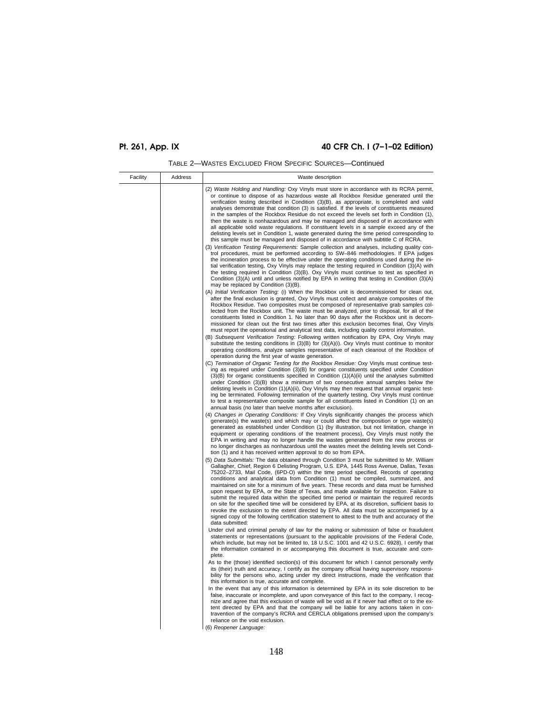|  | TABLE 2—WASTES EXCLUDED FROM SPECIFIC SOURCES—Continued |  |  |  |  |
|--|---------------------------------------------------------|--|--|--|--|
|--|---------------------------------------------------------|--|--|--|--|

| Facility | Address | Waste description                                                                                                                                                                                                                                                                                                                                                                                                                                                                                                                                                                                                                                                                                                                                                                                                                                                                                                                                                                                                                                                                                                                                                                                                                                                                                                                                                                                                                                                                                                                                                                                                              |
|----------|---------|--------------------------------------------------------------------------------------------------------------------------------------------------------------------------------------------------------------------------------------------------------------------------------------------------------------------------------------------------------------------------------------------------------------------------------------------------------------------------------------------------------------------------------------------------------------------------------------------------------------------------------------------------------------------------------------------------------------------------------------------------------------------------------------------------------------------------------------------------------------------------------------------------------------------------------------------------------------------------------------------------------------------------------------------------------------------------------------------------------------------------------------------------------------------------------------------------------------------------------------------------------------------------------------------------------------------------------------------------------------------------------------------------------------------------------------------------------------------------------------------------------------------------------------------------------------------------------------------------------------------------------|
|          |         | (2) Waste Holding and Handling: Oxy Vinyls must store in accordance with its RCRA permit,<br>or continue to dispose of as hazardous waste all Rockbox Residue generated until the<br>verification testing described in Condition (3)(B), as appropriate, is completed and valid<br>analyses demonstrate that condition (3) is satisfied. If the levels of constituents measured<br>in the samples of the Rockbox Residue do not exceed the levels set forth in Condition (1),<br>then the waste is nonhazardous and may be managed and disposed of in accordance with<br>all applicable solid waste regulations. If constituent levels in a sample exceed any of the<br>delisting levels set in Condition 1, waste generated during the time period corresponding to<br>this sample must be managed and disposed of in accordance with subtitle C of RCRA.<br>(3) Verification Testing Requirements: Sample collection and analyses, including quality con-<br>trol procedures, must be performed according to SW-846 methodologies. If EPA judges<br>the incineration process to be effective under the operating conditions used during the ini-<br>tial verification testing, Oxy Vinyls may replace the testing required in Condition (3)(A) with<br>the testing required in Condition (3)(B). Oxy Vinyls must continue to test as specified in<br>Condition (3)(A) until and unless notified by EPA in writing that testing in Condition (3)(A)<br>may be replaced by Condition (3)(B).                                                                                                                                   |
|          |         | (A) Initial Verification Testing: (i) When the Rockbox unit is decommissioned for clean out,<br>after the final exclusion is granted, Oxy Vinyls must collect and analyze composites of the<br>Rockbox Residue. Two composites must be composed of representative grab samples col-<br>lected from the Rockbox unit. The waste must be analyzed, prior to disposal, for all of the<br>constituents listed in Condition 1. No later than 90 days after the Rockbox unit is decom-<br>missioned for clean out the first two times after this exclusion becomes final, Oxy Vinyls<br>must report the operational and analytical test data, including quality control information.<br>(B) Subsequent Verification Testing: Following written notification by EPA, Oxy Vinyls may<br>substitute the testing conditions in $(3)(B)$ for $(3)(A)(i)$ . Oxy Vinyls must continue to monitor<br>operating conditions, analyze samples representative of each cleanout of the Rockbox of<br>operation during the first year of waste generation.                                                                                                                                                                                                                                                                                                                                                                                                                                                                                                                                                                                         |
|          |         | (C) Termination of Organic Testing for the Rockbox Residue: Oxy Vinyls must continue test-<br>ing as required under Condition (3)(B) for organic constituents specified under Condition<br>$(3)(B)$ for organic constituents specified in Condition $(1)(A)(ii)$ until the analyses submitted<br>under Condition $(3)(B)$ show a minimum of two consecutive annual samples below the<br>delisting levels in Condition $(1)(A)(ii)$ , Oxy Vinyls may then request that annual organic test-<br>ing be terminated. Following termination of the quarterly testing, Oxy Vinyls must continue<br>to test a representative composite sample for all constituents listed in Condition (1) on an<br>annual basis (no later than twelve months after exclusion).                                                                                                                                                                                                                                                                                                                                                                                                                                                                                                                                                                                                                                                                                                                                                                                                                                                                       |
|          |         | (4) Changes in Operating Conditions: If Oxy Vinyls significantly changes the process which<br>generate(s) the waste(s) and which may or could affect the composition or type waste(s)<br>generated as established under Condition (1) (by illustration, but not limitation, change in<br>equipment or operating conditions of the treatment process), Oxy Vinyls must notify the<br>EPA in writing and may no longer handle the wastes generated from the new process or<br>no longer discharges as nonhazardous until the wastes meet the delisting levels set Condi-<br>tion (1) and it has received written approval to do so from EPA.<br>(5) Data Submittals: The data obtained through Condition 3 must be submitted to Mr. William<br>Gallagher, Chief, Region 6 Delisting Program, U.S. EPA, 1445 Ross Avenue, Dallas, Texas<br>75202-2733, Mail Code, (6PD-O) within the time period specified. Records of operating<br>conditions and analytical data from Condition (1) must be compiled, summarized, and<br>maintained on site for a minimum of five years. These records and data must be furnished<br>upon request by EPA, or the State of Texas, and made available for inspection. Failure to<br>submit the required data within the specified time period or maintain the required records<br>on site for the specified time will be considered by EPA, at its discretion, sufficient basis to<br>revoke the exclusion to the extent directed by EPA. All data must be accompanied by a<br>signed copy of the following certification statement to attest to the truth and accuracy of the<br>data submitted: |
|          |         | Under civil and criminal penalty of law for the making or submission of false or fraudulent<br>statements or representations (pursuant to the applicable provisions of the Federal Code,<br>which include, but may not be limited to, 18 U.S.C. 1001 and 42 U.S.C. 6928), I certify that<br>the information contained in or accompanying this document is true, accurate and com-<br>plete.                                                                                                                                                                                                                                                                                                                                                                                                                                                                                                                                                                                                                                                                                                                                                                                                                                                                                                                                                                                                                                                                                                                                                                                                                                    |
|          |         | As to the (those) identified section(s) of this document for which I cannot personally verify<br>its (their) truth and accuracy, I certify as the company official having supervisory responsi-<br>bility for the persons who, acting under my direct instructions, made the verification that<br>this information is true, accurate and complete.<br>In the event that any of this information is determined by EPA in its sole discretion to be                                                                                                                                                                                                                                                                                                                                                                                                                                                                                                                                                                                                                                                                                                                                                                                                                                                                                                                                                                                                                                                                                                                                                                              |
|          |         | false, inaccurate or incomplete, and upon conveyance of this fact to the company, I recog-<br>nize and agree that this exclusion of waste will be void as if it never had effect or to the ex-<br>tent directed by EPA and that the company will be liable for any actions taken in con-<br>travention of the company's RCRA and CERCLA obligations premised upon the company's<br>reliance on the void exclusion.<br>(6) Reopener Language:                                                                                                                                                                                                                                                                                                                                                                                                                                                                                                                                                                                                                                                                                                                                                                                                                                                                                                                                                                                                                                                                                                                                                                                   |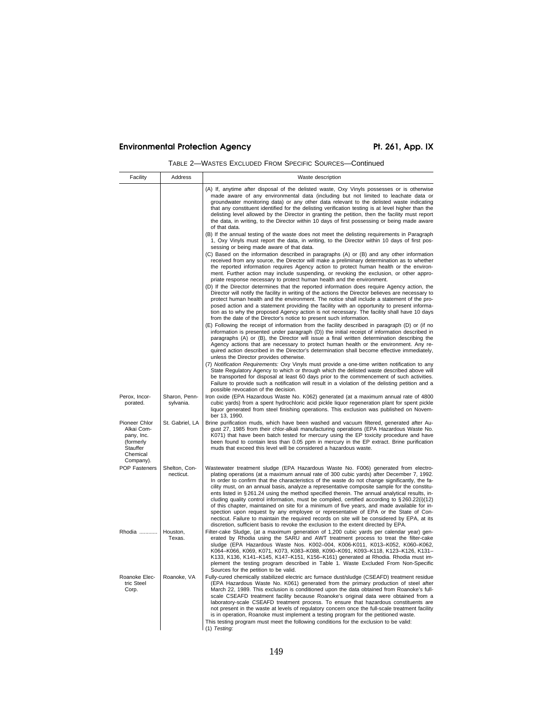| Facility                                                                                    | Address                    | Waste description                                                                                                                                                                                                                                                                                                                                                                                                                                                                                                                                                                                                                                                                                                                                                                                                                                                                                                                                              |  |
|---------------------------------------------------------------------------------------------|----------------------------|----------------------------------------------------------------------------------------------------------------------------------------------------------------------------------------------------------------------------------------------------------------------------------------------------------------------------------------------------------------------------------------------------------------------------------------------------------------------------------------------------------------------------------------------------------------------------------------------------------------------------------------------------------------------------------------------------------------------------------------------------------------------------------------------------------------------------------------------------------------------------------------------------------------------------------------------------------------|--|
|                                                                                             |                            | (A) If, anytime after disposal of the delisted waste, Oxy Vinyls possesses or is otherwise<br>made aware of any environmental data (including but not limited to leachate data or<br>groundwater monitoring data) or any other data relevant to the delisted waste indicating<br>that any constituent identified for the delisting verification testing is at level higher than the<br>delisting level allowed by the Director in granting the petition, then the facility must report<br>the data, in writing, to the Director within 10 days of first possessing or being made aware<br>of that data.                                                                                                                                                                                                                                                                                                                                                        |  |
|                                                                                             |                            | (B) If the annual testing of the waste does not meet the delisting requirements in Paragraph<br>1, Oxy Vinyls must report the data, in writing, to the Director within 10 days of first pos-<br>sessing or being made aware of that data.                                                                                                                                                                                                                                                                                                                                                                                                                                                                                                                                                                                                                                                                                                                      |  |
|                                                                                             |                            | (C) Based on the information described in paragraphs (A) or (B) and any other information<br>received from any source, the Director will make a preliminary determination as to whether<br>the reported information requires Agency action to protect human health or the environ-<br>ment. Further action may include suspending, or revoking the exclusion, or other appro-<br>priate response necessary to protect human health and the environment.                                                                                                                                                                                                                                                                                                                                                                                                                                                                                                        |  |
|                                                                                             |                            | (D) If the Director determines that the reported information does require Agency action, the<br>Director will notify the facility in writing of the actions the Director believes are necessary to<br>protect human health and the environment. The notice shall include a statement of the pro-<br>posed action and a statement providing the facility with an opportunity to present informa-<br>tion as to why the proposed Agency action is not necessary. The facility shall have 10 days<br>from the date of the Director's notice to present such information.                                                                                                                                                                                                                                                                                                                                                                                          |  |
|                                                                                             |                            | (E) Following the receipt of information from the facility described in paragraph (D) or (if no<br>information is presented under paragraph (D)) the initial receipt of information described in<br>paragraphs (A) or (B), the Director will issue a final written determination describing the<br>Agency actions that are necessary to protect human health or the environment. Any re-<br>quired action described in the Director's determination shall become effective immediately,<br>unless the Director provides otherwise.                                                                                                                                                                                                                                                                                                                                                                                                                             |  |
|                                                                                             |                            | (7) Notification Requirements: Oxy Vinyls must provide a one-time written notification to any<br>State Regulatory Agency to which or through which the delisted waste described above will<br>be transported for disposal at least 60 days prior to the commencement of such activities.<br>Failure to provide such a notification will result in a violation of the delisting petition and a<br>possible revocation of the decision.                                                                                                                                                                                                                                                                                                                                                                                                                                                                                                                          |  |
| Perox, Incor-<br>porated.                                                                   | Sharon, Penn-<br>sylvania. | Iron oxide (EPA Hazardous Waste No. K062) generated (at a maximum annual rate of 4800<br>cubic yards) from a spent hydrochloric acid pickle liquor regeneration plant for spent pickle<br>liquor generated from steel finishing operations. This exclusion was published on Novem-<br>ber 13, 1990.                                                                                                                                                                                                                                                                                                                                                                                                                                                                                                                                                                                                                                                            |  |
| Pioneer Chlor<br>Alkai Com-<br>pany, Inc.<br>(formerly<br>Stauffer<br>Chemical<br>Company). | St. Gabriel, LA            | Brine purification muds, which have been washed and vacuum filtered, generated after Au-<br>gust 27, 1985 from their chlor-alkali manufacturing operations (EPA Hazardous Waste No.<br>K071) that have been batch tested for mercury using the EP toxicity procedure and have<br>been found to contain less than 0.05 ppm in mercury in the EP extract. Brine purification<br>muds that exceed this level will be considered a hazardous waste.                                                                                                                                                                                                                                                                                                                                                                                                                                                                                                                |  |
| <b>POP Fasteners</b>                                                                        | Shelton, Con-<br>necticut. | Wastewater treatment sludge (EPA Hazardous Waste No. F006) generated from electro-<br>plating operations (at a maximum annual rate of 300 cubic yards) after December 7, 1992.<br>In order to confirm that the characteristics of the waste do not change significantly, the fa-<br>cility must, on an annual basis, analyze a representative composite sample for the constitu-<br>ents listed in §261.24 using the method specified therein. The annual analytical results, in-<br>cluding quality control information, must be compiled, certified according to §260.22(i)(12)<br>of this chapter, maintained on site for a minimum of five years, and made available for in-<br>spection upon request by any employee or representative of EPA or the State of Con-<br>necticut. Failure to maintain the required records on site will be considered by EPA, at its<br>discretion, sufficient basis to revoke the exclusion to the extent directed by EPA. |  |
| Rhodia                                                                                      | Houston,<br>Texas.         | Filter-cake Sludge, (at a maximum generation of 1,200 cubic yards per calendar year) gen-<br>erated by Rhodia using the SARU and AWT treatment process to treat the filter-cake<br>sludge (EPA Hazardous Waste Nos. K002-004, K006-K011, K013-K052, K060-K062,<br>K064-K066, K069, K071, K073, K083-K088, K090-K091, K093-K118, K123-K126, K131-<br>K133, K136, K141-K145, K147-K151, K156-K161) generated at Rhodia. Rhodia must im-<br>plement the testing program described in Table 1. Waste Excluded From Non-Specific<br>Sources for the petition to be valid.                                                                                                                                                                                                                                                                                                                                                                                           |  |
| Roanoke Elec-<br>tric Steel<br>Corp.                                                        | Roanoke, VA                | Fully-cured chemically stabilized electric arc furnace dust/sludge (CSEAFD) treatment residue<br>(EPA Hazardous Waste No. K061) generated from the primary production of steel after<br>March 22, 1989. This exclusion is conditioned upon the data obtained from Roanoke's full-<br>scale CSEAFD treatment facility because Roanoke's original data were obtained from a<br>laboratory-scale CSEAFD treatment process. To ensure that hazardous constituents are<br>not present in the waste at levels of regulatory concern once the full-scale treatment facility<br>is in operation, Roanoke must implement a testing program for the petitioned waste.<br>This testing program must meet the following conditions for the exclusion to be valid:<br>$(1)$ Testing:                                                                                                                                                                                        |  |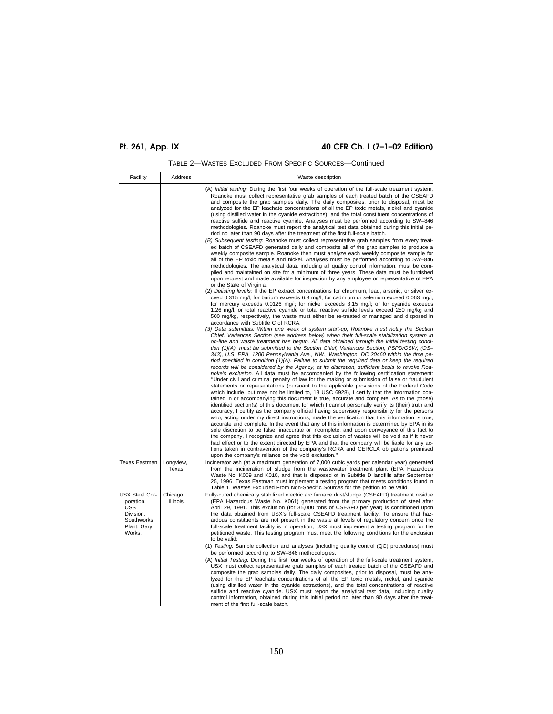| Facility                                                                               | Address               | Waste description                                                                                                                                                                                                                                                                                                                                                                                                                                                                                                                                                                                                                                                                                                                                                                                                                                                                                                                                                                                                                                                                                                                                                                                                                                                                                                                                                                                                                                                                                                                                                                                                                                                                                                                                                                                                                                                                                                                                                                                                                                                                                                                                |
|----------------------------------------------------------------------------------------|-----------------------|--------------------------------------------------------------------------------------------------------------------------------------------------------------------------------------------------------------------------------------------------------------------------------------------------------------------------------------------------------------------------------------------------------------------------------------------------------------------------------------------------------------------------------------------------------------------------------------------------------------------------------------------------------------------------------------------------------------------------------------------------------------------------------------------------------------------------------------------------------------------------------------------------------------------------------------------------------------------------------------------------------------------------------------------------------------------------------------------------------------------------------------------------------------------------------------------------------------------------------------------------------------------------------------------------------------------------------------------------------------------------------------------------------------------------------------------------------------------------------------------------------------------------------------------------------------------------------------------------------------------------------------------------------------------------------------------------------------------------------------------------------------------------------------------------------------------------------------------------------------------------------------------------------------------------------------------------------------------------------------------------------------------------------------------------------------------------------------------------------------------------------------------------|
|                                                                                        |                       | (A) Initial testing: During the first four weeks of operation of the full-scale treatment system,<br>Roanoke must collect representative grab samples of each treated batch of the CSEAFD<br>and composite the grab samples daily. The daily composites, prior to disposal, must be<br>analyzed for the EP leachate concentrations of all the EP toxic metals, nickel and cyanide<br>(using distilled water in the cyanide extractions), and the total constituent concentrations of<br>reactive sulfide and reactive cyanide. Analyses must be performed according to SW-846<br>methodologies. Roanoke must report the analytical test data obtained during this initial pe-<br>riod no later than 90 days after the treatment of the first full-scale batch.                                                                                                                                                                                                                                                                                                                                                                                                                                                                                                                                                                                                                                                                                                                                                                                                                                                                                                                                                                                                                                                                                                                                                                                                                                                                                                                                                                                   |
|                                                                                        |                       | (B) Subsequent testing: Roanoke must collect representative grab samples from every treat-<br>ed batch of CSEAFD generated daily and composite all of the grab samples to produce a<br>weekly composite sample. Roanoke then must analyze each weekly composite sample for<br>all of the EP toxic metals and nickel. Analyses must be performed according to SW-846<br>methodologies. The analytical data, including all quality control information, must be com-<br>piled and maintained on site for a minimum of three years. These data must be furnished<br>upon request and made available for inspection by any employee or representative of EPA<br>or the State of Virginia.<br>(2) Delisting levels: If the EP extract concentrations for chromium, lead, arsenic, or silver ex-<br>ceed 0.315 mg/l; for barium exceeds 6.3 mg/l; for cadmium or selenium exceed 0.063 mg/l;<br>for mercury exceeds 0.0126 mg/l; for nickel exceeds 3.15 mg/l; or for cyanide exceeds<br>1.26 mg/l, or total reactive cyanide or total reactive sulfide levels exceed 250 mg/kg and                                                                                                                                                                                                                                                                                                                                                                                                                                                                                                                                                                                                                                                                                                                                                                                                                                                                                                                                                                                                                                                                    |
|                                                                                        |                       | 500 mg/kg, respectively, the waste must either be re-treated or managed and disposed in<br>accordance with Subtitle C of RCRA.<br>(3) Data submittals: Within one week of system start-up, Roanoke must notify the Section<br>Chief, Variances Section (see address below) when their full-scale stabilization system in<br>on-line and waste treatment has begun. All data obtained through the initial testing condi-<br>tion (1)(A), must be submitted to the Section Chief, Variances Section, PSPD/OSW, (OS-<br>343), U.S. EPA, 1200 Pennsylvania Ave., NW., Washington, DC 20460 within the time pe-<br>riod specified in condition (1)(A). Failure to submit the required data or keep the required<br>records will be considered by the Agency, at its discretion, sufficient basis to revoke Roa-<br>noke's exclusion. All data must be accompanied by the following certification statement:<br>"Under civil and criminal penalty of law for the making or submission of false or fraudulent<br>statements or representations (pursuant to the applicable provisions of the Federal Code<br>which include, but may not be limited to, 18 USC 6928), I certify that the information con-<br>tained in or accompanying this document is true, accurate and complete. As to the (those)<br>identified section(s) of this document for which I cannot personally verify its (their) truth and<br>accuracy, I certify as the company official having supervisory responsibility for the persons<br>who, acting under my direct instructions, made the verification that this information is true,<br>accurate and complete. In the event that any of this information is determined by EPA in its<br>sole discretion to be false, inaccurate or incomplete, and upon conveyance of this fact to<br>the company, I recognize and agree that this exclusion of wastes will be void as if it never<br>had effect or to the extent directed by EPA and that the company will be liable for any ac-<br>tions taken in contravention of the company's RCRA and CERCLA obligations premised<br>upon the company's reliance on the void exclusion." |
| <b>Texas Eastman</b>                                                                   | Longview,<br>Texas.   | Incinerator ash (at a maximum generation of 7,000 cubic yards per calendar year) generated<br>from the incineration of sludge from the wastewater treatment plant (EPA Hazardous<br>Waste No. K009 and K010, and that is disposed of in Subtitle D landfills after September<br>25, 1996. Texas Eastman must implement a testing program that meets conditions found in<br>Table 1. Wastes Excluded From Non-Specific Sources for the petition to be valid.                                                                                                                                                                                                                                                                                                                                                                                                                                                                                                                                                                                                                                                                                                                                                                                                                                                                                                                                                                                                                                                                                                                                                                                                                                                                                                                                                                                                                                                                                                                                                                                                                                                                                      |
| USX Steel Cor-<br>poration,<br>USS<br>Division,<br>Southworks<br>Plant, Gary<br>Works. | Chicago,<br>Illinois. | Fully-cured chemically stabilized electric arc furnace dust/sludge (CSEAFD) treatment residue<br>(EPA Hazardous Waste No. K061) generated from the primary production of steel after<br>April 29, 1991. This exclusion (for 35,000 tons of CSEAFD per year) is conditioned upon<br>the data obtained from USX's full-scale CSEAFD treatment facility. To ensure that haz-<br>ardous constituents are not present in the waste at levels of regulatory concern once the<br>full-scale treatment facility is in operation, USX must implement a testing program for the<br>petitioned waste. This testing program must meet the following conditions for the exclusion<br>to be valid:                                                                                                                                                                                                                                                                                                                                                                                                                                                                                                                                                                                                                                                                                                                                                                                                                                                                                                                                                                                                                                                                                                                                                                                                                                                                                                                                                                                                                                                             |
|                                                                                        |                       | (1) Testing: Sample collection and analyses (including quality control (QC) procedures) must<br>be performed according to SW-846 methodologies.<br>(A) Initial Testing: During the first four weeks of operation of the full-scale treatment system,<br>USX must collect representative grab samples of each treated batch of the CSEAFD and<br>composite the grab samples daily. The daily composites, prior to disposal, must be ana-<br>lyzed for the EP leachate concentrations of all the EP toxic metals, nickel, and cyanide<br>(using distilled water in the cyanide extractions), and the total concentrations of reactive<br>sulfide and reactive cyanide. USX must report the analytical test data, including quality<br>control information, obtained during this initial period no later than 90 days after the treat-<br>ment of the first full-scale batch.                                                                                                                                                                                                                                                                                                                                                                                                                                                                                                                                                                                                                                                                                                                                                                                                                                                                                                                                                                                                                                                                                                                                                                                                                                                                       |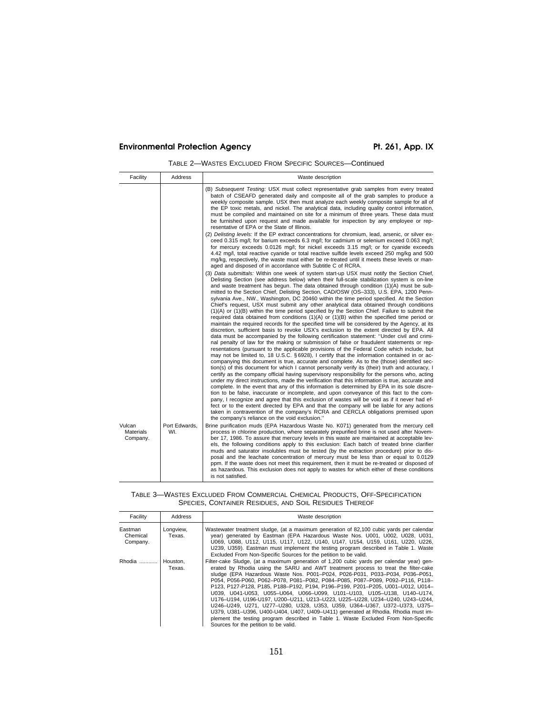| Facility                               | Address              | Waste description                                                                                                                                                                                                                                                                                                                                                                                                                                                                                                                                                                                                                                                                                                                                                                                                                                                                                                                                                                                                                                                                                                                                                                                                                                                                                                                                                                                                                                                                                                                                                                                                                                                                                                                                                                                                                                                                                                                                                                                                                                                                                                                                                                                                                                                                                         |
|----------------------------------------|----------------------|-----------------------------------------------------------------------------------------------------------------------------------------------------------------------------------------------------------------------------------------------------------------------------------------------------------------------------------------------------------------------------------------------------------------------------------------------------------------------------------------------------------------------------------------------------------------------------------------------------------------------------------------------------------------------------------------------------------------------------------------------------------------------------------------------------------------------------------------------------------------------------------------------------------------------------------------------------------------------------------------------------------------------------------------------------------------------------------------------------------------------------------------------------------------------------------------------------------------------------------------------------------------------------------------------------------------------------------------------------------------------------------------------------------------------------------------------------------------------------------------------------------------------------------------------------------------------------------------------------------------------------------------------------------------------------------------------------------------------------------------------------------------------------------------------------------------------------------------------------------------------------------------------------------------------------------------------------------------------------------------------------------------------------------------------------------------------------------------------------------------------------------------------------------------------------------------------------------------------------------------------------------------------------------------------------------|
|                                        |                      | (B) Subsequent Testing: USX must collect representative grab samples from every treated<br>batch of CSEAFD generated daily and composite all of the grab samples to produce a<br>weekly composite sample. USX then must analyze each weekly composite sample for all of<br>the EP toxic metals, and nickel. The analytical data, including quality control information,<br>must be compiled and maintained on site for a minimum of three years. These data must<br>be furnished upon request and made available for inspection by any employee or rep-<br>resentative of EPA or the State of Illinois.                                                                                                                                                                                                                                                                                                                                                                                                                                                                                                                                                                                                                                                                                                                                                                                                                                                                                                                                                                                                                                                                                                                                                                                                                                                                                                                                                                                                                                                                                                                                                                                                                                                                                                   |
|                                        |                      | (2) Delisting levels: If the EP extract concentrations for chromium, lead, arsenic, or silver ex-<br>ceed 0.315 mg/l; for barium exceeds 6.3 mg/l; for cadmium or selenium exceed 0.063 mg/l;<br>for mercury exceeds 0.0126 mg/l; for nickel exceeds 3.15 mg/l; or for cyanide exceeds<br>4.42 mg/l, total reactive cyanide or total reactive sulfide levels exceed 250 mg/kg and 500<br>mg/kg, respectively, the waste must either be re-treated until it meets these levels or man-<br>aged and disposed of in accordance with Subtitle C of RCRA.                                                                                                                                                                                                                                                                                                                                                                                                                                                                                                                                                                                                                                                                                                                                                                                                                                                                                                                                                                                                                                                                                                                                                                                                                                                                                                                                                                                                                                                                                                                                                                                                                                                                                                                                                      |
|                                        |                      | (3) Data submittals: Within one week of system start-up USX must notify the Section Chief,<br>Delisting Section (see address below) when their full-scale stabilization system is on-line<br>and waste treatment has begun. The data obtained through condition (1)(A) must be sub-<br>mitted to the Section Chief, Delisting Section, CAD/OSW (OS-333), U.S. EPA, 1200 Penn-<br>sylvania Ave., NW., Washington, DC 20460 within the time period specified. At the Section<br>Chief's request, USX must submit any other analytical data obtained through conditions<br>$(1)(A)$ or $(1)(B)$ within the time period specified by the Section Chief. Failure to submit the<br>required data obtained from conditions $(1)(A)$ or $(1)(B)$ within the specified time period or<br>maintain the required records for the specified time will be considered by the Agency, at its<br>discretion, sufficient basis to revoke USX's exclusion to the extent directed by EPA. All<br>data must be accompanied by the following certification statement: "Under civil and crimi-<br>nal penalty of law for the making or submission of false or fraudulent statements or rep-<br>resentations (pursuant to the applicable provisions of the Federal Code which include, but<br>may not be limited to, 18 U.S.C. § 6928), I certify that the information contained in or ac-<br>companying this document is true, accurate and complete. As to the (those) identified sec-<br>tion(s) of this document for which I cannot personally verify its (their) truth and accuracy, I<br>certify as the company official having supervisory responsibility for the persons who, acting<br>under my direct instructions, made the verification that this information is true, accurate and<br>complete. In the event that any of this information is determined by EPA in its sole discre-<br>tion to be false, inaccurate or incomplete, and upon conveyance of this fact to the com-<br>pany, I recognize and agree that this exclusion of wastes will be void as if it never had ef-<br>fect or to the extent directed by EPA and that the company will be liable for any actions<br>taken in contravention of the company's RCRA and CERCLA obligations premised upon<br>the company's reliance on the void exclusion." |
| Vulcan<br><b>Materials</b><br>Company. | Port Edwards,<br>WI. | Brine purification muds (EPA Hazardous Waste No. K071) generated from the mercury cell<br>process in chlorine production, where separately prepurified brine is not used after Novem-<br>ber 17, 1986. To assure that mercury levels in this waste are maintained at acceptable lev-<br>els, the following conditions apply to this exclusion: Each batch of treated brine clarifier<br>muds and saturator insolubles must be tested (by the extraction procedure) prior to dis-<br>posal and the leachate concentration of mercury must be less than or equal to 0.0129<br>ppm. If the waste does not meet this requirement, then it must be re-treated or disposed of<br>as hazardous. This exclusion does not apply to wastes for which either of these conditions<br>is not satisfied.                                                                                                                                                                                                                                                                                                                                                                                                                                                                                                                                                                                                                                                                                                                                                                                                                                                                                                                                                                                                                                                                                                                                                                                                                                                                                                                                                                                                                                                                                                                |

| TABLE 3-WASTES EXCLUDED FROM COMMERCIAL CHEMICAL PRODUCTS, OFF-SPECIFICATION |
|------------------------------------------------------------------------------|
| SPECIES, CONTAINER RESIDUES, AND SOIL RESIDUES THEREOF                       |

| Facility                        | Address             | Waste description                                                                                                                                                                                                                                                                                                                                                                                                                                                                                                                                                                                                                                                                                                                                                                                                                                                                              |
|---------------------------------|---------------------|------------------------------------------------------------------------------------------------------------------------------------------------------------------------------------------------------------------------------------------------------------------------------------------------------------------------------------------------------------------------------------------------------------------------------------------------------------------------------------------------------------------------------------------------------------------------------------------------------------------------------------------------------------------------------------------------------------------------------------------------------------------------------------------------------------------------------------------------------------------------------------------------|
| Eastman<br>Chemical<br>Company. | Longview,<br>Texas. | Wastewater treatment sludge, (at a maximum generation of 82,100 cubic yards per calendar<br>year) generated by Eastman (EPA Hazardous Waste Nos. U001, U002, U028, U031,<br>U069, U088, U112, U115, U117, U122, U140, U147, U154, U159, U161, U220, U226,<br>U239, U359). Eastman must implement the testing program described in Table 1. Waste<br>Excluded From Non-Specific Sources for the petition to be valid.                                                                                                                                                                                                                                                                                                                                                                                                                                                                           |
| Rhodia                          | Houston.<br>Texas.  | Filter-cake Sludge, (at a maximum generation of 1,200 cubic yards per calendar year) gen-<br>erated by Rhodia using the SARU and AWT treatment process to treat the filter-cake<br>sludge (EPA Hazardous Waste Nos. P001-P024, P026-P031, P033-P034, P036-P051,<br>P054, P056-P060, P062-P078, P081-P082, P084-P085, P087-P089, P092-P116, P118-<br>P123, P127-P128, P185, P188-P192, P194, P196-P199, P201-P205, U001-U012, U014-<br>U039, U041-U053, U055-U064, U066-U099, U101-U103, U105-U138, U140-U174,<br>U176-U194, U196-U197, U200-U211, U213-U223, U225-U228, U234-U240, U243-U244,<br>U246-U249, U271, U277-U280, U328, U353, U359, U364-U367, U372-U373, U375-<br>U379, U381-U396, U400-U404, U407, U409-U411) generated at Rhodia. Rhodia must im-<br>plement the testing program described in Table 1. Waste Excluded From Non-Specific<br>Sources for the petition to be valid. |